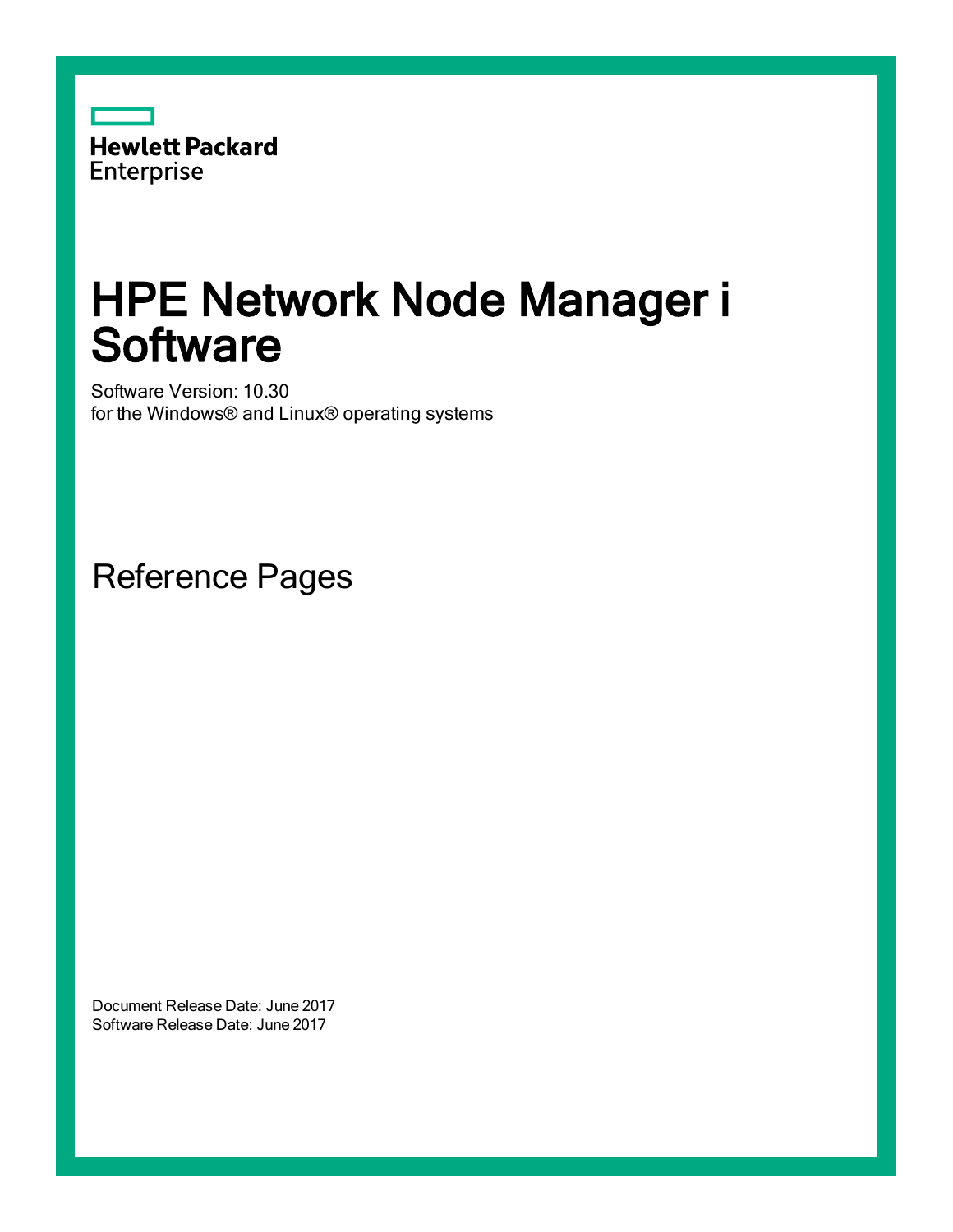

# HPE Network Node Manager i **Software**

Software Version: 10.30 for the Windows® and Linux® operating systems

Reference Pages

Document Release Date: June 2017 Software Release Date: June 2017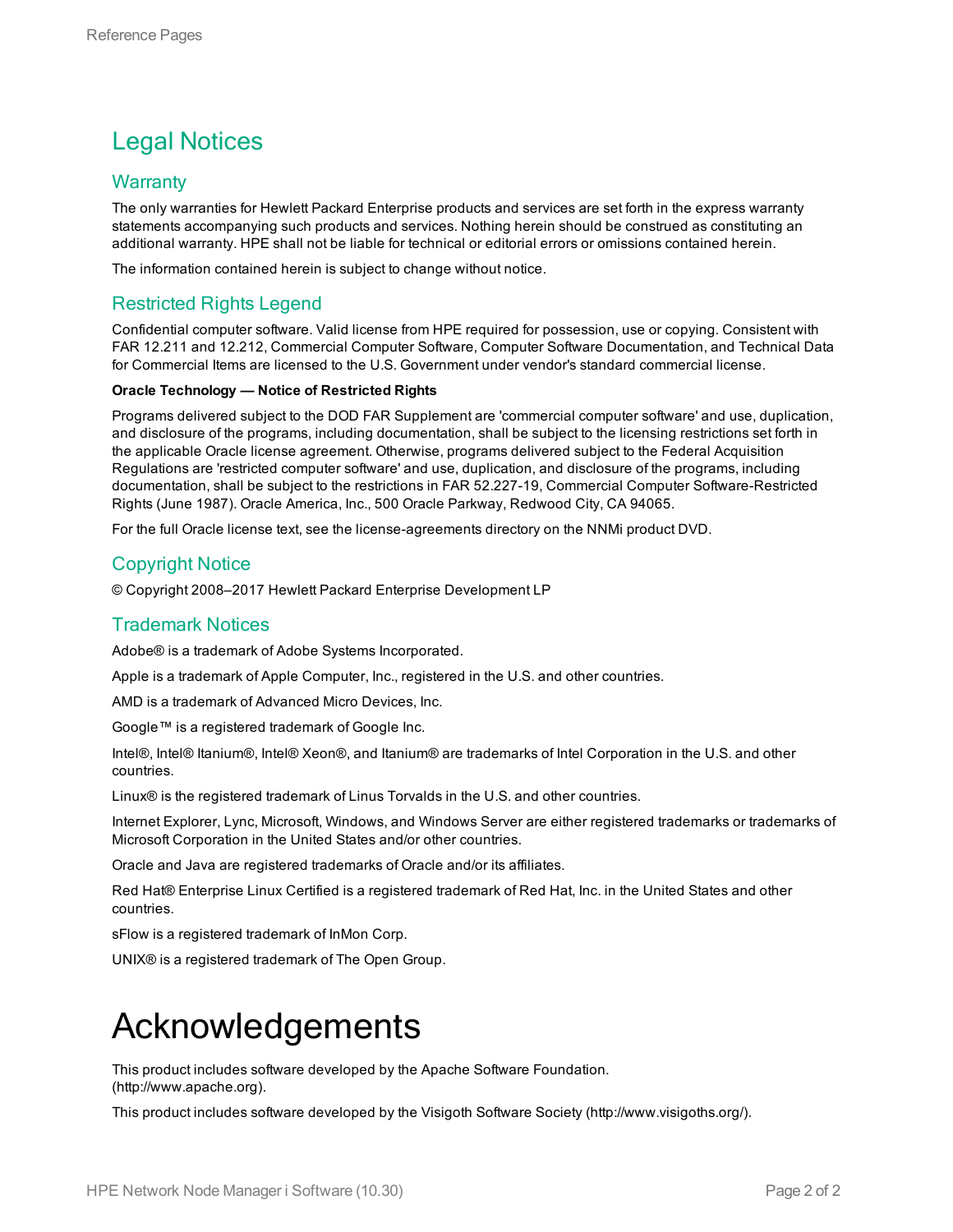#### Legal Notices

#### **Warranty**

The only warranties for Hewlett Packard Enterprise products and services are set forth in the express warranty statements accompanying such products and services. Nothing herein should be construed as constituting an additional warranty. HPE shall not be liable for technical or editorial errors or omissions contained herein.

The information contained herein is subject to change without notice.

#### Restricted Rights Legend

Confidential computer software. Valid license from HPE required for possession, use or copying. Consistent with FAR 12.211 and 12.212, Commercial Computer Software, Computer Software Documentation, and Technical Data for Commercial Items are licensed to the U.S. Government under vendor's standard commercial license.

#### **Oracle Technology — Notice of Restricted Rights**

Programs delivered subject to the DOD FAR Supplement are 'commercial computer software' and use, duplication, and disclosure of the programs, including documentation, shall be subject to the licensing restrictions set forth in the applicable Oracle license agreement. Otherwise, programs delivered subject to the Federal Acquisition Regulations are 'restricted computer software' and use, duplication, and disclosure of the programs, including documentation, shall be subject to the restrictions in FAR 52.227-19, Commercial Computer Software-Restricted Rights (June 1987). Oracle America, Inc., 500 Oracle Parkway, Redwood City, CA 94065.

For the full Oracle license text, see the license-agreements directory on the NNMi product DVD.

#### Copyright Notice

© Copyright 2008–2017 Hewlett Packard Enterprise Development LP

#### Trademark Notices

Adobe® is a trademark of Adobe Systems Incorporated.

Apple is a trademark of Apple Computer, Inc., registered in the U.S. and other countries.

AMD is a trademark of Advanced Micro Devices, Inc.

Google™ is a registered trademark of Google Inc.

Intel®, Intel® Itanium®, Intel® Xeon®, and Itanium® are trademarks of Intel Corporation in the U.S. and other countries.

Linux® is the registered trademark of Linus Torvalds in the U.S. and other countries.

Internet Explorer, Lync, Microsoft, Windows, and Windows Server are either registered trademarks or trademarks of Microsoft Corporation in the United States and/or other countries.

Oracle and Java are registered trademarks of Oracle and/or its affiliates.

Red Hat® Enterprise Linux Certified is a registered trademark of Red Hat, Inc. in the United States and other countries.

sFlow is a registered trademark of InMon Corp.

UNIX® is a registered trademark of The Open Group.

# Acknowledgements

This product includes software developed by the Apache Software Foundation. (http://www.apache.org).

This product includes software developed by the Visigoth Software Society (http://www.visigoths.org/).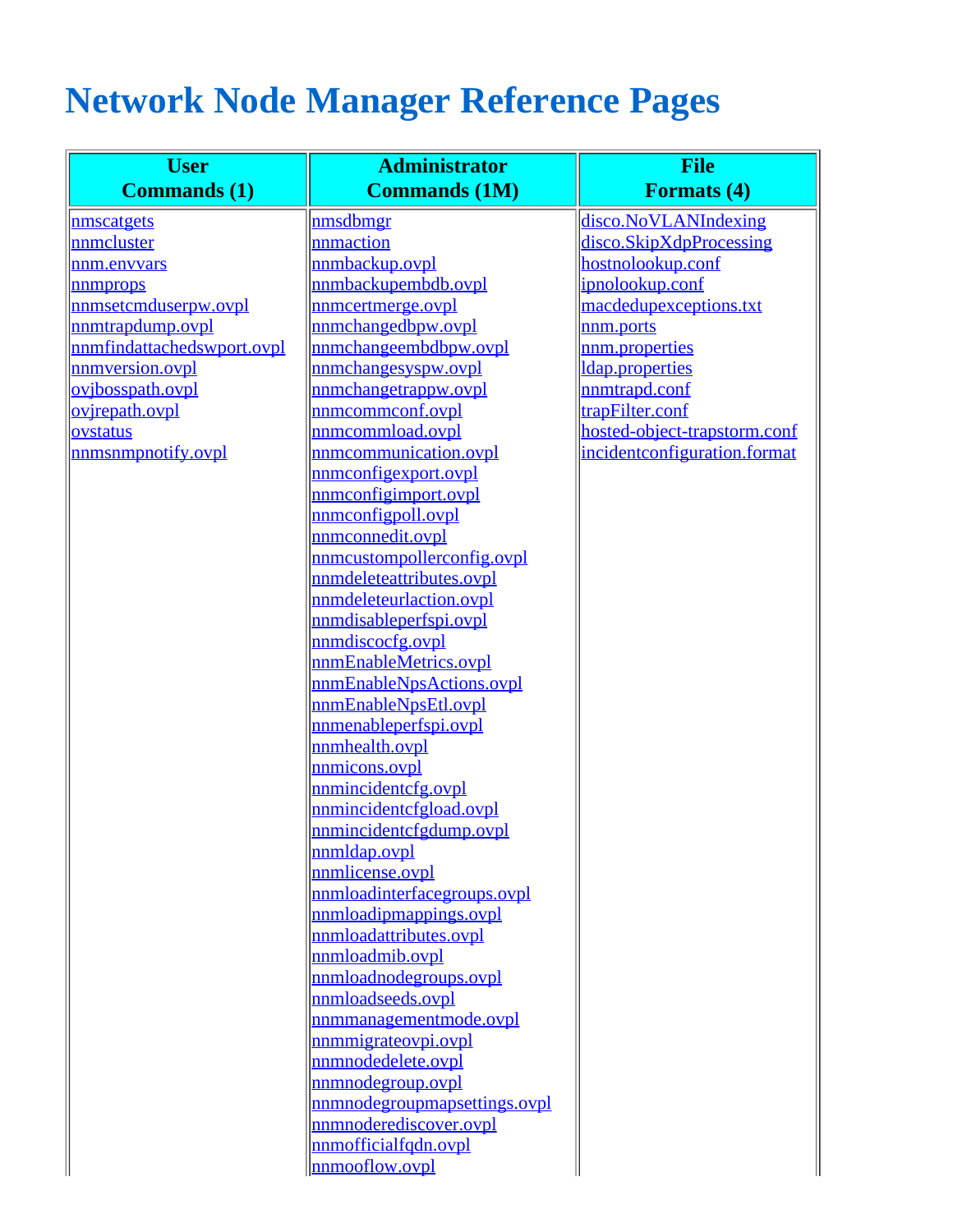# <span id="page-2-0"></span>**Network Node Manager Reference Pages**

| <b>User</b>                | <b>Administrator</b>         | <b>File</b>                  |
|----------------------------|------------------------------|------------------------------|
| <b>Commands</b> (1)        | <b>Commands (1M)</b>         | <b>Formats (4)</b>           |
| nmscatgets                 | nmsdbmgr                     | disco.NoVLANIndexing         |
| nnmcluster                 | nnmaction                    | disco.SkipXdpProcessing      |
| nnm.envvars                | nnmbackup.ovpl               | hostnolookup.conf            |
| nnmprops                   | nnmbackupembdb.ovpl          | ipnolookup.conf              |
| nnmsetcmduserpw.ovpl       | nnmcertmerge.ovpl            | macdedupexceptions.txt       |
| nnmtrapdump.ovpl           | nnmchangedbpw.ovpl           | nnm.ports                    |
| nnmfindattachedswport.ovpl | nnmchangeembdbpw.ovpl        | nnm.properties               |
| nnmversion.ovpl            | nnmchangesyspw.ovpl          | dap.properties               |
| ovjbosspath.ovpl           | nnmchangetrappw.ovpl         | nnmtrapd.conf                |
| ovjrepath.ovpl             | nnmcommconf.ovpl             | trapFilter.conf              |
| ovstatus                   | nnmcommload.ovpl             | hosted-object-trapstorm.conf |
| nnmsnmpnotify.ovpl         | nnmcommunication.ovpl        | incidentconfiguration.format |
|                            | nnmconfigexport.ovpl         |                              |
|                            | nnmconfigimport.ovpl         |                              |
|                            | nnmconfigpoll.ovpl           |                              |
|                            | nnmconnedit.ovpl             |                              |
|                            | nnmcustompollerconfig.ovpl   |                              |
|                            | nnmdeleteattributes.ovpl     |                              |
|                            | nnmdeleteurlaction.ovpl      |                              |
|                            | nnmdisableperfspi.ovpl       |                              |
|                            | nnmdiscocfg.ovpl             |                              |
|                            | nnmEnableMetrics.ovpl        |                              |
|                            | nnmEnableNpsActions.ovpl     |                              |
|                            | nnmEnableNpsEtl.ovpl         |                              |
|                            | nnmenableperfspi.ovpl        |                              |
|                            | nnmhealth.ovpl               |                              |
|                            | nnmicons.ovpl                |                              |
|                            | nnmincidentcfg.ovpl          |                              |
|                            | nnmincidentcfgload.ovpl      |                              |
|                            | nnmincidentcfgdump.ovpl      |                              |
|                            | nnmldap.ovpl                 |                              |
|                            | nnmlicense.ovpl              |                              |
|                            | nnmloadinterfacegroups.ovpl  |                              |
|                            | nnmloadipmappings.ovpl       |                              |
|                            | nnmloadattributes.ovpl       |                              |
|                            | nnmloadmib.ovpl              |                              |
|                            | nnmloadnodegroups.ovpl       |                              |
|                            | nnmloadseeds.ovpl            |                              |
|                            | nnmmanagementmode.ovpl       |                              |
|                            | nnmmigrateovpi.ovpl          |                              |
|                            | nnmnodedelete.ovpl           |                              |
|                            | nnmnodegroup.ovpl            |                              |
|                            | nnmnodegroupmapsettings.ovpl |                              |
|                            | nnmnoderediscover.ovpl       |                              |
|                            | nnmofficialfqdn.ovpl         |                              |
|                            | nnmooflow.ovpl               |                              |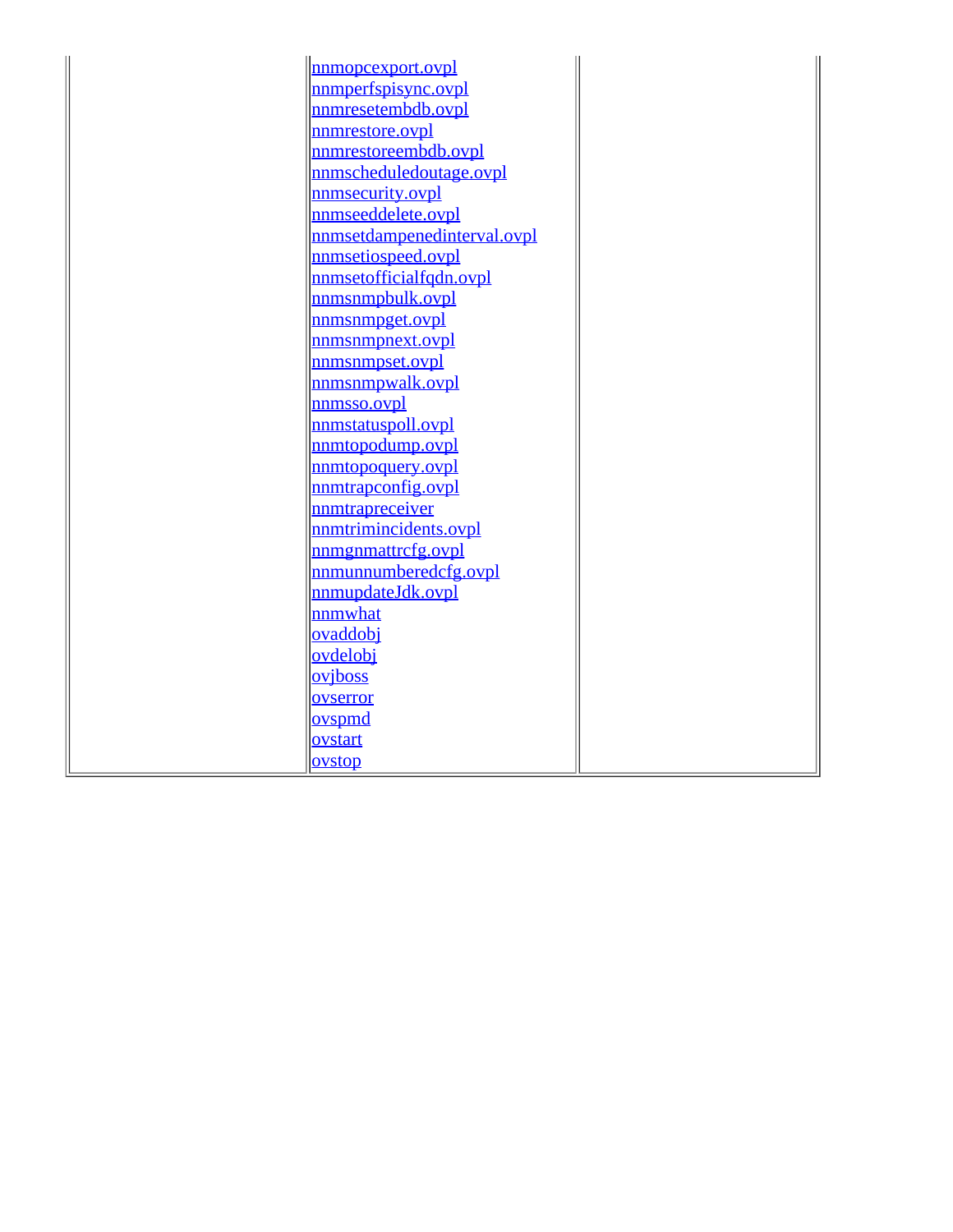[nnmopcexport.ovpl](#page-235-0) [nnmperfspisync.ovpl](#page-238-0) [nnmresetembdb.ovpl](#page-239-0) [nnmrestore.ovpl](#page-241-0) [nnmrestoreembdb.ovpl](#page-244-0) [nnmscheduledoutage.ovpl](#page-246-0) [nnmsecurity.ovpl](#page-251-0) [nnmseeddelete.ovpl](#page-260-0) [nnmsetdampenedinterval.ovpl](#page-262-0) [nnmsetiospeed.ovpl](#page-264-0) [nnmsetofficialfqdn.ovpl](#page-267-0) [nnmsnmpbulk.ovpl](#page-269-0) [nnmsnmpget.ovpl](#page-273-0) [nnmsnmpnext.ovpl](#page-273-0) [nnmsnmpset.ovpl](#page-278-0) [nnmsnmpwalk.ovpl](#page-273-0) [nnmsso.ovpl](#page-283-0) [nnmstatuspoll.ovpl](#page-285-0) [nnmtopodump.ovpl](#page-287-0) [nnmtopoquery.ovpl](#page-290-0) [nnmtrapconfig.ovpl](#page-293-0) [nnmtrapreceiver](#page-299-0) [nnmtrimincidents.ovpl](#page-301-0) [nnmgnmattrcfg.ovpl](#page-304-0) [nnmunnumberedcfg.ovpl](#page-307-0) [nnmupdateJdk.ovpl](#page-310-0) [nnmwhat](#page-312-0) [ovaddobj](#page-313-0) ovdelobi [ovjboss](#page-317-0) [ovserror](#page-319-0) [ovspmd](#page-320-0) [ovstart](#page-325-0) [ovstop](#page-329-0)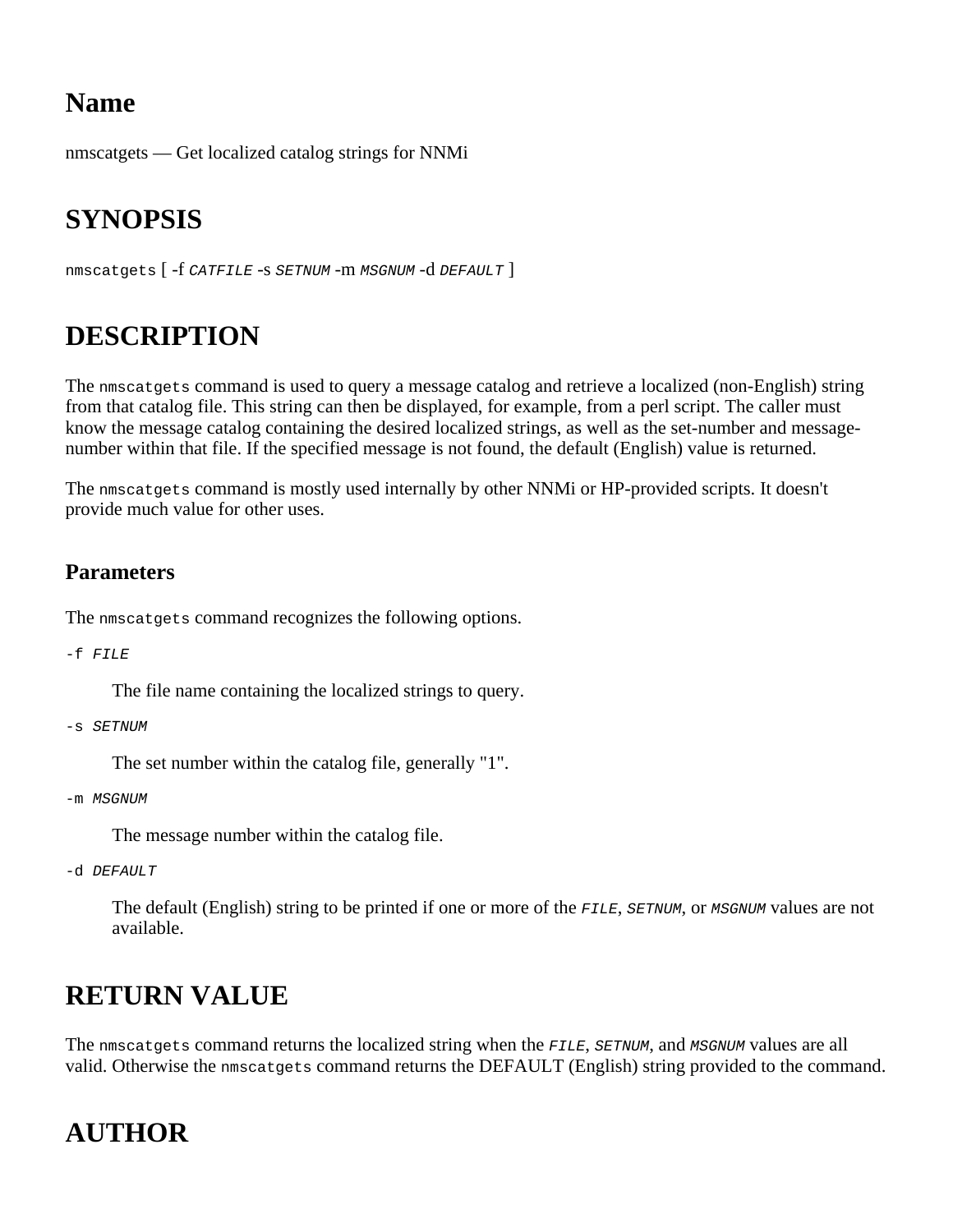<span id="page-4-0"></span>nmscatgets — Get localized catalog strings for NNMi

### **SYNOPSIS**

nmscatgets [ -f *CATFILE* -s *SETNUM* -m *MSGNUM* -d *DEFAULT* ]

#### **DESCRIPTION**

The nmscatgets command is used to query a message catalog and retrieve a localized (non-English) string from that catalog file. This string can then be displayed, for example, from a perl script. The caller must know the message catalog containing the desired localized strings, as well as the set-number and messagenumber within that file. If the specified message is not found, the default (English) value is returned.

The nmscatgets command is mostly used internally by other NNMi or HP-provided scripts. It doesn't provide much value for other uses.

#### **Parameters**

The nmscatgets command recognizes the following options.

-f *FILE*

The file name containing the localized strings to query.

-s *SETNUM*

The set number within the catalog file, generally "1".

-m *MSGNUM*

The message number within the catalog file.

-d *DEFAULT*

The default (English) string to be printed if one or more of the *FILE*, *SETNUM*, or *MSGNUM* values are not available.

#### **RETURN VALUE**

The nmscatgets command returns the localized string when the *FILE*, *SETNUM*, and *MSGNUM* values are all valid. Otherwise the nmscatgets command returns the DEFAULT (English) string provided to the command.

## **AUTHOR**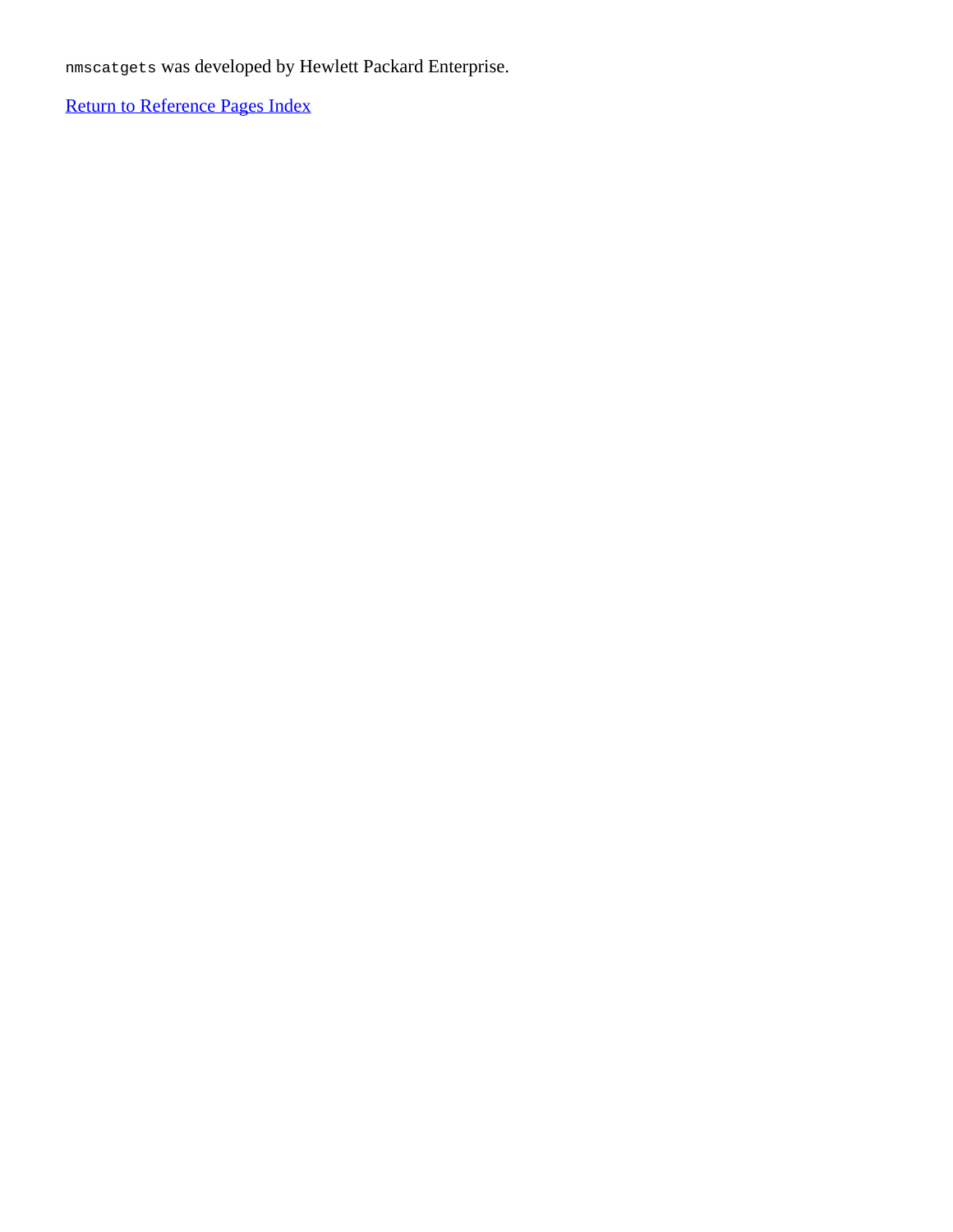nmscatgets was developed by Hewlett Packard Enterprise.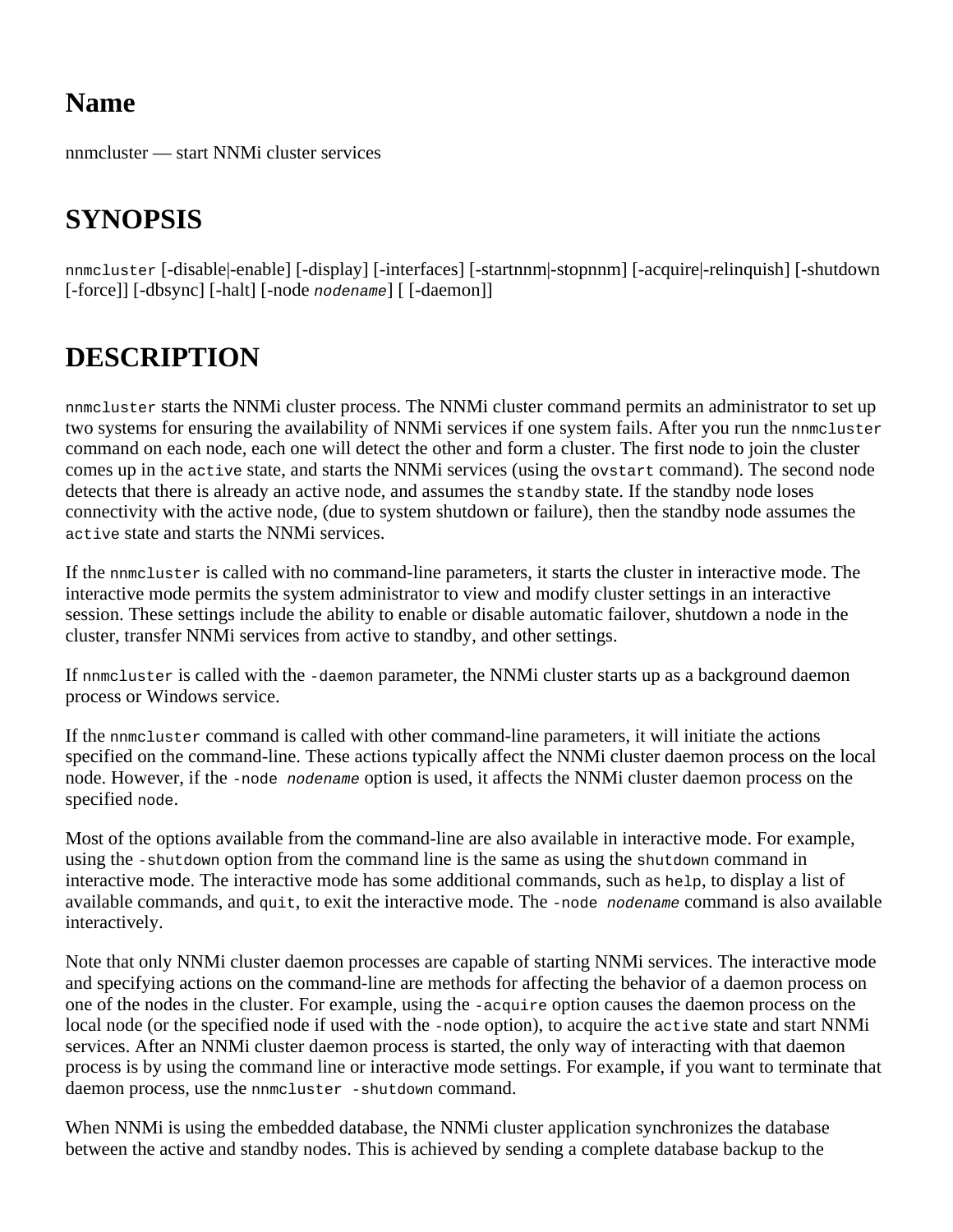<span id="page-6-0"></span>nnmcluster — start NNMi cluster services

### **SYNOPSIS**

nnmcluster [-disable|-enable] [-display] [-interfaces] [-startnnm|-stopnnm] [-acquire|-relinquish] [-shutdown [-force]] [-dbsync] [-halt] [-node *nodename*] [ [-daemon]]

### **DESCRIPTION**

nnmcluster starts the NNMi cluster process. The NNMi cluster command permits an administrator to set up two systems for ensuring the availability of NNMi services if one system fails. After you run the nnmcluster command on each node, each one will detect the other and form a cluster. The first node to join the cluster comes up in the active state, and starts the NNMi services (using the ovstart command). The second node detects that there is already an active node, and assumes the standby state. If the standby node loses connectivity with the active node, (due to system shutdown or failure), then the standby node assumes the active state and starts the NNMi services.

If the nnmcluster is called with no command-line parameters, it starts the cluster in interactive mode. The interactive mode permits the system administrator to view and modify cluster settings in an interactive session. These settings include the ability to enable or disable automatic failover, shutdown a node in the cluster, transfer NNMi services from active to standby, and other settings.

If nnmcluster is called with the -daemon parameter, the NNMi cluster starts up as a background daemon process or Windows service.

If the nnmcluster command is called with other command-line parameters, it will initiate the actions specified on the command-line. These actions typically affect the NNMi cluster daemon process on the local node. However, if the -node *nodename* option is used, it affects the NNMi cluster daemon process on the specified node.

Most of the options available from the command-line are also available in interactive mode. For example, using the -shutdown option from the command line is the same as using the shutdown command in interactive mode. The interactive mode has some additional commands, such as help, to display a list of available commands, and quit, to exit the interactive mode. The -node *nodename* command is also available interactively.

Note that only NNMi cluster daemon processes are capable of starting NNMi services. The interactive mode and specifying actions on the command-line are methods for affecting the behavior of a daemon process on one of the nodes in the cluster. For example, using the -acquire option causes the daemon process on the local node (or the specified node if used with the -node option), to acquire the active state and start NNMi services. After an NNMi cluster daemon process is started, the only way of interacting with that daemon process is by using the command line or interactive mode settings. For example, if you want to terminate that daemon process, use the nnmcluster -shutdown command.

When NNMi is using the embedded database, the NNMi cluster application synchronizes the database between the active and standby nodes. This is achieved by sending a complete database backup to the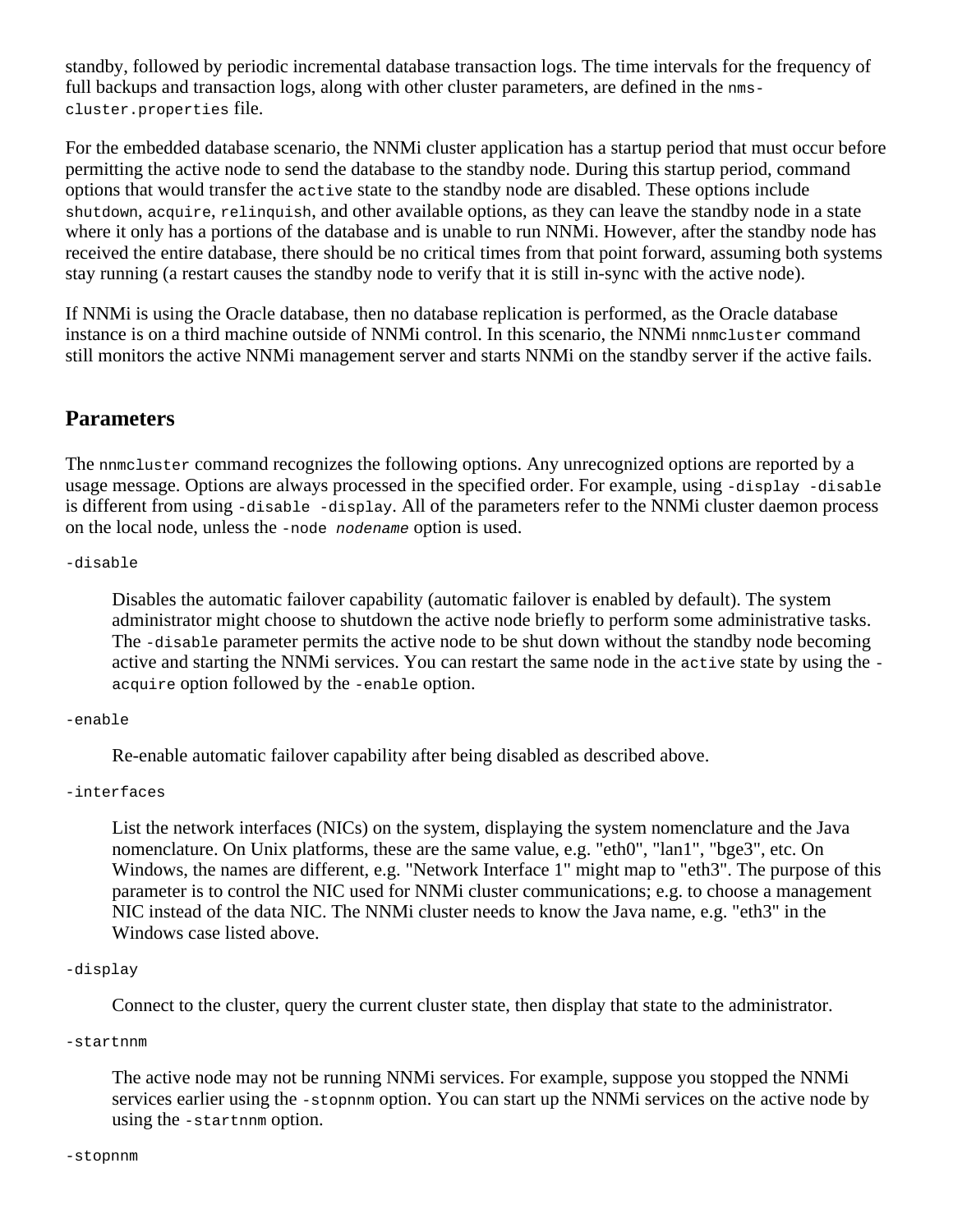standby, followed by periodic incremental database transaction logs. The time intervals for the frequency of full backups and transaction logs, along with other cluster parameters, are defined in the nmscluster.properties file.

For the embedded database scenario, the NNMi cluster application has a startup period that must occur before permitting the active node to send the database to the standby node. During this startup period, command options that would transfer the active state to the standby node are disabled. These options include shutdown, acquire, relinquish, and other available options, as they can leave the standby node in a state where it only has a portions of the database and is unable to run NNMi. However, after the standby node has received the entire database, there should be no critical times from that point forward, assuming both systems stay running (a restart causes the standby node to verify that it is still in-sync with the active node).

If NNMi is using the Oracle database, then no database replication is performed, as the Oracle database instance is on a third machine outside of NNMi control. In this scenario, the NNMi nnmcluster command still monitors the active NNMi management server and starts NNMi on the standby server if the active fails.

#### **Parameters**

The nnmcluster command recognizes the following options. Any unrecognized options are reported by a usage message. Options are always processed in the specified order. For example, using -display -disable is different from using -disable -display. All of the parameters refer to the NNMi cluster daemon process on the local node, unless the -node *nodename* option is used.

#### -disable

Disables the automatic failover capability (automatic failover is enabled by default). The system administrator might choose to shutdown the active node briefly to perform some administrative tasks. The -disable parameter permits the active node to be shut down without the standby node becoming active and starting the NNMi services. You can restart the same node in the active state by using the acquire option followed by the -enable option.

#### -enable

Re-enable automatic failover capability after being disabled as described above.

#### -interfaces

List the network interfaces (NICs) on the system, displaying the system nomenclature and the Java nomenclature. On Unix platforms, these are the same value, e.g. "eth0", "lan1", "bge3", etc. On Windows, the names are different, e.g. "Network Interface 1" might map to "eth3". The purpose of this parameter is to control the NIC used for NNMi cluster communications; e.g. to choose a management NIC instead of the data NIC. The NNMi cluster needs to know the Java name, e.g. "eth3" in the Windows case listed above.

#### -display

Connect to the cluster, query the current cluster state, then display that state to the administrator.

#### -startnnm

The active node may not be running NNMi services. For example, suppose you stopped the NNMi services earlier using the -stopnnm option. You can start up the NNMi services on the active node by using the -startnnm option.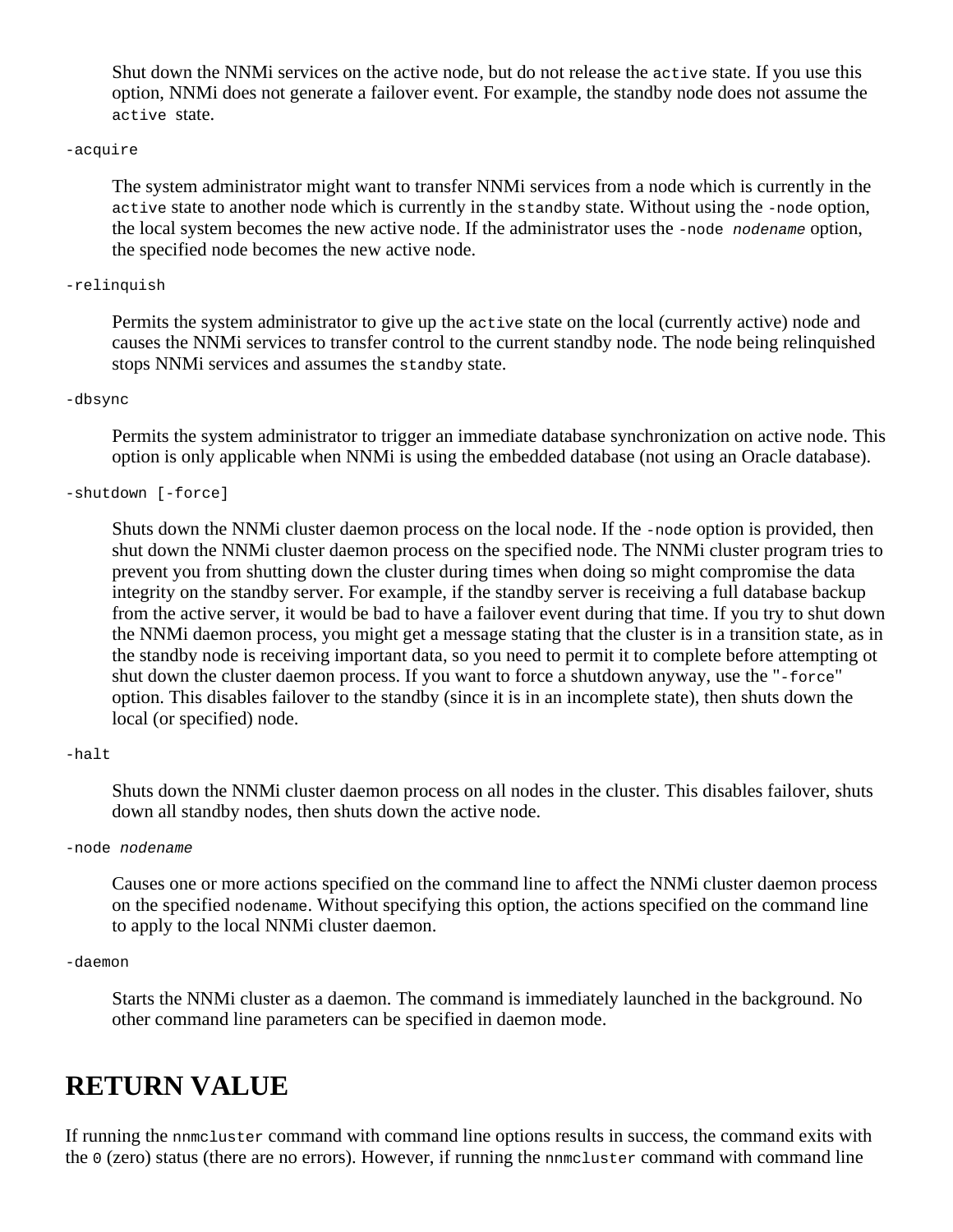Shut down the NNMi services on the active node, but do not release the active state. If you use this option, NNMi does not generate a failover event. For example, the standby node does not assume the active state.

#### -acquire

The system administrator might want to transfer NNMi services from a node which is currently in the active state to another node which is currently in the standby state. Without using the -node option, the local system becomes the new active node. If the administrator uses the -node *nodename* option, the specified node becomes the new active node.

#### -relinquish

Permits the system administrator to give up the active state on the local (currently active) node and causes the NNMi services to transfer control to the current standby node. The node being relinquished stops NNMi services and assumes the standby state.

#### -dbsync

Permits the system administrator to trigger an immediate database synchronization on active node. This option is only applicable when NNMi is using the embedded database (not using an Oracle database).

#### -shutdown [-force]

Shuts down the NNMi cluster daemon process on the local node. If the -node option is provided, then shut down the NNMi cluster daemon process on the specified node. The NNMi cluster program tries to prevent you from shutting down the cluster during times when doing so might compromise the data integrity on the standby server. For example, if the standby server is receiving a full database backup from the active server, it would be bad to have a failover event during that time. If you try to shut down the NNMi daemon process, you might get a message stating that the cluster is in a transition state, as in the standby node is receiving important data, so you need to permit it to complete before attempting ot shut down the cluster daemon process. If you want to force a shutdown anyway, use the "-force" option. This disables failover to the standby (since it is in an incomplete state), then shuts down the local (or specified) node.

#### -halt

Shuts down the NNMi cluster daemon process on all nodes in the cluster. This disables failover, shuts down all standby nodes, then shuts down the active node.

#### -node *nodename*

Causes one or more actions specified on the command line to affect the NNMi cluster daemon process on the specified nodename. Without specifying this option, the actions specified on the command line to apply to the local NNMi cluster daemon.

#### -daemon

Starts the NNMi cluster as a daemon. The command is immediately launched in the background. No other command line parameters can be specified in daemon mode.

#### **RETURN VALUE**

If running the nnmcluster command with command line options results in success, the command exits with the 0 (zero) status (there are no errors). However, if running the nnmcluster command with command line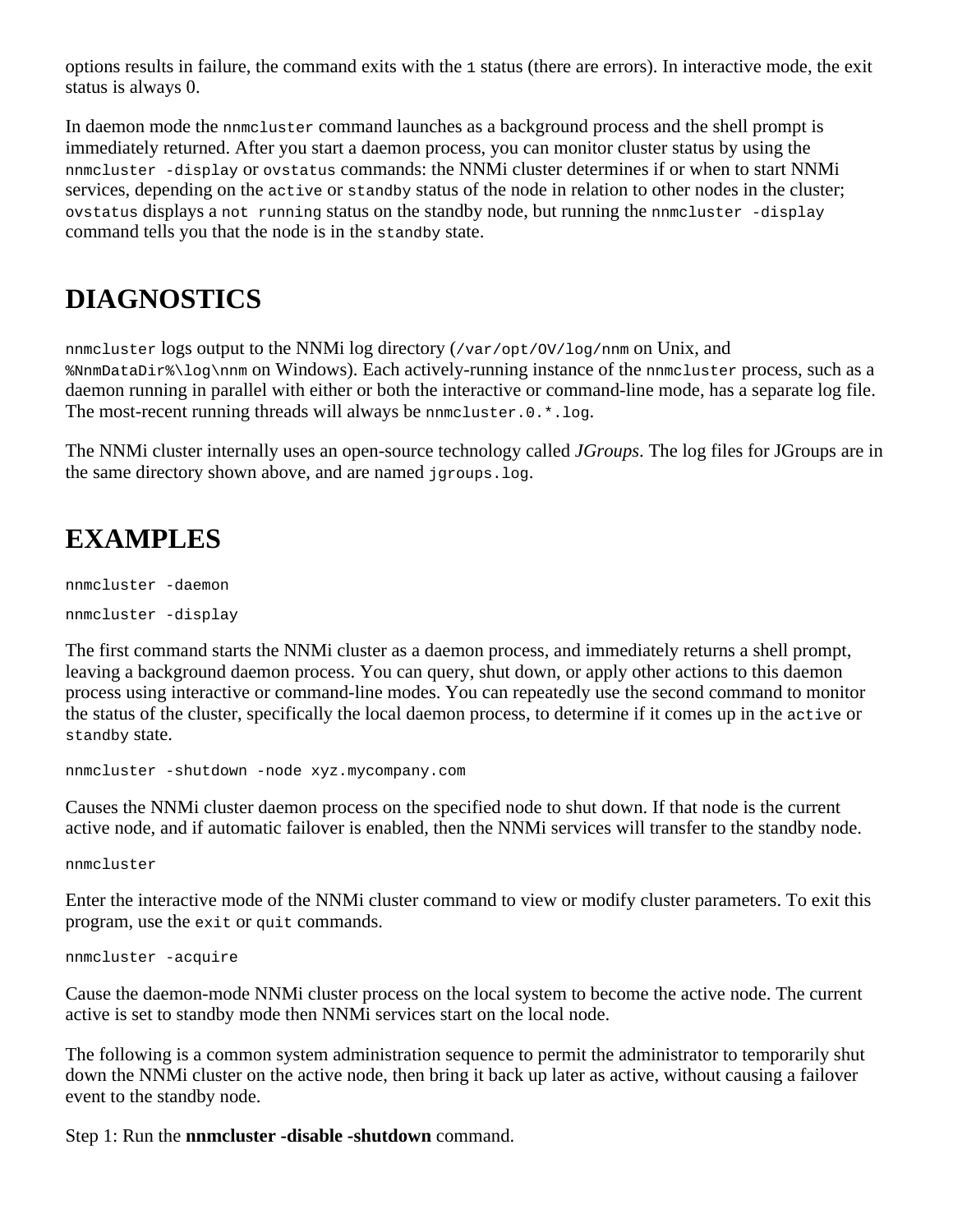options results in failure, the command exits with the 1 status (there are errors). In interactive mode, the exit status is always 0.

In daemon mode the nnmcluster command launches as a background process and the shell prompt is immediately returned. After you start a daemon process, you can monitor cluster status by using the nnmcluster -display or ovstatus commands: the NNMi cluster determines if or when to start NNMi services, depending on the active or standby status of the node in relation to other nodes in the cluster; ovstatus displays a not running status on the standby node, but running the nnmcluster -display command tells you that the node is in the standby state.

#### **DIAGNOSTICS**

nnmcluster logs output to the NNMi log directory (/var/opt/OV/log/nnm on Unix, and %NnmDataDir%\log\nnm on Windows). Each actively-running instance of the nnmcluster process, such as a daemon running in parallel with either or both the interactive or command-line mode, has a separate log file. The most-recent running threads will always be nnmcluster.0.\*.log.

The NNMi cluster internally uses an open-source technology called *JGroups*. The log files for JGroups are in the same directory shown above, and are named jgroups.log.

#### **EXAMPLES**

nnmcluster -daemon nnmcluster -display

The first command starts the NNMi cluster as a daemon process, and immediately returns a shell prompt, leaving a background daemon process. You can query, shut down, or apply other actions to this daemon process using interactive or command-line modes. You can repeatedly use the second command to monitor the status of the cluster, specifically the local daemon process, to determine if it comes up in the active or standby state.

nnmcluster -shutdown -node xyz.mycompany.com

Causes the NNMi cluster daemon process on the specified node to shut down. If that node is the current active node, and if automatic failover is enabled, then the NNMi services will transfer to the standby node.

nnmcluster

Enter the interactive mode of the NNMi cluster command to view or modify cluster parameters. To exit this program, use the exit or quit commands.

nnmcluster -acquire

Cause the daemon-mode NNMi cluster process on the local system to become the active node. The current active is set to standby mode then NNMi services start on the local node.

The following is a common system administration sequence to permit the administrator to temporarily shut down the NNMi cluster on the active node, then bring it back up later as active, without causing a failover event to the standby node.

Step 1: Run the **nnmcluster -disable -shutdown** command.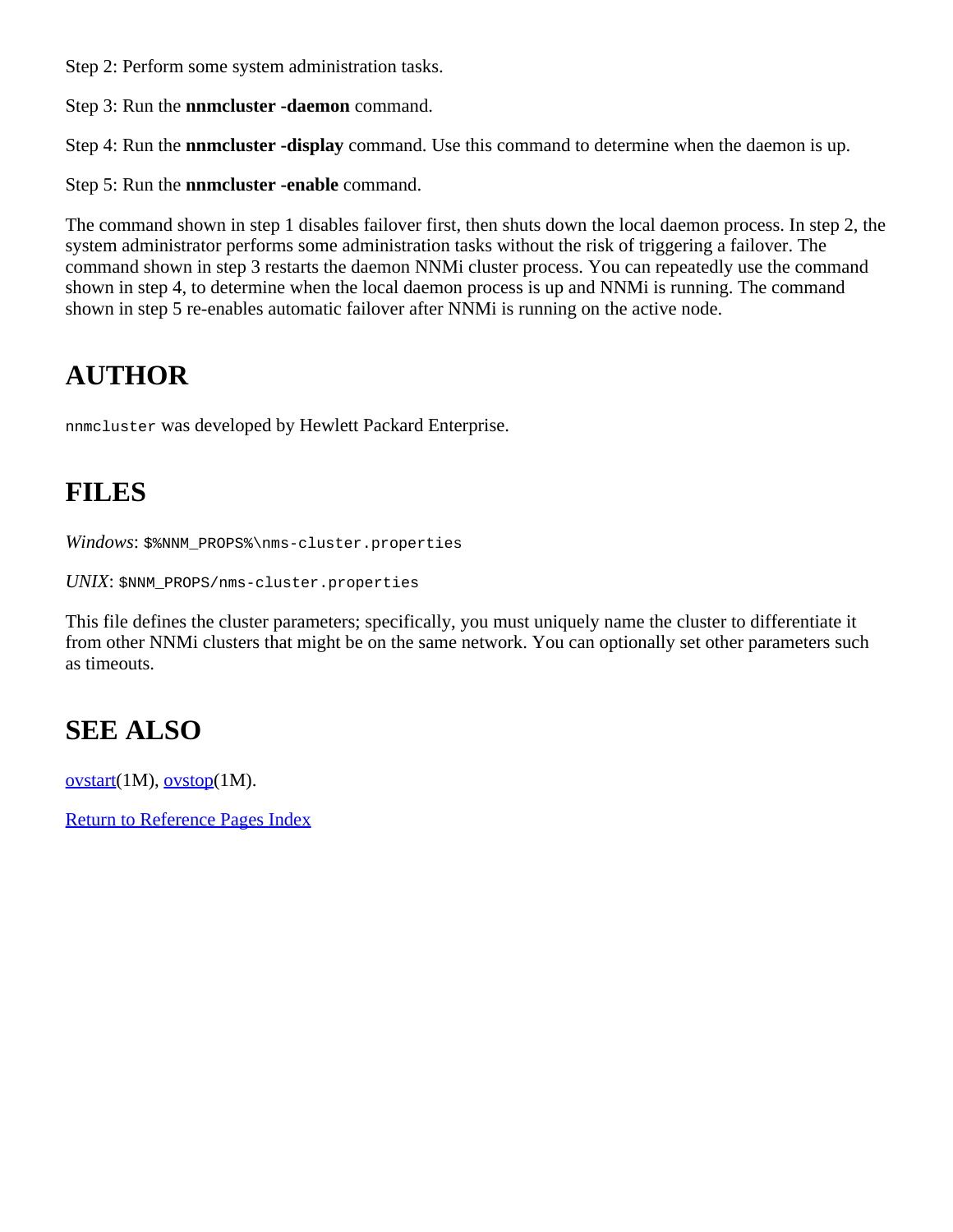Step 2: Perform some system administration tasks.

Step 3: Run the **nnmcluster -daemon** command.

Step 4: Run the **nnmcluster -display** command. Use this command to determine when the daemon is up.

Step 5: Run the **nnmcluster -enable** command.

The command shown in step 1 disables failover first, then shuts down the local daemon process. In step 2, the system administrator performs some administration tasks without the risk of triggering a failover. The command shown in step 3 restarts the daemon NNMi cluster process. You can repeatedly use the command shown in step 4, to determine when the local daemon process is up and NNMi is running. The command shown in step 5 re-enables automatic failover after NNMi is running on the active node.

#### **AUTHOR**

nnmcluster was developed by Hewlett Packard Enterprise.

#### **FILES**

*Windows*: \$%NNM\_PROPS%\nms-cluster.properties

*UNIX*: \$NNM\_PROPS/nms-cluster.properties

This file defines the cluster parameters; specifically, you must uniquely name the cluster to differentiate it from other NNMi clusters that might be on the same network. You can optionally set other parameters such as timeouts.

#### **SEE ALSO**

 $ovstart(1M)$  $ovstart(1M)$ ,  $ovstop(1M)$  $ovstop(1M)$ .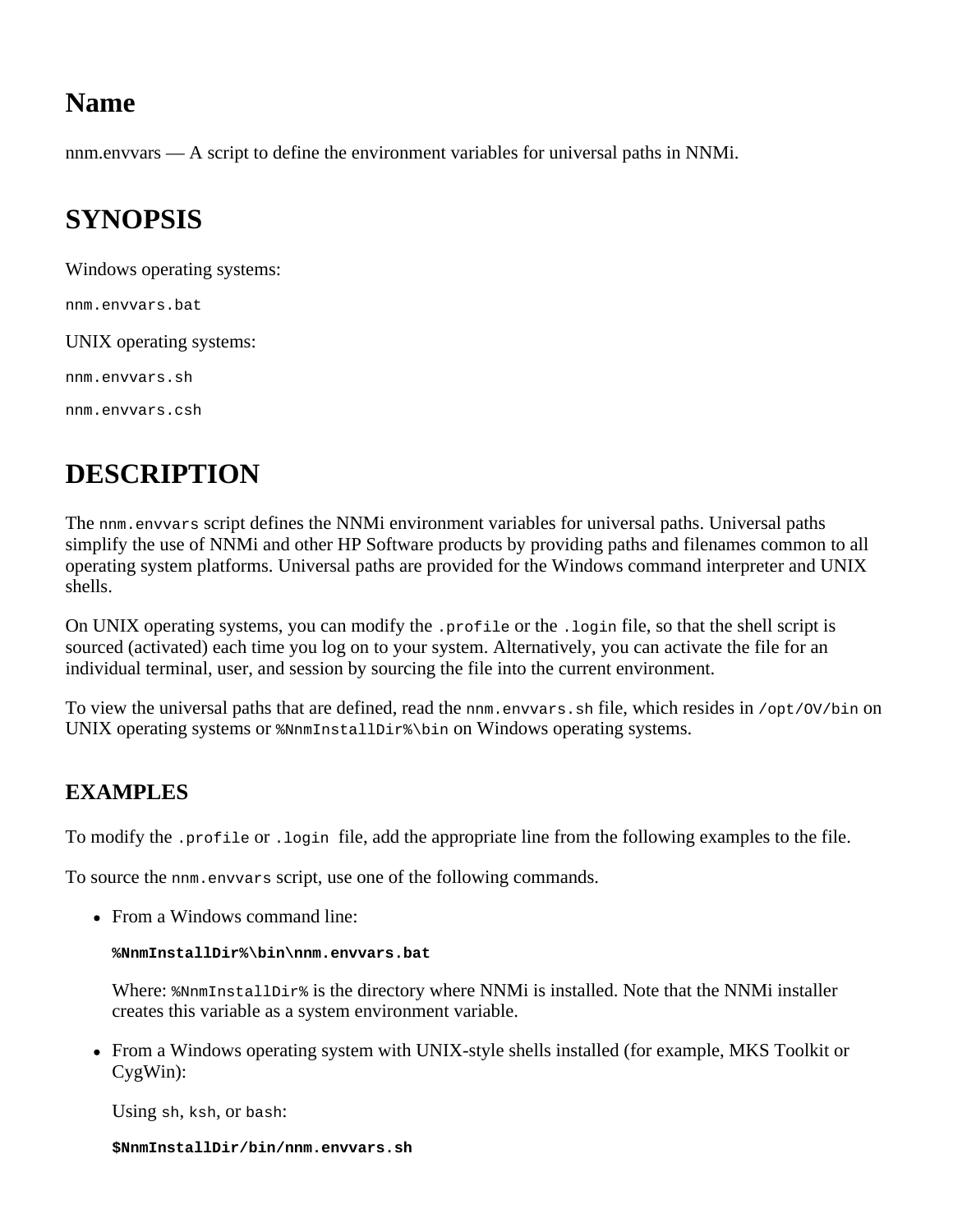<span id="page-11-0"></span>nnm.envvars — A script to define the environment variables for universal paths in NNMi.

#### **SYNOPSIS**

Windows operating systems:

nnm.envvars.bat

UNIX operating systems:

nnm.envvars.sh

nnm.envvars.csh

### **DESCRIPTION**

The nnm.envvars script defines the NNMi environment variables for universal paths. Universal paths simplify the use of NNMi and other HP Software products by providing paths and filenames common to all operating system platforms. Universal paths are provided for the Windows command interpreter and UNIX shells.

On UNIX operating systems, you can modify the . profile or the . login file, so that the shell script is sourced (activated) each time you log on to your system. Alternatively, you can activate the file for an individual terminal, user, and session by sourcing the file into the current environment.

To view the universal paths that are defined, read the nnm. envvars. sh file, which resides in /opt/0V/bin on UNIX operating systems or  $mminstallDir$ , bin on Windows operating systems.

#### **EXAMPLES**

To modify the .profile or .login file, add the appropriate line from the following examples to the file.

To source the nnm.envvars script, use one of the following commands.

• From a Windows command line:

#### **%NnmInstallDir%\bin\nnm.envvars.bat**

Where:  $\text{Nmm}$ InstallDir<sup>§</sup> is the directory where NNMi is installed. Note that the NNMi installer creates this variable as a system environment variable.

From a Windows operating system with UNIX-style shells installed (for example, MKS Toolkit or CygWin):

Using sh, ksh, or bash:

**\$NnmInstallDir/bin/nnm.envvars.sh**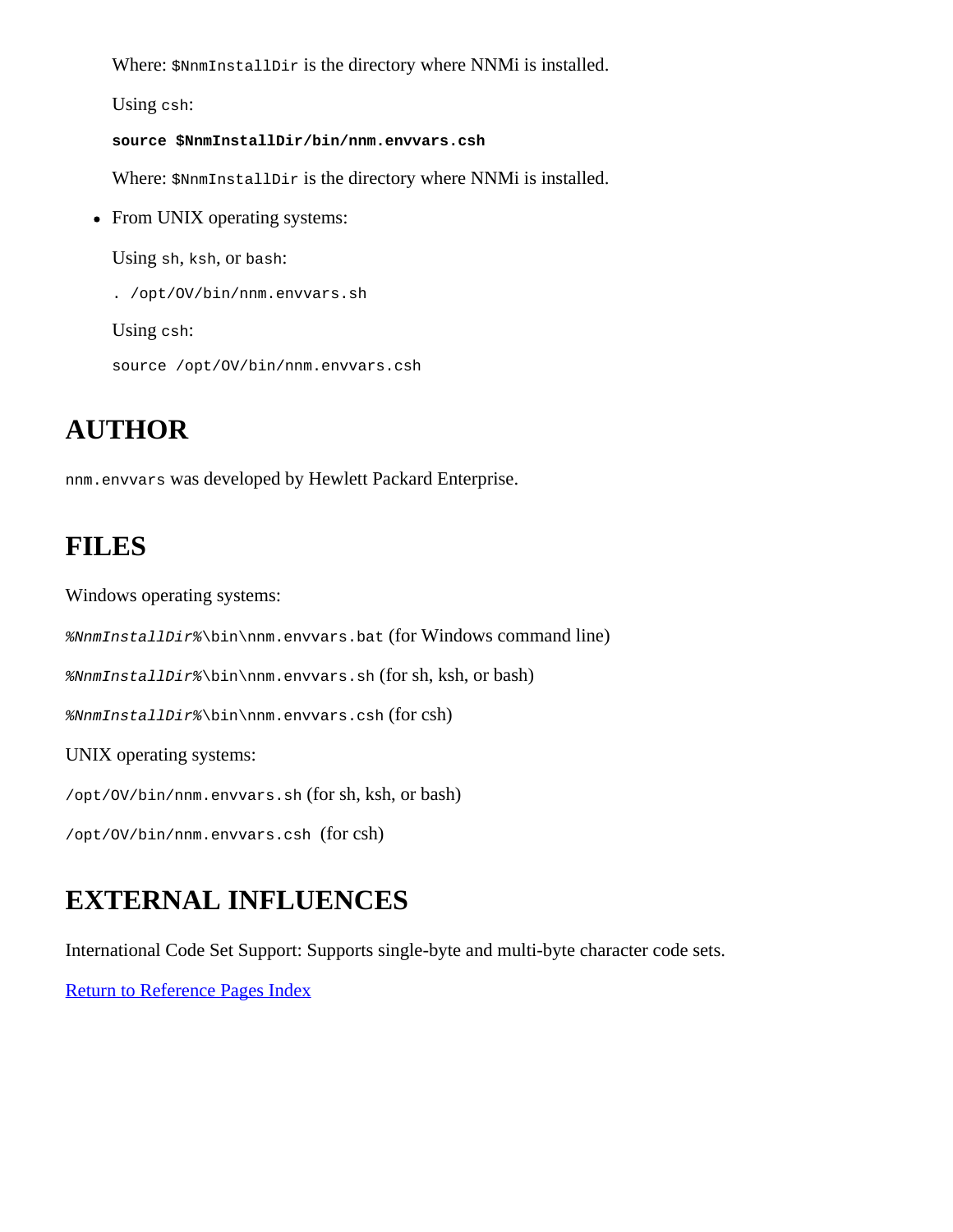Where:  $$NnmInstallDir$  is the directory where NNMi is installed.

Using csh:

**source \$NnmInstallDir/bin/nnm.envvars.csh**

Where: \$NnmInstallDir is the directory where NNMi is installed.

• From UNIX operating systems:

Using sh, ksh, or bash:

. /opt/OV/bin/nnm.envvars.sh

Using csh:

source /opt/OV/bin/nnm.envvars.csh

# **AUTHOR**

nnm.envvars was developed by Hewlett Packard Enterprise.

### **FILES**

Windows operating systems:

*%NnmInstallDir%*\bin\nnm.envvars.bat (for Windows command line)

*%NnmInstallDir%*\bin\nnm.envvars.sh (for sh, ksh, or bash)

*%NnmInstallDir%*\bin\nnm.envvars.csh (for csh)

UNIX operating systems:

/opt/OV/bin/nnm.envvars.sh (for sh, ksh, or bash)

/opt/OV/bin/nnm.envvars.csh (for csh)

### **EXTERNAL INFLUENCES**

International Code Set Support: Supports single-byte and multi-byte character code sets.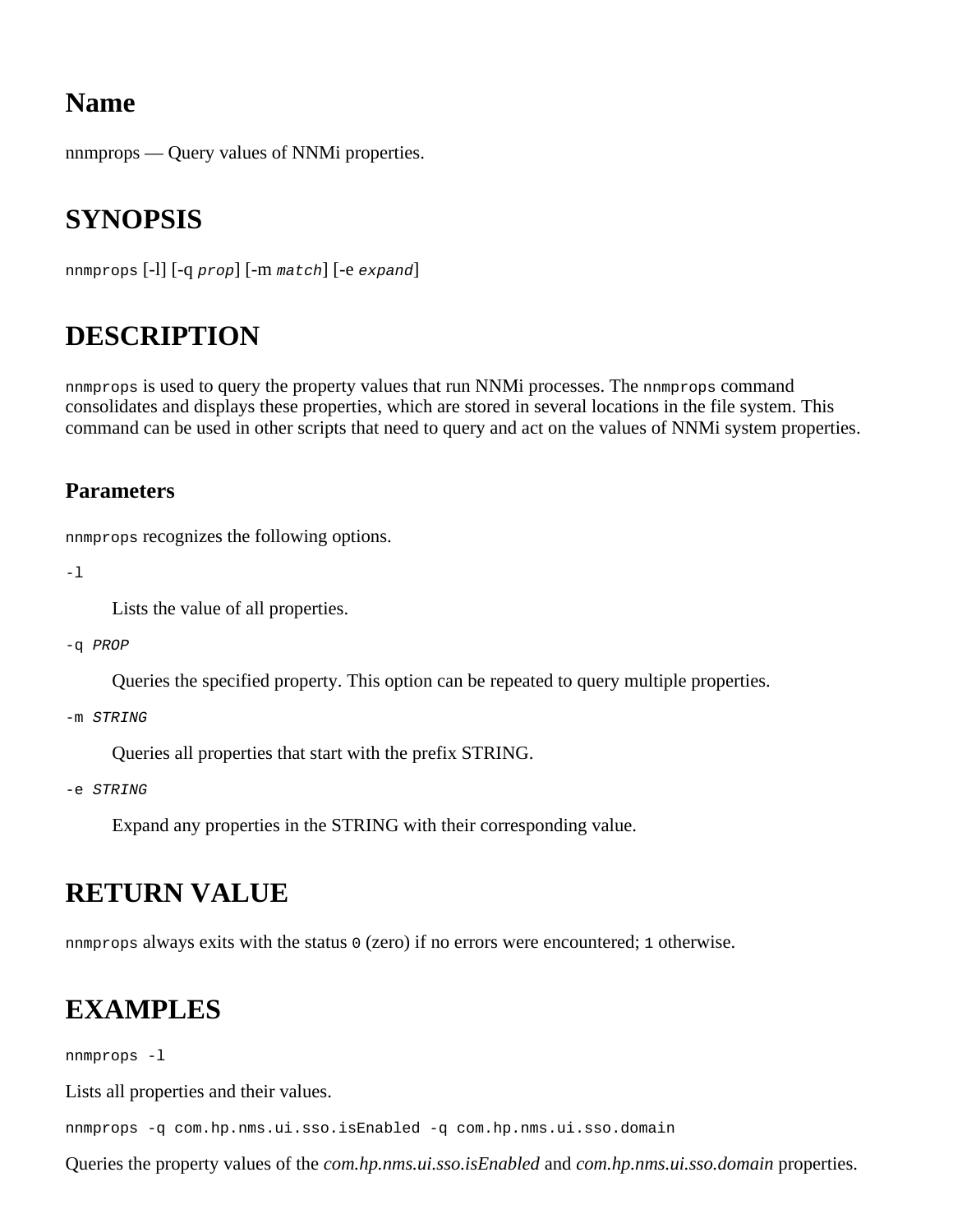<span id="page-13-0"></span>nnmprops — Query values of NNMi properties.

#### **SYNOPSIS**

nnmprops [-l] [-q *prop*] [-m *match*] [-e *expand*]

#### **DESCRIPTION**

nnmprops is used to query the property values that run NNMi processes. The nnmprops command consolidates and displays these properties, which are stored in several locations in the file system. This command can be used in other scripts that need to query and act on the values of NNMi system properties.

#### **Parameters**

nnmprops recognizes the following options.

-l

Lists the value of all properties.

-q *PROP*

Queries the specified property. This option can be repeated to query multiple properties.

-m *STRING*

Queries all properties that start with the prefix STRING.

-e *STRING*

Expand any properties in the STRING with their corresponding value.

#### **RETURN VALUE**

nnmprops always exits with the status  $\sigma$  (zero) if no errors were encountered; 1 otherwise.

#### **EXAMPLES**

nnmprops -l

Lists all properties and their values.

nnmprops -q com.hp.nms.ui.sso.isEnabled -q com.hp.nms.ui.sso.domain

Queries the property values of the *com.hp.nms.ui.sso.isEnabled* and *com.hp.nms.ui.sso.domain* properties.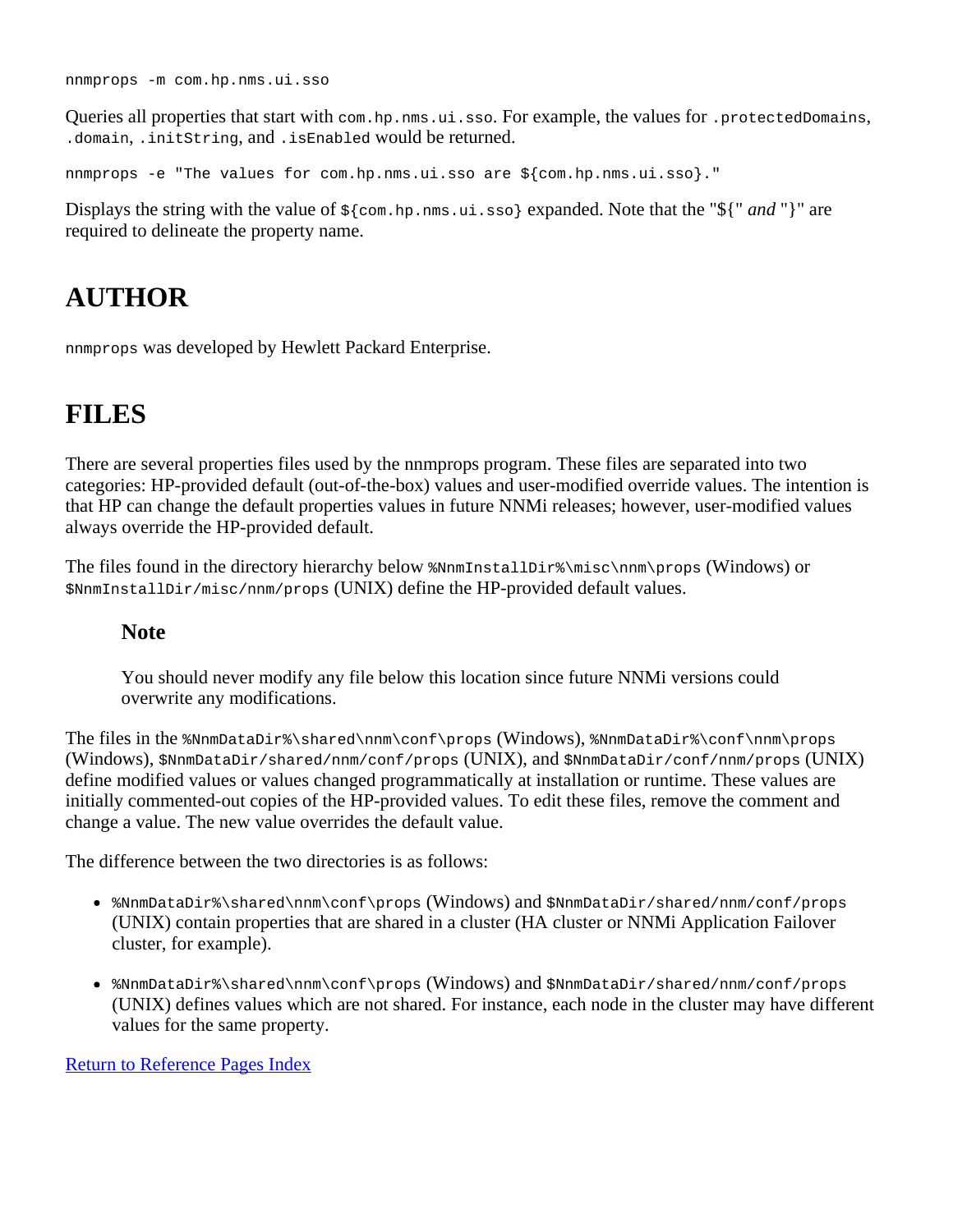nnmprops -m com.hp.nms.ui.sso

Queries all properties that start with com.hp.nms.ui.sso. For example, the values for .protectedDomains, .domain, .initString, and .isEnabled would be returned.

nnmprops -e "The values for com.hp.nms.ui.sso are \${com.hp.nms.ui.sso}."

Displays the string with the value of \${com.hp.nms.ui.sso} expanded. Note that the "\${" *and* "}" are required to delineate the property name.

#### **AUTHOR**

nnmprops was developed by Hewlett Packard Enterprise.

#### **FILES**

There are several properties files used by the nnmprops program. These files are separated into two categories: HP-provided default (out-of-the-box) values and user-modified override values. The intention is that HP can change the default properties values in future NNMi releases; however, user-modified values always override the HP-provided default.

The files found in the directory hierarchy below %NnmInstallDir%\misc\nnm\props (Windows) or \$NnmInstallDir/misc/nnm/props (UNIX) define the HP-provided default values.

#### **Note**

You should never modify any file below this location since future NNMi versions could overwrite any modifications.

The files in the %NnmDataDir%\shared\nnm\conf\props (Windows), %NnmDataDir%\conf\nnm\props (Windows), \$NnmDataDir/shared/nnm/conf/props (UNIX), and \$NnmDataDir/conf/nnm/props (UNIX) define modified values or values changed programmatically at installation or runtime. These values are initially commented-out copies of the HP-provided values. To edit these files, remove the comment and change a value. The new value overrides the default value.

The difference between the two directories is as follows:

- %NnmDataDir%\shared\nnm\conf\props (Windows) and \$NnmDataDir/shared/nnm/conf/props (UNIX) contain properties that are shared in a cluster (HA cluster or NNMi Application Failover cluster, for example).
- %NnmDataDir%\shared\nnm\conf\props (Windows) and \$NnmDataDir/shared/nnm/conf/props (UNIX) defines values which are not shared. For instance, each node in the cluster may have different values for the same property.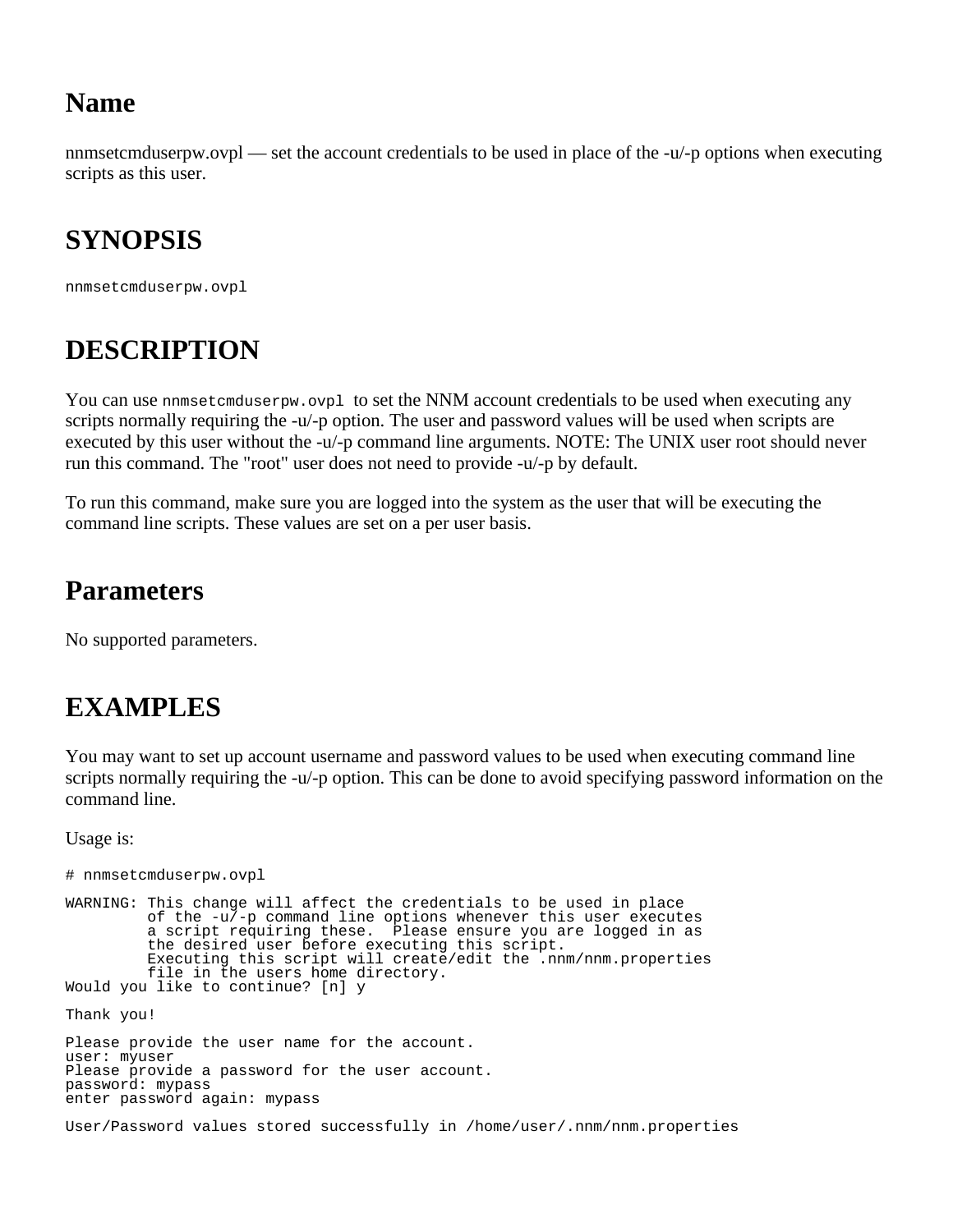<span id="page-15-0"></span>nnmsetcmduserpw.ovpl — set the account credentials to be used in place of the -u/-p options when executing scripts as this user.

#### **SYNOPSIS**

nnmsetcmduserpw.ovpl

### **DESCRIPTION**

You can use nnmset cmduserpw.ovpl to set the NNM account credentials to be used when executing any scripts normally requiring the -u/-p option. The user and password values will be used when scripts are executed by this user without the -u/-p command line arguments. NOTE: The UNIX user root should never run this command. The "root" user does not need to provide -u/-p by default.

To run this command, make sure you are logged into the system as the user that will be executing the command line scripts. These values are set on a per user basis.

#### **Parameters**

No supported parameters.

#### **EXAMPLES**

You may want to set up account username and password values to be used when executing command line scripts normally requiring the -u/-p option. This can be done to avoid specifying password information on the command line.

Usage is:

```
# nnmsetcmduserpw.ovpl
WARNING: This change will affect the credentials to be used in place
          of the -u/-p command line options whenever this user executes
          a script requiring these. Please ensure you are logged in as
          the desired user before executing this script.
          Executing this script will create/edit the .nnm/nnm.properties
          file in the users home directory.
Would you like to continue? [n] y
Thank you!
Please provide the user name for the account.
user: myuser
Please provide a password for the user account.
password: mypass
enter password again: mypass
User/Password values stored successfully in /home/user/.nnm/nnm.properties
```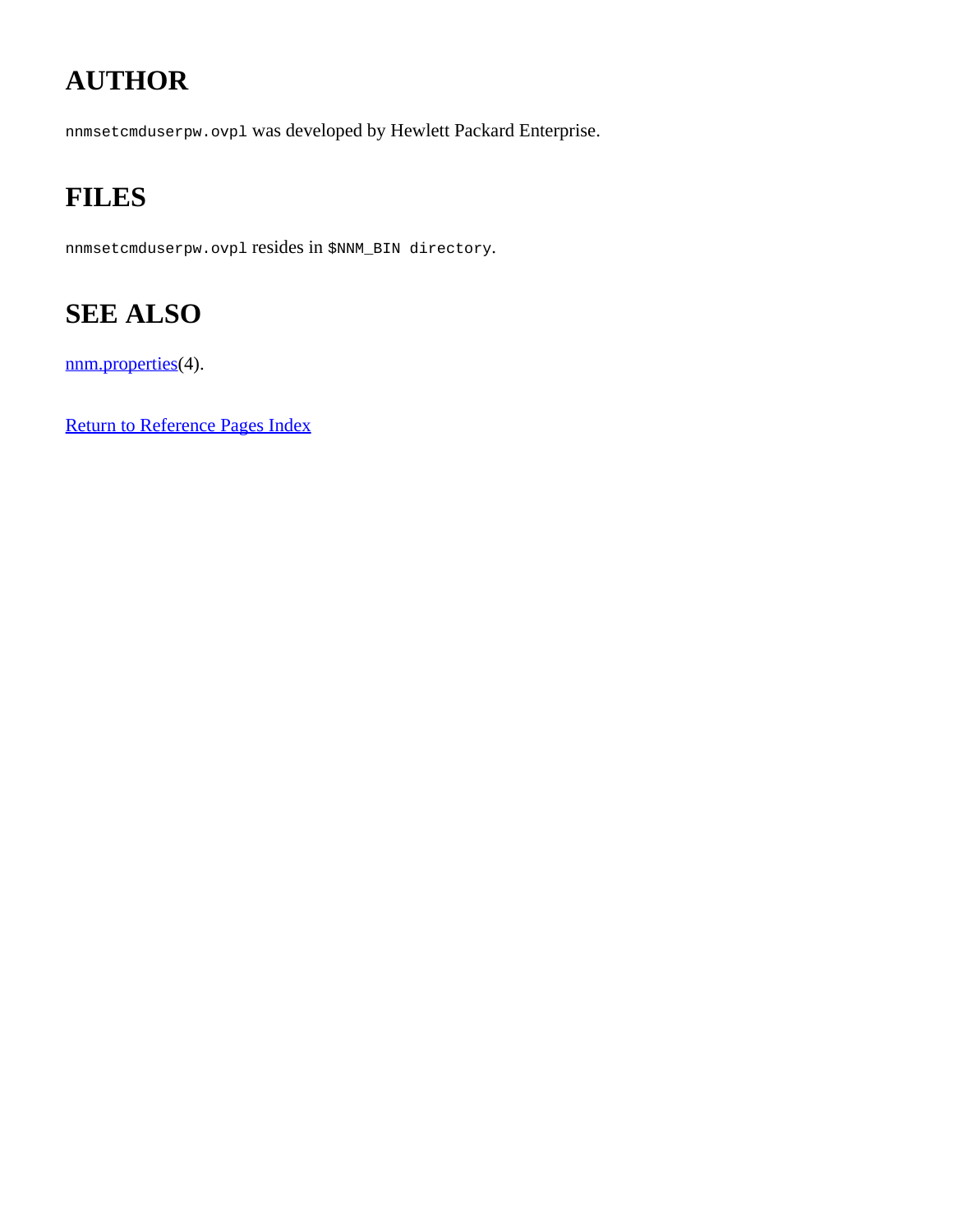## **AUTHOR**

nnmsetcmduserpw.ovpl was developed by Hewlett Packard Enterprise.

## **FILES**

nnmsetcmduserpw.ovpl resides in \$NNM\_BIN directory.

### **SEE ALSO**

[nnm.properties](#page-212-0)(4).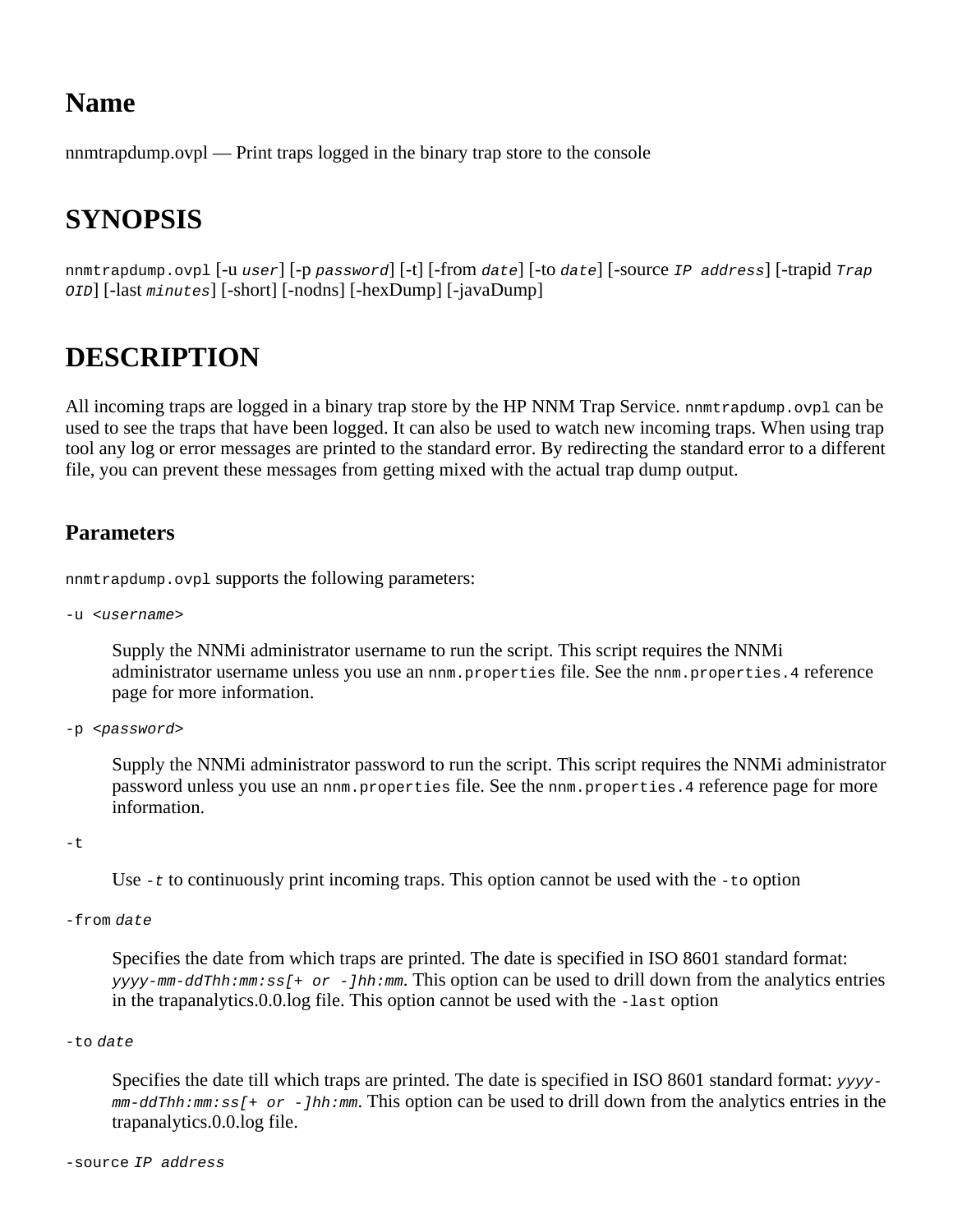<span id="page-17-0"></span>nnmtrapdump.ovpl — Print traps logged in the binary trap store to the console

#### **SYNOPSIS**

nnmtrapdump.ovpl [-u *user*] [-p *password*] [-t] [-from *date*] [-to *date*] [-source *IP address*] [-trapid *Trap OID*] [-last *minutes*] [-short] [-nodns] [-hexDump] [-javaDump]

#### **DESCRIPTION**

All incoming traps are logged in a binary trap store by the HP NNM Trap Service. nnmtrapdump.ovpl can be used to see the traps that have been logged. It can also be used to watch new incoming traps. When using trap tool any log or error messages are printed to the standard error. By redirecting the standard error to a different file, you can prevent these messages from getting mixed with the actual trap dump output.

#### **Parameters**

nnmtrapdump.ovpl supports the following parameters:

-u <*username*>

Supply the NNMi administrator username to run the script. This script requires the NNMi administrator username unless you use an nnm.properties file. See the nnm.properties. 4 reference page for more information.

-p <*password*>

Supply the NNMi administrator password to run the script. This script requires the NNMi administrator password unless you use an nnm.properties file. See the nnm.properties. 4 reference page for more information.

-t

Use  $-t$  to continuously print incoming traps. This option cannot be used with the  $-t$  option

```
-from date
```
Specifies the date from which traps are printed. The date is specified in ISO 8601 standard format: *yyyy-mm-ddThh:mm:ss[+ or -]hh:mm*. This option can be used to drill down from the analytics entries in the trapanalytics.0.0.log file. This option cannot be used with the -last option

#### -to *date*

Specifies the date till which traps are printed. The date is specified in ISO 8601 standard format: *yyyymm-ddThh:mm:ss[+ or -]hh:mm*. This option can be used to drill down from the analytics entries in the trapanalytics.0.0.log file.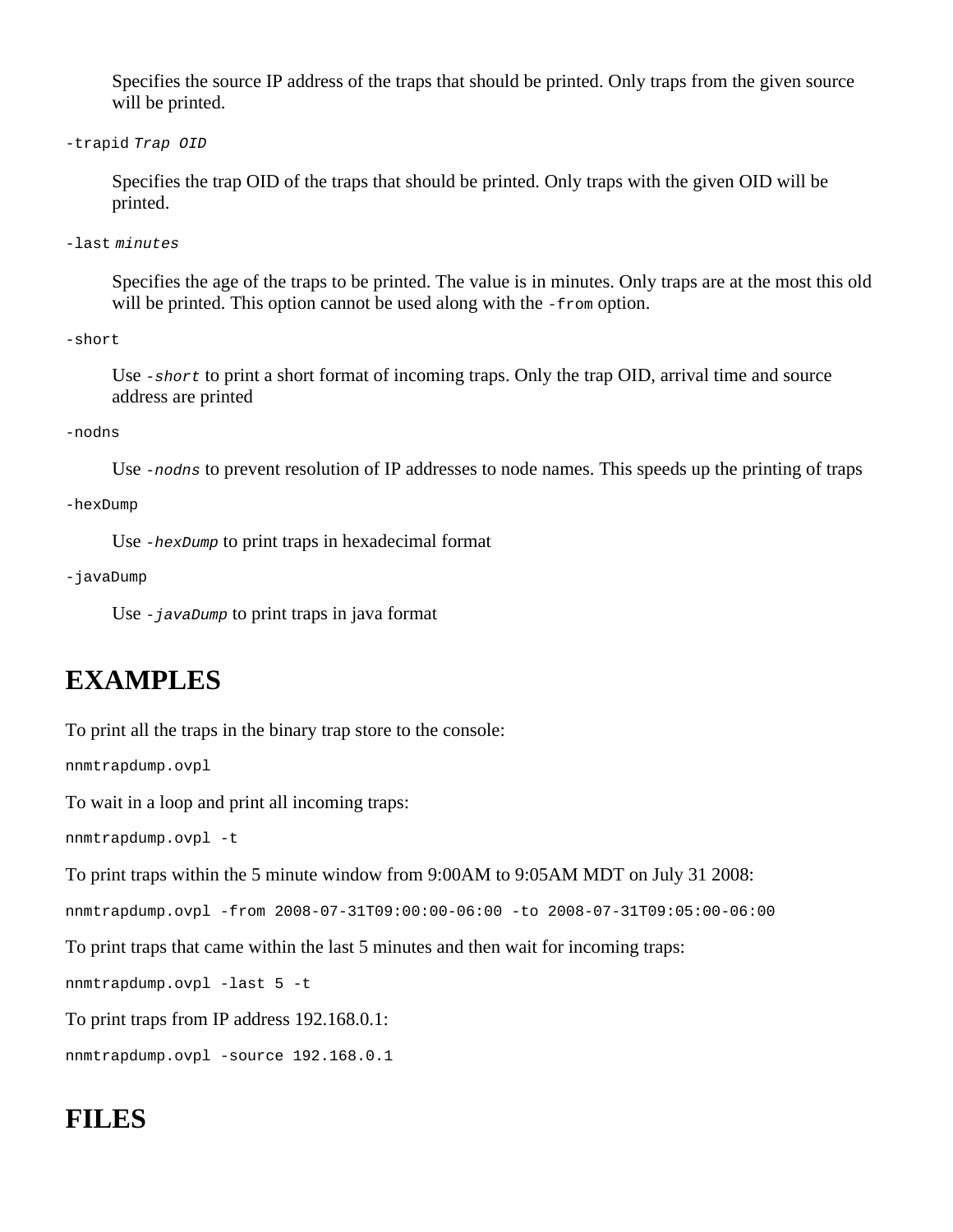Specifies the source IP address of the traps that should be printed. Only traps from the given source will be printed.

-trapid *Trap OID*

Specifies the trap OID of the traps that should be printed. Only traps with the given OID will be printed.

-last *minutes*

Specifies the age of the traps to be printed. The value is in minutes. Only traps are at the most this old will be printed. This option cannot be used along with the  $-$ from option.

-short

Use *-short* to print a short format of incoming traps. Only the trap OID, arrival time and source address are printed

-nodns

Use *-nodns* to prevent resolution of IP addresses to node names. This speeds up the printing of traps

-hexDump

Use *-hexDump* to print traps in hexadecimal format

-javaDump

Use *-javaDump* to print traps in java format

#### **EXAMPLES**

To print all the traps in the binary trap store to the console:

nnmtrapdump.ovpl

To wait in a loop and print all incoming traps:

nnmtrapdump.ovpl -t

To print traps within the 5 minute window from 9:00AM to 9:05AM MDT on July 31 2008:

nnmtrapdump.ovpl -from 2008-07-31T09:00:00-06:00 -to 2008-07-31T09:05:00-06:00

To print traps that came within the last 5 minutes and then wait for incoming traps:

nnmtrapdump.ovpl -last 5 -t

To print traps from IP address 192.168.0.1:

nnmtrapdump.ovpl -source 192.168.0.1

#### **FILES**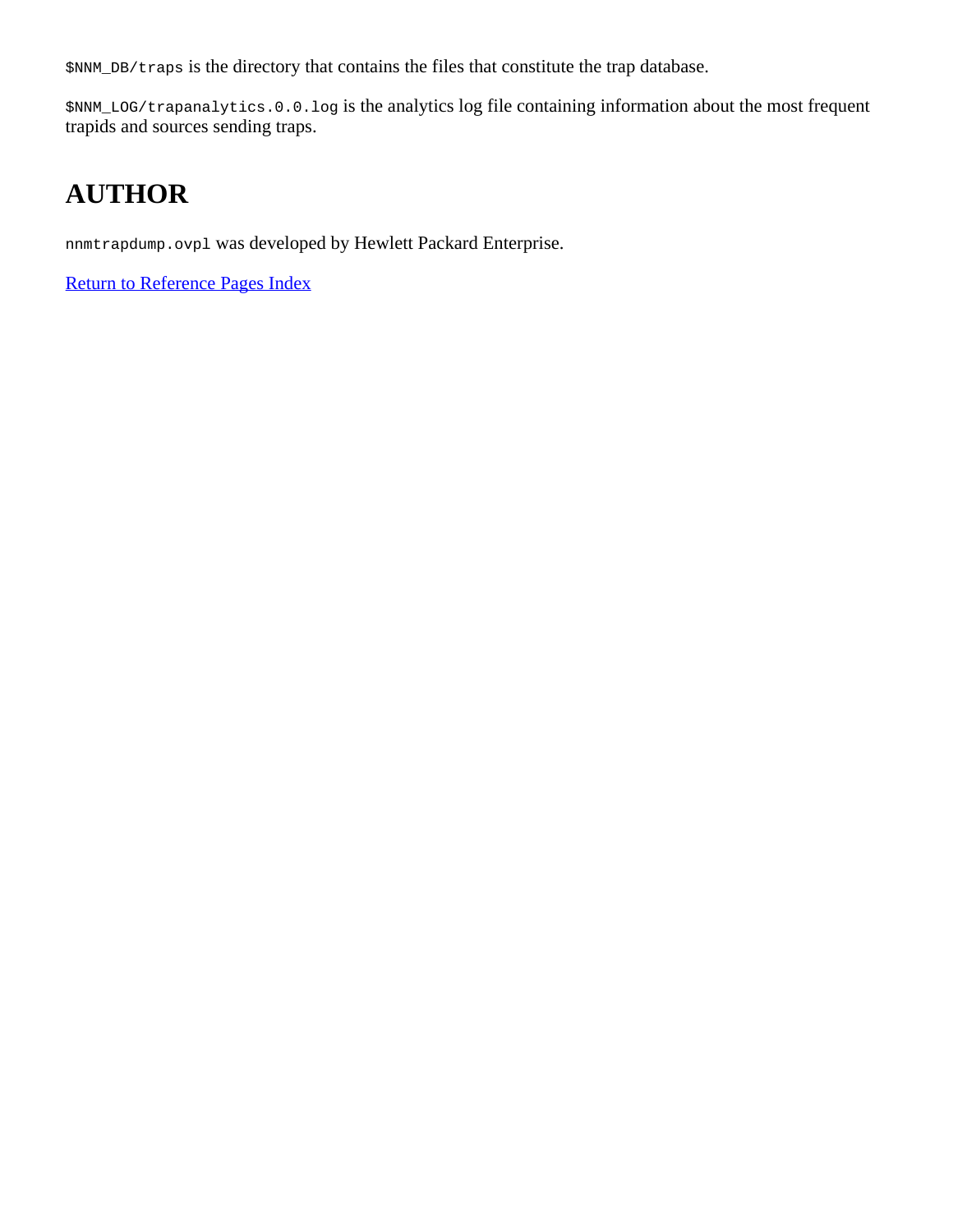\$NNM\_DB/traps is the directory that contains the files that constitute the trap database.

\$NNM\_LOG/trapanalytics.0.0.log is the analytics log file containing information about the most frequent trapids and sources sending traps.

## **AUTHOR**

nnmtrapdump.ovpl was developed by Hewlett Packard Enterprise.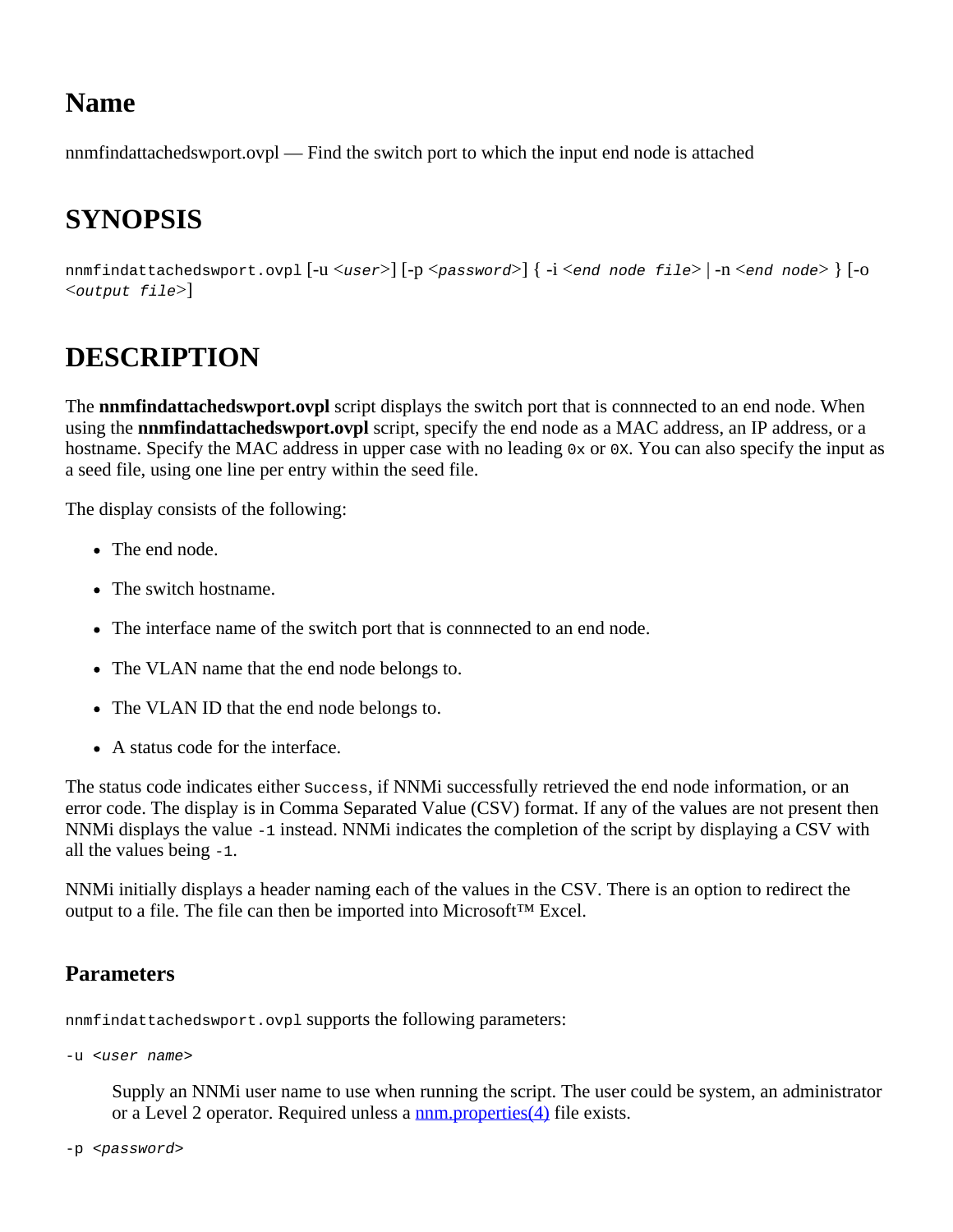<span id="page-20-0"></span>nnmfindattachedswport.ovpl — Find the switch port to which the input end node is attached

### **SYNOPSIS**

nnmfindattachedswport.ovpl [-u <*user*>] [-p <*password*>] { -i <*end node file*> | -n <*end node*> } [-o <*output file*>]

### **DESCRIPTION**

The **nnmfindattachedswport.ovpl** script displays the switch port that is connnected to an end node. When using the **nnmfindattachedswport.ovpl** script, specify the end node as a MAC address, an IP address, or a hostname. Specify the MAC address in upper case with no leading  $0 \times$  or 0x. You can also specify the input as a seed file, using one line per entry within the seed file.

The display consists of the following:

- The end node.
- The switch hostname.
- The interface name of the switch port that is connnected to an end node.
- The VLAN name that the end node belongs to.
- The VLAN ID that the end node belongs to.
- A status code for the interface.

The status code indicates either Success, if NNMi successfully retrieved the end node information, or an error code. The display is in Comma Separated Value (CSV) format. If any of the values are not present then NNMi displays the value -1 instead. NNMi indicates the completion of the script by displaying a CSV with all the values being -1.

NNMi initially displays a header naming each of the values in the CSV. There is an option to redirect the output to a file. The file can then be imported into Microsoft™ Excel.

#### **Parameters**

```
nnmfindattachedswport.ovpl supports the following parameters:
```
-u <*user name*>

Supply an NNMi user name to use when running the script. The user could be system, an administrator or a Level 2 operator. Required unless a [nnm.properties\(4\)](#page-212-0) file exists.

```
-p <password>
```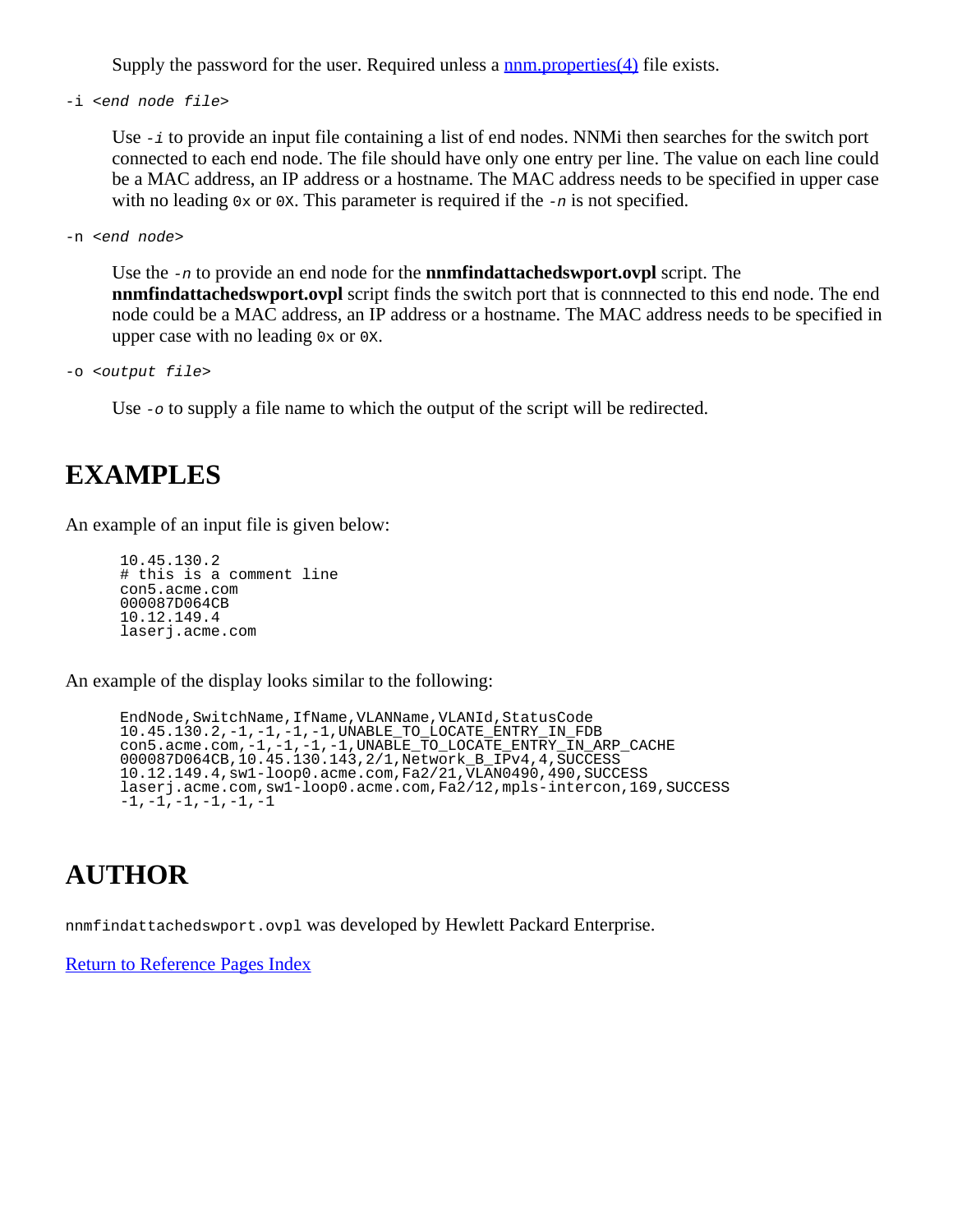Supply the password for the user. Required unless a [nnm.properties\(4\)](#page-212-0) file exists.

-i <*end node file*>

Use *-i* to provide an input file containing a list of end nodes. NNMi then searches for the switch port connected to each end node. The file should have only one entry per line. The value on each line could be a MAC address, an IP address or a hostname. The MAC address needs to be specified in upper case with no leading  $0 \times$  or  $0 \times$ . This parameter is required if the  $-n$  is not specified.

-n <*end node*>

Use the *-n* to provide an end node for the **nnmfindattachedswport.ovpl** script. The **nnmfindattachedswport.ovpl** script finds the switch port that is connnected to this end node. The end node could be a MAC address, an IP address or a hostname. The MAC address needs to be specified in upper case with no leading 0x or 0X.

```
-o <output file>
```
Use *-o* to supply a file name to which the output of the script will be redirected.

#### **EXAMPLES**

An example of an input file is given below:

```
 10.45.130.2
 # this is a comment line
 con5.acme.com
 000087D064CB
 10.12.149.4
 laserj.acme.com
```
An example of the display looks similar to the following:

```
EndNode, SwitchName, IfName, VLANName, VLANId, StatusCode
 10.45.130.2,-1,-1,-1,-1,UNABLE_TO_LOCATE_ENTRY_IN_FDB
 con5.acme.com,-1,-1,-1,-1,UNABLE_TO_LOCATE_ENTRY_IN_ARP_CACHE
       000087D064CB,10.45.130.143,2/1,Network_B_IPv4,4,SUCCESS
       10.12.149.4,sw1-loop0.acme.com,Fa2/21,VLAN0490,490,SUCCESS
       laserj.acme.com,sw1-loop0.acme.com,Fa2/12,mpls-intercon,169,SUCCESS
     -1, -1, -1, -1, -1, -1
```
#### **AUTHOR**

nnmfindattachedswport.ovpl was developed by Hewlett Packard Enterprise.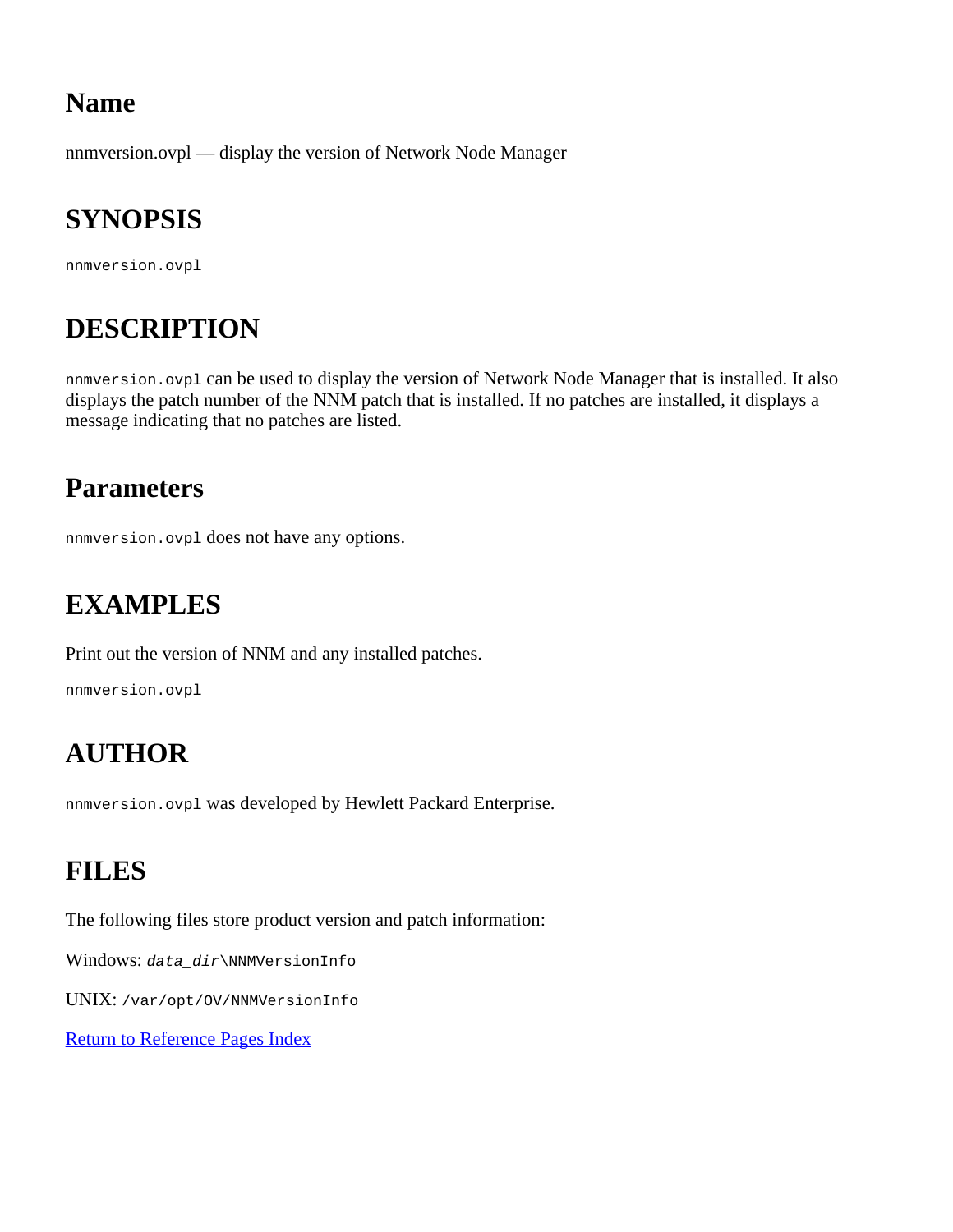<span id="page-22-0"></span>nnmversion.ovpl — display the version of Network Node Manager

### **SYNOPSIS**

nnmversion.ovpl

## **DESCRIPTION**

nnmversion.ovpl can be used to display the version of Network Node Manager that is installed. It also displays the patch number of the NNM patch that is installed. If no patches are installed, it displays a message indicating that no patches are listed.

#### **Parameters**

nnmversion.ovpl does not have any options.

### **EXAMPLES**

Print out the version of NNM and any installed patches.

nnmversion.ovpl

## **AUTHOR**

nnmversion.ovpl was developed by Hewlett Packard Enterprise.

#### **FILES**

The following files store product version and patch information:

Windows: *data\_dir*\NNMVersionInfo

UNIX: /var/opt/OV/NNMVersionInfo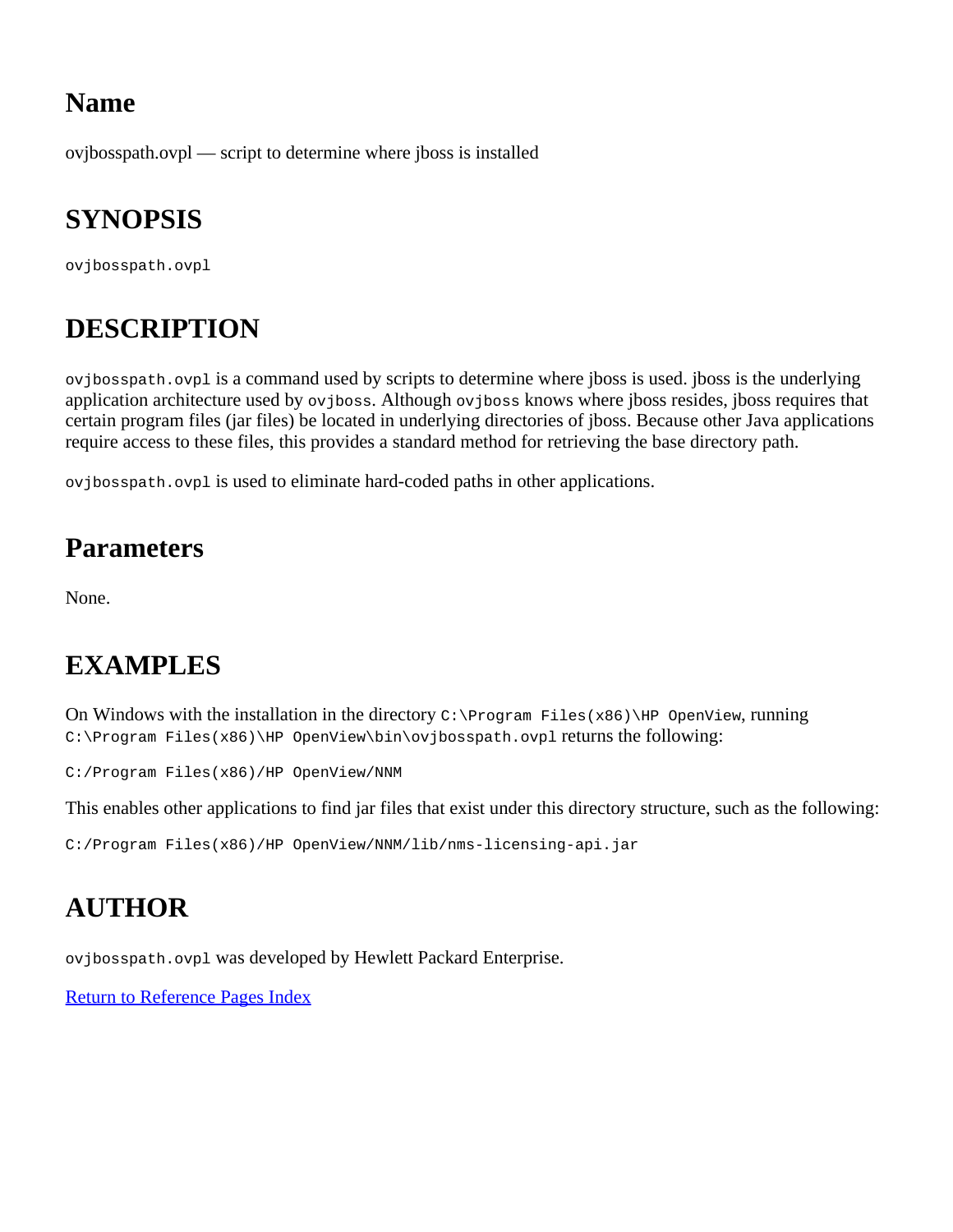<span id="page-23-0"></span>ovjbosspath.ovpl — script to determine where jboss is installed

### **SYNOPSIS**

ovjbosspath.ovpl

## **DESCRIPTION**

ovjbosspath.ovpl is a command used by scripts to determine where jboss is used. jboss is the underlying application architecture used by ovjboss. Although ovjboss knows where jboss resides, jboss requires that certain program files (jar files) be located in underlying directories of jboss. Because other Java applications require access to these files, this provides a standard method for retrieving the base directory path.

ovjbosspath.ovpl is used to eliminate hard-coded paths in other applications.

#### **Parameters**

None.

### **EXAMPLES**

On Windows with the installation in the directory  $C:\Perogram$  Files(x86)\HP OpenView, running C:\Program Files(x86)\HP OpenView\bin\ovjbosspath.ovpl returns the following:

C:/Program Files(x86)/HP OpenView/NNM

This enables other applications to find jar files that exist under this directory structure, such as the following:

C:/Program Files(x86)/HP OpenView/NNM/lib/nms-licensing-api.jar

### **AUTHOR**

ovjbosspath.ovpl was developed by Hewlett Packard Enterprise.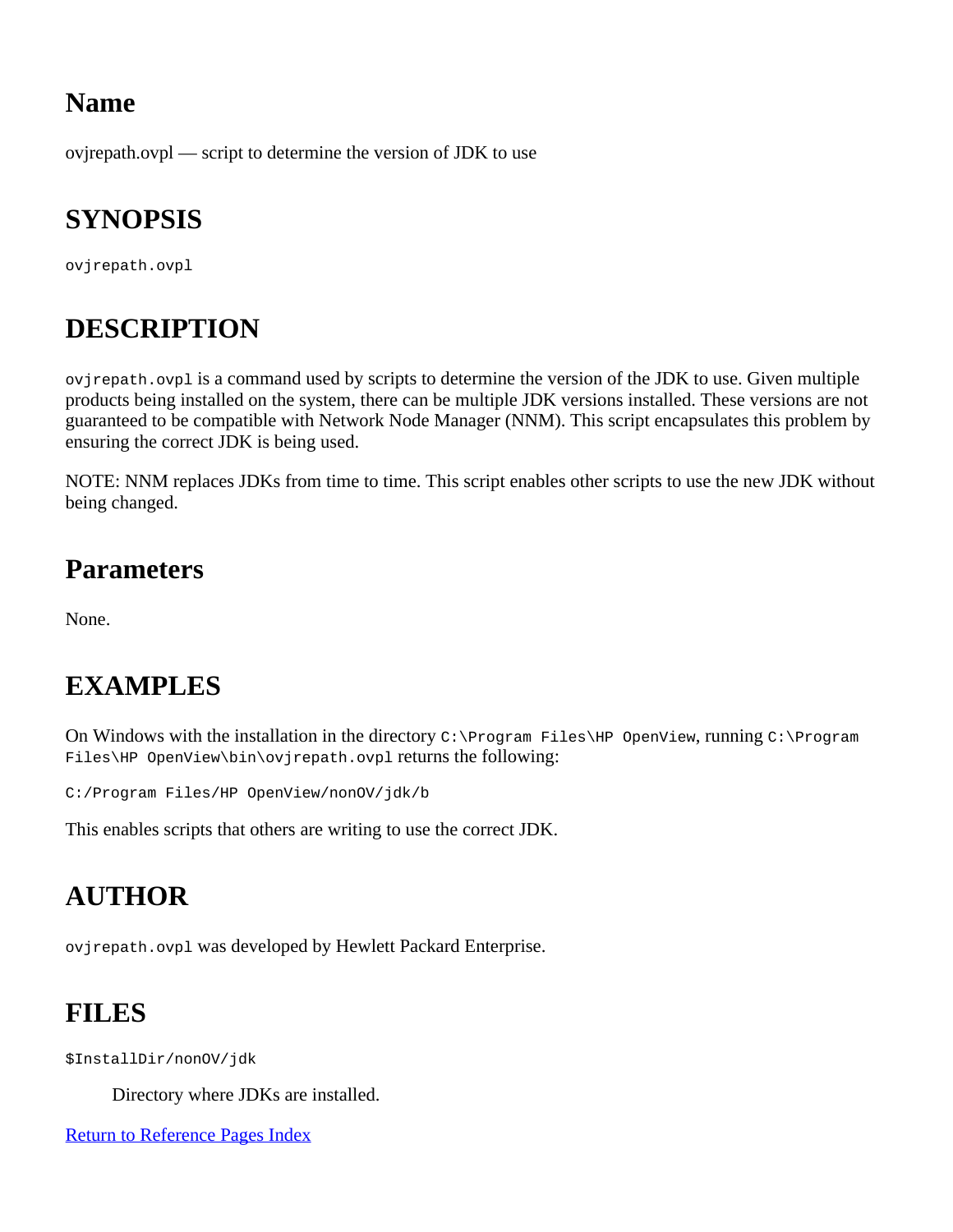<span id="page-24-0"></span>ovjrepath.ovpl — script to determine the version of JDK to use

### **SYNOPSIS**

ovjrepath.ovpl

## **DESCRIPTION**

ovjrepath.ovpl is a command used by scripts to determine the version of the JDK to use. Given multiple products being installed on the system, there can be multiple JDK versions installed. These versions are not guaranteed to be compatible with Network Node Manager (NNM). This script encapsulates this problem by ensuring the correct JDK is being used.

NOTE: NNM replaces JDKs from time to time. This script enables other scripts to use the new JDK without being changed.

#### **Parameters**

None.

## **EXAMPLES**

On Windows with the installation in the directory  $C:\Perogram$  Files\HP OpenView, running  $C:\Perogram$ Files\HP OpenView\bin\ovjrepath.ovpl returns the following:

C:/Program Files/HP OpenView/nonOV/jdk/b

This enables scripts that others are writing to use the correct JDK.

### **AUTHOR**

ovjrepath.ovpl was developed by Hewlett Packard Enterprise.

#### **FILES**

\$InstallDir/nonOV/jdk

Directory where JDKs are installed.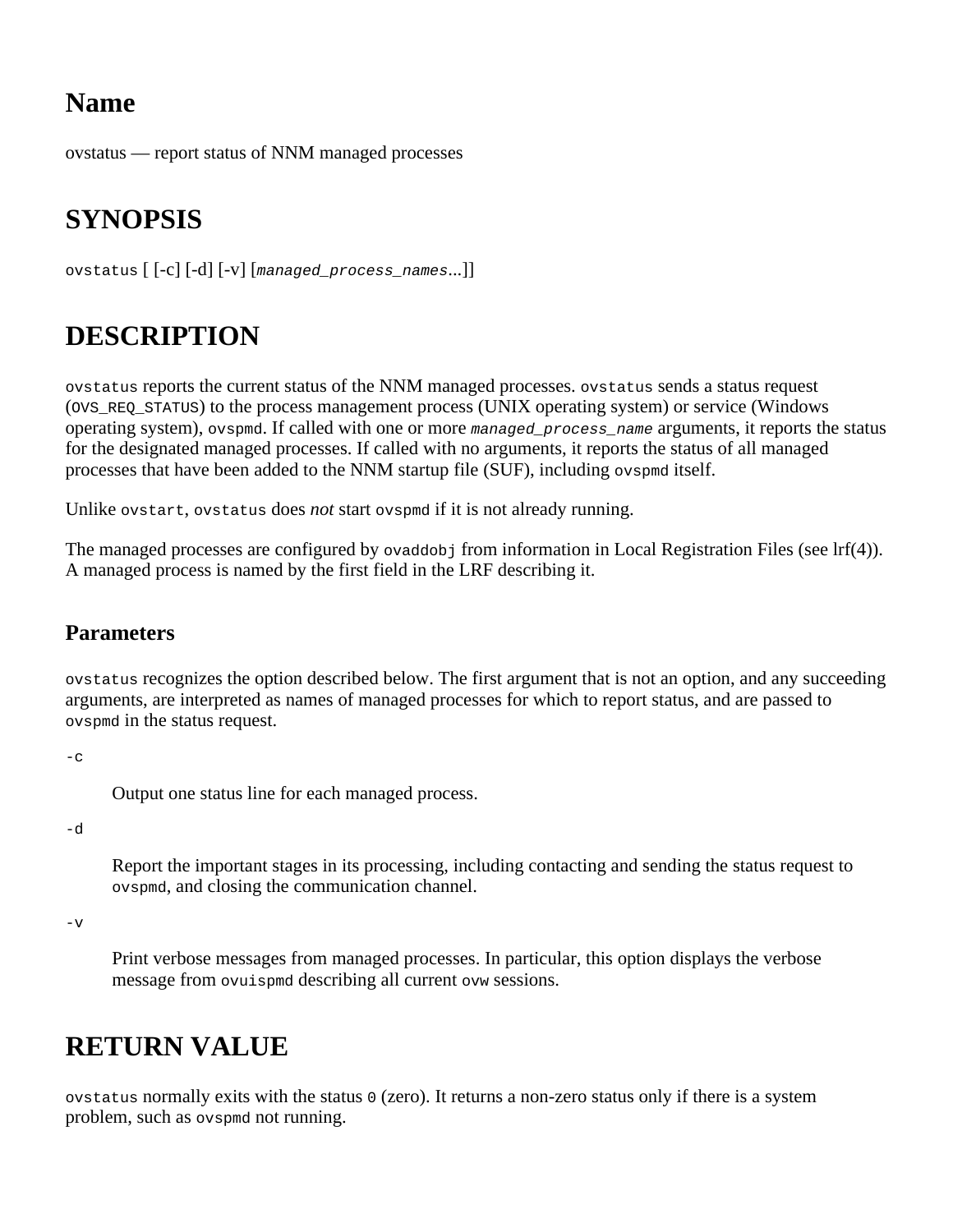<span id="page-25-0"></span>ovstatus — report status of NNM managed processes

### **SYNOPSIS**

ovstatus [ [-c] [-d] [-v] [*managed\_process\_names*...]]

### **DESCRIPTION**

ovstatus reports the current status of the NNM managed processes. ovstatus sends a status request (OVS\_REQ\_STATUS) to the process management process (UNIX operating system) or service (Windows operating system), ovspmd. If called with one or more *managed\_process\_name* arguments, it reports the status for the designated managed processes. If called with no arguments, it reports the status of all managed processes that have been added to the NNM startup file (SUF), including ovspmd itself.

Unlike ovstart, ovstatus does *not* start ovspmd if it is not already running.

The managed processes are configured by  $\alpha$  ovaddob if from information in Local Registration Files (see lrf(4)). A managed process is named by the first field in the LRF describing it.

#### **Parameters**

ovstatus recognizes the option described below. The first argument that is not an option, and any succeeding arguments, are interpreted as names of managed processes for which to report status, and are passed to ovspmd in the status request.

 $-c$ 

Output one status line for each managed process.

-d

Report the important stages in its processing, including contacting and sending the status request to ovspmd, and closing the communication channel.

-v

Print verbose messages from managed processes. In particular, this option displays the verbose message from ovuispmd describing all current ovw sessions.

### **RETURN VALUE**

ovstatus normally exits with the status 0 (zero). It returns a non-zero status only if there is a system problem, such as ovspmd not running.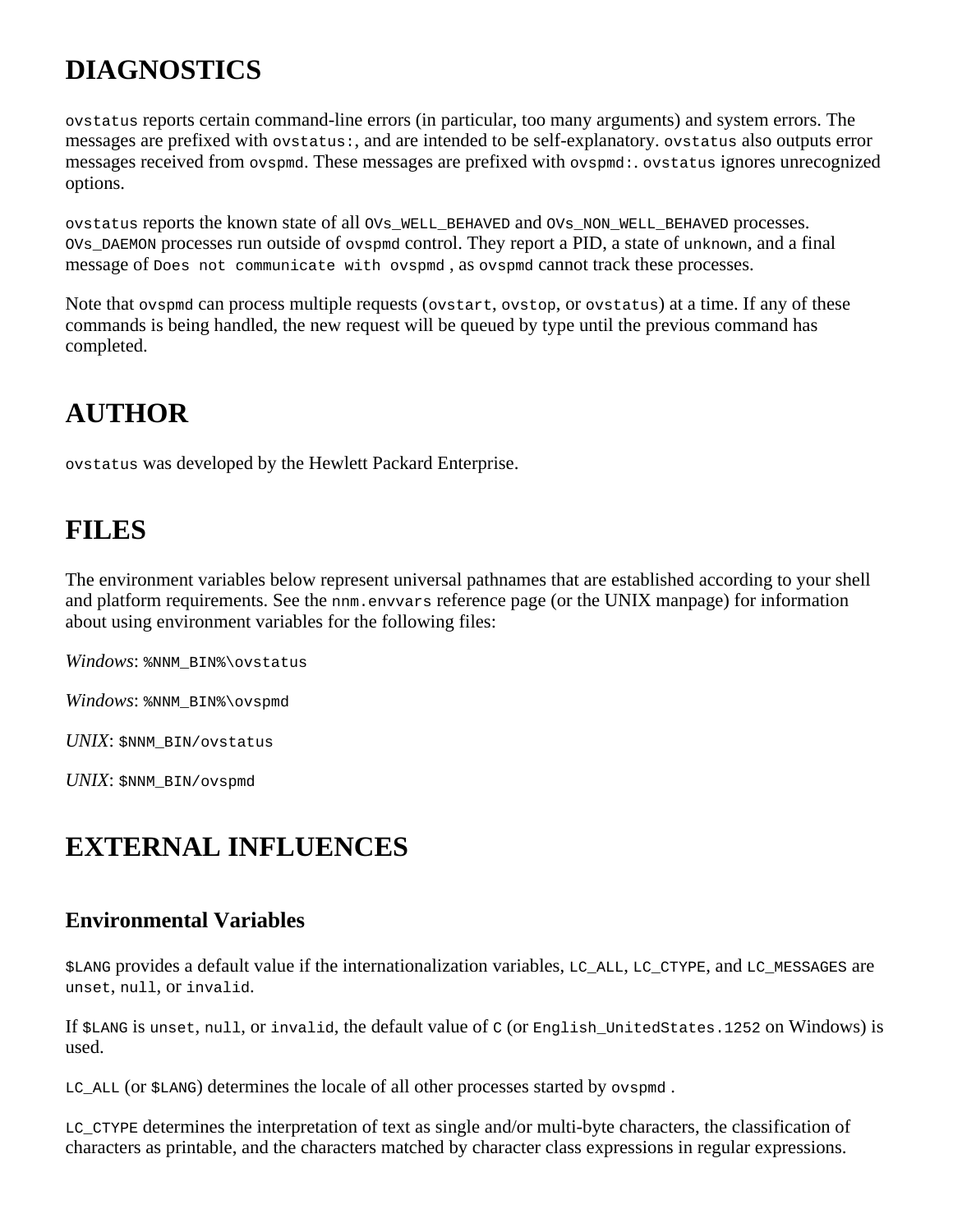## **DIAGNOSTICS**

ovstatus reports certain command-line errors (in particular, too many arguments) and system errors. The messages are prefixed with ovstatus:, and are intended to be self-explanatory. ovstatus also outputs error messages received from ovspmd. These messages are prefixed with ovspmd:. ovstatus ignores unrecognized options.

ovstatus reports the known state of all OVs\_WELL\_BEHAVED and OVs\_NON\_WELL\_BEHAVED processes. OVs\_DAEMON processes run outside of ovspmd control. They report a PID, a state of unknown, and a final message of Does not communicate with ovspmd , as ovspmd cannot track these processes.

Note that ovspmd can process multiple requests (ovstart, ovstop, or ovstatus) at a time. If any of these commands is being handled, the new request will be queued by type until the previous command has completed.

#### **AUTHOR**

ovstatus was developed by the Hewlett Packard Enterprise.

#### **FILES**

The environment variables below represent universal pathnames that are established according to your shell and platform requirements. See the nnm.envyars reference page (or the UNIX manpage) for information about using environment variables for the following files:

*Windows*: %NNM\_BIN%\ovstatus

*Windows*: %NNM\_BIN%\ovspmd

*UNIX*: \$NNM\_BIN/ovstatus

*UNIX*: \$NNM\_BIN/ovspmd

#### **EXTERNAL INFLUENCES**

#### **Environmental Variables**

\$LANG provides a default value if the internationalization variables, LC\_ALL, LC\_CTYPE, and LC\_MESSAGES are unset, null, or invalid.

If \$LANG is unset, null, or invalid, the default value of C (or English\_UnitedStates.1252 on Windows) is used.

LC ALL (or \$LANG) determines the locale of all other processes started by ovspmd.

LC CTYPE determines the interpretation of text as single and/or multi-byte characters, the classification of characters as printable, and the characters matched by character class expressions in regular expressions.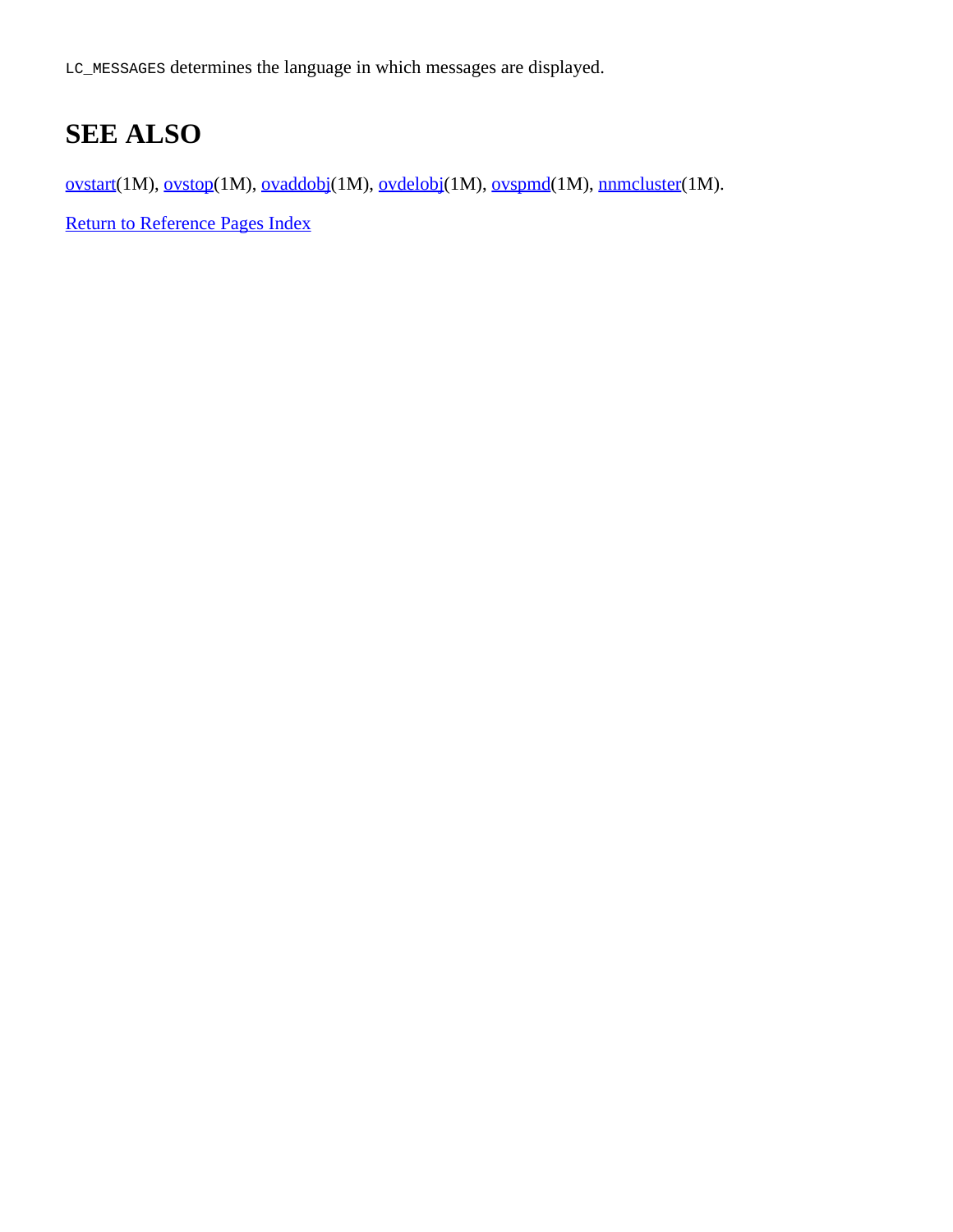LC\_MESSAGES determines the language in which messages are displayed.

### **SEE ALSO**

[ovstart](#page-325-0)(1M), [ovstop](#page-329-0)(1M), [ovaddobj](#page-313-0)(1M), [ovdelobj](#page-315-0)(1M), [ovspmd\(](#page-320-0)1M), [nnmcluster](#page-6-0)(1M).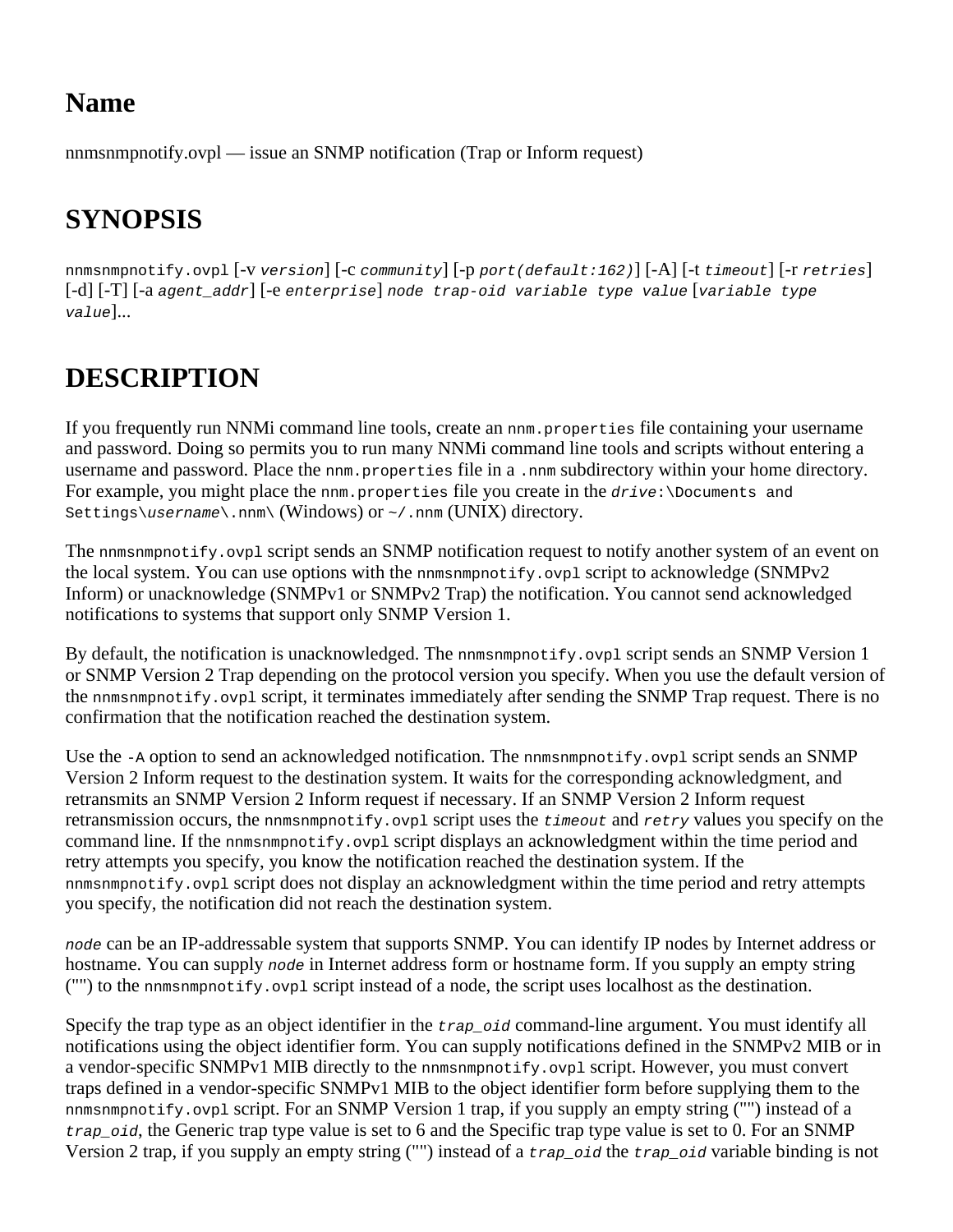<span id="page-28-0"></span>nnmsnmpnotify.ovpl — issue an SNMP notification (Trap or Inform request)

### **SYNOPSIS**

nnmsnmpnotify.ovpl [-v *version*] [-c *community*] [-p *port(default:162)*] [-A] [-t *timeout*] [-r *retries*] [-d] [-T] [-a *agent\_addr*] [-e *enterprise*] *node trap-oid variable type value* [*variable type value*]...

## **DESCRIPTION**

If you frequently run NNMi command line tools, create an nnm. properties file containing your username and password. Doing so permits you to run many NNMi command line tools and scripts without entering a username and password. Place the nnm.properties file in a .nnm subdirectory within your home directory. For example, you might place the nnm.properties file you create in the *drive*: \Documents and Settings\*username*\.nnm\ (Windows) or ~/.nnm (UNIX) directory.

The nnmsnmpnotify.ovpl script sends an SNMP notification request to notify another system of an event on the local system. You can use options with the nnmsnmpnotify.ovpl script to acknowledge (SNMPv2 Inform) or unacknowledge (SNMPv1 or SNMPv2 Trap) the notification. You cannot send acknowledged notifications to systems that support only SNMP Version 1.

By default, the notification is unacknowledged. The nnmsnmpnotify.ovpl script sends an SNMP Version 1 or SNMP Version 2 Trap depending on the protocol version you specify. When you use the default version of the nnmsnmpnotify.ovpl script, it terminates immediately after sending the SNMP Trap request. There is no confirmation that the notification reached the destination system.

Use the -A option to send an acknowledged notification. The nonsampnotify.ovpl script sends an SNMP Version 2 Inform request to the destination system. It waits for the corresponding acknowledgment, and retransmits an SNMP Version 2 Inform request if necessary. If an SNMP Version 2 Inform request retransmission occurs, the nnmsnmpnotify.ovpl script uses the *timeout* and *retry* values you specify on the command line. If the nnmsnmpnotify.ovpl script displays an acknowledgment within the time period and retry attempts you specify, you know the notification reached the destination system. If the nnmsnmpnotify.ovpl script does not display an acknowledgment within the time period and retry attempts you specify, the notification did not reach the destination system.

*node* can be an IP-addressable system that supports SNMP. You can identify IP nodes by Internet address or hostname. You can supply *node* in Internet address form or hostname form. If you supply an empty string ("") to the nnmsnmpnotify.ovpl script instead of a node, the script uses localhost as the destination.

Specify the trap type as an object identifier in the *trap\_oid* command-line argument. You must identify all notifications using the object identifier form. You can supply notifications defined in the SNMPv2 MIB or in a vendor-specific SNMPv1 MIB directly to the nnmsnmpnotify.ovpl script. However, you must convert traps defined in a vendor-specific SNMPv1 MIB to the object identifier form before supplying them to the nnmsnmpnotify.ovpl script. For an SNMP Version 1 trap, if you supply an empty string ("") instead of a *trap\_oid*, the Generic trap type value is set to 6 and the Specific trap type value is set to 0. For an SNMP Version 2 trap, if you supply an empty string ("") instead of a *trap\_oid* the *trap\_oid* variable binding is not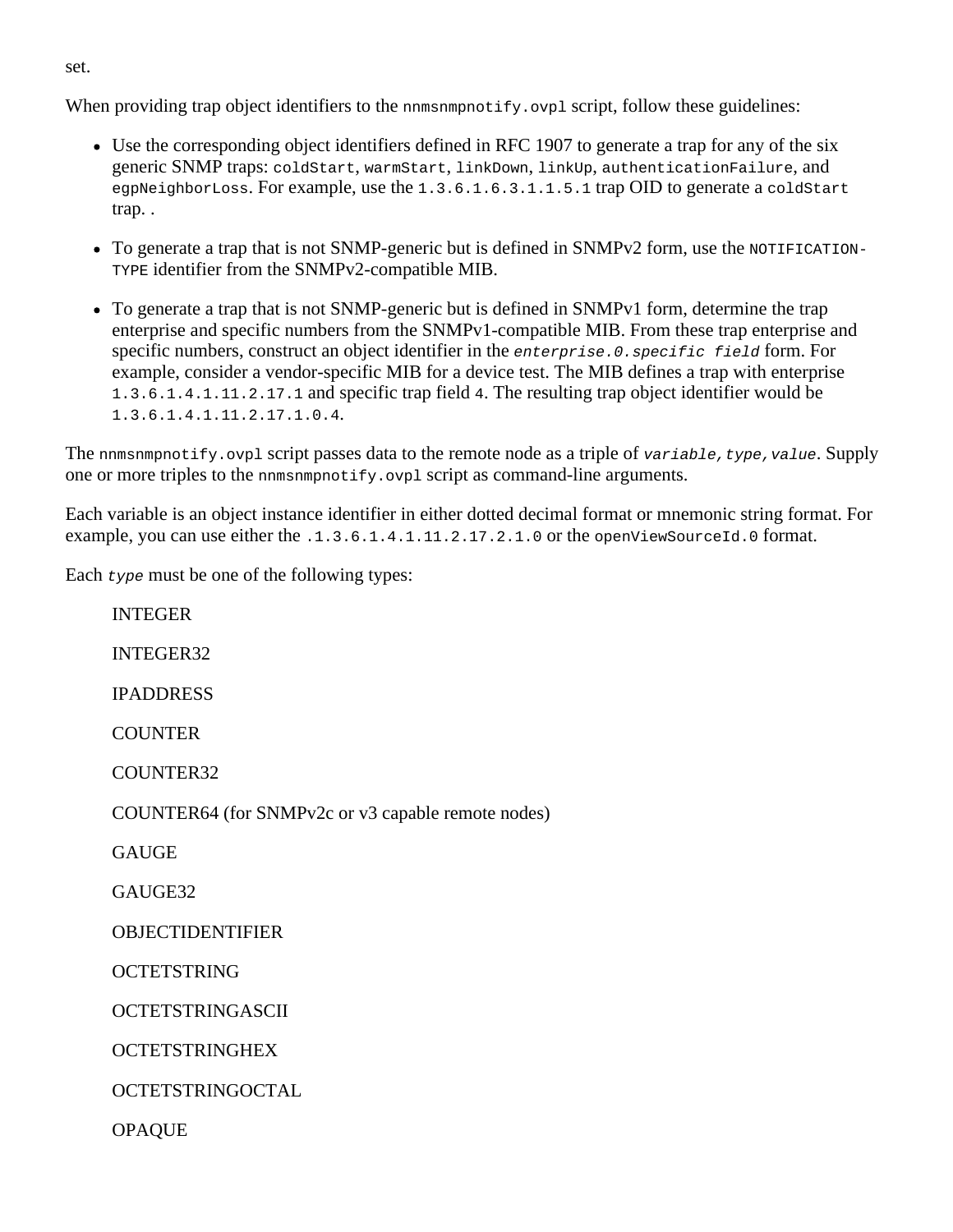When providing trap object identifiers to the non- $\mathbb{R}$  photostaphology over script, follow these guidelines:

- Use the corresponding object identifiers defined in RFC 1907 to generate a trap for any of the six generic SNMP traps: coldStart, warmStart, linkDown, linkUp, authenticationFailure, and egpNeighborLoss. For example, use the 1.3.6.1.6.3.1.1.5.1 trap OID to generate a coldStart trap. .
- To generate a trap that is not SNMP-generic but is defined in SNMPv2 form, use the NOTIFICATION-TYPE identifier from the SNMPv2-compatible MIB.
- To generate a trap that is not SNMP-generic but is defined in SNMPv1 form, determine the trap enterprise and specific numbers from the SNMPv1-compatible MIB. From these trap enterprise and specific numbers, construct an object identifier in the *enterprise.0.specific field* form. For example, consider a vendor-specific MIB for a device test. The MIB defines a trap with enterprise 1.3.6.1.4.1.11.2.17.1 and specific trap field 4. The resulting trap object identifier would be 1.3.6.1.4.1.11.2.17.1.0.4.

The nnmsnmpnotify.ovpl script passes data to the remote node as a triple of *variable*, type, value. Supply one or more triples to the nnmsnmpnotify.ovpl script as command-line arguments.

Each variable is an object instance identifier in either dotted decimal format or mnemonic string format. For example, you can use either the .1.3.6.1.4.1.11.2.17.2.1.0 or the openViewSourceId.0 format.

Each *type* must be one of the following types:

| <b>INTEGER</b>                                     |
|----------------------------------------------------|
| <b>INTEGER32</b>                                   |
| <b>IPADDRESS</b>                                   |
| <b>COUNTER</b>                                     |
| <b>COUNTER32</b>                                   |
| COUNTER64 (for SNMPv2c or v3 capable remote nodes) |
| <b>GAUGE</b>                                       |
| GAUGE32                                            |
| <b>OBJECTIDENTIFIER</b>                            |
| <b>OCTETSTRING</b>                                 |
| <b>OCTETSTRINGASCII</b>                            |
| <b>OCTETSTRINGHEX</b>                              |
| <b>OCTETSTRINGOCTAL</b>                            |
| <b>OPAQUE</b>                                      |

#### set.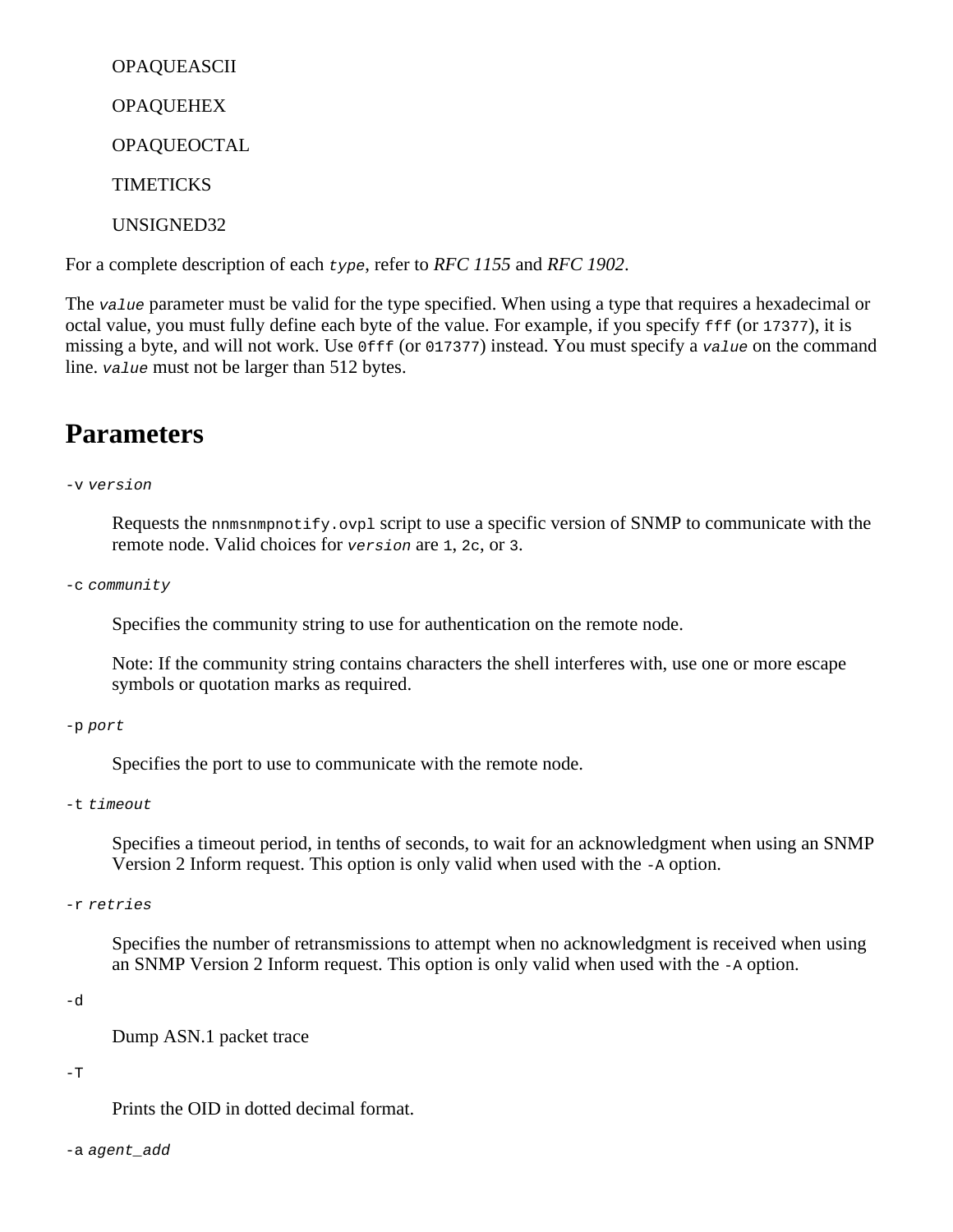**OPAQUEASCII** OPAQUEHEX OPAQUEOCTAL **TIMETICKS** 

UNSIGNED32

For a complete description of each *type*, refer to *RFC 1155* and *RFC 1902*.

The *value* parameter must be valid for the type specified. When using a type that requires a hexadecimal or octal value, you must fully define each byte of the value. For example, if you specify  $f f f$  (or 17377), it is missing a byte, and will not work. Use 0fff (or 017377) instead. You must specify a *value* on the command line. *value* must not be larger than 512 bytes.

#### **Parameters**

#### -v *version*

Requests the nnmsnmpnotify.ovpl script to use a specific version of SNMP to communicate with the remote node. Valid choices for *version* are 1, 2c, or 3.

-c *community*

Specifies the community string to use for authentication on the remote node.

Note: If the community string contains characters the shell interferes with, use one or more escape symbols or quotation marks as required.

-p *port*

Specifies the port to use to communicate with the remote node.

-t *timeout*

Specifies a timeout period, in tenths of seconds, to wait for an acknowledgment when using an SNMP Version 2 Inform request. This option is only valid when used with the  $-A$  option.

```
-r retries
```
Specifies the number of retransmissions to attempt when no acknowledgment is received when using an SNMP Version 2 Inform request. This option is only valid when used with the  $-A$  option.

-d

Dump ASN.1 packet trace

 $-T$ 

Prints the OID in dotted decimal format.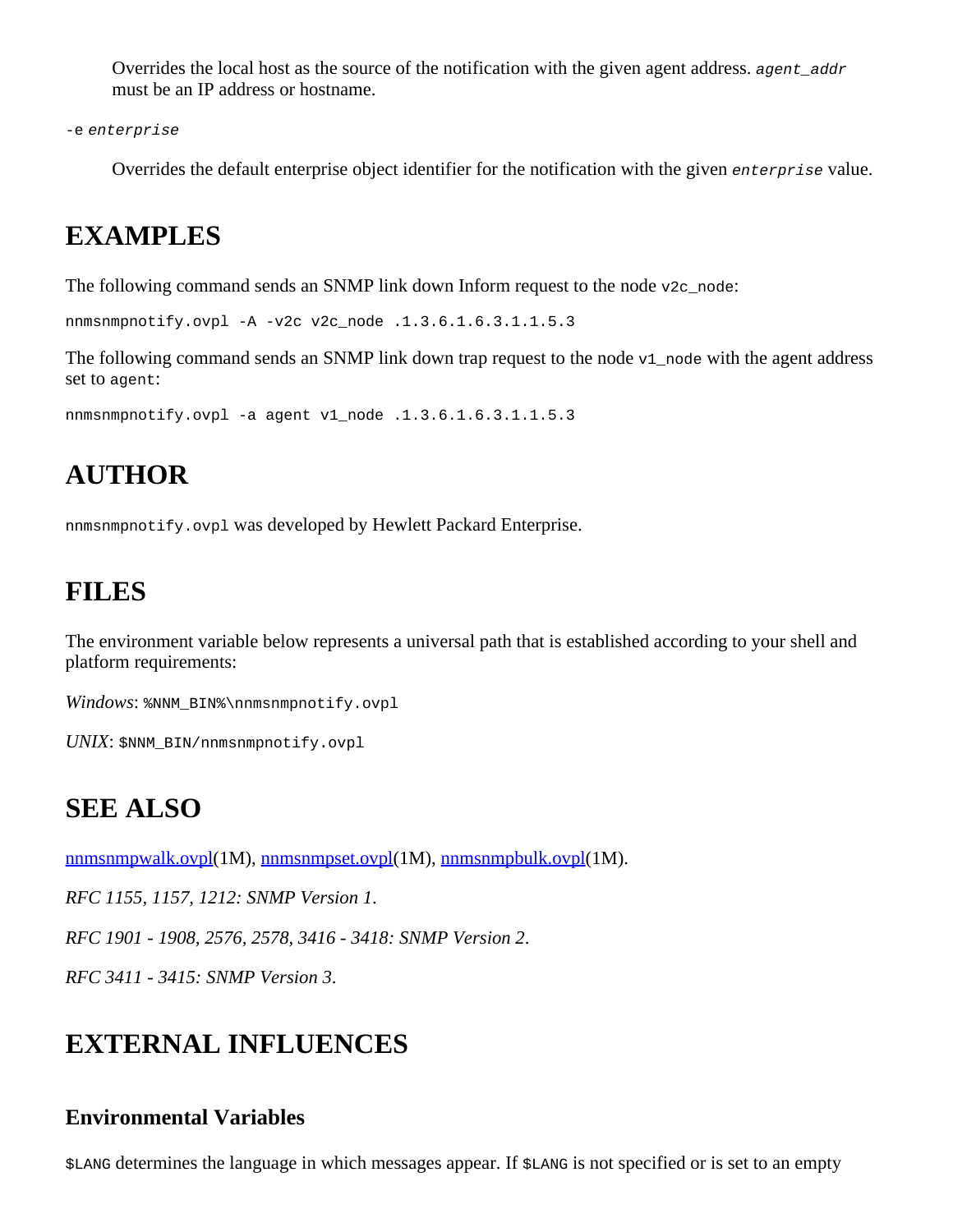Overrides the local host as the source of the notification with the given agent address. *agent\_addr* must be an IP address or hostname.

-e *enterprise*

Overrides the default enterprise object identifier for the notification with the given *enterprise* value.

#### **EXAMPLES**

The following command sends an SNMP link down Inform request to the node v2c\_node:

nnmsnmpnotify.ovpl -A -v2c v2c\_node .1.3.6.1.6.3.1.1.5.3

The following command sends an SNMP link down trap request to the node  $v1$  node with the agent address set to agent:

nnmsnmpnotify.ovpl -a agent v1\_node .1.3.6.1.6.3.1.1.5.3

#### **AUTHOR**

nnmsnmpnotify.ovpl was developed by Hewlett Packard Enterprise.

#### **FILES**

The environment variable below represents a universal path that is established according to your shell and platform requirements:

Windows: \$NNM\_BIN\$\nnmsnmpnotify.ovpl

*UNIX*: \$NNM\_BIN/nnmsnmpnotify.ovpl

#### **SEE ALSO**

[nnmsnmpwalk.ovpl\(](#page-273-0)1M), [nnmsnmpset.ovpl](#page-278-0)(1M), [nnmsnmpbulk.ovpl](#page-269-0)(1M).

*RFC 1155, 1157, 1212: SNMP Version 1*.

*RFC 1901 - 1908, 2576, 2578, 3416 - 3418: SNMP Version 2*.

*RFC 3411 - 3415: SNMP Version 3*.

#### **EXTERNAL INFLUENCES**

#### **Environmental Variables**

\$LANG determines the language in which messages appear. If \$LANG is not specified or is set to an empty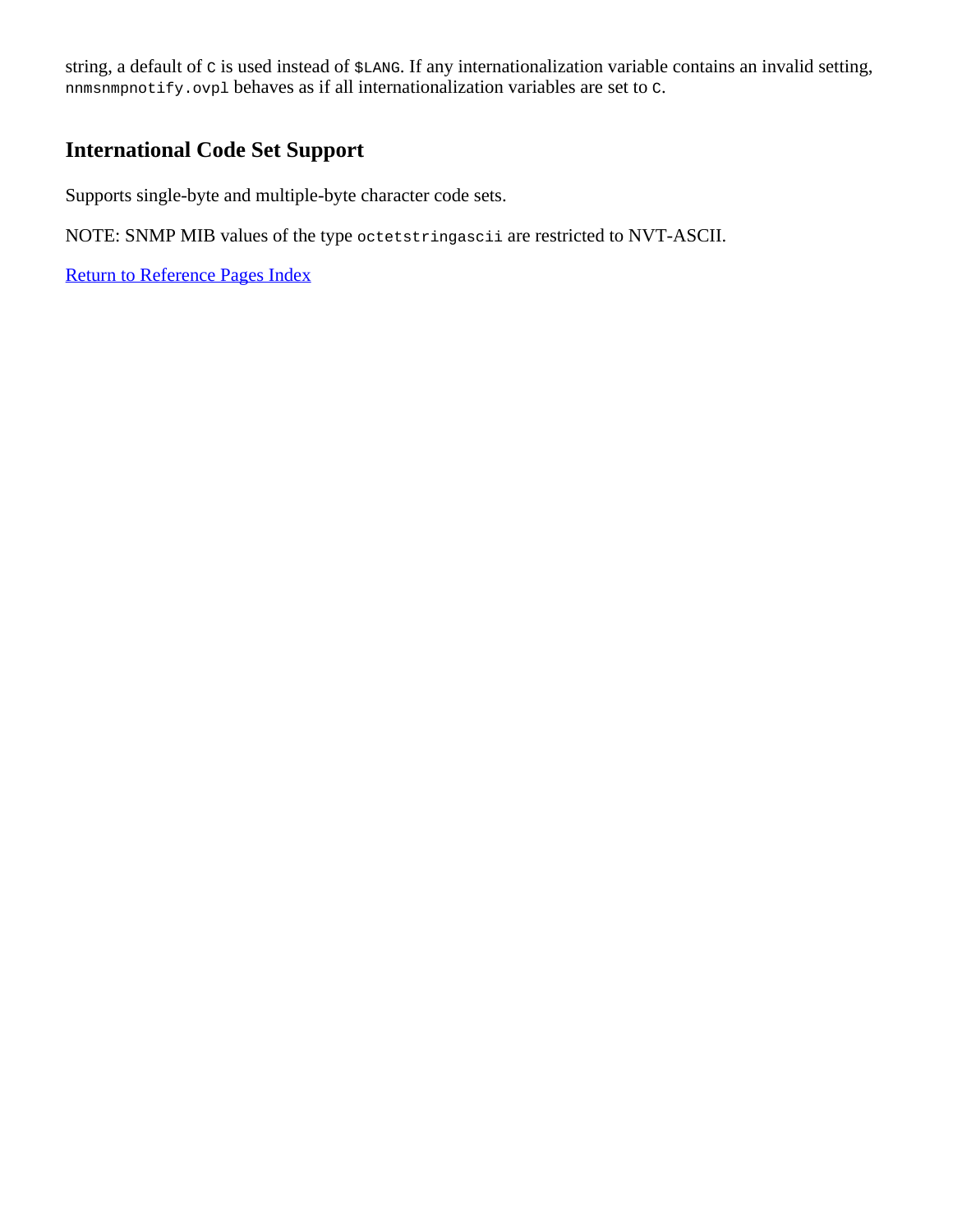string, a default of c is used instead of  $$LANG$ . If any internationalization variable contains an invalid setting, nnmsnmpnotify.ovpl behaves as if all internationalization variables are set to C.

#### **International Code Set Support**

Supports single-byte and multiple-byte character code sets.

NOTE: SNMP MIB values of the type octetstringascii are restricted to NVT-ASCII.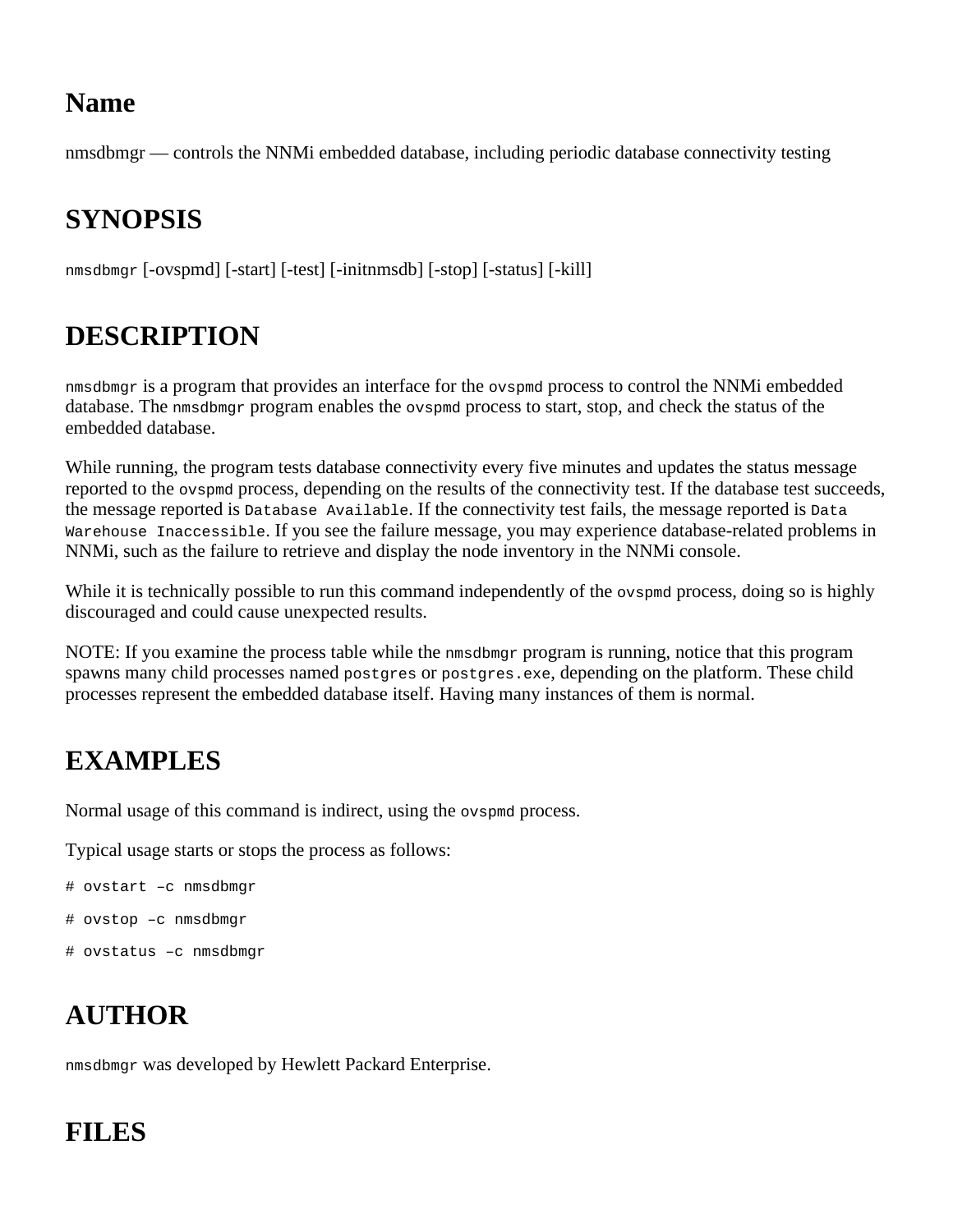<span id="page-33-0"></span>nmsdbmgr — controls the NNMi embedded database, including periodic database connectivity testing

## **SYNOPSIS**

nmsdbmgr [-ovspmd] [-start] [-test] [-initnmsdb] [-stop] [-status] [-kill]

### **DESCRIPTION**

 $n_{\text{msdbmqr}}$  is a program that provides an interface for the ovspmd process to control the NNMi embedded database. The nmsdbmgr program enables the ovspmd process to start, stop, and check the status of the embedded database.

While running, the program tests database connectivity every five minutes and updates the status message reported to the ovspmd process, depending on the results of the connectivity test. If the database test succeeds, the message reported is Database Available. If the connectivity test fails, the message reported is Data Warehouse Inaccessible. If you see the failure message, you may experience database-related problems in NNMi, such as the failure to retrieve and display the node inventory in the NNMi console.

While it is technically possible to run this command independently of the ovspmd process, doing so is highly discouraged and could cause unexpected results.

NOTE: If you examine the process table while the nmsdbmgr program is running, notice that this program spawns many child processes named postgres or postgres.exe, depending on the platform. These child processes represent the embedded database itself. Having many instances of them is normal.

## **EXAMPLES**

Normal usage of this command is indirect, using the ovspmd process.

Typical usage starts or stops the process as follows:

```
# ovstart –c nmsdbmgr
# ovstop –c nmsdbmgr
# ovstatus –c nmsdbmgr
```
## **AUTHOR**

nmsdbmgr was developed by Hewlett Packard Enterprise.

### **FILES**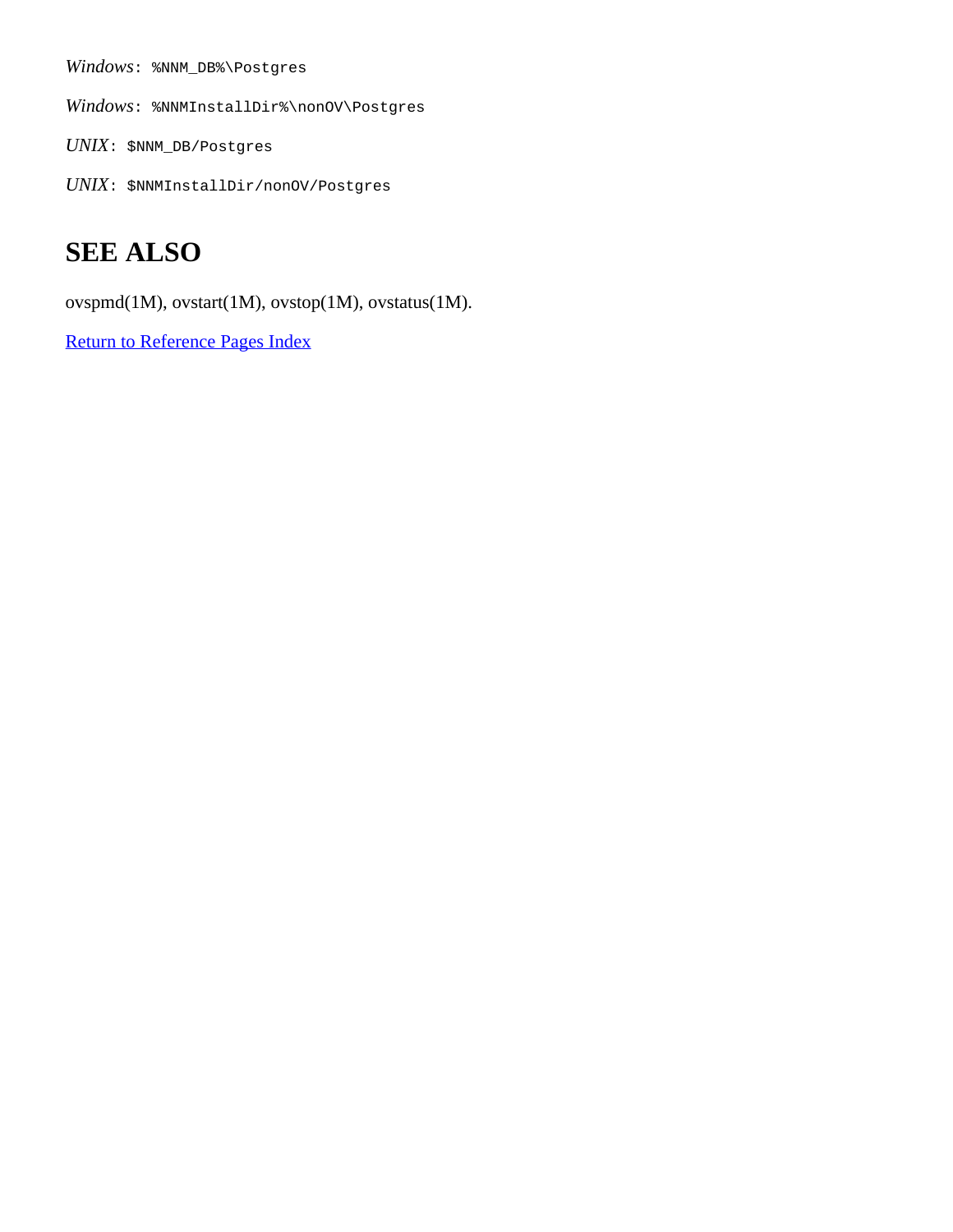*Windows*: %NNM\_DB%\Postgres

*Windows*: %NNMInstallDir%\nonOV\Postgres

*UNIX*: \$NNM\_DB/Postgres

*UNIX*: \$NNMInstallDir/nonOV/Postgres

### **SEE ALSO**

ovspmd(1M), ovstart(1M), ovstop(1M), ovstatus(1M).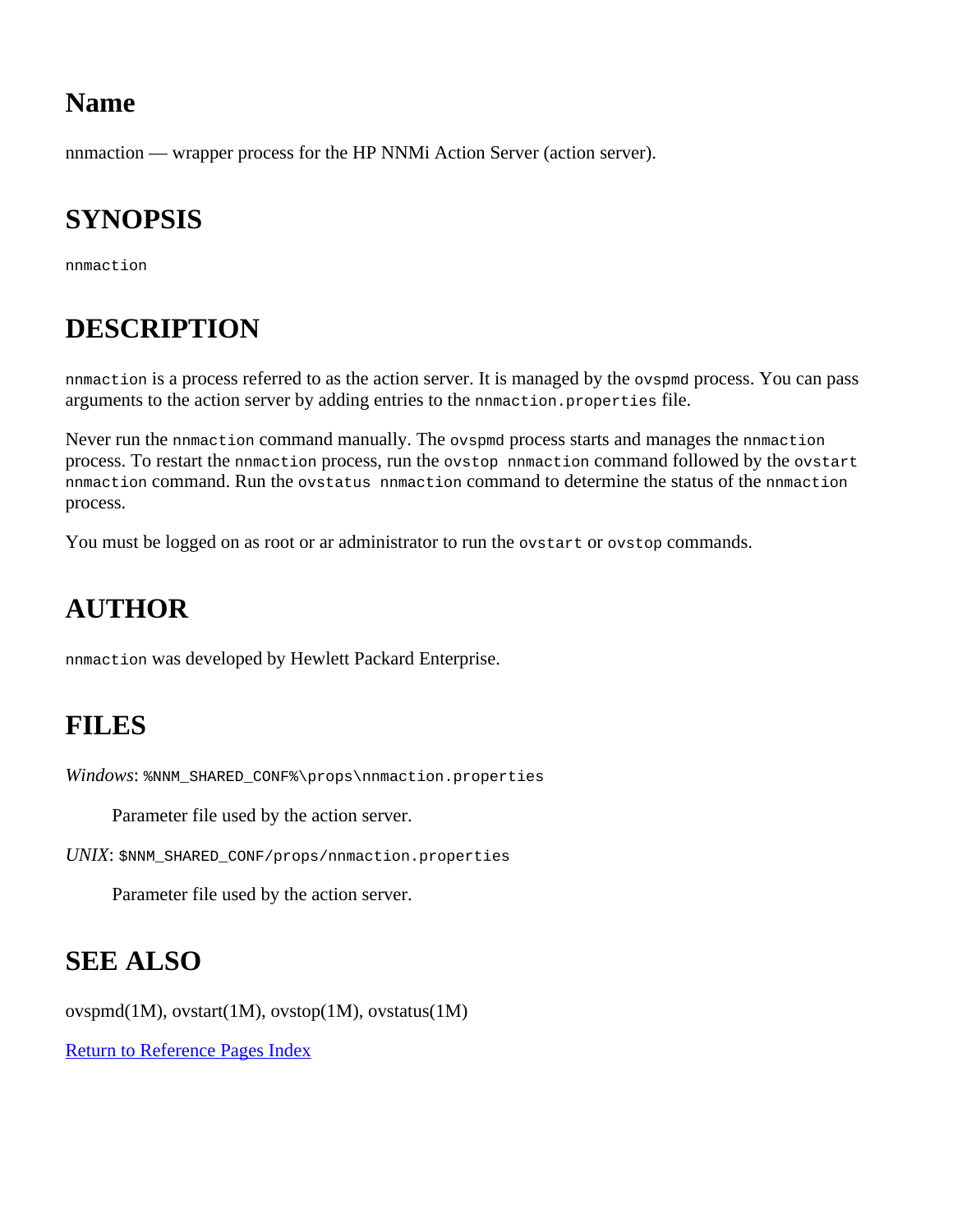<span id="page-35-0"></span>nnmaction — wrapper process for the HP NNMi Action Server (action server).

### **SYNOPSIS**

nnmaction

## **DESCRIPTION**

nnmaction is a process referred to as the action server. It is managed by the ovspmd process. You can pass arguments to the action server by adding entries to the nnmaction.properties file.

Never run the nnmaction command manually. The ovspmd process starts and manages the nnmaction process. To restart the nnmaction process, run the ovstop nnmaction command followed by the ovstart nnmaction command. Run the ovstatus nnmaction command to determine the status of the nnmaction process.

You must be logged on as root or ar administrator to run the ovstart or ovstop commands.

## **AUTHOR**

nnmaction was developed by Hewlett Packard Enterprise.

#### **FILES**

*Windows*: %NNM\_SHARED\_CONF%\props\nnmaction.properties

Parameter file used by the action server.

*UNIX*: \$NNM\_SHARED\_CONF/props/nnmaction.properties

Parameter file used by the action server.

#### **SEE ALSO**

ovspmd(1M), ovstart(1M), ovstop(1M), ovstatus(1M)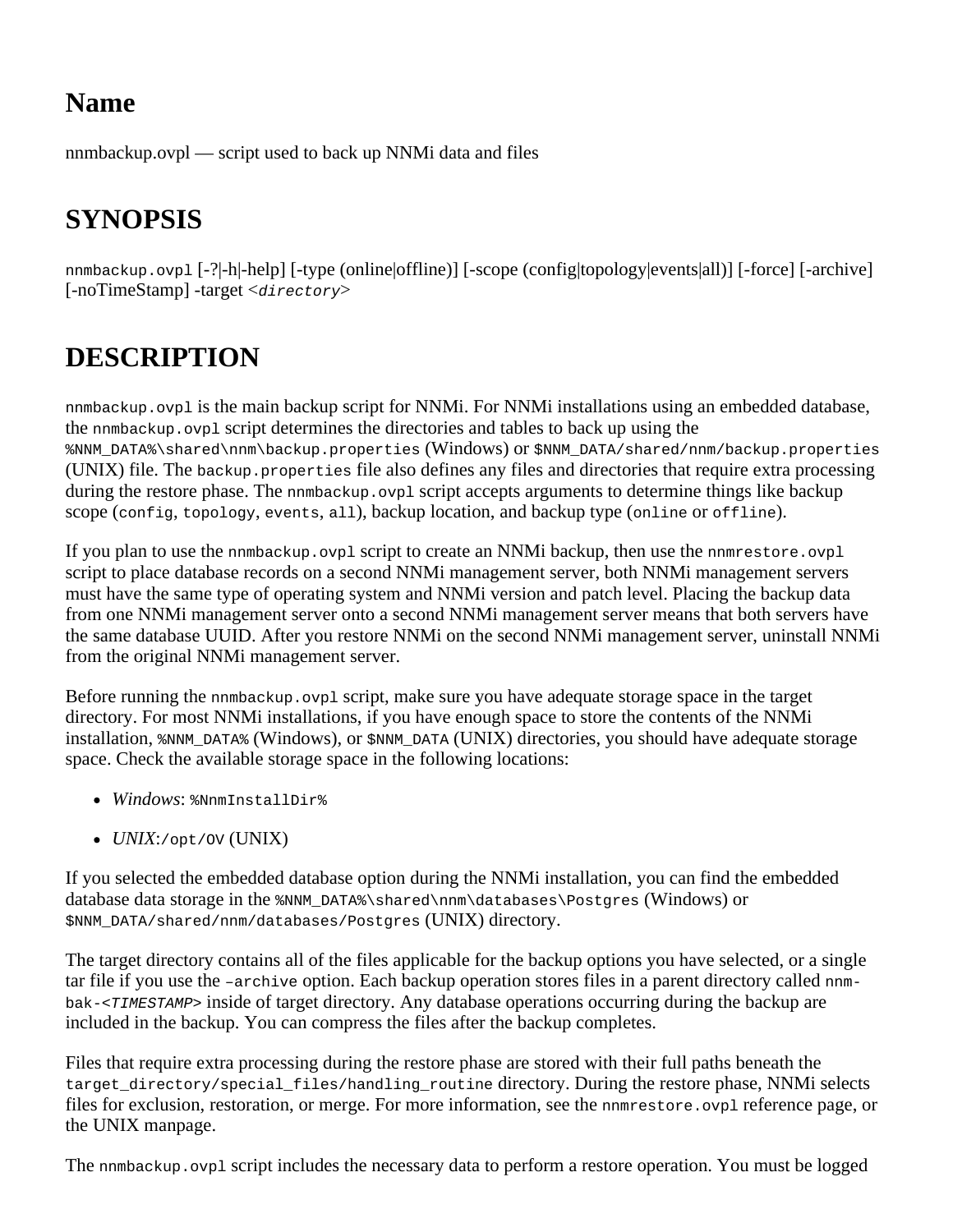nnmbackup.ovpl — script used to back up NNMi data and files

# **SYNOPSIS**

nnmbackup.ovp1 [-?|-h|-help] [-type (online|offline)] [-scope (config|topology|events|all)] [-force] [-archive] [-noTimeStamp] -target <*directory*>

# **DESCRIPTION**

nnmbackup.ovpl is the main backup script for NNMi. For NNMi installations using an embedded database, the nnmbackup.ovpl script determines the directories and tables to back up using the %NNM\_DATA%\shared\nnm\backup.properties (Windows) or \$NNM\_DATA/shared/nnm/backup.properties (UNIX) file. The backup.properties file also defines any files and directories that require extra processing during the restore phase. The nnmbackup.ovpl script accepts arguments to determine things like backup scope (config, topology, events, all), backup location, and backup type (online or offline).

If you plan to use the nnmbackup.ovpl script to create an NNMi backup, then use the nnmrestore.ovpl script to place database records on a second NNMi management server, both NNMi management servers must have the same type of operating system and NNMi version and patch level. Placing the backup data from one NNMi management server onto a second NNMi management server means that both servers have the same database UUID. After you restore NNMi on the second NNMi management server, uninstall NNMi from the original NNMi management server.

Before running the nnmbackup.ovpl script, make sure you have adequate storage space in the target directory. For most NNMi installations, if you have enough space to store the contents of the NNMi installation,  $\text{RNNM}$  DATA% (Windows), or  $\text{SNNM}$  DATA (UNIX) directories, you should have adequate storage space. Check the available storage space in the following locations:

- *Windows*: %NnmInstallDir%
- *UNIX*:/opt/OV (UNIX)

If you selected the embedded database option during the NNMi installation, you can find the embedded database data storage in the  $\text{N-chared}\n$ databases\Postgres (Windows) or \$NNM\_DATA/shared/nnm/databases/Postgres (UNIX) directory.

The target directory contains all of the files applicable for the backup options you have selected, or a single tar file if you use the –archive option. Each backup operation stores files in a parent directory called nnmbak-<*TIMESTAMP*> inside of target directory. Any database operations occurring during the backup are included in the backup. You can compress the files after the backup completes.

Files that require extra processing during the restore phase are stored with their full paths beneath the target directory/special files/handling routine directory. During the restore phase, NNMi selects files for exclusion, restoration, or merge. For more information, see the nnmrestore.ovpl reference page, or the UNIX manpage.

The nnmbackup.ovpl script includes the necessary data to perform a restore operation. You must be logged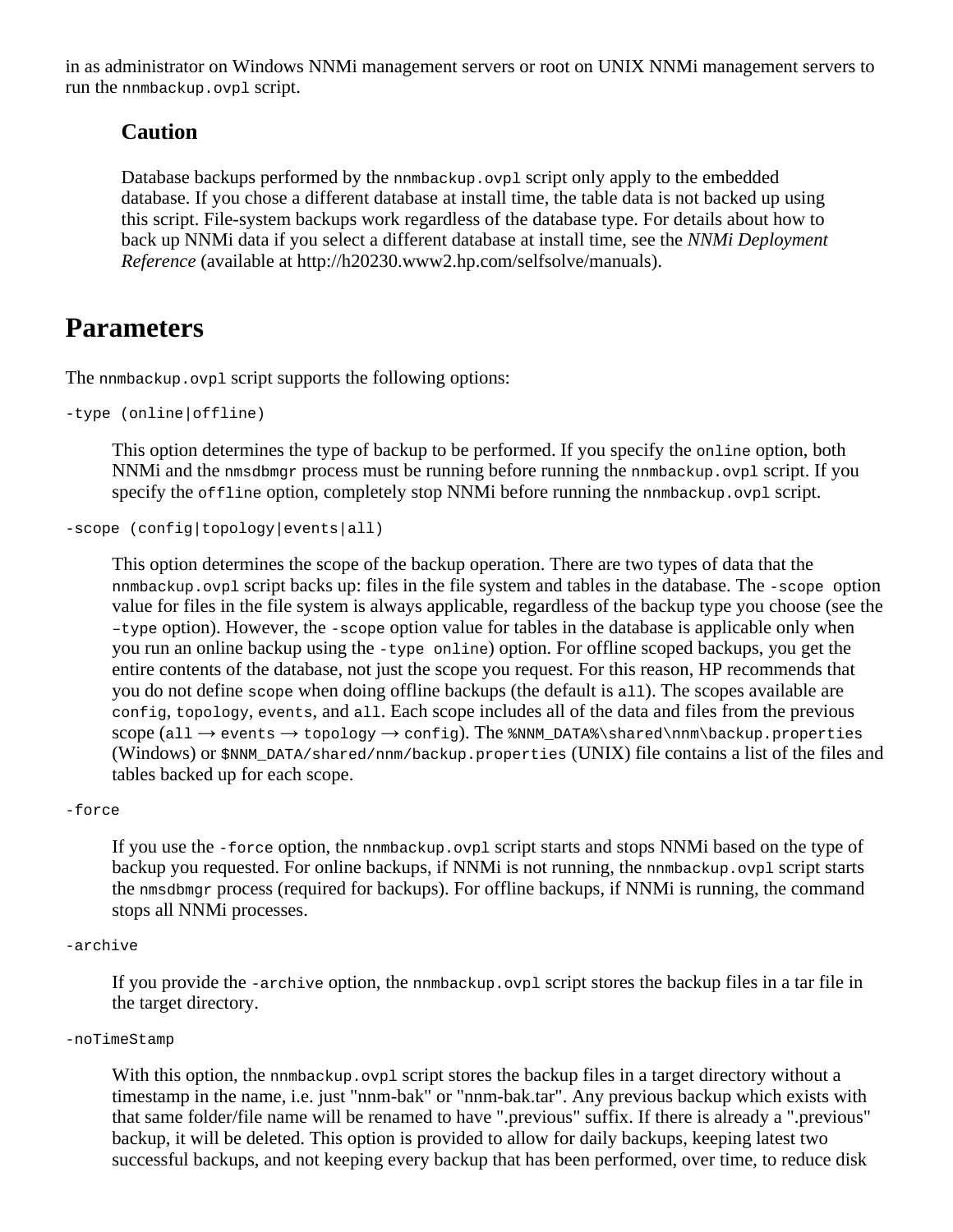in as administrator on Windows NNMi management servers or root on UNIX NNMi management servers to run the nnmbackup.ovpl script.

#### **Caution**

Database backups performed by the nnmbackup.ovpl script only apply to the embedded database. If you chose a different database at install time, the table data is not backed up using this script. File-system backups work regardless of the database type. For details about how to back up NNMi data if you select a different database at install time, see the *NNMi Deployment Reference* (available at http://h20230.www2.hp.com/selfsolve/manuals).

### **Parameters**

The nnmbackup.ovpl script supports the following options:

```
-type (online|offline)
```
This option determines the type of backup to be performed. If you specify the online option, both NNMi and the nmsdbmgr process must be running before running the nnmbackup.ovpl script. If you specify the offline option, completely stop NNMi before running the nnmbackup.ovpl script.

-scope (config|topology|events|all)

This option determines the scope of the backup operation. There are two types of data that the nnmbackup.ovpl script backs up: files in the file system and tables in the database. The -scope option value for files in the file system is always applicable, regardless of the backup type you choose (see the –type option). However, the -scope option value for tables in the database is applicable only when you run an online backup using the -type online) option. For offline scoped backups, you get the entire contents of the database, not just the scope you request. For this reason, HP recommends that you do not define scope when doing offline backups (the default is all). The scopes available are config, topology, events, and all. Each scope includes all of the data and files from the previous  $scope (all \rightarrow events \rightarrow topology \rightarrow config)$ . The %NNM\_DATA%\shared\nnm\backup.properties (Windows) or \$NNM\_DATA/shared/nnm/backup.properties (UNIX) file contains a list of the files and tables backed up for each scope.

#### -force

If you use the -force option, the nnmbackup.ovpl script starts and stops NNMi based on the type of backup you requested. For online backups, if NNMi is not running, the nnmbackup.ovpl script starts the nmsdbmgr process (required for backups). For offline backups, if NNMi is running, the command stops all NNMi processes.

#### -archive

If you provide the -archive option, the nnmbackup.ovpl script stores the backup files in a tar file in the target directory.

#### -noTimeStamp

With this option, the nnmbackup.ovpl script stores the backup files in a target directory without a timestamp in the name, i.e. just "nnm-bak" or "nnm-bak.tar". Any previous backup which exists with that same folder/file name will be renamed to have ".previous" suffix. If there is already a ".previous" backup, it will be deleted. This option is provided to allow for daily backups, keeping latest two successful backups, and not keeping every backup that has been performed, over time, to reduce disk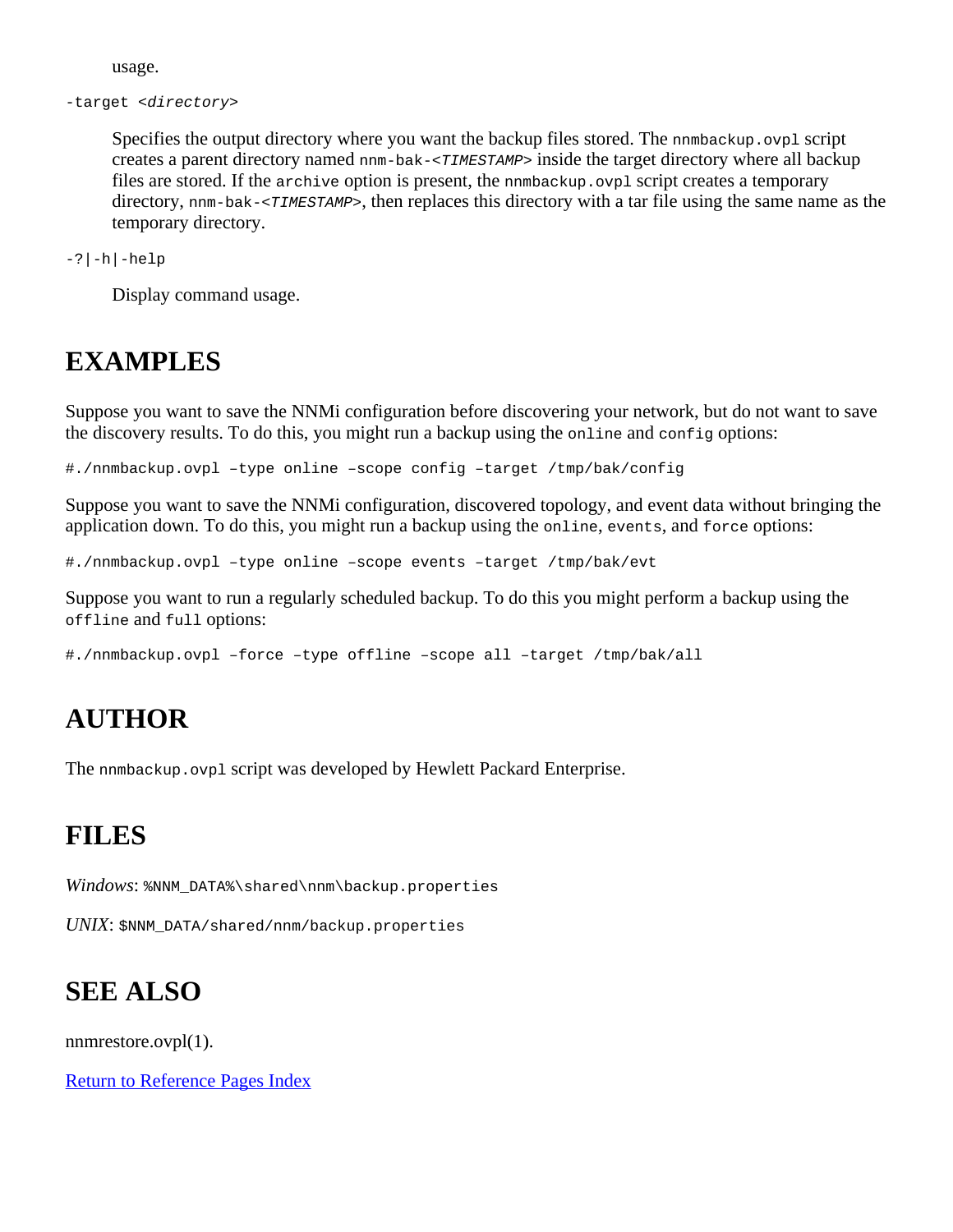usage.

-target <*directory*>

Specifies the output directory where you want the backup files stored. The nnmbackup.ovpl script creates a parent directory named nnm-bak-<*TIMESTAMP*> inside the target directory where all backup files are stored. If the archive option is present, the nnmbackup.ovpl script creates a temporary directory, nnm-bak-<*TIMESTAMP*>, then replaces this directory with a tar file using the same name as the temporary directory.

-?|-h|-help

Display command usage.

### **EXAMPLES**

Suppose you want to save the NNMi configuration before discovering your network, but do not want to save the discovery results. To do this, you might run a backup using the online and config options:

#./nnmbackup.ovpl –type online –scope config –target /tmp/bak/config

Suppose you want to save the NNMi configuration, discovered topology, and event data without bringing the application down. To do this, you might run a backup using the online, events, and force options:

#./nnmbackup.ovpl –type online –scope events –target /tmp/bak/evt

Suppose you want to run a regularly scheduled backup. To do this you might perform a backup using the offline and full options:

#./nnmbackup.ovpl –force –type offline –scope all –target /tmp/bak/all

### **AUTHOR**

The nnmbackup.ovpl script was developed by Hewlett Packard Enterprise.

### **FILES**

Windows: %NNM\_DATA%\shared\nnm\backup.properties

*UNIX*: \$NNM\_DATA/shared/nnm/backup.properties

## **SEE ALSO**

nnmrestore.ovpl(1).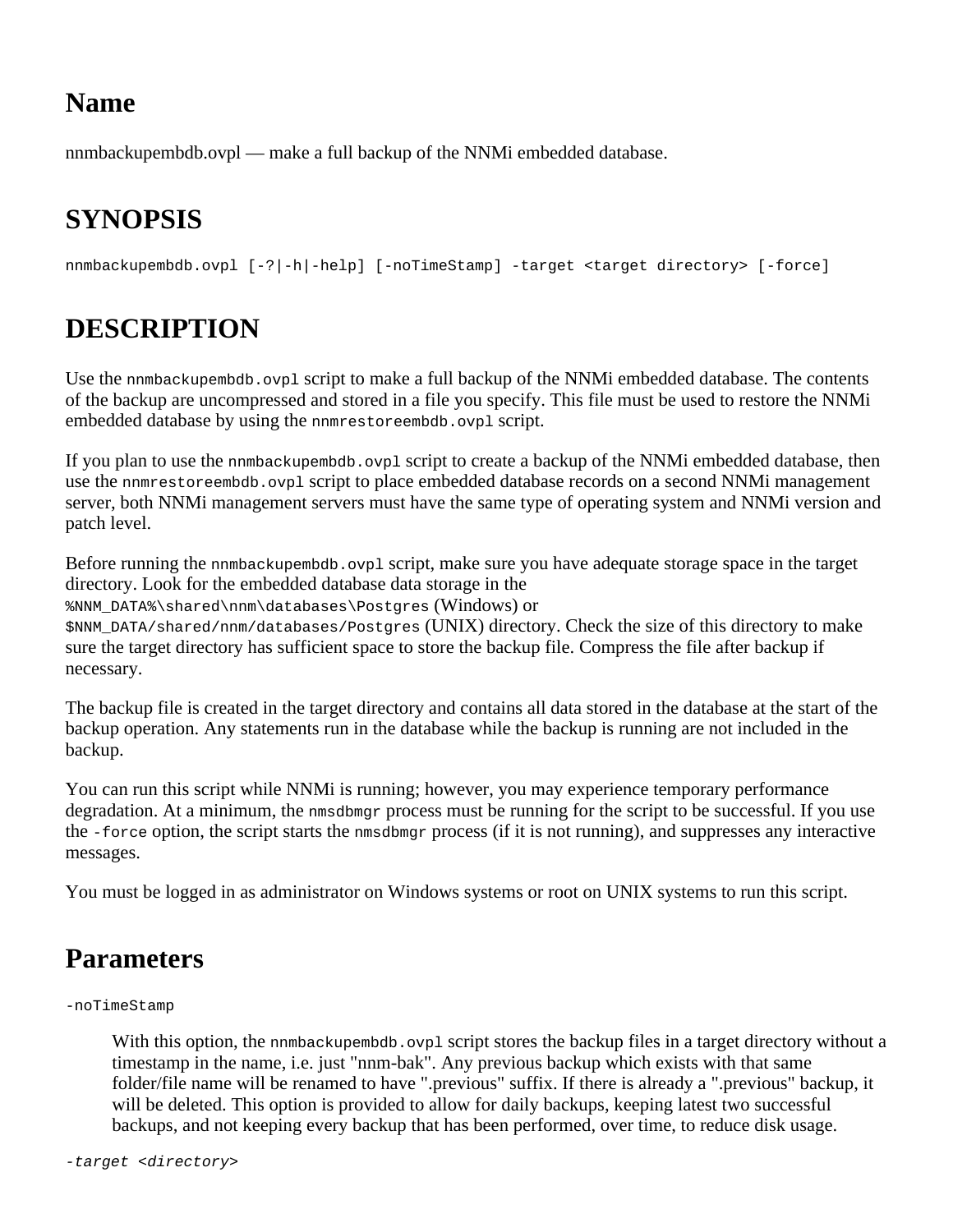nnmbackupembdb.ovpl — make a full backup of the NNMi embedded database.

# **SYNOPSIS**

nnmbackupembdb.ovpl [-?|-h|-help] [-noTimeStamp] -target <target directory> [-force]

# **DESCRIPTION**

Use the nnmbackupembdb.ovpl script to make a full backup of the NNMi embedded database. The contents of the backup are uncompressed and stored in a file you specify. This file must be used to restore the NNMi embedded database by using the nnmrestoreembdb.ovpl script.

If you plan to use the nnmbackupembdb.ovpl script to create a backup of the NNMi embedded database, then use the nnmrestoreembdb.ovpl script to place embedded database records on a second NNMi management server, both NNMi management servers must have the same type of operating system and NNMi version and patch level.

Before running the nnmbackupembdb.ovpl script, make sure you have adequate storage space in the target directory. Look for the embedded database data storage in the

%NNM\_DATA%\shared\nnm\databases\Postgres (Windows) or

\$NNM\_DATA/shared/nnm/databases/Postgres (UNIX) directory. Check the size of this directory to make sure the target directory has sufficient space to store the backup file. Compress the file after backup if necessary.

The backup file is created in the target directory and contains all data stored in the database at the start of the backup operation. Any statements run in the database while the backup is running are not included in the backup.

You can run this script while NNMi is running; however, you may experience temporary performance degradation. At a minimum, the nmsdbmgr process must be running for the script to be successful. If you use the -force option, the script starts the nmsdbmgr process (if it is not running), and suppresses any interactive messages.

You must be logged in as administrator on Windows systems or root on UNIX systems to run this script.

## **Parameters**

#### -noTimeStamp

With this option, the nnmbackupembdb.ovpl script stores the backup files in a target directory without a timestamp in the name, i.e. just "nnm-bak". Any previous backup which exists with that same folder/file name will be renamed to have ".previous" suffix. If there is already a ".previous" backup, it will be deleted. This option is provided to allow for daily backups, keeping latest two successful backups, and not keeping every backup that has been performed, over time, to reduce disk usage.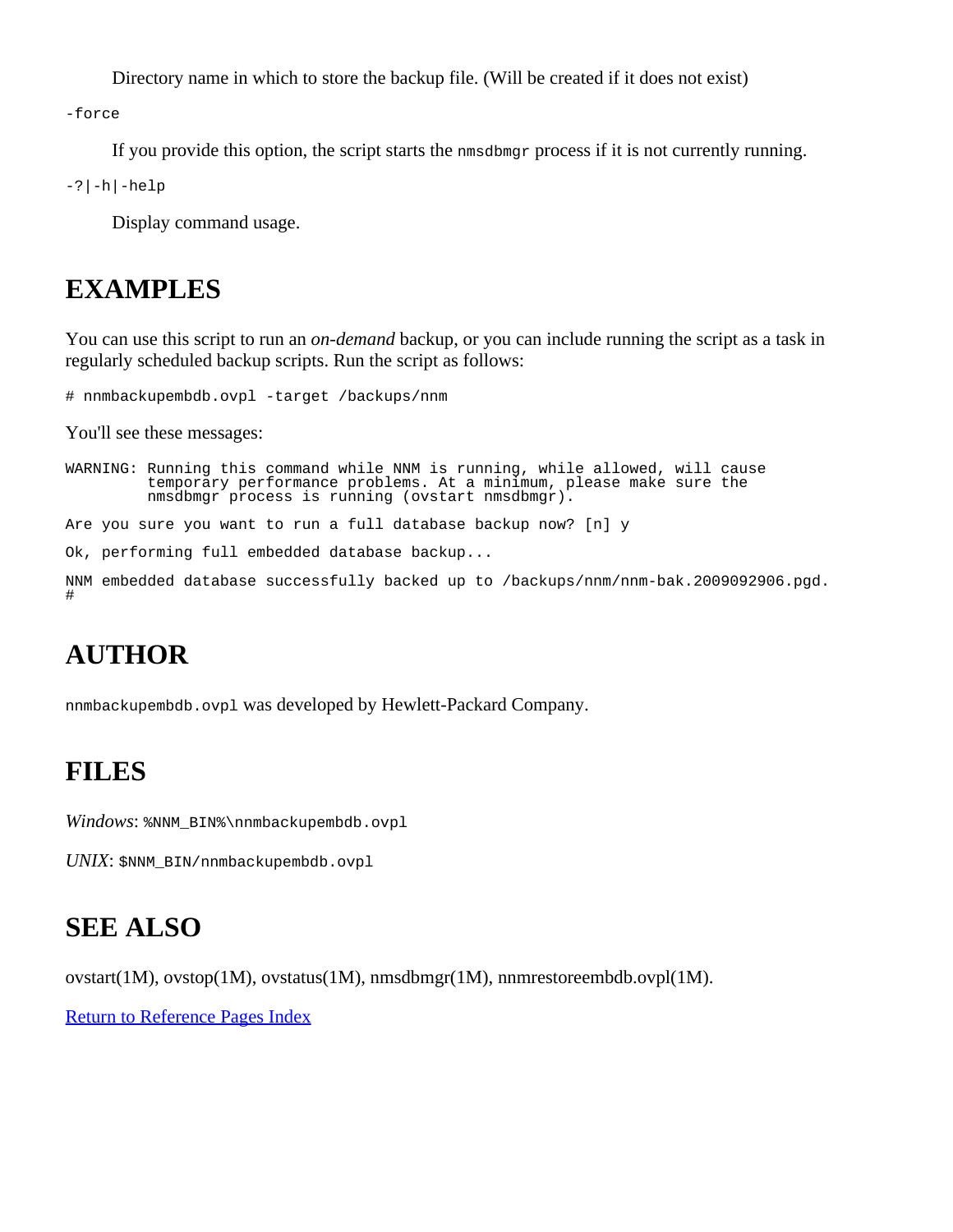Directory name in which to store the backup file. (Will be created if it does not exist)

-force

If you provide this option, the script starts the nmsdbmgr process if it is not currently running.

-?|-h|-help

Display command usage.

### **EXAMPLES**

You can use this script to run an *on-demand* backup, or you can include running the script as a task in regularly scheduled backup scripts. Run the script as follows:

# nnmbackupembdb.ovpl -target /backups/nnm

You'll see these messages:

WARNING: Running this command while NNM is running, while allowed, will cause temporary performance problems. At a minimum, please make sure the nmsdbmgr process is running (ovstart nmsdbmgr). Are you sure you want to run a full database backup now? [n] y Ok, performing full embedded database backup... NNM embedded database successfully backed up to /backups/nnm/nnm-bak.2009092906.pgd. #

## **AUTHOR**

nnmbackupembdb.ovpl was developed by Hewlett-Packard Company.

### **FILES**

*Windows*: %NNM\_BIN%\nnmbackupembdb.ovpl

*UNIX*: \$NNM\_BIN/nnmbackupembdb.ovpl

### **SEE ALSO**

ovstart(1M), ovstop(1M), ovstatus(1M), nmsdbmgr(1M), nnmrestoreembdb.ovpl(1M).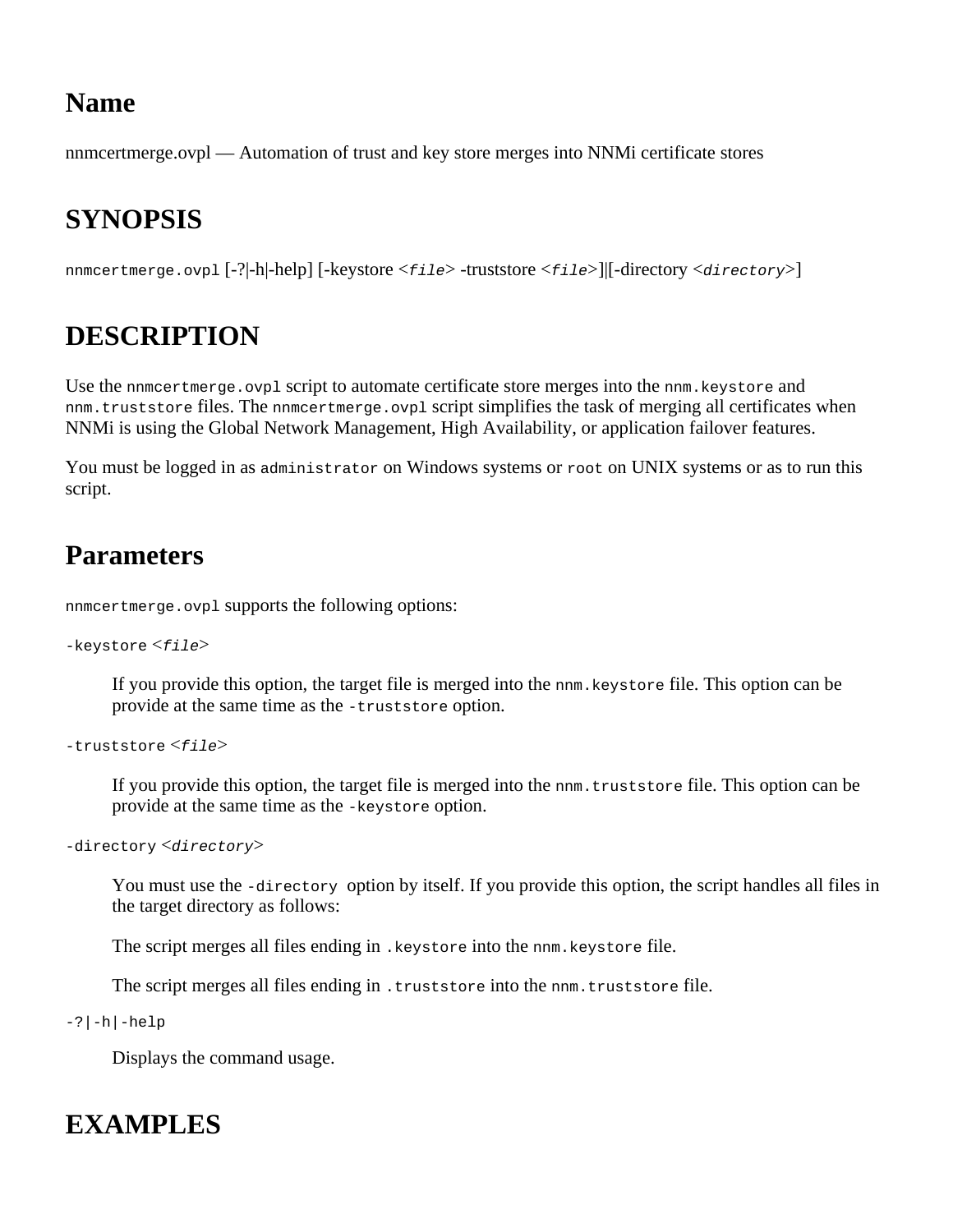nnmcertmerge.ovpl — Automation of trust and key store merges into NNMi certificate stores

# **SYNOPSIS**

nnmcertmerge.ovpl [-?|-h|-help] [-keystore <*file*> -truststore <*file*>]|[-directory <*directory*>]

# **DESCRIPTION**

Use the nnmcertmerge.ovpl script to automate certificate store merges into the nnm.keystore and nnm.truststore files. The nnmcertmerge.ovpl script simplifies the task of merging all certificates when NNMi is using the Global Network Management, High Availability, or application failover features.

You must be logged in as administrator on Windows systems or root on UNIX systems or as to run this script.

# **Parameters**

nnmcertmerge.ovpl supports the following options:

-keystore <*file*>

If you provide this option, the target file is merged into the nnm.keystore file. This option can be provide at the same time as the -truststore option.

-truststore <*file*>

If you provide this option, the target file is merged into the nnm.truststore file. This option can be provide at the same time as the -keystore option.

-directory <*directory*>

You must use the -directory option by itself. If you provide this option, the script handles all files in the target directory as follows:

The script merges all files ending in .keystore into the nnm.keystore file.

The script merges all files ending in .truststore into the nnm.truststore file.

-?|-h|-help

Displays the command usage.

### **EXAMPLES**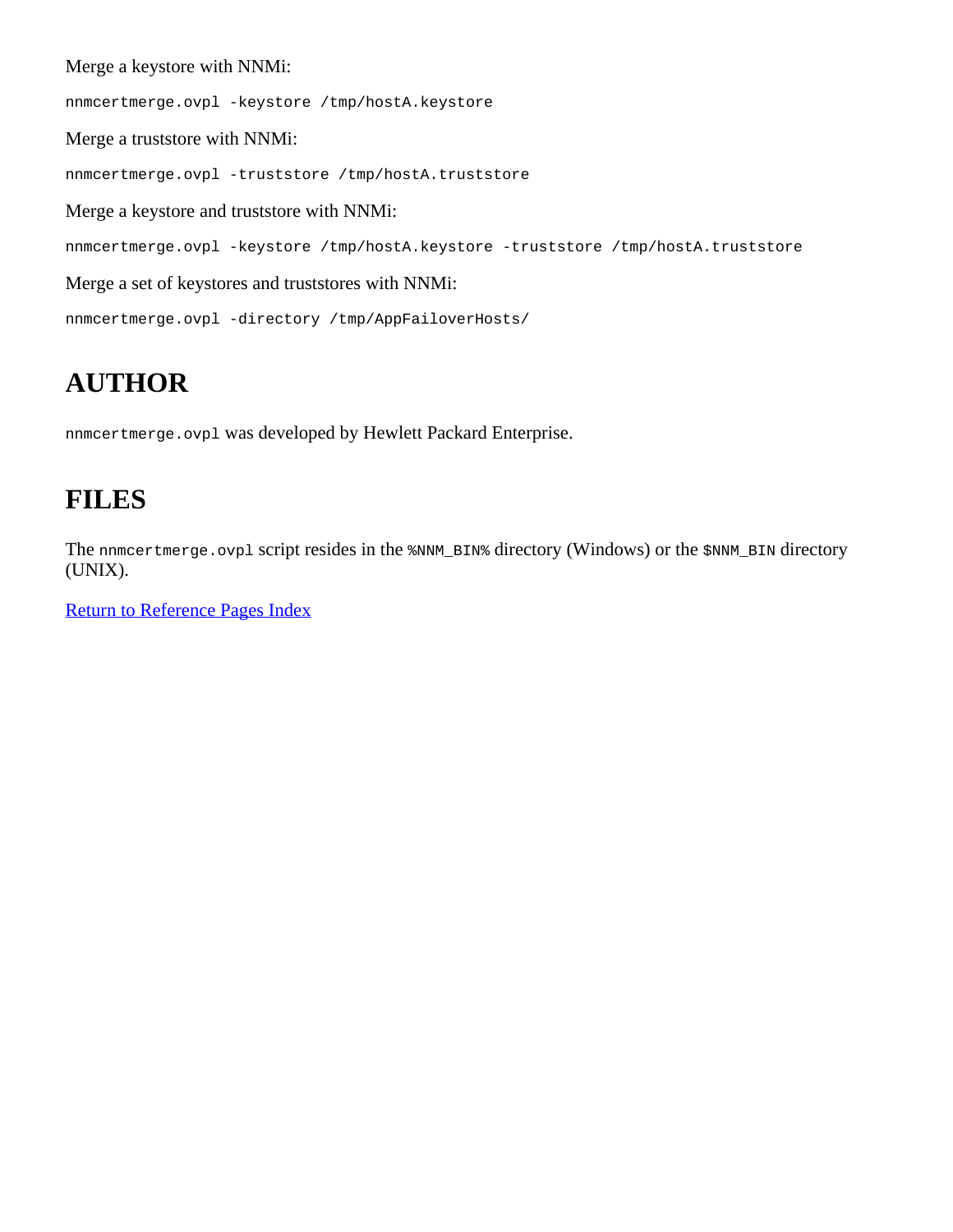Merge a keystore with NNMi:

nnmcertmerge.ovpl -keystore /tmp/hostA.keystore

Merge a truststore with NNMi:

nnmcertmerge.ovpl -truststore /tmp/hostA.truststore

Merge a keystore and truststore with NNMi:

nnmcertmerge.ovpl -keystore /tmp/hostA.keystore -truststore /tmp/hostA.truststore

Merge a set of keystores and truststores with NNMi:

nnmcertmerge.ovpl -directory /tmp/AppFailoverHosts/

# **AUTHOR**

nnmcertmerge.ovpl was developed by Hewlett Packard Enterprise.

### **FILES**

The nnmcertmerge.ovpl script resides in the \$NNM\_BIN\$ directory (Windows) or the \$NNM\_BIN directory (UNIX).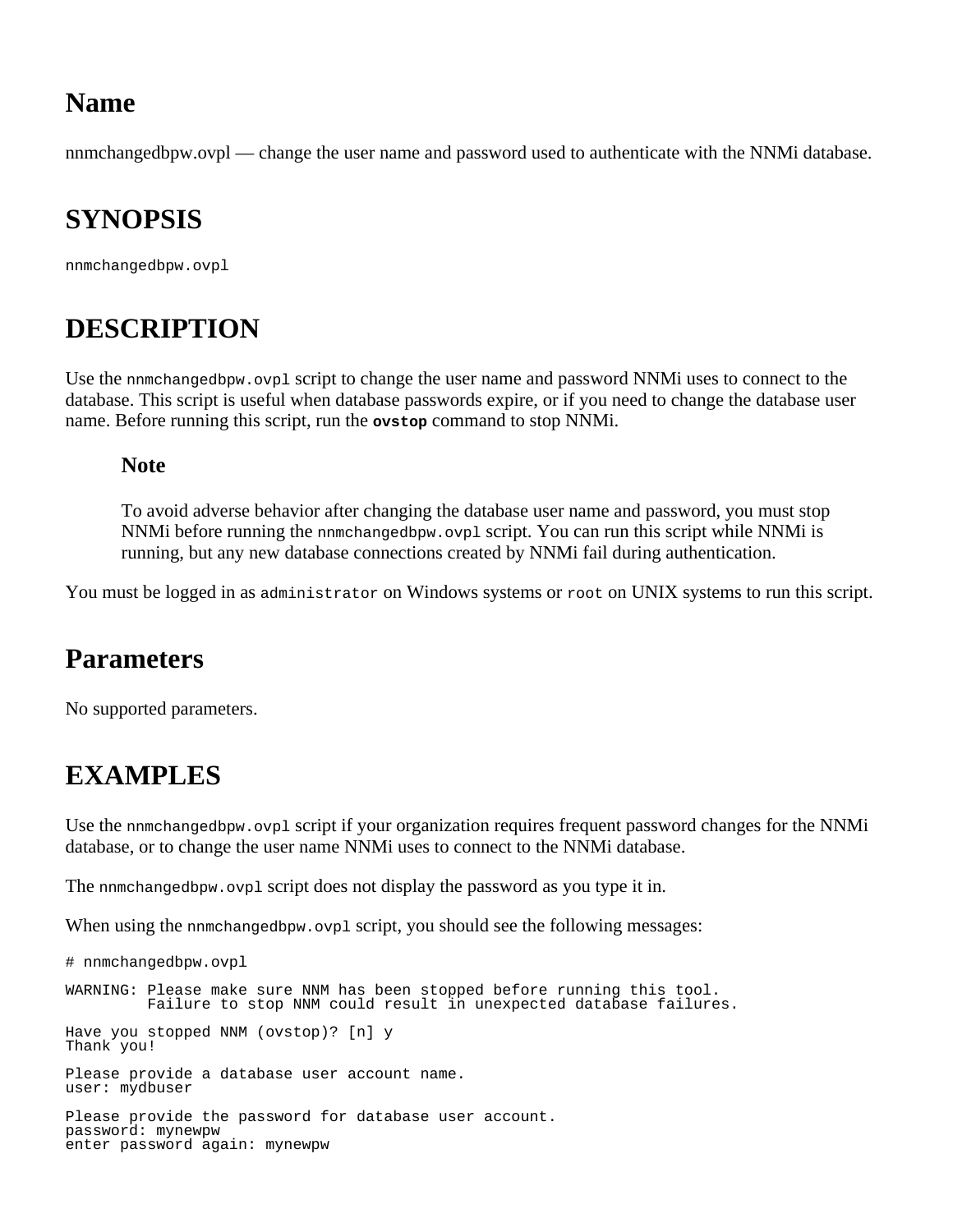nnmchangedbpw.ovpl — change the user name and password used to authenticate with the NNMi database.

## **SYNOPSIS**

nnmchangedbpw.ovpl

# **DESCRIPTION**

Use the nnmchangedbpw.ovpl script to change the user name and password NNM uses to connect to the database. This script is useful when database passwords expire, or if you need to change the database user name. Before running this script, run the **ovstop** command to stop NNMi.

#### **Note**

To avoid adverse behavior after changing the database user name and password, you must stop NNMi before running the nnmchangedbpw.ovpl script. You can run this script while NNMi is running, but any new database connections created by NNMi fail during authentication.

You must be logged in as administrator on Windows systems or root on UNIX systems to run this script.

### **Parameters**

No supported parameters.

### **EXAMPLES**

Use the nnmchangedbpw.ovpl script if your organization requires frequent password changes for the NNM database, or to change the user name NNMi uses to connect to the NNMi database.

The nnmchangedbpw.ovpl script does not display the password as you type it in.

When using the nnmchangedbpw.ovpl script, you should see the following messages:

# nnmchangedbpw.ovpl WARNING: Please make sure NNM has been stopped before running this tool. Failure to stop NNM could result in unexpected database failures. Have you stopped NNM (ovstop)? [n] y Thank you! Please provide a database user account name. user: mydbuser Please provide the password for database user account. password: mynewpw enter password again: mynewpw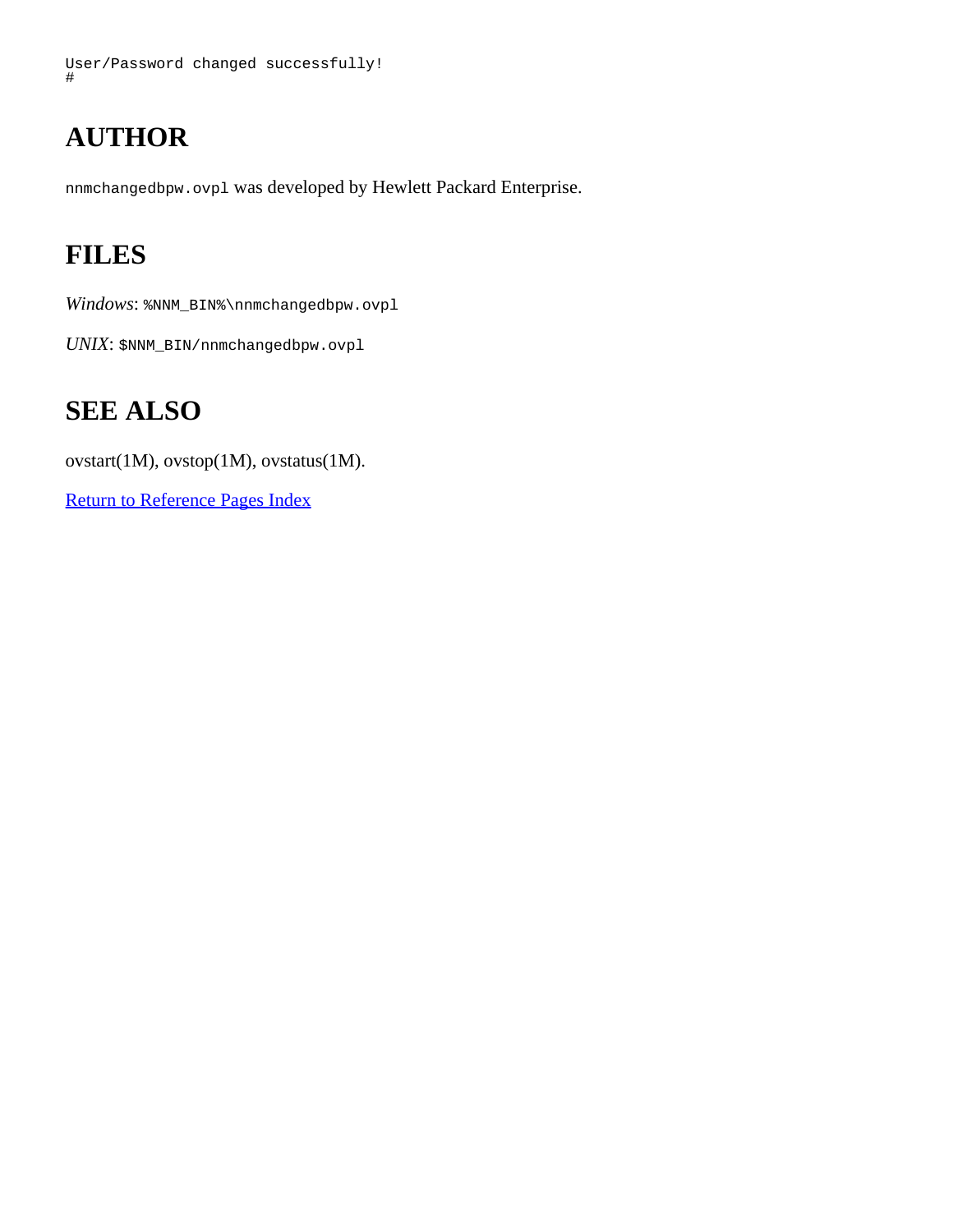# **AUTHOR**

nnmchangedbpw.ovpl was developed by Hewlett Packard Enterprise.

# **FILES**

*Windows*: %NNM\_BIN%\nnmchangedbpw.ovpl

*UNIX*: \$NNM\_BIN/nnmchangedbpw.ovpl

# **SEE ALSO**

ovstart(1M), ovstop(1M), ovstatus(1M).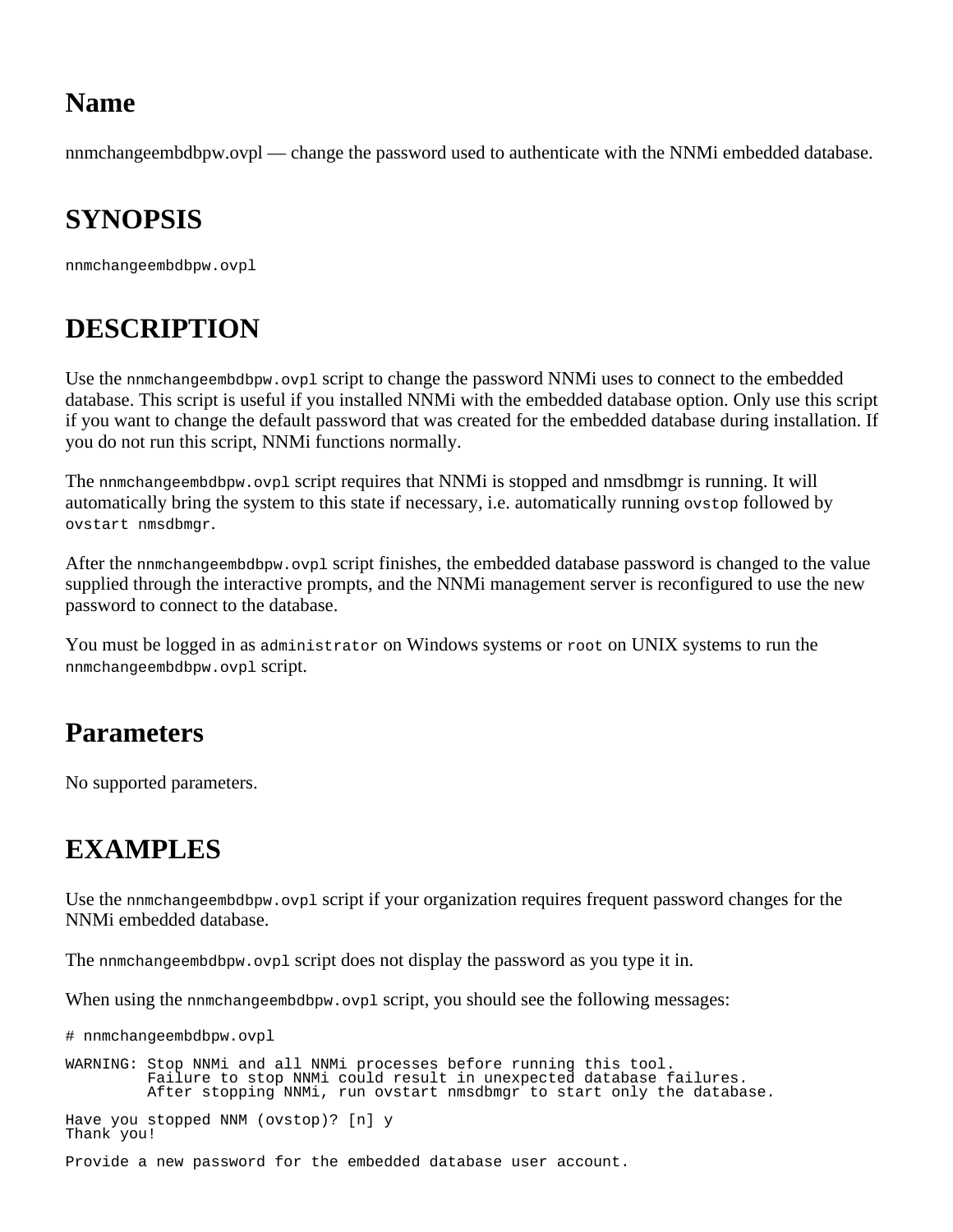nnmchangeembdbpw.ovpl — change the password used to authenticate with the NNMi embedded database.

# **SYNOPSIS**

nnmchangeembdbpw.ovpl

# **DESCRIPTION**

Use the nnmchangeembdbpw.ovpl script to change the password NNMi uses to connect to the embedded database. This script is useful if you installed NNMi with the embedded database option. Only use this script if you want to change the default password that was created for the embedded database during installation. If you do not run this script, NNMi functions normally.

The nnmchangeembdbpw.ovpl script requires that NNMi is stopped and nmsdbmgr is running. It will automatically bring the system to this state if necessary, i.e. automatically running ovstop followed by ovstart nmsdbmgr.

After the nnmchangeembdbpw.ovpl script finishes, the embedded database password is changed to the value supplied through the interactive prompts, and the NNMi management server is reconfigured to use the new password to connect to the database.

You must be logged in as administrator on Windows systems or root on UNIX systems to run the nnmchangeembdbpw.ovpl script.

### **Parameters**

No supported parameters.

## **EXAMPLES**

Use the nnmchangeembdbpw.ovpl script if your organization requires frequent password changes for the NNMi embedded database.

The nnmchangeembdbpw.ovpl script does not display the password as you type it in.

When using the nnmchangeembdbpw.ovpl script, you should see the following messages:

# nnmchangeembdbpw.ovpl

```
WARNING: Stop NNMi and all NNMi processes before running this tool.
          Failure to stop NNMi could result in unexpected database failures.
          After stopping NNMi, run ovstart nmsdbmgr to start only the database.
Have you stopped NNM (ovstop)? [n] y
```

```
Thank you!
```
Provide a new password for the embedded database user account.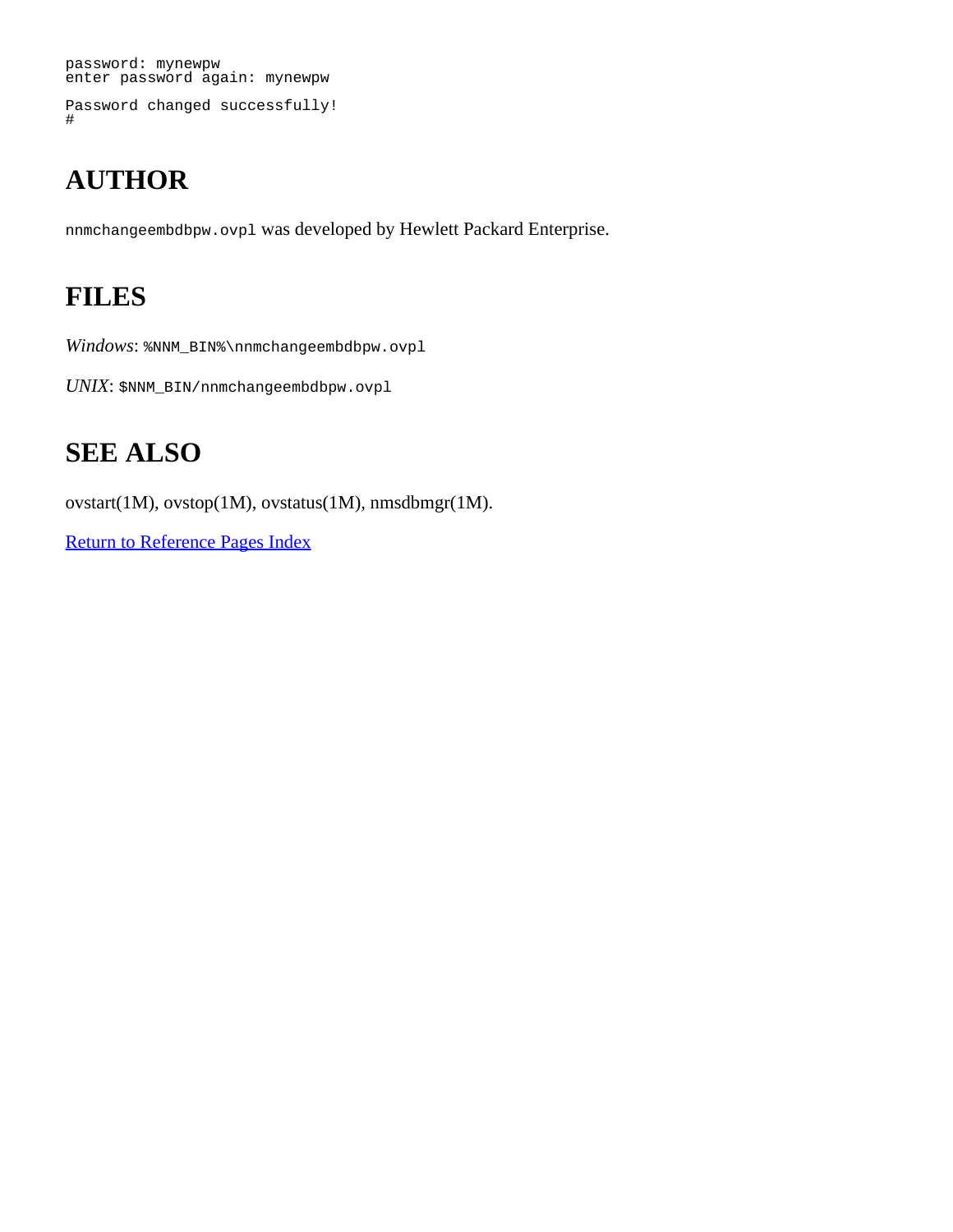```
password: mynewpw
enter password again: mynewpw
Password changed successfully!
#
```
# **AUTHOR**

nnmchangeembdbpw.ovpl was developed by Hewlett Packard Enterprise.

### **FILES**

*Windows*: %NNM\_BIN%\nnmchangeembdbpw.ovpl

*UNIX*: \$NNM\_BIN/nnmchangeembdbpw.ovpl

# **SEE ALSO**

ovstart(1M), ovstop(1M), ovstatus(1M), nmsdbmgr(1M).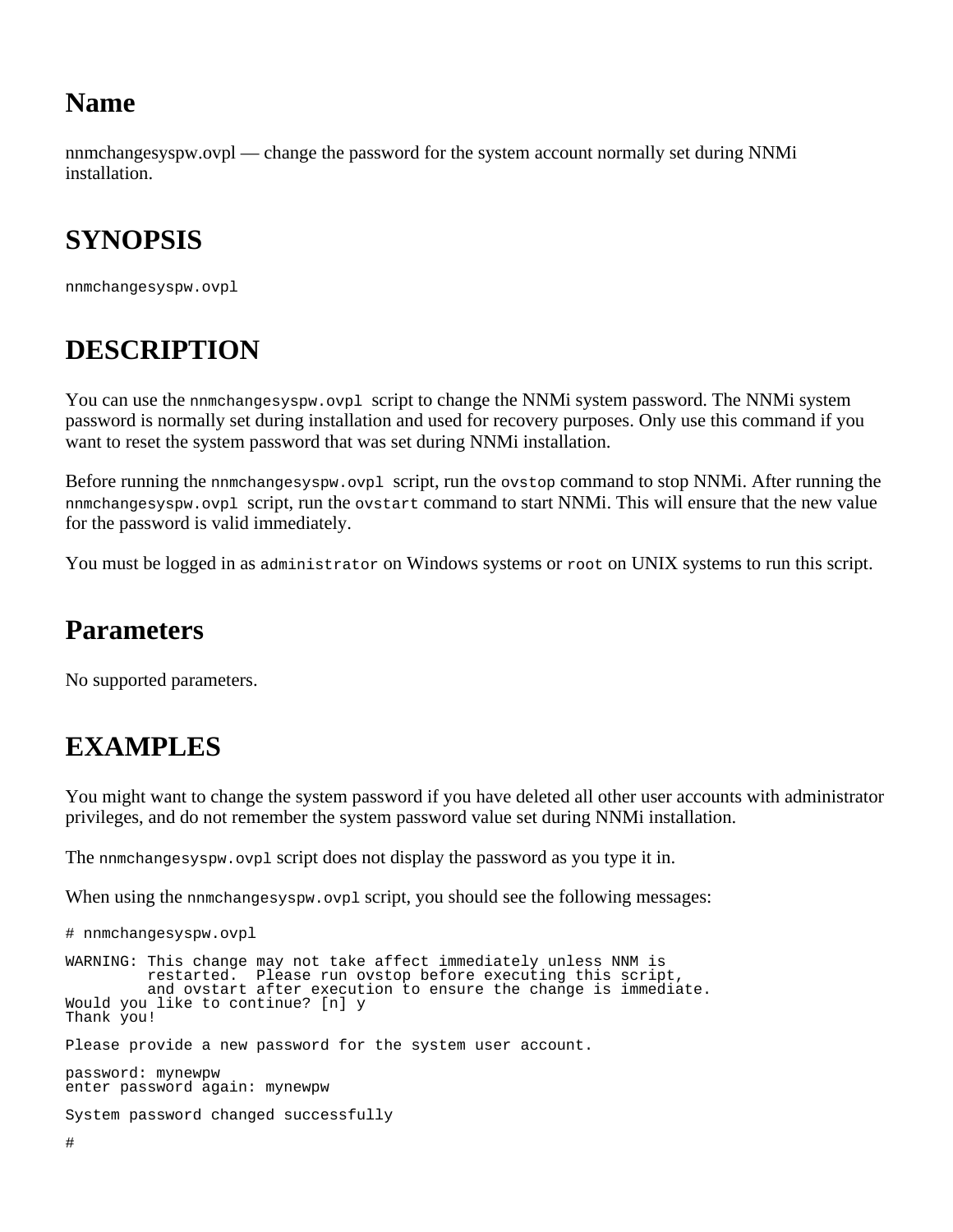nnmchangesyspw.ovpl — change the password for the system account normally set during NNMi installation.

# **SYNOPSIS**

nnmchangesyspw.ovpl

# **DESCRIPTION**

You can use the nnmchangesyspw.ovpl script to change the NNM is system password. The NNM is system password is normally set during installation and used for recovery purposes. Only use this command if you want to reset the system password that was set during NNMi installation.

Before running the nnmchangesyspw.ovpl script, run the ovstop command to stop NNMi. After running the nnmchangesyspw.ovpl script, run the ovstart command to start NNMi. This will ensure that the new value for the password is valid immediately.

You must be logged in as administrator on Windows systems or root on UNIX systems to run this script.

### **Parameters**

No supported parameters.

## **EXAMPLES**

You might want to change the system password if you have deleted all other user accounts with administrator privileges, and do not remember the system password value set during NNMi installation.

The nnmchangesyspw.ovpl script does not display the password as you type it in.

When using the nnmchangesyspw.ovpl script, you should see the following messages:

```
# nnmchangesyspw.ovpl
WARNING: This change may not take affect immediately unless NNM is
          restarted. Please run ovstop before executing this script,
          and ovstart after execution to ensure the change is immediate.
Would you like to continue? [n] y
Thank you!
Please provide a new password for the system user account.
password: mynewpw
enter password again: mynewpw
System password changed successfully
```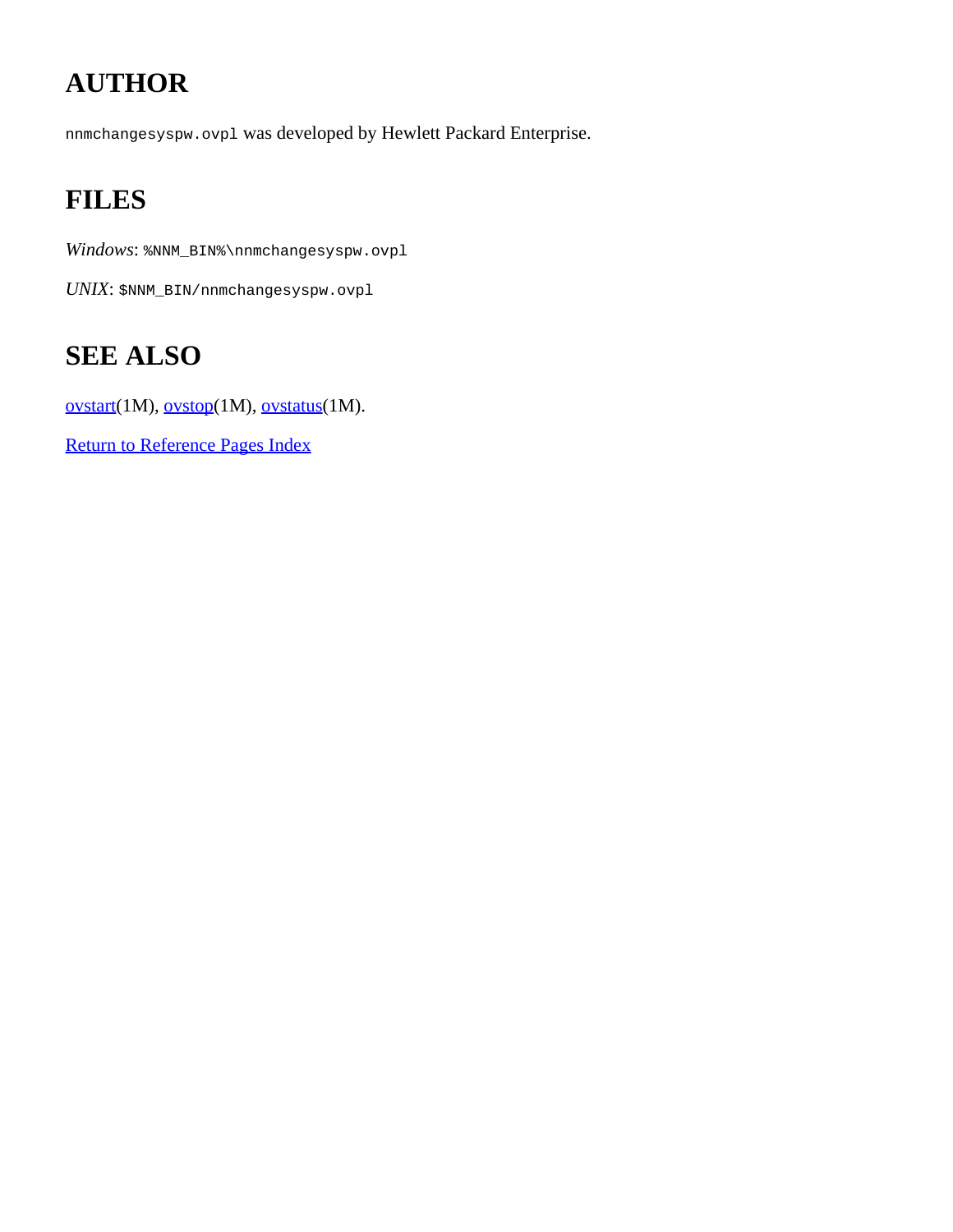# **AUTHOR**

nnmchangesyspw.ovpl was developed by Hewlett Packard Enterprise.

# **FILES**

*Windows*: %NNM\_BIN%\nnmchangesyspw.ovpl

*UNIX*: \$NNM\_BIN/nnmchangesyspw.ovpl

# **SEE ALSO**

[ovstart](#page-325-0)(1M), [ovstop](#page-329-0)(1M), [ovstatus](#page-25-0)(1M).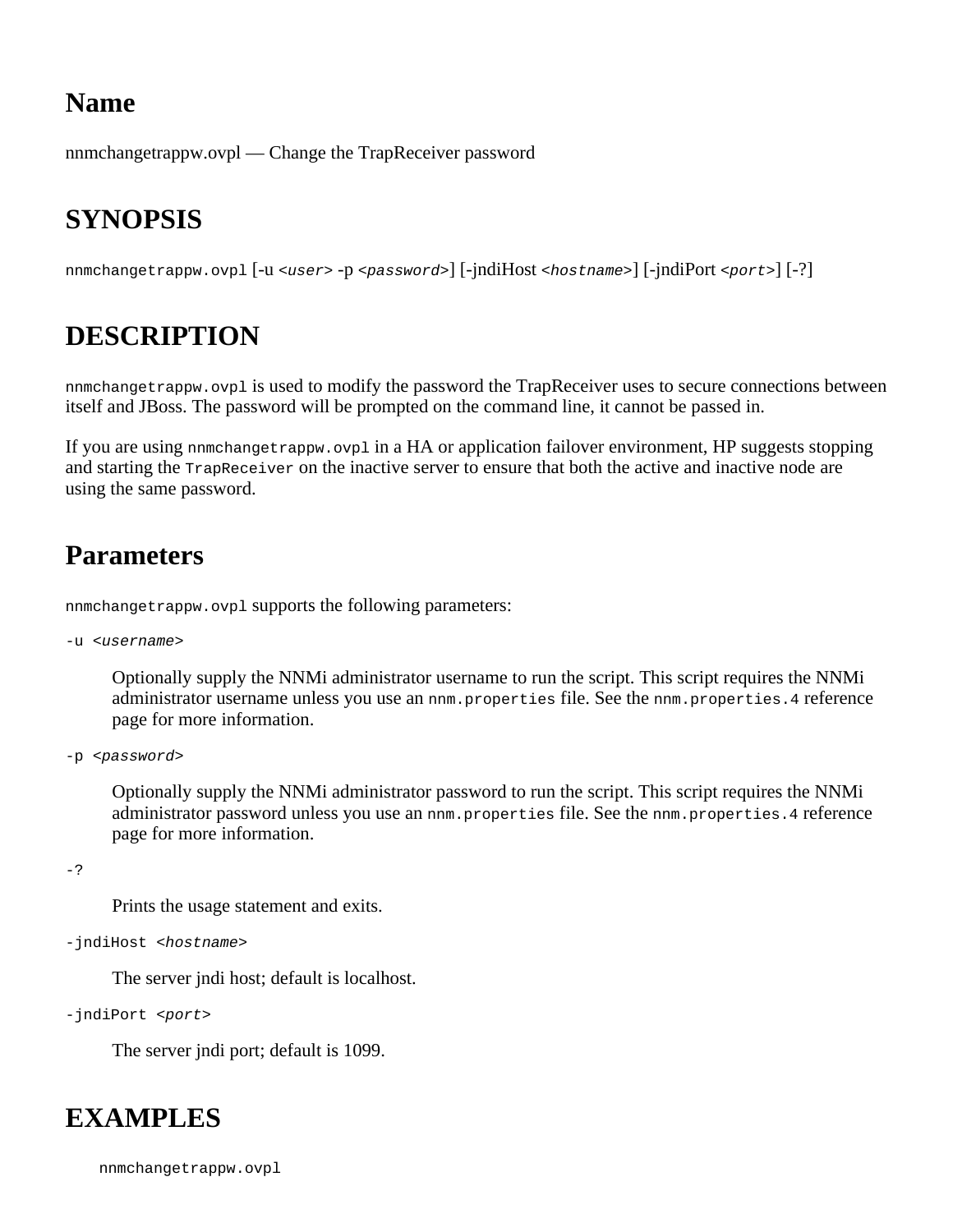nnmchangetrappw.ovpl — Change the TrapReceiver password

# **SYNOPSIS**

nnmchangetrappw.ovpl [-u *<user>* -p *<password>*] [-jndiHost *<hostname>*] [-jndiPort *<port>*] [-?]

# **DESCRIPTION**

nnmchangetrappw.ovpl is used to modify the password the TrapReceiver uses to secure connections between itself and JBoss. The password will be prompted on the command line, it cannot be passed in.

If you are using nnmchangetrappw.ovpl in a HA or application failover environment, HP suggests stopping and starting the TrapReceiver on the inactive server to ensure that both the active and inactive node are using the same password.

## **Parameters**

nnmchangetrappw.ovpl supports the following parameters:

-u <*username*>

Optionally supply the NNMi administrator username to run the script. This script requires the NNMi administrator username unless you use an nnm.properties file. See the nnm.properties. 4 reference page for more information.

-p <*password*>

Optionally supply the NNMi administrator password to run the script. This script requires the NNMi administrator password unless you use an nnm.properties file. See the nnm.properties. 4 reference page for more information.

-?

Prints the usage statement and exits.

```
-jndiHost <hostname>
```
The server jndi host; default is localhost.

-jndiPort <*port*>

The server jndi port; default is 1099.

## **EXAMPLES**

nnmchangetrappw.ovpl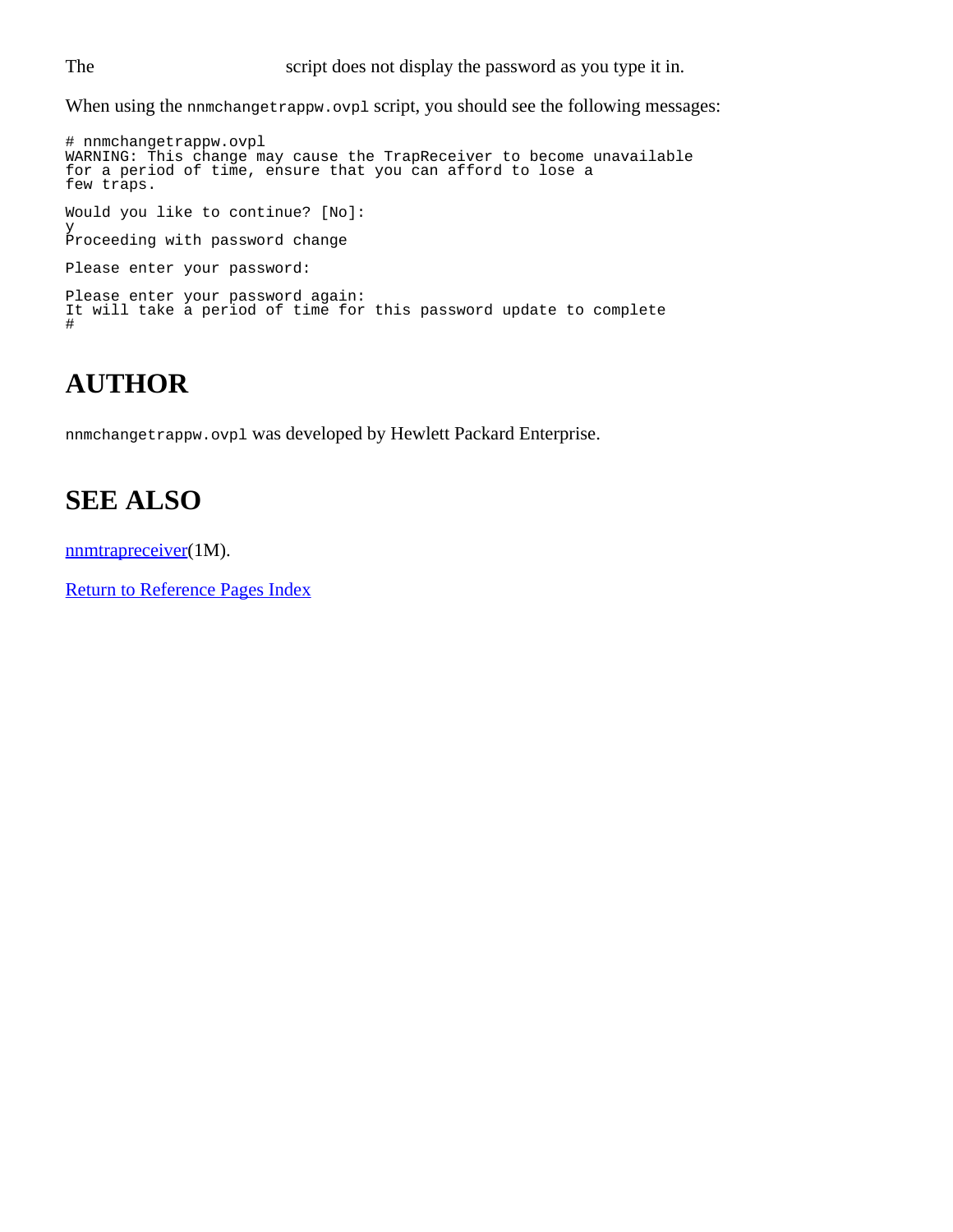The script does not display the password as you type it in.

When using the nnmchangetrappw.ovpl script, you should see the following messages:

```
# nnmchangetrappw.ovpl
WARNING: This change may cause the TrapReceiver to become unavailable
for a period of time, ensure that you can afford to lose a
few traps.
Would you like to continue? [No]: 
y
Proceeding with password change
Please enter your password: 
Please enter your password again: 
It will take a period of time for this password update to complete
#
```
### **AUTHOR**

nnmchangetrappw.ovpl was developed by Hewlett Packard Enterprise.

### **SEE ALSO**

[nnmtrapreceiver](#page-299-0)(1M).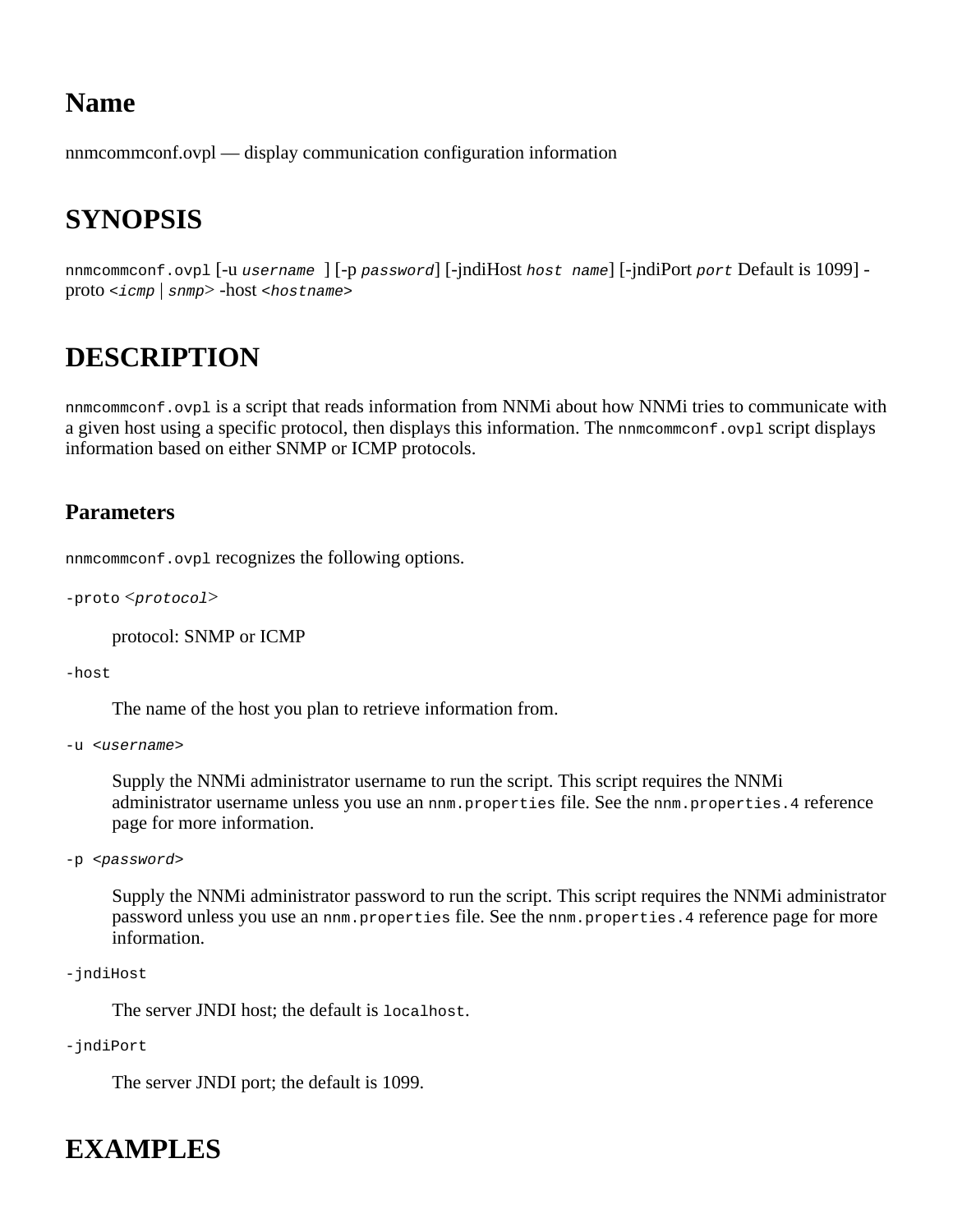<span id="page-51-0"></span>nnmcommconf.ovpl — display communication configuration information

# **SYNOPSIS**

nnmcommconf.ovpl [-u *username* ] [-p *password*] [-jndiHost *host name*] [-jndiPort *port* Default is 1099] proto *<icmp* | *snmp*> -host *<hostname>*

# **DESCRIPTION**

nnmcommconf.ovpl is a script that reads information from NNMi about how NNMi tries to communicate with a given host using a specific protocol, then displays this information. The nnmcommconf.ovpl script displays information based on either SNMP or ICMP protocols.

#### **Parameters**

nnmcommconf.ovpl recognizes the following options.

-proto <*protocol*>

protocol: SNMP or ICMP

-host

The name of the host you plan to retrieve information from.

-u <*username*>

Supply the NNMi administrator username to run the script. This script requires the NNMi administrator username unless you use an nnm.properties file. See the nnm.properties. 4 reference page for more information.

```
-p <password>
```
Supply the NNMi administrator password to run the script. This script requires the NNMi administrator password unless you use an nnm.properties file. See the nnm.properties. 4 reference page for more information.

```
-jndiHost
```
The server JNDI host; the default is localhost.

-jndiPort

The server JNDI port; the default is 1099.

## **EXAMPLES**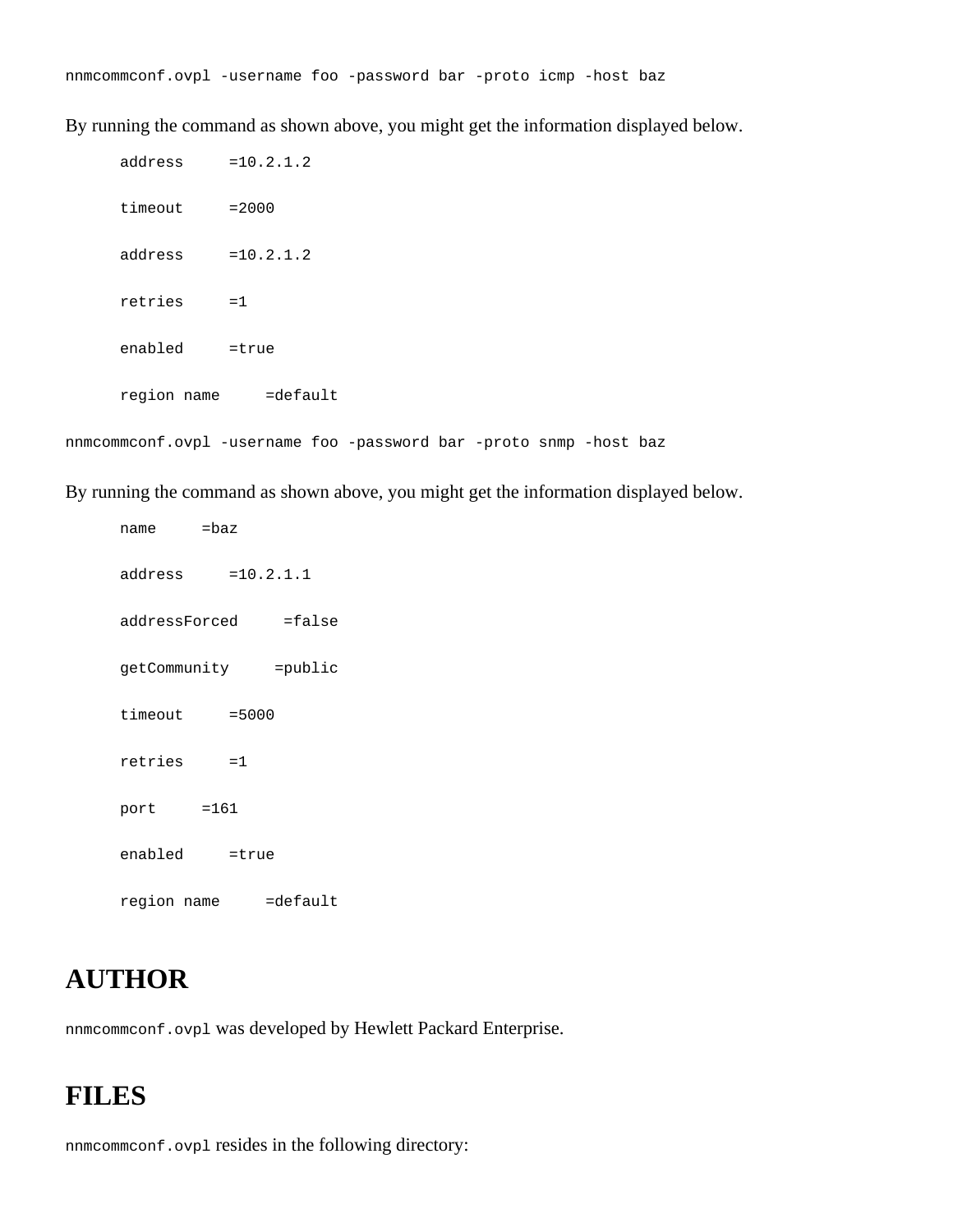By running the command as shown above, you might get the information displayed below.

| $address = 10.2.1.2$ |                                                                    |  |  |  |
|----------------------|--------------------------------------------------------------------|--|--|--|
| timeout              | $= 2000$                                                           |  |  |  |
| $address = 10.2.1.2$ |                                                                    |  |  |  |
| retries              | $=1$                                                               |  |  |  |
| enabled              | =true                                                              |  |  |  |
|                      | region name =default                                               |  |  |  |
|                      | nnmcommconf.ovpl -username foo -password bar -proto snmp -host baz |  |  |  |

By running the command as shown above, you might get the information displayed below.

| name          | $=$ baz  |             |
|---------------|----------|-------------|
| address       |          | $=10.2.1.1$ |
| addressForced |          | =false      |
| getCommunity  |          | =public     |
| timeout       | $= 5000$ |             |
| retries       | $=1$     |             |
| port          | $=161$   |             |
| enabled       | =true    |             |
| region name   |          | $=$ default |

### **AUTHOR**

nnmcommconf.ovpl was developed by Hewlett Packard Enterprise.

### **FILES**

nnmcommconf.ovpl resides in the following directory: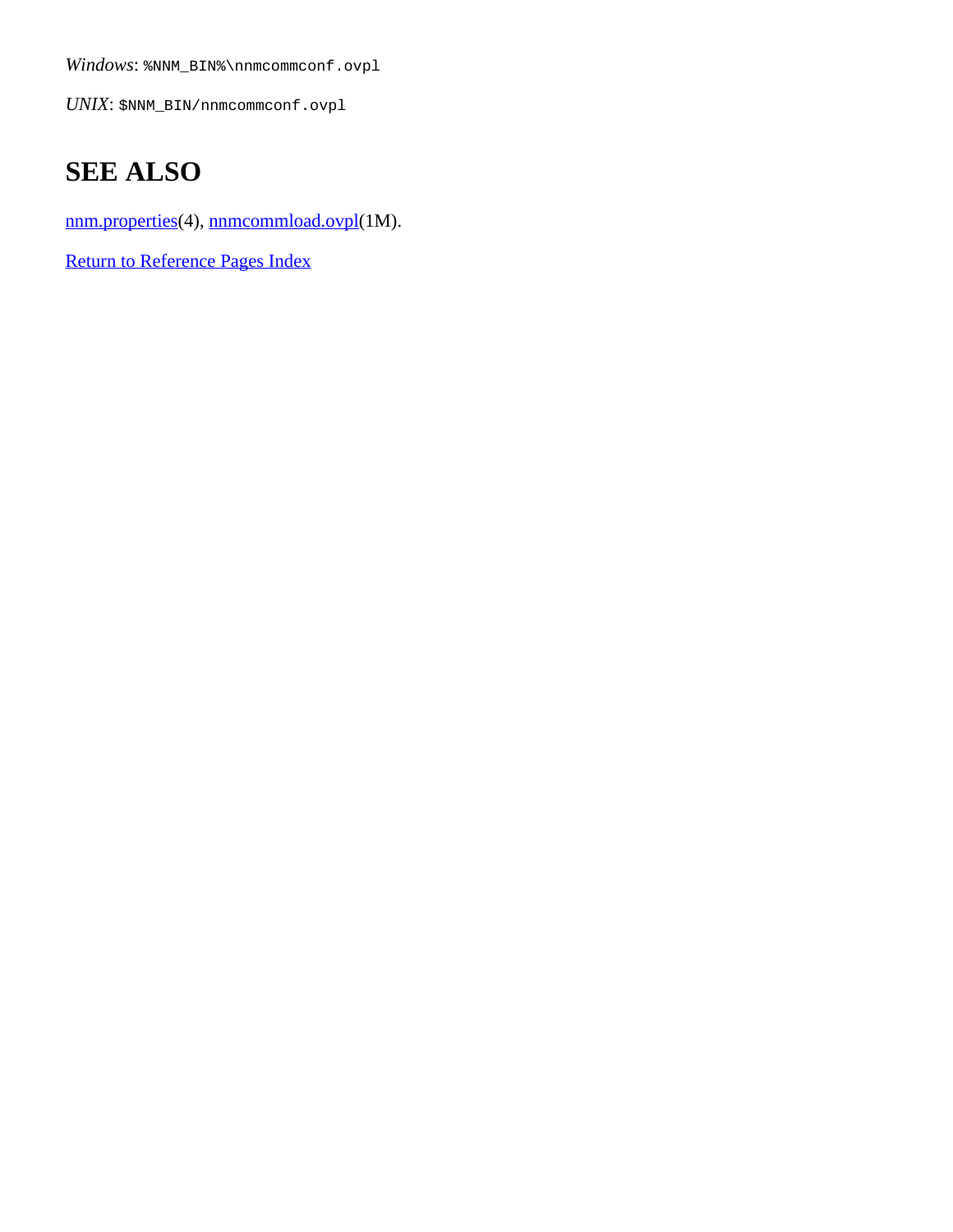*Windows*: %NNM\_BIN%\nnmcommconf.ovpl

*UNIX*: \$NNM\_BIN/nnmcommconf.ovpl

# **SEE ALSO**

[nnm.properties](#page-212-0)(4), [nnmcommload.ovpl](#page-54-0)(1M).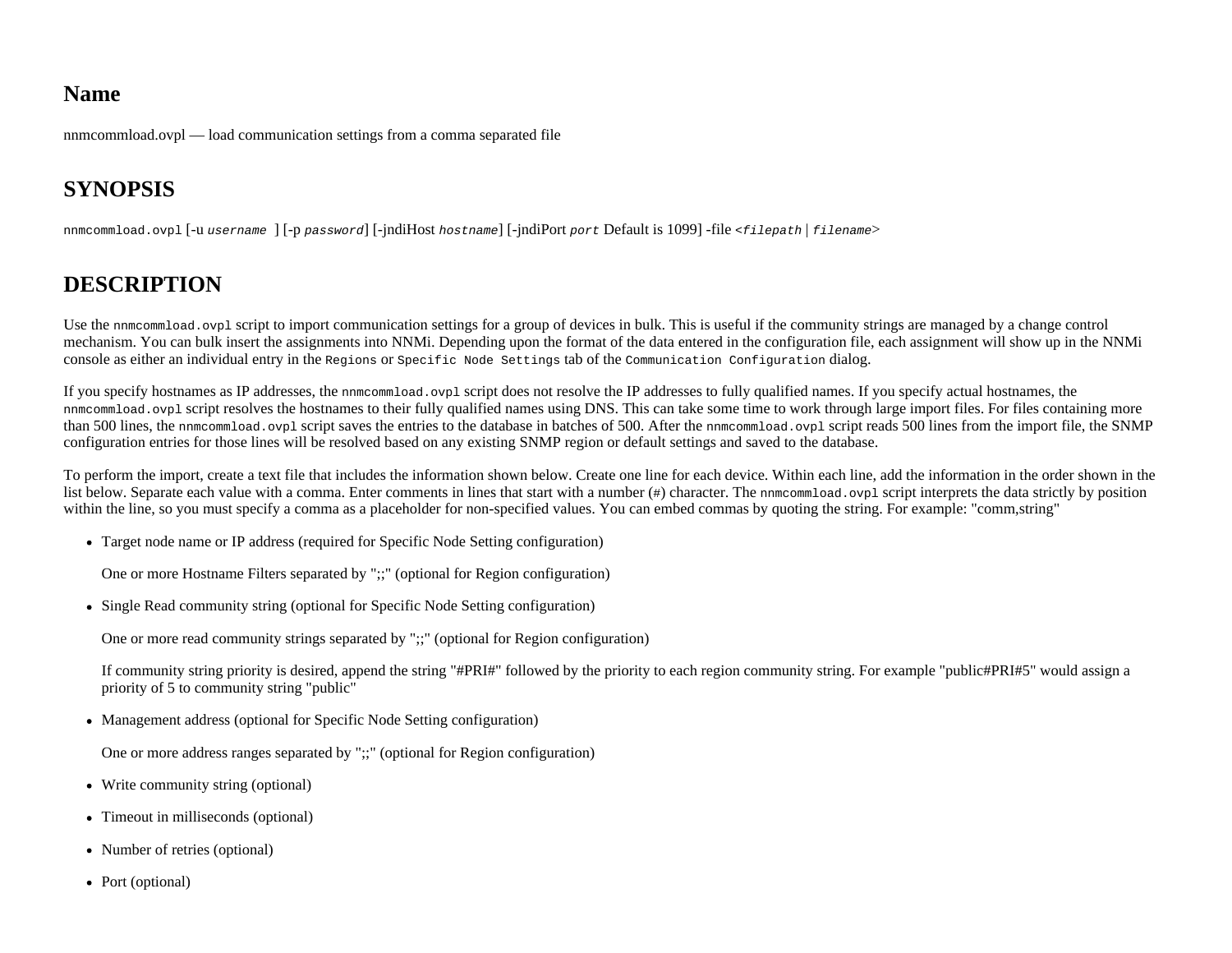nnmcommload.ovpl — load communication settings from a comma separated file

### **SYNOPSIS**

nnmcommload.ovpl [-u *username* ] [-p *password*] [-jndiHost *hostname*] [-jndiPort *port* Default is 1099] -file *<filepath* | *filename*>

### <span id="page-54-0"></span>**DESCRIPTION**

Use the nnmcommload.ovpl script to import communication settings for a group of devices in bulk. This is useful if the community strings are managed by a change control mechanism. You can bulk insert the assignments into NNMi. Depending upon the format of the data entered in the configuration file, each assignment will show up in the NNMi console as either an individual entry in the Regions or Specific Node Settings tab of the Communication Configuration dialog.

If you specify hostnames as IP addresses, the nnmcommload.ovpl script does not resolve the IP addresses to fully qualified names. If you specify actual hostnames, the nnmcommload.ovpl script resolves the hostnames to their fully qualified names using DNS. This can take some time to work through large import files. For files containing more than 500 lines, the nnmcommload.ovpl script saves the entries to the database in batches of 500. After the nnmcommload.ovpl script reads 500 lines from the import file, the SNMP configuration entries for those lines will be resolved based on any existing SNMP region or default settings and saved to the database.

To perform the import, create a text file that includes the information shown below. Create one line for each device. Within each line, add the information in the order shown in the list below. Separate each value with a comma. Enter comments in lines that start with a number (#) character. The nnmcommload.ovpl script interprets the data strictly by position within the line, so you must specify a comma as a placeholder for non-specified values. You can embed commas by quoting the string. For example: "comm,string"

Target node name or IP address (required for Specific Node Setting configuration)

One or more Hostname Filters separated by ";;" (optional for Region configuration)

• Single Read community string (optional for Specific Node Setting configuration)

One or more read community strings separated by ";;" (optional for Region configuration)

If community string priority is desired, append the string "#PRI#" followed by the priority to each region community string. For example "public#PRI#5" would assign a priority of 5 to community string "public"

Management address (optional for Specific Node Setting configuration)

One or more address ranges separated by ";;" (optional for Region configuration)

- Write community string (optional)
- Timeout in milliseconds (optional)
- Number of retries (optional)
- Port (optional)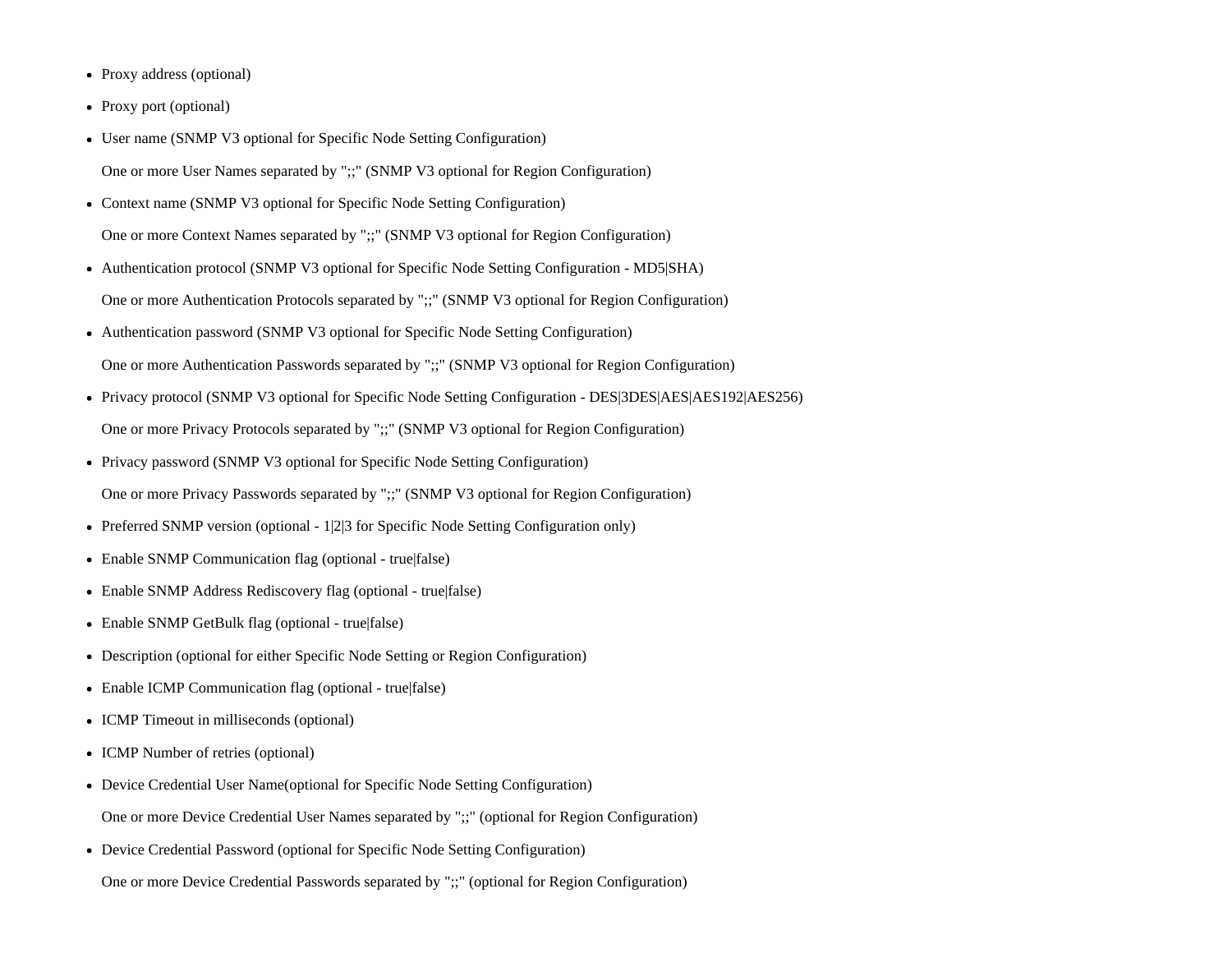- Proxy address (optional)
- Proxy port (optional)
- User name (SNMP V3 optional for Specific Node Setting Configuration) One or more User Names separated by ";;" (SNMP V3 optional for Region Configuration)
- Context name (SNMP V3 optional for Specific Node Setting Configuration) One or more Context Names separated by ";;" (SNMP V3 optional for Region Configuration)
- Authentication protocol (SNMP V3 optional for Specific Node Setting Configuration MD5 [SHA] One or more Authentication Protocols separated by ";;" (SNMP V3 optional for Region Configuration)
- Authentication password (SNMP V3 optional for Specific Node Setting Configuration) One or more Authentication Passwords separated by ";;" (SNMP V3 optional for Region Configuration)
- Privacy protocol (SNMP V3 optional for Specific Node Setting Configuration DES|3DES|AES|AES192|AES256) One or more Privacy Protocols separated by ";;" (SNMP V3 optional for Region Configuration)
- Privacy password (SNMP V3 optional for Specific Node Setting Configuration) One or more Privacy Passwords separated by ";;" (SNMP V3 optional for Region Configuration)
- Preferred SNMP version (optional 1|2|3 for Specific Node Setting Configuration only)
- Enable SNMP Communication flag (optional true|false)
- Enable SNMP Address Rediscovery flag (optional true|false)
- Enable SNMP GetBulk flag (optional true|false)
- Description (optional for either Specific Node Setting or Region Configuration)
- Enable ICMP Communication flag (optional true false)
- ICMP Timeout in milliseconds (optional)
- ICMP Number of retries (optional)
- Device Credential User Name(optional for Specific Node Setting Configuration)
	- One or more Device Credential User Names separated by ";;" (optional for Region Configuration)
- Device Credential Password (optional for Specific Node Setting Configuration)
	- One or more Device Credential Passwords separated by ";;" (optional for Region Configuration)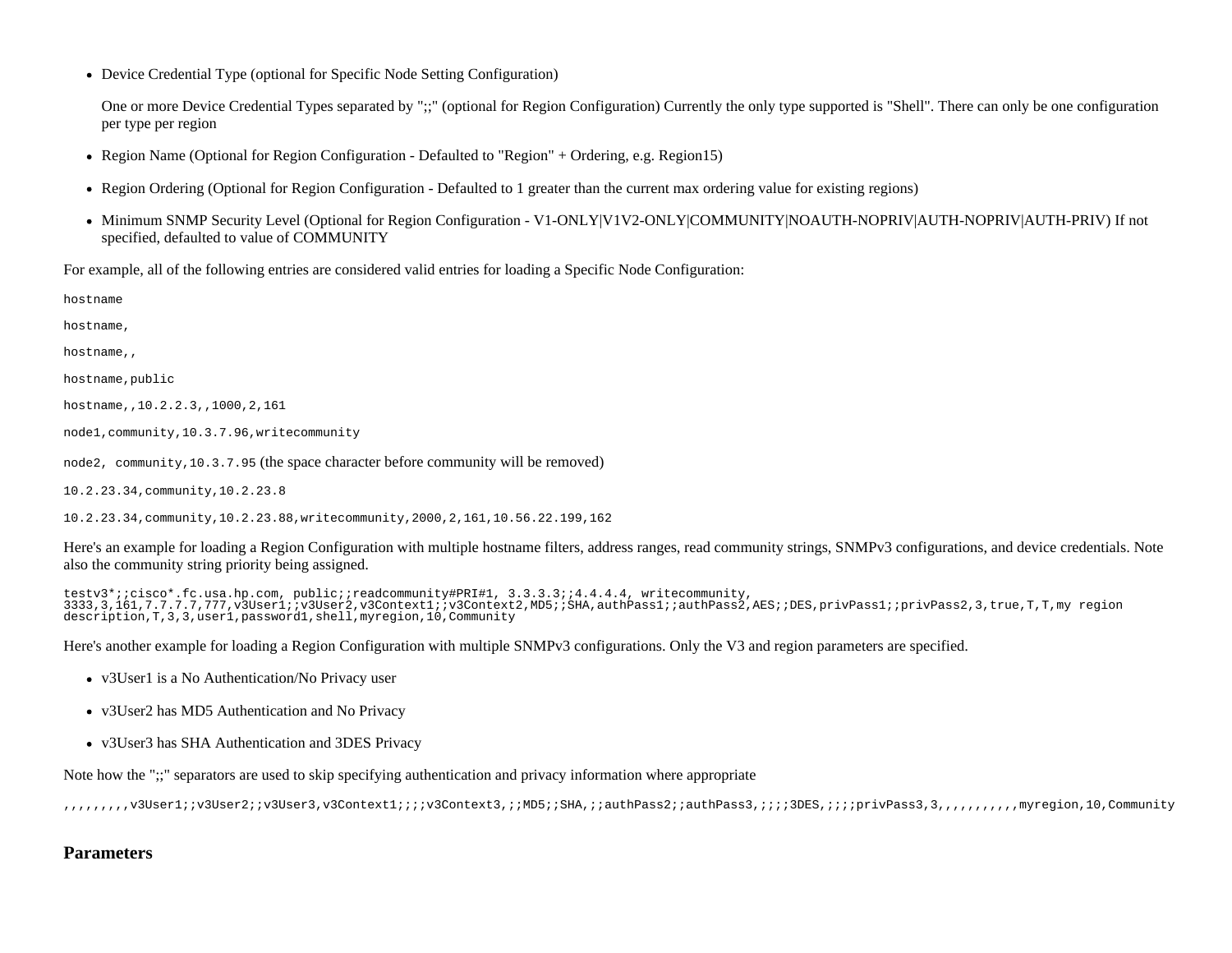Device Credential Type (optional for Specific Node Setting Configuration)

One or more Device Credential Types separated by ";;" (optional for Region Configuration) Currently the only type supported is "Shell". There can only be one configuration per type per region

- Region Name (Optional for Region Configuration Defaulted to "Region" + Ordering, e.g. Region15)
- Region Ordering (Optional for Region Configuration Defaulted to 1 greater than the current max ordering value for existing regions)
- Minimum SNMP Security Level (Optional for Region Configuration V1-ONLY|V1V2-ONLY|COMMUNITY|NOAUTH-NOPRIV|AUTH-NOPRIV|AUTH-PRIV) If not specified, defaulted to value of COMMUNITY

For example, all of the following entries are considered valid entries for loading a Specific Node Configuration:

hostname

hostname,

hostname,,

hostname,public

hostname,,10.2.2.3,,1000,2,161

node1,community,10.3.7.96,writecommunity

node2, community,10.3.7.95 (the space character before community will be removed)

10.2.23.34,community,10.2.23.8

10.2.23.34,community,10.2.23.88,writecommunity,2000,2,161,10.56.22.199,162

Here's an example for loading a Region Configuration with multiple hostname filters, address ranges, read community strings, SNMPv3 configurations, and device credentials. Note also the community string priority being assigned.

testv3\*;;cisco\*.fc.usa.hp.com, public;;readcommunity#PRI#1, 3.3.3.3;;4.4.4.4, writecommunity,<br>3333,3,161,7.7.7.7,777,v3User1;;v3User2,v3Context1;;v3Context2,MD5;;SHA,authPass1;;authPass2,AES;;DES,privPass1;;privPass2,3,tru description, T, 3, 3, user1, password1, shell, myregion, 10, Community

Here's another example for loading a Region Configuration with multiple SNMPv3 configurations. Only the V3 and region parameters are specified.

- v3User1 is a No Authentication/No Privacy user
- v3User2 has MD5 Authentication and No Privacy
- v3User3 has SHA Authentication and 3DES Privacy

Note how the ";;" separators are used to skip specifying authentication and privacy information where appropriate

,,,,,,,,,v3User1;;v3User2;;v3User3,v3Context1;;;;v3Context3,;;MD5;;SHA,;;authPass2;;authPass3,;;;;3DES,;;;;privPass3,3,,,,,,,,,,,myregion,10,Community

#### **Parameters**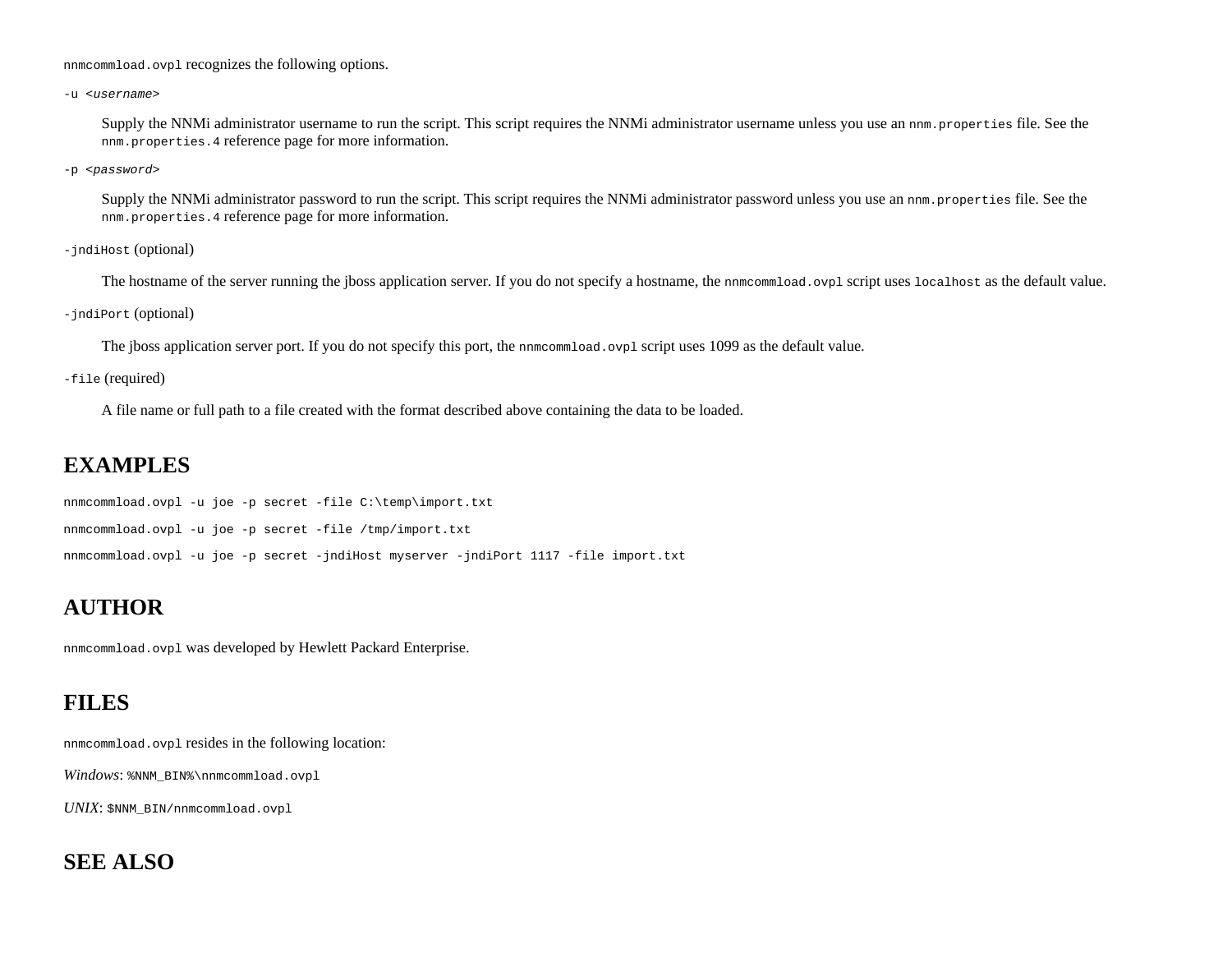nnmcommload.ovpl recognizes the following options.

-u <*username*>

Supply the NNMi administrator username to run the script. This script requires the NNMi administrator username unless you use an nnm.properties file. See the nnm.properties.4 reference page for more information.

-p <*password*>

Supply the NNMi administrator password to run the script. This script requires the NNMi administrator password unless you use an nnm. properties file. See the nnm.properties.4 reference page for more information.

-jndiHost (optional)

The hostname of the server running the jboss application server. If you do not specify a hostname, the nnmcommload.ovpl script uses localhost as the default value.

-jndiPort (optional)

The jboss application server port. If you do not specify this port, the nnmcommload.ovpl script uses 1099 as the default value.

-file (required)

A file name or full path to a file created with the format described above containing the data to be loaded.

#### **EXAMPLES**

nnmcommload.ovpl -u joe -p secret -file C:\temp\import.txt nnmcommload.ovpl -u joe -p secret -file /tmp/import.txt

nnmcommload.ovpl -u joe -p secret -jndiHost myserver -jndiPort 1117 -file import.txt

#### **AUTHOR**

nnmcommload.ovpl was developed by Hewlett Packard Enterprise.

#### **FILES**

nnmcommload.ovpl resides in the following location:

*Windows*: %NNM\_BIN%\nnmcommload.ovpl

*UNIX*: \$NNM\_BIN/nnmcommload.ovpl

#### **SEE ALSO**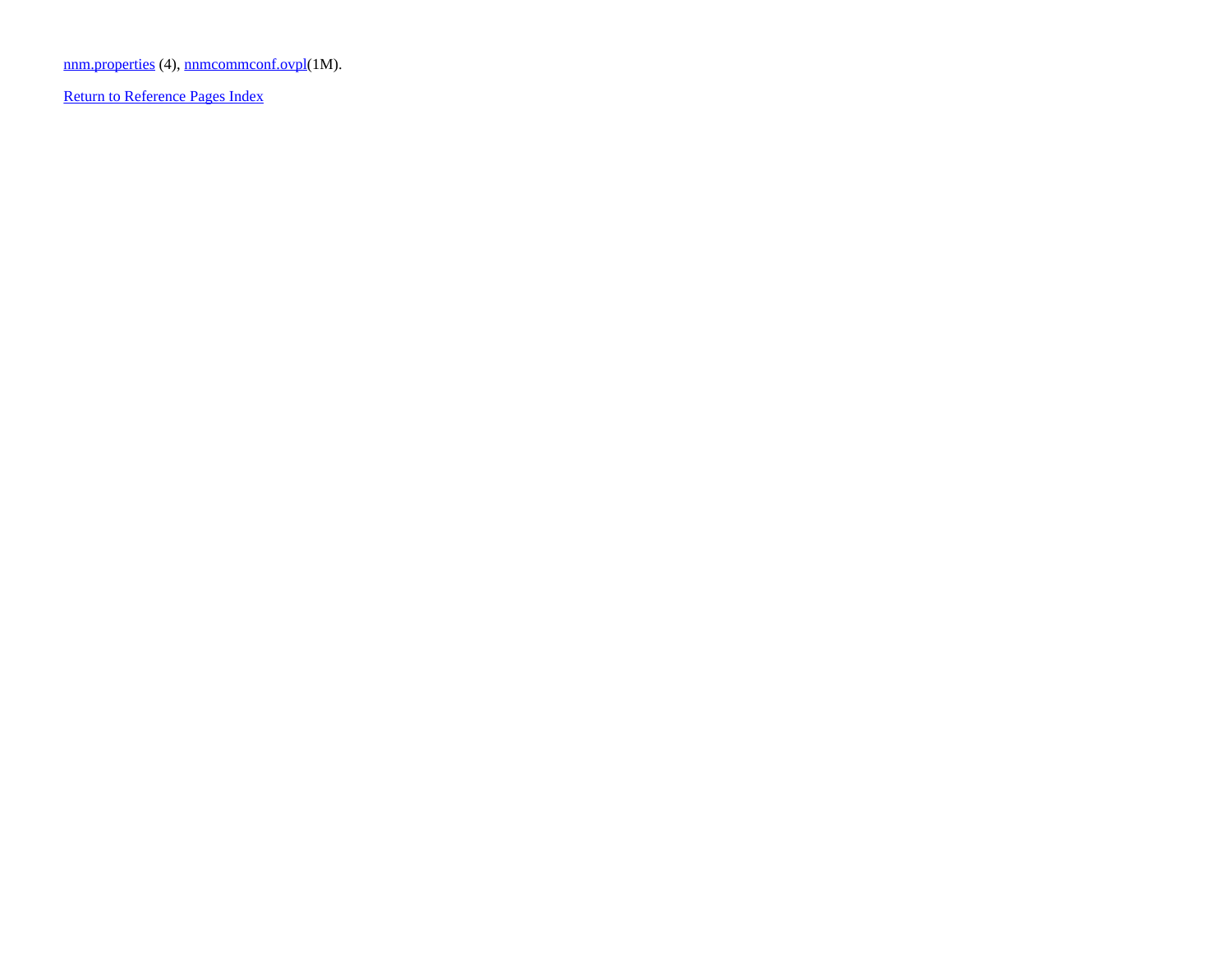[nnm.properties](#page-212-1) (4), [nnmcommconf.ovpl](#page-51-0)(1M).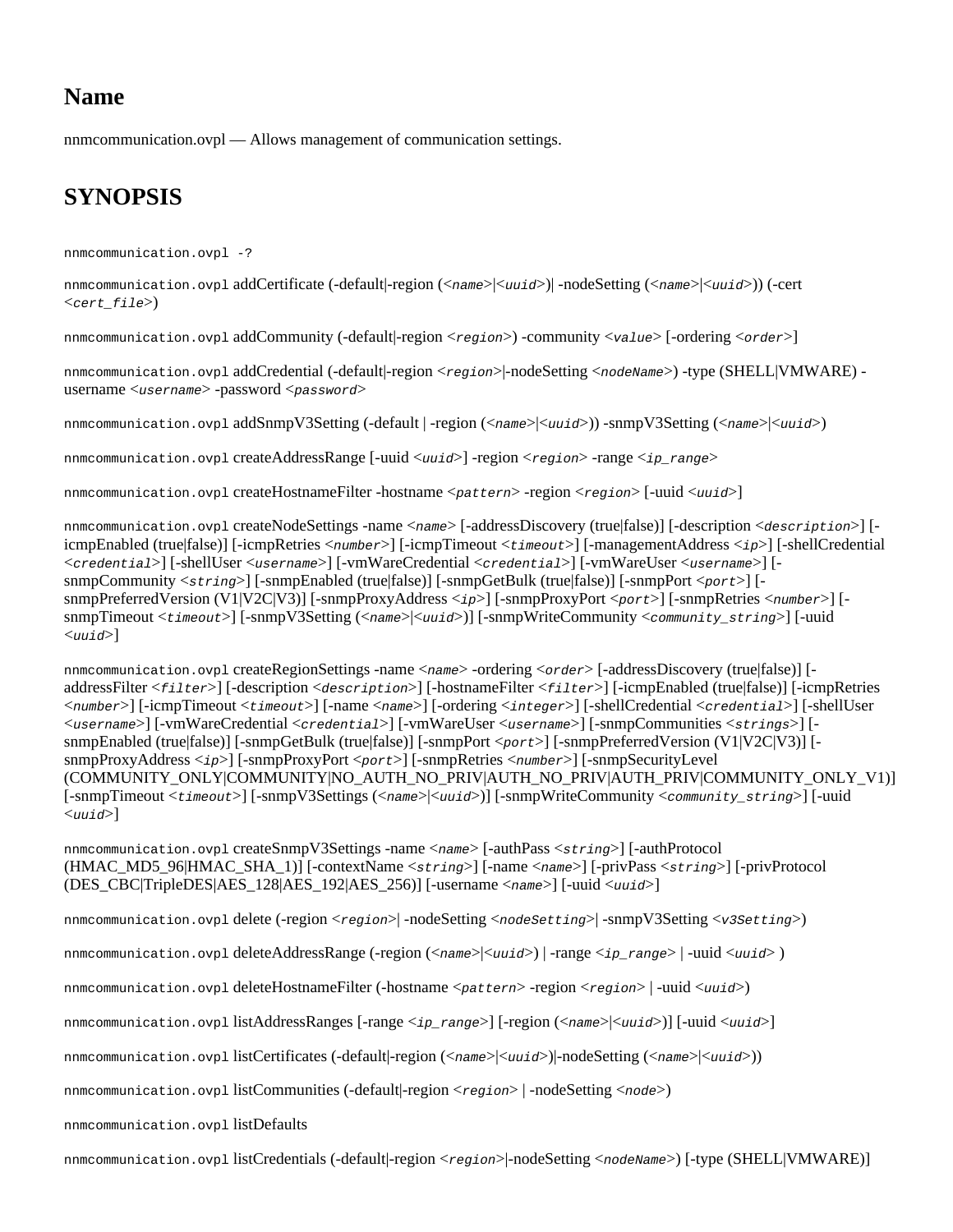nnmcommunication.ovpl — Allows management of communication settings.

### **SYNOPSIS**

<span id="page-59-0"></span>nnmcommunication.ovpl -?

nnmcommunication.ovpl addCertificate (-default|-region (<*name*>|<*uuid*>)| -nodeSetting (<*name*>|<*uuid*>)) (-cert <*cert\_file*>)

nnmcommunication.ovpl addCommunity (-default|-region <*region*>) -community <*value*> [-ordering <*order*>]

nnmcommunication.ovpl addCredential (-default|-region <*region*>|-nodeSetting <*nodeName*>) -type (SHELL|VMWARE) username <*username*> -password <*password*>

nnmcommunication.ovpl addSnmpV3Setting (-default | -region (<*name*>|<*uuid*>)) -snmpV3Setting (<*name*>|<*uuid*>)

nnmcommunication.ovpl createAddressRange [-uuid <*uuid*>] -region <*region*> -range <*ip\_range*>

nnmcommunication.ovpl createHostnameFilter -hostname <*pattern*> -region <*region*> [-uuid <*uuid*>]

nnmcommunication.ovpl createNodeSettings -name <*name*> [-addressDiscovery (true|false)] [-description <*description*>] [ icmpEnabled (true|false)] [-icmpRetries <*number*>] [-icmpTimeout <*timeout*>] [-managementAddress <*ip*>] [-shellCredential <*credential*>] [-shellUser <*username*>] [-vmWareCredential <*credential*>] [-vmWareUser <*username*>] [ snmpCommunity <*string*>] [-snmpEnabled (true|false)] [-snmpGetBulk (true|false)] [-snmpPort <*port*>] [ snmpPreferredVersion (V1|V2C|V3)] [-snmpProxyAddress <*ip*>] [-snmpProxyPort <*port*>] [-snmpRetries <*number*>] [ snmpTimeout <*timeout*>] [-snmpV3Setting (<*name*>|<*uuid*>)] [-snmpWriteCommunity <*community\_string*>] [-uuid <*uuid*>]

nnmcommunication.ovpl createRegionSettings -name <*name*> -ordering <*order*> [-addressDiscovery (true|false)] [ addressFilter <*filter*>] [-description <*description*>] [-hostnameFilter <*filter*>] [-icmpEnabled (true|false)] [-icmpRetries <*number*>] [-icmpTimeout <*timeout*>] [-name <*name*>] [-ordering <*integer*>] [-shellCredential <*credential*>] [-shellUser <*username*>] [-vmWareCredential <*credential*>] [-vmWareUser <*username*>] [-snmpCommunities <*strings*>] [ snmpEnabled (true|false)] [-snmpGetBulk (true|false)] [-snmpPort <*port*>] [-snmpPreferredVersion (V1|V2C|V3)] [ snmpProxyAddress <*ip*>] [-snmpProxyPort <*port*>] [-snmpRetries <*number*>] [-snmpSecurityLevel (COMMUNITY\_ONLY|COMMUNITY|NO\_AUTH\_NO\_PRIV|AUTH\_NO\_PRIV|AUTH\_PRIV|COMMUNITY\_ONLY\_V1)] [-snmpTimeout <*timeout*>] [-snmpV3Settings (<*name*>|<*uuid*>)] [-snmpWriteCommunity <*community\_string*>] [-uuid <*uuid*>]

nnmcommunication.ovpl createSnmpV3Settings -name <*name*> [-authPass <*string*>] [-authProtocol (HMAC\_MD5\_96|HMAC\_SHA\_1)] [-contextName <*string*>] [-name <*name*>] [-privPass <*string*>] [-privProtocol (DES\_CBC|TripleDES|AES\_128|AES\_192|AES\_256)] [-username <*name*>] [-uuid <*uuid*>]

nnmcommunication.ovpl delete (-region <*region*>| -nodeSetting <*nodeSetting*>| -snmpV3Setting <*v3Setting*>)

nnmcommunication.ovpl deleteAddressRange (-region (<*name*>|<*uuid*>) | -range <*ip\_range*> | -uuid <*uuid*> )

nnmcommunication.ovpl deleteHostnameFilter (-hostname <*pattern*> -region <*region*> | -uuid <*uuid*>)

nnmcommunication.ovpl listAddressRanges [-range <*ip\_range*>] [-region (<*name*>|<*uuid*>)] [-uuid <*uuid*>]

nnmcommunication.ovpl listCertificates (-default|-region (<*name*>|<*uuid*>)|-nodeSetting (<*name*>|<*uuid*>))

nnmcommunication.ovpl listCommunities (-default|-region <*region*> | -nodeSetting <*node*>)

nnmcommunication.ovpl listDefaults

nnmcommunication.ovpl listCredentials (-default|-region <*region*>|-nodeSetting <*nodeName*>) [-type (SHELL|VMWARE)]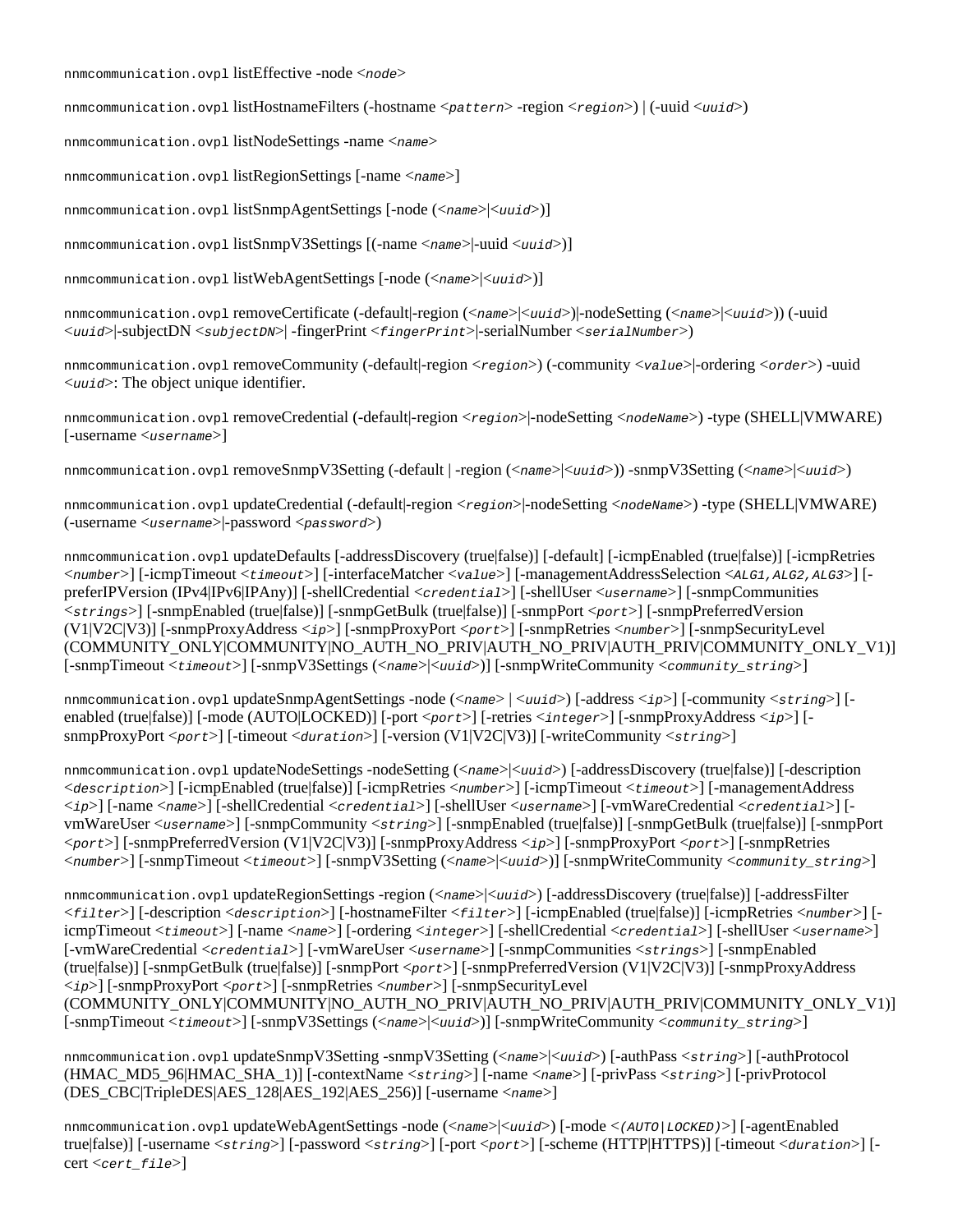nnmcommunication.ovpl listEffective -node <*node*>

nnmcommunication.ovpl listHostnameFilters (-hostname <*pattern*> -region <*region*>) | (-uuid <*uuid*>)

nnmcommunication.ovpl listNodeSettings -name <*name*>

nnmcommunication.ovpl listRegionSettings [-name <*name*>]

nnmcommunication.ovpl listSnmpAgentSettings [-node (<*name*>|<*uuid*>)]

nnmcommunication.ovpl listSnmpV3Settings [(-name <*name*>|-uuid <*uuid*>)]

nnmcommunication.ovpl listWebAgentSettings [-node (<*name*>|<*uuid*>)]

nnmcommunication.ovpl removeCertificate (-default|-region (<*name*>|<*uuid*>)|-nodeSetting (<*name*>|<*uuid*>)) (-uuid <*uuid*>|-subjectDN <*subjectDN*>| -fingerPrint <*fingerPrint*>|-serialNumber <*serialNumber*>)

nnmcommunication.ovpl removeCommunity (-default|-region <*region*>) (-community <*value*>|-ordering <*order*>) -uuid <*uuid*>: The object unique identifier.

nnmcommunication.ovpl removeCredential (-default|-region <*region*>|-nodeSetting <*nodeName*>) -type (SHELL|VMWARE) [-username <*username*>]

nnmcommunication.ovpl removeSnmpV3Setting (-default | -region (<*name*>|<*uuid*>)) -snmpV3Setting (<*name*>|<*uuid*>)

nnmcommunication.ovpl updateCredential (-default|-region <*region*>|-nodeSetting <*nodeName*>) -type (SHELL|VMWARE) (-username <*username*>|-password <*password*>)

nnmcommunication.ovpl updateDefaults [-addressDiscovery (true|false)] [-default] [-icmpEnabled (true|false)] [-icmpRetries <*number*>] [-icmpTimeout <*timeout*>] [-interfaceMatcher <*value*>] [-managementAddressSelection <*ALG1,ALG2,ALG3*>] [ preferIPVersion (IPv4|IPv6|IPAny)] [-shellCredential <*credential*>] [-shellUser <*username*>] [-snmpCommunities <*strings*>] [-snmpEnabled (true|false)] [-snmpGetBulk (true|false)] [-snmpPort <*port*>] [-snmpPreferredVersion (V1|V2C|V3)] [-snmpProxyAddress <*ip*>] [-snmpProxyPort <*port*>] [-snmpRetries <*number*>] [-snmpSecurityLevel (COMMUNITY\_ONLY|COMMUNITY|NO\_AUTH\_NO\_PRIV|AUTH\_NO\_PRIV|AUTH\_PRIV|COMMUNITY\_ONLY\_V1)] [-snmpTimeout <*timeout*>] [-snmpV3Settings (<*name*>|<*uuid*>)] [-snmpWriteCommunity <*community\_string*>]

nnmcommunication.ovpl updateSnmpAgentSettings -node (<*name*> | <*uuid*>) [-address <*ip*>] [-community <*string*>] [ enabled (true|false)] [-mode (AUTO|LOCKED)] [-port <*port*>] [-retries <*integer*>] [-snmpProxyAddress <*ip*>] [ snmpProxyPort <*port*>] [-timeout <*duration*>] [-version (V1|V2C|V3)] [-writeCommunity <*string*>]

nnmcommunication.ovpl updateNodeSettings -nodeSetting (<*name*>|<*uuid*>) [-addressDiscovery (true|false)] [-description <*description*>] [-icmpEnabled (true|false)] [-icmpRetries <*number*>] [-icmpTimeout <*timeout*>] [-managementAddress <*ip*>] [-name <*name*>] [-shellCredential <*credential*>] [-shellUser <*username*>] [-vmWareCredential <*credential*>] [ vmWareUser <*username*>] [-snmpCommunity <*string*>] [-snmpEnabled (true|false)] [-snmpGetBulk (true|false)] [-snmpPort <*port*>] [-snmpPreferredVersion (V1|V2C|V3)] [-snmpProxyAddress <*ip*>] [-snmpProxyPort <*port*>] [-snmpRetries <*number*>] [-snmpTimeout <*timeout*>] [-snmpV3Setting (<*name*>|<*uuid*>)] [-snmpWriteCommunity <*community\_string*>]

nnmcommunication.ovpl updateRegionSettings -region (<*name*>|<*uuid*>) [-addressDiscovery (true|false)] [-addressFilter <*filter*>] [-description <*description*>] [-hostnameFilter <*filter*>] [-icmpEnabled (true|false)] [-icmpRetries <*number*>] [ icmpTimeout <*timeout*>] [-name <*name*>] [-ordering <*integer*>] [-shellCredential <*credential*>] [-shellUser <*username*>] [-vmWareCredential <*credential*>] [-vmWareUser <*username*>] [-snmpCommunities <*strings*>] [-snmpEnabled (true|false)] [-snmpGetBulk (true|false)] [-snmpPort <*port*>] [-snmpPreferredVersion (V1|V2C|V3)] [-snmpProxyAddress <*ip*>] [-snmpProxyPort <*port*>] [-snmpRetries <*number*>] [-snmpSecurityLevel (COMMUNITY\_ONLY|COMMUNITY|NO\_AUTH\_NO\_PRIV|AUTH\_NO\_PRIV|AUTH\_PRIV|COMMUNITY\_ONLY\_V1)] [-snmpTimeout <*timeout*>] [-snmpV3Settings (<*name*>|<*uuid*>)] [-snmpWriteCommunity <*community\_string*>]

nnmcommunication.ovpl updateSnmpV3Setting -snmpV3Setting (<*name*>|<*uuid*>) [-authPass <*string*>] [-authProtocol (HMAC\_MD5\_96|HMAC\_SHA\_1)] [-contextName <*string*>] [-name <*name*>] [-privPass <*string*>] [-privProtocol (DES\_CBC|TripleDES|AES\_128|AES\_192|AES\_256)] [-username <*name*>]

nnmcommunication.ovpl updateWebAgentSettings -node (<*name*>|<*uuid*>) [-mode <*(AUTO|LOCKED)*>] [-agentEnabled true|false)] [-username <*string*>] [-password <*string*>] [-port <*port*>] [-scheme (HTTP|HTTPS)] [-timeout <*duration*>] [ cert <*cert\_file*>]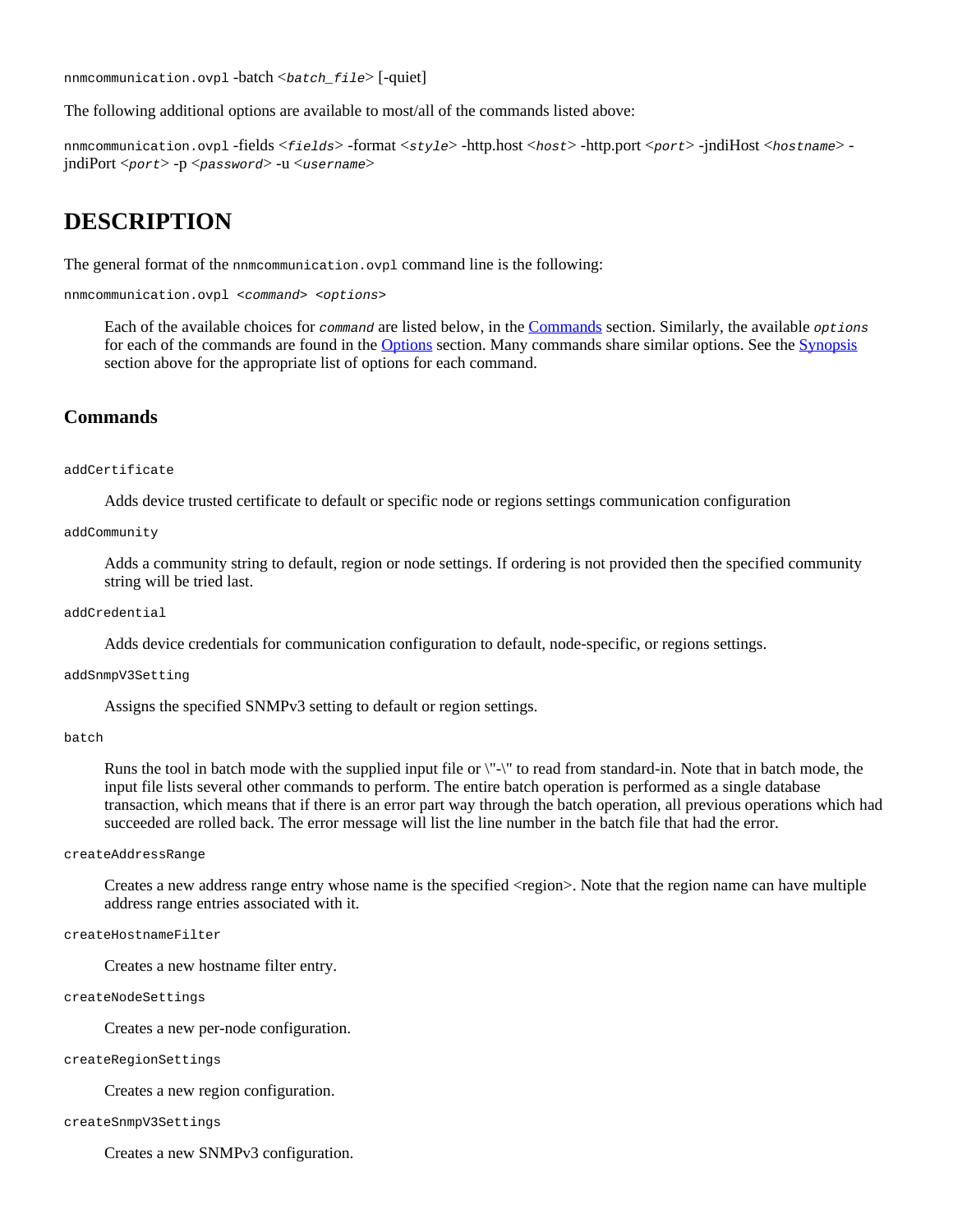nnmcommunication.ovpl -batch <*batch\_file*> [-quiet]

The following additional options are available to most/all of the commands listed above:

nnmcommunication.ovpl -fields <*fields*> -format <*style*> -http.host <*host*> -http.port <*port*> -jndiHost <*hostname*> jndiPort <*port*> -p <*password*> -u <*username*>

#### **DESCRIPTION**

The general format of the nnmcommunication.ovpl command line is the following:

nnmcommunication.ovpl <*command*> <*options*>

Each of the available choices for *command* are listed below, in the [Commands](#page-61-0) section. Similarly, the available *options* for each of the commands are found in the [Options](#page-63-0) section. Many commands share similar options. See the [Synopsis](#page-59-0) section above for the appropriate list of options for each command.

#### <span id="page-61-0"></span>**Commands**

#### addCertificate

Adds device trusted certificate to default or specific node or regions settings communication configuration

#### addCommunity

Adds a community string to default, region or node settings. If ordering is not provided then the specified community string will be tried last.

addCredential

Adds device credentials for communication configuration to default, node-specific, or regions settings.

addSnmpV3Setting

Assigns the specified SNMPv3 setting to default or region settings.

batch

Runs the tool in batch mode with the supplied input file or  $\Upsilon$  to read from standard-in. Note that in batch mode, the input file lists several other commands to perform. The entire batch operation is performed as a single database transaction, which means that if there is an error part way through the batch operation, all previous operations which had succeeded are rolled back. The error message will list the line number in the batch file that had the error.

createAddressRange

Creates a new address range entry whose name is the specified <region>. Note that the region name can have multiple address range entries associated with it.

createHostnameFilter

Creates a new hostname filter entry.

createNodeSettings

Creates a new per-node configuration.

createRegionSettings

Creates a new region configuration.

createSnmpV3Settings

Creates a new SNMPv3 configuration.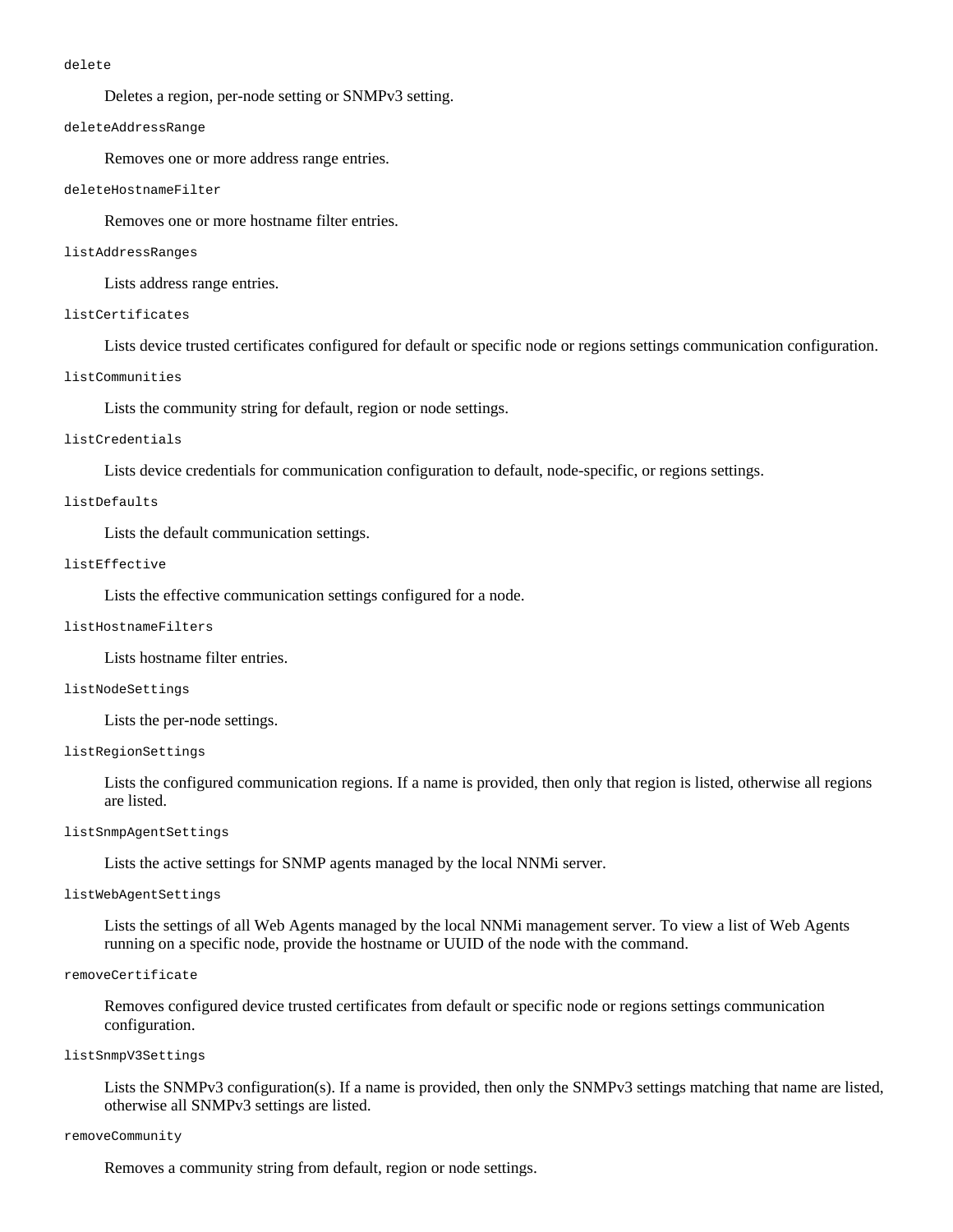#### delete

Deletes a region, per-node setting or SNMPv3 setting.

#### deleteAddressRange

Removes one or more address range entries.

#### deleteHostnameFilter

Removes one or more hostname filter entries.

#### listAddressRanges

Lists address range entries.

#### listCertificates

Lists device trusted certificates configured for default or specific node or regions settings communication configuration.

#### listCommunities

Lists the community string for default, region or node settings.

#### listCredentials

Lists device credentials for communication configuration to default, node-specific, or regions settings.

#### listDefaults

Lists the default communication settings.

#### listEffective

Lists the effective communication settings configured for a node.

#### listHostnameFilters

Lists hostname filter entries.

#### listNodeSettings

Lists the per-node settings.

#### listRegionSettings

Lists the configured communication regions. If a name is provided, then only that region is listed, otherwise all regions are listed.

#### listSnmpAgentSettings

Lists the active settings for SNMP agents managed by the local NNMi server.

#### listWebAgentSettings

Lists the settings of all Web Agents managed by the local NNMi management server. To view a list of Web Agents running on a specific node, provide the hostname or UUID of the node with the command.

```
removeCertificate
```
Removes configured device trusted certificates from default or specific node or regions settings communication configuration.

#### listSnmpV3Settings

Lists the SNMPv3 configuration(s). If a name is provided, then only the SNMPv3 settings matching that name are listed, otherwise all SNMPv3 settings are listed.

#### removeCommunity

Removes a community string from default, region or node settings.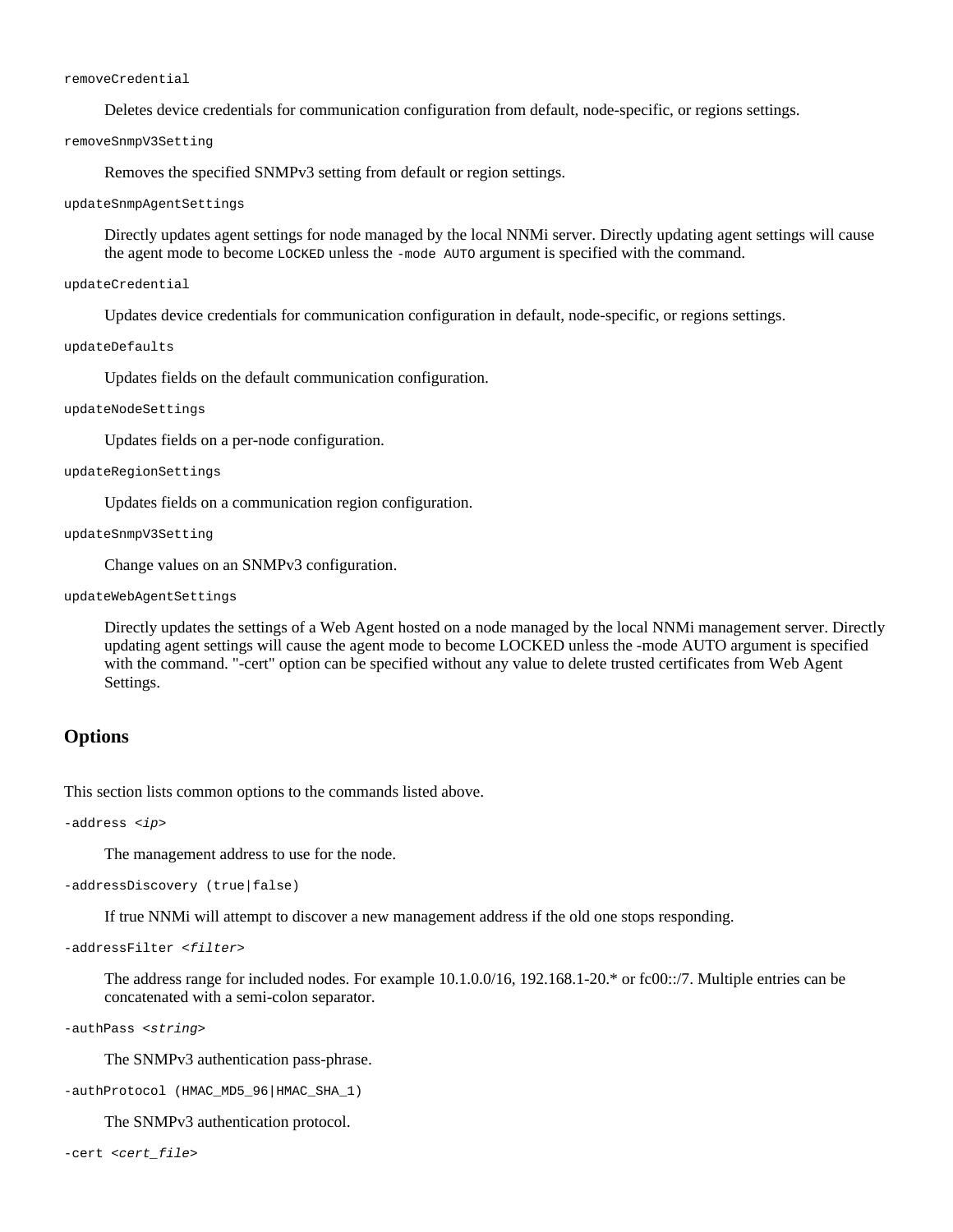removeCredential

Deletes device credentials for communication configuration from default, node-specific, or regions settings.

removeSnmpV3Setting

Removes the specified SNMPv3 setting from default or region settings.

updateSnmpAgentSettings

Directly updates agent settings for node managed by the local NNMi server. Directly updating agent settings will cause the agent mode to become LOCKED unless the -mode AUTO argument is specified with the command.

updateCredential

Updates device credentials for communication configuration in default, node-specific, or regions settings.

updateDefaults

Updates fields on the default communication configuration.

updateNodeSettings

Updates fields on a per-node configuration.

updateRegionSettings

Updates fields on a communication region configuration.

updateSnmpV3Setting

Change values on an SNMPv3 configuration.

updateWebAgentSettings

Directly updates the settings of a Web Agent hosted on a node managed by the local NNMi management server. Directly updating agent settings will cause the agent mode to become LOCKED unless the -mode AUTO argument is specified with the command. "-cert" option can be specified without any value to delete trusted certificates from Web Agent Settings.

#### <span id="page-63-0"></span>**Options**

This section lists common options to the commands listed above.

-address <*ip*>

The management address to use for the node.

-addressDiscovery (true|false)

If true NNMi will attempt to discover a new management address if the old one stops responding.

-addressFilter <*filter*>

The address range for included nodes. For example 10.1.0.0/16, 192.168.1-20.\* or fc00::/7. Multiple entries can be concatenated with a semi-colon separator.

-authPass <*string*>

The SNMPv3 authentication pass-phrase.

```
-authProtocol (HMAC_MD5_96|HMAC_SHA_1)
```
The SNMPv3 authentication protocol.

-cert <*cert\_file*>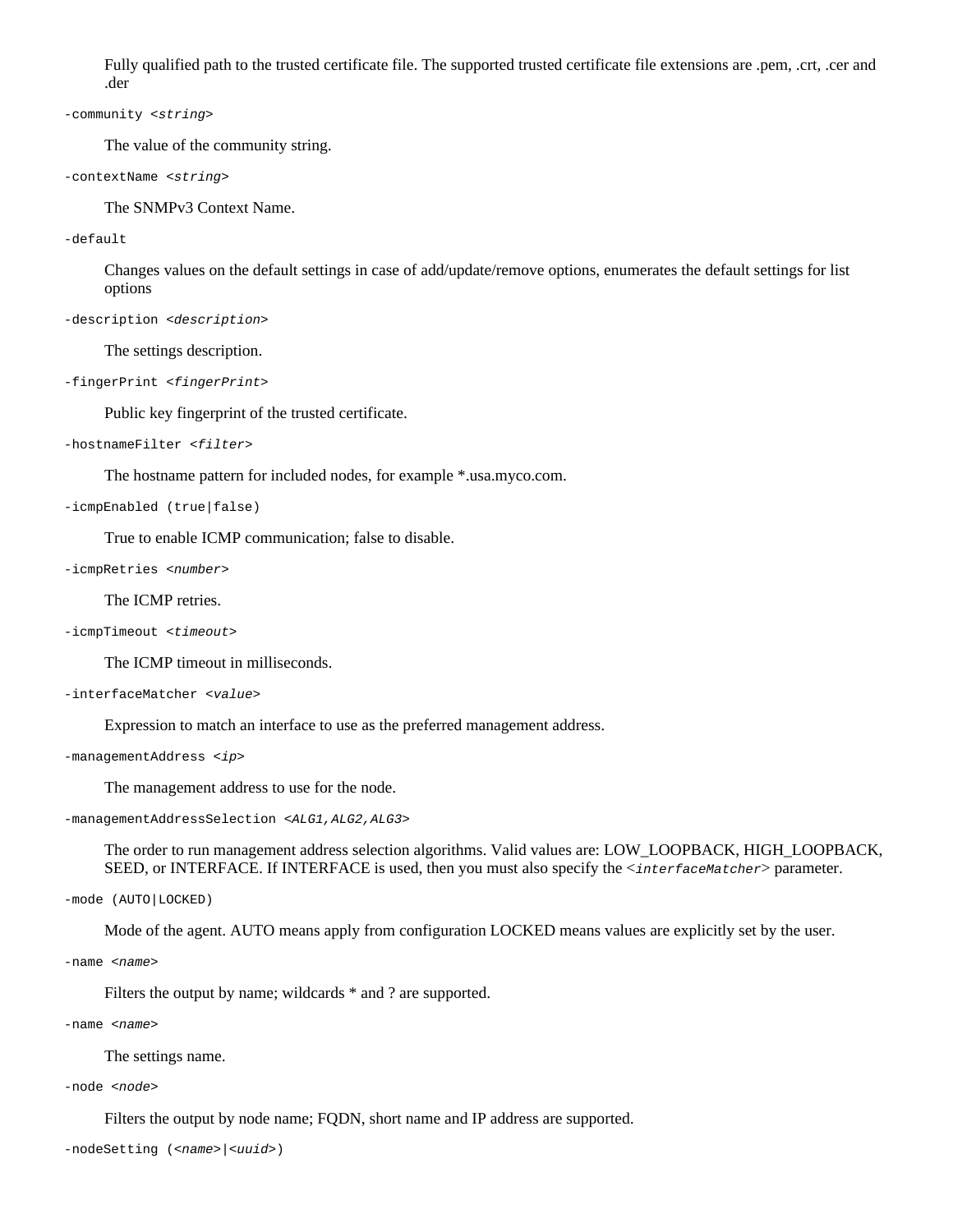Fully qualified path to the trusted certificate file. The supported trusted certificate file extensions are .pem, .crt, .cer and .der

-community <*string*>

The value of the community string.

-contextName <*string*>

The SNMPv3 Context Name.

-default

Changes values on the default settings in case of add/update/remove options, enumerates the default settings for list options

-description <*description*>

The settings description.

-fingerPrint <*fingerPrint*>

Public key fingerprint of the trusted certificate.

-hostnameFilter <*filter*>

The hostname pattern for included nodes, for example \*.usa.myco.com.

-icmpEnabled (true|false)

True to enable ICMP communication; false to disable.

-icmpRetries <*number*>

The ICMP retries.

```
-icmpTimeout <timeout>
```
The ICMP timeout in milliseconds.

-interfaceMatcher <*value*>

Expression to match an interface to use as the preferred management address.

```
-managementAddress <ip>
```
The management address to use for the node.

-managementAddressSelection <*ALG1,ALG2,ALG3*>

The order to run management address selection algorithms. Valid values are: LOW\_LOOPBACK, HIGH\_LOOPBACK, SEED, or INTERFACE. If INTERFACE is used, then you must also specify the <*interfaceMatcher*> parameter.

-mode (AUTO|LOCKED)

Mode of the agent. AUTO means apply from configuration LOCKED means values are explicitly set by the user.

-name <*name*>

Filters the output by name; wildcards  $*$  and ? are supported.

-name <*name*>

The settings name.

-node <*node*>

Filters the output by node name; FQDN, short name and IP address are supported.

```
-nodeSetting (<name>|<uuid>)
```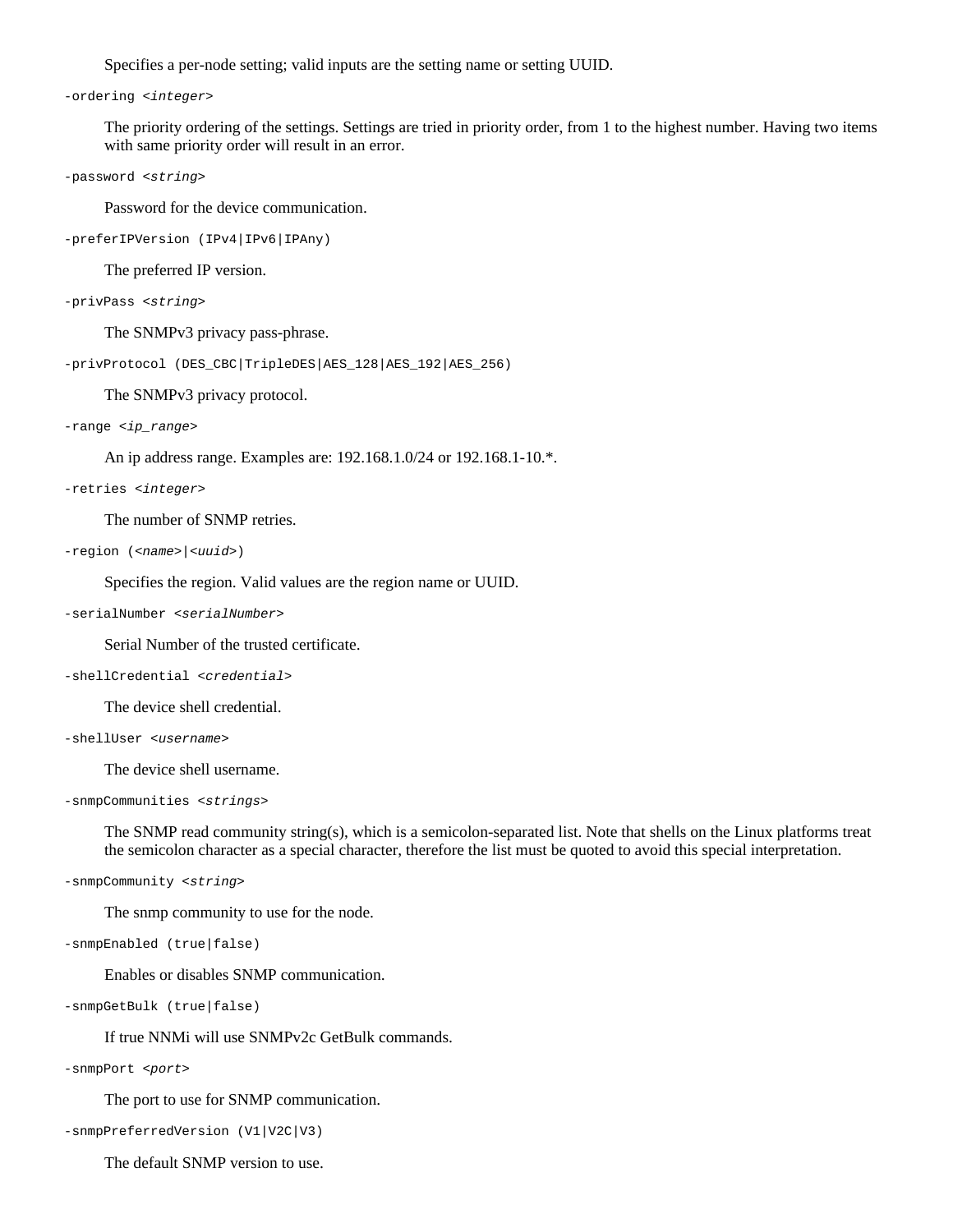Specifies a per-node setting; valid inputs are the setting name or setting UUID.

-ordering <*integer*>

The priority ordering of the settings. Settings are tried in priority order, from 1 to the highest number. Having two items with same priority order will result in an error.

-password <*string*>

Password for the device communication.

-preferIPVersion (IPv4|IPv6|IPAny)

The preferred IP version.

-privPass <*string*>

The SNMPv3 privacy pass-phrase.

-privProtocol (DES\_CBC|TripleDES|AES\_128|AES\_192|AES\_256)

The SNMPv3 privacy protocol.

```
-range <ip_range>
```
An ip address range. Examples are: 192.168.1.0/24 or 192.168.1-10.\*.

-retries <*integer*>

The number of SNMP retries.

```
-region (<name>|<uuid>)
```
Specifies the region. Valid values are the region name or UUID.

-serialNumber <*serialNumber*>

Serial Number of the trusted certificate.

-shellCredential <*credential*>

The device shell credential.

-shellUser <*username*>

The device shell username.

```
-snmpCommunities <strings>
```
The SNMP read community string(s), which is a semicolon-separated list. Note that shells on the Linux platforms treat the semicolon character as a special character, therefore the list must be quoted to avoid this special interpretation.

-snmpCommunity <*string*>

The snmp community to use for the node.

```
-snmpEnabled (true|false)
```
Enables or disables SNMP communication.

-snmpGetBulk (true|false)

If true NNMi will use SNMPv2c GetBulk commands.

-snmpPort <*port*>

The port to use for SNMP communication.

-snmpPreferredVersion (V1|V2C|V3)

The default SNMP version to use.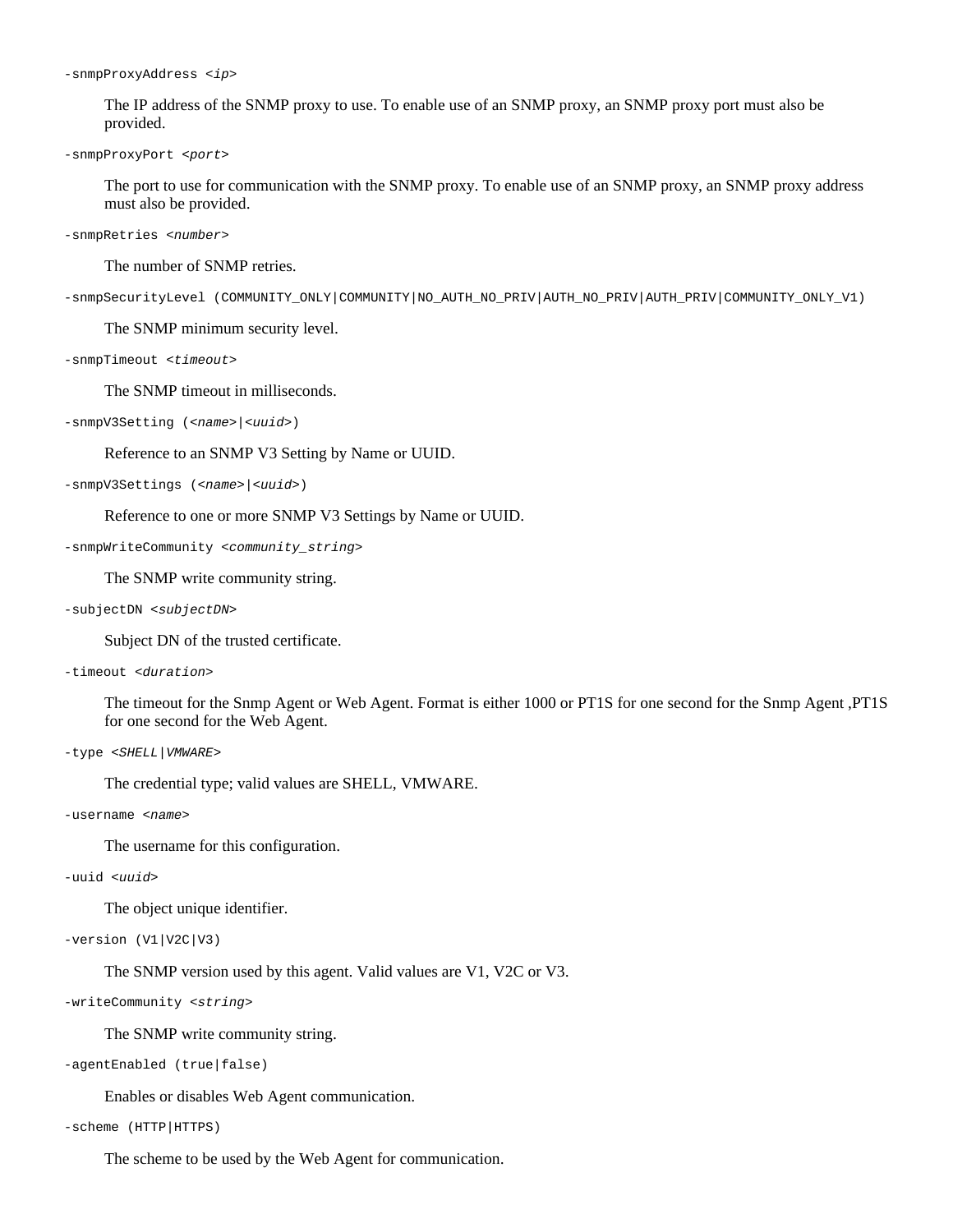-snmpProxyAddress <*ip*>

The IP address of the SNMP proxy to use. To enable use of an SNMP proxy, an SNMP proxy port must also be provided.

-snmpProxyPort <*port*>

The port to use for communication with the SNMP proxy. To enable use of an SNMP proxy, an SNMP proxy address must also be provided.

-snmpRetries <*number*>

The number of SNMP retries.

```
-snmpSecurityLevel (COMMUNITY_ONLY|COMMUNITY|NO_AUTH_NO_PRIV|AUTH_NO_PRIV|AUTH_PRIV|COMMUNITY_ONLY_V1)
```
The SNMP minimum security level.

-snmpTimeout <*timeout*>

The SNMP timeout in milliseconds.

-snmpV3Setting (<*name*>|<*uuid*>)

Reference to an SNMP V3 Setting by Name or UUID.

-snmpV3Settings (<*name*>|<*uuid*>)

Reference to one or more SNMP V3 Settings by Name or UUID.

-snmpWriteCommunity <*community\_string*>

The SNMP write community string.

```
-subjectDN <subjectDN>
```
Subject DN of the trusted certificate.

```
-timeout <duration>
```
The timeout for the Snmp Agent or Web Agent. Format is either 1000 or PT1S for one second for the Snmp Agent ,PT1S for one second for the Web Agent.

```
-type <SHELL|VMWARE>
```
The credential type; valid values are SHELL, VMWARE.

-username <*name*>

The username for this configuration.

-uuid <*uuid*>

The object unique identifier.

-version (V1|V2C|V3)

The SNMP version used by this agent. Valid values are V1, V2C or V3.

-writeCommunity <*string*>

The SNMP write community string.

```
-agentEnabled (true|false)
```
Enables or disables Web Agent communication.

```
-scheme (HTTP|HTTPS)
```
The scheme to be used by the Web Agent for communication.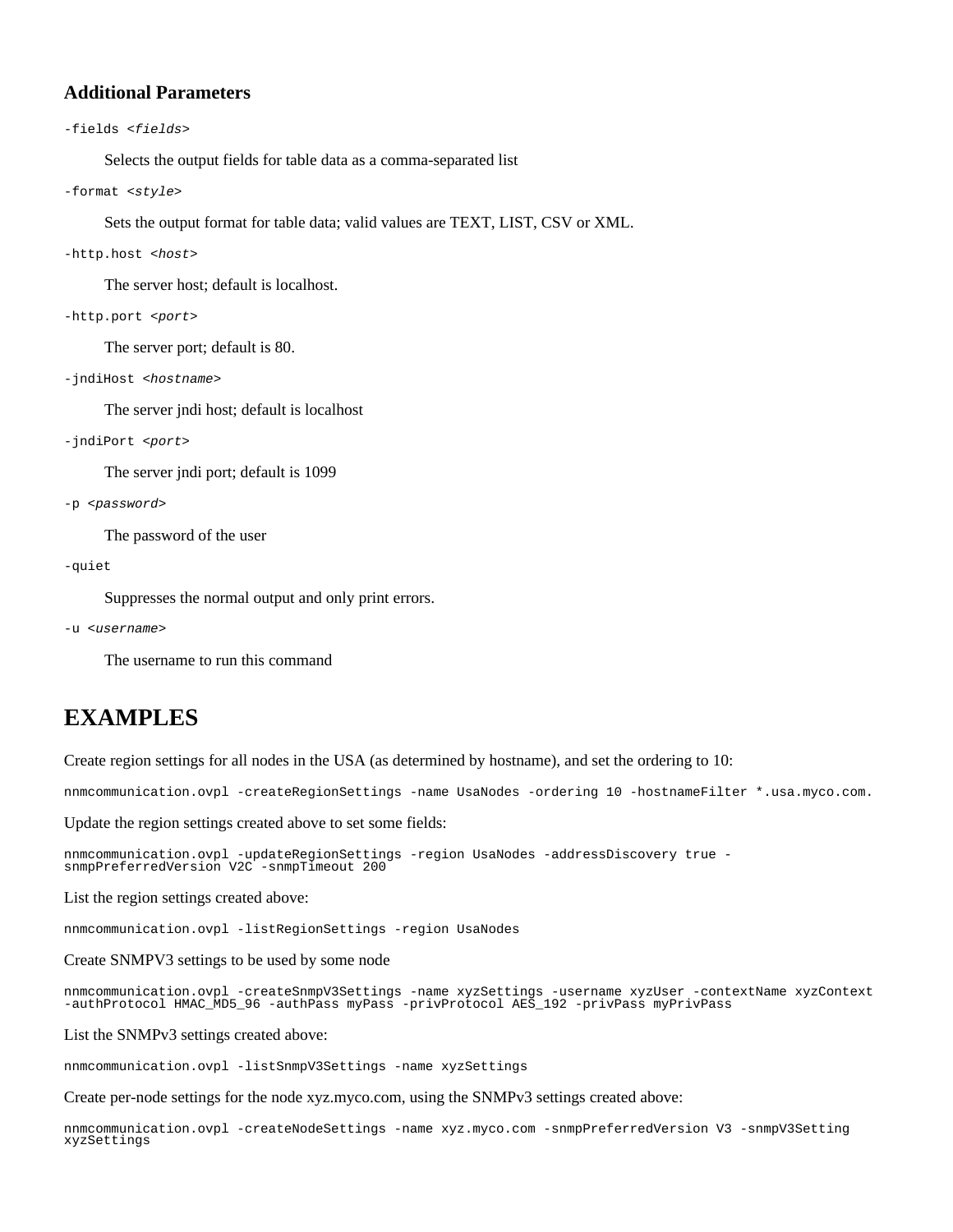#### **Additional Parameters**

```
-fields <fields>
```
Selects the output fields for table data as a comma-separated list

```
-format <style>
```
Sets the output format for table data; valid values are TEXT, LIST, CSV or XML.

-http.host <*host*>

The server host; default is localhost.

```
-http.port <port>
```
The server port; default is 80.

-jndiHost <*hostname*>

The server jndi host; default is localhost

-jndiPort <*port*>

The server jndi port; default is 1099

```
-p <password>
```
The password of the user

-quiet

Suppresses the normal output and only print errors.

-u <*username*>

The username to run this command

### **EXAMPLES**

Create region settings for all nodes in the USA (as determined by hostname), and set the ordering to 10:

nnmcommunication.ovpl -createRegionSettings -name UsaNodes -ordering 10 -hostnameFilter \*.usa.myco.com.

Update the region settings created above to set some fields:

```
nnmcommunication.ovpl -updateRegionSettings -region UsaNodes -addressDiscovery true -
snmpPreferredVersion V2C -snmpTimeout 200
```
List the region settings created above:

nnmcommunication.ovpl -listRegionSettings -region UsaNodes

Create SNMPV3 settings to be used by some node

nnmcommunication.ovpl -createSnmpV3Settings -name xyzSettings -username xyzUser -contextName xyzContext -authProtocol HMAC\_MD5\_96 -authPass myPass -privProtocol AES\_192 -privPass myPrivPass

List the SNMPv3 settings created above:

nnmcommunication.ovpl -listSnmpV3Settings -name xyzSettings

Create per-node settings for the node xyz.myco.com, using the SNMPv3 settings created above:

nnmcommunication.ovpl -createNodeSettings -name xyz.myco.com -snmpPreferredVersion V3 -snmpV3Setting xyzSettings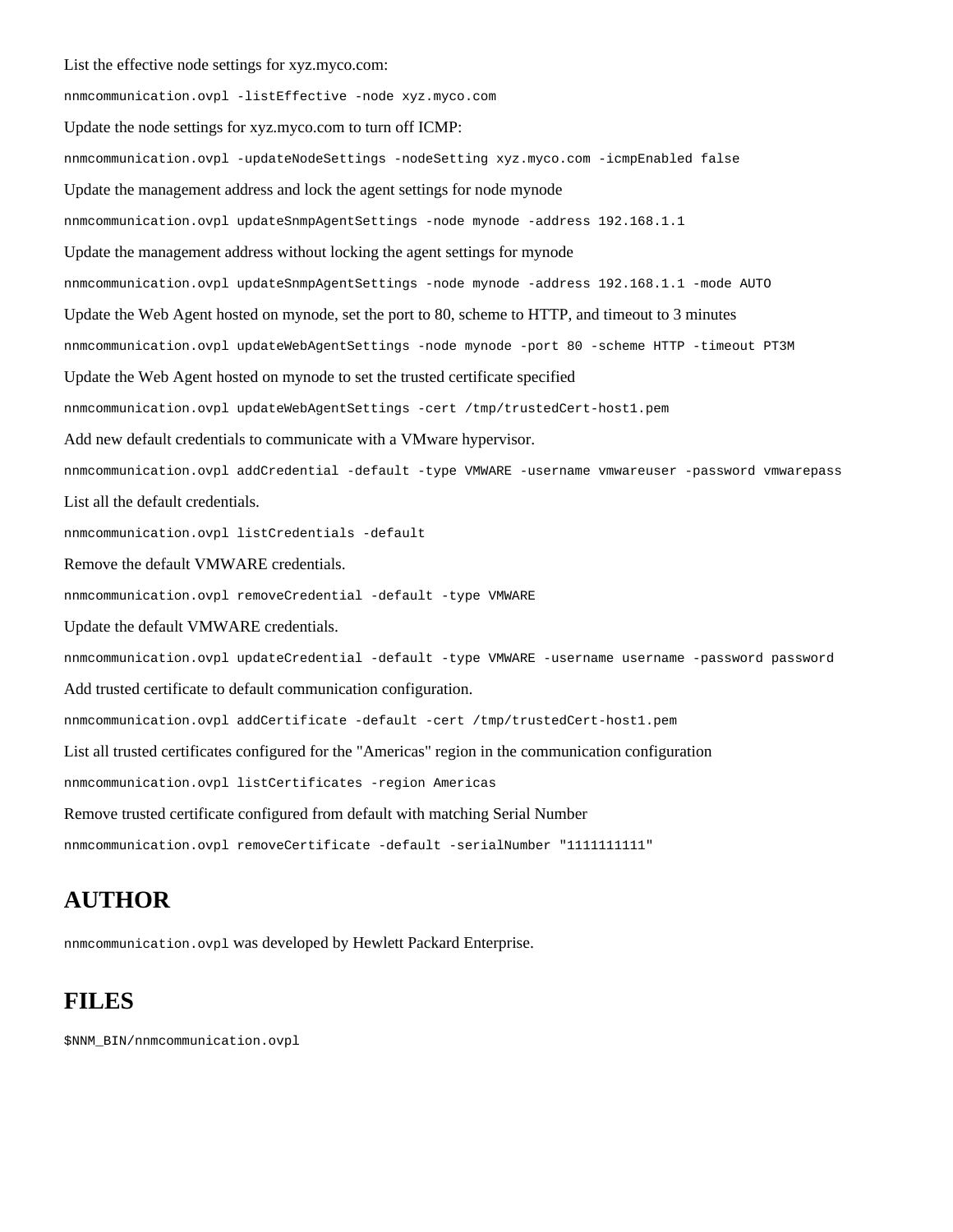List the effective node settings for xyz.myco.com:

nnmcommunication.ovpl -listEffective -node xyz.myco.com Update the node settings for xyz.myco.com to turn off ICMP: nnmcommunication.ovpl -updateNodeSettings -nodeSetting xyz.myco.com -icmpEnabled false Update the management address and lock the agent settings for node mynode nnmcommunication.ovpl updateSnmpAgentSettings -node mynode -address 192.168.1.1 Update the management address without locking the agent settings for mynode nnmcommunication.ovpl updateSnmpAgentSettings -node mynode -address 192.168.1.1 -mode AUTO Update the Web Agent hosted on mynode, set the port to 80, scheme to HTTP, and timeout to 3 minutes nnmcommunication.ovpl updateWebAgentSettings -node mynode -port 80 -scheme HTTP -timeout PT3M Update the Web Agent hosted on mynode to set the trusted certificate specified nnmcommunication.ovpl updateWebAgentSettings -cert /tmp/trustedCert-host1.pem Add new default credentials to communicate with a VMware hypervisor. nnmcommunication.ovpl addCredential -default -type VMWARE -username vmwareuser -password vmwarepass List all the default credentials. nnmcommunication.ovpl listCredentials -default Remove the default VMWARE credentials. nnmcommunication.ovpl removeCredential -default -type VMWARE Update the default VMWARE credentials. nnmcommunication.ovpl updateCredential -default -type VMWARE -username username -password password Add trusted certificate to default communication configuration. nnmcommunication.ovpl addCertificate -default -cert /tmp/trustedCert-host1.pem List all trusted certificates configured for the "Americas" region in the communication configuration nnmcommunication.ovpl listCertificates -region Americas Remove trusted certificate configured from default with matching Serial Number

nnmcommunication.ovpl removeCertificate -default -serialNumber "1111111111"

### **AUTHOR**

nnmcommunication.ovpl was developed by Hewlett Packard Enterprise.

#### **FILES**

\$NNM\_BIN/nnmcommunication.ovpl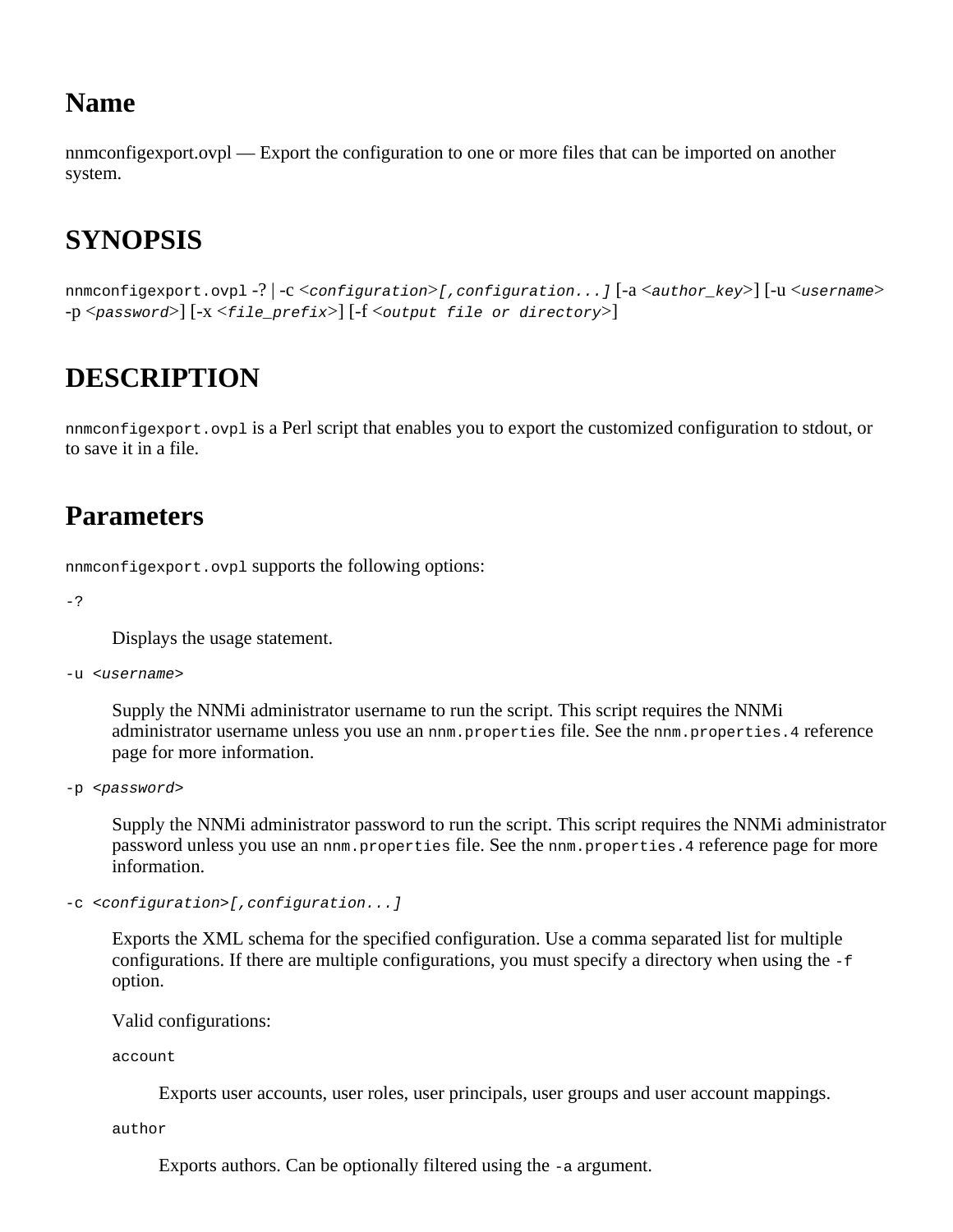nnmconfigexport.ovpl — Export the configuration to one or more files that can be imported on another system.

# **SYNOPSIS**

nnmconfigexport.ovpl -? | -c <*configuration*>*[,configuration...]* [-a <*author\_key*>] [-u <*username*> -p <*password*>] [-x <*file\_prefix*>] [-f <*output file or directory*>]

# **DESCRIPTION**

nnmconfigexport.ovpl is a Perl script that enables you to export the customized configuration to stdout, or to save it in a file.

### **Parameters**

nnmconfigexport.ovpl supports the following options:

-?

Displays the usage statement.

```
-u <username>
```
Supply the NNMi administrator username to run the script. This script requires the NNMi administrator username unless you use an nnm.properties file. See the nnm.properties.4 reference page for more information.

-p <*password*>

Supply the NNMi administrator password to run the script. This script requires the NNMi administrator password unless you use an nnm.properties file. See the nnm.properties. 4 reference page for more information.

-c <*configuration*>*[,configuration...]*

Exports the XML schema for the specified configuration. Use a comma separated list for multiple configurations. If there are multiple configurations, you must specify a directory when using the  $-\epsilon$ option.

Valid configurations:

account

Exports user accounts, user roles, user principals, user groups and user account mappings.

author

Exports authors. Can be optionally filtered using the -a argument.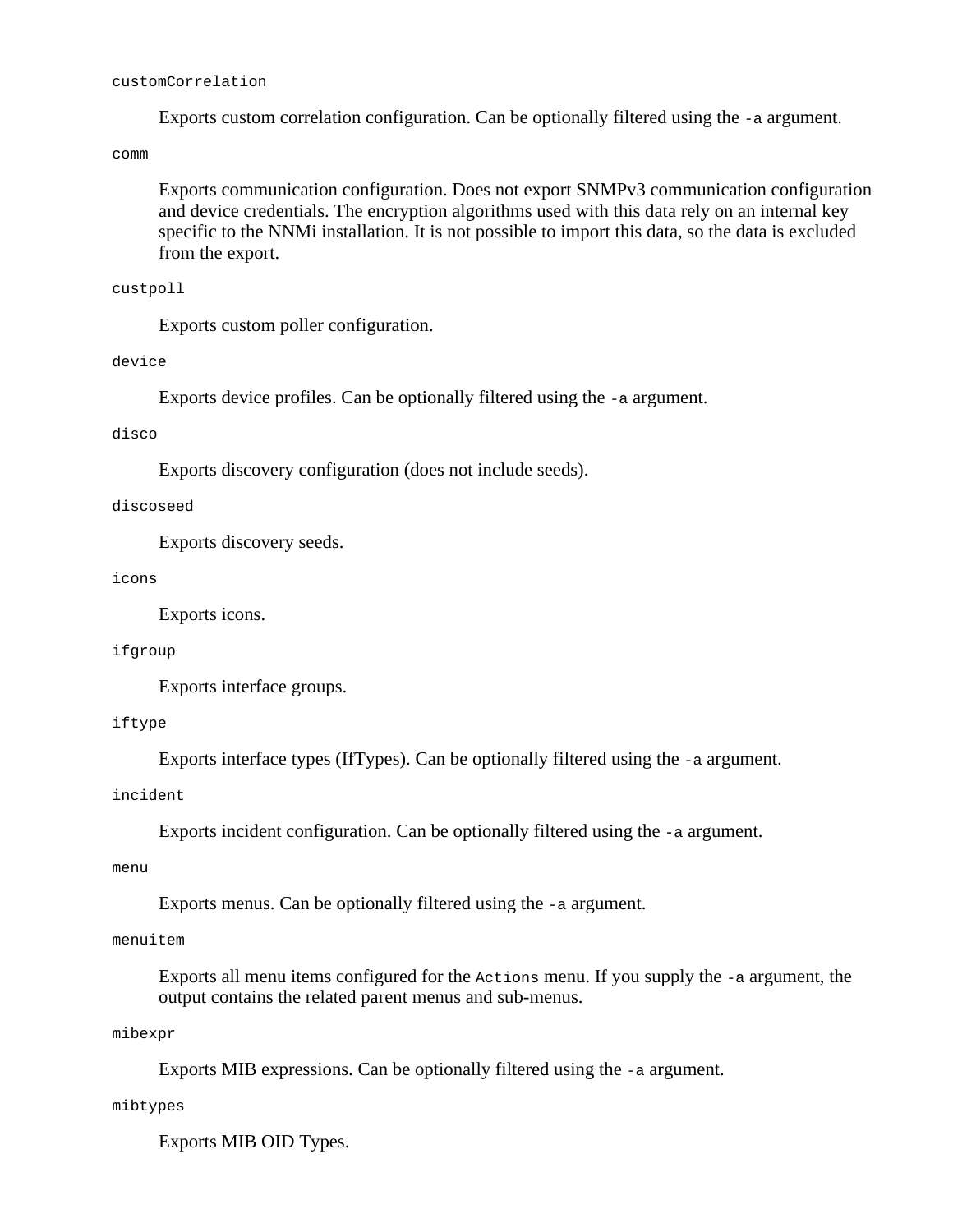Exports custom correlation configuration. Can be optionally filtered using the -a argument.

comm

Exports communication configuration. Does not export SNMPv3 communication configuration and device credentials. The encryption algorithms used with this data rely on an internal key specific to the NNMi installation. It is not possible to import this data, so the data is excluded from the export.

custpoll

Exports custom poller configuration.

device

Exports device profiles. Can be optionally filtered using the -a argument.

disco

Exports discovery configuration (does not include seeds).

#### discoseed

Exports discovery seeds.

icons

Exports icons.

#### ifgroup

Exports interface groups.

#### iftype

Exports interface types (IfTypes). Can be optionally filtered using the -a argument.

incident

Exports incident configuration. Can be optionally filtered using the -a argument.

menu

Exports menus. Can be optionally filtered using the -a argument.

menuitem

Exports all menu items configured for the Actions menu. If you supply the -a argument, the output contains the related parent menus and sub-menus.

#### mibexpr

Exports MIB expressions. Can be optionally filtered using the -a argument.

mibtypes

Exports MIB OID Types.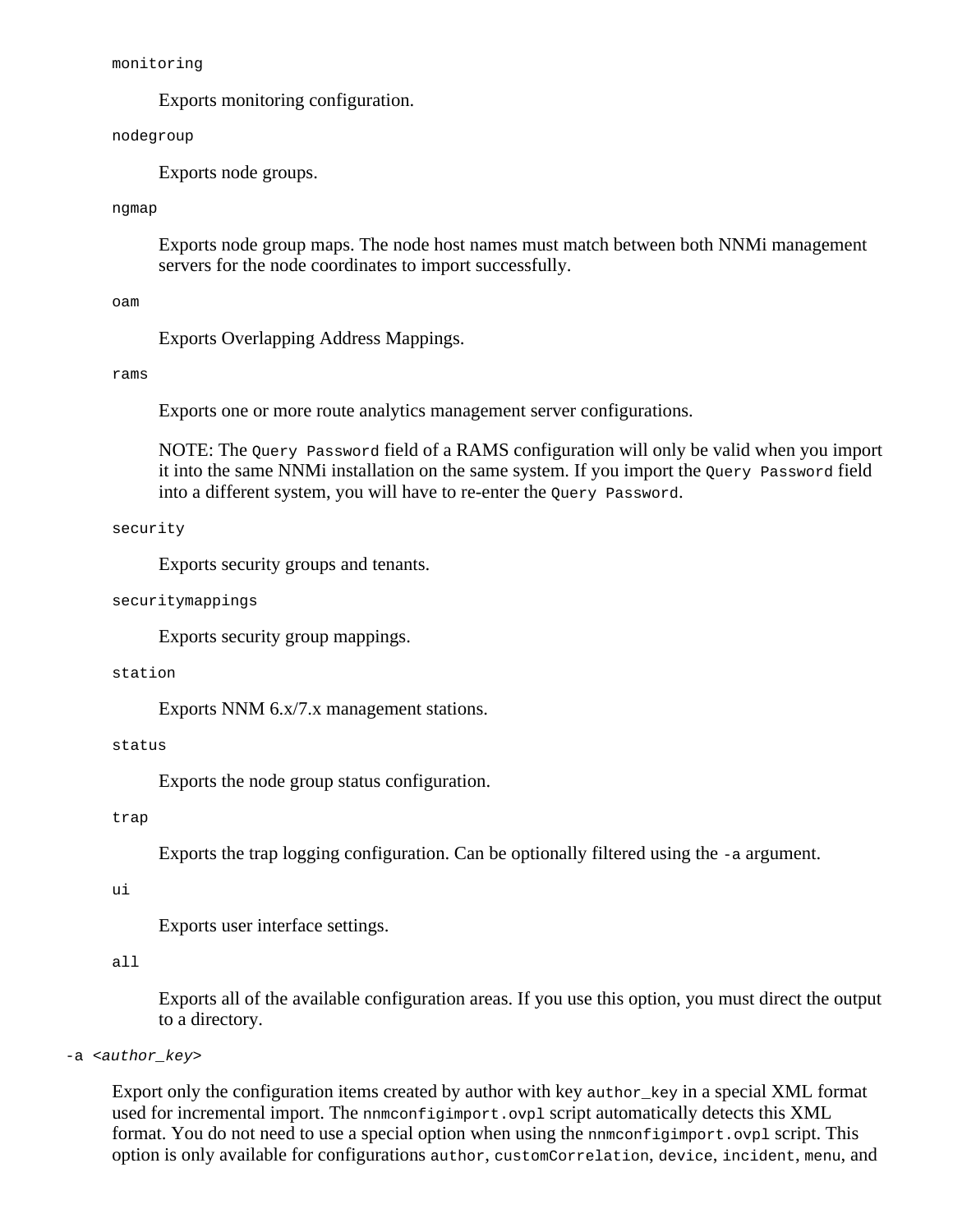monitoring

Exports monitoring configuration.

nodegroup

Exports node groups.

#### ngmap

Exports node group maps. The node host names must match between both NNMi management servers for the node coordinates to import successfully.

oam

Exports Overlapping Address Mappings.

rams

Exports one or more route analytics management server configurations.

NOTE: The Query Password field of a RAMS configuration will only be valid when you import it into the same NNMi installation on the same system. If you import the Query Password field into a different system, you will have to re-enter the Query Password.

security

Exports security groups and tenants.

securitymappings

Exports security group mappings.

station

Exports NNM 6.x/7.x management stations.

status

Exports the node group status configuration.

trap

Exports the trap logging configuration. Can be optionally filtered using the  $-a$  argument.

ui

Exports user interface settings.

all

Exports all of the available configuration areas. If you use this option, you must direct the output to a directory.

-a <*author\_key*>

Export only the configuration items created by author with key author\_key in a special XML format used for incremental import. The nnmconfigimport.ovpl script automatically detects this XML format. You do not need to use a special option when using the nnmconfigimport.ovpl script. This option is only available for configurations author, customCorrelation, device, incident, menu, and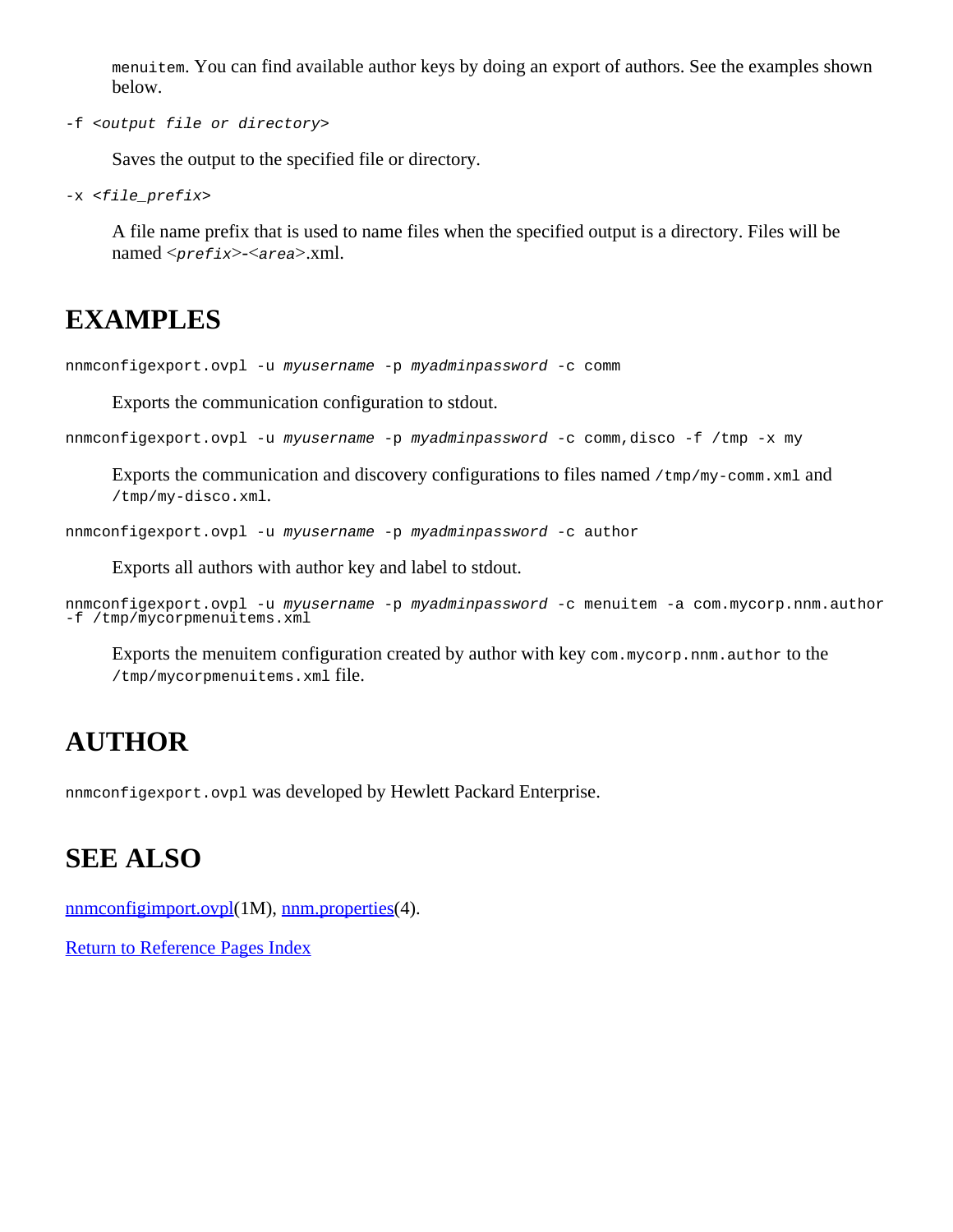menuitem. You can find available author keys by doing an export of authors. See the examples shown below.

-f <*output file or directory*>

Saves the output to the specified file or directory.

-x <*file\_prefix*>

A file name prefix that is used to name files when the specified output is a directory. Files will be named <*prefix*>-<*area*>.xml.

### **EXAMPLES**

nnmconfigexport.ovpl -u *myusername* -p *myadminpassword* -c comm

Exports the communication configuration to stdout.

nnmconfigexport.ovpl -u *myusername* -p *myadminpassword* -c comm,disco -f /tmp -x my

Exports the communication and discovery configurations to files named /tmp/my-comm.xml and /tmp/my-disco.xml.

nnmconfigexport.ovpl -u *myusername* -p *myadminpassword* -c author

Exports all authors with author key and label to stdout.

```
nnmconfigexport.ovpl -u myusername -p myadminpassword -c menuitem -a com.mycorp.nnm.author
-f /tmp/mycorpmenuitems.xml
```
Exports the menuitem configuration created by author with key com.mycorp.nnm.author to the /tmp/mycorpmenuitems.xml file.

### **AUTHOR**

nnmconfigexport.ovpl was developed by Hewlett Packard Enterprise.

### **SEE ALSO**

[nnmconfigimport.ovpl](#page-73-0)(1M), [nnm.properties](#page-212-0)(4).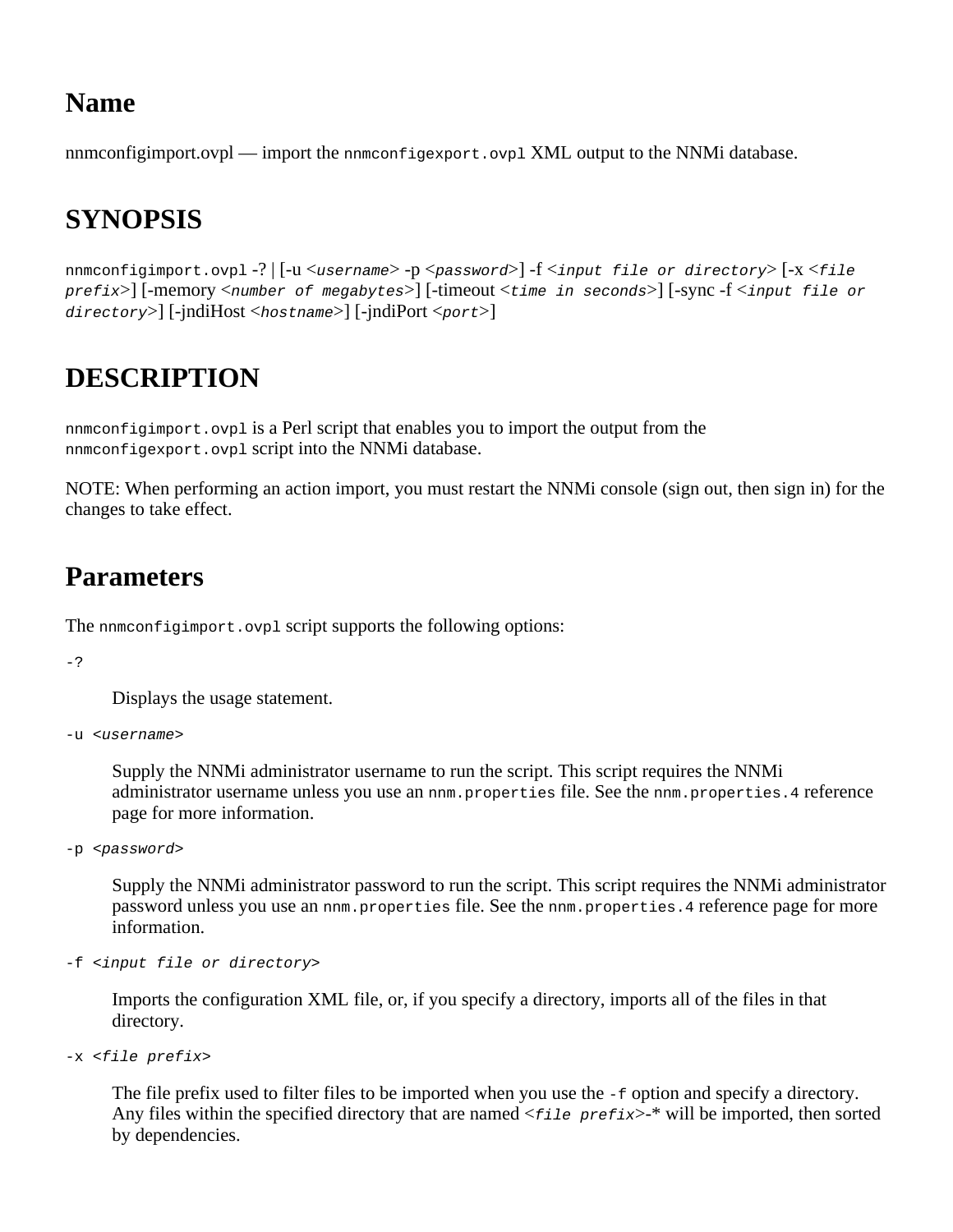### <span id="page-73-0"></span>**Name**

nnmconfigimport.ovpl — import the nnmconfigexport.ovpl XML output to the NNMi database.

## **SYNOPSIS**

nnmconfigimport.ovpl -? | [-u <*username*> -p <*password*>] -f <*input file or directory*> [-x <*file prefix*>] [-memory <*number of megabytes*>] [-timeout <*time in seconds*>] [-sync -f <*input file or directory*>] [-jndiHost <*hostname*>] [-jndiPort <*port*>]

## **DESCRIPTION**

nnmconfigimport.ovpl is a Perl script that enables you to import the output from the nnmconfigexport.ovpl script into the NNMi database.

NOTE: When performing an action import, you must restart the NNMi console (sign out, then sign in) for the changes to take effect.

### **Parameters**

The nnmconfigimport.ovpl script supports the following options:

-?

Displays the usage statement.

-u <*username*>

Supply the NNMi administrator username to run the script. This script requires the NNMi administrator username unless you use an nnm.properties file. See the nnm.properties.4 reference page for more information.

-p <*password*>

Supply the NNMi administrator password to run the script. This script requires the NNMi administrator password unless you use an nnm.properties file. See the nnm.properties. 4 reference page for more information.

-f <*input file or directory*>

Imports the configuration XML file, or, if you specify a directory, imports all of the files in that directory.

```
-x <file prefix>
```
The file prefix used to filter files to be imported when you use the -f option and specify a directory. Any files within the specified directory that are named <*file prefix*>-\* will be imported, then sorted by dependencies.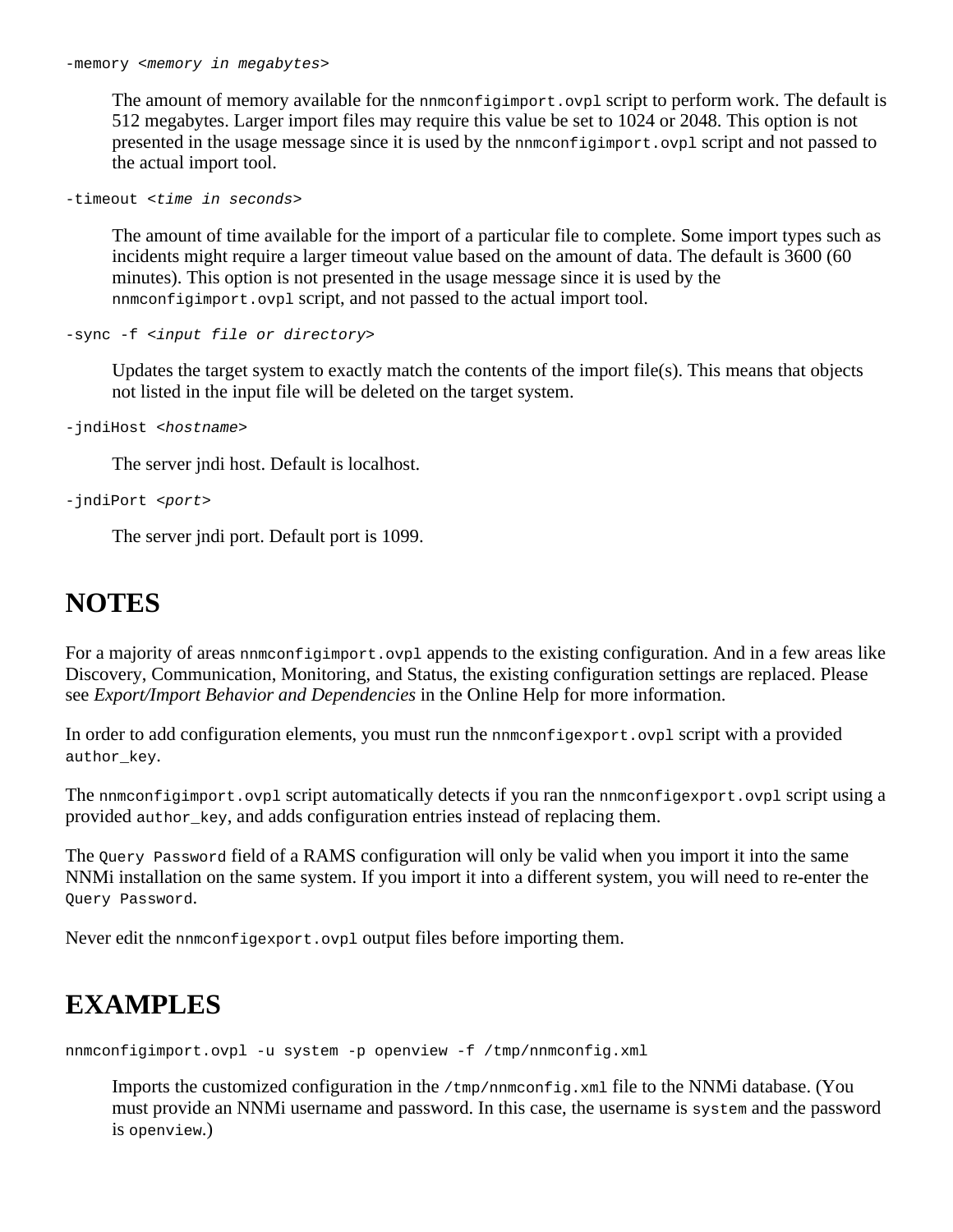The amount of memory available for the nnmconfigimport.ovpl script to perform work. The default is 512 megabytes. Larger import files may require this value be set to 1024 or 2048. This option is not presented in the usage message since it is used by the nnmconfigimport.ovpl script and not passed to the actual import tool.

-timeout <*time in seconds*>

The amount of time available for the import of a particular file to complete. Some import types such as incidents might require a larger timeout value based on the amount of data. The default is 3600 (60 minutes). This option is not presented in the usage message since it is used by the nnmconfigimport.ovpl script, and not passed to the actual import tool.

-sync -f <*input file or directory*>

Updates the target system to exactly match the contents of the import file(s). This means that objects not listed in the input file will be deleted on the target system.

-jndiHost <*hostname*>

The server jndi host. Default is localhost.

-jndiPort <*port*>

The server jndi port. Default port is 1099.

### **NOTES**

For a majority of areas nnmconfigimport.ovpl appends to the existing configuration. And in a few areas like Discovery, Communication, Monitoring, and Status, the existing configuration settings are replaced. Please see *Export/Import Behavior and Dependencies* in the Online Help for more information.

In order to add configuration elements, you must run the nnmconfigexport.ovpl script with a provided author key.

The nnmconfigimport.ovpl script automatically detects if you ran the nnmconfigexport.ovpl script using a provided author\_key, and adds configuration entries instead of replacing them.

The Query Password field of a RAMS configuration will only be valid when you import it into the same NNMi installation on the same system. If you import it into a different system, you will need to re-enter the Query Password.

Never edit the nnmconfigexport.ovpl output files before importing them.

### **EXAMPLES**

nnmconfigimport.ovpl -u system -p openview -f /tmp/nnmconfig.xml

Imports the customized configuration in the  $/\text{tmp/nmconfig.xml}$  file to the NNMi database. (You must provide an NNMi username and password. In this case, the username is system and the password is openview.)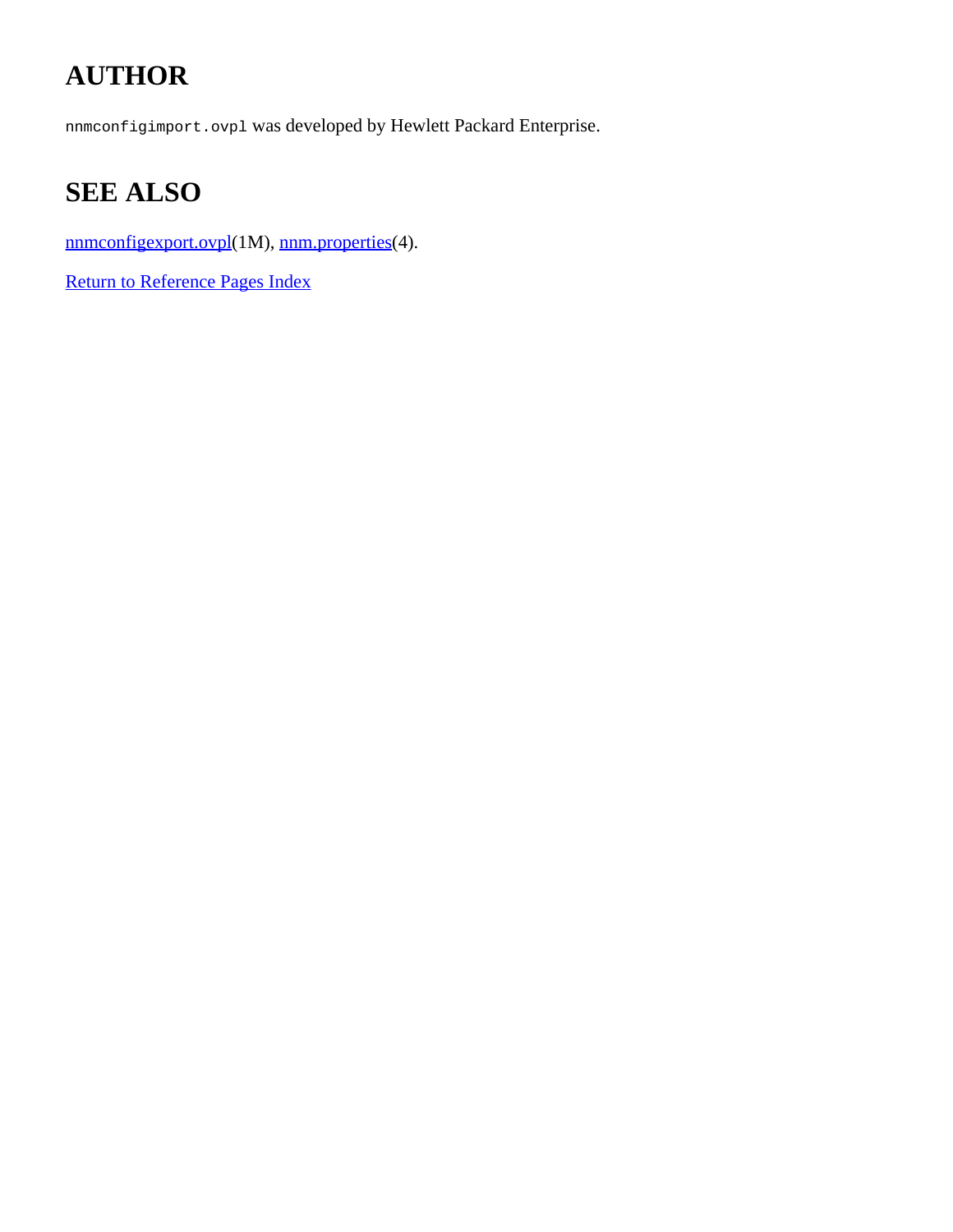# **AUTHOR**

nnmconfigimport.ovpl was developed by Hewlett Packard Enterprise.

# **SEE ALSO**

[nnmconfigexport.ovpl\(](#page-69-0)1M), [nnm.properties](#page-212-0)(4).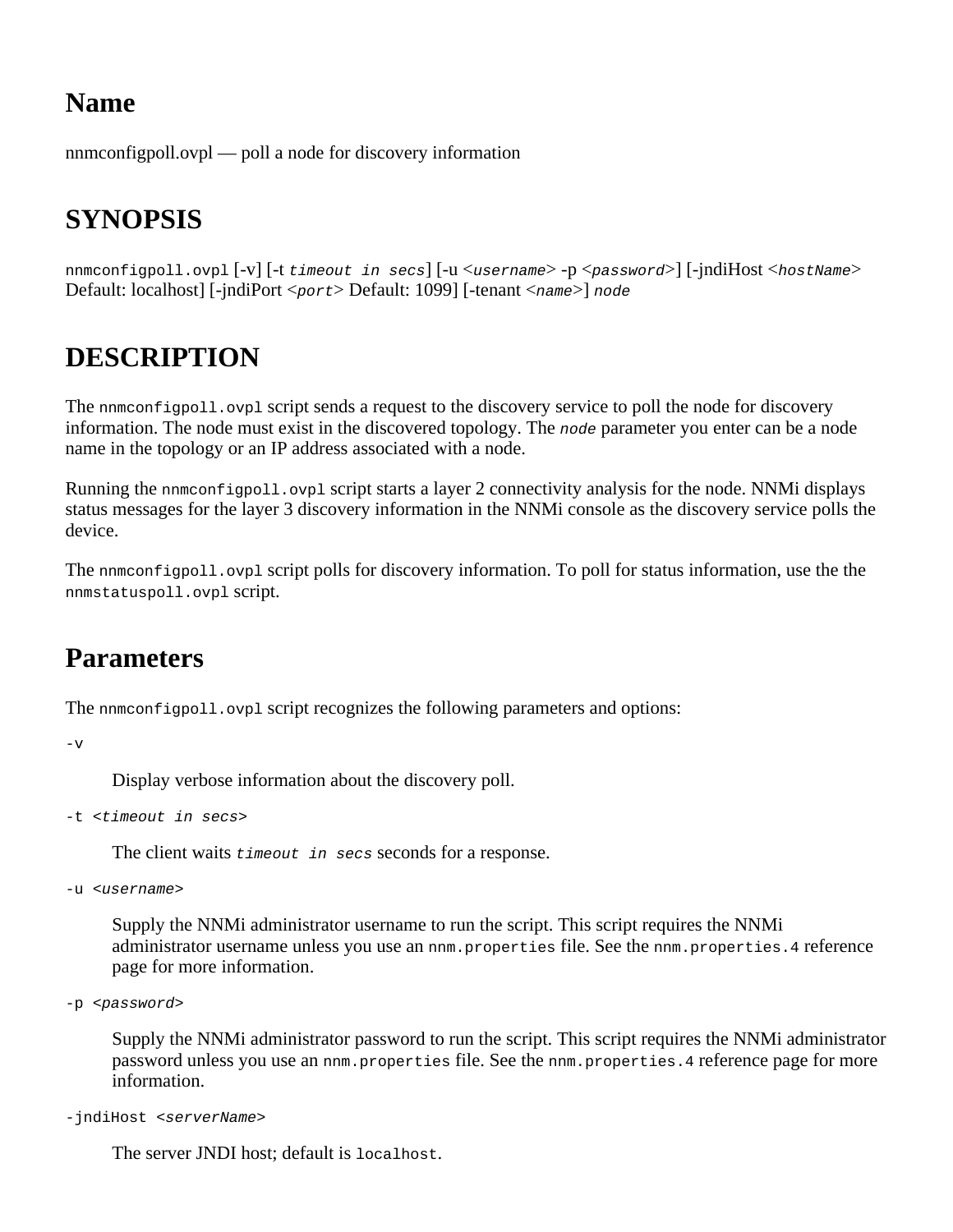### **Name**

nnmconfigpoll.ovpl — poll a node for discovery information

## **SYNOPSIS**

nnmconfigpoll.ovpl [-v] [-t *timeout in secs*] [-u <*username*> -p <*password*>] [-jndiHost <*hostName*> Default: localhost] [-jndiPort <*port*> Default: 1099] [-tenant <*name*>] *node*

## **DESCRIPTION**

The nnmconfigpoll.ovpl script sends a request to the discovery service to poll the node for discovery information. The node must exist in the discovered topology. The *node* parameter you enter can be a node name in the topology or an IP address associated with a node.

Running the nnmconfigpoll.ovpl script starts a layer 2 connectivity analysis for the node. NNMi displays status messages for the layer 3 discovery information in the NNMi console as the discovery service polls the device.

The nnmconfigpoll.ovpl script polls for discovery information. To poll for status information, use the the nnmstatuspoll.ovpl script.

### **Parameters**

The nnmconfigpoll.ovpl script recognizes the following parameters and options:

 $-\mathbf{v}$ 

Display verbose information about the discovery poll.

-t <*timeout in secs*>

The client waits *timeout in secs* seconds for a response.

-u <*username*>

Supply the NNMi administrator username to run the script. This script requires the NNMi administrator username unless you use an nnm.properties file. See the nnm.properties. 4 reference page for more information.

-p <*password*>

Supply the NNMi administrator password to run the script. This script requires the NNMi administrator password unless you use an nnm.properties file. See the nnm.properties. 4 reference page for more information.

-jndiHost <*serverName*>

The server JNDI host; default is localhost.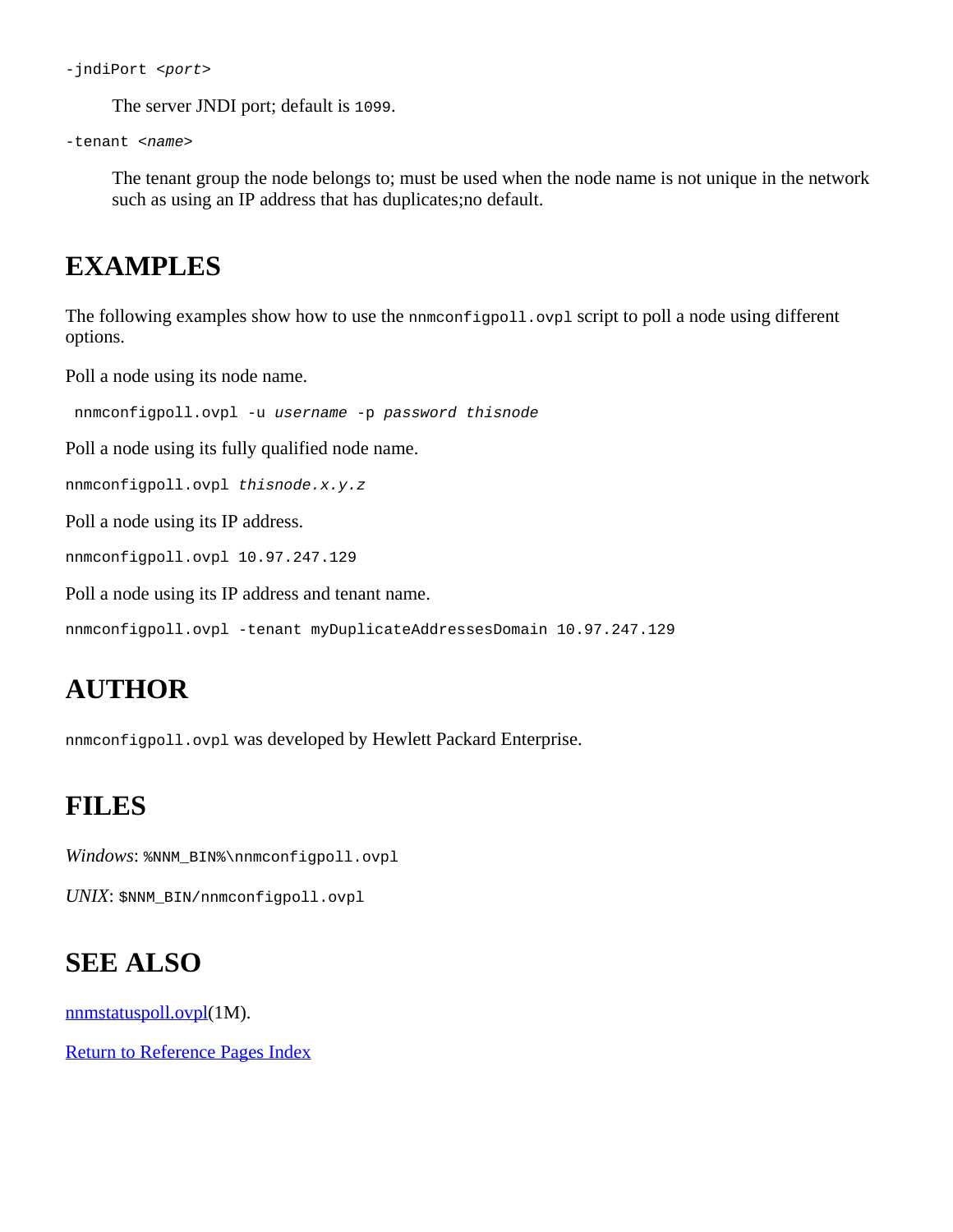```
-jndiPort <port>
```
The server JNDI port; default is 1099.

```
-tenant <name>
```
The tenant group the node belongs to; must be used when the node name is not unique in the network such as using an IP address that has duplicates;no default.

### **EXAMPLES**

The following examples show how to use the nnmconfigpoll.ovpl script to poll a node using different options.

Poll a node using its node name.

nnmconfigpoll.ovpl -u *username* -p *password thisnode*

Poll a node using its fully qualified node name.

nnmconfigpoll.ovpl *thisnode.x.y.z*

Poll a node using its IP address.

nnmconfigpoll.ovpl 10.97.247.129

Poll a node using its IP address and tenant name.

nnmconfigpoll.ovpl -tenant myDuplicateAddressesDomain 10.97.247.129

## **AUTHOR**

nnmconfigpoll.ovpl was developed by Hewlett Packard Enterprise.

### **FILES**

Windows: \$NNM\_BIN\$\nnmconfigpoll.ovpl

*UNIX*: \$NNM\_BIN/nnmconfigpoll.ovpl

## **SEE ALSO**

[nnmstatuspoll.ovpl\(](#page-285-0)1M).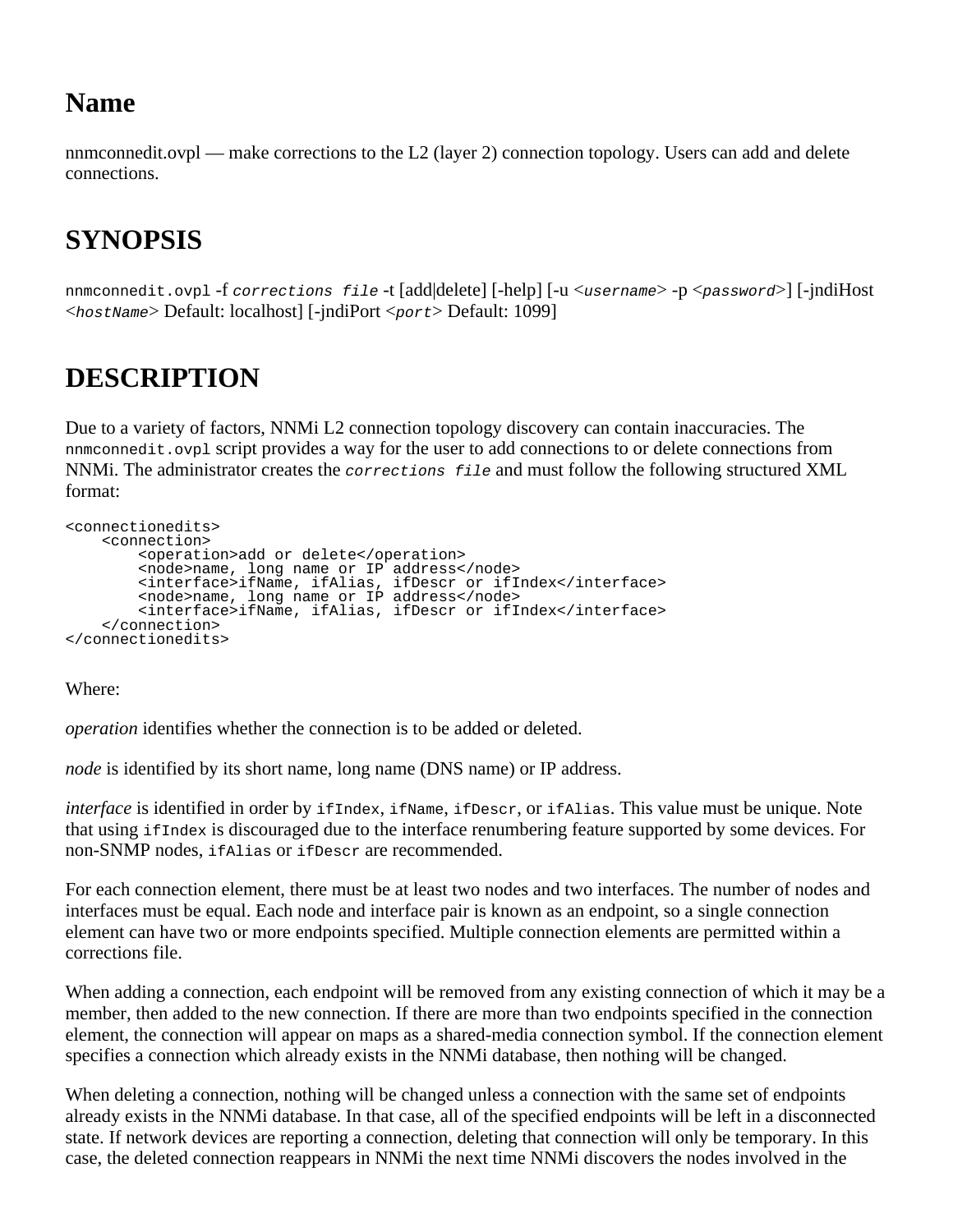### **Name**

nnmconnedit.ovpl — make corrections to the L2 (layer 2) connection topology. Users can add and delete connections.

## **SYNOPSIS**

nnmconnedit.ovpl -f *corrections file* -t [add|delete] [-help] [-u <*username*> -p <*password*>] [-jndiHost <*hostName*> Default: localhost] [-jndiPort <*port*> Default: 1099]

### **DESCRIPTION**

Due to a variety of factors, NNMi L2 connection topology discovery can contain inaccuracies. The nnmconnedit.ovpl script provides a way for the user to add connections to or delete connections from NNMi. The administrator creates the *corrections file* and must follow the following structured XML format:

```
<connectionedits>
    <connection>
        <operation>add or delete</operation>
         <node>name, long name or IP address</node>
 <interface>ifName, ifAlias, ifDescr or ifIndex</interface>
 <node>name, long name or IP address</node>
        <interface>ifName, ifAlias, ifDescr or ifIndex</interface>
    </connection>
</connectionedits>
```
Where:

*operation* identifies whether the connection is to be added or deleted.

*node* is identified by its short name, long name (DNS name) or IP address.

*interface* is identified in order by ifIndex, ifName, ifDescr, or ifAlias. This value must be unique. Note that using ifIndex is discouraged due to the interface renumbering feature supported by some devices. For non-SNMP nodes, ifAlias or ifDescr are recommended.

For each connection element, there must be at least two nodes and two interfaces. The number of nodes and interfaces must be equal. Each node and interface pair is known as an endpoint, so a single connection element can have two or more endpoints specified. Multiple connection elements are permitted within a corrections file.

When adding a connection, each endpoint will be removed from any existing connection of which it may be a member, then added to the new connection. If there are more than two endpoints specified in the connection element, the connection will appear on maps as a shared-media connection symbol. If the connection element specifies a connection which already exists in the NNMi database, then nothing will be changed.

When deleting a connection, nothing will be changed unless a connection with the same set of endpoints already exists in the NNMi database. In that case, all of the specified endpoints will be left in a disconnected state. If network devices are reporting a connection, deleting that connection will only be temporary. In this case, the deleted connection reappears in NNMi the next time NNMi discovers the nodes involved in the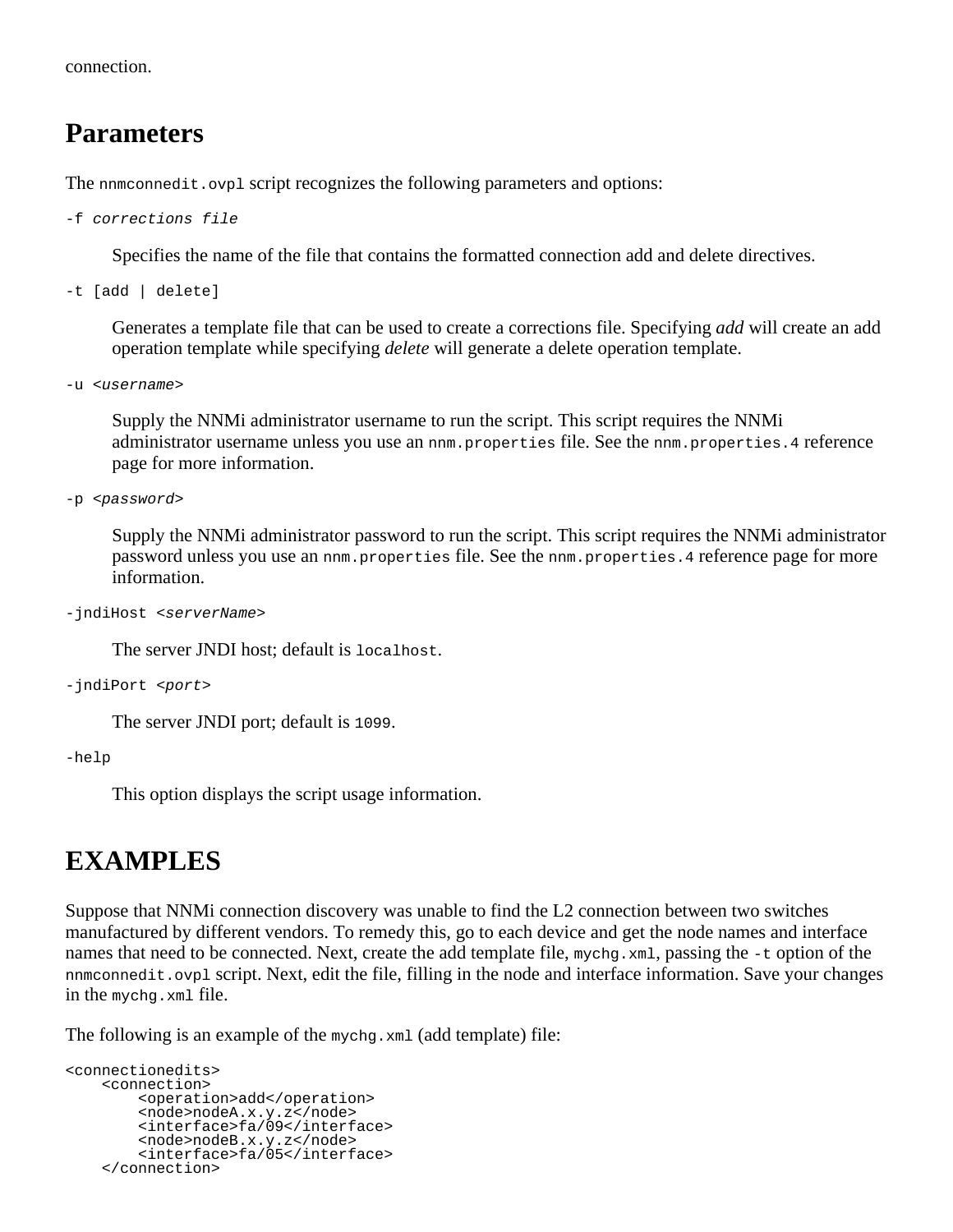connection.

### **Parameters**

The nnmconnedit.ovpl script recognizes the following parameters and options:

```
-f corrections file
```
Specifies the name of the file that contains the formatted connection add and delete directives.

```
-t [add | delete]
```
Generates a template file that can be used to create a corrections file. Specifying *add* will create an add operation template while specifying *delete* will generate a delete operation template.

```
-u <username>
```
Supply the NNMi administrator username to run the script. This script requires the NNMi administrator username unless you use an nnm.properties file. See the nnm.properties. 4 reference page for more information.

```
-p <password>
```
Supply the NNMi administrator password to run the script. This script requires the NNMi administrator password unless you use an nnm.properties file. See the nnm.properties. 4 reference page for more information.

```
-jndiHost <serverName>
```
The server JNDI host; default is localhost.

```
-jndiPort <port>
```
The server JNDI port; default is 1099.

-help

This option displays the script usage information.

### **EXAMPLES**

Suppose that NNMi connection discovery was unable to find the L2 connection between two switches manufactured by different vendors. To remedy this, go to each device and get the node names and interface names that need to be connected. Next, create the add template file,  $m$ ychg.xml, passing the -t option of the nnmconnedit.ovpl script. Next, edit the file, filling in the node and interface information. Save your changes in the mychg.xml file.

The following is an example of the mychg.xml (add template) file:

```
<connectionedits>
     <connection>
         <operation>add</operation>
         <node>nodeA.x.y.z</node>
         <interface>fa/09</interface>
         <node>nodeB.x.y.z</node>
         <interface>fa/05</interface>
     </connection>
```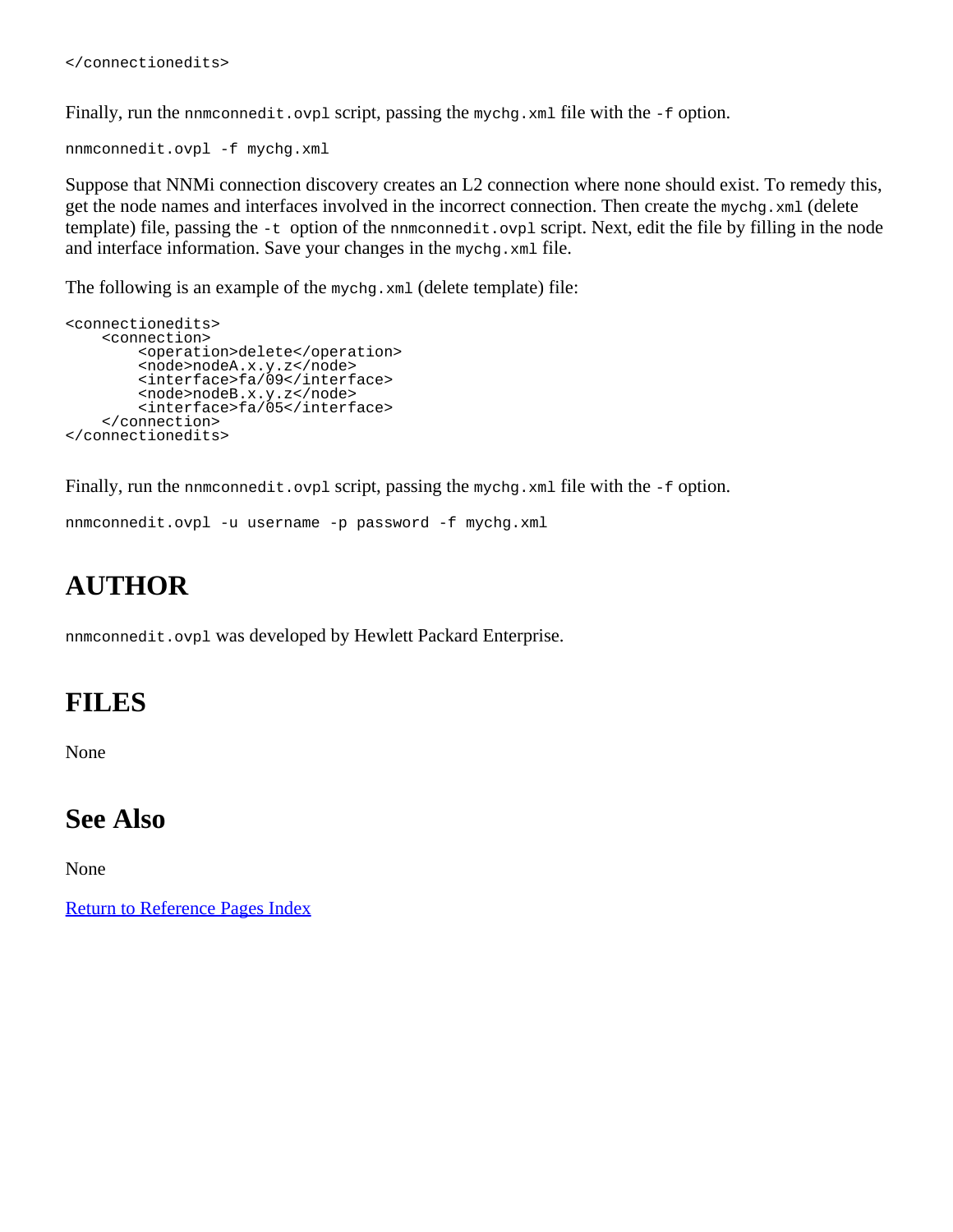Finally, run the nnmconnedit.ovpl script, passing the mychg.xml file with the -f option.

nnmconnedit.ovpl -f mychg.xml

Suppose that NNMi connection discovery creates an L2 connection where none should exist. To remedy this, get the node names and interfaces involved in the incorrect connection. Then create the mychg.xml (delete template) file, passing the  $-t$  option of the nnmconnedit.ovpl script. Next, edit the file by filling in the node and interface information. Save your changes in the mychg.xml file.

The following is an example of the mychg.xml (delete template) file:

```
<connectionedits>
     <connection>
         <operation>delete</operation>
         <node>nodeA.x.y.z</node>
         <interface>fa/09</interface>
         <node>nodeB.x.y.z</node>
         <interface>fa/05</interface>
     </connection>
</connectionedits>
```
Finally, run the nnmconnedit.ovpl script, passing the mychg.xml file with the -f option.

nnmconnedit.ovpl -u username -p password -f mychg.xml

### **AUTHOR**

nnmconnedit.ovpl was developed by Hewlett Packard Enterprise.

### **FILES**

None

### **See Also**

None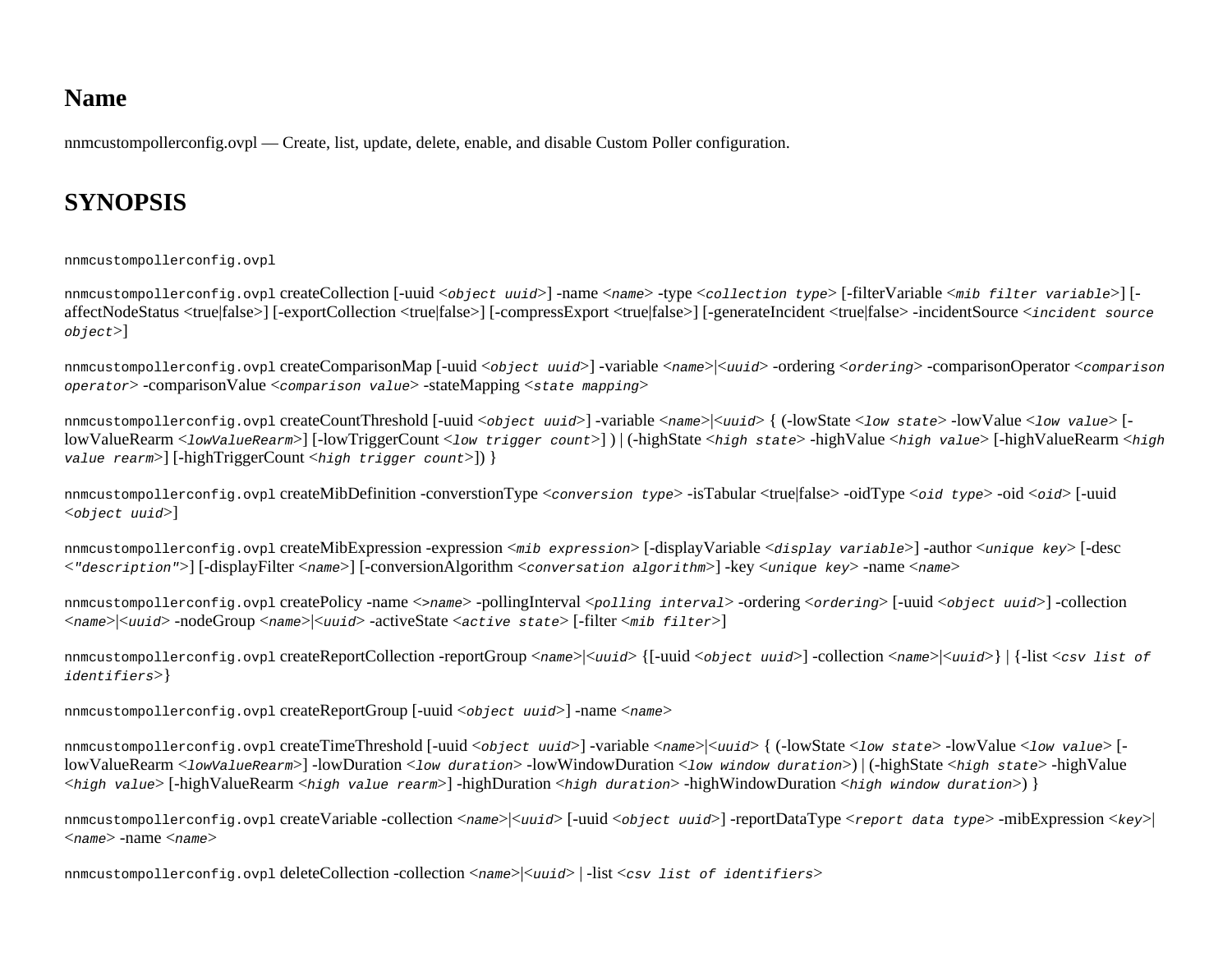### **Name**

nnmcustompollerconfig.ovpl — Create, list, update, delete, enable, and disable Custom Poller configuration.

### **SYNOPSIS**

#### <span id="page-81-0"></span>nnmcustompollerconfig.ovpl

nnmcustompollerconfig.ovpl createCollection [-uuid <*object uuid*>] -name <*name*> -type <*collection type*> [-filterVariable <*mib filter variable*>] [ affectNodeStatus <true|false>] [-exportCollection <true|false>] [-compressExport <true|false>] [-generateIncident <true|false> -incidentSource <*incident source object*>]

nnmcustompollerconfig.ovpl createComparisonMap [-uuid <*object uuid*>] -variable <*name*>|<*uuid*> -ordering <*ordering*> -comparisonOperator <*comparison operator*> -comparisonValue <*comparison value*> -stateMapping <*state mapping*>

nnmcustompollerconfig.ovpl createCountThreshold [-uuid <*object uuid*>] -variable <*name*>|<*uuid*> { (-lowState <*low state*> -lowValue <*low value*> [ lowValueRearm <*lowValueRearm*>] [-lowTriggerCount <*low trigger count*>] ) | (-highState <*high state*> -highValue <*high value*> [-highValueRearm <*high value rearm*>] [-highTriggerCount <*high trigger count*>]) }

nnmcustompollerconfig.ovpl createMibDefinition -converstionType <*conversion type*> -isTabular <true|false> -oidType <*oid type*> -oid <*oid*> [-uuid <*object uuid*>]

nnmcustompollerconfig.ovpl createMibExpression -expression <*mib expression*> [-displayVariable <*display variable*>] -author <*unique key*> [-desc <*"description"*>] [-displayFilter <*name*>] [-conversionAlgorithm <*conversation algorithm*>] -key <*unique key*> -name <*name*>

nnmcustompollerconfig.ovpl createPolicy -name <*>name*> -pollingInterval <*polling interval*> -ordering <*ordering*> [-uuid <*object uuid*>] -collection <*name*>|<*uuid*> -nodeGroup <*name*>|<*uuid*> -activeState <*active state*> [-filter <*mib filter*>]

nnmcustompollerconfig.ovpl createReportCollection -reportGroup <*name*>|<*uuid*> {[-uuid <*object uuid*>] -collection <*name*>|<*uuid*>} | {-list <*csv list of identifiers*>}

nnmcustompollerconfig.ovpl createReportGroup [-uuid <*object uuid*>] -name <*name*>

nnmcustompollerconfig.ovpl createTimeThreshold [-uuid <*object uuid*>] -variable <*name*>|<*uuid*> { (-lowState <*low state*> -lowValue <*low value*> [ lowValueRearm <*lowValueRearm*>] -lowDuration <*low duration*> -lowWindowDuration <*low window duration*>) | (-highState <*high state*> -highValue <*high value*> [-highValueRearm <*high value rearm*>] -highDuration <*high duration*> -highWindowDuration <*high window duration*>) }

nnmcustompollerconfig.ovpl createVariable -collection <*name*>|<*uuid*> [-uuid <*object uuid*>] -reportDataType <*report data type*> -mibExpression <*key*>| <*name*> -name <*name*>

nnmcustompollerconfig.ovpl deleteCollection -collection <*name*>|<*uuid*> | -list <*csv list of identifiers*>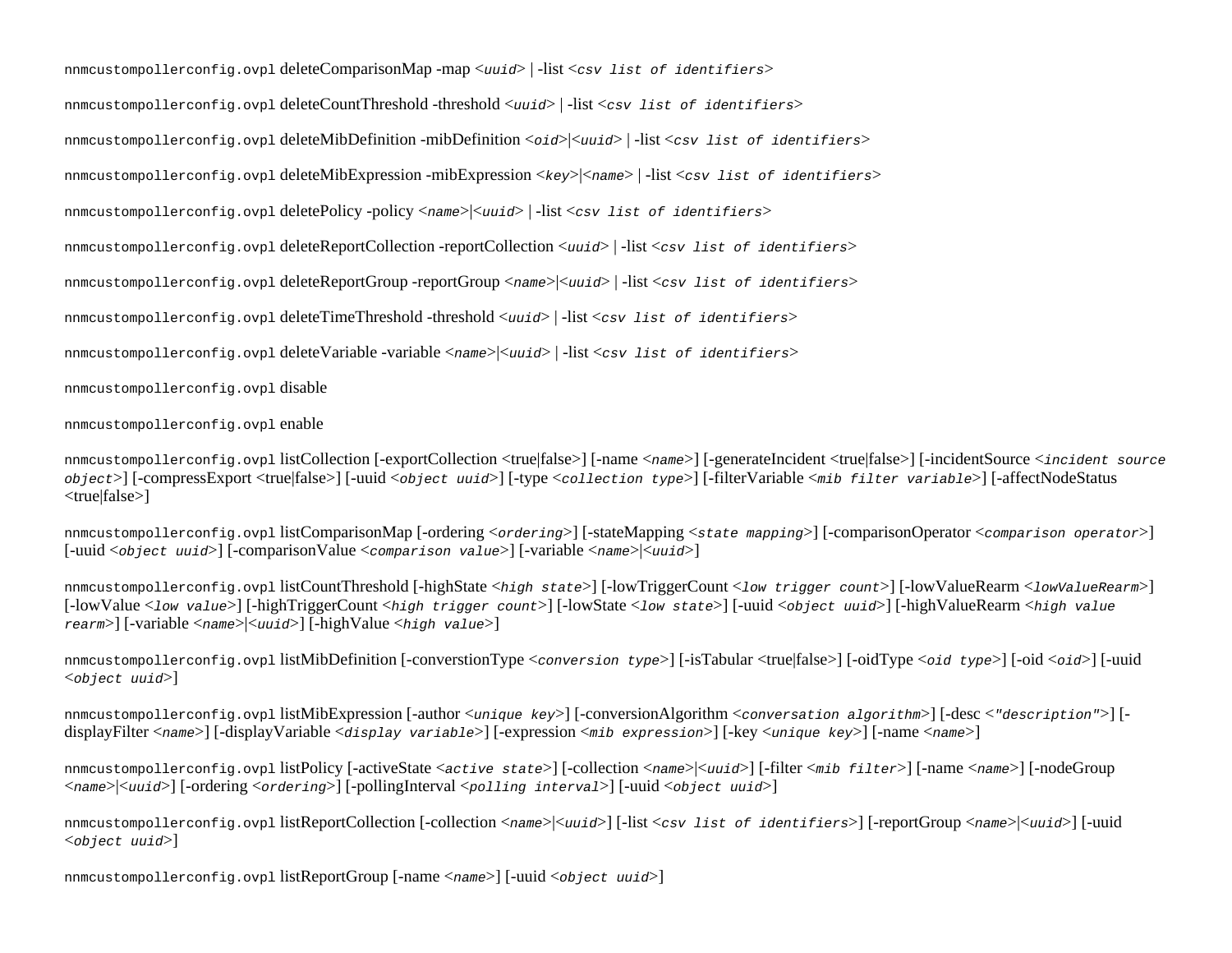nnmcustompollerconfig.ovpl deleteComparisonMap -map <*uuid*> | -list <*csv list of identifiers*> nnmcustompollerconfig.ovpl deleteCountThreshold -threshold <*uuid*> | -list <*csv list of identifiers*> nnmcustompollerconfig.ovpl deleteMibDefinition -mibDefinition <*oid*>|<*uuid*> | -list <*csv list of identifiers*> nnmcustompollerconfig.ovpl deleteMibExpression -mibExpression <*key*>|<*name*> | -list <*csv list of identifiers*> nnmcustompollerconfig.ovpl deletePolicy -policy <*name*>|<*uuid*> | -list <*csv list of identifiers*> nnmcustompollerconfig.ovpl deleteReportCollection -reportCollection <*uuid*> | -list <*csv list of identifiers*> nnmcustompollerconfig.ovpl deleteReportGroup -reportGroup <*name*>|<*uuid*> | -list <*csv list of identifiers*> nnmcustompollerconfig.ovpl deleteTimeThreshold -threshold <*uuid*> | -list <*csv list of identifiers*> nnmcustompollerconfig.ovpl deleteVariable -variable <*name*>|<*uuid*> | -list <*csv list of identifiers*> nnmcustompollerconfig.ovpl disable

nnmcustompollerconfig.ovpl enable

nnmcustompollerconfig.ovpl listCollection [-exportCollection <true|false>] [-name <*name*>] [-generateIncident <true|false>] [-incidentSource <*incident source object*>] [-compressExport <true|false>] [-uuid <*object uuid*>] [-type <*collection type*>] [-filterVariable <*mib filter variable*>] [-affectNodeStatus <true|false>]

nnmcustompollerconfig.ovpl listComparisonMap [-ordering <*ordering*>] [-stateMapping <*state mapping*>] [-comparisonOperator <*comparison operator*>] [-uuid <*object uuid*>] [-comparisonValue <*comparison value*>] [-variable <*name*>|<*uuid*>]

nnmcustompollerconfig.ovpl listCountThreshold [-highState <*high state*>] [-lowTriggerCount <*low trigger count*>] [-lowValueRearm <*lowValueRearm*>] [-lowValue <*low value*>] [-highTriggerCount <*high trigger count*>] [-lowState <*low state*>] [-uuid <*object uuid*>] [-highValueRearm <*high value rearm*>] [-variable <*name*>|<*uuid*>] [-highValue <*high value*>]

nnmcustompollerconfig.ovpl listMibDefinition [-converstionType <*conversion type*>] [-isTabular <true|false>] [-oidType <*oid type*>] [-oid <*oid*>] [-uuid <*object uuid*>]

nnmcustompollerconfig.ovpl listMibExpression [-author <*unique key*>] [-conversionAlgorithm <*conversation algorithm*>] [-desc <*"description"*>] [ displayFilter <*name*>] [-displayVariable <*display variable*>] [-expression <*mib expression*>] [-key <*unique key*>] [-name <*name*>]

nnmcustompollerconfig.ovpl listPolicy [-activeState <*active state*>] [-collection <*name*>|<*uuid*>] [-filter <*mib filter*>] [-name <*name*>] [-nodeGroup <*name*>|<*uuid*>] [-ordering <*ordering*>] [-pollingInterval <*polling interval*>] [-uuid <*object uuid*>]

nnmcustompollerconfig.ovpl listReportCollection [-collection <*name*>|<*uuid*>] [-list <*csv list of identifiers*>] [-reportGroup <*name*>|<*uuid*>] [-uuid <*object uuid*>]

nnmcustompollerconfig.ovpl listReportGroup [-name <*name*>] [-uuid <*object uuid*>]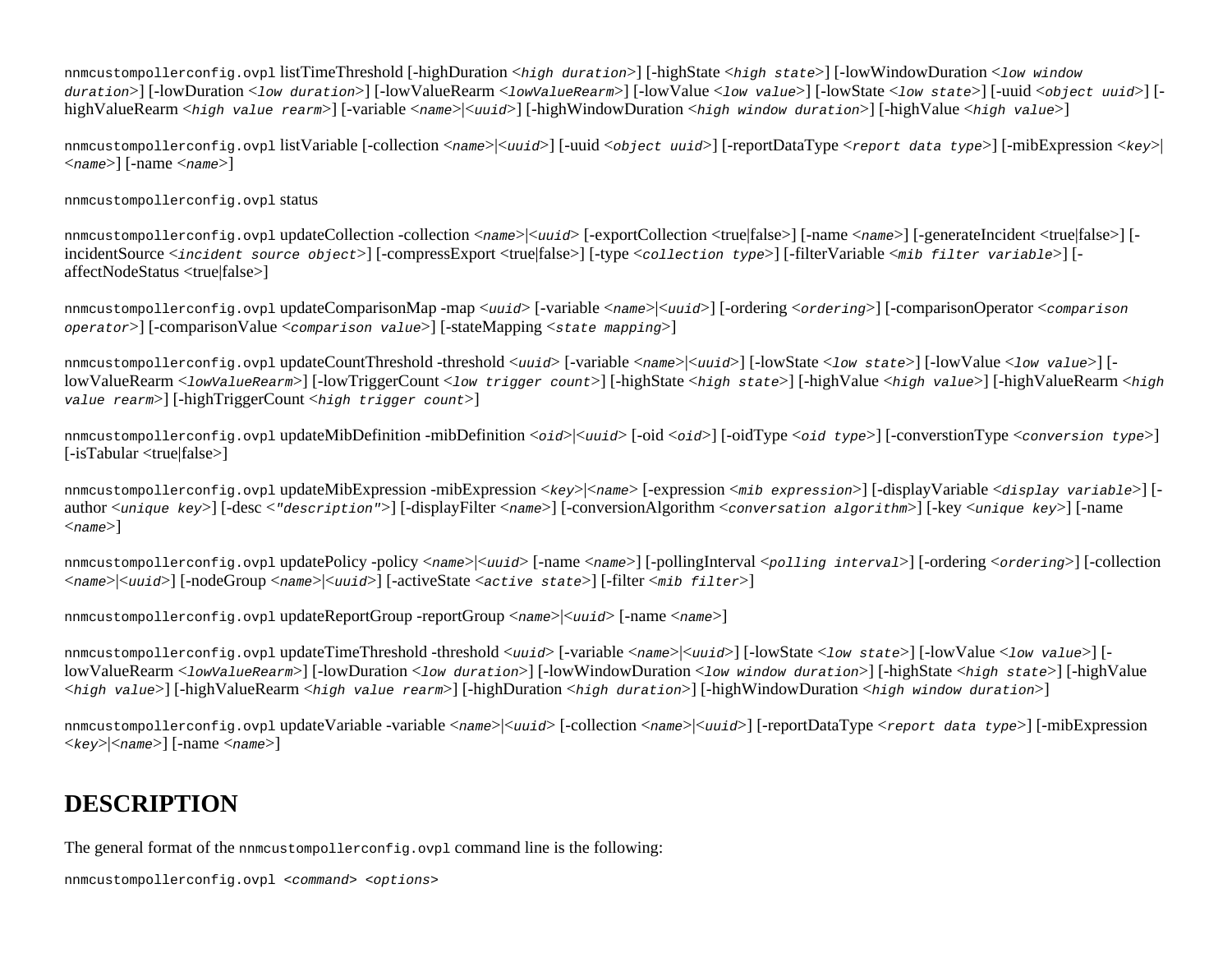nnmcustompollerconfig.ovpl listTimeThreshold [-highDuration <*high duration*>] [-highState <*high state*>] [-lowWindowDuration <*low window duration*>] [-lowDuration <*low duration*>] [-lowValueRearm <*lowValueRearm*>] [-lowValue <*low value*>] [-lowState <*low state*>] [-uuid <*object uuid*>] [ highValueRearm <*high value rearm*>] [-variable <*name*>|<*uuid*>] [-highWindowDuration <*high window duration*>] [-highValue <*high value*>]

nnmcustompollerconfig.ovpl listVariable [-collection <*name*>|<*uuid*>] [-uuid <*object uuid*>] [-reportDataType <*report data type*>] [-mibExpression <*key*>| <*name*>] [-name <*name*>]

nnmcustompollerconfig.ovpl status

nnmcustompollerconfig.ovpl updateCollection -collection <*name*>|<*uuid*> [-exportCollection <true|false>] [-name <*name*>] [-generateIncident <true|false>] [ incidentSource <*incident source object*>] [-compressExport <true|false>] [-type <*collection type*>] [-filterVariable <*mib filter variable*>] [ affectNodeStatus <true|false>]

nnmcustompollerconfig.ovpl updateComparisonMap -map <*uuid*> [-variable <*name*>|<*uuid*>] [-ordering <*ordering*>] [-comparisonOperator <*comparison operator*>] [-comparisonValue <*comparison value*>] [-stateMapping <*state mapping*>]

nnmcustompollerconfig.ovpl updateCountThreshold -threshold <*uuid*> [-variable <*name*>|<*uuid*>] [-lowState <*low state*>] [-lowValue <*low value*>] [ lowValueRearm <*lowValueRearm*>] [-lowTriggerCount <*low trigger count*>] [-highState <*high state*>] [-highValue <*high value*>] [-highValueRearm <*high value rearm*>] [-highTriggerCount <*high trigger count*>]

nnmcustompollerconfig.ovpl updateMibDefinition -mibDefinition <*oid*>|<*uuid*> [-oid <*oid*>] [-oidType <*oid type*>] [-converstionType <*conversion type*>] [-isTabular <true|false>]

nnmcustompollerconfig.ovpl updateMibExpression -mibExpression <*key*>|<*name*> [-expression <*mib expression*>] [-displayVariable <*display variable*>] [ author <*unique key*>] [-desc <*"description"*>] [-displayFilter <*name*>] [-conversionAlgorithm <*conversation algorithm*>] [-key <*unique key*>] [-name <*name*>]

nnmcustompollerconfig.ovpl updatePolicy -policy <*name*>|<*uuid*> [-name <*name*>] [-pollingInterval <*polling interval*>] [-ordering <*ordering*>] [-collection <*name*>|<*uuid*>] [-nodeGroup <*name*>|<*uuid*>] [-activeState <*active state*>] [-filter <*mib filter*>]

nnmcustompollerconfig.ovpl updateReportGroup -reportGroup <*name*>|<*uuid*> [-name <*name*>]

nnmcustompollerconfig.ovpl updateTimeThreshold -threshold <*uuid*> [-variable <*name*>|<*uuid*>] [-lowState <*low state*>] [-lowValue <*low value*>] [ lowValueRearm <*lowValueRearm*>] [-lowDuration <*low duration*>] [-lowWindowDuration <*low window duration*>] [-highState <*high state*>] [-highValue <*high value*>] [-highValueRearm <*high value rearm*>] [-highDuration <*high duration*>] [-highWindowDuration <*high window duration*>]

nnmcustompollerconfig.ovpl updateVariable -variable <*name*>|<*uuid*> [-collection <*name*>|<*uuid*>] [-reportDataType <*report data type*>] [-mibExpression <*key*>|<*name*>] [-name <*name*>]

### **DESCRIPTION**

The general format of the nnmcustompollerconfig.ovpl command line is the following:

nnmcustompollerconfig.ovpl <*command>* <*options*>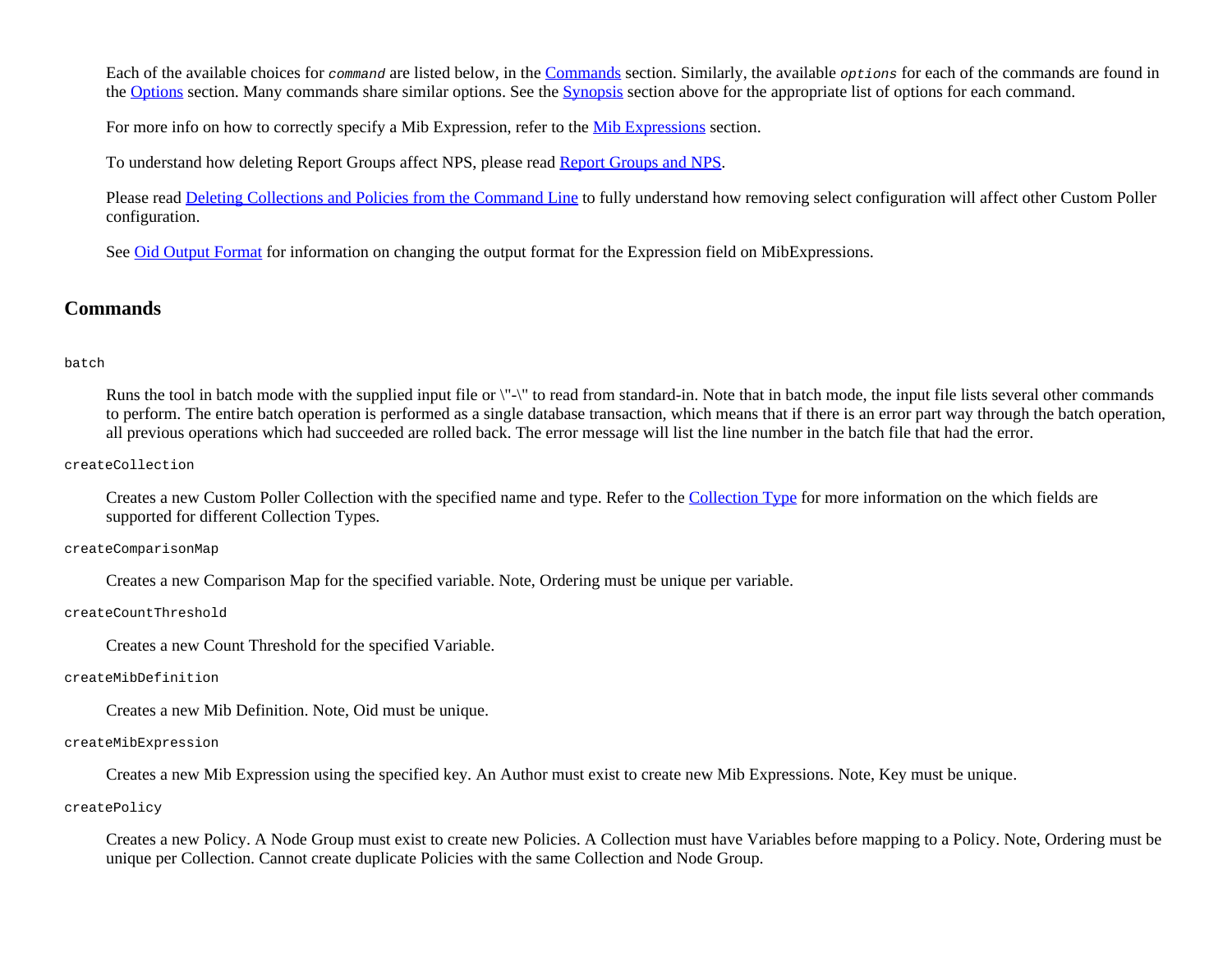Each of the available choices for *command* are listed below, in the [Commands](#page-84-0) section. Similarly, the available *options* for each of the commands are found in the [Options](#page-88-0) section. Many commands share similar options. See the [Synopsis](#page-81-0) section above for the appropriate list of options for each command.

For more info on how to correctly specify a Mib Expression, refer to the [Mib Expressions](#page-93-0) section.

To understand how deleting Report Groups affect NPS, please read [Report Groups and NPS](#page-94-0).

Please read [Deleting Collections and Policies from the Command](#page-95-0) [Line](#page-95-0) to fully understand how removing select configuration will affect other Custom Poller configuration.

See [Oid Output Format](#page-95-1) for information on changing the output format for the Expression field on MibExpressions.

#### **Commands**

#### <span id="page-84-0"></span>batch

Runs the tool in batch mode with the supplied input file or \"-\" to read from standard-in. Note that in batch mode, the input file lists several other commands to perform. The entire batch operation is performed as a single database transaction, which means that if there is an error part way through the batch operation, all previous operations which had succeeded are rolled back. The error message will list the line number in the batch file that had the error.

#### createCollection

Creates a new Custom Poller Collection with the specified name and type. Refer to the [Collection Type](#page-94-1) for more information on the which fields are supported for different Collection Types.

#### createComparisonMap

Creates a new Comparison Map for the specified variable. Note, Ordering must be unique per variable.

#### createCountThreshold

Creates a new Count Threshold for the specified Variable.

#### createMibDefinition

Creates a new Mib Definition. Note, Oid must be unique.

#### createMibExpression

Creates a new Mib Expression using the specified key. An Author must exist to create new Mib Expressions. Note, Key must be unique.

#### createPolicy

Creates a new Policy. A Node Group must exist to create new Policies. A Collection must have Variables before mapping to a Policy. Note, Ordering must be unique per Collection. Cannot create duplicate Policies with the same Collection and Node Group.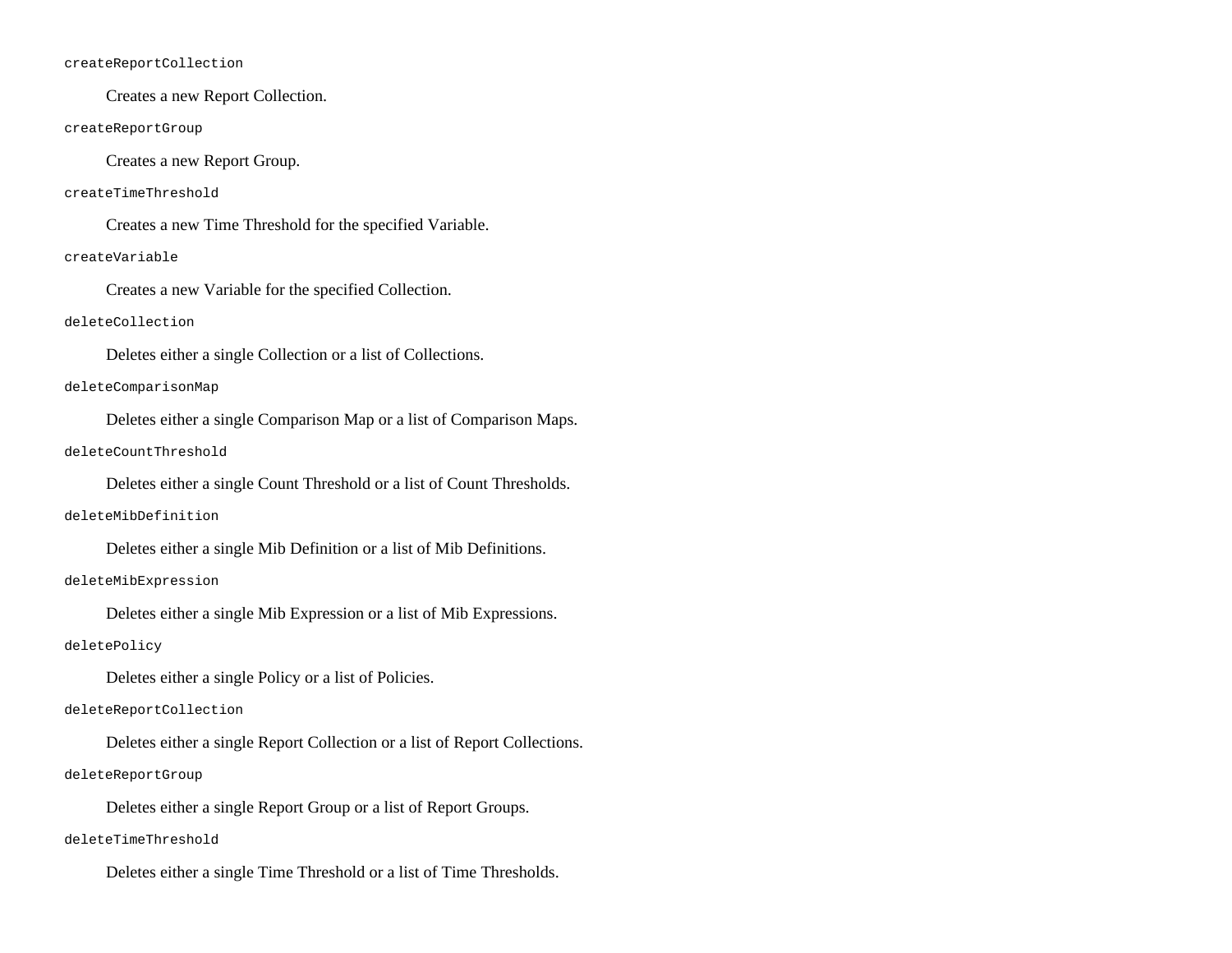#### createReportCollection

Creates a new Report Collection.

createReportGroup

Creates a new Report Group.

#### createTimeThreshold

Creates a new Time Threshold for the specified Variable.

#### createVariable

Creates a new Variable for the specified Collection.

#### deleteCollection

Deletes either a single Collection or a list of Collections.

#### deleteComparisonMap

Deletes either a single Comparison Map or a list of Comparison Maps.

deleteCountThreshold

Deletes either a single Count Threshold or a list of Count Thresholds.

deleteMibDefinition

Deletes either a single Mib Definition or a list of Mib Definitions.

deleteMibExpression

Deletes either a single Mib Expression or a list of Mib Expressions.

#### deletePolicy

Deletes either a single Policy or a list of Policies.

#### deleteReportCollection

Deletes either a single Report Collection or a list of Report Collections.

deleteReportGroup

Deletes either a single Report Group or a list of Report Groups.

deleteTimeThreshold

Deletes either a single Time Threshold or a list of Time Thresholds.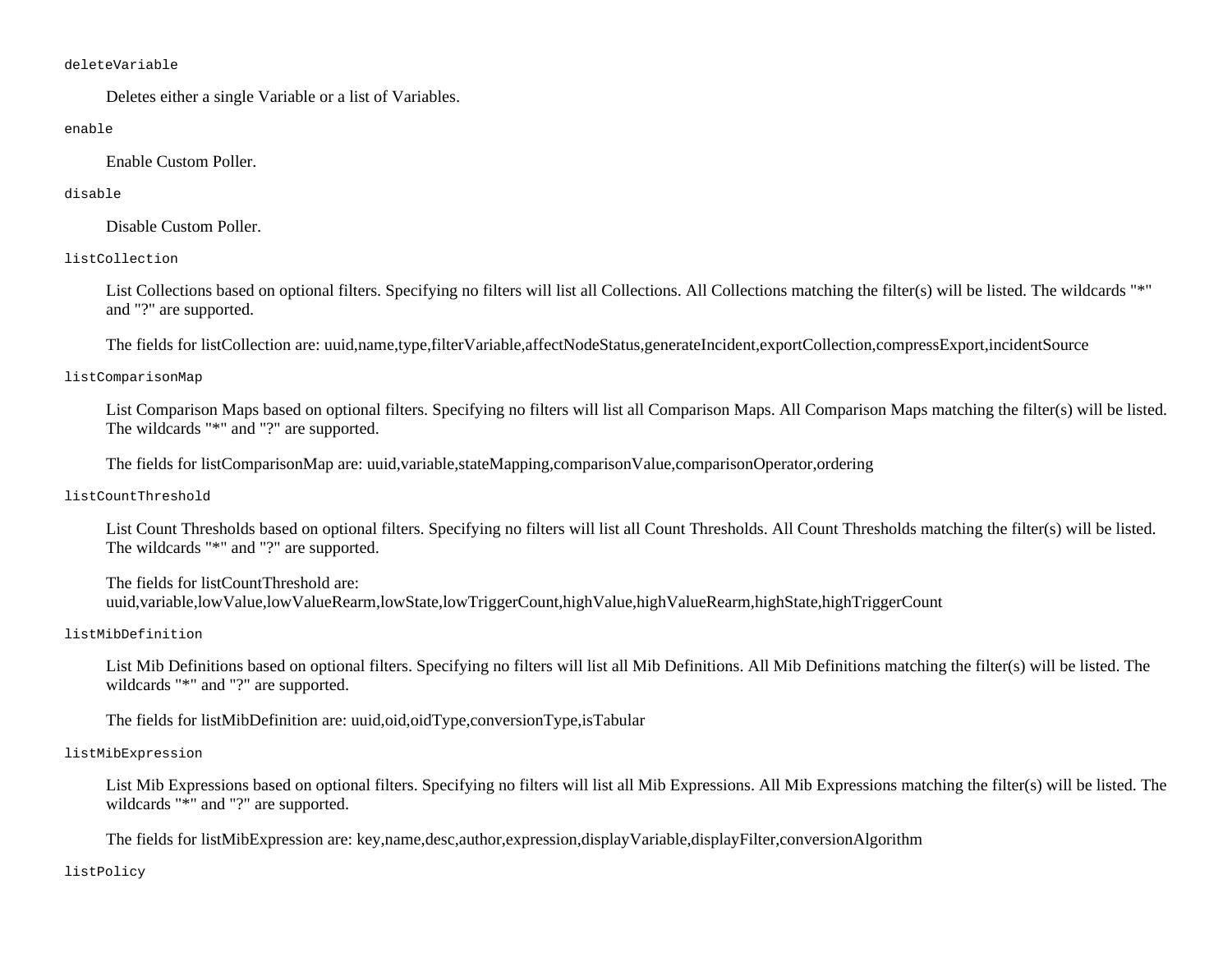#### deleteVariable

Deletes either a single Variable or a list of Variables.

#### enable

Enable Custom Poller.

#### disable

Disable Custom Poller.

#### listCollection

List Collections based on optional filters. Specifying no filters will list all Collections. All Collections matching the filter(s) will be listed. The wildcards "\*" and "?" are supported.

The fields for listCollection are: uuid,name,type,filterVariable,affectNodeStatus,generateIncident,exportCollection,compressExport,incidentSource

listComparisonMap

List Comparison Maps based on optional filters. Specifying no filters will list all Comparison Maps. All Comparison Maps matching the filter(s) will be listed. The wildcards "\*" and "?" are supported.

The fields for listComparisonMap are: uuid,variable,stateMapping,comparisonValue,comparisonOperator,ordering

listCountThreshold

List Count Thresholds based on optional filters. Specifying no filters will list all Count Thresholds. All Count Thresholds matching the filter(s) will be listed. The wildcards "\*" and "?" are supported.

The fields for listCountThreshold are: uuid,variable,lowValue,lowValueRearm,lowState,lowTriggerCount,highValue,highValueRearm,highState,highTriggerCount

#### listMibDefinition

List Mib Definitions based on optional filters. Specifying no filters will list all Mib Definitions. All Mib Definitions matching the filter(s) will be listed. The wildcards "\*" and "?" are supported.

The fields for listMibDefinition are: uuid,oid,oidType,conversionType,isTabular

#### listMibExpression

List Mib Expressions based on optional filters. Specifying no filters will list all Mib Expressions. All Mib Expressions matching the filter(s) will be listed. The wildcards "\*" and "?" are supported.

The fields for listMibExpression are: key,name,desc,author,expression,displayVariable,displayFilter,conversionAlgorithm

#### listPolicy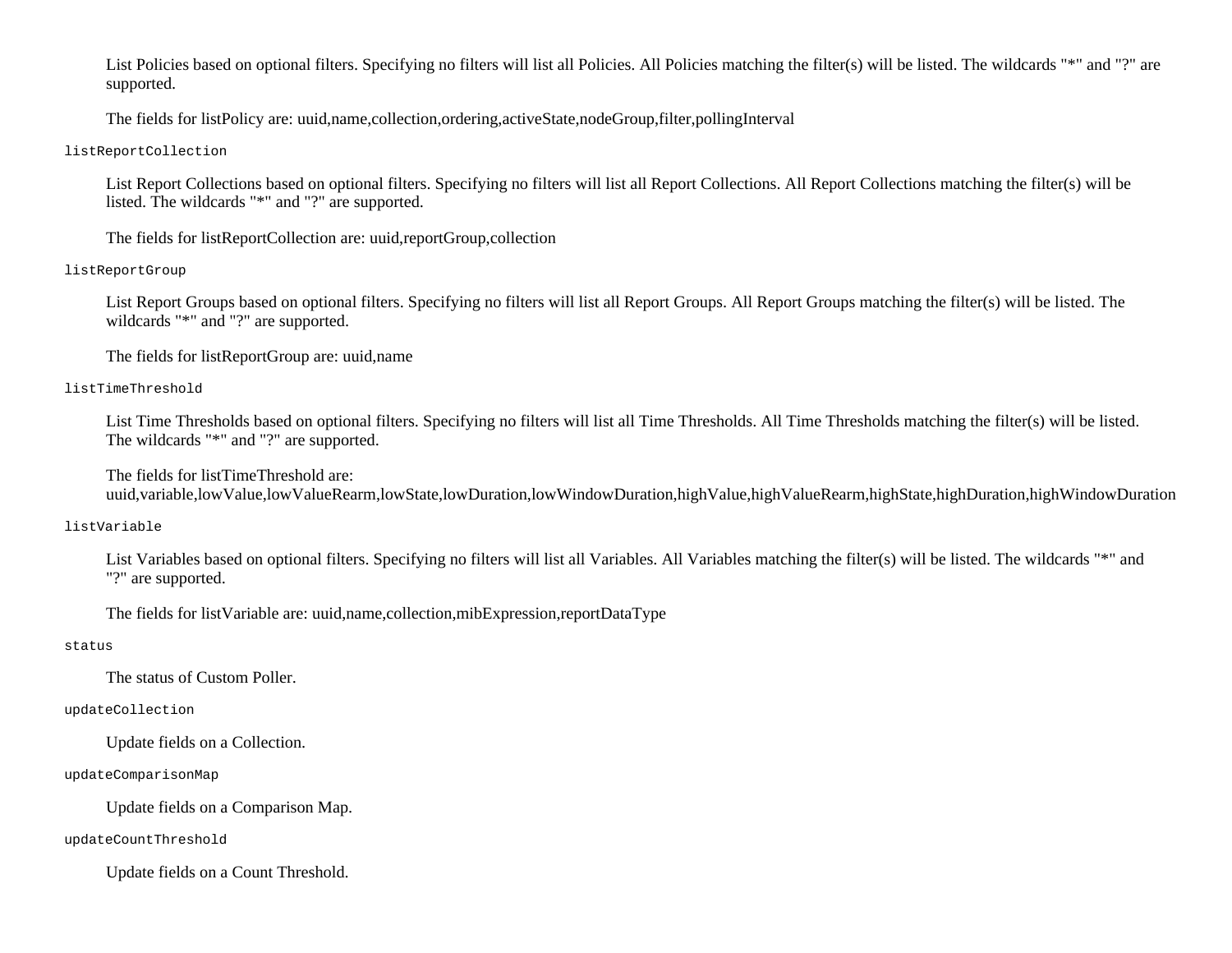List Policies based on optional filters. Specifying no filters will list all Policies. All Policies matching the filter(s) will be listed. The wildcards "\*" and "?" are supported.

The fields for listPolicy are: uuid,name,collection,ordering,activeState,nodeGroup,filter,pollingInterval

listReportCollection

List Report Collections based on optional filters. Specifying no filters will list all Report Collections. All Report Collections matching the filter(s) will be listed. The wildcards "\*" and "?" are supported.

The fields for listReportCollection are: uuid,reportGroup,collection

listReportGroup

List Report Groups based on optional filters. Specifying no filters will list all Report Groups. All Report Groups matching the filter(s) will be listed. The wildcards "\*" and "?" are supported.

The fields for listReportGroup are: uuid,name

listTimeThreshold

List Time Thresholds based on optional filters. Specifying no filters will list all Time Thresholds. All Time Thresholds matching the filter(s) will be listed. The wildcards "\*" and "?" are supported.

The fields for listTimeThreshold are: uuid,variable,lowValue,lowValueRearm,lowState,lowDuration,lowWindowDuration,highValue,highValueRearm,highState,highDuration,highWindowDuration

listVariable

List Variables based on optional filters. Specifying no filters will list all Variables. All Variables matching the filter(s) will be listed. The wildcards "\*" and "?" are supported.

The fields for listVariable are: uuid,name,collection,mibExpression,reportDataType

status

The status of Custom Poller.

updateCollection

Update fields on a Collection.

updateComparisonMap

Update fields on a Comparison Map.

updateCountThreshold

Update fields on a Count Threshold.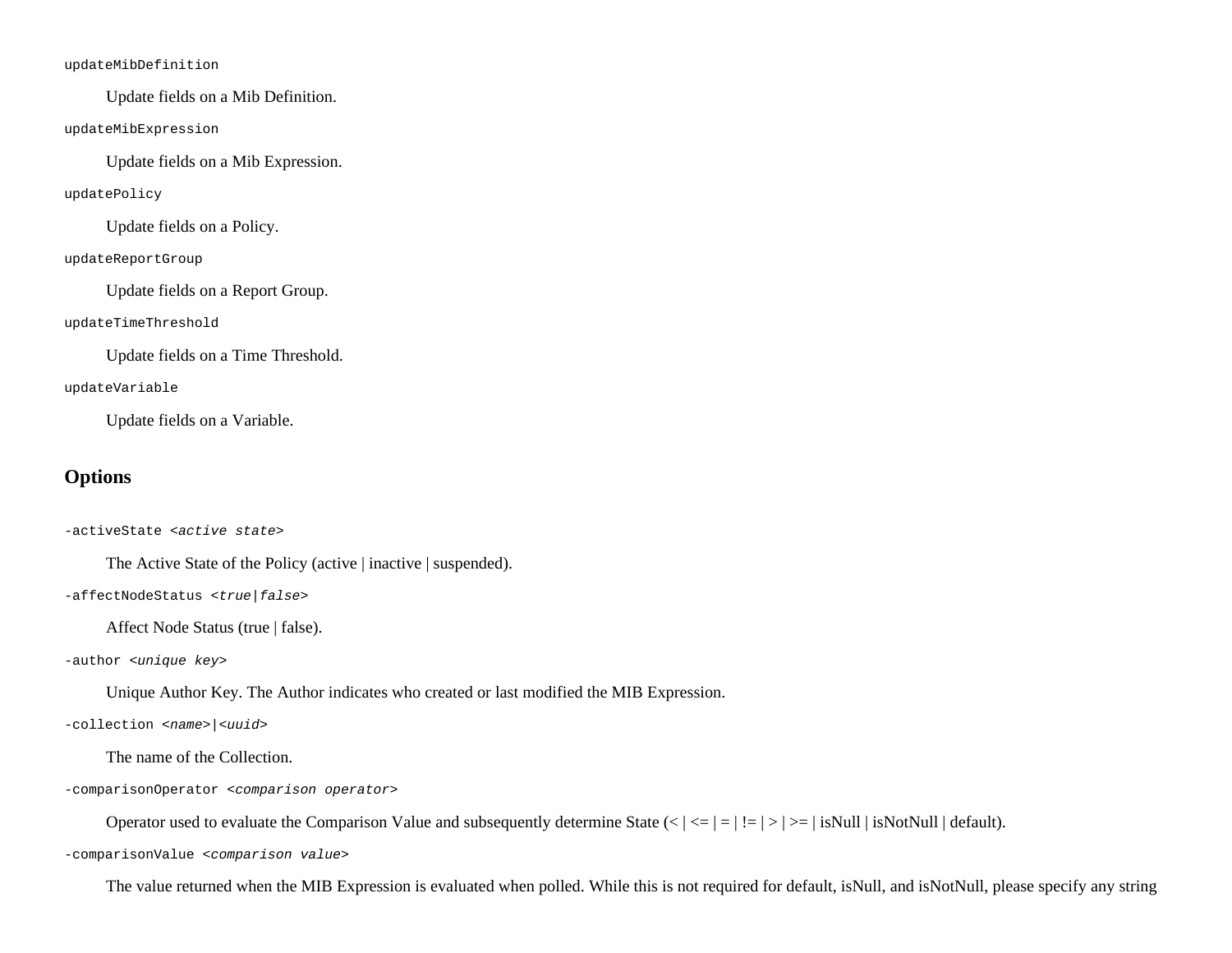#### updateMibDefinition

Update fields on a Mib Definition.

updateMibExpression

Update fields on a Mib Expression.

updatePolicy

Update fields on a Policy.

updateReportGroup

Update fields on a Report Group.

updateTimeThreshold

Update fields on a Time Threshold.

updateVariable

Update fields on a Variable.

#### <span id="page-88-0"></span>**Options**

-activeState <*active state*>

The Active State of the Policy (active | inactive | suspended).

-affectNodeStatus <*true|false*>

Affect Node Status (true | false).

-author <*unique key*>

Unique Author Key. The Author indicates who created or last modified the MIB Expression.

-collection <*name*>|<*uuid*>

The name of the Collection.

-comparisonOperator <*comparison operator*>

Operator used to evaluate the Comparison Value and subsequently determine State  $\langle \langle \rangle \langle = | = | \rangle = | \rangle$  isNull | isNotNull | default).

-comparisonValue <*comparison value*>

The value returned when the MIB Expression is evaluated when polled. While this is not required for default, isNull, and isNotNull, please specify any string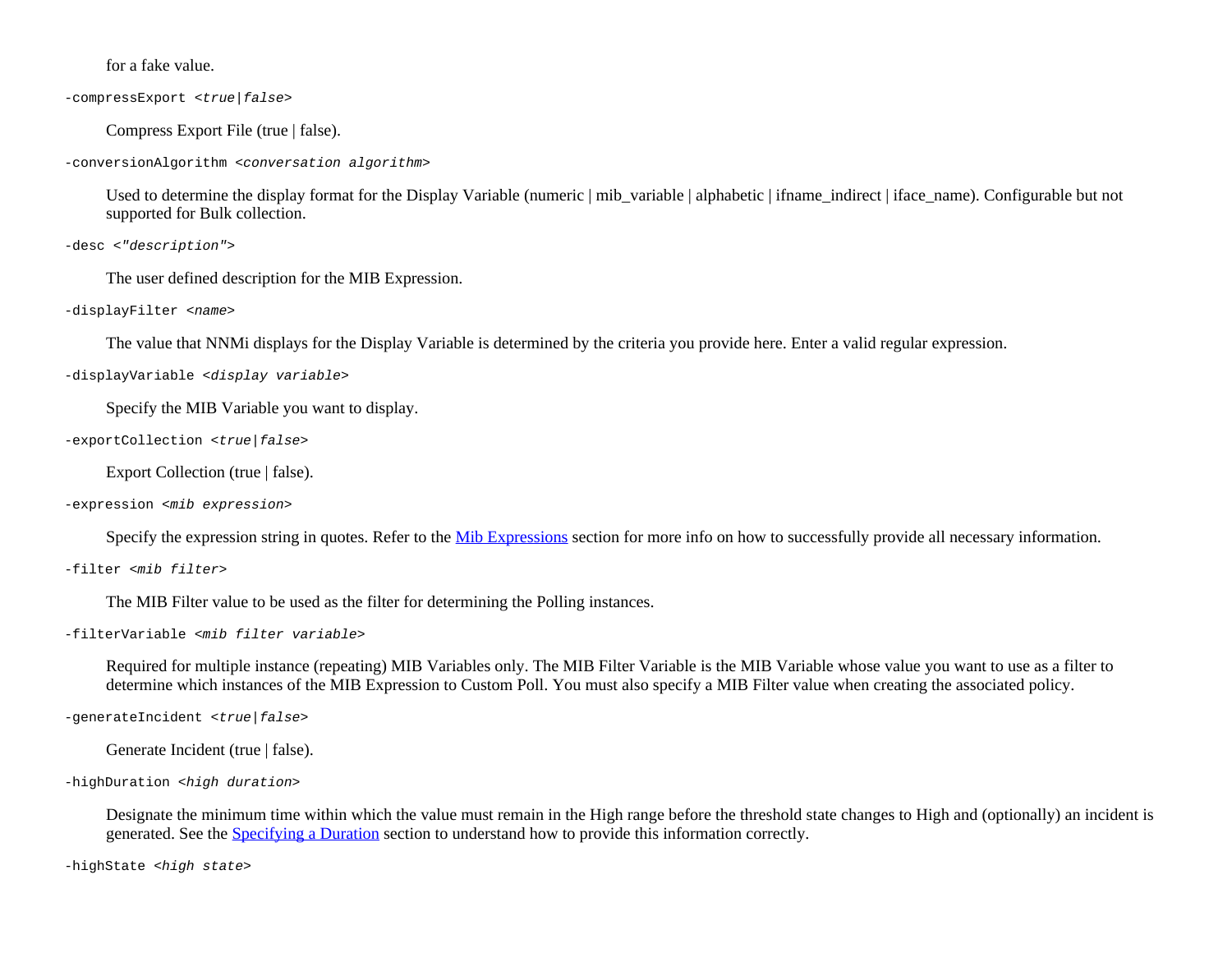for a fake value.

-compressExport <*true|false*>

Compress Export File (true | false).

-conversionAlgorithm <*conversation algorithm*>

Used to determine the display format for the Display Variable (numeric | mib\_variable | alphabetic | ifname\_indirect | iface\_name). Configurable but not supported for Bulk collection.

-desc <*"description"*>

The user defined description for the MIB Expression.

-displayFilter <*name*>

The value that NNMi displays for the Display Variable is determined by the criteria you provide here. Enter a valid regular expression.

-displayVariable <*display variable*>

Specify the MIB Variable you want to display.

-exportCollection <*true|false*>

Export Collection (true | false).

#### -expression <*mib expression*>

Specify the expression string in quotes. Refer to the [Mib Expressions](#page-93-0) section for more info on how to successfully provide all necessary information.

-filter <*mib filter*>

The MIB Filter value to be used as the filter for determining the Polling instances.

-filterVariable <*mib filter variable*>

Required for multiple instance (repeating) MIB Variables only. The MIB Filter Variable is the MIB Variable whose value you want to use as a filter to determine which instances of the MIB Expression to Custom Poll. You must also specify a MIB Filter value when creating the associated policy.

-generateIncident <*true|false*>

Generate Incident (true | false).

```
-highDuration <high duration>
```
Designate the minimum time within which the value must remain in the High range before the threshold state changes to High and (optionally) an incident is generated. See the [Specifying a Duration](#page-95-2) section to understand how to provide this information correctly.

-highState <*high state*>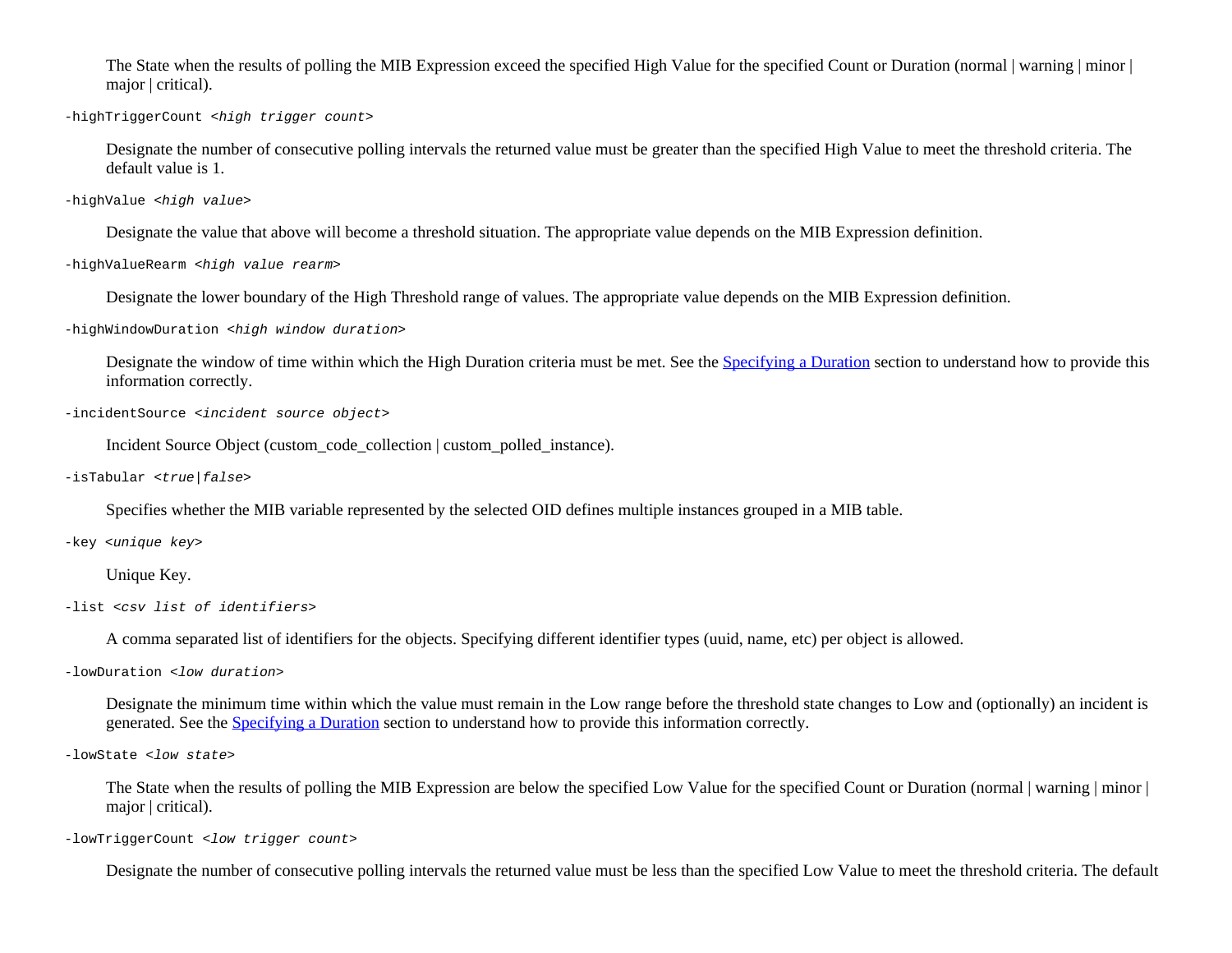The State when the results of polling the MIB Expression exceed the specified High Value for the specified Count or Duration (normal | warning | minor | major | critical).

-highTriggerCount <*high trigger count*>

Designate the number of consecutive polling intervals the returned value must be greater than the specified High Value to meet the threshold criteria. The default value is 1.

-highValue <*high value*>

Designate the value that above will become a threshold situation. The appropriate value depends on the MIB Expression definition.

-highValueRearm <*high value rearm*>

Designate the lower boundary of the High Threshold range of values. The appropriate value depends on the MIB Expression definition.

-highWindowDuration <*high window duration*>

Designate the window of time within which the High Duration criteria must be met. See the **Specifying a Duration** section to understand how to provide this information correctly.

-incidentSource <*incident source object*>

Incident Source Object (custom\_code\_collection | custom\_polled\_instance).

-isTabular <*true|false*>

Specifies whether the MIB variable represented by the selected OID defines multiple instances grouped in a MIB table.

-key <*unique key*>

Unique Key.

-list <*csv list of identifiers*>

A comma separated list of identifiers for the objects. Specifying different identifier types (uuid, name, etc) per object is allowed.

-lowDuration <*low duration*>

Designate the minimum time within which the value must remain in the Low range before the threshold state changes to Low and (optionally) an incident is generated. See the [Specifying a Duration](#page-95-2) section to understand how to provide this information correctly.

-lowState <*low state*>

The State when the results of polling the MIB Expression are below the specified Low Value for the specified Count or Duration (normal | warning | minor | major | critical).

-lowTriggerCount <*low trigger count*>

Designate the number of consecutive polling intervals the returned value must be less than the specified Low Value to meet the threshold criteria. The default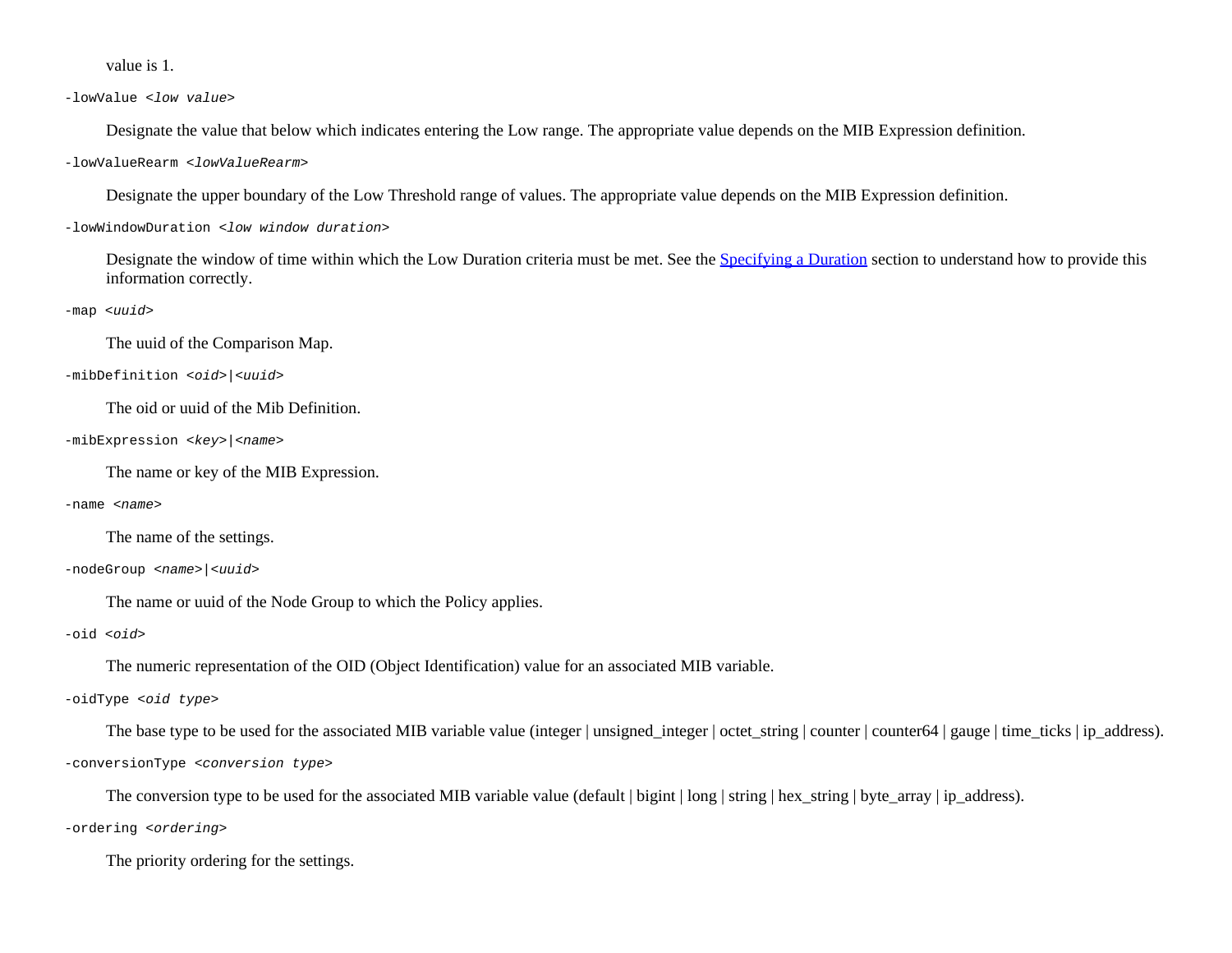value is 1.

-lowValue <*low value*>

Designate the value that below which indicates entering the Low range. The appropriate value depends on the MIB Expression definition.

-lowValueRearm <*lowValueRearm*>

Designate the upper boundary of the Low Threshold range of values. The appropriate value depends on the MIB Expression definition.

-lowWindowDuration <*low window duration*>

Designate the window of time within which the Low Duration criteria must be met. See the **Specifying a Duration** section to understand how to provide this information correctly.

-map <*uuid*>

The uuid of the Comparison Map.

-mibDefinition <*oid*>|<*uuid*>

The oid or uuid of the Mib Definition.

-mibExpression <*key*>|<*name*>

The name or key of the MIB Expression.

-name <*name*>

The name of the settings.

-nodeGroup <*name*>|<*uuid*>

The name or uuid of the Node Group to which the Policy applies.

-oid <*oid*>

The numeric representation of the OID (Object Identification) value for an associated MIB variable.

-oidType <*oid type*>

The base type to be used for the associated MIB variable value (integer | unsigned\_integer | octet\_string | counter | counter64 | gauge | time\_ticks | ip\_address). -conversionType <*conversion type*>

The conversion type to be used for the associated MIB variable value (default | bigint | long | string | hex\_string | byte\_array | ip\_address).

-ordering <*ordering*>

The priority ordering for the settings.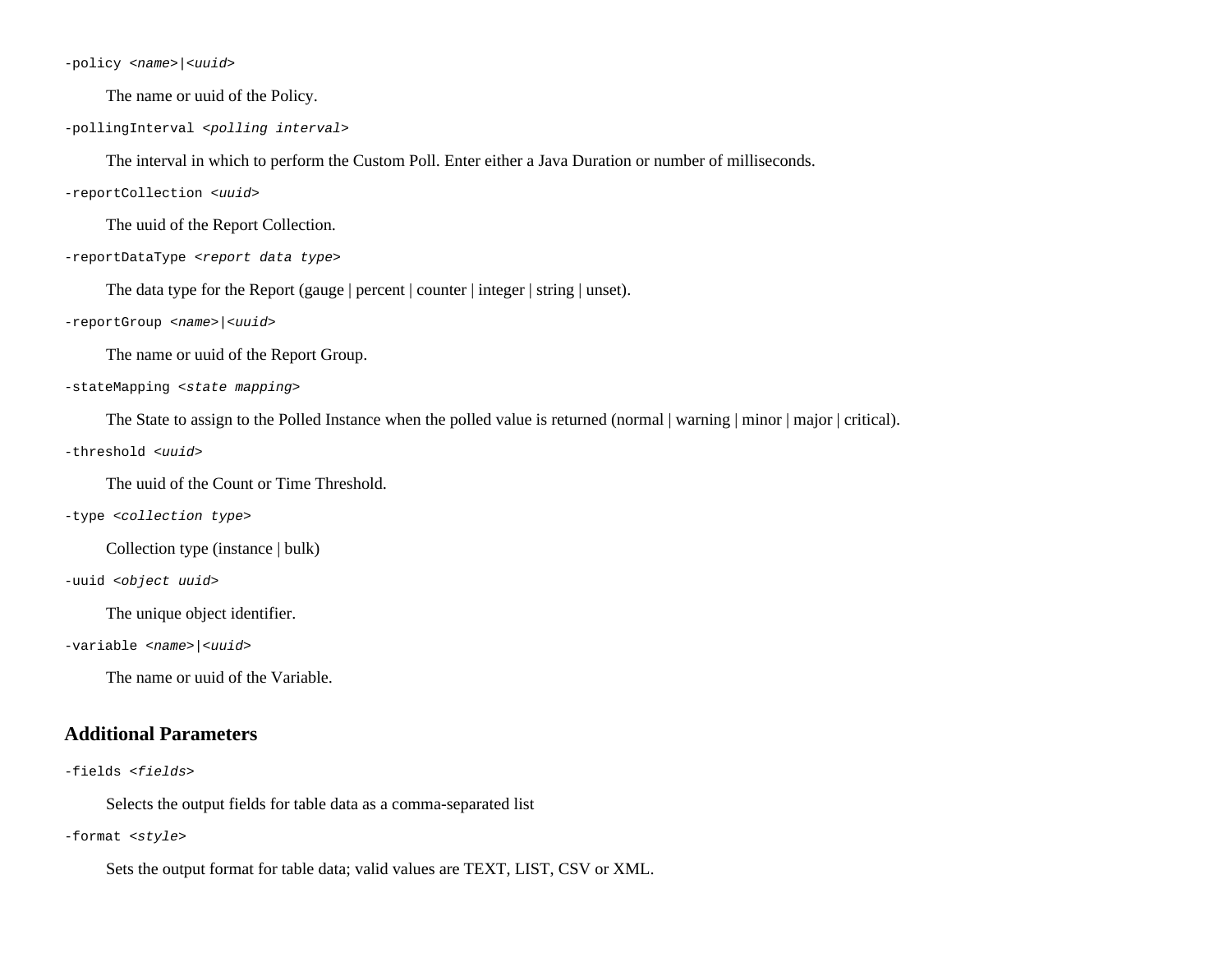-policy <*name*>|<*uuid*>

The name or uuid of the Policy.

-pollingInterval <*polling interval*>

The interval in which to perform the Custom Poll. Enter either a Java Duration or number of milliseconds.

-reportCollection <*uuid*>

The uuid of the Report Collection.

-reportDataType <*report data type*>

The data type for the Report (gauge | percent | counter | integer | string | unset).

-reportGroup <*name*>|<*uuid*>

The name or uuid of the Report Group.

-stateMapping <*state mapping*>

The State to assign to the Polled Instance when the polled value is returned (normal | warning | minor | major | critical).

-threshold <*uuid*>

The uuid of the Count or Time Threshold.

-type <*collection type*>

Collection type (instance | bulk)

-uuid <*object uuid*>

The unique object identifier.

-variable <*name*>|<*uuid*>

The name or uuid of the Variable.

### **Additional Parameters**

-fields <*fields*>

Selects the output fields for table data as a comma-separated list

-format <*style*>

Sets the output format for table data; valid values are TEXT, LIST, CSV or XML.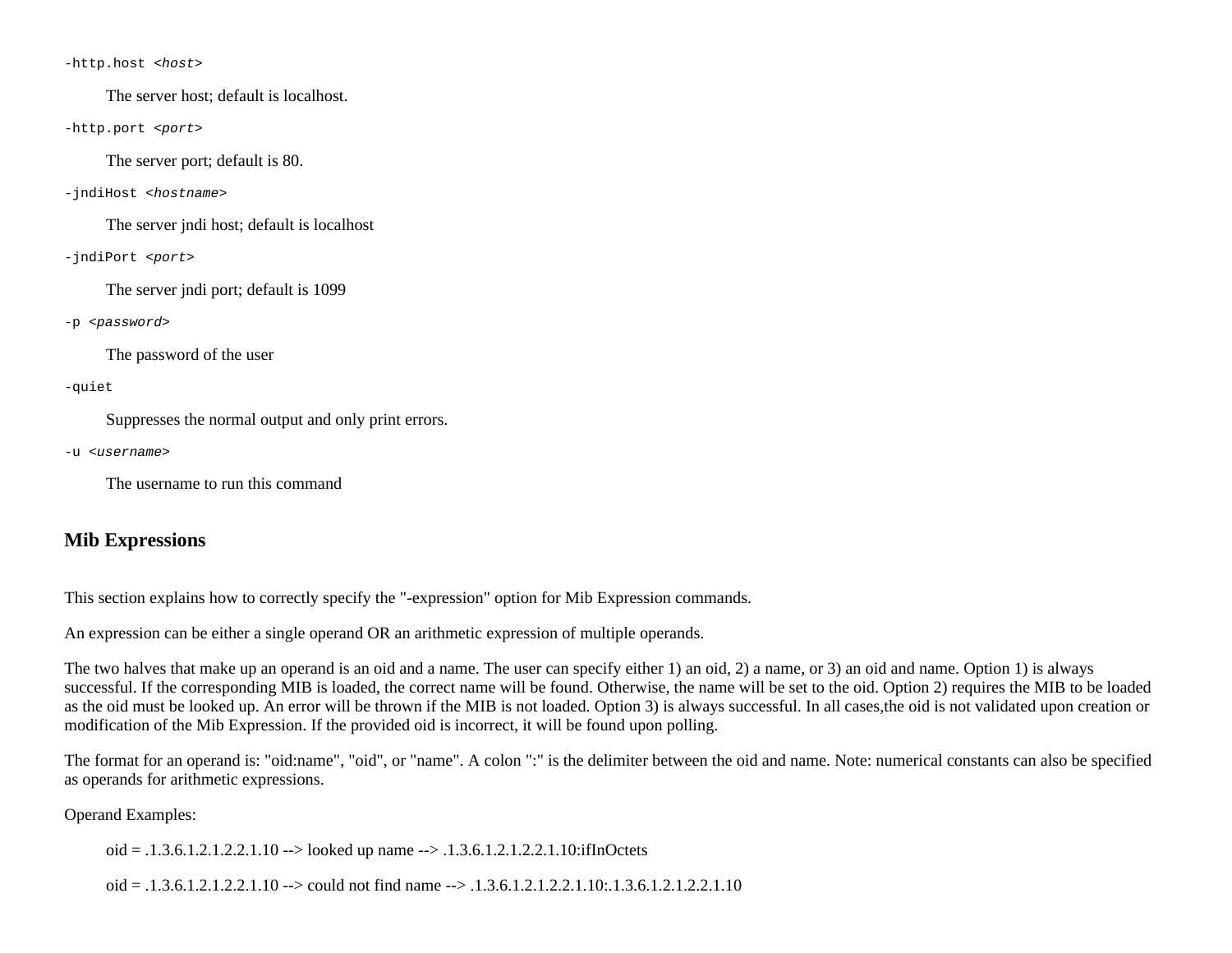-http.host <*host*>

The server host; default is localhost.

-http.port <*port*>

The server port; default is 80.

-jndiHost <*hostname*>

The server jndi host; default is localhost

-jndiPort <*port*>

The server jndi port; default is 1099

-p <*password*>

The password of the user

-quiet

Suppresses the normal output and only print errors.

-u <*username*>

The username to run this command

#### <span id="page-93-0"></span>**Mib Expressions**

This section explains how to correctly specify the "-expression" option for Mib Expression commands.

An expression can be either a single operand OR an arithmetic expression of multiple operands.

The two halves that make up an operand is an oid and a name. The user can specify either 1) an oid, 2) a name, or 3) an oid and name. Option 1) is always successful. If the corresponding MIB is loaded, the correct name will be found. Otherwise, the name will be set to the oid. Option 2) requires the MIB to be loaded as the oid must be looked up. An error will be thrown if the MIB is not loaded. Option 3) is always successful. In all cases,the oid is not validated upon creation or modification of the Mib Expression. If the provided oid is incorrect, it will be found upon polling.

The format for an operand is: "oid:name", "oid", or "name". A colon ":" is the delimiter between the oid and name. Note: numerical constants can also be specified as operands for arithmetic expressions.

Operand Examples:

oid = .1.3.6.1.2.1.2.2.1.10 --> looked up name --> .1.3.6.1.2.1.2.2.1.10:ifInOctets

oid =  $.1.3.6.1.2.1.2.2.1.10$  --> could not find name  $-$ >  $.1.3.6.1.2.1.2.2.1.10$ :.1.3.6.1.2.1.2.2.1.10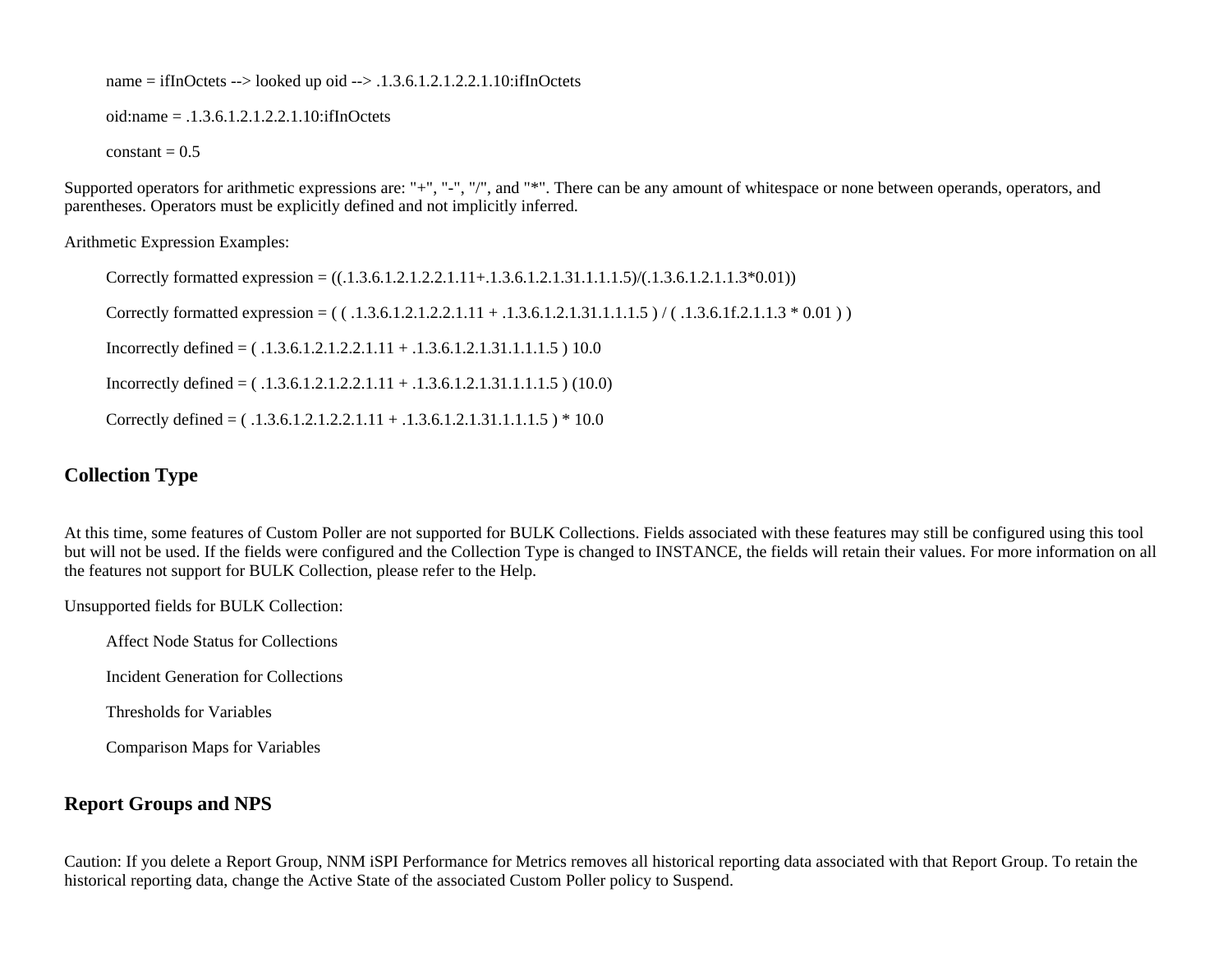name = ifInOctets  $\rightarrow$  looked up oid  $\rightarrow$  .1.3.6.1.2.1.2.2.1.10:ifInOctets

oid:name = .1.3.6.1.2.1.2.2.1.10:ifInOctets

 $constant = 0.5$ 

Supported operators for arithmetic expressions are: "+", "-", "/", and "\*". There can be any amount of whitespace or none between operands, operators, and parentheses. Operators must be explicitly defined and not implicitly inferred.

Arithmetic Expression Examples:

Correctly formatted expression =  $((.1.3.6.1.2.1.1.2.2.1.11+.1.3.6.1.2.1.31.1.1.1.5)/(.1.3.6.1.2.1.1.3*0.01))$ Correctly formatted expression =  $((.1.3.6.1.2.1.2.2.1.11 + .1.3.6.1.2.1.31.1.1.1.5) / (.1.3.6.1f.2.1.1.3 * 0.01))$ Incorrectly defined =  $(.1.3.6.1.2.1.2.2.1.11 + .1.3.6.1.2.1.31.1.1.1.5)10.0$ Incorrectly defined =  $(.1.3.6.1.2.1.2.2.1.11 + .1.3.6.1.2.1.31.1.1.1.5) (10.0)$ Correctly defined =  $(.1.3.6.1.2.1.2.2.1.11 + .1.3.6.1.2.1.31.1.1.1.5) * 10.0$ 

### <span id="page-94-1"></span>**Collection Type**

At this time, some features of Custom Poller are not supported for BULK Collections. Fields associated with these features may still be configured using this tool but will not be used. If the fields were configured and the Collection Type is changed to INSTANCE, the fields will retain their values. For more information on all the features not support for BULK Collection, please refer to the Help.

Unsupported fields for BULK Collection:

Affect Node Status for Collections

Incident Generation for Collections

Thresholds for Variables

Comparison Maps for Variables

### <span id="page-94-0"></span>**Report Groups and NPS**

Caution: If you delete a Report Group, NNM iSPI Performance for Metrics removes all historical reporting data associated with that Report Group. To retain the historical reporting data, change the Active State of the associated Custom Poller policy to Suspend.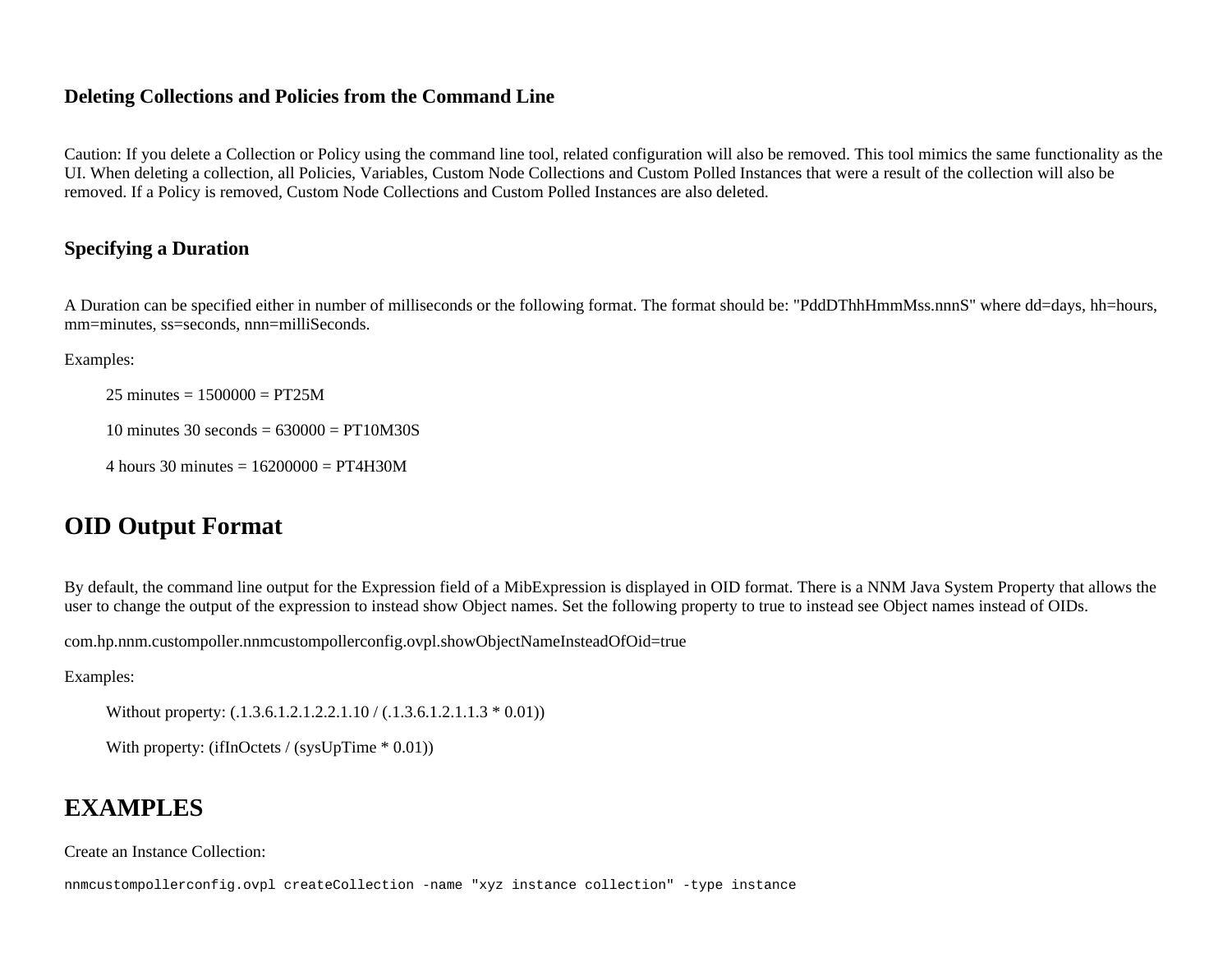### <span id="page-95-0"></span>**Deleting Collections and Policies from the Command Line**

Caution: If you delete a Collection or Policy using the command line tool, related configuration will also be removed. This tool mimics the same functionality as the UI. When deleting a collection, all Policies, Variables, Custom Node Collections and Custom Polled Instances that were a result of the collection will also be removed. If a Policy is removed, Custom Node Collections and Custom Polled Instances are also deleted.

#### <span id="page-95-2"></span>**Specifying a Duration**

A Duration can be specified either in number of milliseconds or the following format. The format should be: "PddDThhHmmMss.nnnS" where dd=days, hh=hours, mm=minutes, ss=seconds, nnn=milliSeconds.

Examples:

 $25 \text{ minutes} = 1500000 = \text{PT}25\text{M}$ 

10 minutes 30 seconds =  $630000 = PT10M30S$ 

4 hours 30 minutes =  $16200000 = PT4H30M$ 

### **OID Output Format**

<span id="page-95-1"></span>By default, the command line output for the Expression field of a MibExpression is displayed in OID format. There is a NNM Java System Property that allows the user to change the output of the expression to instead show Object names. Set the following property to true to instead see Object names instead of OIDs.

com.hp.nnm.custompoller.nnmcustompollerconfig.ovpl.showObjectNameInsteadOfOid=true

Examples:

Without property: (.1.3.6.1.2.1.2.2.1.10 / (.1.3.6.1.2.1.1.3 \* 0.01))

```
With property: (ifInOctets / (sysUpTime * 0.01))
```
### **EXAMPLES**

#### Create an Instance Collection:

nnmcustompollerconfig.ovpl createCollection -name "xyz instance collection" -type instance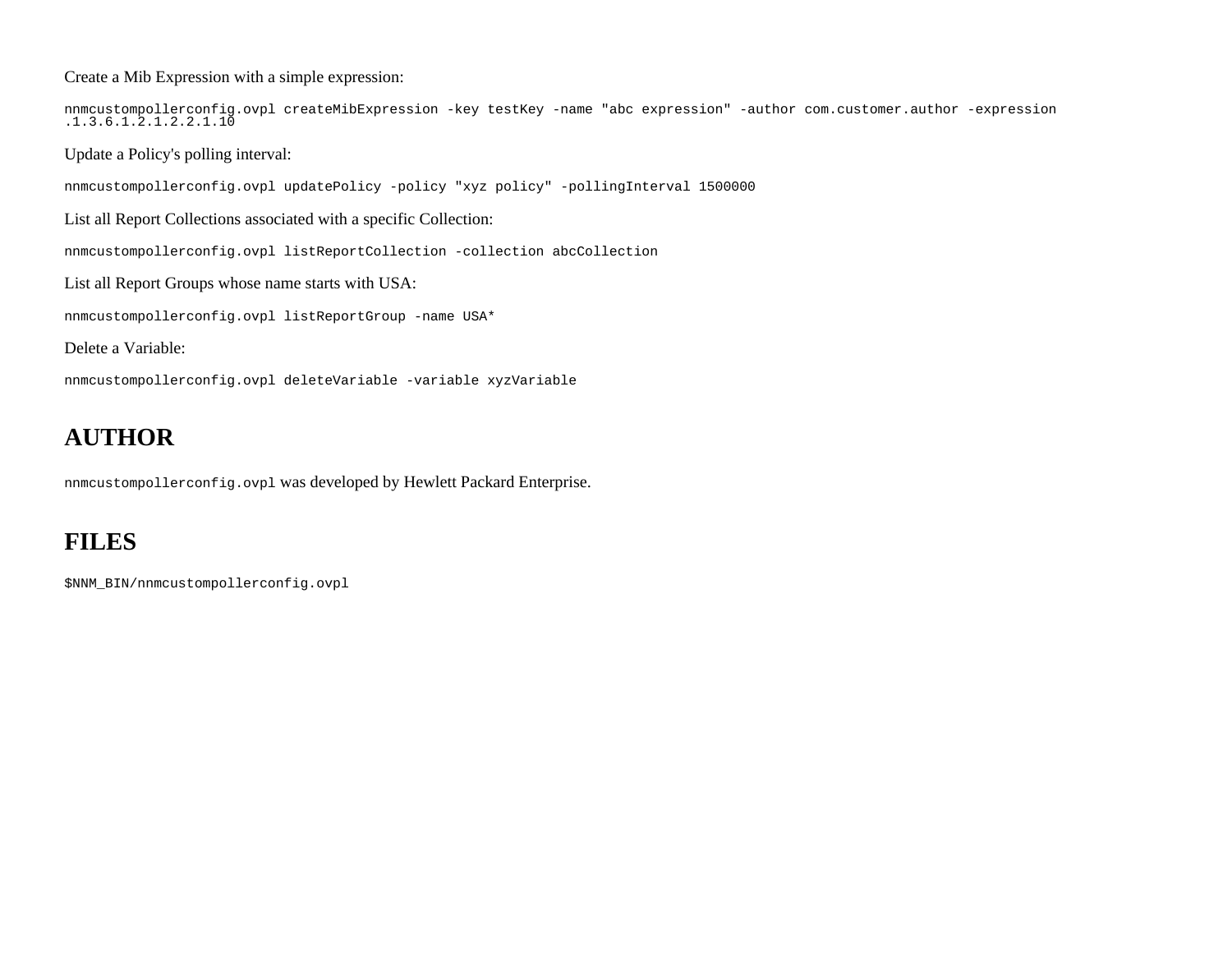Create a Mib Expression with a simple expression:

nnmcustompollerconfig.ovpl createMibExpression -key testKey -name "abc expression" -author com.customer.author -expression .1.3.6.1.2.1.2.2.1.10

Update a Policy's polling interval:

nnmcustompollerconfig.ovpl updatePolicy -policy "xyz policy" -pollingInterval 1500000

List all Report Collections associated with a specific Collection:

nnmcustompollerconfig.ovpl listReportCollection -collection abcCollection

List all Report Groups whose name starts with USA:

nnmcustompollerconfig.ovpl listReportGroup -name USA\*

Delete a Variable:

nnmcustompollerconfig.ovpl deleteVariable -variable xyzVariable

### **AUTHOR**

nnmcustompollerconfig.ovpl was developed by Hewlett Packard Enterprise.

### **FILES**

\$NNM\_BIN/nnmcustompollerconfig.ovpl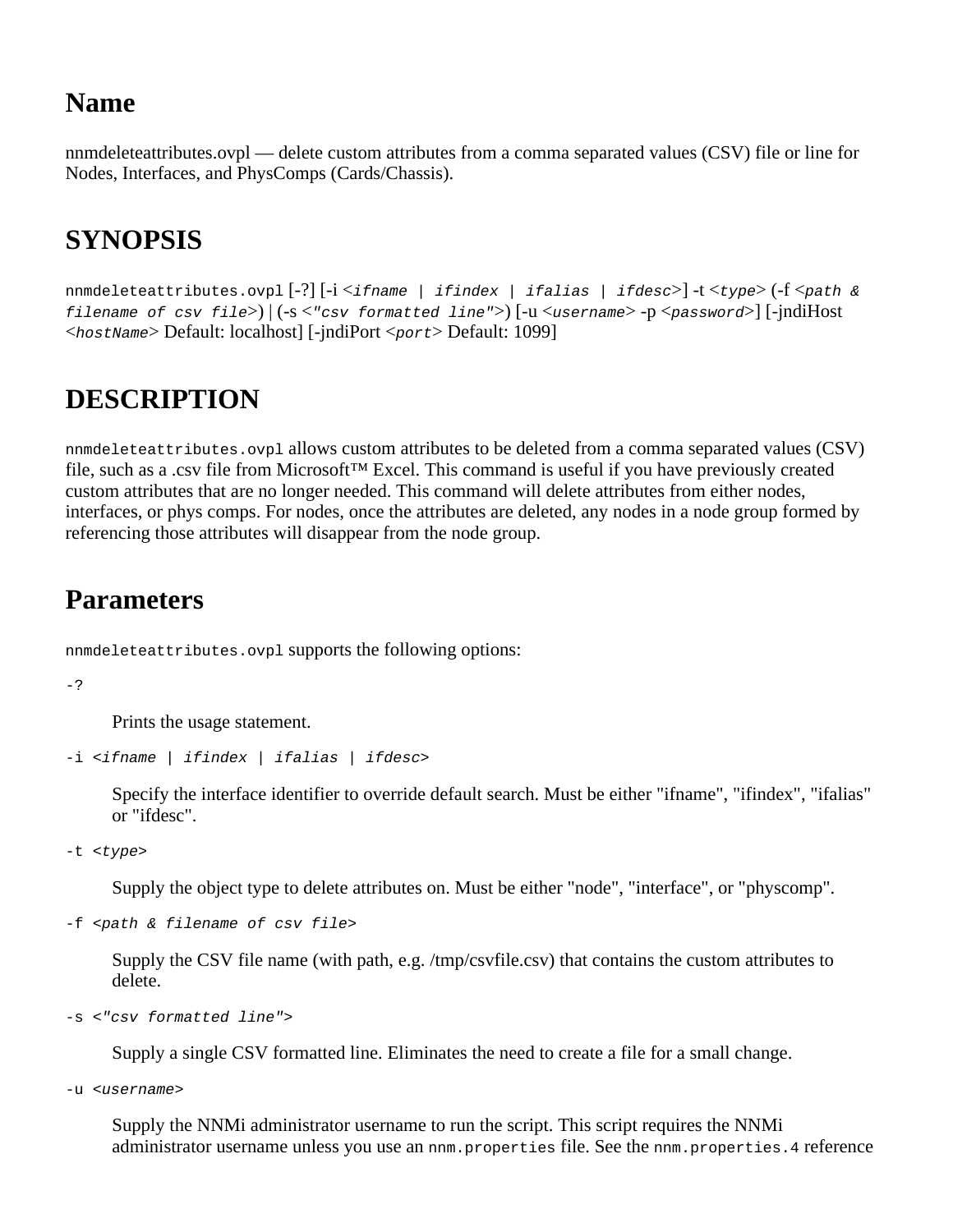### **Name**

nnmdeleteattributes.ovpl — delete custom attributes from a comma separated values (CSV) file or line for Nodes, Interfaces, and PhysComps (Cards/Chassis).

## **SYNOPSIS**

nnmdeleteattributes.ovpl [-?] [-i <*ifname | ifindex | ifalias | ifdesc*>] -t <*type*> (-f <*path & filename of csv file*>) | (-s <*"csv formatted line"*>) [-u <*username*> -p <*password*>] [-jndiHost <*hostName*> Default: localhost] [-jndiPort <*port*> Default: 1099]

### **DESCRIPTION**

nnmdeleteattributes.ovpl allows custom attributes to be deleted from a comma separated values (CSV) file, such as a .csv file from Microsoft™ Excel. This command is useful if you have previously created custom attributes that are no longer needed. This command will delete attributes from either nodes, interfaces, or phys comps. For nodes, once the attributes are deleted, any nodes in a node group formed by referencing those attributes will disappear from the node group.

### **Parameters**

nnmdeleteattributes.ovpl supports the following options:

-?

Prints the usage statement.

```
-i <ifname | ifindex | ifalias | ifdesc>
```
Specify the interface identifier to override default search. Must be either "ifname", "ifindex", "ifalias" or "ifdesc".

-t <*type*>

Supply the object type to delete attributes on. Must be either "node", "interface", or "physcomp".

```
-f <path & filename of csv file>
```
Supply the CSV file name (with path, e.g. /tmp/csvfile.csv) that contains the custom attributes to delete.

```
-s <"csv formatted line">
```
Supply a single CSV formatted line. Eliminates the need to create a file for a small change.

-u <*username*>

Supply the NNMi administrator username to run the script. This script requires the NNMi administrator username unless you use an nnm.properties file. See the nnm.properties. 4 reference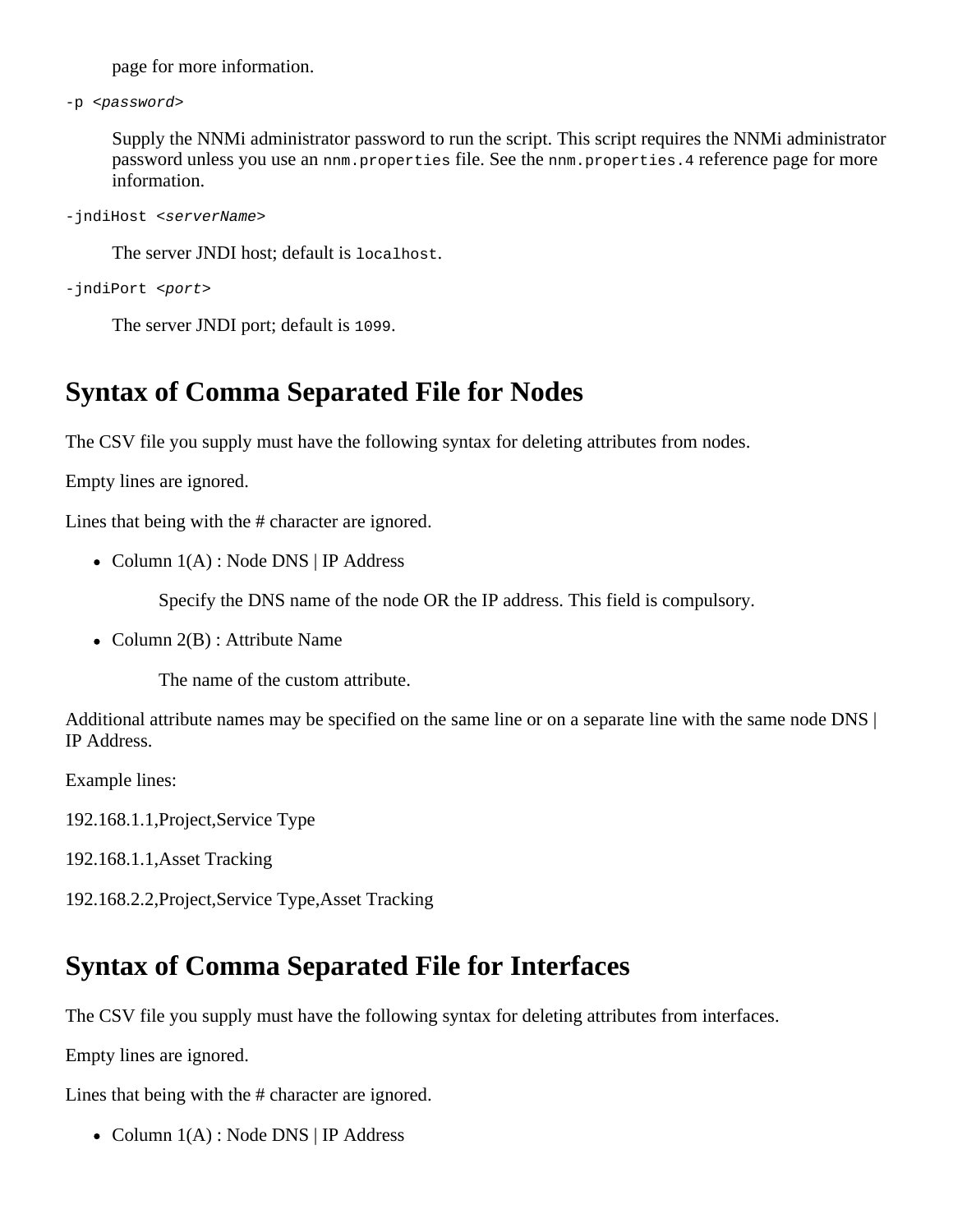page for more information.

```
-p <password>
```
Supply the NNMi administrator password to run the script. This script requires the NNMi administrator password unless you use an nnm.properties file. See the nnm.properties. 4 reference page for more information.

```
-jndiHost <serverName>
```
The server JNDI host; default is localhost.

```
-jndiPort <port>
```
The server JNDI port; default is 1099.

### **Syntax of Comma Separated File for Nodes**

The CSV file you supply must have the following syntax for deleting attributes from nodes.

Empty lines are ignored.

Lines that being with the # character are ignored.

• Column  $1(A)$ : Node DNS | IP Address

Specify the DNS name of the node OR the IP address. This field is compulsory.

• Column  $2(B)$ : Attribute Name

The name of the custom attribute.

Additional attribute names may be specified on the same line or on a separate line with the same node DNS | IP Address.

Example lines:

192.168.1.1,Project,Service Type

192.168.1.1,Asset Tracking

192.168.2.2,Project,Service Type,Asset Tracking

## **Syntax of Comma Separated File for Interfaces**

The CSV file you supply must have the following syntax for deleting attributes from interfaces.

Empty lines are ignored.

Lines that being with the # character are ignored.

• Column  $1(A)$ : Node DNS | IP Address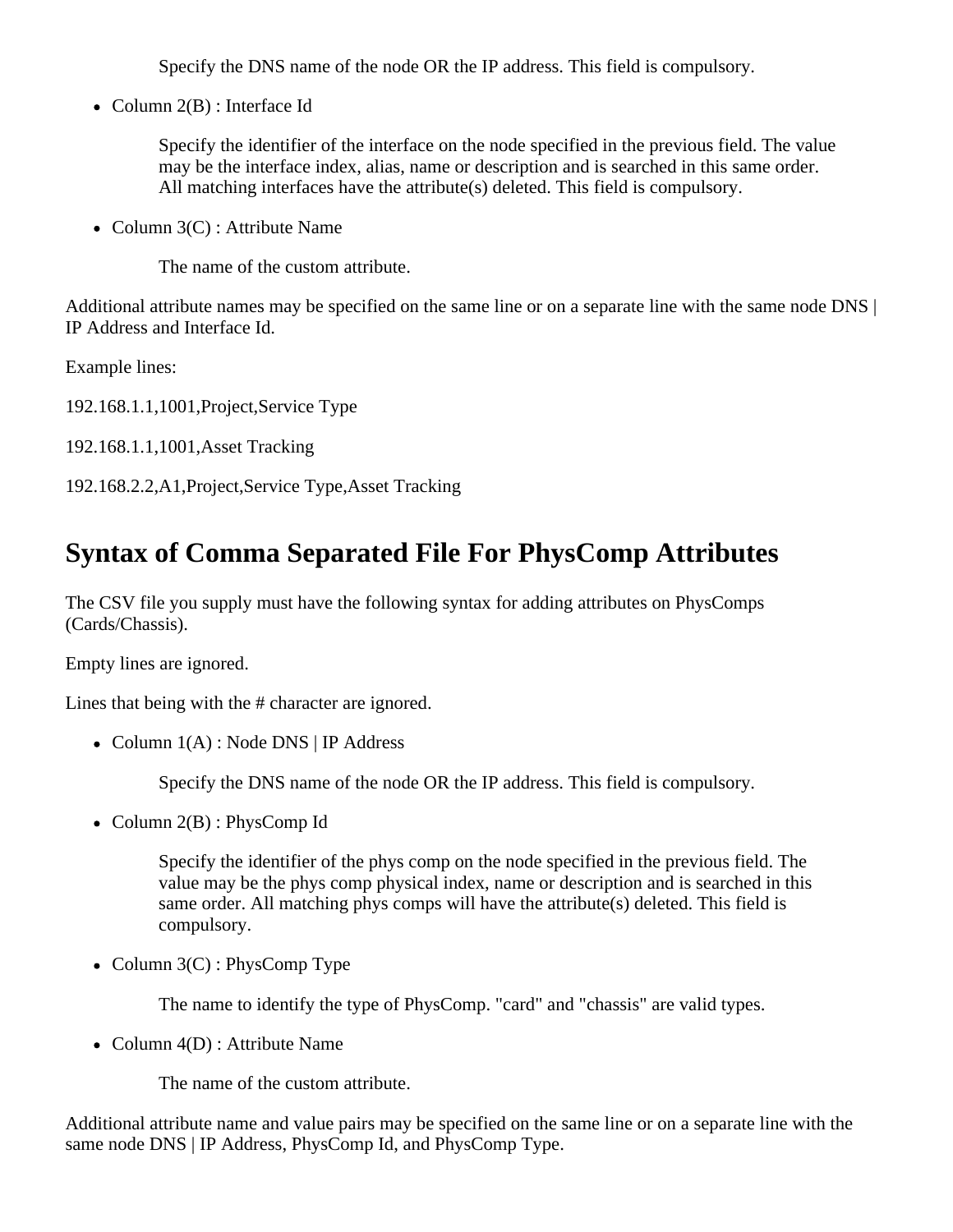Specify the DNS name of the node OR the IP address. This field is compulsory.

• Column 2(B) : Interface Id

Specify the identifier of the interface on the node specified in the previous field. The value may be the interface index, alias, name or description and is searched in this same order. All matching interfaces have the attribute(s) deleted. This field is compulsory.

• Column  $3(C)$ : Attribute Name

The name of the custom attribute.

Additional attribute names may be specified on the same line or on a separate line with the same node DNS | IP Address and Interface Id.

Example lines:

192.168.1.1,1001,Project,Service Type

192.168.1.1,1001,Asset Tracking

192.168.2.2,A1,Project,Service Type,Asset Tracking

### **Syntax of Comma Separated File For PhysComp Attributes**

The CSV file you supply must have the following syntax for adding attributes on PhysComps (Cards/Chassis).

Empty lines are ignored.

Lines that being with the # character are ignored.

• Column  $1(A)$ : Node DNS | IP Address

Specify the DNS name of the node OR the IP address. This field is compulsory.

• Column  $2(B)$ : PhysComp Id

Specify the identifier of the phys comp on the node specified in the previous field. The value may be the phys comp physical index, name or description and is searched in this same order. All matching phys comps will have the attribute(s) deleted. This field is compulsory.

• Column  $3(C)$ : PhysComp Type

The name to identify the type of PhysComp. "card" and "chassis" are valid types.

• Column  $4(D)$ : Attribute Name

The name of the custom attribute.

Additional attribute name and value pairs may be specified on the same line or on a separate line with the same node DNS | IP Address, PhysComp Id, and PhysComp Type.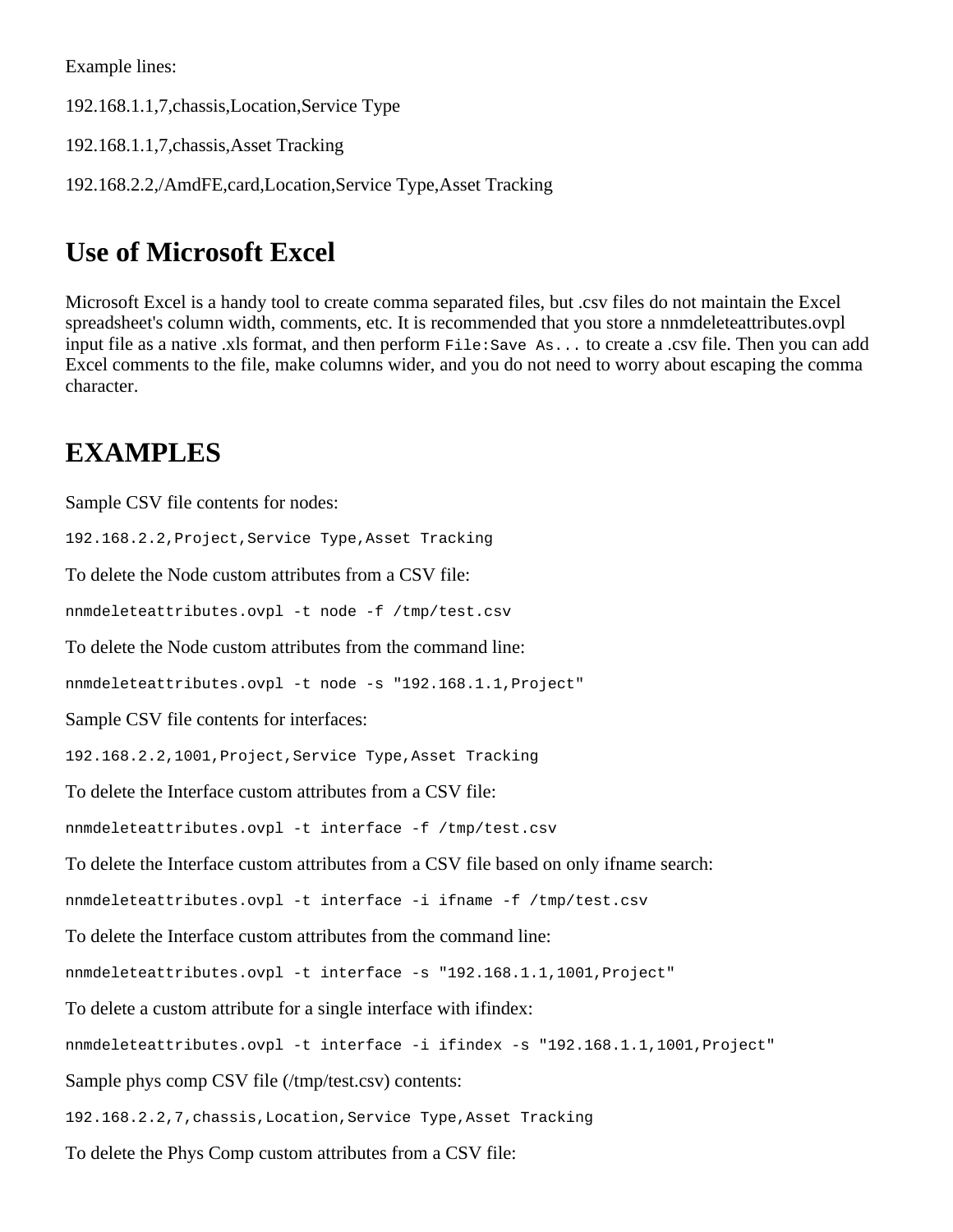Example lines:

192.168.1.1,7,chassis,Location,Service Type

192.168.1.1,7,chassis,Asset Tracking

192.168.2.2,/AmdFE,card,Location,Service Type,Asset Tracking

### **Use of Microsoft Excel**

Microsoft Excel is a handy tool to create comma separated files, but .csv files do not maintain the Excel spreadsheet's column width, comments, etc. It is recommended that you store a nnmdeleteattributes.ovpl input file as a native .xls format, and then perform File:Save As... to create a .csv file. Then you can add Excel comments to the file, make columns wider, and you do not need to worry about escaping the comma character.

### **EXAMPLES**

Sample CSV file contents for nodes: 192.168.2.2,Project,Service Type,Asset Tracking To delete the Node custom attributes from a CSV file: nnmdeleteattributes.ovpl -t node -f /tmp/test.csv To delete the Node custom attributes from the command line: nnmdeleteattributes.ovpl -t node -s "192.168.1.1,Project" Sample CSV file contents for interfaces: 192.168.2.2,1001,Project,Service Type,Asset Tracking To delete the Interface custom attributes from a CSV file: nnmdeleteattributes.ovpl -t interface -f /tmp/test.csv To delete the Interface custom attributes from a CSV file based on only ifname search: nnmdeleteattributes.ovpl -t interface -i ifname -f /tmp/test.csv To delete the Interface custom attributes from the command line: nnmdeleteattributes.ovpl -t interface -s "192.168.1.1,1001,Project" To delete a custom attribute for a single interface with ifindex: nnmdeleteattributes.ovpl -t interface -i ifindex -s "192.168.1.1,1001,Project" Sample phys comp CSV file (/tmp/test.csv) contents: 192.168.2.2,7,chassis,Location,Service Type,Asset Tracking To delete the Phys Comp custom attributes from a CSV file: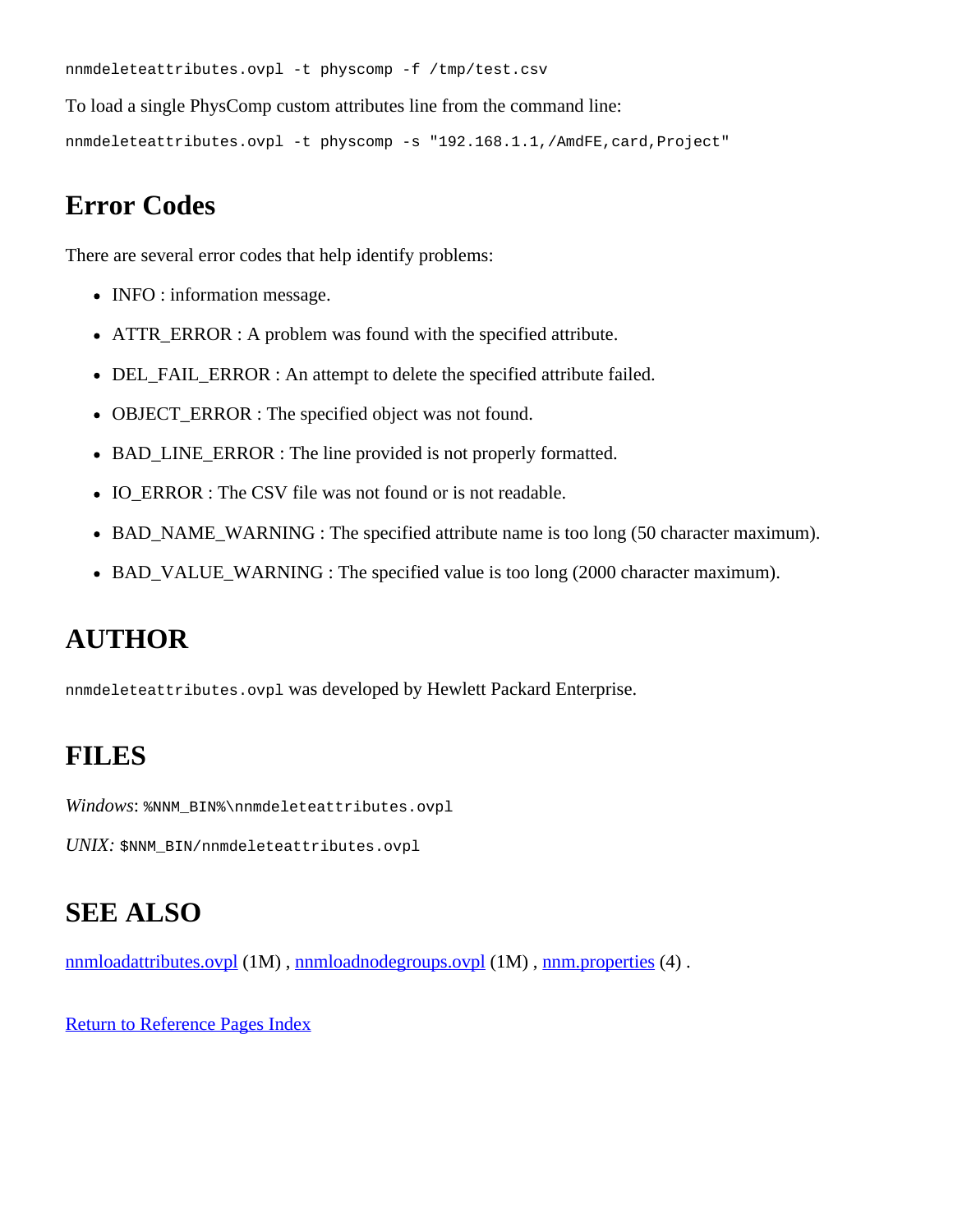nnmdeleteattributes.ovpl -t physcomp -f /tmp/test.csv

To load a single PhysComp custom attributes line from the command line:

nnmdeleteattributes.ovpl -t physcomp -s "192.168.1.1, /AmdFE, card, Project"

### **Error Codes**

There are several error codes that help identify problems:

- INFO : information message.
- ATTR ERROR : A problem was found with the specified attribute.
- DEL\_FAIL\_ERROR : An attempt to delete the specified attribute failed.
- OBJECT ERROR : The specified object was not found.
- BAD\_LINE\_ERROR : The line provided is not properly formatted.
- IO\_ERROR : The CSV file was not found or is not readable.
- BAD\_NAME\_WARNING : The specified attribute name is too long (50 character maximum).
- BAD\_VALUE\_WARNING : The specified value is too long (2000 character maximum).

### **AUTHOR**

nnmdeleteattributes.ovpl was developed by Hewlett Packard Enterprise.

### **FILES**

Windows: \NNM\_BIN\\nnmdeleteattributes.ovpl

*UNIX:* \$NNM\_BIN/nnmdeleteattributes.ovpl

### **SEE ALSO**

[nnmloadattributes.ovpl](#page-143-0) (1M), [nnmloadnodegroups.ovpl](#page-154-0) (1M), [nnm.properties](#page-212-0) (4).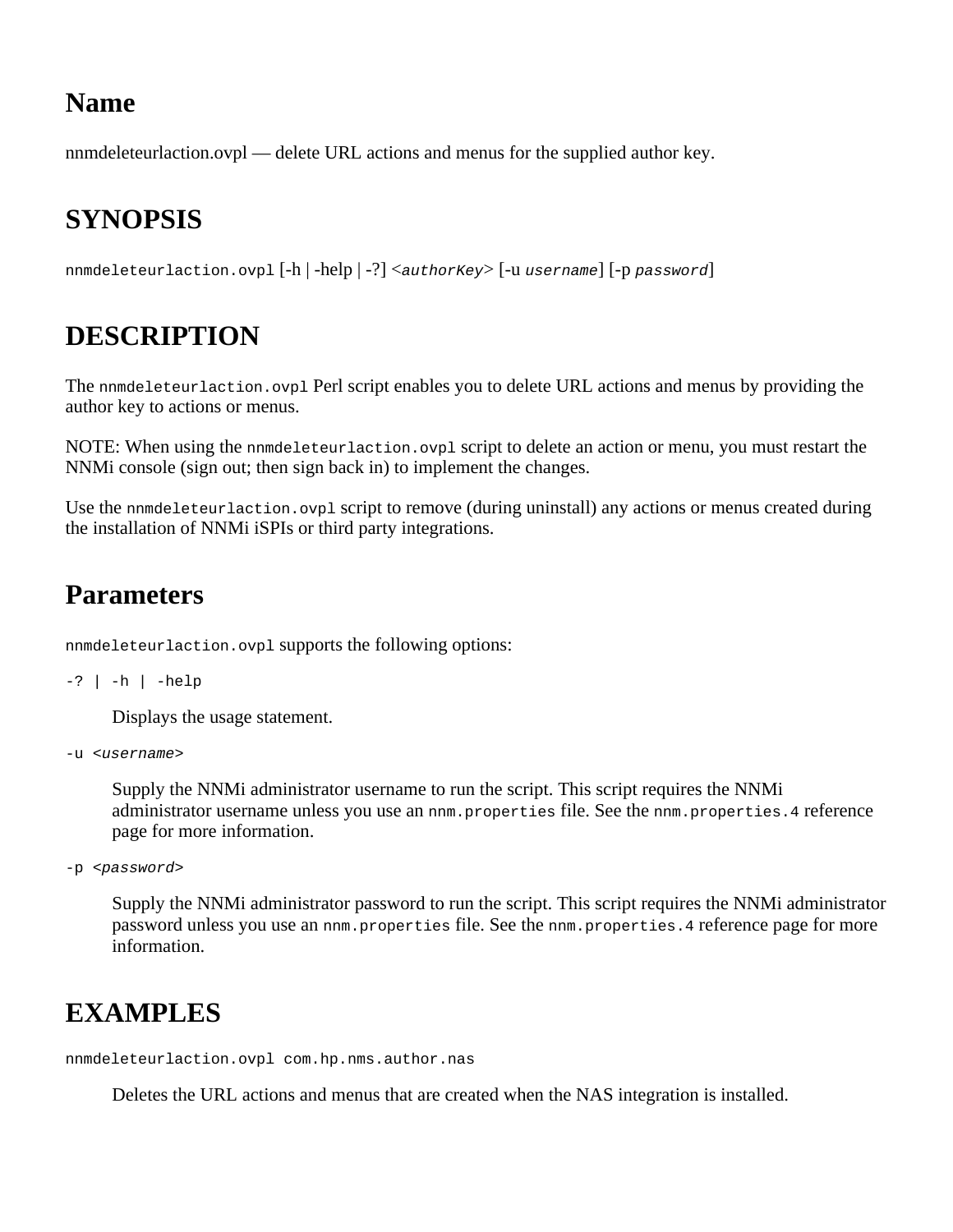### **Name**

nnmdeleteurlaction.ovpl — delete URL actions and menus for the supplied author key.

## **SYNOPSIS**

nnmdeleteurlaction.ovpl [-h | -help | -?] <*authorKey*> [-u *username*] [-p *password*]

### **DESCRIPTION**

The nnmdeleteurlaction.ovpl Perl script enables you to delete URL actions and menus by providing the author key to actions or menus.

NOTE: When using the nnmdeleteurlaction.ovpl script to delete an action or menu, you must restart the NNMi console (sign out; then sign back in) to implement the changes.

Use the nnmdeleteurlaction.ovpl script to remove (during uninstall) any actions or menus created during the installation of NNMi iSPIs or third party integrations.

### **Parameters**

nnmdeleteurlaction.ovpl supports the following options:

```
-? | -h | -help
```
Displays the usage statement.

```
-u <username>
```
Supply the NNMi administrator username to run the script. This script requires the NNMi administrator username unless you use an nnm.properties file. See the nnm.properties.4 reference page for more information.

```
-p <password>
```
Supply the NNMi administrator password to run the script. This script requires the NNMi administrator password unless you use an nnm.properties file. See the nnm.properties. 4 reference page for more information.

### **EXAMPLES**

nnmdeleteurlaction.ovpl com.hp.nms.author.nas

Deletes the URL actions and menus that are created when the NAS integration is installed.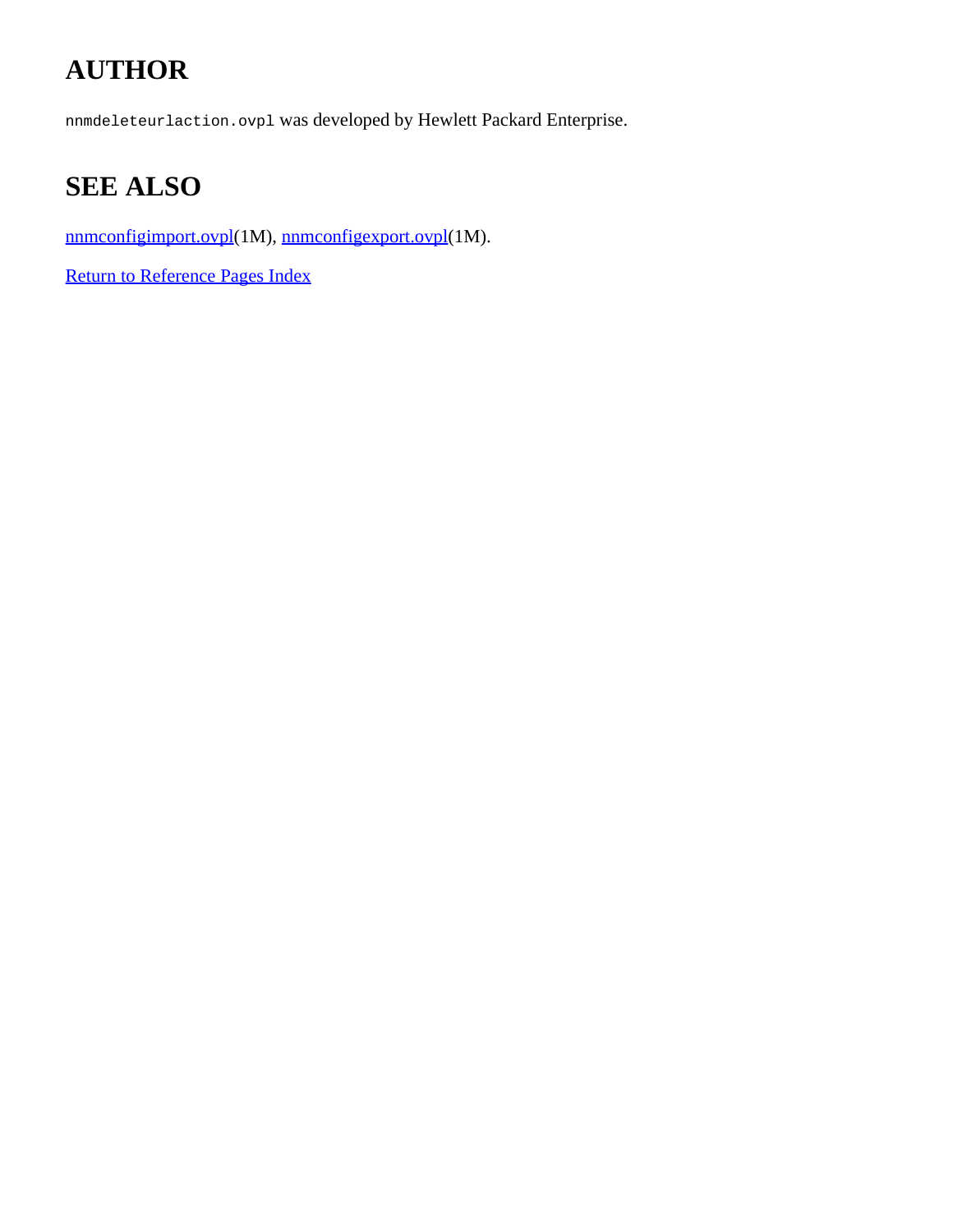# **AUTHOR**

nnmdeleteurlaction.ovpl was developed by Hewlett Packard Enterprise.

# **SEE ALSO**

[nnmconfigimport.ovpl](#page-73-0)(1M), [nnmconfigexport.ovpl\(](#page-69-0)1M).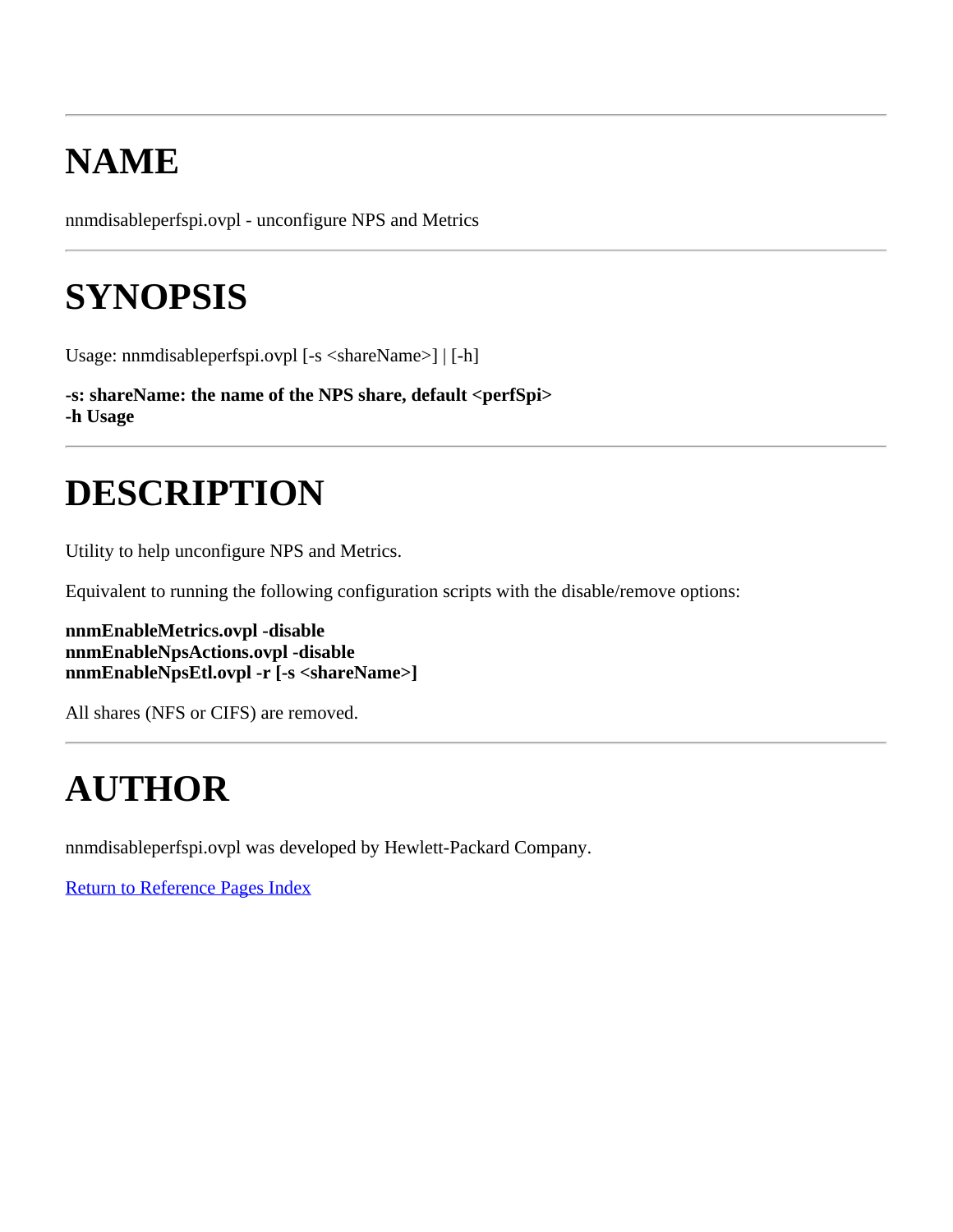# **NAME**

nnmdisableperfspi.ovpl - unconfigure NPS and Metrics

# **SYNOPSIS**

Usage: nnmdisableperfspi.ovpl [-s <shareName>] | [-h]

**-s: shareName: the name of the NPS share, default <perfSpi> -h Usage**

# **DESCRIPTION**

Utility to help unconfigure NPS and Metrics.

Equivalent to running the following configuration scripts with the disable/remove options:

**nnmEnableMetrics.ovpl -disable nnmEnableNpsActions.ovpl -disable nnmEnableNpsEtl.ovpl -r [-s <shareName>]**

All shares (NFS or CIFS) are removed.

# **AUTHOR**

nnmdisableperfspi.ovpl was developed by Hewlett-Packard Company.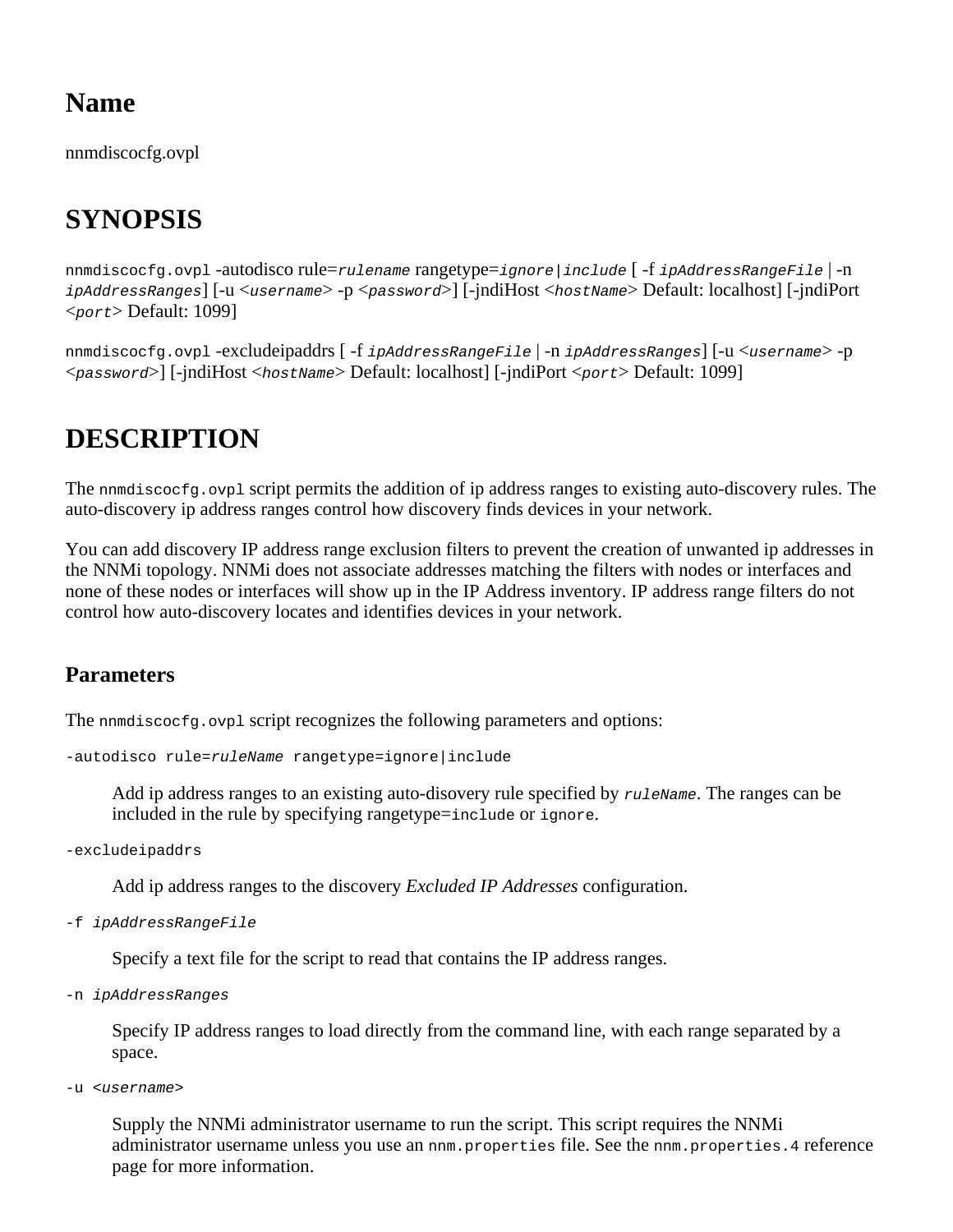### **Name**

nnmdiscocfg.ovpl

## **SYNOPSIS**

nnmdiscocfg.ovpl -autodisco rule=*rulename* rangetype=*ignore|include* [ -f *ipAddressRangeFile* | -n *ipAddressRanges*] [-u <*username*> -p <*password*>] [-jndiHost <*hostName*> Default: localhost] [-jndiPort <*port*> Default: 1099]

nnmdiscocfg.ovpl -excludeipaddrs [ -f *ipAddressRangeFile* | -n *ipAddressRanges*] [-u <*username*> -p <*password*>] [-jndiHost <*hostName*> Default: localhost] [-jndiPort <*port*> Default: 1099]

## **DESCRIPTION**

The nnmdiscocfg.ovpl script permits the addition of ip address ranges to existing auto-discovery rules. The auto-discovery ip address ranges control how discovery finds devices in your network.

You can add discovery IP address range exclusion filters to prevent the creation of unwanted ip addresses in the NNMi topology. NNMi does not associate addresses matching the filters with nodes or interfaces and none of these nodes or interfaces will show up in the IP Address inventory. IP address range filters do not control how auto-discovery locates and identifies devices in your network.

### **Parameters**

The nnmdiscocfg.ovpl script recognizes the following parameters and options:

```
-autodisco rule=ruleName rangetype=ignore|include
```
Add ip address ranges to an existing auto-disovery rule specified by *ruleName*. The ranges can be included in the rule by specifying rangetype=include or ignore.

-excludeipaddrs

Add ip address ranges to the discovery *Excluded IP Addresses* configuration.

```
-f ipAddressRangeFile
```
Specify a text file for the script to read that contains the IP address ranges.

-n *ipAddressRanges*

Specify IP address ranges to load directly from the command line, with each range separated by a space.

```
-u <username>
```
Supply the NNMi administrator username to run the script. This script requires the NNMi administrator username unless you use an nnm.properties file. See the nnm.properties. 4 reference page for more information.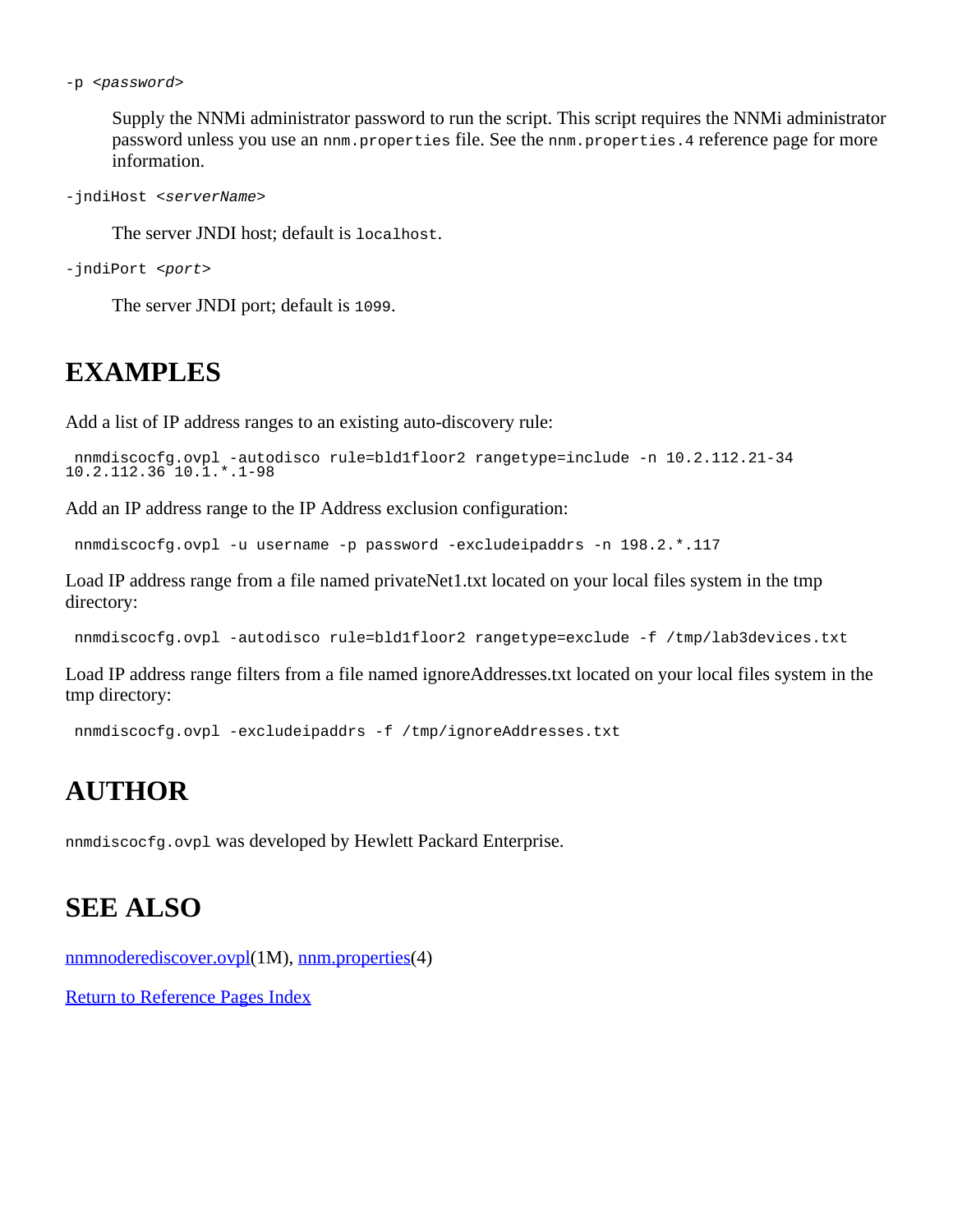Supply the NNMi administrator password to run the script. This script requires the NNMi administrator password unless you use an nnm.properties file. See the nnm.properties. 4 reference page for more information.

```
-jndiHost <serverName>
```
The server JNDI host; default is localhost.

```
-jndiPort <port>
```
The server JNDI port; default is 1099.

### **EXAMPLES**

Add a list of IP address ranges to an existing auto-discovery rule:

```
 nnmdiscocfg.ovpl -autodisco rule=bld1floor2 rangetype=include -n 10.2.112.21-34
10.2.112.36 10.1.*.1-98
```
Add an IP address range to the IP Address exclusion configuration:

nnmdiscocfg.ovpl -u username -p password -excludeipaddrs -n 198.2.\*.117

Load IP address range from a file named privateNet1.txt located on your local files system in the tmp directory:

```
 nnmdiscocfg.ovpl -autodisco rule=bld1floor2 rangetype=exclude -f /tmp/lab3devices.txt
```
Load IP address range filters from a file named ignoreAddresses.txt located on your local files system in the tmp directory:

nnmdiscocfg.ovpl -excludeipaddrs -f /tmp/ignoreAddresses.txt

## **AUTHOR**

nnmdiscocfg.ovpl was developed by Hewlett Packard Enterprise.

### **SEE ALSO**

[nnmnoderediscover.ovpl\(](#page-188-0)1M), [nnm.properties](#page-212-0)(4)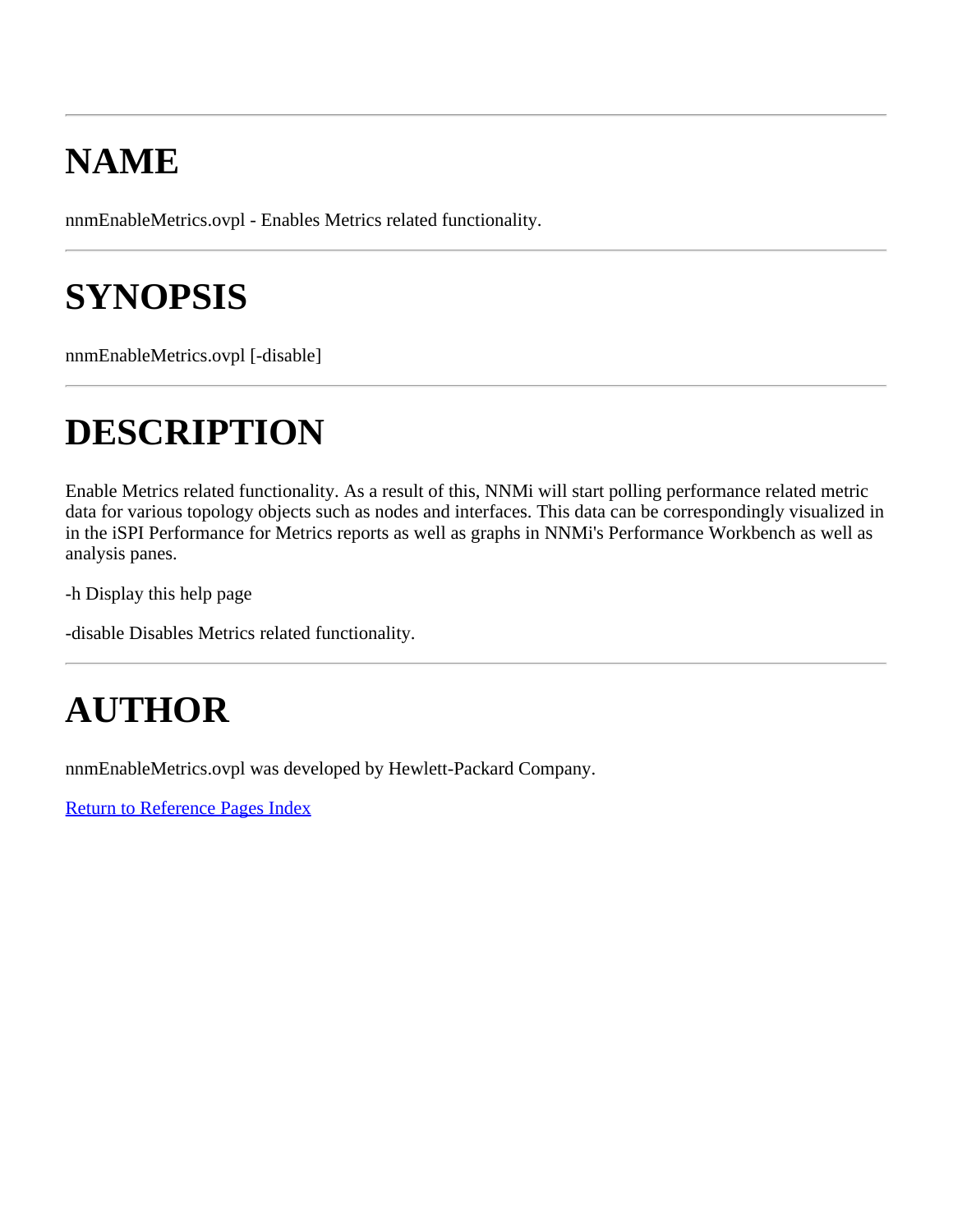# **NAME**

nnmEnableMetrics.ovpl - Enables Metrics related functionality.

# **SYNOPSIS**

nnmEnableMetrics.ovpl [-disable]

# **DESCRIPTION**

Enable Metrics related functionality. As a result of this, NNMi will start polling performance related metric data for various topology objects such as nodes and interfaces. This data can be correspondingly visualized in in the iSPI Performance for Metrics reports as well as graphs in NNMi's Performance Workbench as well as analysis panes.

-h Display this help page

-disable Disables Metrics related functionality.

# **AUTHOR**

nnmEnableMetrics.ovpl was developed by Hewlett-Packard Company.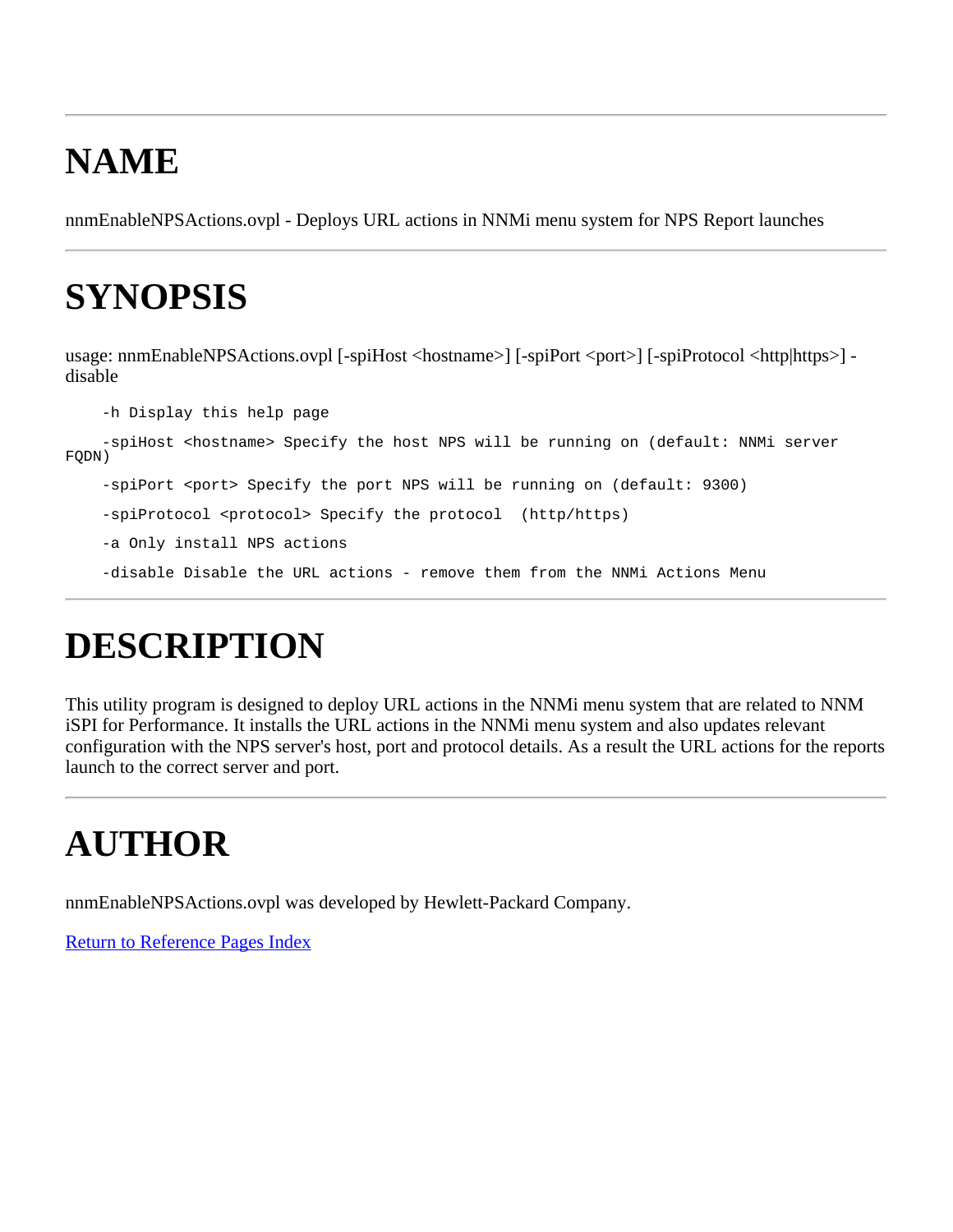# **NAME**

nnmEnableNPSActions.ovpl - Deploys URL actions in NNMi menu system for NPS Report launches

# **SYNOPSIS**

usage: nnmEnableNPSActions.ovpl [-spiHost <hostname>] [-spiPort <port>] [-spiProtocol <http|https>] disable

 -h Display this help page -spiHost <hostname> Specify the host NPS will be running on (default: NNMi server FQDN) -spiPort <port> Specify the port NPS will be running on (default: 9300) -spiProtocol <protocol> Specify the protocol (http/https) -a Only install NPS actions -disable Disable the URL actions - remove them from the NNMi Actions Menu

# **DESCRIPTION**

This utility program is designed to deploy URL actions in the NNMi menu system that are related to NNM iSPI for Performance. It installs the URL actions in the NNMi menu system and also updates relevant configuration with the NPS server's host, port and protocol details. As a result the URL actions for the reports launch to the correct server and port.

# **AUTHOR**

nnmEnableNPSActions.ovpl was developed by Hewlett-Packard Company.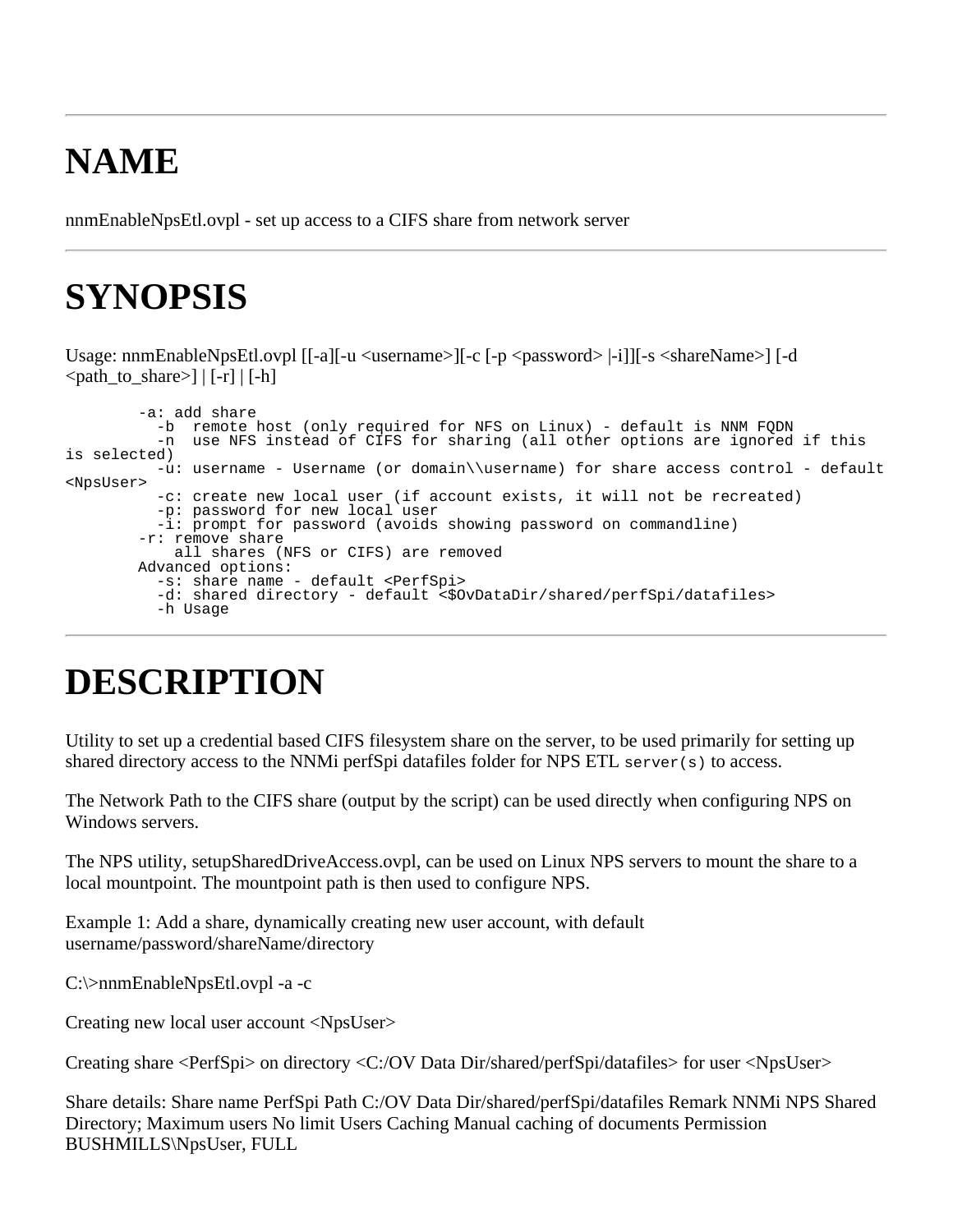# **NAME**

nnmEnableNpsEtl.ovpl - set up access to a CIFS share from network server

# **SYNOPSIS**

Usage: nnmEnableNpsEtl.ovpl [[-a][-u <username>][-c [-p <password> |-i]][-s <shareName>] [-d  $\epsilon$   $\mathsf{path}\_\mathsf{to}\_\mathsf{share}\$  | [-r] | [-h]

 -a: add share -b remote host (only required for NFS on Linux) - default is NNM FQDN -n use NFS instead of CIFS for sharing (all other options are ignored if this is selected) -u: username - Username (or domain\\username) for share access control - default <NpsUser> -c: create new local user (if account exists, it will not be recreated) -p: password for new local user -i: prompt for password (avoids showing password on commandline) -r: remove share all shares (NFS or CIFS) are removed Advanced options: -s: share name - default <PerfSpi> -d: shared directory - default <\$OvDataDir/shared/perfSpi/datafiles> -h Usage

# **DESCRIPTION**

Utility to set up a credential based CIFS filesystem share on the server, to be used primarily for setting up shared directory access to the NNMi perfSpi datafiles folder for NPS ETL server(s) to access.

The Network Path to the CIFS share (output by the script) can be used directly when configuring NPS on Windows servers.

The NPS utility, setupSharedDriveAccess.ovpl, can be used on Linux NPS servers to mount the share to a local mountpoint. The mountpoint path is then used to configure NPS.

Example 1: Add a share, dynamically creating new user account, with default username/password/shareName/directory

C:\>nnmEnableNpsEtl.ovpl -a -c

Creating new local user account <NpsUser>

Creating share <PerfSpi> on directory <C:/OV Data Dir/shared/perfSpi/datafiles> for user <NpsUser>

Share details: Share name PerfSpi Path C:/OV Data Dir/shared/perfSpi/datafiles Remark NNMi NPS Shared Directory; Maximum users No limit Users Caching Manual caching of documents Permission BUSHMILLS\NpsUser, FULL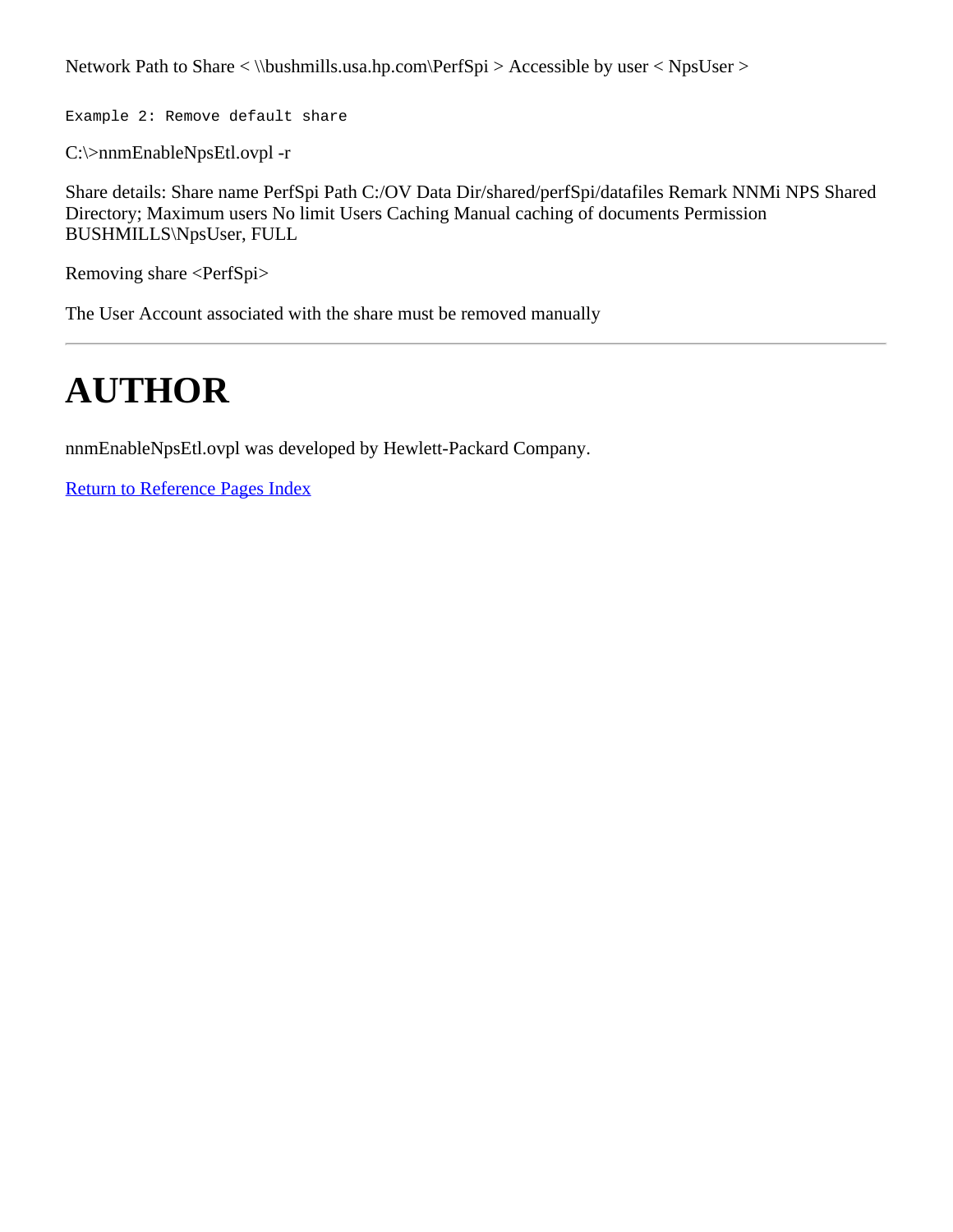Network Path to Share < \\bushmills.usa.hp.com\PerfSpi > Accessible by user < NpsUser >

Example 2: Remove default share

C:\>nnmEnableNpsEtl.ovpl -r

Share details: Share name PerfSpi Path C:/OV Data Dir/shared/perfSpi/datafiles Remark NNMi NPS Shared Directory; Maximum users No limit Users Caching Manual caching of documents Permission BUSHMILLS\NpsUser, FULL

Removing share <PerfSpi>

The User Account associated with the share must be removed manually

# **AUTHOR**

nnmEnableNpsEtl.ovpl was developed by Hewlett-Packard Company.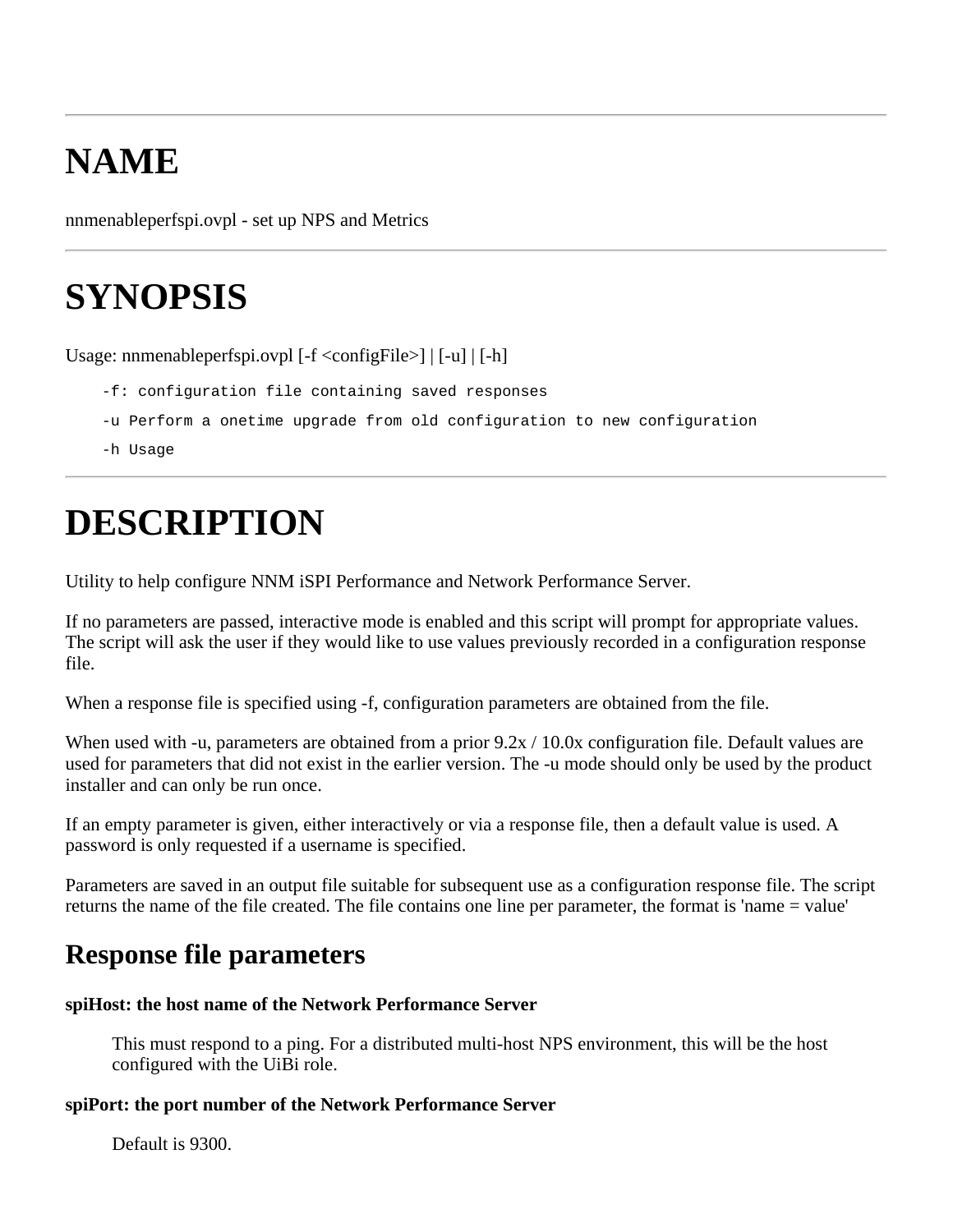# **NAME**

nnmenableperfspi.ovpl - set up NPS and Metrics

# **SYNOPSIS**

Usage: nnmenableperfspi.ovpl [-f < configmarried | [-u] | [-h]

- -f: configuration file containing saved responses
- -u Perform a onetime upgrade from old configuration to new configuration
- -h Usage

# **DESCRIPTION**

Utility to help configure NNM iSPI Performance and Network Performance Server.

If no parameters are passed, interactive mode is enabled and this script will prompt for appropriate values. The script will ask the user if they would like to use values previously recorded in a configuration response file.

When a response file is specified using -f, configuration parameters are obtained from the file.

When used with -u, parameters are obtained from a prior  $9.2x / 10.0x$  configuration file. Default values are used for parameters that did not exist in the earlier version. The -u mode should only be used by the product installer and can only be run once.

If an empty parameter is given, either interactively or via a response file, then a default value is used. A password is only requested if a username is specified.

Parameters are saved in an output file suitable for subsequent use as a configuration response file. The script returns the name of the file created. The file contains one line per parameter, the format is 'name = value'

### **Response file parameters**

#### **spiHost: the host name of the Network Performance Server**

This must respond to a ping. For a distributed multi-host NPS environment, this will be the host configured with the UiBi role.

#### **spiPort: the port number of the Network Performance Server**

Default is 9300.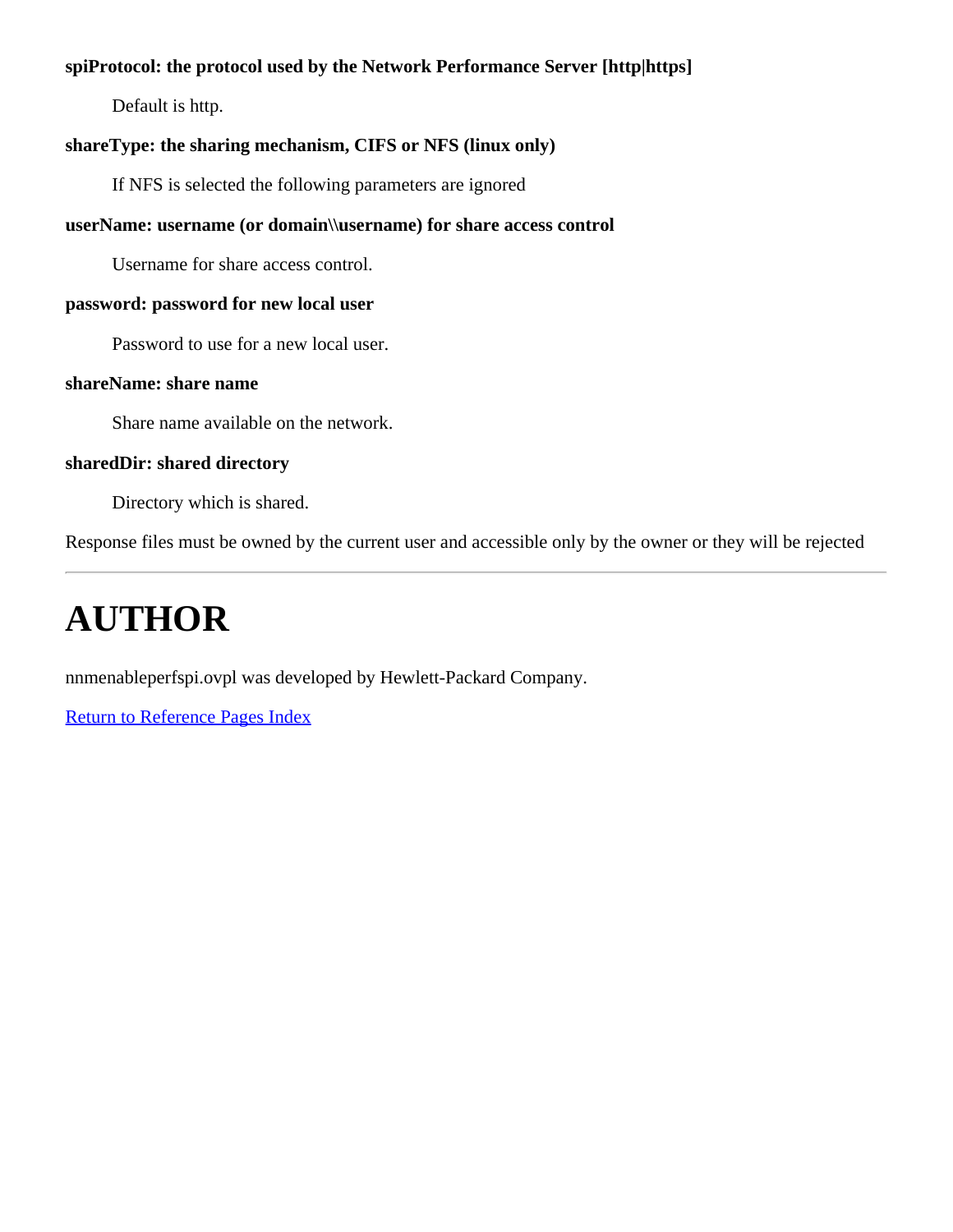#### **spiProtocol: the protocol used by the Network Performance Server [http|https]**

Default is http.

#### **shareType: the sharing mechanism, CIFS or NFS (linux only)**

If NFS is selected the following parameters are ignored

#### **userName: username (or domain\\username) for share access control**

Username for share access control.

#### **password: password for new local user**

Password to use for a new local user.

#### **shareName: share name**

Share name available on the network.

#### **sharedDir: shared directory**

Directory which is shared.

Response files must be owned by the current user and accessible only by the owner or they will be rejected

# **AUTHOR**

nnmenableperfspi.ovpl was developed by Hewlett-Packard Company.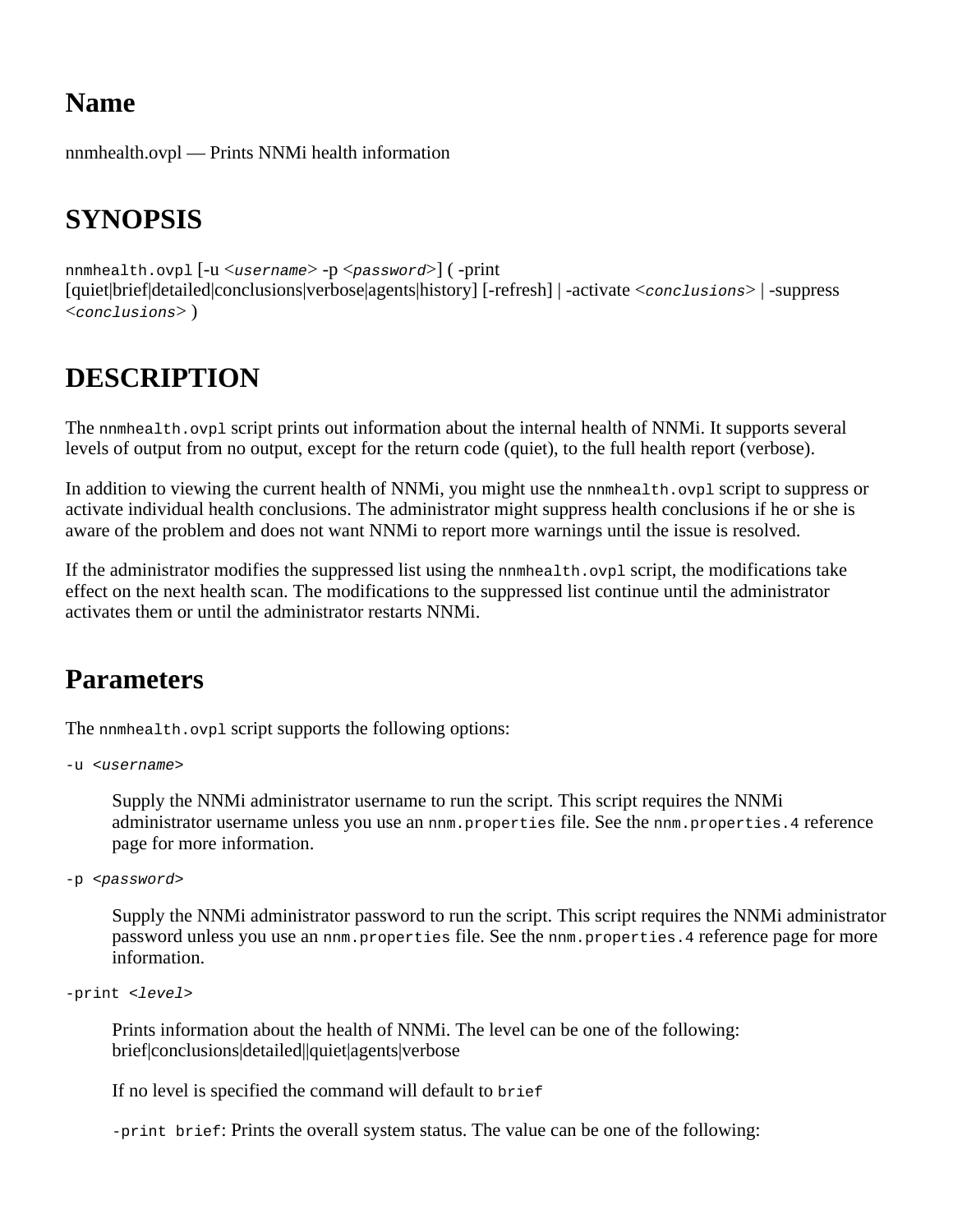nnmhealth.ovpl — Prints NNMi health information

# **SYNOPSIS**

nnmhealth.ovpl [-u <*username*> -p <*password*>] ( -print [quiet|brief|detailed|conclusions|verbose|agents|history] [-refresh] | -activate <*conclusions*> | -suppress <*conclusions*> )

# **DESCRIPTION**

The nnmhealth.ovpl script prints out information about the internal health of NNMi. It supports several levels of output from no output, except for the return code (quiet), to the full health report (verbose).

In addition to viewing the current health of NNMi, you might use the nnmhealth.ovpl script to suppress or activate individual health conclusions. The administrator might suppress health conclusions if he or she is aware of the problem and does not want NNMi to report more warnings until the issue is resolved.

If the administrator modifies the suppressed list using the nnmhealth.ovpl script, the modifications take effect on the next health scan. The modifications to the suppressed list continue until the administrator activates them or until the administrator restarts NNMi.

### **Parameters**

The nnmhealth.ovpl script supports the following options:

```
-u <username>
```
Supply the NNMi administrator username to run the script. This script requires the NNMi administrator username unless you use an nnm.properties file. See the nnm.properties.4 reference page for more information.

-p <*password*>

Supply the NNMi administrator password to run the script. This script requires the NNMi administrator password unless you use an nnm.properties file. See the nnm.properties. 4 reference page for more information.

-print <*level*>

Prints information about the health of NNMi. The level can be one of the following: brief|conclusions|detailed||quiet|agents|verbose

If no level is specified the command will default to brief

-print brief: Prints the overall system status. The value can be one of the following: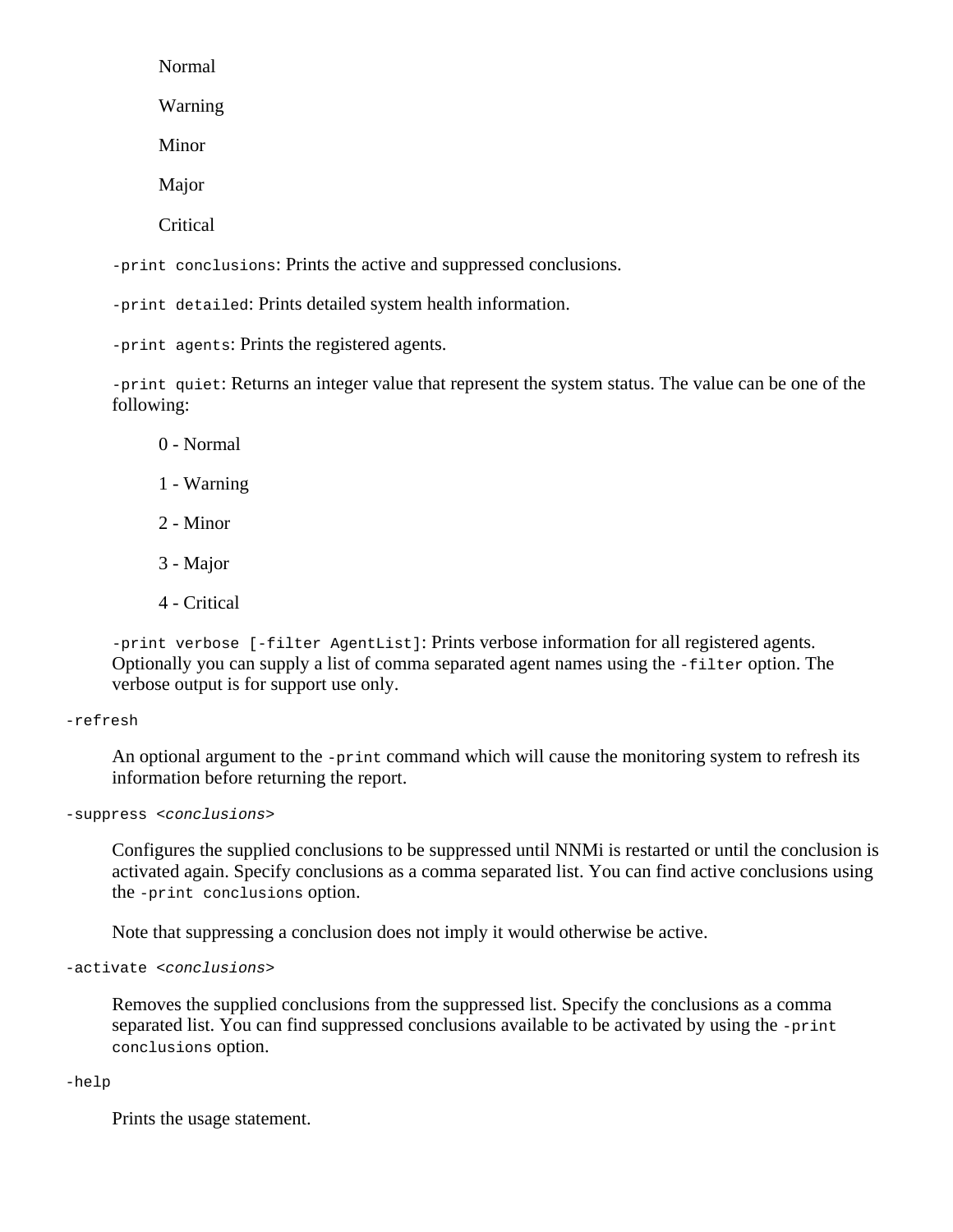Normal

Warning

Minor

Major

**Critical** 

-print conclusions: Prints the active and suppressed conclusions.

-print detailed: Prints detailed system health information.

-print agents: Prints the registered agents.

-print quiet: Returns an integer value that represent the system status. The value can be one of the following:

- 0 Normal
- 1 Warning
- 2 Minor
- 3 Major
- 4 Critical

-print verbose [-filter AgentList]: Prints verbose information for all registered agents. Optionally you can supply a list of comma separated agent names using the -filter option. The verbose output is for support use only.

#### -refresh

An optional argument to the -print command which will cause the monitoring system to refresh its information before returning the report.

-suppress <*conclusions*>

Configures the supplied conclusions to be suppressed until NNMi is restarted or until the conclusion is activated again. Specify conclusions as a comma separated list. You can find active conclusions using the -print conclusions option.

Note that suppressing a conclusion does not imply it would otherwise be active.

-activate <*conclusions*>

Removes the supplied conclusions from the suppressed list. Specify the conclusions as a comma separated list. You can find suppressed conclusions available to be activated by using the -print conclusions option.

#### -help

Prints the usage statement.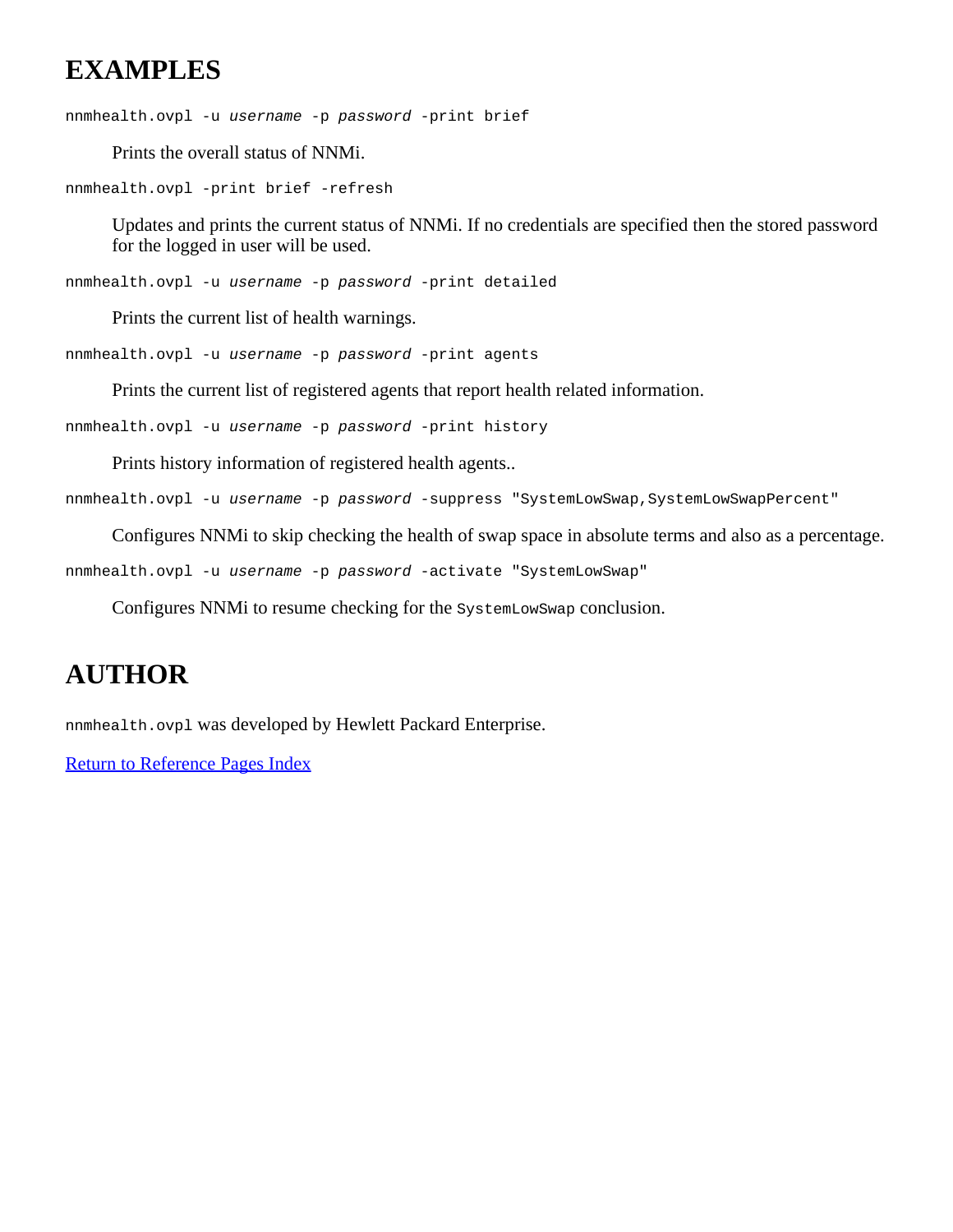### **EXAMPLES**

nnmhealth.ovpl -u *username* -p *password* -print brief

Prints the overall status of NNMi.

nnmhealth.ovpl -print brief -refresh

Updates and prints the current status of NNMi. If no credentials are specified then the stored password for the logged in user will be used.

nnmhealth.ovpl -u *username* -p *password* -print detailed

Prints the current list of health warnings.

nnmhealth.ovpl -u *username* -p *password* -print agents

Prints the current list of registered agents that report health related information.

nnmhealth.ovpl -u *username* -p *password* -print history

Prints history information of registered health agents..

nnmhealth.ovpl -u *username* -p *password* -suppress "SystemLowSwap,SystemLowSwapPercent"

Configures NNMi to skip checking the health of swap space in absolute terms and also as a percentage.

nnmhealth.ovpl -u *username* -p *password* -activate "SystemLowSwap"

Configures NNMi to resume checking for the SystemLowSwap conclusion.

### **AUTHOR**

nnmhealth.ovpl was developed by Hewlett Packard Enterprise.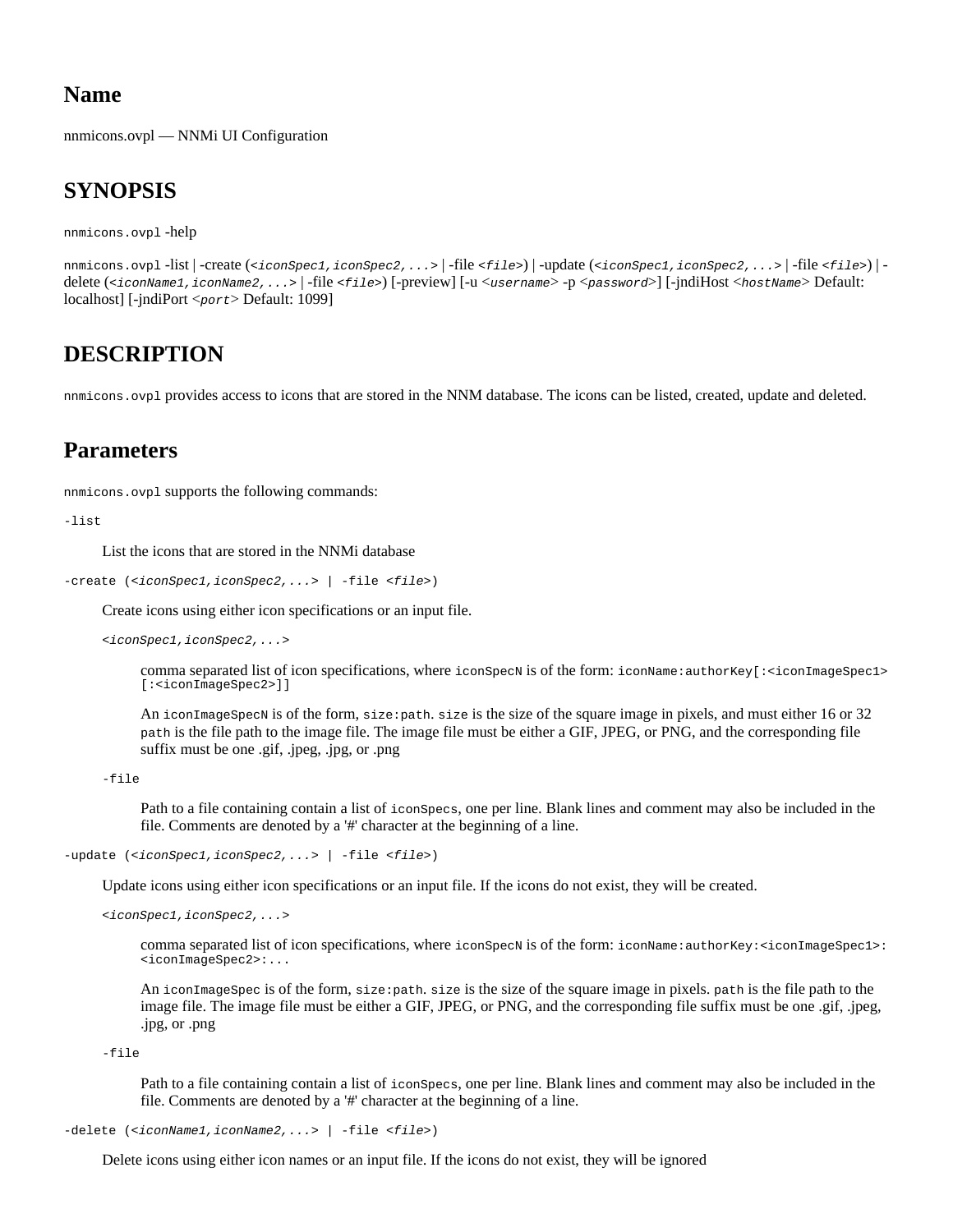nnmicons.ovpl — NNMi UI Configuration

#### **SYNOPSIS**

nnmicons.ovpl -help

nnmicons.ovpl -list | -create (*<iconSpec1,iconSpec2,...>* | -file *<file>*) | -update (*<iconSpec1,iconSpec2,...>* | -file *<file>*) | delete (*<iconName1,iconName2,...>* | -file *<file>*) [-preview] [-u <*username*> -p <*password*>] [-jndiHost <*hostName*> Default: localhost] [-jndiPort <*port*> Default: 1099]

#### **DESCRIPTION**

nnmicons.ovpl provides access to icons that are stored in the NNM database. The icons can be listed, created, update and deleted.

#### **Parameters**

nnmicons.ovpl supports the following commands:

-list

List the icons that are stored in the NNMi database

-create (*<iconSpec1,iconSpec2,...>* | -file *<file>*)

Create icons using either icon specifications or an input file.

*<iconSpec1,iconSpec2,...>*

comma separated list of icon specifications, where iconSpecN is of the form: iconName:authorKey[:<iconImageSpec1> [:<iconImageSpec2>]]

An iconImageSpecN is of the form, size:path. size is the size of the square image in pixels, and must either 16 or 32 path is the file path to the image file. The image file must be either a GIF, JPEG, or PNG, and the corresponding file suffix must be one .gif, .jpeg, .jpg, or .png

-file

Path to a file containing contain a list of iconSpecs, one per line. Blank lines and comment may also be included in the file. Comments are denoted by a '#' character at the beginning of a line.

-update (*<iconSpec1,iconSpec2,...>* | -file *<file>*)

Update icons using either icon specifications or an input file. If the icons do not exist, they will be created.

*<iconSpec1,iconSpec2,...>*

comma separated list of icon specifications, where iconSpecN is of the form: iconName:authorKey:<iconImageSpec1>: <iconImageSpec2>:...

An iconImageSpec is of the form, size:path. size is the size of the square image in pixels, path is the file path to the image file. The image file must be either a GIF, JPEG, or PNG, and the corresponding file suffix must be one .gif, .jpeg, .jpg, or .png

-file

Path to a file containing contain a list of iconSpecs, one per line. Blank lines and comment may also be included in the file. Comments are denoted by a '#' character at the beginning of a line.

-delete (*<iconName1,iconName2,...>* | -file *<file>*)

Delete icons using either icon names or an input file. If the icons do not exist, they will be ignored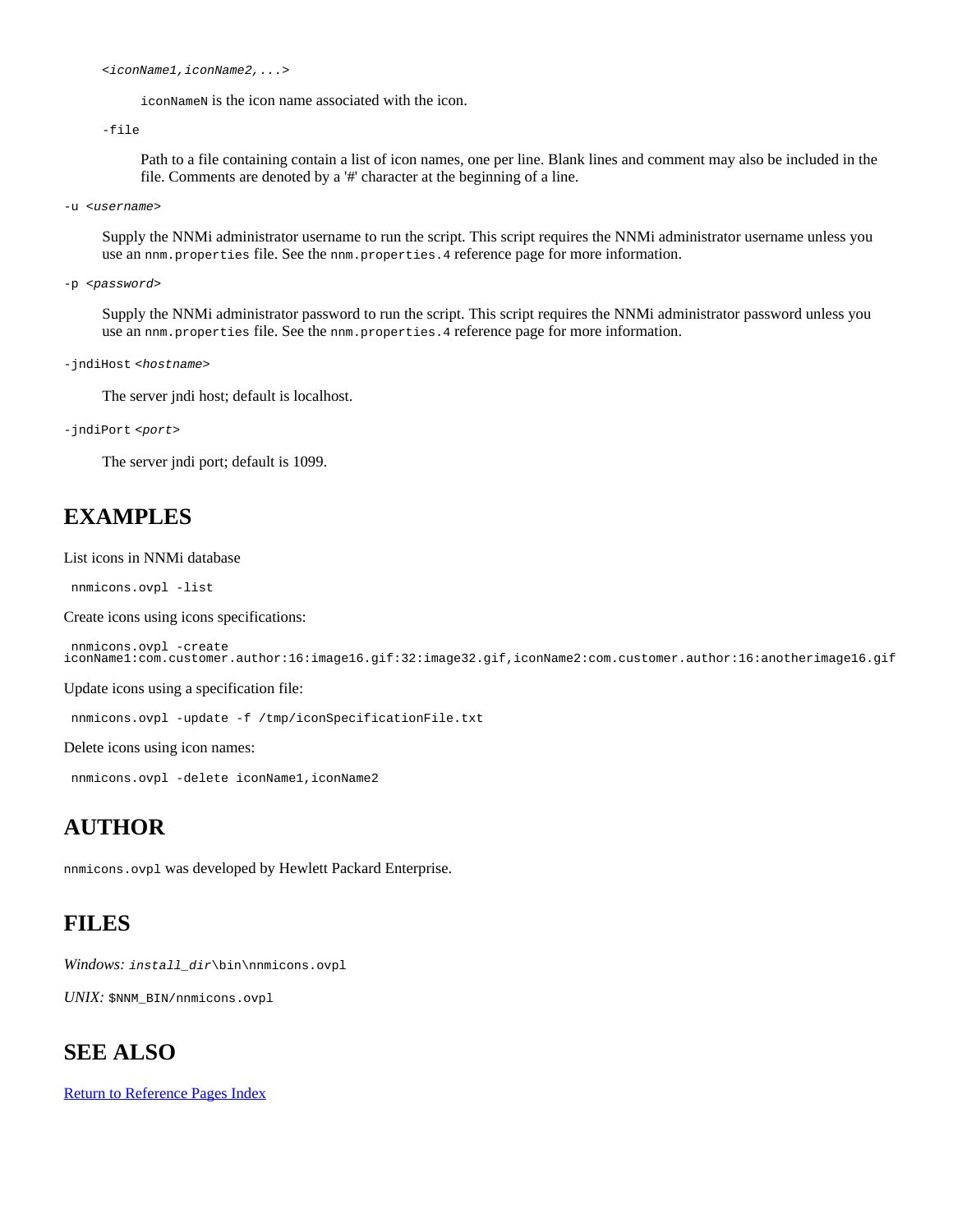*<iconName1,iconName2,...>*

iconNameN is the icon name associated with the icon.

-file

Path to a file containing contain a list of icon names, one per line. Blank lines and comment may also be included in the file. Comments are denoted by a '#' character at the beginning of a line.

-u <*username*>

Supply the NNMi administrator username to run the script. This script requires the NNMi administrator username unless you use an nnm.properties file. See the nnm.properties.4 reference page for more information.

-p <*password*>

Supply the NNMi administrator password to run the script. This script requires the NNMi administrator password unless you use an nnm.properties file. See the nnm.properties.4 reference page for more information.

-jndiHost *<hostname>*

The server jndi host; default is localhost.

-jndiPort *<port>*

The server jndi port; default is 1099.

#### **EXAMPLES**

List icons in NNMi database

nnmicons.ovpl -list

Create icons using icons specifications:

 nnmicons.ovpl -create iconName1:com.customer.author:16:image16.gif:32:image32.gif,iconName2:com.customer.author:16:anotherimage16.gif

Update icons using a specification file:

nnmicons.ovpl -update -f /tmp/iconSpecificationFile.txt

Delete icons using icon names:

nnmicons.ovpl -delete iconName1,iconName2

#### **AUTHOR**

nnmicons.ovpl was developed by Hewlett Packard Enterprise.

#### **FILES**

*Windows: install\_dir*\bin\nnmicons.ovpl

*UNIX:* \$NNM\_BIN/nnmicons.ovpl

#### **SEE ALSO**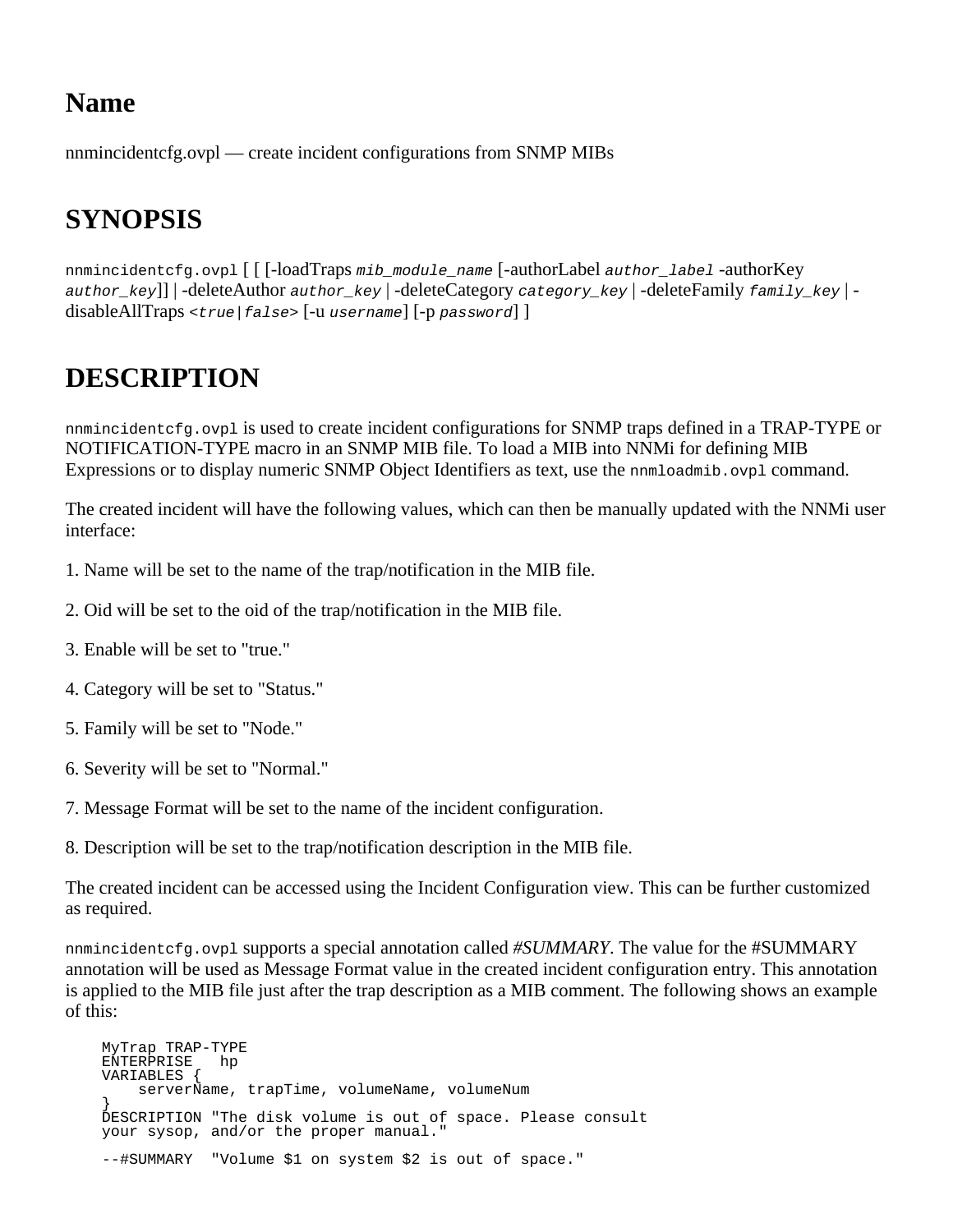nnmincidentcfg.ovpl — create incident configurations from SNMP MIBs

# **SYNOPSIS**

nnmincidentcfg.ovpl [ [ [-loadTraps *mib\_module\_name* [-authorLabel *author\_label* -authorKey *author\_key*]] | -deleteAuthor *author\_key* | -deleteCategory *category\_key* | -deleteFamily *family\_key* | disableAllTraps *<true|false>* [-u *username*] [-p *password*] ]

# **DESCRIPTION**

nnmincidentcfg.ovpl is used to create incident configurations for SNMP traps defined in a TRAP-TYPE or NOTIFICATION-TYPE macro in an SNMP MIB file. To load a MIB into NNMi for defining MIB Expressions or to display numeric SNMP Object Identifiers as text, use the nnmloadmib.ovpl command.

The created incident will have the following values, which can then be manually updated with the NNMi user interface:

- 1. Name will be set to the name of the trap/notification in the MIB file.
- 2. Oid will be set to the oid of the trap/notification in the MIB file.
- 3. Enable will be set to "true."
- 4. Category will be set to "Status."
- 5. Family will be set to "Node."
- 6. Severity will be set to "Normal."
- 7. Message Format will be set to the name of the incident configuration.
- 8. Description will be set to the trap/notification description in the MIB file.

The created incident can be accessed using the Incident Configuration view. This can be further customized as required.

nnmincidentcfg.ovpl supports a special annotation called *#SUMMARY*. The value for the #SUMMARY annotation will be used as Message Format value in the created incident configuration entry. This annotation is applied to the MIB file just after the trap description as a MIB comment. The following shows an example of this:

```
 MyTrap TRAP-TYPE
     ENTERPRISE hp
     VARIABLES {
        serverName, trapTime, volumeName, volumeNum
\frac{1}{2} DESCRIPTION "The disk volume is out of space. Please consult
    your sysop, and/or the proper manual."
     --#SUMMARY "Volume $1 on system $2 is out of space."
```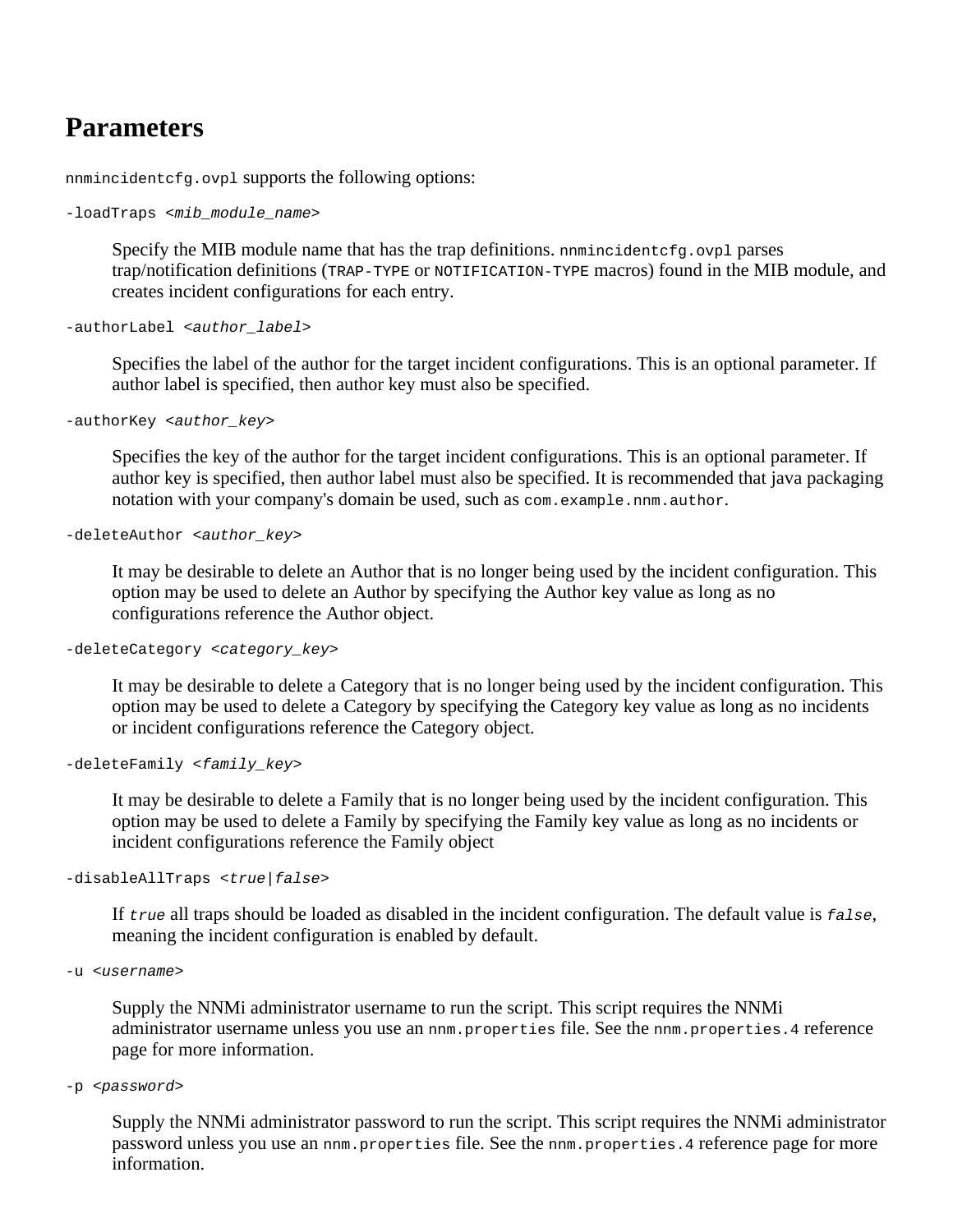### **Parameters**

nnmincidentcfg.ovpl supports the following options:

```
-loadTraps <mib_module_name>
```
Specify the MIB module name that has the trap definitions. nomincident of g. ovpl parses trap/notification definitions (TRAP-TYPE or NOTIFICATION-TYPE macros) found in the MIB module, and creates incident configurations for each entry.

-authorLabel <*author\_label*>

Specifies the label of the author for the target incident configurations. This is an optional parameter. If author label is specified, then author key must also be specified.

```
-authorKey <author_key>
```
Specifies the key of the author for the target incident configurations. This is an optional parameter. If author key is specified, then author label must also be specified. It is recommended that java packaging notation with your company's domain be used, such as com.example.nnm.author.

-deleteAuthor <*author\_key*>

It may be desirable to delete an Author that is no longer being used by the incident configuration. This option may be used to delete an Author by specifying the Author key value as long as no configurations reference the Author object.

-deleteCategory <*category\_key*>

It may be desirable to delete a Category that is no longer being used by the incident configuration. This option may be used to delete a Category by specifying the Category key value as long as no incidents or incident configurations reference the Category object.

-deleteFamily <*family\_key*>

It may be desirable to delete a Family that is no longer being used by the incident configuration. This option may be used to delete a Family by specifying the Family key value as long as no incidents or incident configurations reference the Family object

-disableAllTraps <*true|false*>

If *true* all traps should be loaded as disabled in the incident configuration. The default value is *false*, meaning the incident configuration is enabled by default.

```
-u <username>
```
Supply the NNMi administrator username to run the script. This script requires the NNMi administrator username unless you use an nnm.properties file. See the nnm.properties. 4 reference page for more information.

```
-p <password>
```
Supply the NNMi administrator password to run the script. This script requires the NNMi administrator password unless you use an nnm.properties file. See the nnm.properties. 4 reference page for more information.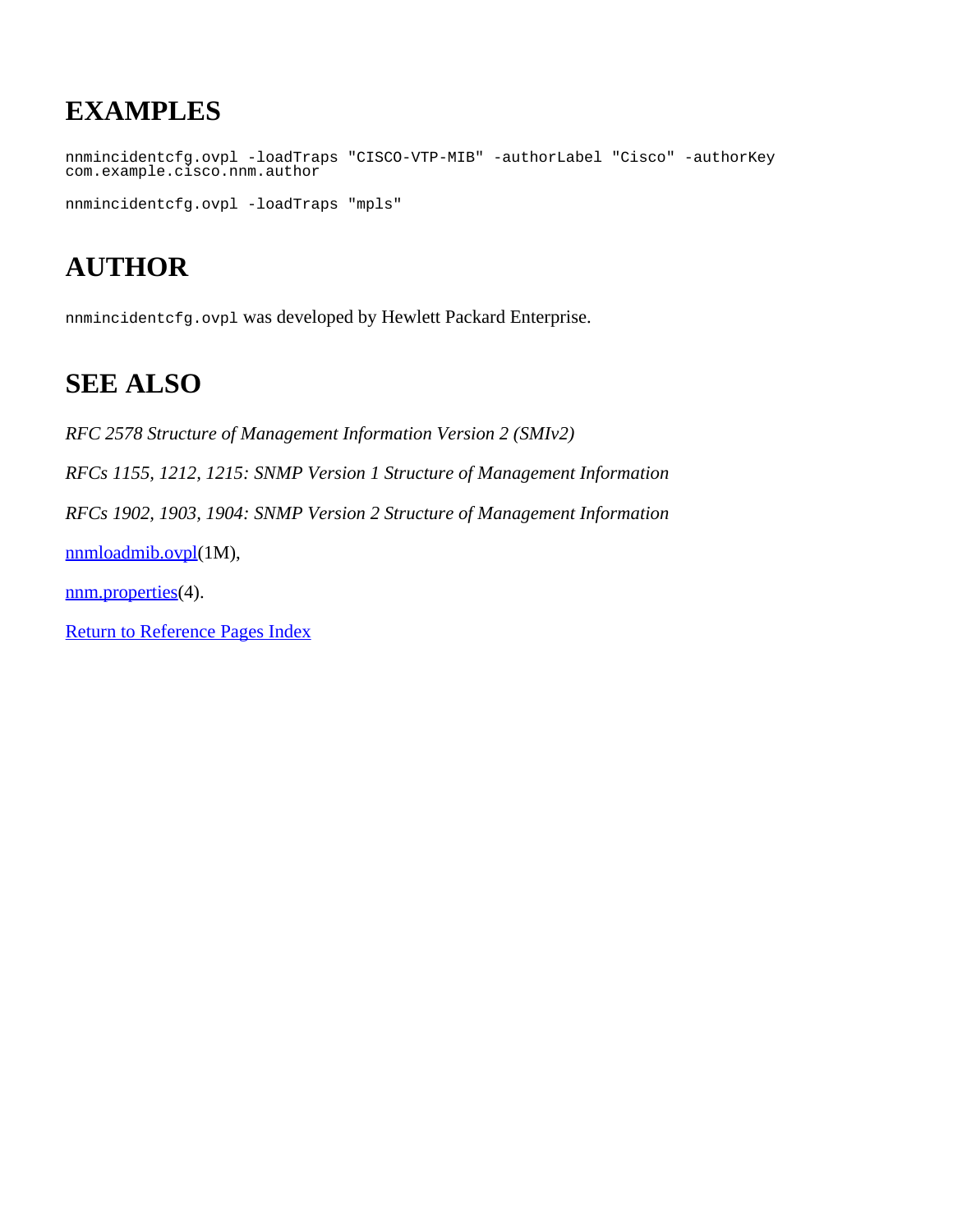# **EXAMPLES**

nnmincidentcfg.ovpl -loadTraps "CISCO-VTP-MIB" -authorLabel "Cisco" -authorKey com.example.cisco.nnm.author nnmincidentcfg.ovpl -loadTraps "mpls"

# **AUTHOR**

nnmincidentcfg.ovpl was developed by Hewlett Packard Enterprise.

# **SEE ALSO**

*RFC 2578 Structure of Management Information Version 2 (SMIv2) RFCs 1155, 1212, 1215: SNMP Version 1 Structure of Management Information RFCs 1902, 1903, 1904: SNMP Version 2 Structure of Management Information* [nnmloadmib.ovpl\(](#page-149-0)1M),

[nnm.properties](#page-212-0)(4).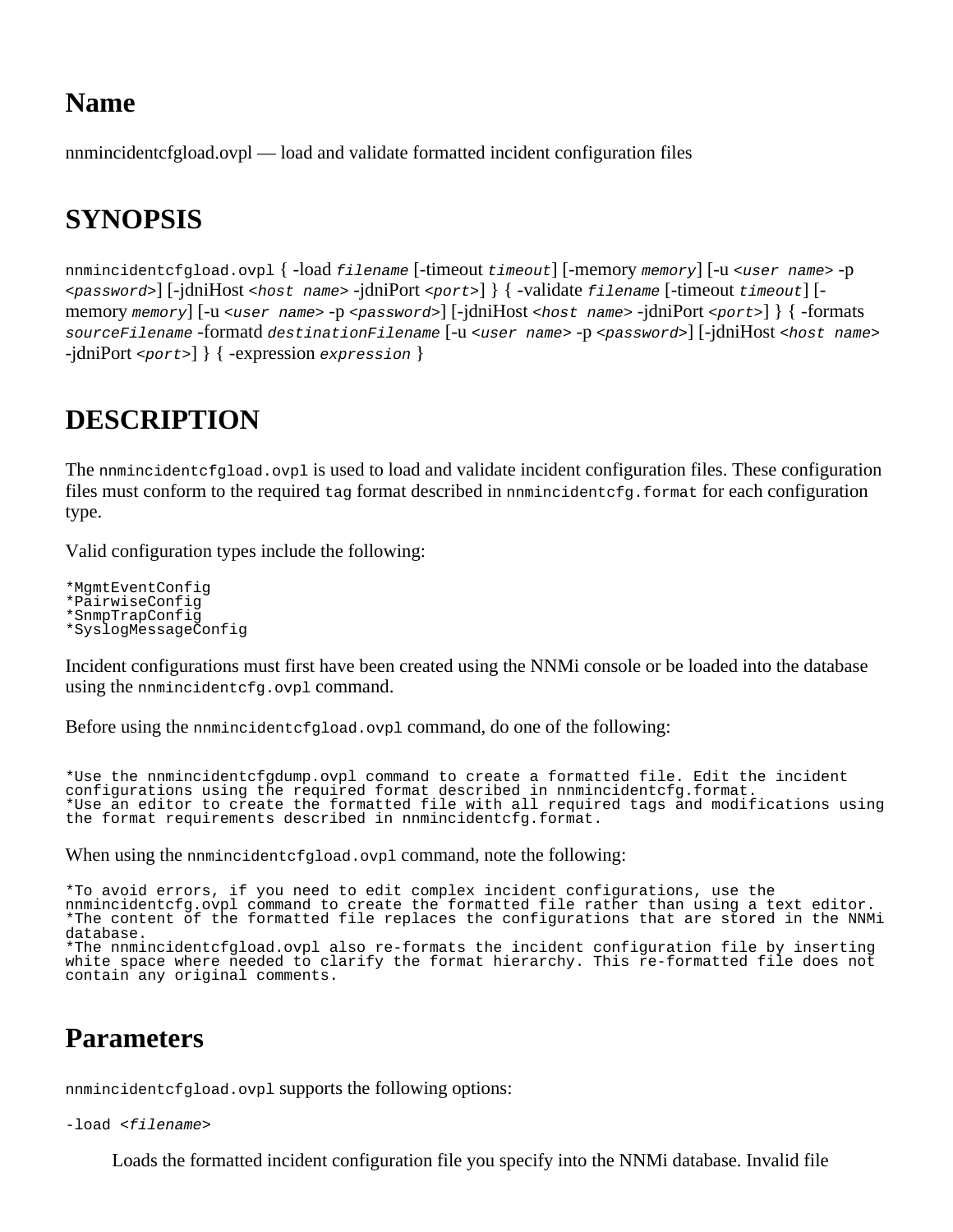<span id="page-121-0"></span>nnmincidentcfgload.ovpl — load and validate formatted incident configuration files

# **SYNOPSIS**

nnmincidentcfgload.ovpl { -load *filename* [-timeout *timeout*] [-memory *memory*] [-u *<user name>* -p *<password>*] [-jdniHost *<host name>* -jdniPort *<port>*] } { -validate *filename* [-timeout *timeout*] [ memory *memory*] [-u *<user name>* -p *<password>*] [-jdniHost *<host name>* -jdniPort *<port>*] } { -formats *sourceFilename* -formatd *destinationFilename* [-u *<user name>* -p *<password>*] [-jdniHost *<host name>* -jdniPort *<port>*] } { -expression *expression* }

# **DESCRIPTION**

The nnmincidentcfgload.ovpl is used to load and validate incident configuration files. These configuration files must conform to the required  $\text{tag}$  format described in nomingularities format for each configuration type.

Valid configuration types include the following:

```
*MgmtEventConfig
*PairwiseConfig
*SnmpTrapConfig
*SyslogMessageConfig
```
Incident configurations must first have been created using the NNMi console or be loaded into the database using the nnmincidentcfg.ovpl command.

Before using the nnmincidentcfgload.ovpl command, do one of the following:

 $\ddot{\phantom{a}}$ \*Use the nnmincidentcfgdump.ovpl command to create a formatted file. Edit the incident configurations using the required format described in nnmincidentcfg.format. \*Use an editor to create the formatted file with all required tags and modifications using the format requirements described in nnmincidentcfg.format.

When using the nomincident cfgload.ovpl command, note the following:

```
*To avoid errors, if you need to edit complex incident configurations, use the
nnmincidentcfg.ovpl command to create the formatted file rather than using a text editor.
*The content of the formatted file replaces the configurations that are stored in the NNMi
database. 
*The nnmincidentcfgload.ovpl also re-formats the incident configuration file by inserting
white space where needed to clarify the format hierarchy. This re-formatted file does not
contain any original comments.
```
### **Parameters**

nnmincidentcfgload.ovpl supports the following options:

-load <*filename*>

Loads the formatted incident configuration file you specify into the NNMi database. Invalid file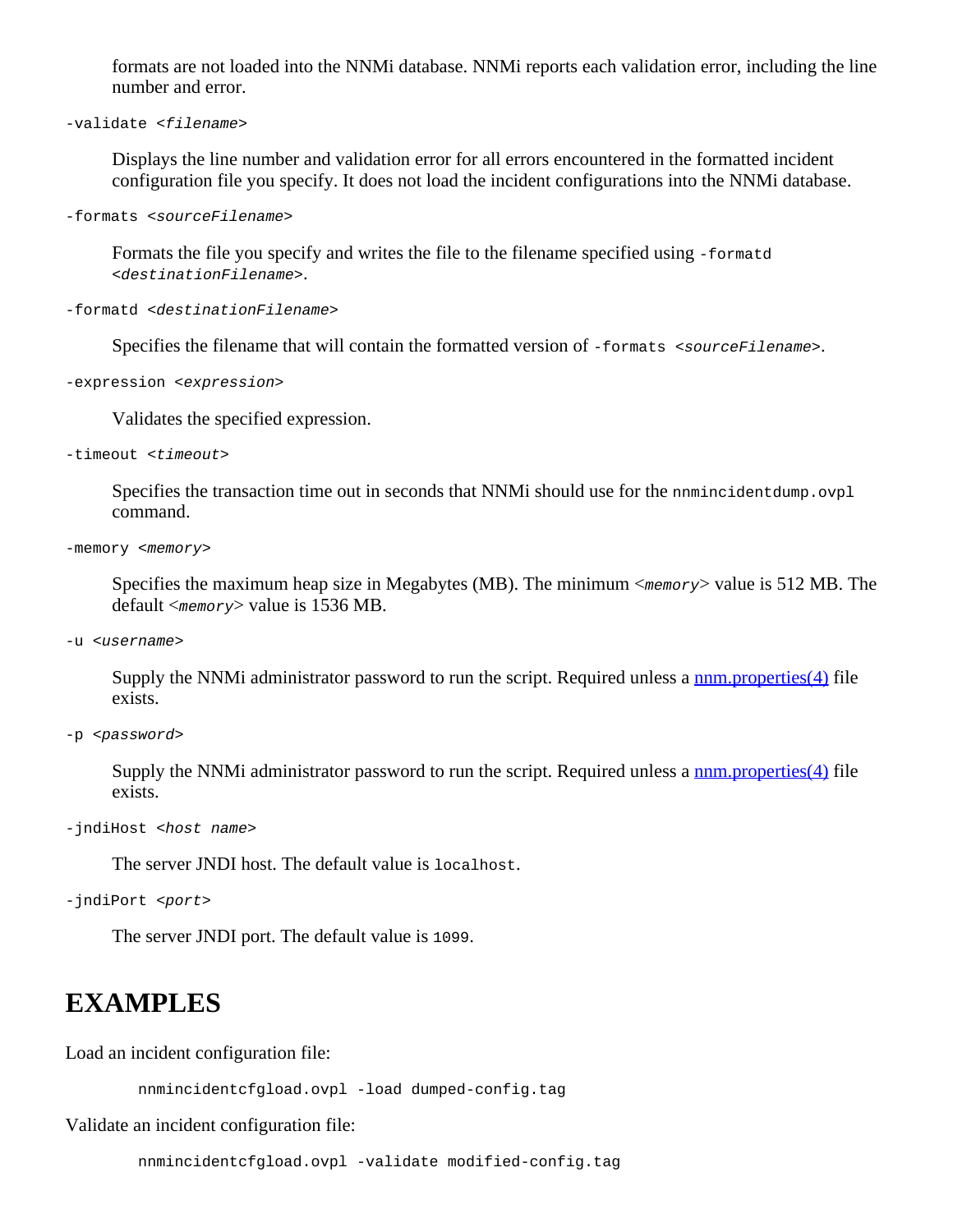formats are not loaded into the NNMi database. NNMi reports each validation error, including the line number and error.

-validate <*filename*>

Displays the line number and validation error for all errors encountered in the formatted incident configuration file you specify. It does not load the incident configurations into the NNMi database.

```
-formats <sourceFilename>
```
Formats the file you specify and writes the file to the filename specified using -formatd <*destinationFilename*>.

```
-formatd <destinationFilename>
```
Specifies the filename that will contain the formatted version of -formats <*sourceFilename*>.

-expression <*expression*>

Validates the specified expression.

```
-timeout <timeout>
```
Specifies the transaction time out in seconds that NNMi should use for the nnmincidentdump.ovpl command.

-memory <*memory*>

Specifies the maximum heap size in Megabytes (MB). The minimum <*memory*> value is 512 MB. The default <*memory*> value is 1536 MB.

```
-u <username>
```
Supply the NNM administrator password to run the script. Required unless a  $\frac{num}{normal}(4)$  file exists.

```
-p <password>
```
Supply the NNM administrator password to run the script. Required unless a  $\frac{num}{normal}(4)$  file exists.

```
-jndiHost <host name>
```
The server JNDI host. The default value is localhost.

-jndiPort <*port*>

The server JNDI port. The default value is 1099.

### **EXAMPLES**

Load an incident configuration file:

```
nnmincidentcfgload.ovpl -load dumped-config.tag
```
Validate an incident configuration file:

```
nnmincidentcfgload.ovpl -validate modified-config.tag
```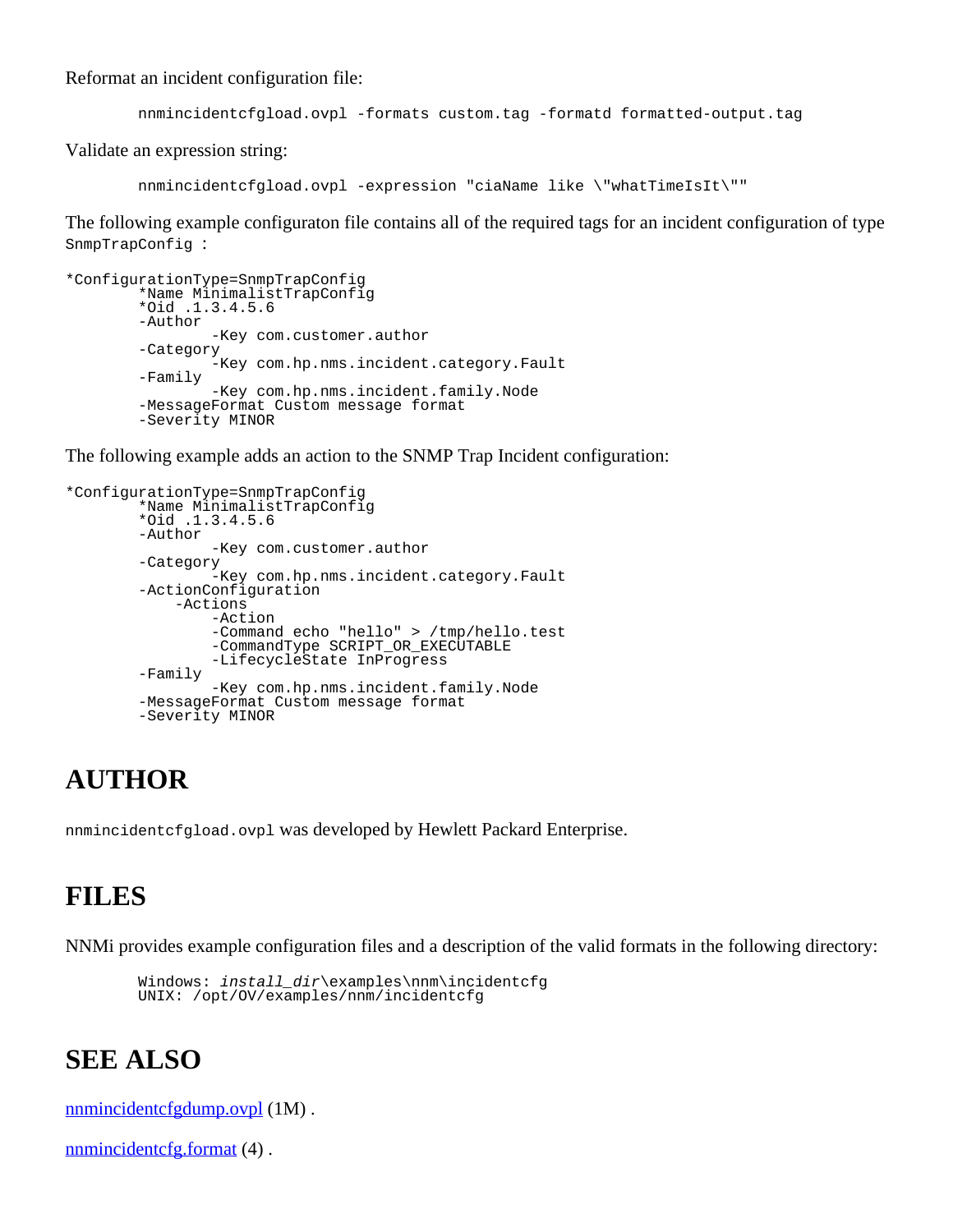Reformat an incident configuration file:

```
nnmincidentcfgload.ovpl -formats custom.tag -formatd formatted-output.tag
```
Validate an expression string:

```
nnmincidentcfgload.ovpl -expression "ciaName like \"whatTimeIsIt\""
```
The following example configuraton file contains all of the required tags for an incident configuration of type SnmpTrapConfig :

```
*ConfigurationType=SnmpTrapConfig
        *Name MinimalistTrapConfig
       *Oid .1.3.4.5.6
       -Key com.customer.author<br>-Category
       -Key com.hp.nms.incident.category.Fault
               -Key com.hp.nms.incident.family.Node
       -MessageFormat Custom message format
       -Severity MINOR
```
The following example adds an action to the SNMP Trap Incident configuration:

```
*ConfigurationType=SnmpTrapConfig
        *Name MinimalistTrapConfig
        *Oid .1.3.4.5.6<br>-Author
        -Key com.customer.author<br>-Category
                 -Key com.hp.nms.incident.category.Fault
        -ActionConfiguration
             -Actions
                  -Action
                  -Command echo "hello" > /tmp/hello.test
                 -CommandType SCRIPT_OR_EXECUTABLE
        -LifecycleState InProgress<br>-Family
                -Key com.hp.nms.incident.family.Node
        -MessageFormat Custom message format
        -Severity MINOR
```
# **AUTHOR**

nnmincidentcfgload.ovpl was developed by Hewlett Packard Enterprise.

### **FILES**

NNMi provides example configuration files and a description of the valid formats in the following directory:

```
Windows: install_dir\examples\nnm\incidentcfg
UNIX: /opt/OV/examples/nnm/incidentcfg
```
# **SEE ALSO**

[nnmincidentcfgdump.ovpl](#page-125-0) (1M).

[nnmincidentcfg.format](#page-222-0) (4).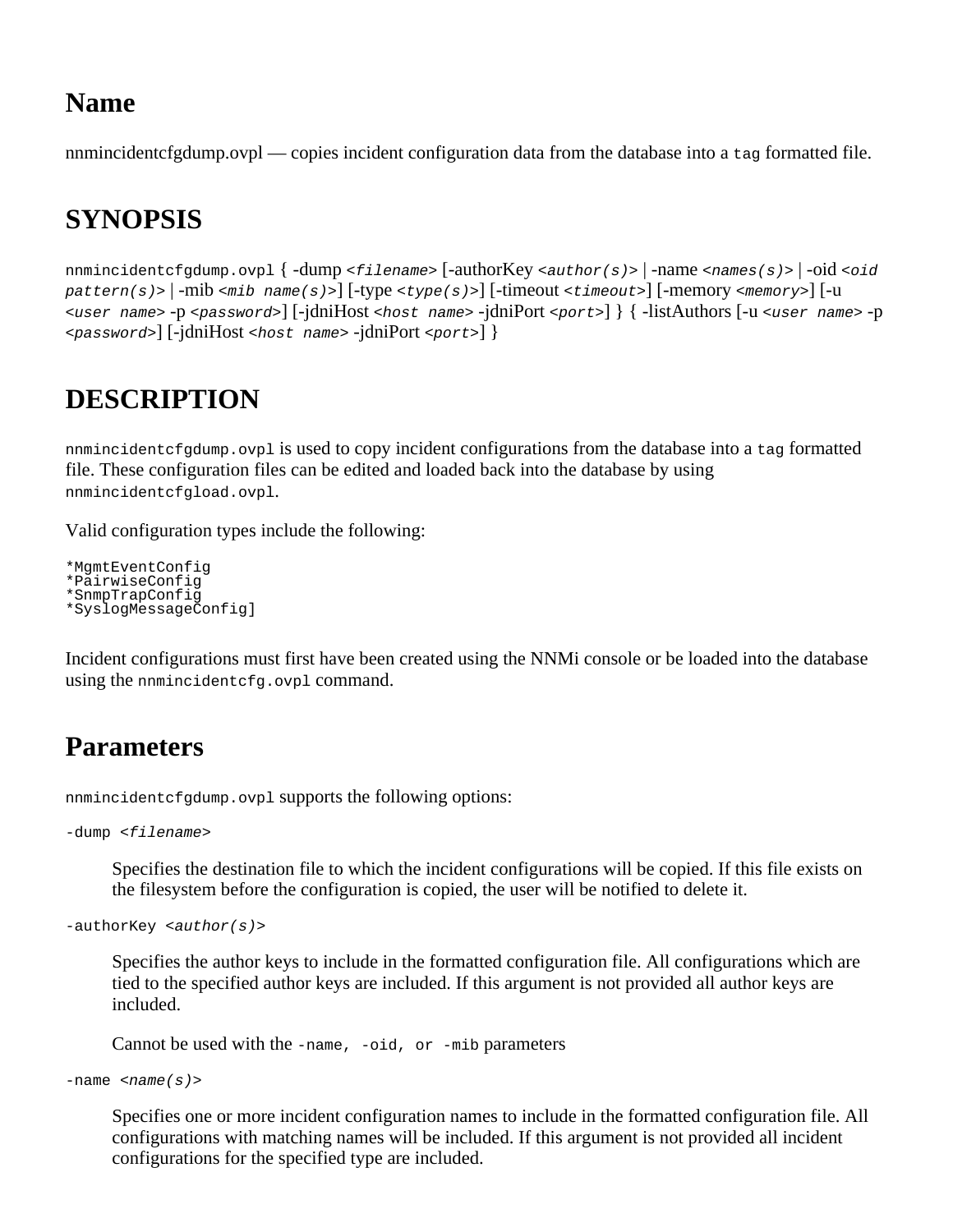<span id="page-125-0"></span>nnmincidentcfgdump.ovpl — copies incident configuration data from the database into a tag formatted file.

# **SYNOPSIS**

nnmincidentcfgdump.ovpl { -dump *<filename>* [-authorKey *<author(s)>* | -name *<names(s)>* | -oid *<oid pattern(s)>* | -mib *<mib name(s)>*] [-type *<type(s)>*] [-timeout *<timeout>*] [-memory *<memory>*] [-u *<user name>* -p *<password>*] [-jdniHost *<host name>* -jdniPort *<port>*] } { -listAuthors [-u *<user name>* -p *<password>*] [-jdniHost *<host name>* -jdniPort *<port>*] }

# **DESCRIPTION**

nnmincidentcfgdump.ovpl is used to copy incident configurations from the database into a tag formatted file. These configuration files can be edited and loaded back into the database by using nnmincidentcfgload.ovpl.

Valid configuration types include the following:

```
*MgmtEventConfig
*PairwiseConfig
*SnmpTrapConfig
*SyslogMessageConfig]
```
Incident configurations must first have been created using the NNMi console or be loaded into the database using the nnmincidentcfg.ovpl command.

### **Parameters**

nnmincidentcfgdump.ovpl supports the following options:

-dump <*filename*>

Specifies the destination file to which the incident configurations will be copied. If this file exists on the filesystem before the configuration is copied, the user will be notified to delete it.

```
-authorKey <author(s)>
```
Specifies the author keys to include in the formatted configuration file. All configurations which are tied to the specified author keys are included. If this argument is not provided all author keys are included.

Cannot be used with the -name, -oid, or -mib parameters

-name <*name(s)*>

Specifies one or more incident configuration names to include in the formatted configuration file. All configurations with matching names will be included. If this argument is not provided all incident configurations for the specified type are included.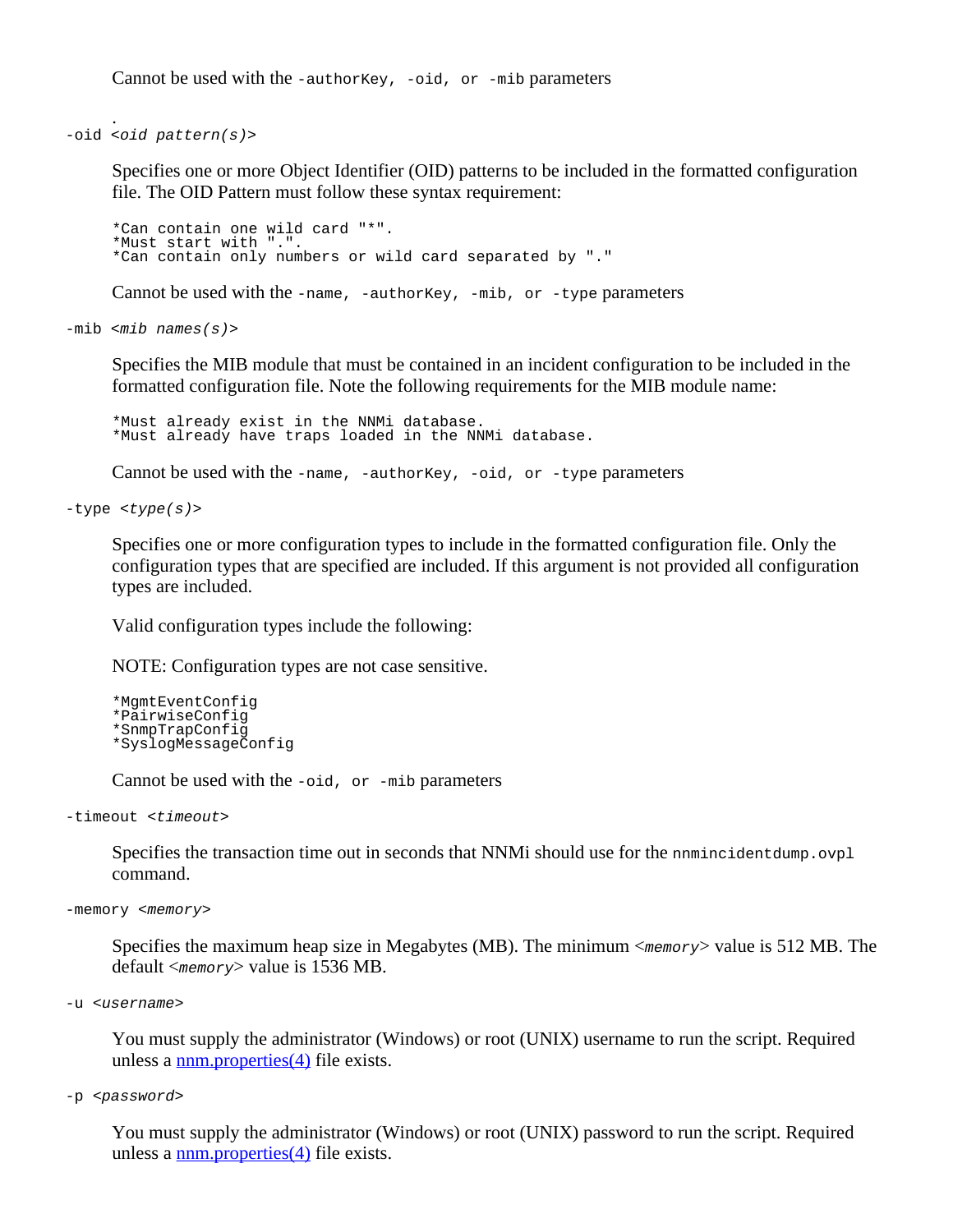Cannot be used with the  $-$ authorKey,  $-$ oid, or  $-$ mib parameters

. -oid <*oid pattern(s)*>

> Specifies one or more Object Identifier (OID) patterns to be included in the formatted configuration file. The OID Pattern must follow these syntax requirement:

```
*Can contain one wild card "*". 
*Must start with ".".
*Can contain only numbers or wild card separated by "."
```
Cannot be used with the  $-\text{name}$ ,  $-\text{authorKey}$ ,  $-\text{mb}$ , or  $-\text{type}$  parameters

-mib <*mib names(s)*>

Specifies the MIB module that must be contained in an incident configuration to be included in the formatted configuration file. Note the following requirements for the MIB module name:

\*Must already exist in the NNMi database. \*Must already have traps loaded in the NNMi database.

Cannot be used with the  $-\text{name}$ ,  $-\text{authorKey}$ ,  $-\text{oid}$ , or  $-\text{type}$  parameters

-type <*type(s)*>

Specifies one or more configuration types to include in the formatted configuration file. Only the configuration types that are specified are included. If this argument is not provided all configuration types are included.

Valid configuration types include the following:

NOTE: Configuration types are not case sensitive.

```
*MgmtEventConfig
*PairwiseConfig
*SnmpTrapConfig
*SyslogMessageConfig
```
Cannot be used with the  $-\text{oid}$ , or  $-\text{mib}$  parameters

-timeout <*timeout*>

Specifies the transaction time out in seconds that NNMi should use for the nnmincidentdump.ovpl command.

-memory <*memory*>

Specifies the maximum heap size in Megabytes (MB). The minimum <*memory*> value is 512 MB. The default <*memory*> value is 1536 MB.

-u <*username*>

You must supply the administrator (Windows) or root (UNIX) username to run the script. Required unless a  $\frac{nnm}{proporties(4)}$  file exists.

-p <*password*>

You must supply the administrator (Windows) or root (UNIX) password to run the script. Required unless a  $\frac{nnm}{proporties(4)}$  file exists.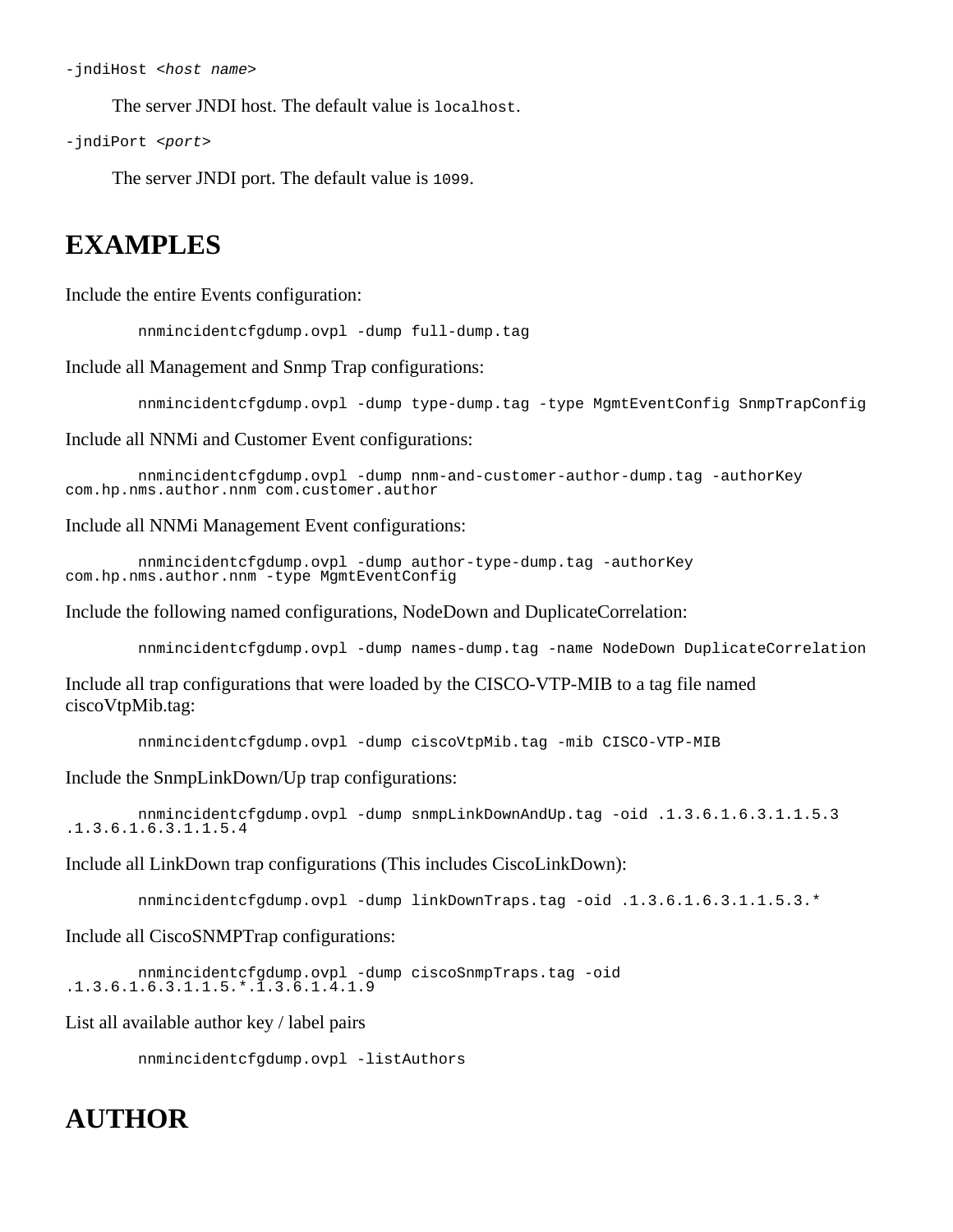-jndiHost <*host name*>

The server JNDI host. The default value is localhost.

-jndiPort <*port*>

The server JNDI port. The default value is 1099.

#### **EXAMPLES**

Include the entire Events configuration:

nnmincidentcfgdump.ovpl -dump full-dump.tag

Include all Management and Snmp Trap configurations:

nnmincidentcfgdump.ovpl -dump type-dump.tag -type MgmtEventConfig SnmpTrapConfig

Include all NNMi and Customer Event configurations:

nnmincidentcfgdump.ovpl -dump nnm-and-customer-author-dump.tag -authorKey com.hp.nms.author.nnm com.customer.author

Include all NNMi Management Event configurations:

nnmincidentcfgdump.ovpl -dump author-type-dump.tag -authorKey com.hp.nms.author.nnm -type MgmtEventConfig

Include the following named configurations, NodeDown and DuplicateCorrelation:

nnmincidentcfgdump.ovpl -dump names-dump.tag -name NodeDown DuplicateCorrelation

Include all trap configurations that were loaded by the CISCO-VTP-MIB to a tag file named ciscoVtpMib.tag:

nnmincidentcfgdump.ovpl -dump ciscoVtpMib.tag -mib CISCO-VTP-MIB

Include the SnmpLinkDown/Up trap configurations:

nnmincidentcfgdump.ovpl -dump snmpLinkDownAndUp.tag -oid .1.3.6.1.6.3.1.1.5.3 .1.3.6.1.6.3.1.1.5.4

Include all LinkDown trap configurations (This includes CiscoLinkDown):

nnmincidentcfgdump.ovpl -dump linkDownTraps.tag -oid .1.3.6.1.6.3.1.1.5.3.\*

Include all CiscoSNMPTrap configurations:

nnmincidentcfgdump.ovpl -dump ciscoSnmpTraps.tag -oid .1.3.6.1.6.3.1.1.5.\*.1.3.6.1.4.1.9

List all available author key / label pairs

nnmincidentcfgdump.ovpl -listAuthors

### **AUTHOR**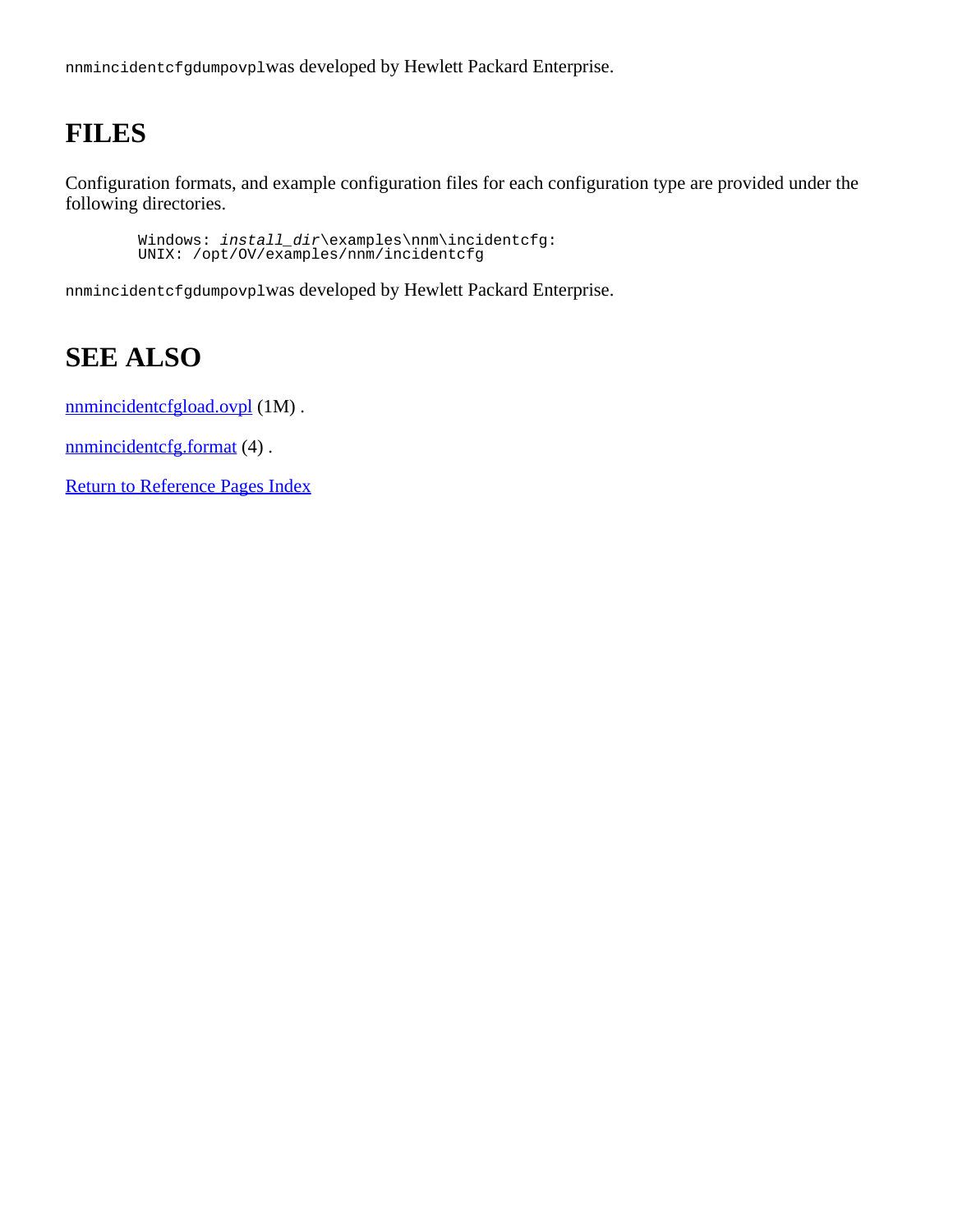nnmincidentcfgdumpovplwas developed by Hewlett Packard Enterprise.

# **FILES**

Configuration formats, and example configuration files for each configuration type are provided under the following directories.

```
Windows: install_dir\examples\nnm\incidentcfg: UNIX: /opt/OV/examples/nnm/incidentcfg
```
nnmincidentcfgdumpovplwas developed by Hewlett Packard Enterprise.

## **SEE ALSO**

[nnmincidentcfgload.ovpl](#page-121-0) (1M).

[nnmincidentcfg.format](#page-222-0) (4).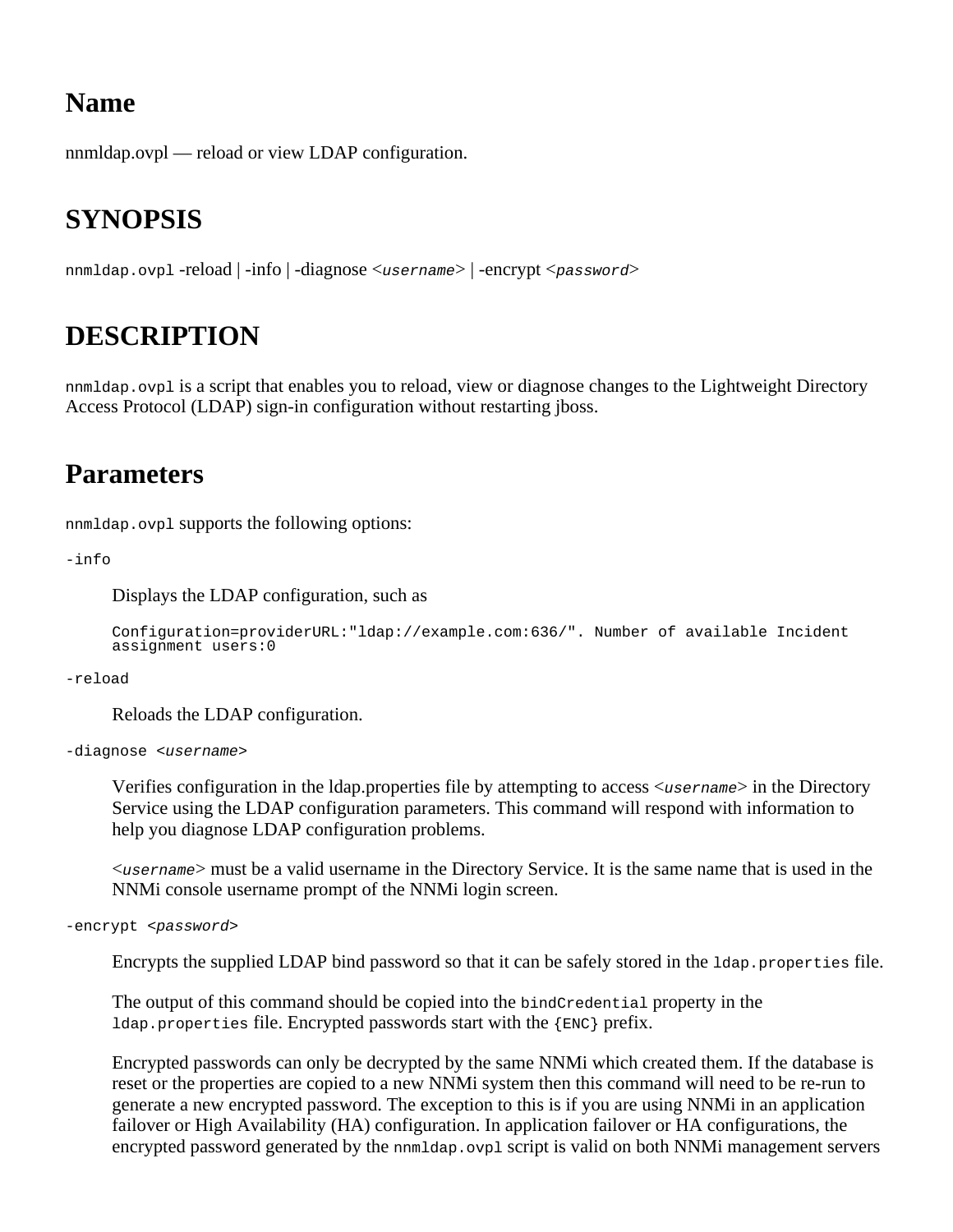nnmldap.ovpl — reload or view LDAP configuration.

# **SYNOPSIS**

nnmldap.ovpl -reload | -info | -diagnose <*username*> | -encrypt <*password*>

## **DESCRIPTION**

nnmldap.ovpl is a script that enables you to reload, view or diagnose changes to the Lightweight Directory Access Protocol (LDAP) sign-in configuration without restarting jboss.

### **Parameters**

nnmldap.ovpl supports the following options:

-info

Displays the LDAP configuration, such as

```
Configuration=providerURL:"ldap://example.com:636/". Number of available Incident
assignment users:0
```
-reload

Reloads the LDAP configuration.

-diagnose <*username*>

Verifies configuration in the ldap.properties file by attempting to access <*username*> in the Directory Service using the LDAP configuration parameters. This command will respond with information to help you diagnose LDAP configuration problems.

<*username*> must be a valid username in the Directory Service. It is the same name that is used in the NNMi console username prompt of the NNMi login screen.

-encrypt <*password*>

Encrypts the supplied LDAP bind password so that it can be safely stored in the ldap.properties file.

The output of this command should be copied into the bindCredential property in the ldap.properties file. Encrypted passwords start with the {ENC} prefix.

Encrypted passwords can only be decrypted by the same NNMi which created them. If the database is reset or the properties are copied to a new NNMi system then this command will need to be re-run to generate a new encrypted password. The exception to this is if you are using NNMi in an application failover or High Availability (HA) configuration. In application failover or HA configurations, the encrypted password generated by the nnmldap.ovpl script is valid on both NNMi management servers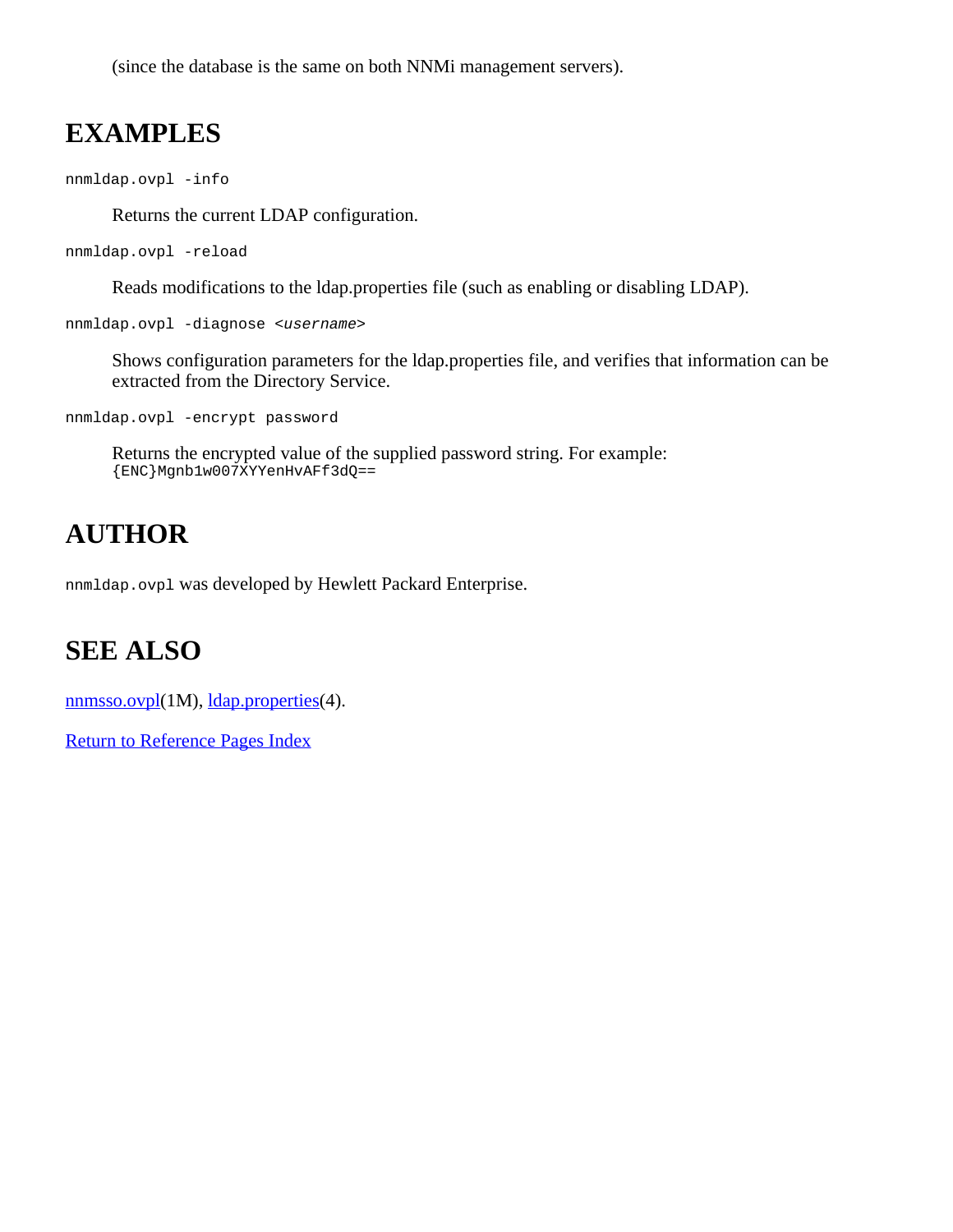(since the database is the same on both NNMi management servers).

### **EXAMPLES**

nnmldap.ovpl -info

Returns the current LDAP configuration.

```
nnmldap.ovpl -reload
```
Reads modifications to the ldap.properties file (such as enabling or disabling LDAP).

nnmldap.ovpl -diagnose <*username*>

Shows configuration parameters for the ldap.properties file, and verifies that information can be extracted from the Directory Service.

nnmldap.ovpl -encrypt password

Returns the encrypted value of the supplied password string. For example: {ENC}Mgnb1w007XYYenHvAFf3dQ==

# **AUTHOR**

nnmldap.ovpl was developed by Hewlett Packard Enterprise.

### **SEE ALSO**

[nnmsso.ovpl](#page-283-0)(1M), [ldap.properties](#page-214-0)(4).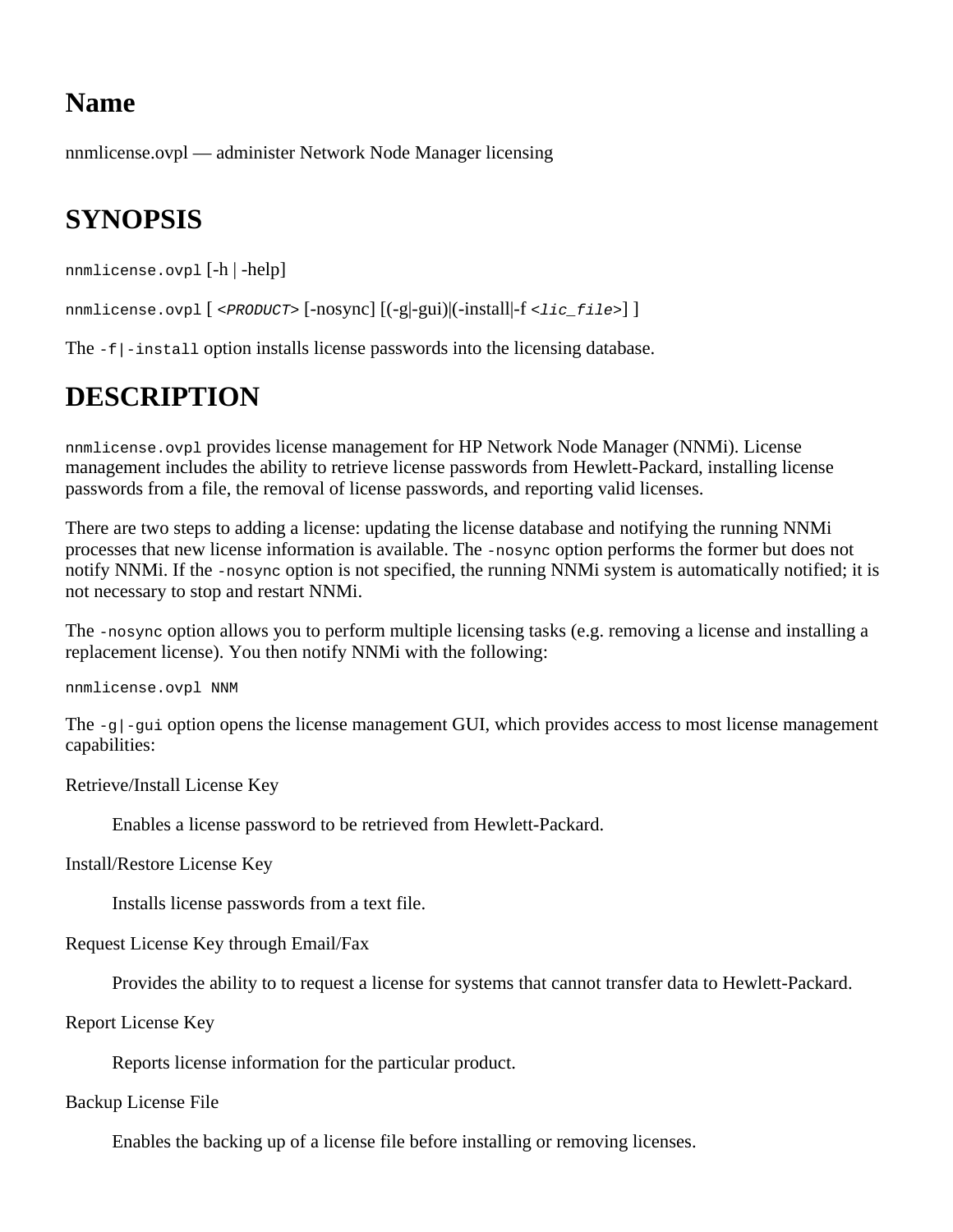nnmlicense.ovpl — administer Network Node Manager licensing

# **SYNOPSIS**

nnmlicense.ovpl [-h | -help]

nnmlicense.ovpl [ *<PRODUCT>* [-nosync] [(-g|-gui)|(-install|-f *<lic\_file>*] ]

The  $-f$  -install option installs license passwords into the licensing database.

# **DESCRIPTION**

nnmlicense.ovpl provides license management for HP Network Node Manager (NNMi). License management includes the ability to retrieve license passwords from Hewlett-Packard, installing license passwords from a file, the removal of license passwords, and reporting valid licenses.

There are two steps to adding a license: updating the license database and notifying the running NNMi processes that new license information is available. The -nosync option performs the former but does not notify NNMi. If the -nosync option is not specified, the running NNMi system is automatically notified; it is not necessary to stop and restart NNMi.

The -nosync option allows you to perform multiple licensing tasks (e.g. removing a license and installing a replacement license). You then notify NNMi with the following:

nnmlicense.ovpl NNM

The -g|-gui option opens the license management GUI, which provides access to most license management capabilities:

Retrieve/Install License Key

Enables a license password to be retrieved from Hewlett-Packard.

Install/Restore License Key

Installs license passwords from a text file.

Request License Key through Email/Fax

Provides the ability to to request a license for systems that cannot transfer data to Hewlett-Packard.

Report License Key

Reports license information for the particular product.

#### Backup License File

Enables the backing up of a license file before installing or removing licenses.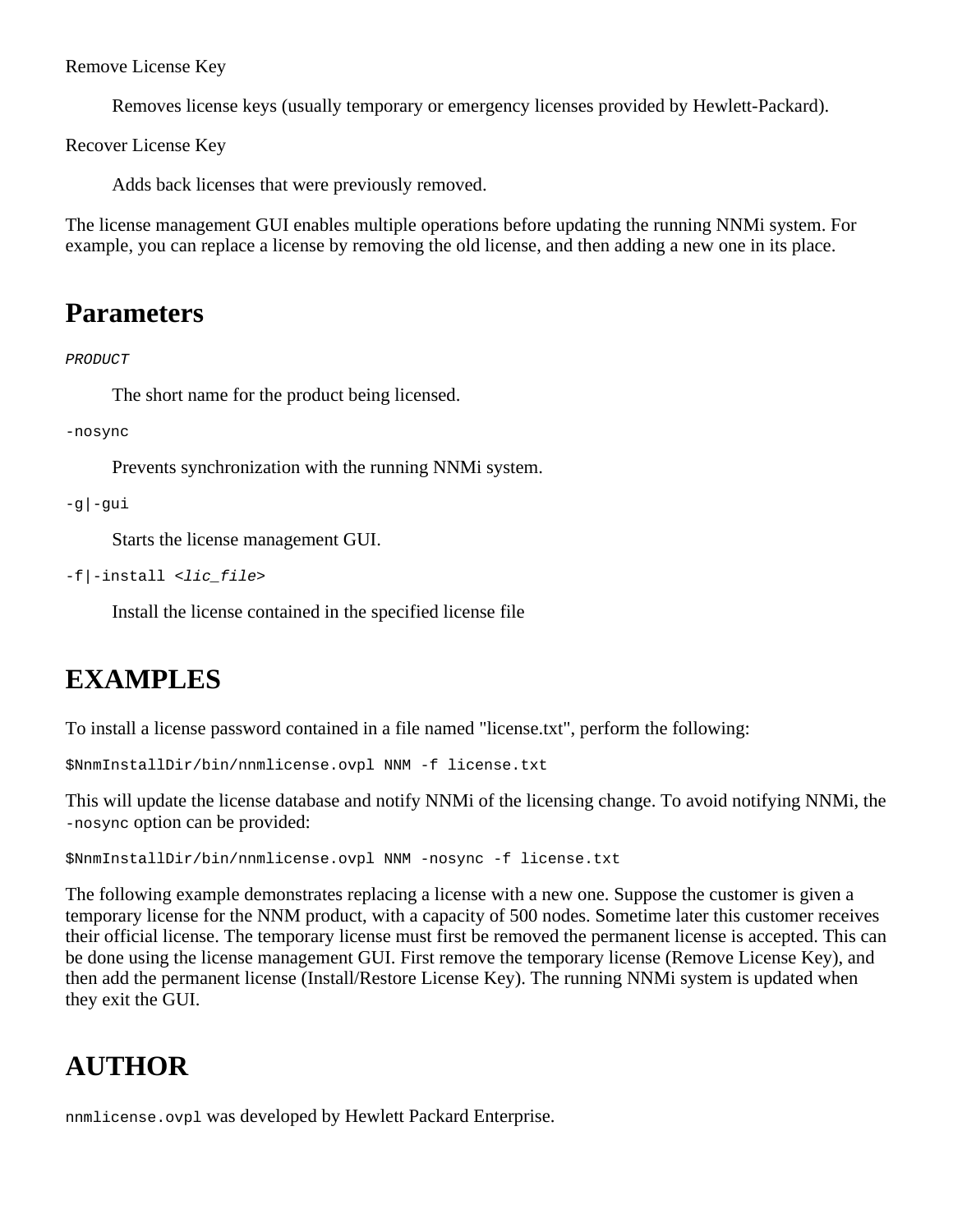Remove License Key

Removes license keys (usually temporary or emergency licenses provided by Hewlett-Packard).

Recover License Key

Adds back licenses that were previously removed.

The license management GUI enables multiple operations before updating the running NNMi system. For example, you can replace a license by removing the old license, and then adding a new one in its place.

### **Parameters**

*PRODUCT*

The short name for the product being licensed.

-nosync

Prevents synchronization with the running NNMi system.

-g|-gui

Starts the license management GUI.

```
-f|-install <lic_file>
```
Install the license contained in the specified license file

### **EXAMPLES**

To install a license password contained in a file named "license.txt", perform the following:

```
$NnmInstallDir/bin/nnmlicense.ovpl NNM -f license.txt
```
This will update the license database and notify NNMi of the licensing change. To avoid notifying NNMi, the -nosync option can be provided:

\$NnmInstallDir/bin/nnmlicense.ovpl NNM -nosync -f license.txt

The following example demonstrates replacing a license with a new one. Suppose the customer is given a temporary license for the NNM product, with a capacity of 500 nodes. Sometime later this customer receives their official license. The temporary license must first be removed the permanent license is accepted. This can be done using the license management GUI. First remove the temporary license (Remove License Key), and then add the permanent license (Install/Restore License Key). The running NNMi system is updated when they exit the GUI.

# **AUTHOR**

nnmlicense.ovpl was developed by Hewlett Packard Enterprise.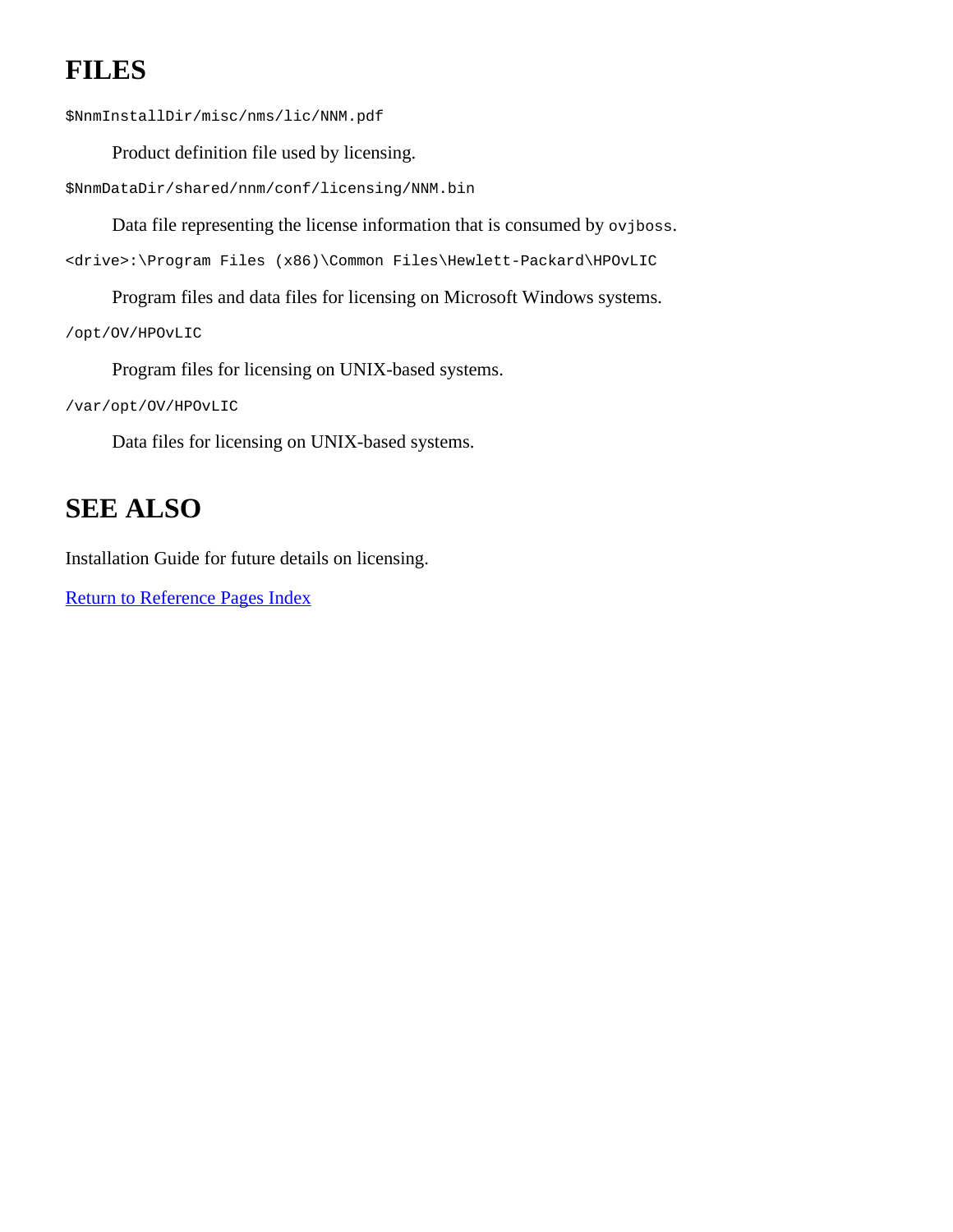# **FILES**

\$NnmInstallDir/misc/nms/lic/NNM.pdf

Product definition file used by licensing.

\$NnmDataDir/shared/nnm/conf/licensing/NNM.bin

Data file representing the license information that is consumed by  $\infty$  jboss.

<drive>:\Program Files (x86)\Common Files\Hewlett-Packard\HPOvLIC

Program files and data files for licensing on Microsoft Windows systems.

/opt/OV/HPOvLIC

Program files for licensing on UNIX-based systems.

/var/opt/OV/HPOvLIC

Data files for licensing on UNIX-based systems.

# **SEE ALSO**

Installation Guide for future details on licensing.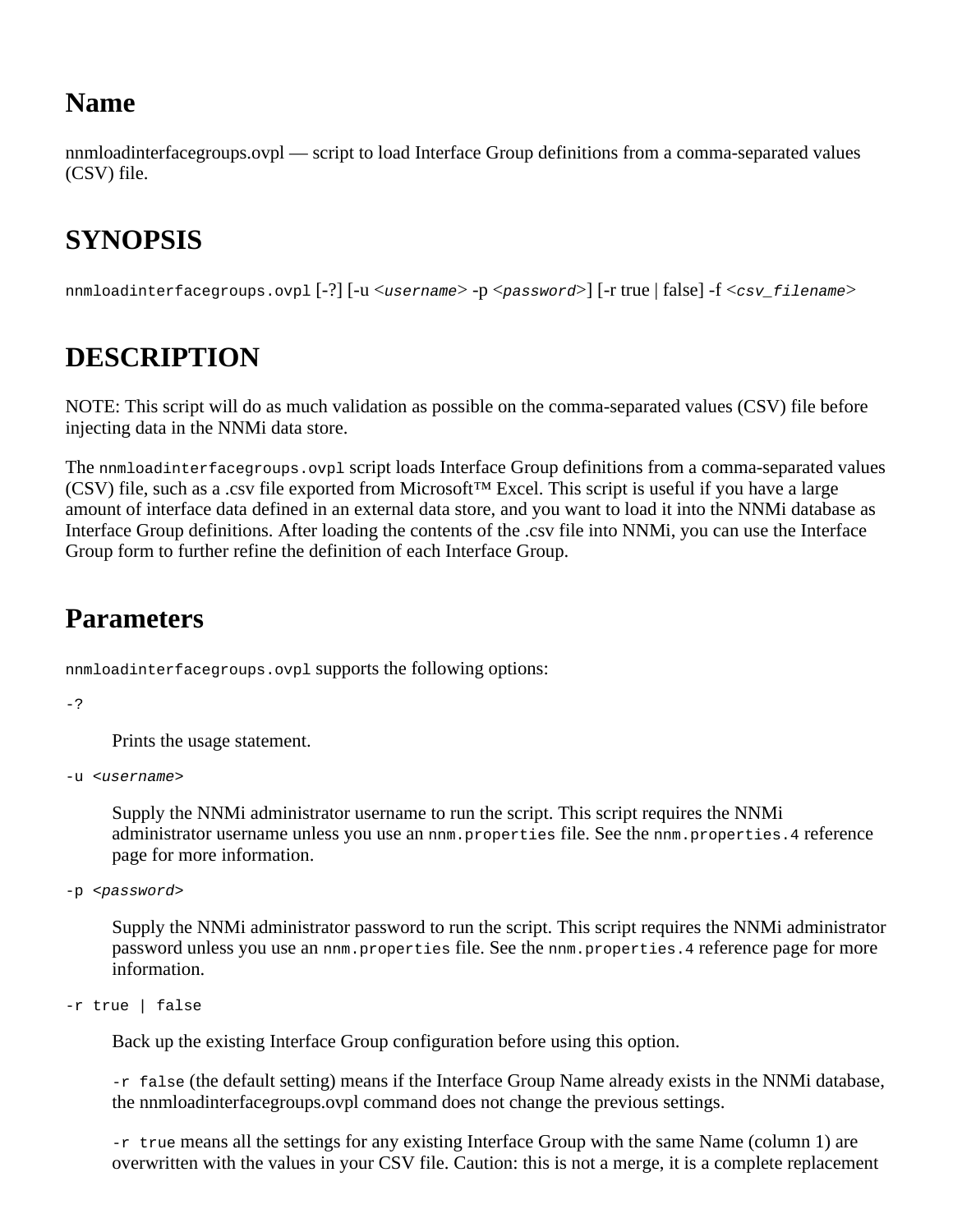nnmloadinterfacegroups.ovpl — script to load Interface Group definitions from a comma-separated values (CSV) file.

# **SYNOPSIS**

nnmloadinterfacegroups.ovpl [-?] [-u <*username*> -p <*password*>] [-r true | false] -f <*csv\_filename*>

# **DESCRIPTION**

NOTE: This script will do as much validation as possible on the comma-separated values (CSV) file before injecting data in the NNMi data store.

The nnmloadinterfacegroups.ovpl script loads Interface Group definitions from a comma-separated values (CSV) file, such as a .csv file exported from Microsoft™ Excel. This script is useful if you have a large amount of interface data defined in an external data store, and you want to load it into the NNMi database as Interface Group definitions. After loading the contents of the .csv file into NNMi, you can use the Interface Group form to further refine the definition of each Interface Group.

### **Parameters**

nnmloadinterfacegroups.ovpl supports the following options:

-?

Prints the usage statement.

-u <*username*>

Supply the NNMi administrator username to run the script. This script requires the NNMi administrator username unless you use an nnm.properties file. See the nnm.properties. 4 reference page for more information.

-p <*password*>

Supply the NNMi administrator password to run the script. This script requires the NNMi administrator password unless you use an nnm.properties file. See the nnm.properties. 4 reference page for more information.

-r true | false

Back up the existing Interface Group configuration before using this option.

-r false (the default setting) means if the Interface Group Name already exists in the NNMi database, the nnmloadinterfacegroups.ovpl command does not change the previous settings.

-r true means all the settings for any existing Interface Group with the same Name (column 1) are overwritten with the values in your CSV file. Caution: this is not a merge, it is a complete replacement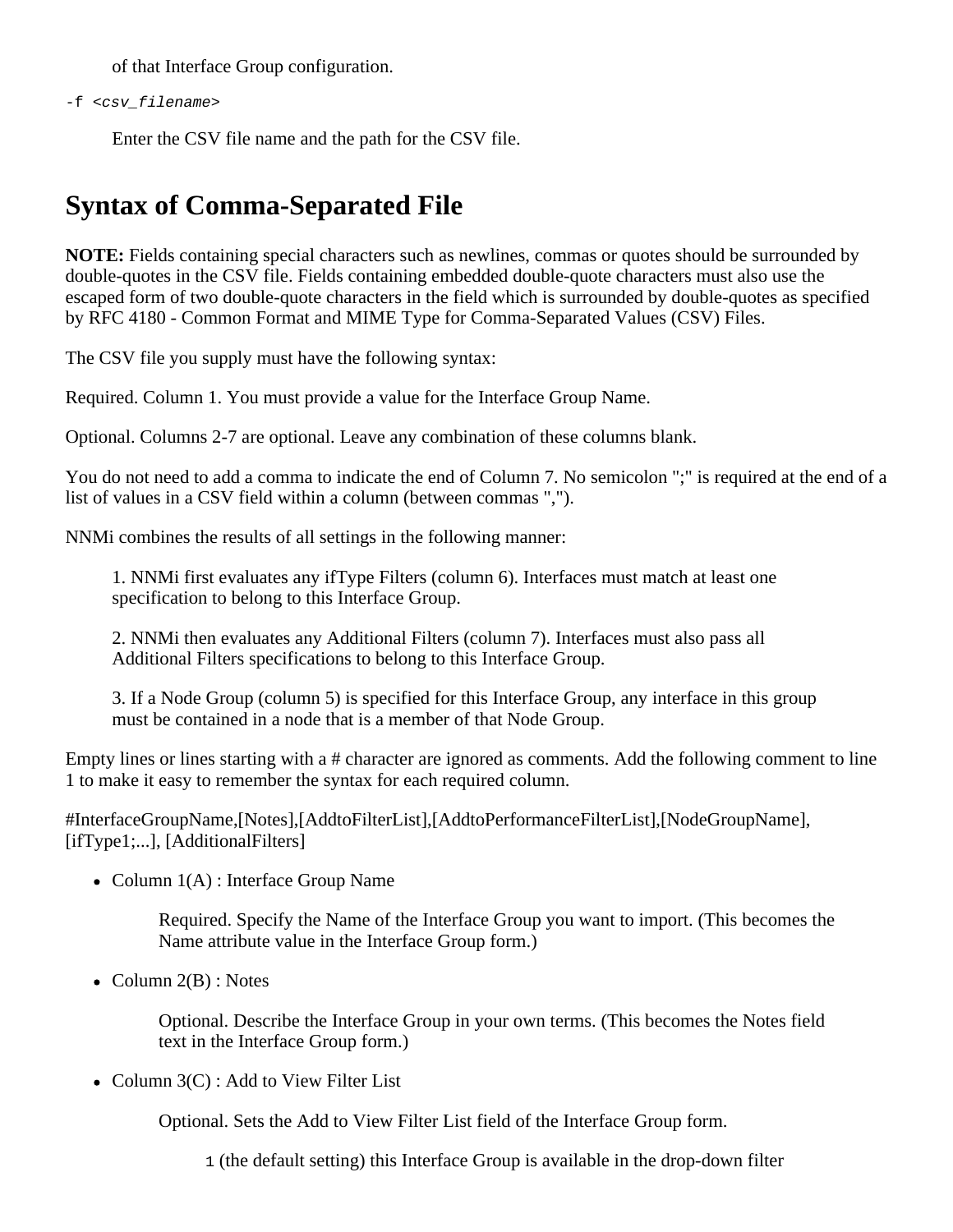of that Interface Group configuration.

-f <*csv\_filename*>

Enter the CSV file name and the path for the CSV file.

# **Syntax of Comma-Separated File**

**NOTE:** Fields containing special characters such as newlines, commas or quotes should be surrounded by double-quotes in the CSV file. Fields containing embedded double-quote characters must also use the escaped form of two double-quote characters in the field which is surrounded by double-quotes as specified by RFC 4180 - Common Format and MIME Type for Comma-Separated Values (CSV) Files.

The CSV file you supply must have the following syntax:

Required. Column 1. You must provide a value for the Interface Group Name.

Optional. Columns 2-7 are optional. Leave any combination of these columns blank.

You do not need to add a comma to indicate the end of Column 7. No semicolon ";" is required at the end of a list of values in a CSV field within a column (between commas ",").

NNMi combines the results of all settings in the following manner:

1. NNMi first evaluates any ifType Filters (column 6). Interfaces must match at least one specification to belong to this Interface Group.

2. NNMi then evaluates any Additional Filters (column 7). Interfaces must also pass all Additional Filters specifications to belong to this Interface Group.

3. If a Node Group (column 5) is specified for this Interface Group, any interface in this group must be contained in a node that is a member of that Node Group.

Empty lines or lines starting with a # character are ignored as comments. Add the following comment to line 1 to make it easy to remember the syntax for each required column.

#InterfaceGroupName,[Notes],[AddtoFilterList],[AddtoPerformanceFilterList],[NodeGroupName], [ifType1;...], [AdditionalFilters]

• Column  $1(A)$ : Interface Group Name

Required. Specify the Name of the Interface Group you want to import. (This becomes the Name attribute value in the Interface Group form.)

• Column  $2(B)$  : Notes

Optional. Describe the Interface Group in your own terms. (This becomes the Notes field text in the Interface Group form.)

• Column  $3(C)$ : Add to View Filter List

Optional. Sets the Add to View Filter List field of the Interface Group form.

1 (the default setting) this Interface Group is available in the drop-down filter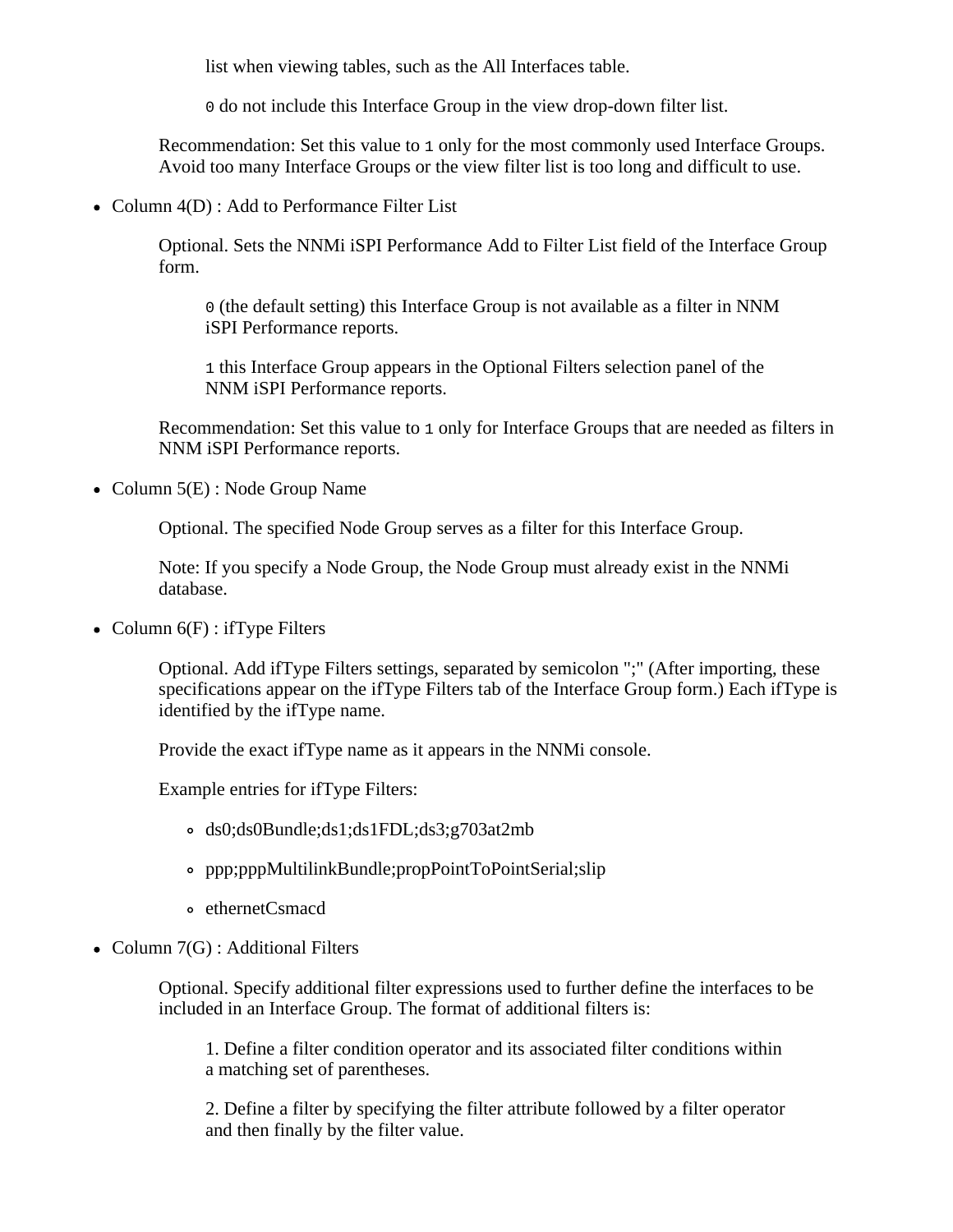list when viewing tables, such as the All Interfaces table.

0 do not include this Interface Group in the view drop-down filter list.

Recommendation: Set this value to 1 only for the most commonly used Interface Groups. Avoid too many Interface Groups or the view filter list is too long and difficult to use.

• Column  $4(D)$ : Add to Performance Filter List

Optional. Sets the NNMi iSPI Performance Add to Filter List field of the Interface Group form.

0 (the default setting) this Interface Group is not available as a filter in NNM iSPI Performance reports.

1 this Interface Group appears in the Optional Filters selection panel of the NNM iSPI Performance reports.

Recommendation: Set this value to 1 only for Interface Groups that are needed as filters in NNM iSPI Performance reports.

• Column  $5(E)$ : Node Group Name

Optional. The specified Node Group serves as a filter for this Interface Group.

Note: If you specify a Node Group, the Node Group must already exist in the NNMi database.

• Column  $6(F)$ : ifType Filters

Optional. Add ifType Filters settings, separated by semicolon ";" (After importing, these specifications appear on the ifType Filters tab of the Interface Group form.) Each ifType is identified by the ifType name.

Provide the exact ifType name as it appears in the NNMi console.

Example entries for ifType Filters:

- ds0;ds0Bundle;ds1;ds1FDL;ds3;g703at2mb
- ppp;pppMultilinkBundle;propPointToPointSerial;slip
- ethernetCsmacd
- Column 7(G) : Additional Filters

Optional. Specify additional filter expressions used to further define the interfaces to be included in an Interface Group. The format of additional filters is:

1. Define a filter condition operator and its associated filter conditions within a matching set of parentheses.

2. Define a filter by specifying the filter attribute followed by a filter operator and then finally by the filter value.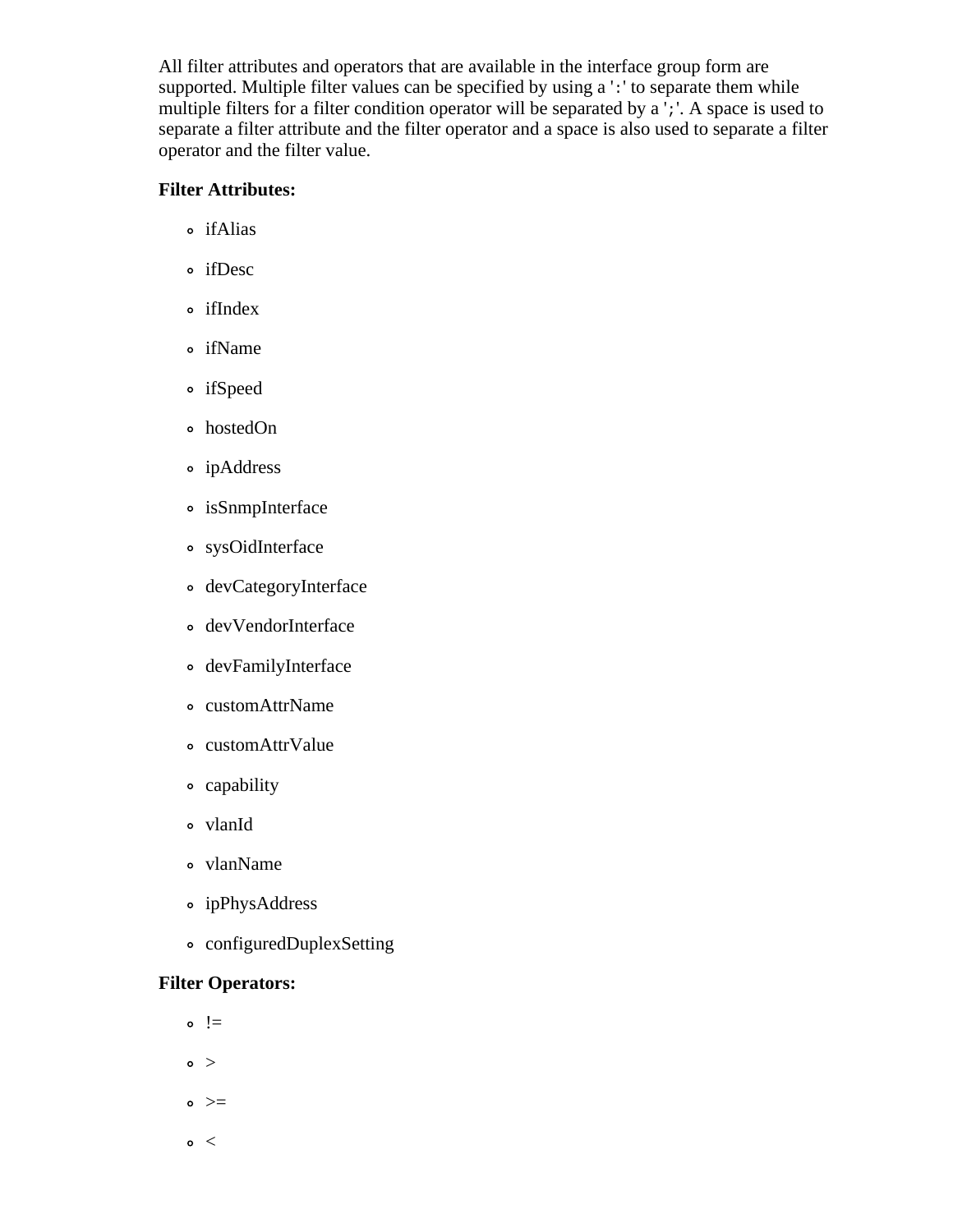All filter attributes and operators that are available in the interface group form are supported. Multiple filter values can be specified by using a ':' to separate them while multiple filters for a filter condition operator will be separated by a ';'. A space is used to separate a filter attribute and the filter operator and a space is also used to separate a filter operator and the filter value.

#### **Filter Attributes:**

- ifAlias
- ifDesc
- ifIndex
- ifName
- ifSpeed
- hostedOn
- ipAddress
- isSnmpInterface
- sysOidInterface
- devCategoryInterface
- devVendorInterface
- devFamilyInterface
- customAttrName
- customAttrValue
- capability
- vlanId
- vlanName
- ipPhysAddress
- configuredDuplexSetting

#### **Filter Operators:**

- $\circ$  !=
- $\circ$  >
- $\circ$  >=
- $\circ$   $\lt$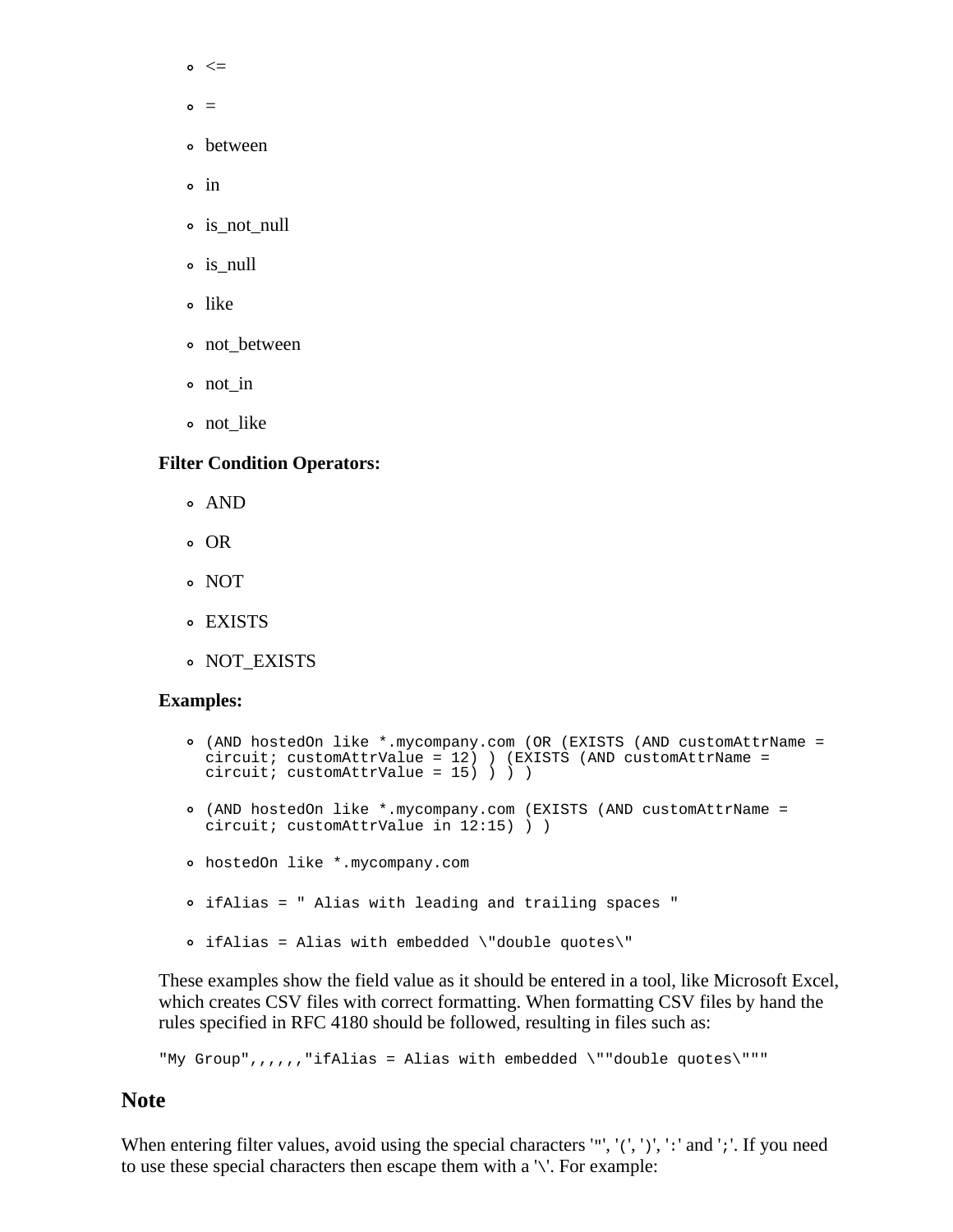- $\circ$   $\leq$
- $\circ$  =
- between
- $\circ$  in
- is\_not\_null
- is\_null
- like
- not between
- not\_in
- not\_like

#### **Filter Condition Operators:**

- AND
- o OR
- NOT
- EXISTS
- NOT\_EXISTS

#### **Examples:**

| • (AND hostedOn like *.mycompany.com (OR (EXISTS (AND customAttrName =<br>$circuit: customAttribute = 12)$ (EXISTS (AND customAttrName =<br>circuit; customAttrValue = $15)$ ) ) ) |
|------------------------------------------------------------------------------------------------------------------------------------------------------------------------------------|
| • (AND hostedOn like *.mycompany.com (EXISTS (AND customAttrName =<br>circuit; customAttrValue in $12:15)$ ) )                                                                     |
| o hosted On like *. mycompany.com                                                                                                                                                  |
| • ifAlias = " Alias with leading and trailing spaces "                                                                                                                             |
| $\circ$ ifAlias = Alias with embedded \"double quotes\"                                                                                                                            |

These examples show the field value as it should be entered in a tool, like Microsoft Excel, which creates CSV files with correct formatting. When formatting CSV files by hand the rules specified in RFC 4180 should be followed, resulting in files such as:

"My Group",,,,,,"ifAlias = Alias with embedded \""double quotes\"""

#### **Note**

When entering filter values, avoid using the special characters '"', '(', ')', ':' and ';'. If you need to use these special characters then escape them with a '\'. For example: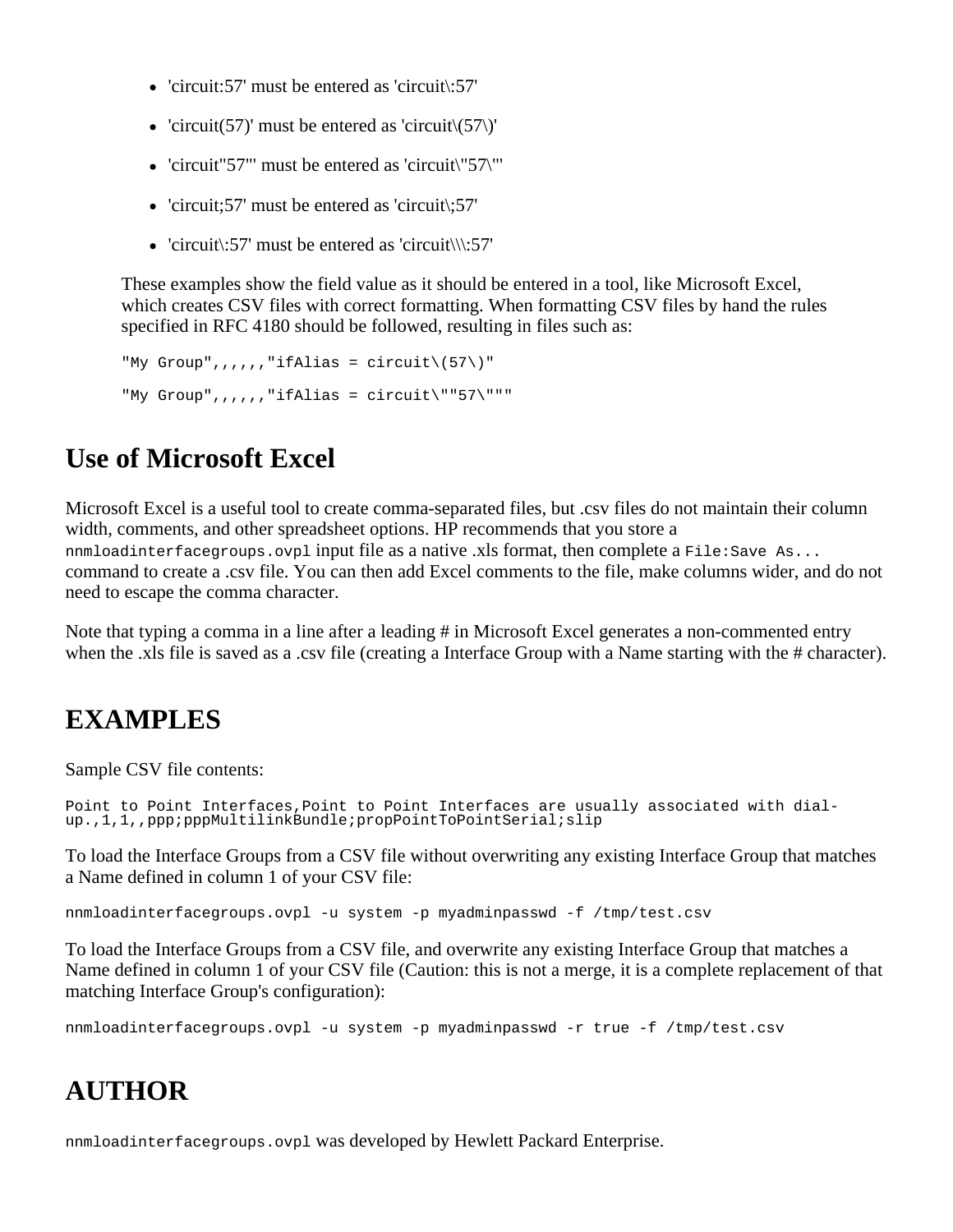- 'circuit:57' must be entered as 'circuit\:57'
- 'circuit(57)' must be entered as 'circuit $(57)$ '
- 'circuit"57"' must be entered as 'circuit\"57\"'
- 'circuit;57' must be entered as 'circuit\;57'
- 'circuit $\therefore$  57' must be entered as 'circuit $\langle \cdot \rangle$ :57'

These examples show the field value as it should be entered in a tool, like Microsoft Excel, which creates CSV files with correct formatting. When formatting CSV files by hand the rules specified in RFC 4180 should be followed, resulting in files such as:

```
"My Group",,,,,,"ifAlias = circuit\(57\)"
"My Group",,,,,,"ifAlias = circuit\""57\"""
```
# **Use of Microsoft Excel**

Microsoft Excel is a useful tool to create comma-separated files, but .csv files do not maintain their column width, comments, and other spreadsheet options. HP recommends that you store a nnmloadinterfacegroups.ovpl input file as a native .xls format, then complete a File:Save As... command to create a .csv file. You can then add Excel comments to the file, make columns wider, and do not need to escape the comma character.

Note that typing a comma in a line after a leading # in Microsoft Excel generates a non-commented entry when the .xls file is saved as a .csv file (creating a Interface Group with a Name starting with the # character).

# **EXAMPLES**

Sample CSV file contents:

```
Point to Point Interfaces,Point to Point Interfaces are usually associated with dial-
up.,1,1,,ppp;pppMultilinkBundle;propPointToPointSerial;slip
```
To load the Interface Groups from a CSV file without overwriting any existing Interface Group that matches a Name defined in column 1 of your CSV file:

nnmloadinterfacegroups.ovpl -u system -p myadminpasswd -f /tmp/test.csv

To load the Interface Groups from a CSV file, and overwrite any existing Interface Group that matches a Name defined in column 1 of your CSV file (Caution: this is not a merge, it is a complete replacement of that matching Interface Group's configuration):

nnmloadinterfacegroups.ovpl -u system -p myadminpasswd -r true -f /tmp/test.csv

# **AUTHOR**

nnmloadinterfacegroups.ovpl was developed by Hewlett Packard Enterprise.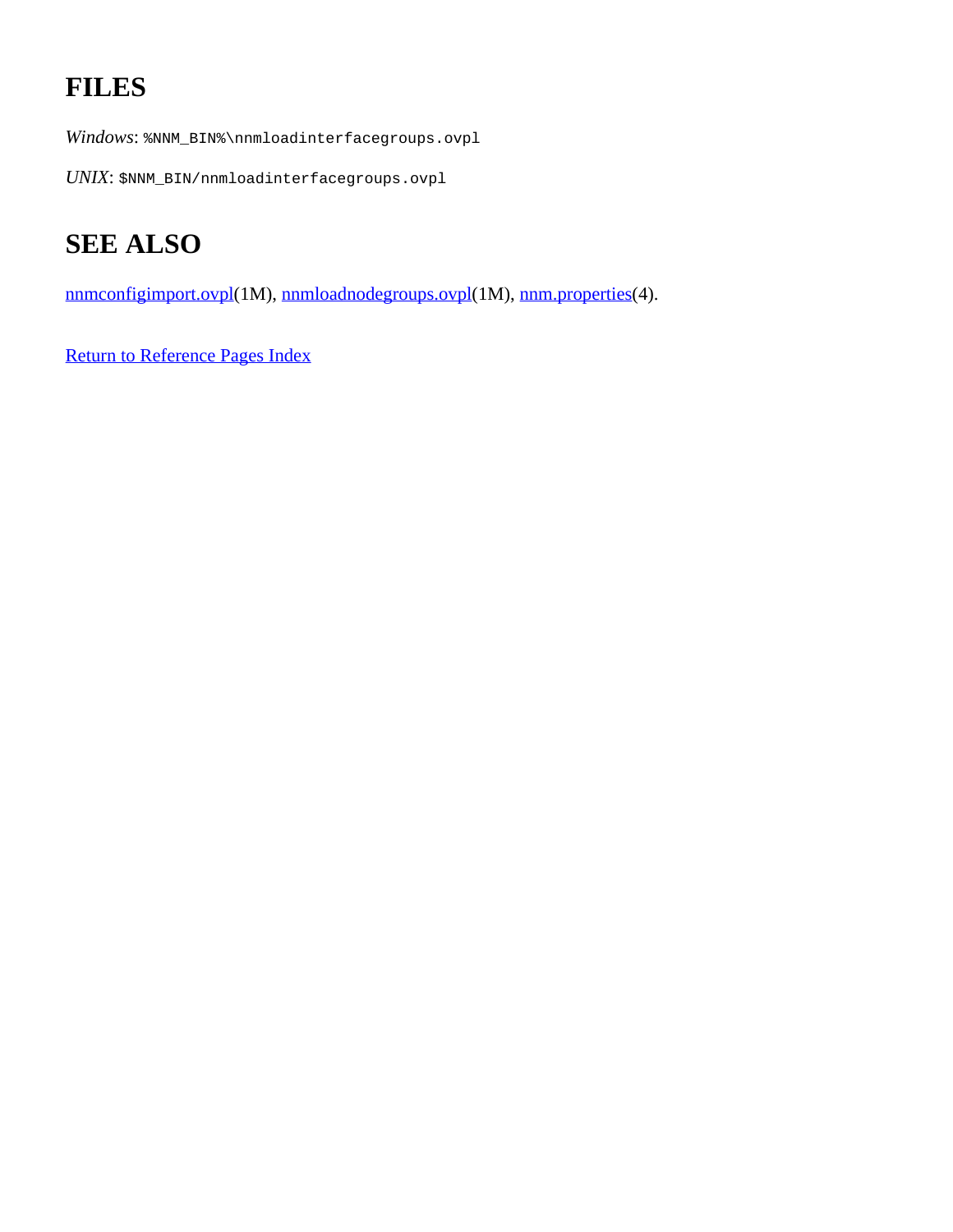# **FILES**

*Windows*: %NNM\_BIN%\nnmloadinterfacegroups.ovpl

*UNIX*: \$NNM\_BIN/nnmloadinterfacegroups.ovpl

# **SEE ALSO**

[nnmconfigimport.ovpl](#page-73-0)(1M), [nnmloadnodegroups.ovpl](#page-154-0)(1M), [nnm.properties](#page-212-0)(4).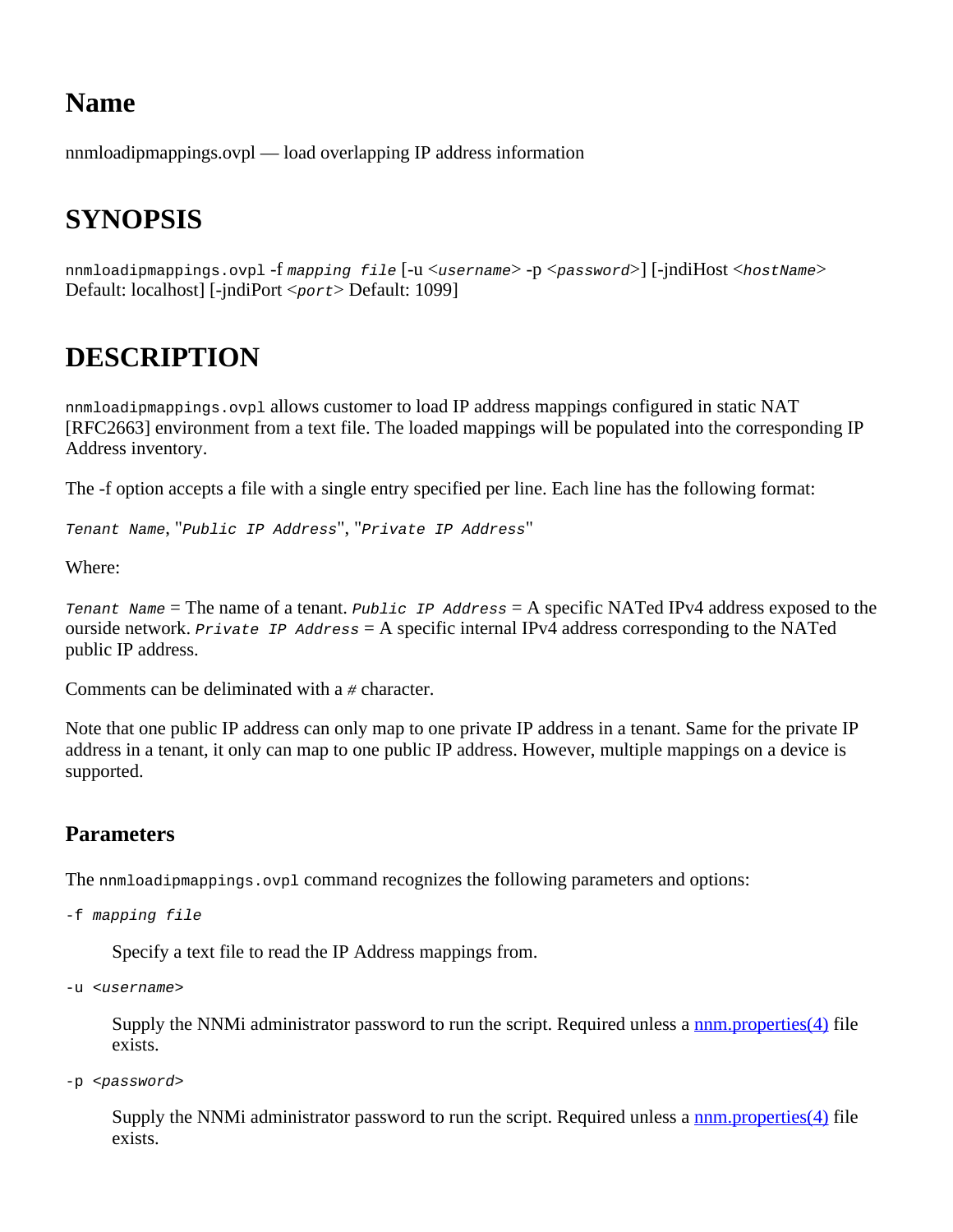nnmloadipmappings.ovpl — load overlapping IP address information

# **SYNOPSIS**

nnmloadipmappings.ovpl -f *mapping file* [-u <*username*> -p <*password*>] [-jndiHost <*hostName*> Default: localhost] [-jndiPort <*port*> Default: 1099]

# **DESCRIPTION**

nnmloadipmappings.ovpl allows customer to load IP address mappings configured in static NAT [RFC2663] environment from a text file. The loaded mappings will be populated into the corresponding IP Address inventory.

The -f option accepts a file with a single entry specified per line. Each line has the following format:

*Tenant Name*, "*Public IP Address*", "*Private IP Address*"

Where:

*Tenant Name* = The name of a tenant. *Public IP Address* = A specific NATed IPv4 address exposed to the ourside network. *Private IP Address* = A specific internal IPv4 address corresponding to the NATed public IP address.

Comments can be deliminated with a *#* character.

Note that one public IP address can only map to one private IP address in a tenant. Same for the private IP address in a tenant, it only can map to one public IP address. However, multiple mappings on a device is supported.

#### **Parameters**

The nnmloadipmappings.ovpl command recognizes the following parameters and options:

-f *mapping file*

Specify a text file to read the IP Address mappings from.

-u <*username*>

Supply the NNMi administrator password to run the script. Required unless a [nnm.properties\(4\)](#page-212-0) file exists.

-p <*password*>

Supply the NNMi administrator password to run the script. Required unless a  $\frac{nnm}{properties(4)}$  file exists.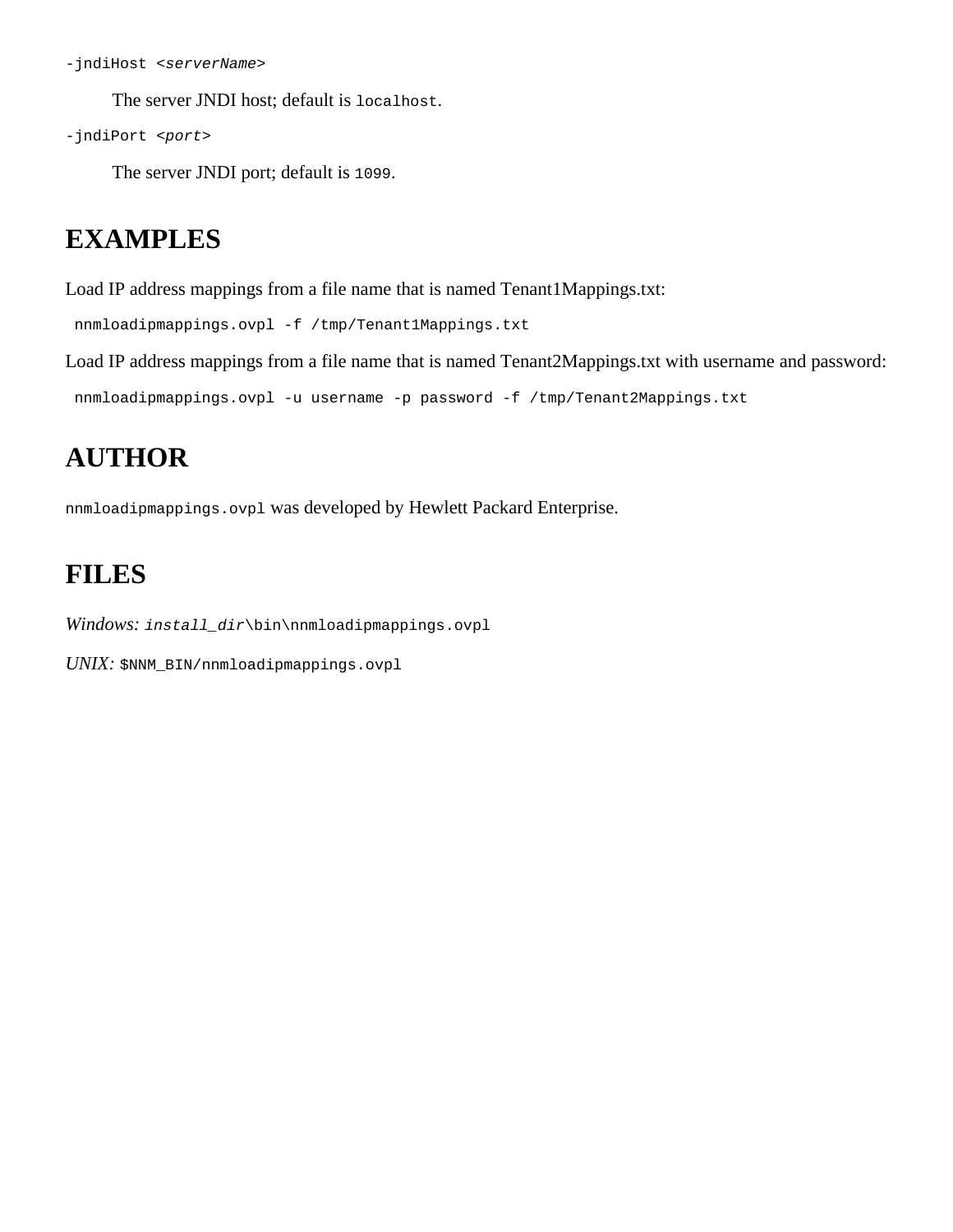-jndiHost <*serverName*>

The server JNDI host; default is localhost.

-jndiPort <*port*>

The server JNDI port; default is 1099.

### **EXAMPLES**

Load IP address mappings from a file name that is named Tenant1Mappings.txt:

nnmloadipmappings.ovpl -f /tmp/Tenant1Mappings.txt

Load IP address mappings from a file name that is named Tenant2Mappings.txt with username and password:

nnmloadipmappings.ovpl -u username -p password -f /tmp/Tenant2Mappings.txt

# **AUTHOR**

nnmloadipmappings.ovpl was developed by Hewlett Packard Enterprise.

### **FILES**

*Windows: install\_dir*\bin\nnmloadipmappings.ovpl

*UNIX:* \$NNM\_BIN/nnmloadipmappings.ovpl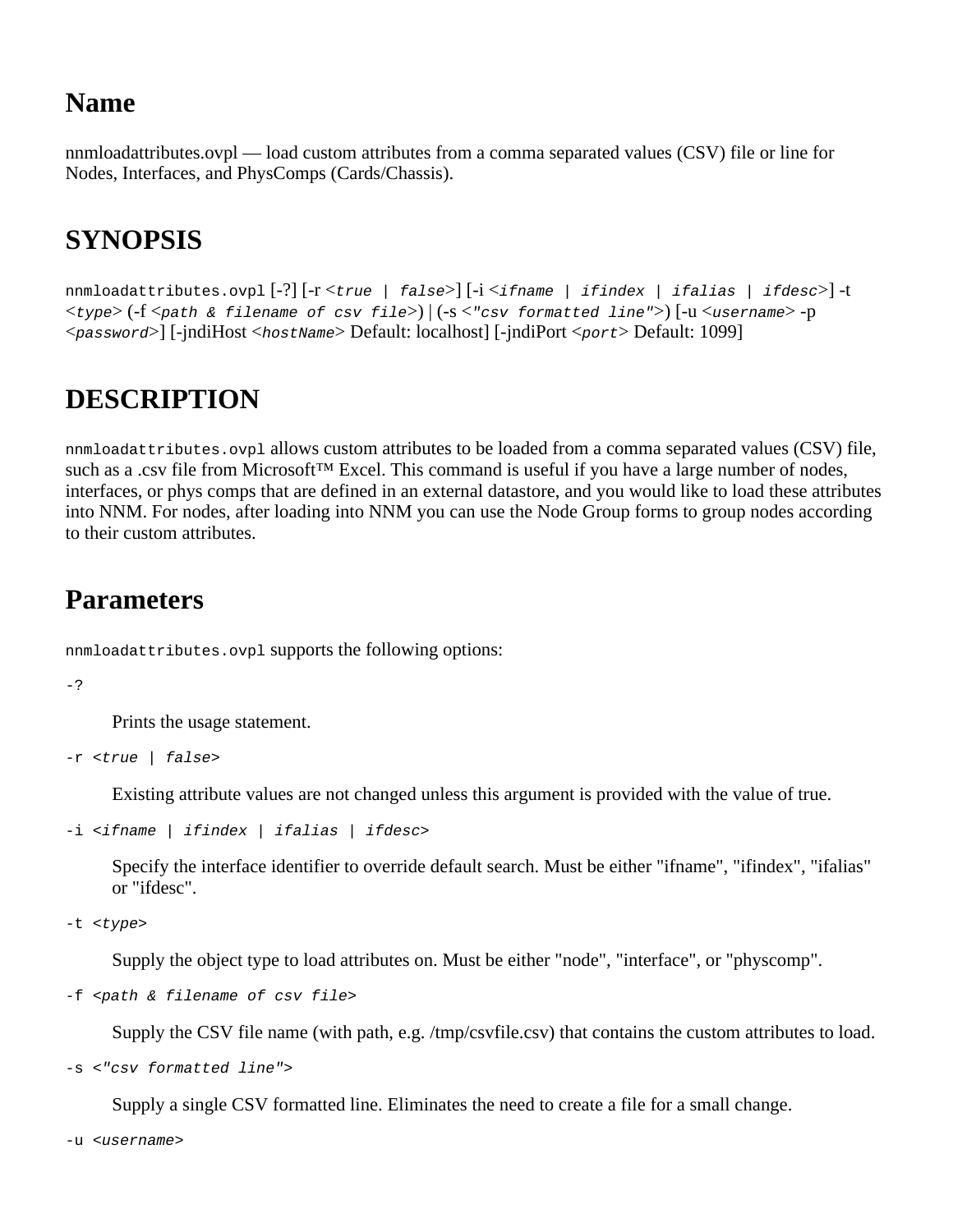nnmloadattributes.ovpl — load custom attributes from a comma separated values (CSV) file or line for Nodes, Interfaces, and PhysComps (Cards/Chassis).

# **SYNOPSIS**

nnmloadattributes.ovpl [-?] [-r <*true | false*>] [-i <*ifname | ifindex | ifalias | ifdesc*>] -t <*type*> (-f <*path & filename of csv file*>) | (-s <*"csv formatted line"*>) [-u <*username*> -p <*password*>] [-jndiHost <*hostName*> Default: localhost] [-jndiPort <*port*> Default: 1099]

# **DESCRIPTION**

nnmloadattributes.ovpl allows custom attributes to be loaded from a comma separated values (CSV) file, such as a .csv file from Microsoft<sup>™</sup> Excel. This command is useful if you have a large number of nodes, interfaces, or phys comps that are defined in an external datastore, and you would like to load these attributes into NNM. For nodes, after loading into NNM you can use the Node Group forms to group nodes according to their custom attributes.

### **Parameters**

nnmloadattributes.ovpl supports the following options:

-?

Prints the usage statement.

-r <*true | false*>

Existing attribute values are not changed unless this argument is provided with the value of true.

-i <*ifname | ifindex | ifalias | ifdesc*>

Specify the interface identifier to override default search. Must be either "ifname", "ifindex", "ifalias" or "ifdesc".

```
-t <type>
```
Supply the object type to load attributes on. Must be either "node", "interface", or "physcomp".

-f <*path & filename of csv file*>

Supply the CSV file name (with path, e.g. /tmp/csvfile.csv) that contains the custom attributes to load.

-s <*"csv formatted line"*>

Supply a single CSV formatted line. Eliminates the need to create a file for a small change.

-u <*username*>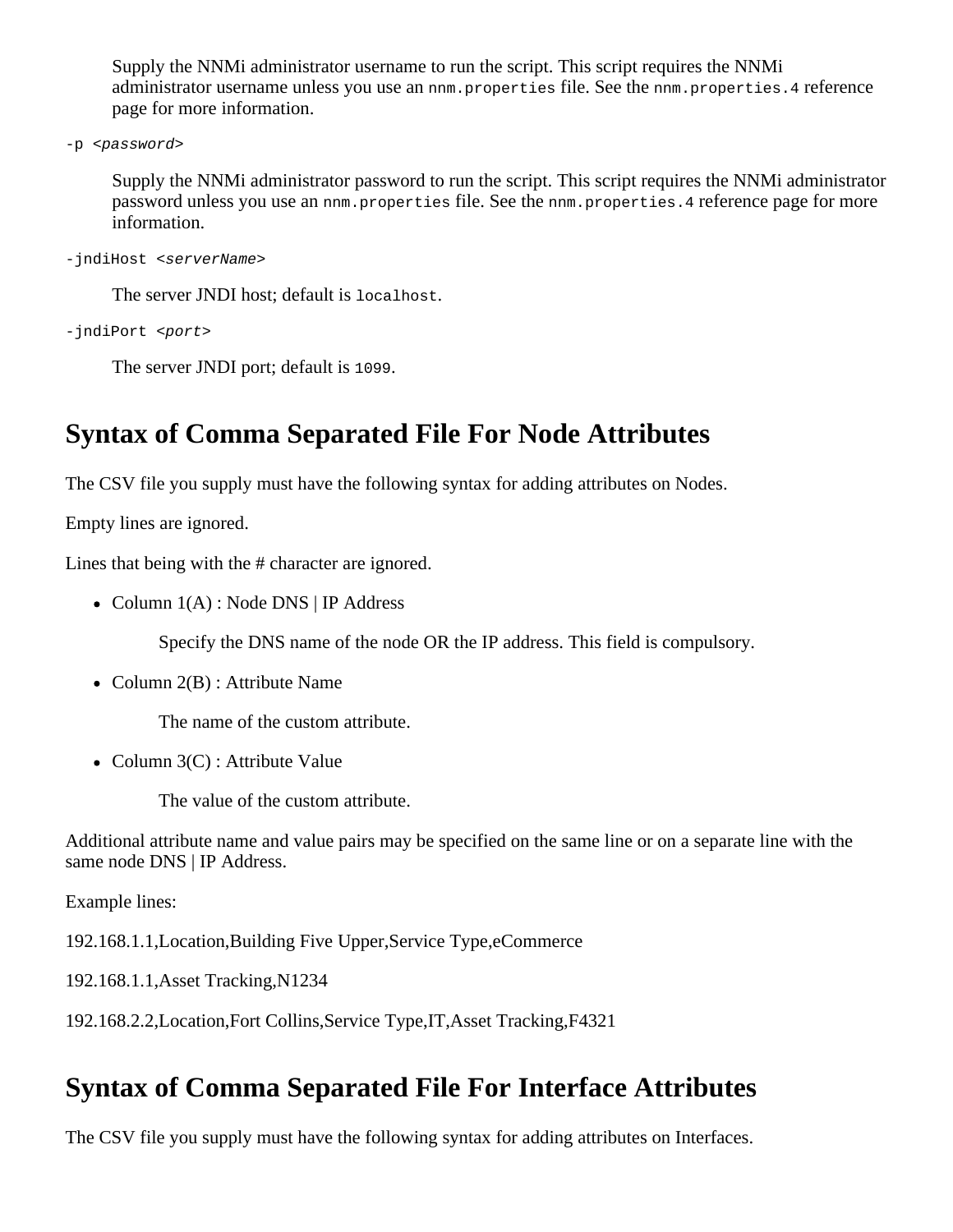Supply the NNMi administrator username to run the script. This script requires the NNMi administrator username unless you use an nnm.properties file. See the nnm.properties.4 reference page for more information.

```
-p <password>
```
Supply the NNMi administrator password to run the script. This script requires the NNMi administrator password unless you use an nnm.properties file. See the nnm.properties. 4 reference page for more information.

```
-jndiHost <serverName>
```
The server JNDI host; default is localhost.

```
-jndiPort <port>
```
The server JNDI port; default is 1099.

### **Syntax of Comma Separated File For Node Attributes**

The CSV file you supply must have the following syntax for adding attributes on Nodes.

Empty lines are ignored.

Lines that being with the # character are ignored.

• Column  $1(A)$ : Node DNS | IP Address

Specify the DNS name of the node OR the IP address. This field is compulsory.

• Column  $2(B)$ : Attribute Name

The name of the custom attribute.

• Column  $3(C)$ : Attribute Value

The value of the custom attribute.

Additional attribute name and value pairs may be specified on the same line or on a separate line with the same node DNS | IP Address.

Example lines:

192.168.1.1,Location,Building Five Upper,Service Type,eCommerce

192.168.1.1,Asset Tracking,N1234

192.168.2.2,Location,Fort Collins,Service Type,IT,Asset Tracking,F4321

# **Syntax of Comma Separated File For Interface Attributes**

The CSV file you supply must have the following syntax for adding attributes on Interfaces.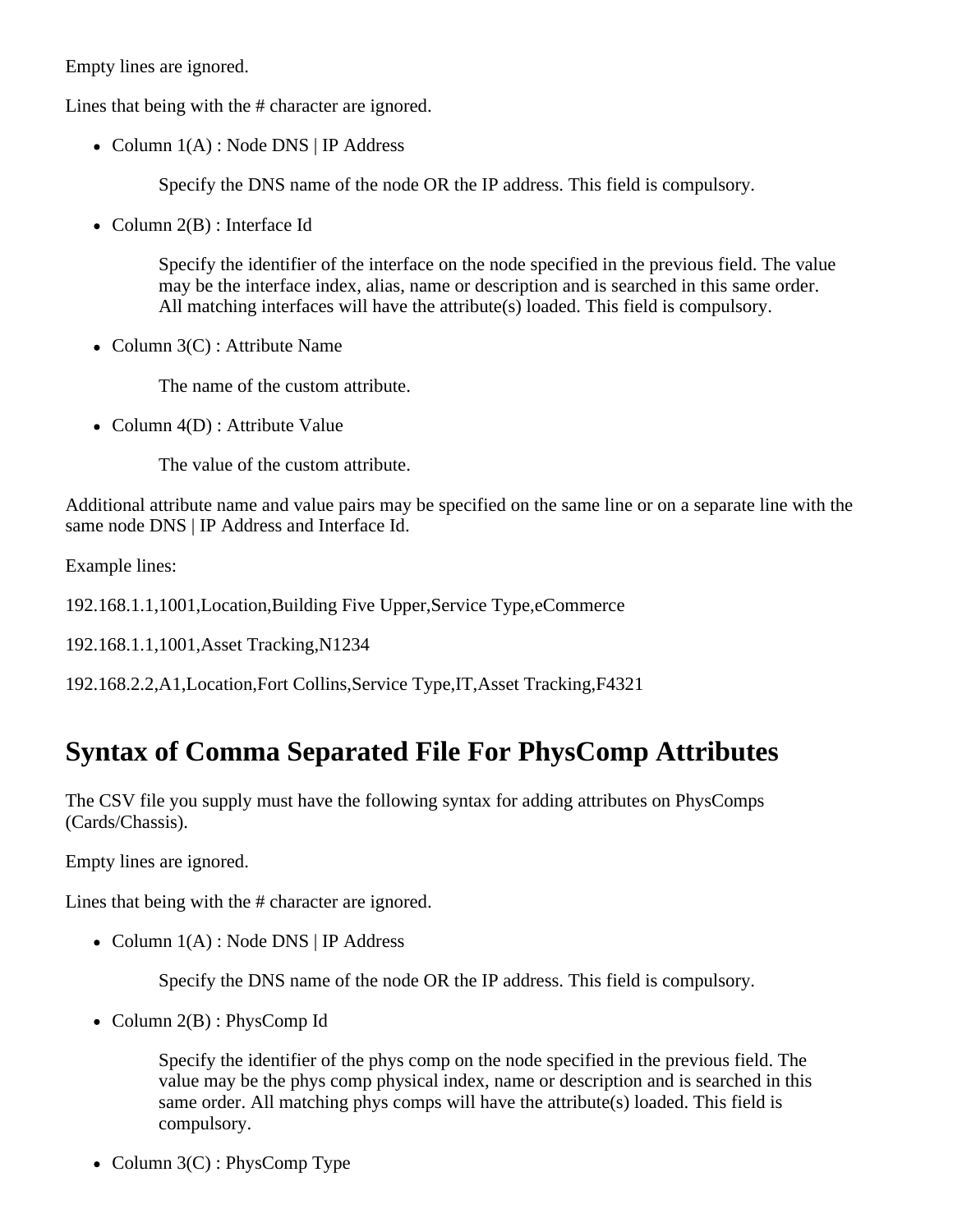Empty lines are ignored.

Lines that being with the # character are ignored.

• Column 1(A) : Node DNS | IP Address

Specify the DNS name of the node OR the IP address. This field is compulsory.

• Column 2(B) : Interface Id

Specify the identifier of the interface on the node specified in the previous field. The value may be the interface index, alias, name or description and is searched in this same order. All matching interfaces will have the attribute(s) loaded. This field is compulsory.

• Column  $3(C)$ : Attribute Name

The name of the custom attribute.

• Column  $4(D)$ : Attribute Value

The value of the custom attribute.

Additional attribute name and value pairs may be specified on the same line or on a separate line with the same node DNS | IP Address and Interface Id.

Example lines:

192.168.1.1,1001,Location,Building Five Upper,Service Type,eCommerce

192.168.1.1,1001,Asset Tracking,N1234

192.168.2.2,A1,Location,Fort Collins,Service Type,IT,Asset Tracking,F4321

## **Syntax of Comma Separated File For PhysComp Attributes**

The CSV file you supply must have the following syntax for adding attributes on PhysComps (Cards/Chassis).

Empty lines are ignored.

Lines that being with the # character are ignored.

• Column  $1(A)$ : Node DNS | IP Address

Specify the DNS name of the node OR the IP address. This field is compulsory.

• Column  $2(B)$ : PhysComp Id

Specify the identifier of the phys comp on the node specified in the previous field. The value may be the phys comp physical index, name or description and is searched in this same order. All matching phys comps will have the attribute(s) loaded. This field is compulsory.

• Column  $3(C)$ : PhysComp Type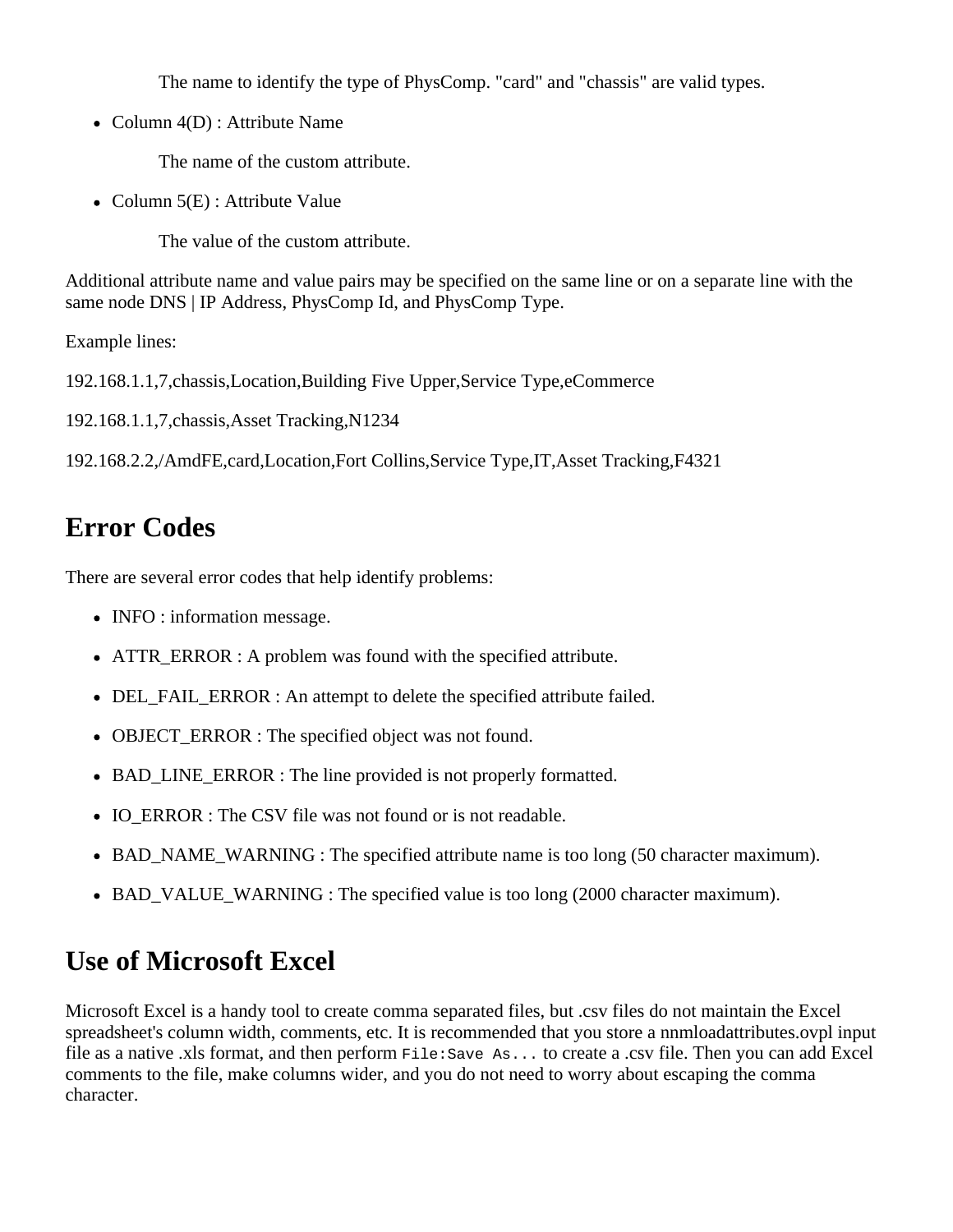The name to identify the type of PhysComp. "card" and "chassis" are valid types.

• Column 4(D) : Attribute Name

The name of the custom attribute.

• Column  $5(E)$ : Attribute Value

The value of the custom attribute.

Additional attribute name and value pairs may be specified on the same line or on a separate line with the same node DNS | IP Address, PhysComp Id, and PhysComp Type.

Example lines:

192.168.1.1,7,chassis,Location,Building Five Upper,Service Type,eCommerce

192.168.1.1,7,chassis,Asset Tracking,N1234

192.168.2.2,/AmdFE,card,Location,Fort Collins,Service Type,IT,Asset Tracking,F4321

#### **Error Codes**

There are several error codes that help identify problems:

- INFO : information message.
- ATTR\_ERROR : A problem was found with the specified attribute.
- DEL\_FAIL\_ERROR : An attempt to delete the specified attribute failed.
- OBJECT\_ERROR : The specified object was not found.
- BAD\_LINE\_ERROR : The line provided is not properly formatted.
- IO ERROR : The CSV file was not found or is not readable.
- BAD\_NAME\_WARNING : The specified attribute name is too long (50 character maximum).
- BAD\_VALUE\_WARNING : The specified value is too long (2000 character maximum).

#### **Use of Microsoft Excel**

Microsoft Excel is a handy tool to create comma separated files, but .csv files do not maintain the Excel spreadsheet's column width, comments, etc. It is recommended that you store a nnmloadattributes.ovpl input file as a native .xls format, and then perform File:Save As... to create a .csv file. Then you can add Excel comments to the file, make columns wider, and you do not need to worry about escaping the comma character.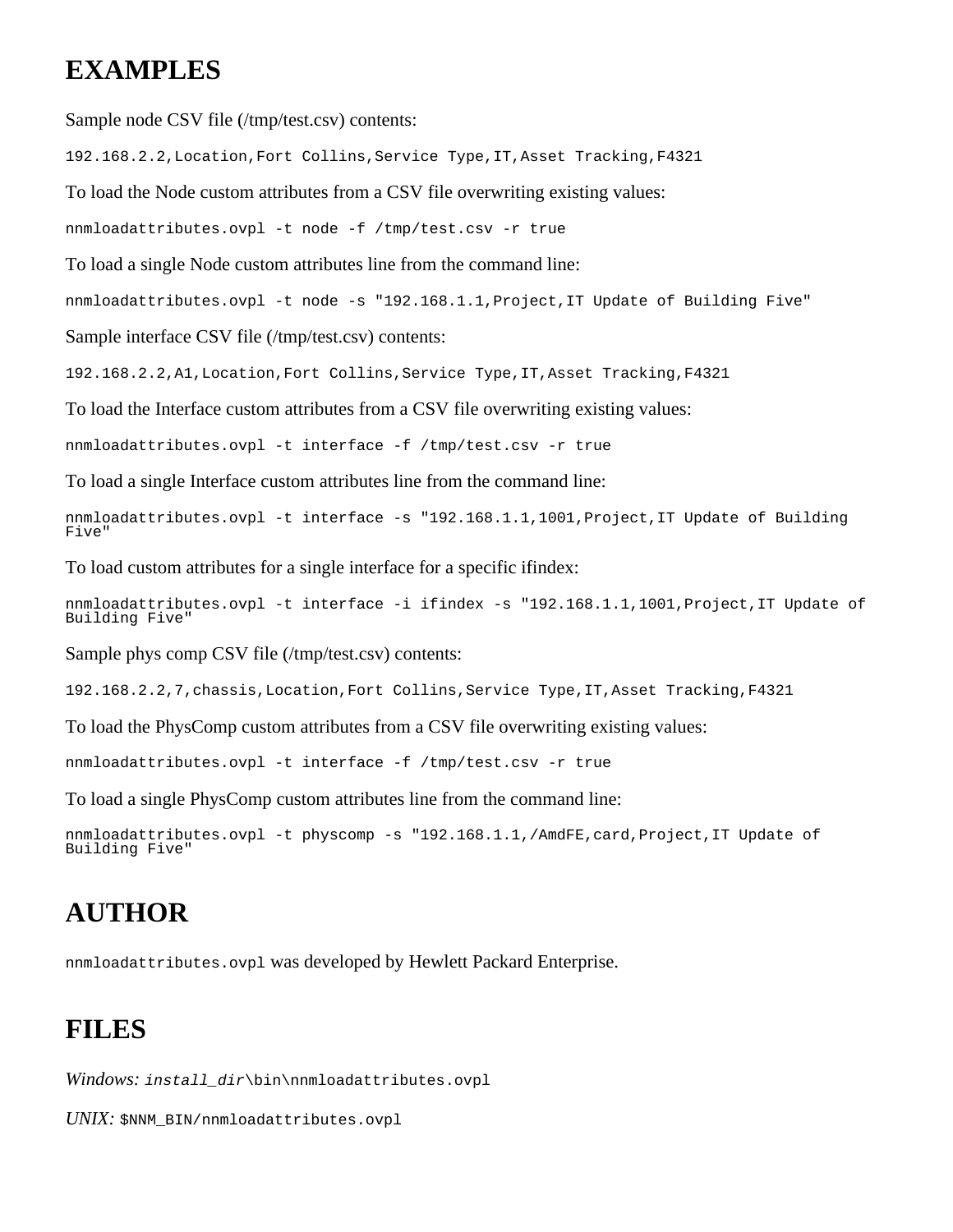#### **EXAMPLES**

Sample node CSV file (/tmp/test.csv) contents:

192.168.2.2,Location,Fort Collins,Service Type,IT,Asset Tracking,F4321

To load the Node custom attributes from a CSV file overwriting existing values:

nnmloadattributes.ovpl -t node -f /tmp/test.csv -r true

To load a single Node custom attributes line from the command line:

nnmloadattributes.ovpl -t node -s "192.168.1.1,Project,IT Update of Building Five"

Sample interface CSV file (/tmp/test.csv) contents:

192.168.2.2,A1,Location,Fort Collins,Service Type,IT,Asset Tracking,F4321

To load the Interface custom attributes from a CSV file overwriting existing values:

nnmloadattributes.ovpl -t interface -f /tmp/test.csv -r true

To load a single Interface custom attributes line from the command line:

nnmloadattributes.ovpl -t interface -s "192.168.1.1,1001,Project,IT Update of Building Five"

To load custom attributes for a single interface for a specific ifindex:

nnmloadattributes.ovpl -t interface -i ifindex -s "192.168.1.1,1001,Project,IT Update of Building Five"

Sample phys comp CSV file (/tmp/test.csv) contents:

192.168.2.2,7,chassis,Location,Fort Collins,Service Type,IT,Asset Tracking,F4321

To load the PhysComp custom attributes from a CSV file overwriting existing values:

nnmloadattributes.ovpl -t interface -f /tmp/test.csv -r true

To load a single PhysComp custom attributes line from the command line:

```
nnmloadattributes.ovpl -t physcomp -s "192.168.1.1,/AmdFE,card,Project,IT Update of
Building Five"
```
#### **AUTHOR**

nnmloadattributes.ovpl was developed by Hewlett Packard Enterprise.

#### **FILES**

*Windows: install\_dir*\bin\nnmloadattributes.ovpl

*UNIX:* \$NNM\_BIN/nnmloadattributes.ovpl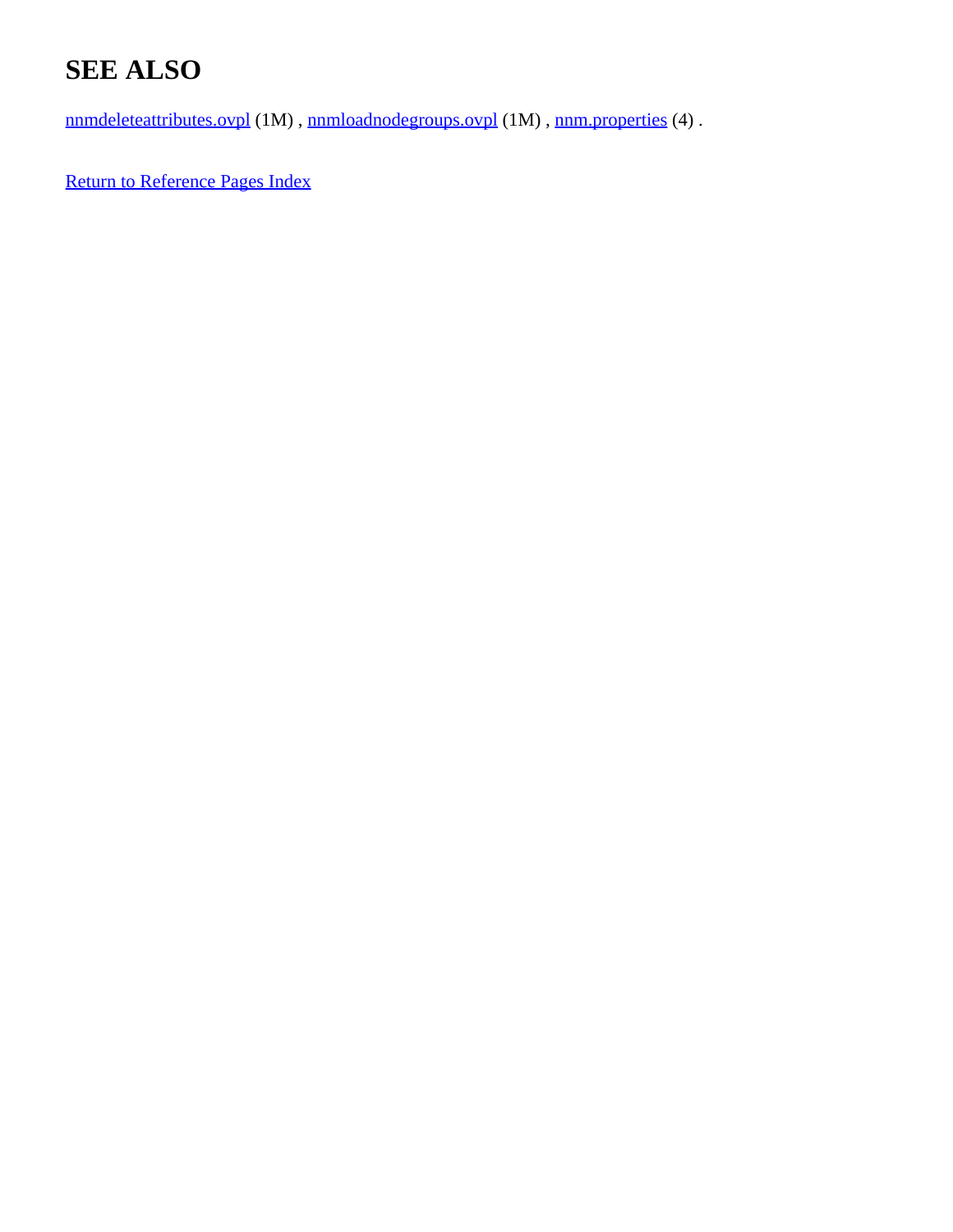# **SEE ALSO**

[nnmdeleteattributes.ovpl](#page-97-0) (1M), [nnmloadnodegroups.ovpl](#page-154-0) (1M), [nnm.properties](#page-212-0) (4).

[Return to Reference Pages Index](#page-2-0)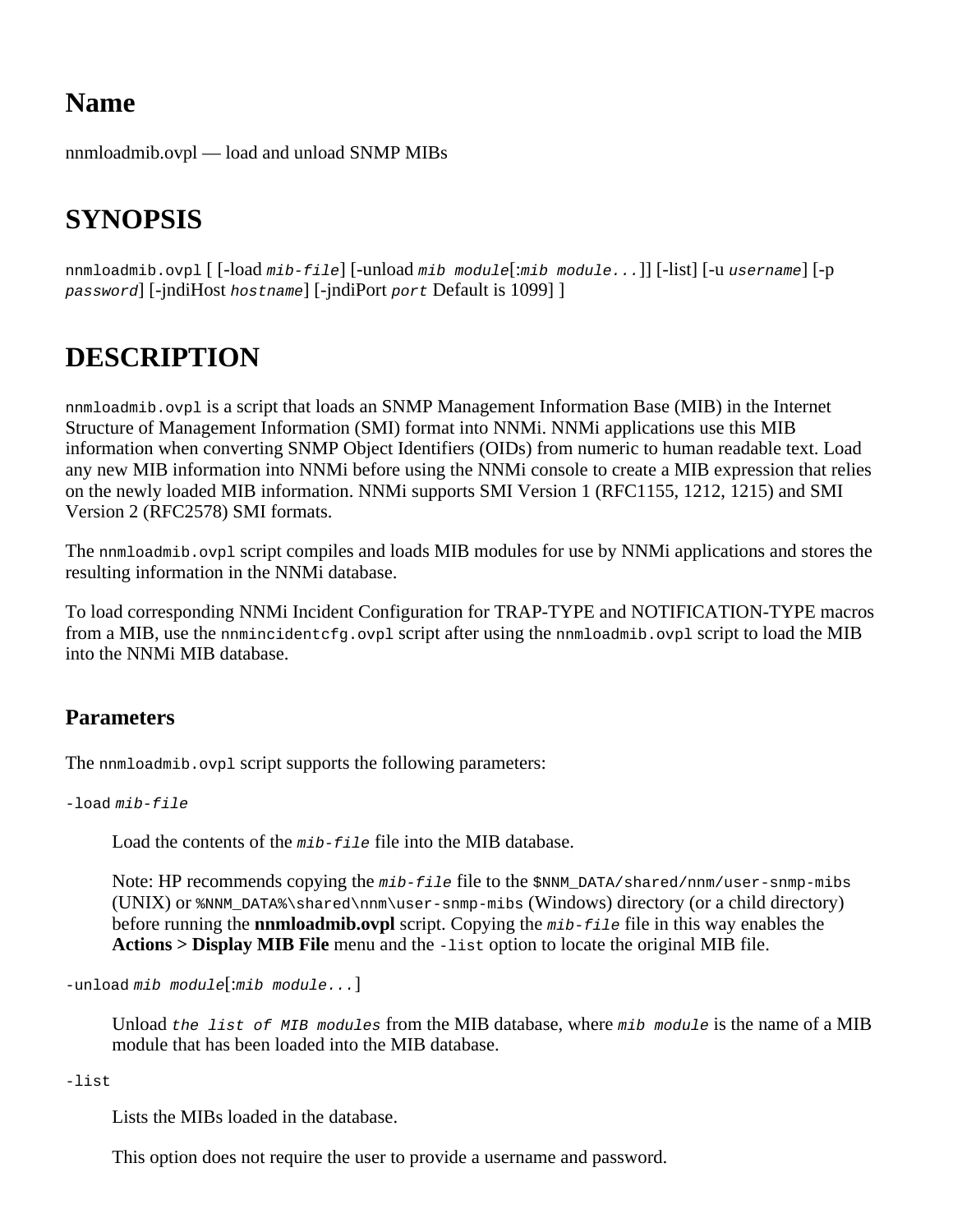## **Name**

nnmloadmib.ovpl — load and unload SNMP MIBs

## **SYNOPSIS**

nnmloadmib.ovpl [ [-load *mib-file*] [-unload *mib module*[:*mib module...*]] [-list] [-u *username*] [-p *password*] [-jndiHost *hostname*] [-jndiPort *port* Default is 1099] ]

# **DESCRIPTION**

nnmloadmib.ovpl is a script that loads an SNMP Management Information Base (MIB) in the Internet Structure of Management Information (SMI) format into NNMi. NNMi applications use this MIB information when converting SNMP Object Identifiers (OIDs) from numeric to human readable text. Load any new MIB information into NNMi before using the NNMi console to create a MIB expression that relies on the newly loaded MIB information. NNMi supports SMI Version 1 (RFC1155, 1212, 1215) and SMI Version 2 (RFC2578) SMI formats.

The nnmloadmib.ovpl script compiles and loads MIB modules for use by NNMi applications and stores the resulting information in the NNMi database.

To load corresponding NNMi Incident Configuration for TRAP-TYPE and NOTIFICATION-TYPE macros from a MIB, use the nnmincident cfg.ovpl script after using the nnmloadmib.ovpl script to load the MIB into the NNMi MIB database.

#### **Parameters**

The nnmloadmib.ovpl script supports the following parameters:

-load *mib-file*

Load the contents of the *mib-file* file into the MIB database.

Note: HP recommends copying the  $mib$ -*file* file to the \$NNM\_DATA/shared/nnm/user-snmp-mibs (UNIX) or  $\text{DATA} \s \sim -s nmp-mibs$  (Windows) directory (or a child directory) before running the **nnmloadmib.ovpl** script. Copying the *mib-file* file in this way enables the **Actions > Display MIB File** menu and the -list option to locate the original MIB file.

-unload *mib module*[:*mib module...*]

Unload *the list of MIB modules* from the MIB database, where *mib module* is the name of a MIB module that has been loaded into the MIB database.

#### -list

Lists the MIBs loaded in the database.

This option does not require the user to provide a username and password.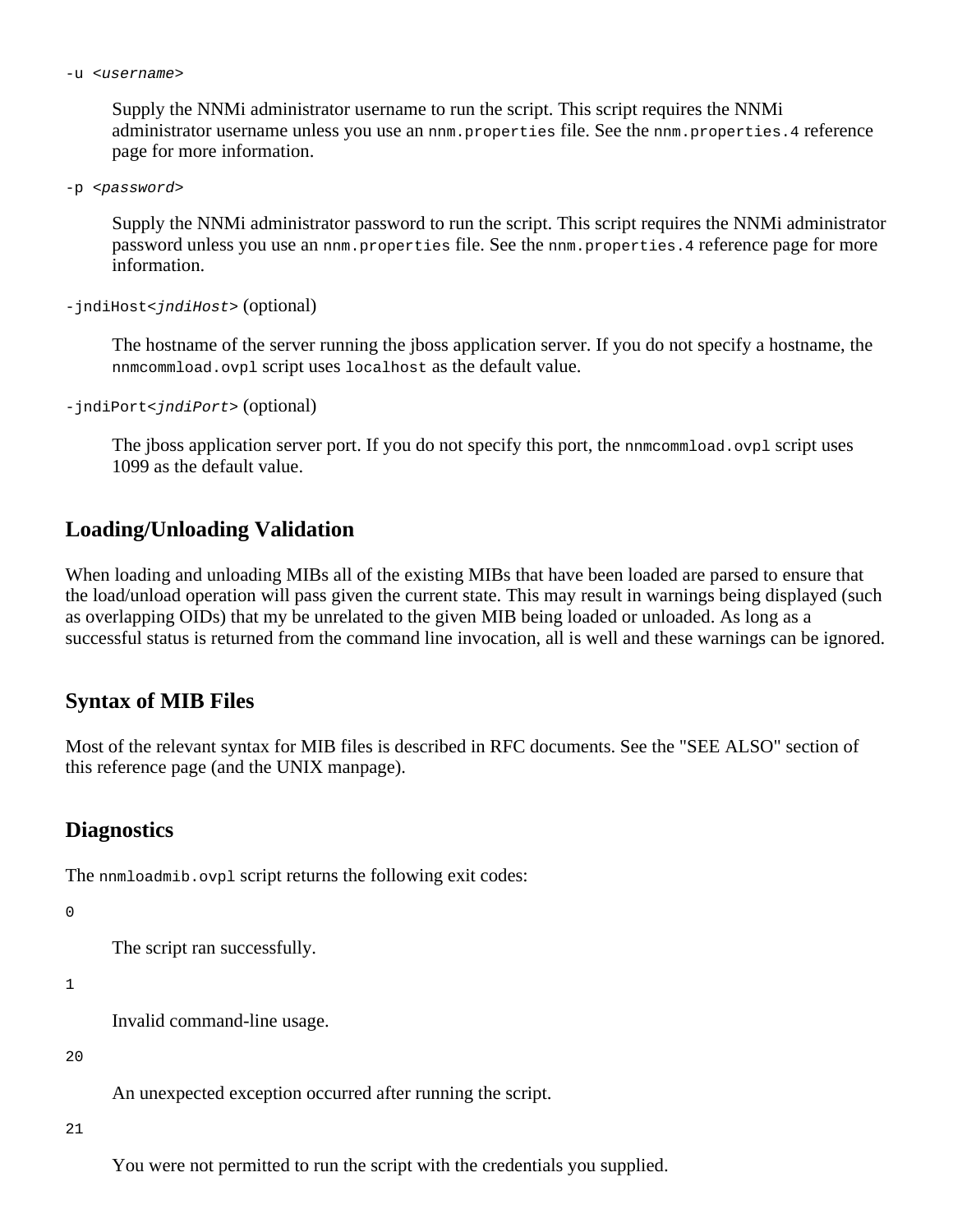Supply the NNMi administrator username to run the script. This script requires the NNMi administrator username unless you use an nnm.properties file. See the nnm.properties. 4 reference page for more information.

-p <*password*>

Supply the NNMi administrator password to run the script. This script requires the NNMi administrator password unless you use an nnm.properties file. See the nnm.properties. 4 reference page for more information.

```
-jndiHost<jndiHost> (optional)
```
The hostname of the server running the jboss application server. If you do not specify a hostname, the nnmcommload.ovpl script uses localhost as the default value.

```
-jndiPort<jndiPort> (optional)
```
The jboss application server port. If you do not specify this port, the nnmcommload.ovpl script uses 1099 as the default value.

#### **Loading/Unloading Validation**

When loading and unloading MIBs all of the existing MIBs that have been loaded are parsed to ensure that the load/unload operation will pass given the current state. This may result in warnings being displayed (such as overlapping OIDs) that my be unrelated to the given MIB being loaded or unloaded. As long as a successful status is returned from the command line invocation, all is well and these warnings can be ignored.

#### **Syntax of MIB Files**

Most of the relevant syntax for MIB files is described in RFC documents. See the "SEE ALSO" section of this reference page (and the UNIX manpage).

#### **Diagnostics**

The nnmloadmib.ovpl script returns the following exit codes:

```
\Omega
```
The script ran successfully.

#### 1

Invalid command-line usage.

 $20$ 

An unexpected exception occurred after running the script.

#### 21

You were not permitted to run the script with the credentials you supplied.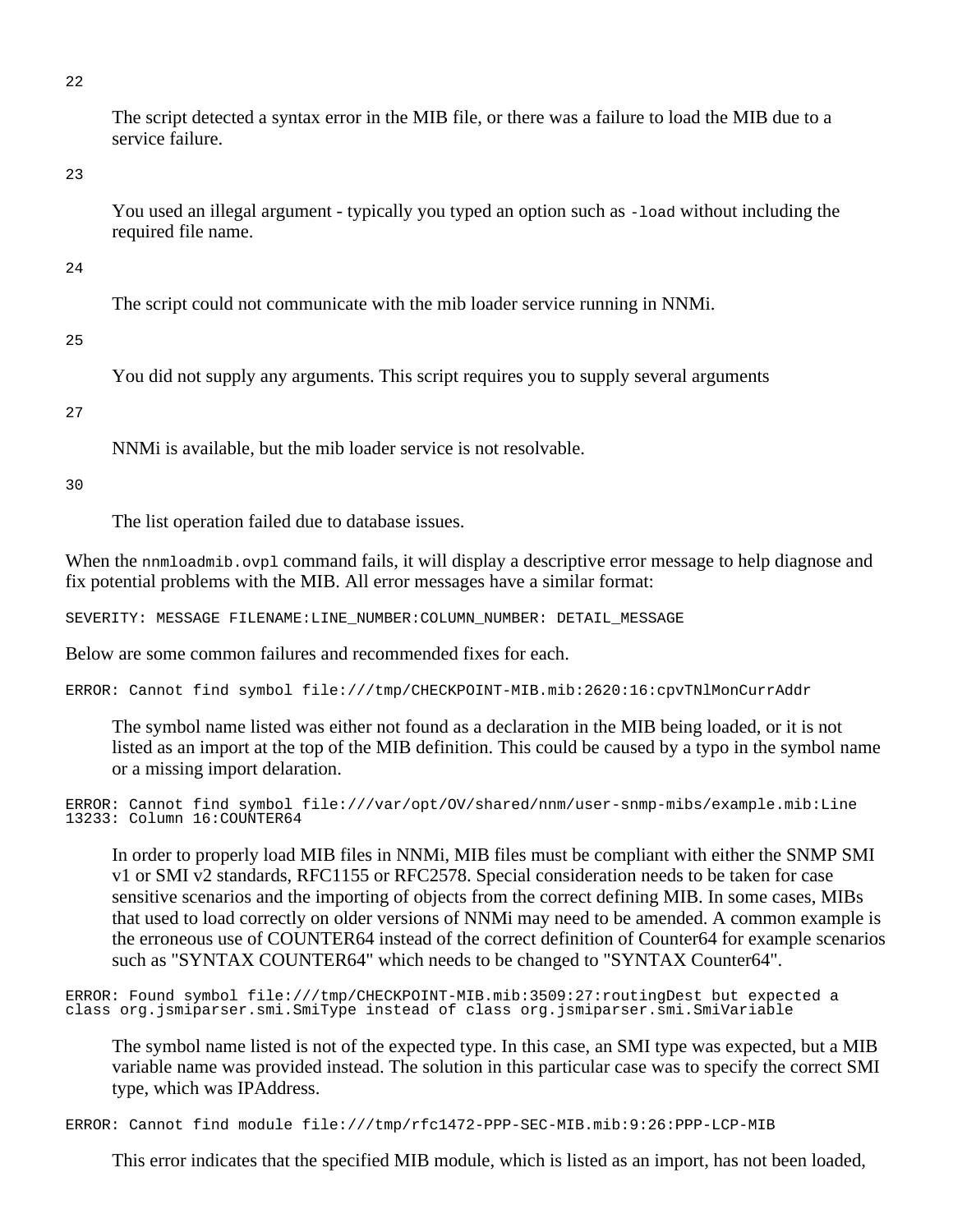22

The script detected a syntax error in the MIB file, or there was a failure to load the MIB due to a service failure.

 $23$ 

You used an illegal argument - typically you typed an option such as -load without including the required file name.

24

The script could not communicate with the mib loader service running in NNMi.

25

You did not supply any arguments. This script requires you to supply several arguments

27

NNMi is available, but the mib loader service is not resolvable.

30

The list operation failed due to database issues.

When the nnmloadmib.ovpl command fails, it will display a descriptive error message to help diagnose and fix potential problems with the MIB. All error messages have a similar format:

SEVERITY: MESSAGE FILENAME:LINE\_NUMBER:COLUMN\_NUMBER: DETAIL\_MESSAGE

Below are some common failures and recommended fixes for each.

ERROR: Cannot find symbol file:///tmp/CHECKPOINT-MIB.mib:2620:16:cpvTNlMonCurrAddr

The symbol name listed was either not found as a declaration in the MIB being loaded, or it is not listed as an import at the top of the MIB definition. This could be caused by a typo in the symbol name or a missing import delaration.

ERROR: Cannot find symbol file:///var/opt/OV/shared/nnm/user-snmp-mibs/example.mib:Line 13233: Column 16:COUNTER64

In order to properly load MIB files in NNMi, MIB files must be compliant with either the SNMP SMI v1 or SMI v2 standards, RFC1155 or RFC2578. Special consideration needs to be taken for case sensitive scenarios and the importing of objects from the correct defining MIB. In some cases, MIBs that used to load correctly on older versions of NNMi may need to be amended. A common example is the erroneous use of COUNTER64 instead of the correct definition of Counter64 for example scenarios such as "SYNTAX COUNTER64" which needs to be changed to "SYNTAX Counter64".

ERROR: Found symbol file:///tmp/CHECKPOINT-MIB.mib:3509:27:routingDest but expected a class org.jsmiparser.smi.SmiType instead of class org.jsmiparser.smi.SmiVariable

The symbol name listed is not of the expected type. In this case, an SMI type was expected, but a MIB variable name was provided instead. The solution in this particular case was to specify the correct SMI type, which was IPAddress.

ERROR: Cannot find module file:///tmp/rfc1472-PPP-SEC-MIB.mib:9:26:PPP-LCP-MIB

This error indicates that the specified MIB module, which is listed as an import, has not been loaded,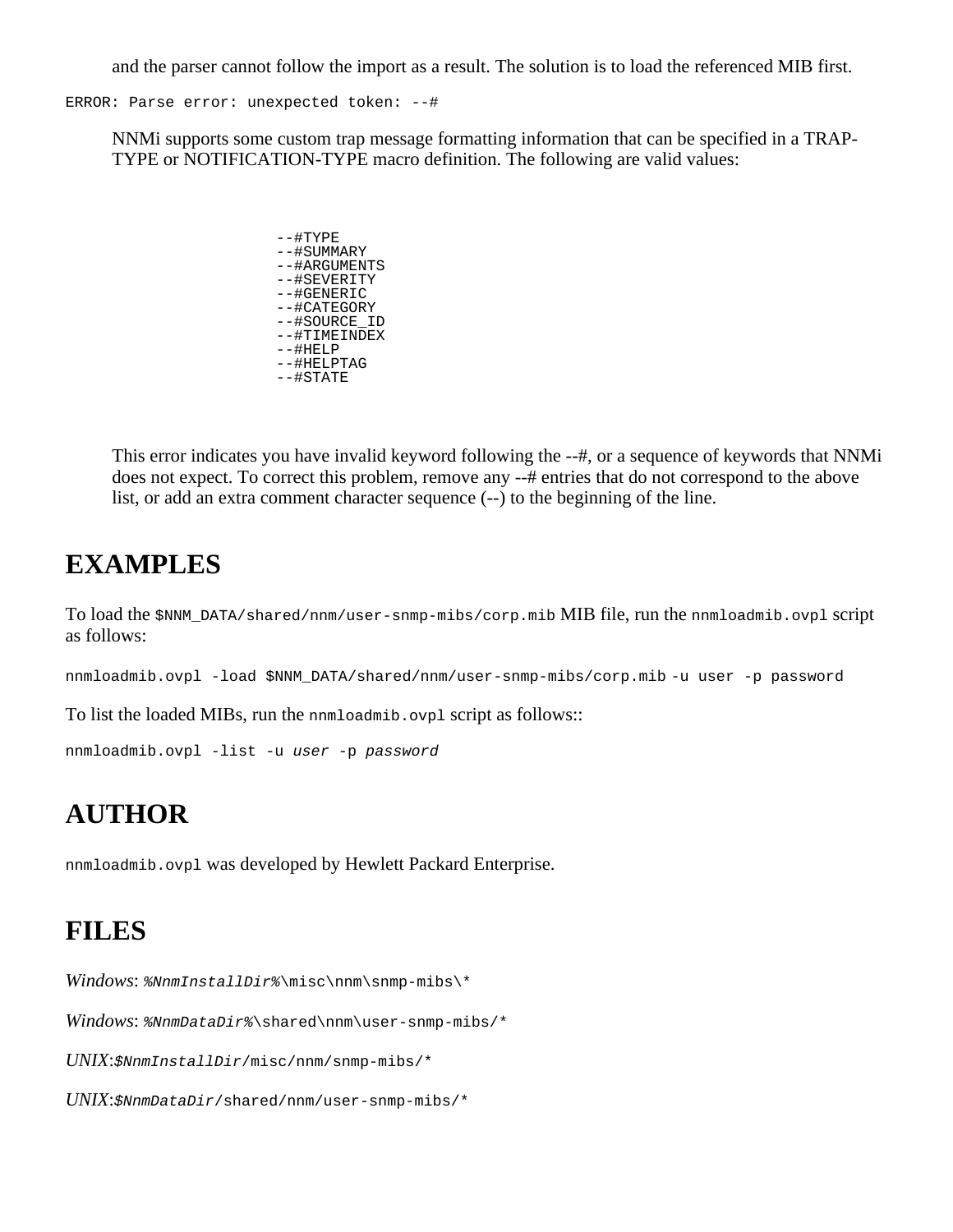and the parser cannot follow the import as a result. The solution is to load the referenced MIB first.

ERROR: Parse error: unexpected token: --#

NNMi supports some custom trap message formatting information that can be specified in a TRAP-TYPE or NOTIFICATION-TYPE macro definition. The following are valid values:

> $--#TYPE$  --#SUMMARY --#ARGUMENTS --#SEVERITY --#GENERIC --#CATEGORY --#SOURCE\_ID --#TIMEINDEX  $--#HELP$  --#HELPTAG  $--$ #STATE

This error indicates you have invalid keyword following the --#, or a sequence of keywords that NNMi does not expect. To correct this problem, remove any --# entries that do not correspond to the above list, or add an extra comment character sequence (--) to the beginning of the line.

#### **EXAMPLES**

To load the \$NNM\_DATA/shared/nnm/user-snmp-mibs/corp.mib MIB file, run the nnmloadmib.ovpl script as follows:

nnmloadmib.ovpl -load \$NNM\_DATA/shared/nnm/user-snmp-mibs/corp.mib -u user -p password

To list the loaded MIBs, run the nnmloadmib.ovpl script as follows::

nnmloadmib.ovpl -list -u *user* -p *password*

#### **AUTHOR**

nnmloadmib.ovpl was developed by Hewlett Packard Enterprise.

#### **FILES**

*Windows*: *%NnmInstallDir%*\misc\nnm\snmp-mibs\\*

*Windows*: *%NnmDataDir%*\shared\nnm\user-snmp-mibs/\*

*UNIX*:*\$NnmInstallDir*/misc/nnm/snmp-mibs/\*

```
UNIX:$NnmDataDir/shared/nnm/user-snmp-mibs/*
```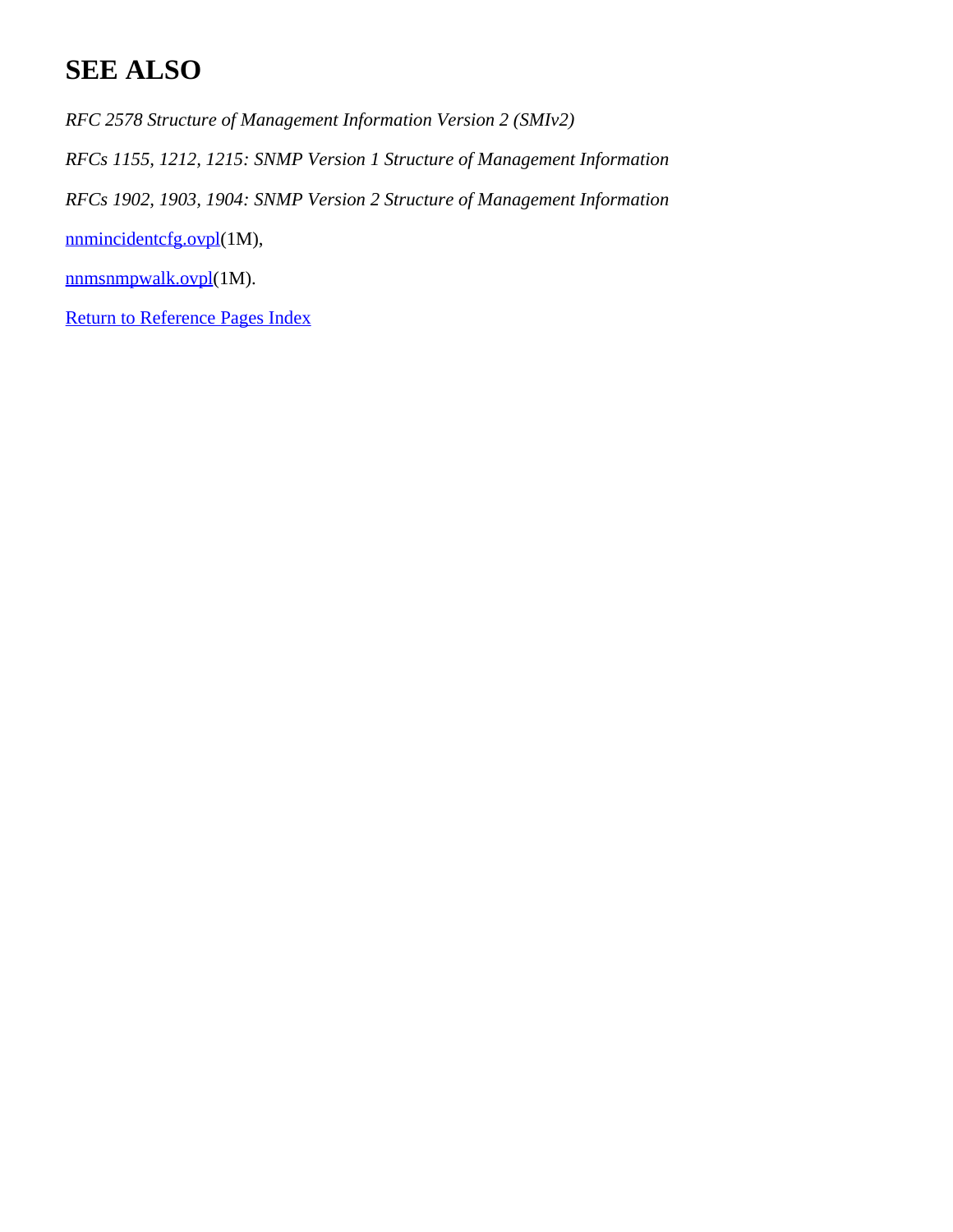## **SEE ALSO**

*RFC 2578 Structure of Management Information Version 2 (SMIv2)*

*RFCs 1155, 1212, 1215: SNMP Version 1 Structure of Management Information*

*RFCs 1902, 1903, 1904: SNMP Version 2 Structure of Management Information*

[nnmincidentcfg.ovpl](#page-118-0)(1M),

[nnmsnmpwalk.ovpl\(](#page-273-0)1M).

[Return to Reference Pages Index](#page-2-0)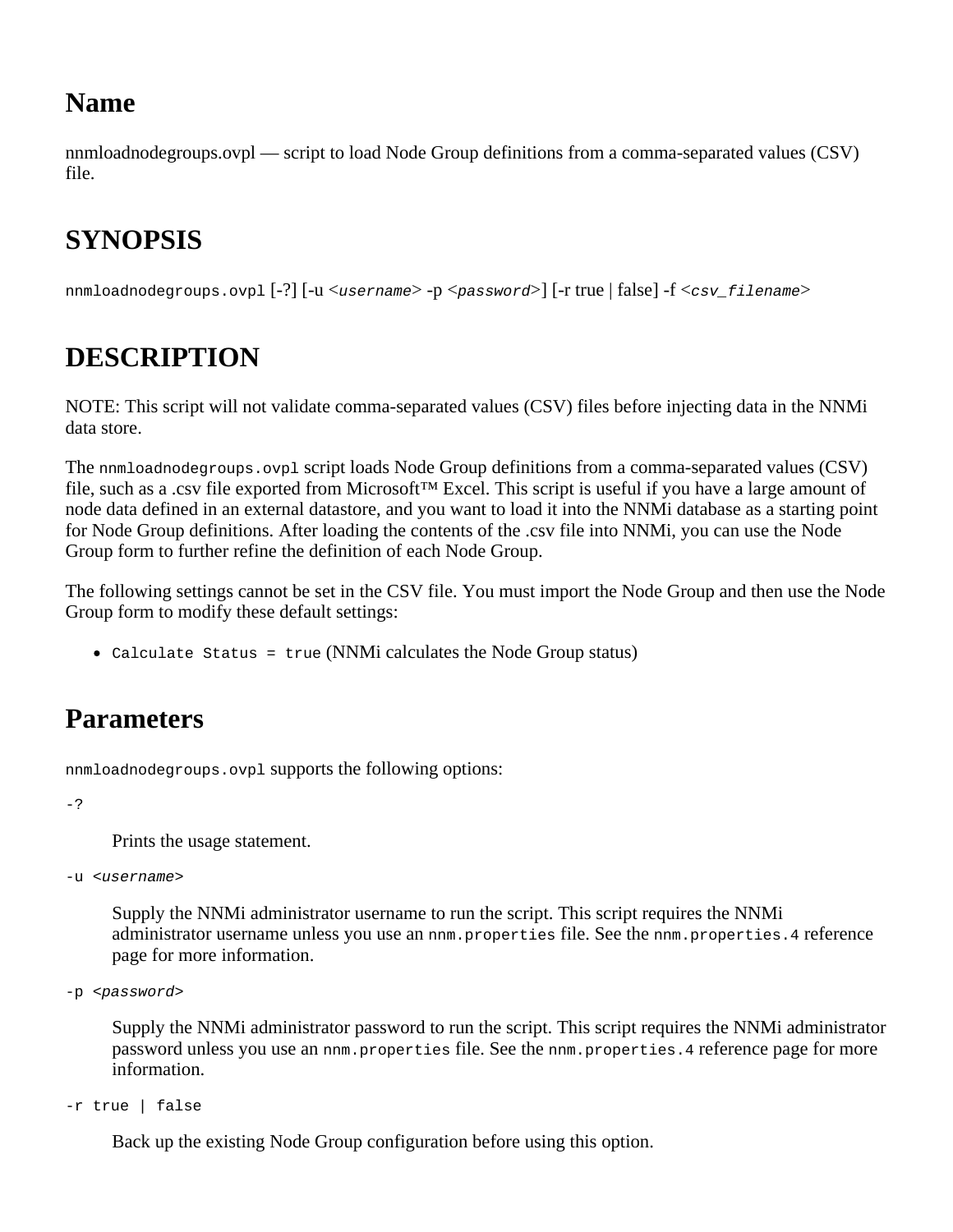## <span id="page-154-0"></span>**Name**

nnmloadnodegroups.ovpl — script to load Node Group definitions from a comma-separated values (CSV) file.

# **SYNOPSIS**

nnmloadnodegroups.ovpl [-?] [-u <*username*> -p <*password*>] [-r true | false] -f <*csv\_filename*>

## **DESCRIPTION**

NOTE: This script will not validate comma-separated values (CSV) files before injecting data in the NNMi data store.

The nnmloadnodegroups.ovpl script loads Node Group definitions from a comma-separated values (CSV) file, such as a .csv file exported from Microsoft™ Excel. This script is useful if you have a large amount of node data defined in an external datastore, and you want to load it into the NNMi database as a starting point for Node Group definitions. After loading the contents of the .csv file into NNMi, you can use the Node Group form to further refine the definition of each Node Group.

The following settings cannot be set in the CSV file. You must import the Node Group and then use the Node Group form to modify these default settings:

Calculate Status = true (NNMi calculates the Node Group status)

#### **Parameters**

nnmloadnodegroups.ovpl supports the following options:

-?

Prints the usage statement.

```
-u <username>
```
Supply the NNMi administrator username to run the script. This script requires the NNMi administrator username unless you use an nnm.properties file. See the nnm.properties.4 reference page for more information.

```
-p <password>
```
Supply the NNMi administrator password to run the script. This script requires the NNMi administrator password unless you use an nnm.properties file. See the nnm.properties. 4 reference page for more information.

```
-r true | false
```
Back up the existing Node Group configuration before using this option.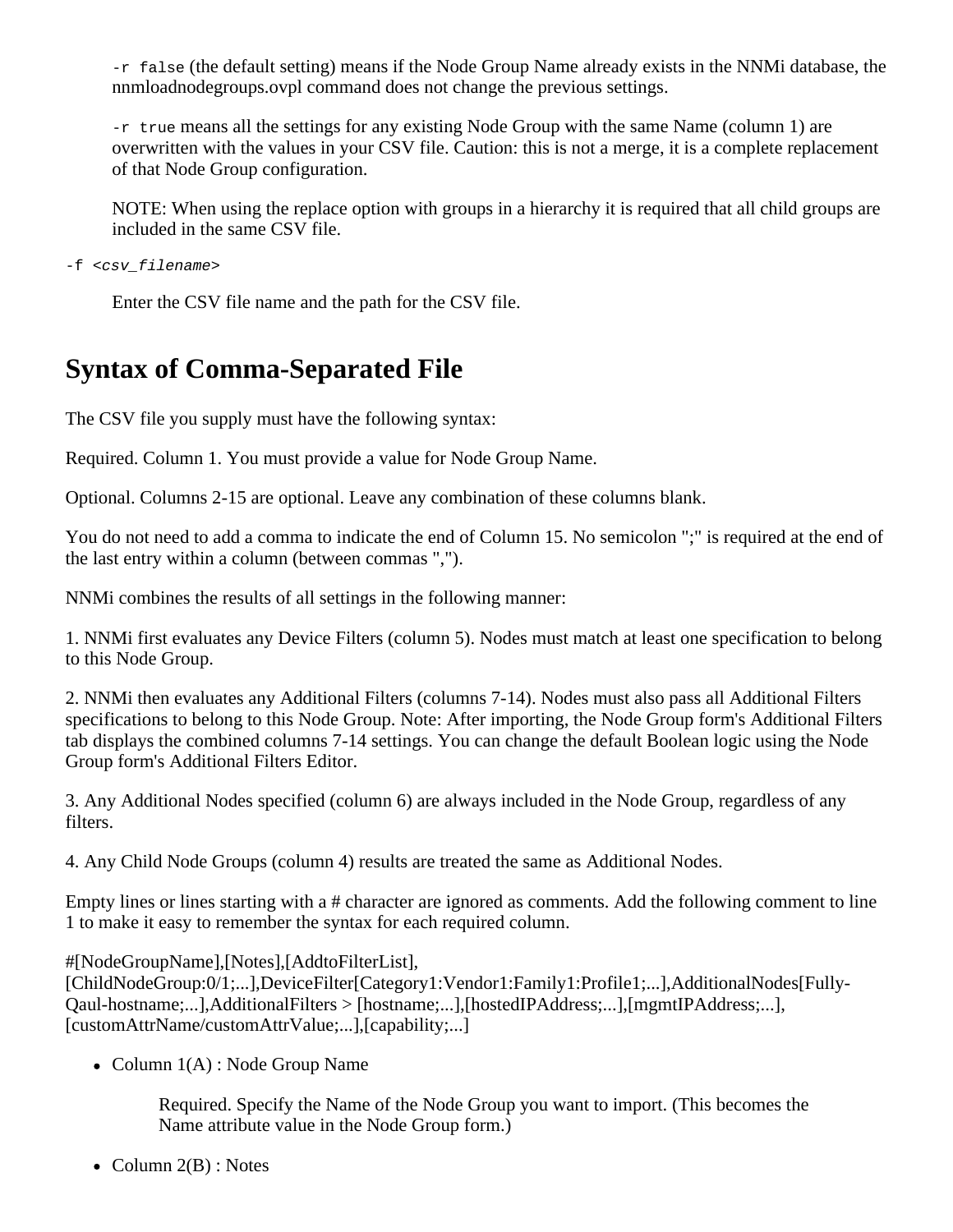-r false (the default setting) means if the Node Group Name already exists in the NNMi database, the nnmloadnodegroups.ovpl command does not change the previous settings.

 $-r$  true means all the settings for any existing Node Group with the same Name (column 1) are overwritten with the values in your CSV file. Caution: this is not a merge, it is a complete replacement of that Node Group configuration.

NOTE: When using the replace option with groups in a hierarchy it is required that all child groups are included in the same CSV file.

```
-f <csv_filename>
```
Enter the CSV file name and the path for the CSV file.

#### **Syntax of Comma-Separated File**

The CSV file you supply must have the following syntax:

Required. Column 1. You must provide a value for Node Group Name.

Optional. Columns 2-15 are optional. Leave any combination of these columns blank.

You do not need to add a comma to indicate the end of Column 15. No semicolon ";" is required at the end of the last entry within a column (between commas ",").

NNMi combines the results of all settings in the following manner:

1. NNMi first evaluates any Device Filters (column 5). Nodes must match at least one specification to belong to this Node Group.

2. NNMi then evaluates any Additional Filters (columns 7-14). Nodes must also pass all Additional Filters specifications to belong to this Node Group. Note: After importing, the Node Group form's Additional Filters tab displays the combined columns 7-14 settings. You can change the default Boolean logic using the Node Group form's Additional Filters Editor.

3. Any Additional Nodes specified (column 6) are always included in the Node Group, regardless of any filters.

4. Any Child Node Groups (column 4) results are treated the same as Additional Nodes.

Empty lines or lines starting with a # character are ignored as comments. Add the following comment to line 1 to make it easy to remember the syntax for each required column.

#[NodeGroupName],[Notes],[AddtoFilterList], [ChildNodeGroup:0/1;...],DeviceFilter[Category1:Vendor1:Family1:Profile1;...],AdditionalNodes[Fully-Qaul-hostname;...],AdditionalFilters > [hostname;...],[hostedIPAddress;...],[mgmtIPAddress;...], [customAttrName/customAttrValue;...],[capability;...]

• Column  $1(A)$ : Node Group Name

Required. Specify the Name of the Node Group you want to import. (This becomes the Name attribute value in the Node Group form.)

 $\bullet$  Column 2(B) : Notes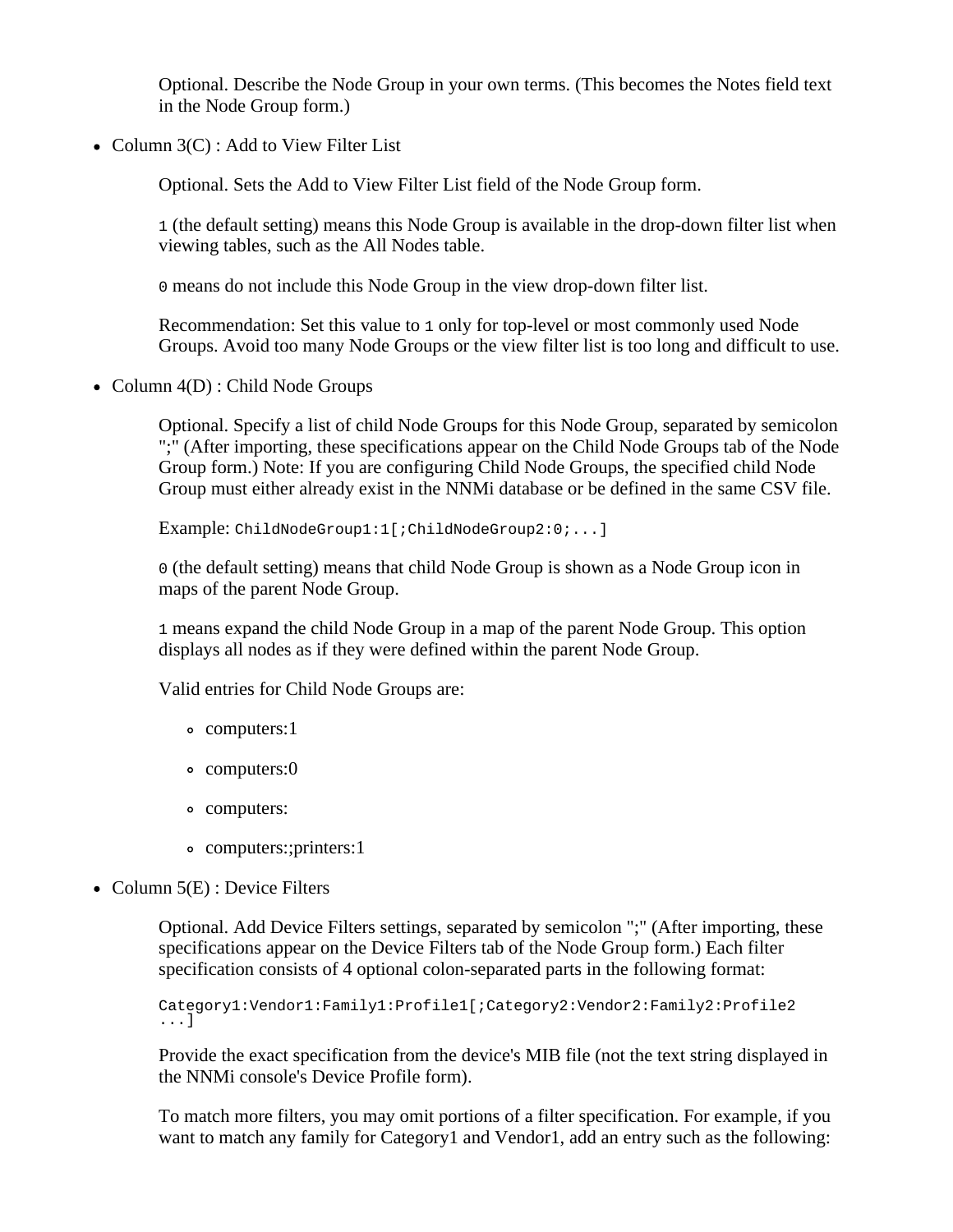Optional. Describe the Node Group in your own terms. (This becomes the Notes field text in the Node Group form.)

• Column  $3(C)$ : Add to View Filter List

Optional. Sets the Add to View Filter List field of the Node Group form.

1 (the default setting) means this Node Group is available in the drop-down filter list when viewing tables, such as the All Nodes table.

0 means do not include this Node Group in the view drop-down filter list.

Recommendation: Set this value to 1 only for top-level or most commonly used Node Groups. Avoid too many Node Groups or the view filter list is too long and difficult to use.

• Column  $4(D)$ : Child Node Groups

Optional. Specify a list of child Node Groups for this Node Group, separated by semicolon ";" (After importing, these specifications appear on the Child Node Groups tab of the Node Group form.) Note: If you are configuring Child Node Groups, the specified child Node Group must either already exist in the NNMi database or be defined in the same CSV file.

Example: ChildNodeGroup1:1[;ChildNodeGroup2:0;...]

0 (the default setting) means that child Node Group is shown as a Node Group icon in maps of the parent Node Group.

1 means expand the child Node Group in a map of the parent Node Group. This option displays all nodes as if they were defined within the parent Node Group.

Valid entries for Child Node Groups are:

- computers:1
- computers:0
- computers:
- computers:;printers:1
- Column  $5(E)$ : Device Filters

Optional. Add Device Filters settings, separated by semicolon ";" (After importing, these specifications appear on the Device Filters tab of the Node Group form.) Each filter specification consists of 4 optional colon-separated parts in the following format:

```
Category1:Vendor1:Family1:Profile1[;Category2:Vendor2:Family2:Profile2
...]
```
Provide the exact specification from the device's MIB file (not the text string displayed in the NNMi console's Device Profile form).

To match more filters, you may omit portions of a filter specification. For example, if you want to match any family for Category1 and Vendor1, add an entry such as the following: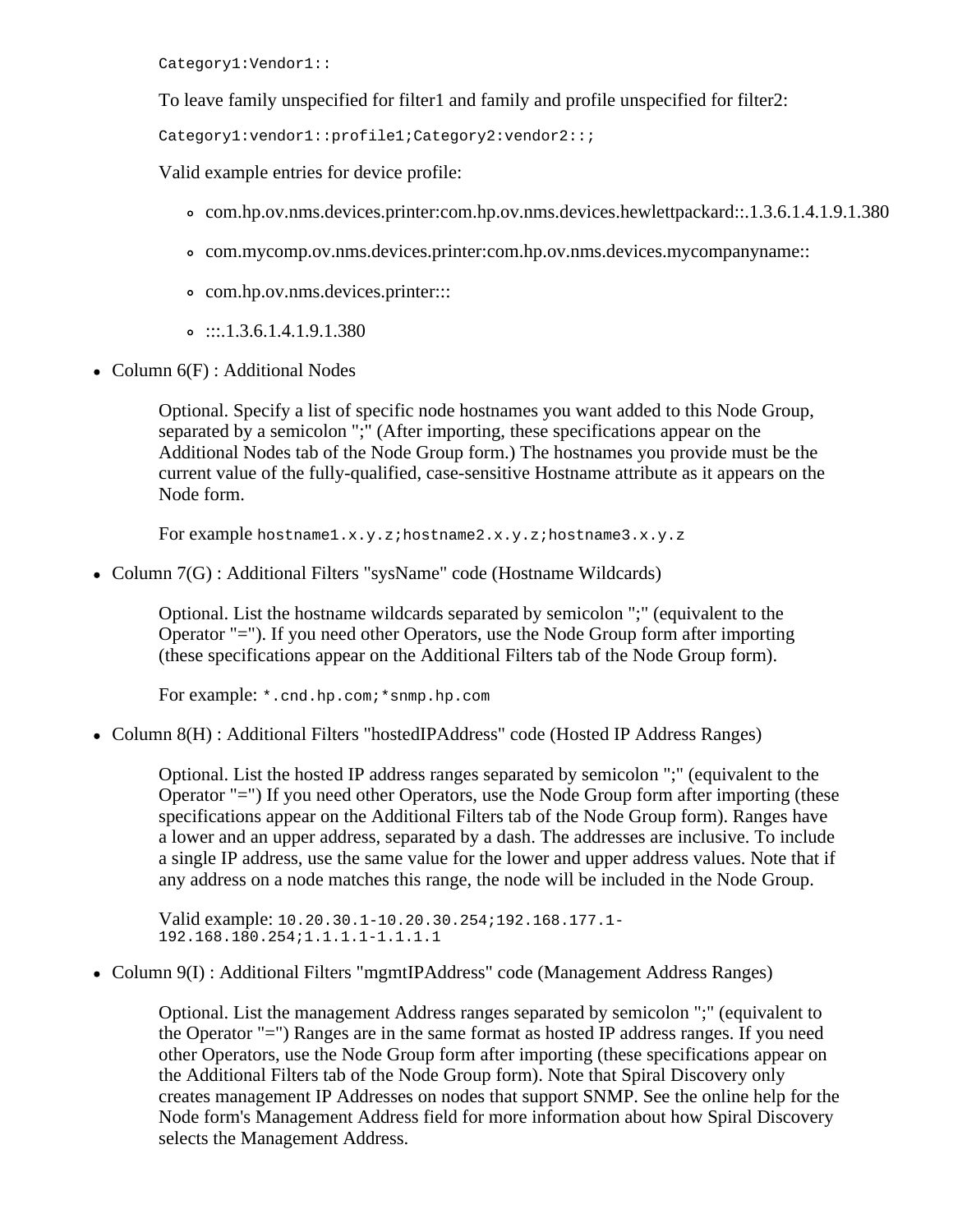Category1:Vendor1::

To leave family unspecified for filter1 and family and profile unspecified for filter2:

Category1:vendor1::profile1;Category2:vendor2::;

Valid example entries for device profile:

- com.hp.ov.nms.devices.printer:com.hp.ov.nms.devices.hewlettpackard::.1.3.6.1.4.1.9.1.380
- com.mycomp.ov.nms.devices.printer:com.hp.ov.nms.devices.mycompanyname::
- com.hp.ov.nms.devices.printer:::
- $\circ$  :::.1.3.6.1.4.1.9.1.380
- Column  $6(F)$ : Additional Nodes

Optional. Specify a list of specific node hostnames you want added to this Node Group, separated by a semicolon ";" (After importing, these specifications appear on the Additional Nodes tab of the Node Group form.) The hostnames you provide must be the current value of the fully-qualified, case-sensitive Hostname attribute as it appears on the Node form.

For example hostname1.x.y.z;hostname2.x.y.z;hostname3.x.y.z

• Column 7(G) : Additional Filters "sysName" code (Hostname Wildcards)

Optional. List the hostname wildcards separated by semicolon ";" (equivalent to the Operator "="). If you need other Operators, use the Node Group form after importing (these specifications appear on the Additional Filters tab of the Node Group form).

For example: \*.cnd.hp.com;\*snmp.hp.com

Column 8(H) : Additional Filters "hostedIPAddress" code (Hosted IP Address Ranges)

Optional. List the hosted IP address ranges separated by semicolon ";" (equivalent to the Operator "=") If you need other Operators, use the Node Group form after importing (these specifications appear on the Additional Filters tab of the Node Group form). Ranges have a lower and an upper address, separated by a dash. The addresses are inclusive. To include a single IP address, use the same value for the lower and upper address values. Note that if any address on a node matches this range, the node will be included in the Node Group.

Valid example: 10.20.30.1-10.20.30.254;192.168.177.1- 192.168.180.254;1.1.1.1-1.1.1.1

• Column 9(I) : Additional Filters "mgmtIPAddress" code (Management Address Ranges)

Optional. List the management Address ranges separated by semicolon ";" (equivalent to the Operator "=") Ranges are in the same format as hosted IP address ranges. If you need other Operators, use the Node Group form after importing (these specifications appear on the Additional Filters tab of the Node Group form). Note that Spiral Discovery only creates management IP Addresses on nodes that support SNMP. See the online help for the Node form's Management Address field for more information about how Spiral Discovery selects the Management Address.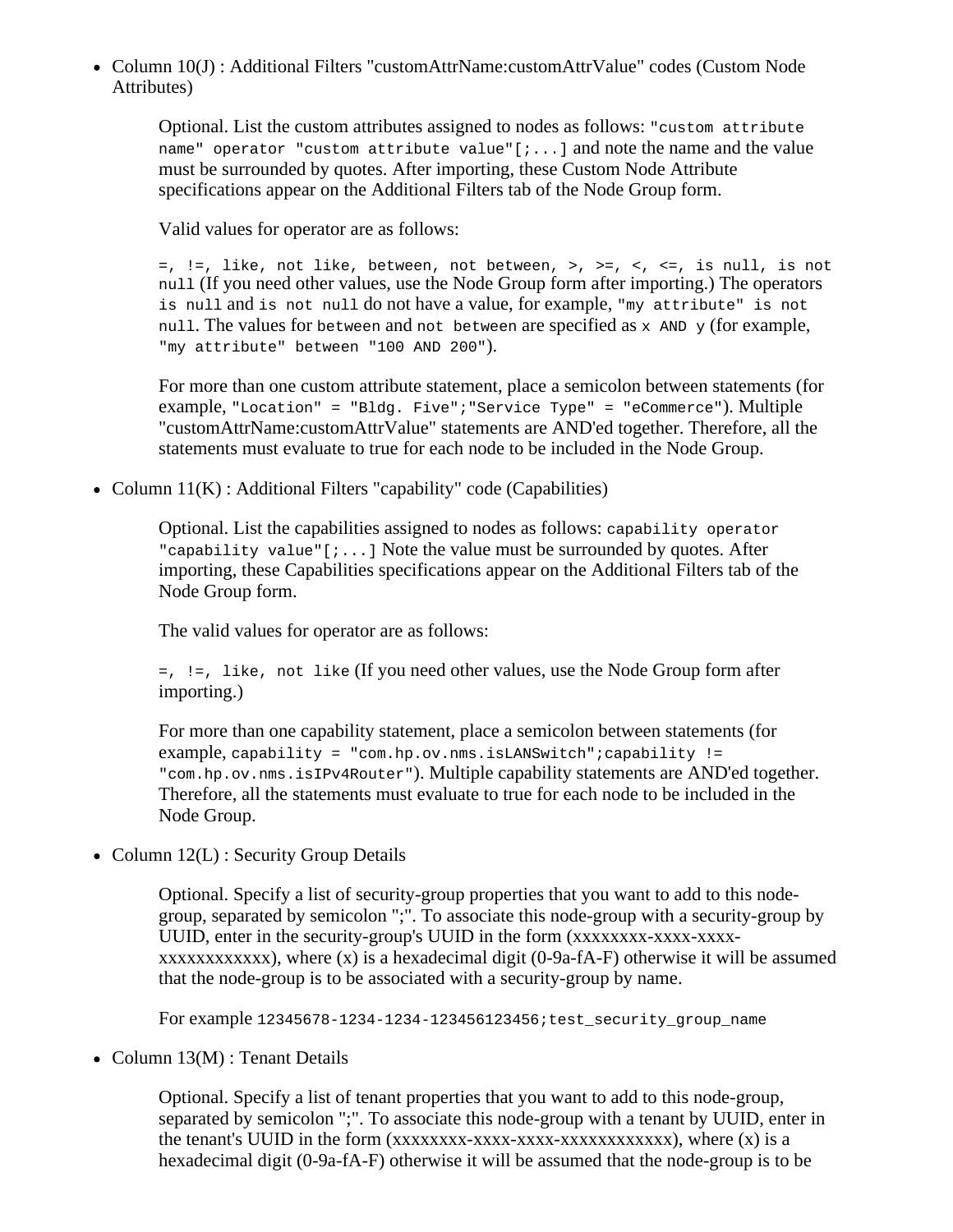Column 10(J) : Additional Filters "customAttrName:customAttrValue" codes (Custom Node Attributes)

Optional. List the custom attributes assigned to nodes as follows: "custom attribute name" operator "custom attribute value"[;...] and note the name and the value must be surrounded by quotes. After importing, these Custom Node Attribute specifications appear on the Additional Filters tab of the Node Group form.

Valid values for operator are as follows:

 $=$ ,  $!=$ , like, not like, between, not between,  $>$ ,  $>=$ ,  $<$ ,  $<=$ , is null, is not null (If you need other values, use the Node Group form after importing.) The operators is null and is not null do not have a value, for example, "my attribute" is not null. The values for between and not between are specified as  $x$  AND  $y$  (for example, "my attribute" between "100 AND 200").

For more than one custom attribute statement, place a semicolon between statements (for example, "Location" = "Bldg. Five";"Service Type" = "eCommerce"). Multiple "customAttrName:customAttrValue" statements are AND'ed together. Therefore, all the statements must evaluate to true for each node to be included in the Node Group.

• Column  $11(K)$ : Additional Filters "capability" code (Capabilities)

Optional. List the capabilities assigned to nodes as follows: capability operator "capability value"[ $i$ ...] Note the value must be surrounded by quotes. After importing, these Capabilities specifications appear on the Additional Filters tab of the Node Group form.

The valid values for operator are as follows:

=, !=, like, not like (If you need other values, use the Node Group form after importing.)

For more than one capability statement, place a semicolon between statements (for example, capability = "com.hp.ov.nms.isLANSwitch";capability != "com.hp.ov.nms.isIPv4Router"). Multiple capability statements are AND'ed together. Therefore, all the statements must evaluate to true for each node to be included in the Node Group.

• Column 12(L) : Security Group Details

Optional. Specify a list of security-group properties that you want to add to this nodegroup, separated by semicolon ";". To associate this node-group with a security-group by UUID, enter in the security-group's UUID in the form (xxxxxxxxx-xxxx-xxxxxxxxxxxxxxxx), where (x) is a hexadecimal digit (0-9a-fA-F) otherwise it will be assumed that the node-group is to be associated with a security-group by name.

For example 12345678-1234-1234-123456123456;test\_security\_group\_name

• Column  $13(M)$ : Tenant Details

Optional. Specify a list of tenant properties that you want to add to this node-group, separated by semicolon ";". To associate this node-group with a tenant by UUID, enter in the tenant's UUID in the form  $(xxxxxxx-xxxx-xxxxxxxxxxxxxxxx)$ , where  $(x)$  is a hexadecimal digit (0-9a-fA-F) otherwise it will be assumed that the node-group is to be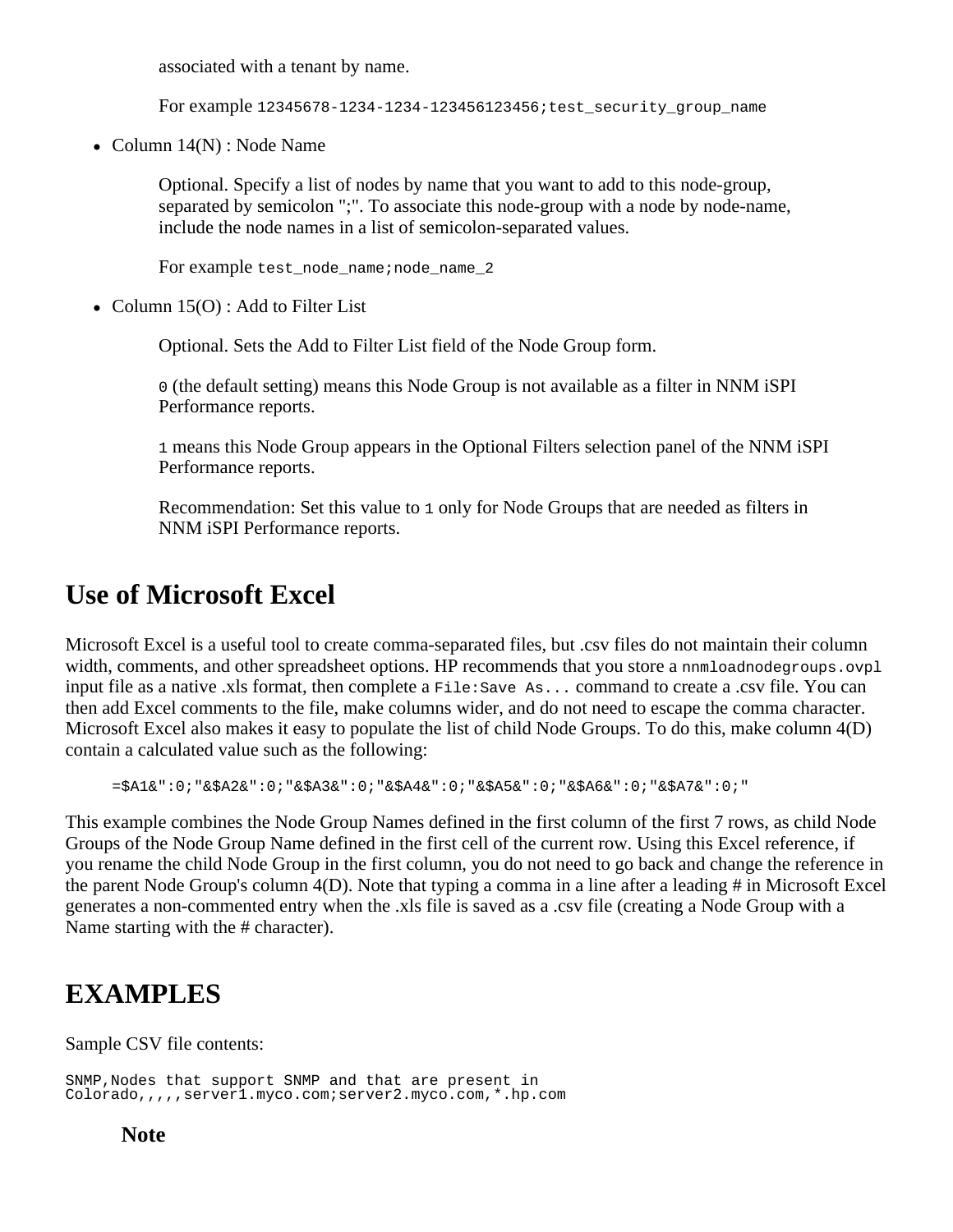associated with a tenant by name.

For example 12345678-1234-1234-123456123456;test\_security\_group\_name

• Column  $14(N)$ : Node Name

Optional. Specify a list of nodes by name that you want to add to this node-group, separated by semicolon ";". To associate this node-group with a node by node-name, include the node names in a list of semicolon-separated values.

For example test node name; node name 2

• Column  $15(0)$ : Add to Filter List

Optional. Sets the Add to Filter List field of the Node Group form.

0 (the default setting) means this Node Group is not available as a filter in NNM iSPI Performance reports.

1 means this Node Group appears in the Optional Filters selection panel of the NNM iSPI Performance reports.

Recommendation: Set this value to 1 only for Node Groups that are needed as filters in NNM iSPI Performance reports.

#### **Use of Microsoft Excel**

Microsoft Excel is a useful tool to create comma-separated files, but .csv files do not maintain their column width, comments, and other spreadsheet options. HP recommends that you store a nnmloadnodegroups.ovpl input file as a native .xls format, then complete a File:Save As... command to create a .csv file. You can then add Excel comments to the file, make columns wider, and do not need to escape the comma character. Microsoft Excel also makes it easy to populate the list of child Node Groups. To do this, make column 4(D) contain a calculated value such as the following:

=\$A1&":0;"&\$A2&":0;"&\$A3&":0;"&\$A4&":0;"&\$A5&":0;"&\$A6&":0;"&\$A7&":0;"

This example combines the Node Group Names defined in the first column of the first 7 rows, as child Node Groups of the Node Group Name defined in the first cell of the current row. Using this Excel reference, if you rename the child Node Group in the first column, you do not need to go back and change the reference in the parent Node Group's column 4(D). Note that typing a comma in a line after a leading # in Microsoft Excel generates a non-commented entry when the .xls file is saved as a .csv file (creating a Node Group with a Name starting with the # character).

#### **EXAMPLES**

Sample CSV file contents:

SNMP,Nodes that support SNMP and that are present in Colorado,,,,,server1.myco.com;server2.myco.com,\*.hp.com

**Note**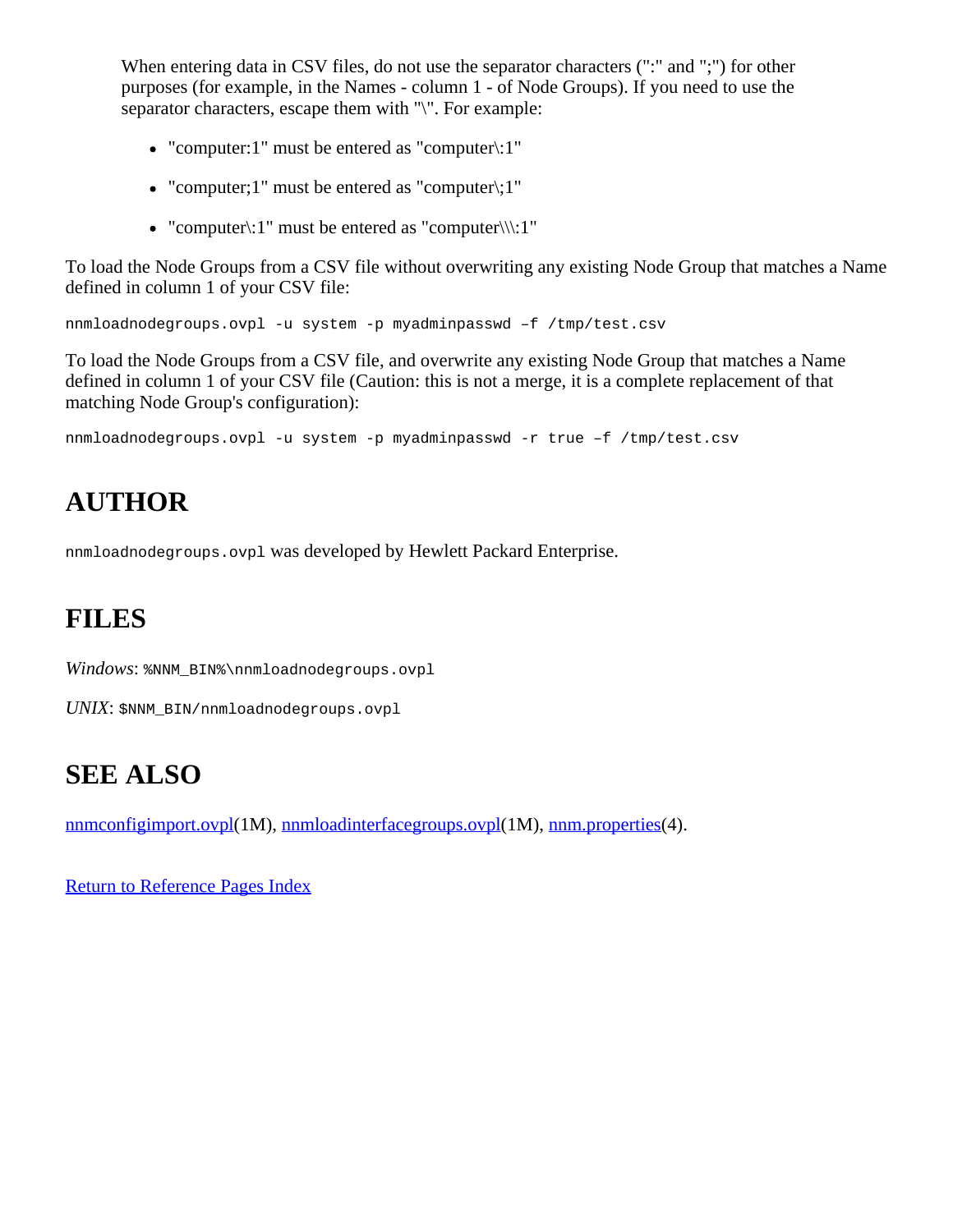When entering data in CSV files, do not use the separator characters (":" and ";") for other purposes (for example, in the Names - column 1 - of Node Groups). If you need to use the separator characters, escape them with "\". For example:

- "computer:1" must be entered as "computer\:1"
- "computer;1" must be entered as "computer\;1"
- "computer $\langle$ :1" must be entered as "computer $\langle \langle \cdot \rangle$ :1"

To load the Node Groups from a CSV file without overwriting any existing Node Group that matches a Name defined in column 1 of your CSV file:

nnmloadnodegroups.ovpl -u system -p myadminpasswd –f /tmp/test.csv

To load the Node Groups from a CSV file, and overwrite any existing Node Group that matches a Name defined in column 1 of your CSV file (Caution: this is not a merge, it is a complete replacement of that matching Node Group's configuration):

nnmloadnodegroups.ovpl -u system -p myadminpasswd -r true –f /tmp/test.csv

### **AUTHOR**

nnmloadnodegroups.ovpl was developed by Hewlett Packard Enterprise.

#### **FILES**

Windows: \$NNM\_BIN\$\nnmloadnodegroups.ovpl

*UNIX*: \$NNM\_BIN/nnmloadnodegroups.ovpl

#### **SEE ALSO**

[nnmconfigimport.ovpl](#page-73-0)(1M), [nnmloadinterfacegroups.ovpl](#page-134-0)(1M), [nnm.properties\(](#page-212-0)4).

[Return to Reference Pages Index](#page-2-0)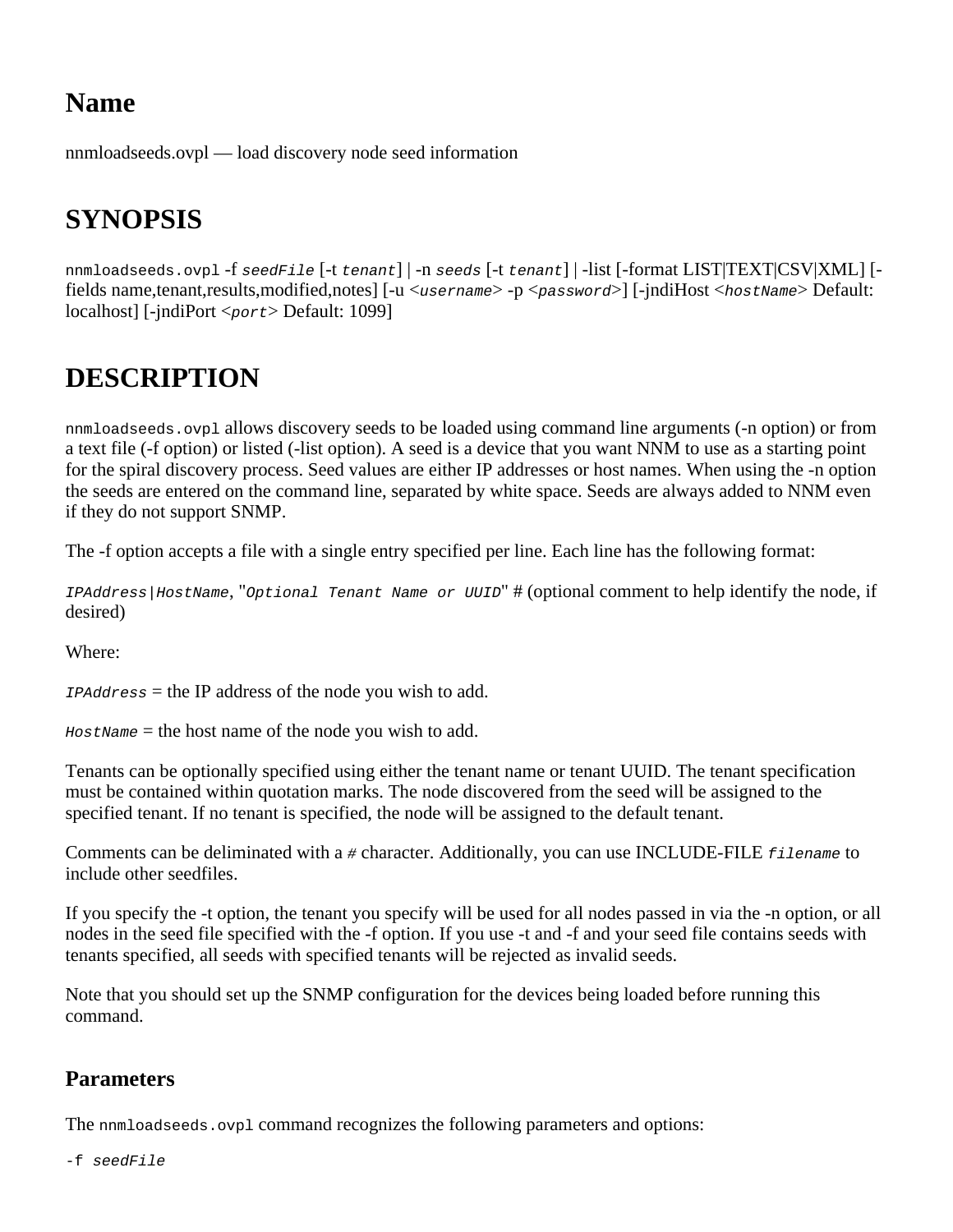## **Name**

nnmloadseeds.ovpl — load discovery node seed information

## **SYNOPSIS**

nnmloadseeds.ovpl -f *seedFile* [-t *tenant*] | -n *seeds* [-t *tenant*] | -list [-format LIST|TEXT|CSV|XML] [ fields name,tenant,results,modified,notes] [-u <*username*> -p <*password*>] [-jndiHost <*hostName*> Default: localhost] [-jndiPort <*port*> Default: 1099]

## **DESCRIPTION**

nnmloadseeds.ovpl allows discovery seeds to be loaded using command line arguments (-n option) or from a text file (-f option) or listed (-list option). A seed is a device that you want NNM to use as a starting point for the spiral discovery process. Seed values are either IP addresses or host names. When using the -n option the seeds are entered on the command line, separated by white space. Seeds are always added to NNM even if they do not support SNMP.

The -f option accepts a file with a single entry specified per line. Each line has the following format:

*IPAddress|HostName*, "*Optional Tenant Name or UUID*" # (optional comment to help identify the node, if desired)

Where:

*IPAddress* = the IP address of the node you wish to add.

*HostName* = the host name of the node you wish to add.

Tenants can be optionally specified using either the tenant name or tenant UUID. The tenant specification must be contained within quotation marks. The node discovered from the seed will be assigned to the specified tenant. If no tenant is specified, the node will be assigned to the default tenant.

Comments can be deliminated with a *#* character. Additionally, you can use INCLUDE-FILE *filename* to include other seedfiles.

If you specify the -t option, the tenant you specify will be used for all nodes passed in via the -n option, or all nodes in the seed file specified with the -f option. If you use -t and -f and your seed file contains seeds with tenants specified, all seeds with specified tenants will be rejected as invalid seeds.

Note that you should set up the SNMP configuration for the devices being loaded before running this command.

#### **Parameters**

The nnmloadseeds.ovpl command recognizes the following parameters and options: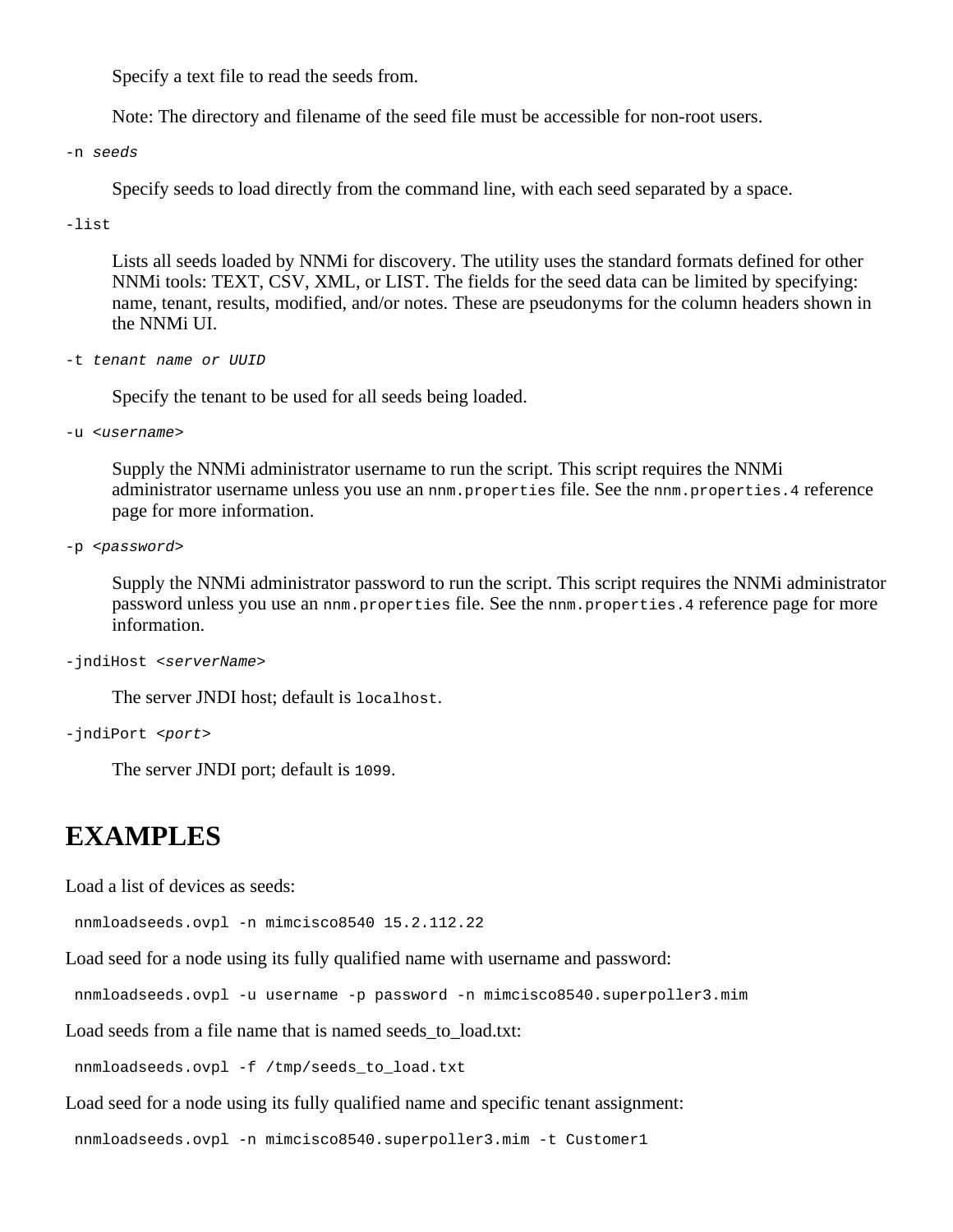Specify a text file to read the seeds from.

Note: The directory and filename of the seed file must be accessible for non-root users.

-n *seeds*

Specify seeds to load directly from the command line, with each seed separated by a space.

-list

Lists all seeds loaded by NNMi for discovery. The utility uses the standard formats defined for other NNMi tools: TEXT, CSV, XML, or LIST. The fields for the seed data can be limited by specifying: name, tenant, results, modified, and/or notes. These are pseudonyms for the column headers shown in the NNMi UI.

-t *tenant name or UUID*

Specify the tenant to be used for all seeds being loaded.

-u <*username*>

Supply the NNMi administrator username to run the script. This script requires the NNMi administrator username unless you use an nnm.properties file. See the nnm.properties.4 reference page for more information.

-p <*password*>

Supply the NNMi administrator password to run the script. This script requires the NNMi administrator password unless you use an nnm.properties file. See the nnm.properties. 4 reference page for more information.

```
-jndiHost <serverName>
```
The server JNDI host; default is localhost.

```
-jndiPort <port>
```
The server JNDI port; default is 1099.

#### **EXAMPLES**

Load a list of devices as seeds:

nnmloadseeds.ovpl -n mimcisco8540 15.2.112.22

Load seed for a node using its fully qualified name with username and password:

nnmloadseeds.ovpl -u username -p password -n mimcisco8540.superpoller3.mim

Load seeds from a file name that is named seeds\_to\_load.txt:

nnmloadseeds.ovpl -f /tmp/seeds\_to\_load.txt

Load seed for a node using its fully qualified name and specific tenant assignment:

nnmloadseeds.ovpl -n mimcisco8540.superpoller3.mim -t Customer1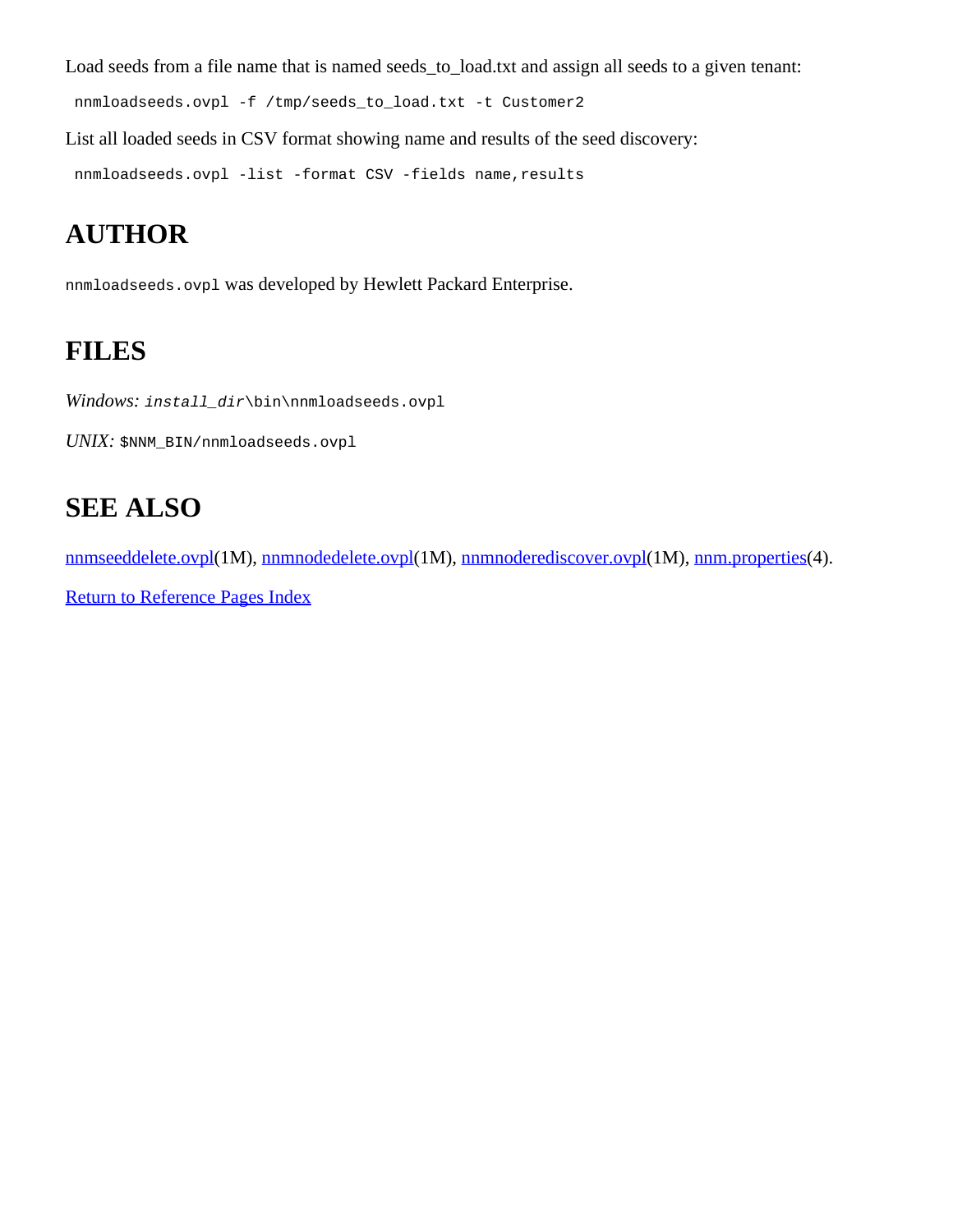Load seeds from a file name that is named seeds\_to\_load.txt and assign all seeds to a given tenant:

nnmloadseeds.ovpl -f /tmp/seeds\_to\_load.txt -t Customer2

List all loaded seeds in CSV format showing name and results of the seed discovery:

nnmloadseeds.ovpl -list -format CSV -fields name,results

## **AUTHOR**

nnmloadseeds.ovpl was developed by Hewlett Packard Enterprise.

## **FILES**

*Windows: install\_dir*\bin\nnmloadseeds.ovpl

*UNIX:* \$NNM\_BIN/nnmloadseeds.ovpl

## **SEE ALSO**

[nnmseeddelete.ovpl](#page-260-0)(1M), [nnmnodedelete.ovpl\(](#page-172-0)1M), [nnmnoderediscover.ovpl](#page-188-0)(1M), [nnm.properties](#page-212-0)(4).

[Return to Reference Pages Index](#page-2-0)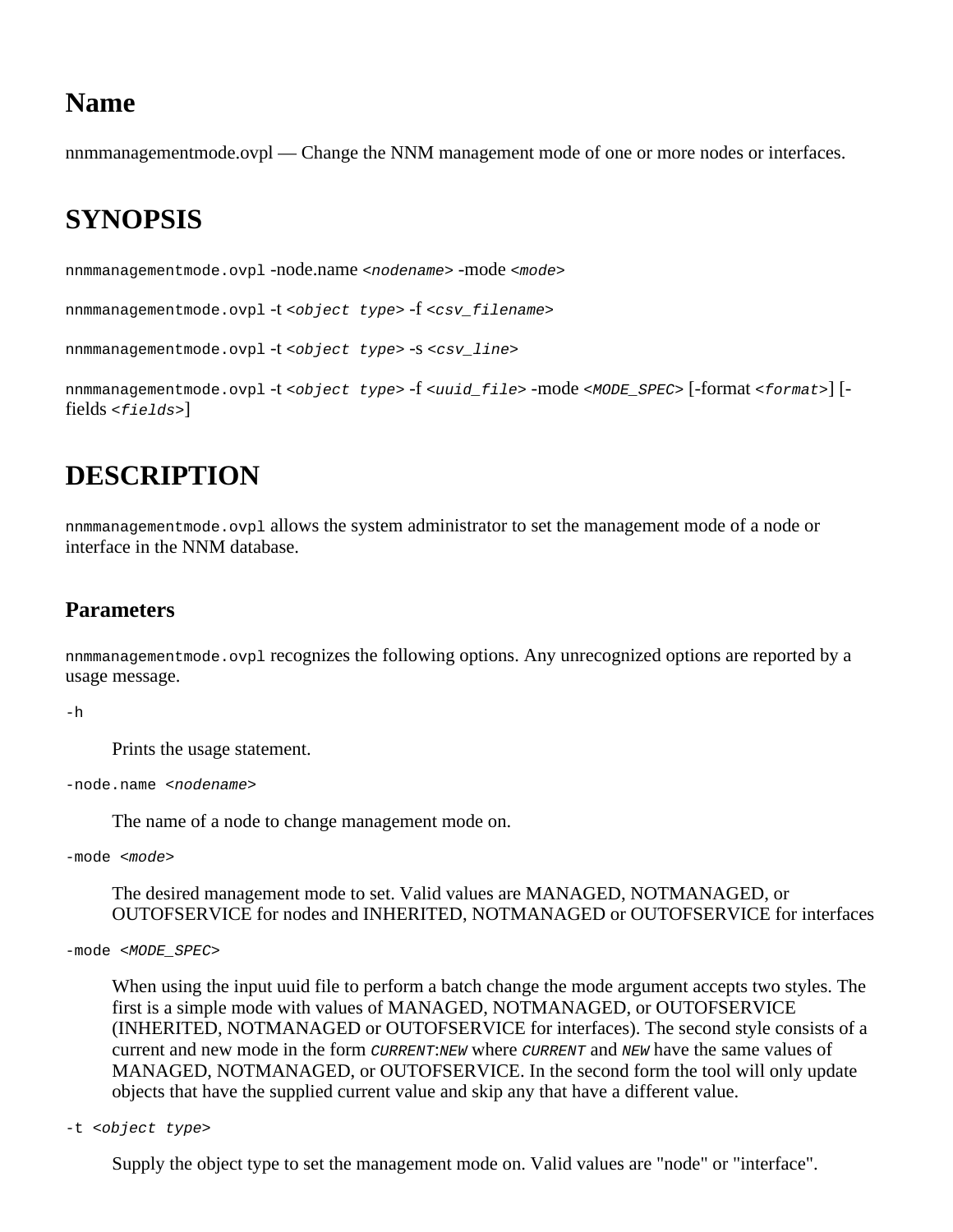### **Name**

nnmmanagementmode.ovpl — Change the NNM management mode of one or more nodes or interfaces.

## **SYNOPSIS**

nnmmanagementmode.ovpl -node.name *<nodename>* -mode *<mode>*

nnmmanagementmode.ovpl -t *<object type>* -f *<csv\_filename>*

```
nnmmanagementmode.ovpl -t <object type> -s <csv_line>
```
nnmmanagementmode.ovpl -t *<object type>* -f *<uuid\_file>* -mode *<MODE\_SPEC>* [-format *<format>*] [ fields *<fields>*]

## **DESCRIPTION**

nnmmanagementmode.ovpl allows the system administrator to set the management mode of a node or interface in the NNM database.

#### **Parameters**

nnmmanagementmode.ovpl recognizes the following options. Any unrecognized options are reported by a usage message.

 $-h$ 

Prints the usage statement.

-node.name *<nodename>*

The name of a node to change management mode on.

-mode *<mode>*

The desired management mode to set. Valid values are MANAGED, NOTMANAGED, or OUTOFSERVICE for nodes and INHERITED, NOTMANAGED or OUTOFSERVICE for interfaces

-mode *<MODE\_SPEC>*

When using the input uuid file to perform a batch change the mode argument accepts two styles. The first is a simple mode with values of MANAGED, NOTMANAGED, or OUTOFSERVICE (INHERITED, NOTMANAGED or OUTOFSERVICE for interfaces). The second style consists of a current and new mode in the form *CURRENT*:*NEW* where *CURRENT* and *NEW* have the same values of MANAGED, NOTMANAGED, or OUTOFSERVICE. In the second form the tool will only update objects that have the supplied current value and skip any that have a different value.

-t *<object type>*

Supply the object type to set the management mode on. Valid values are "node" or "interface".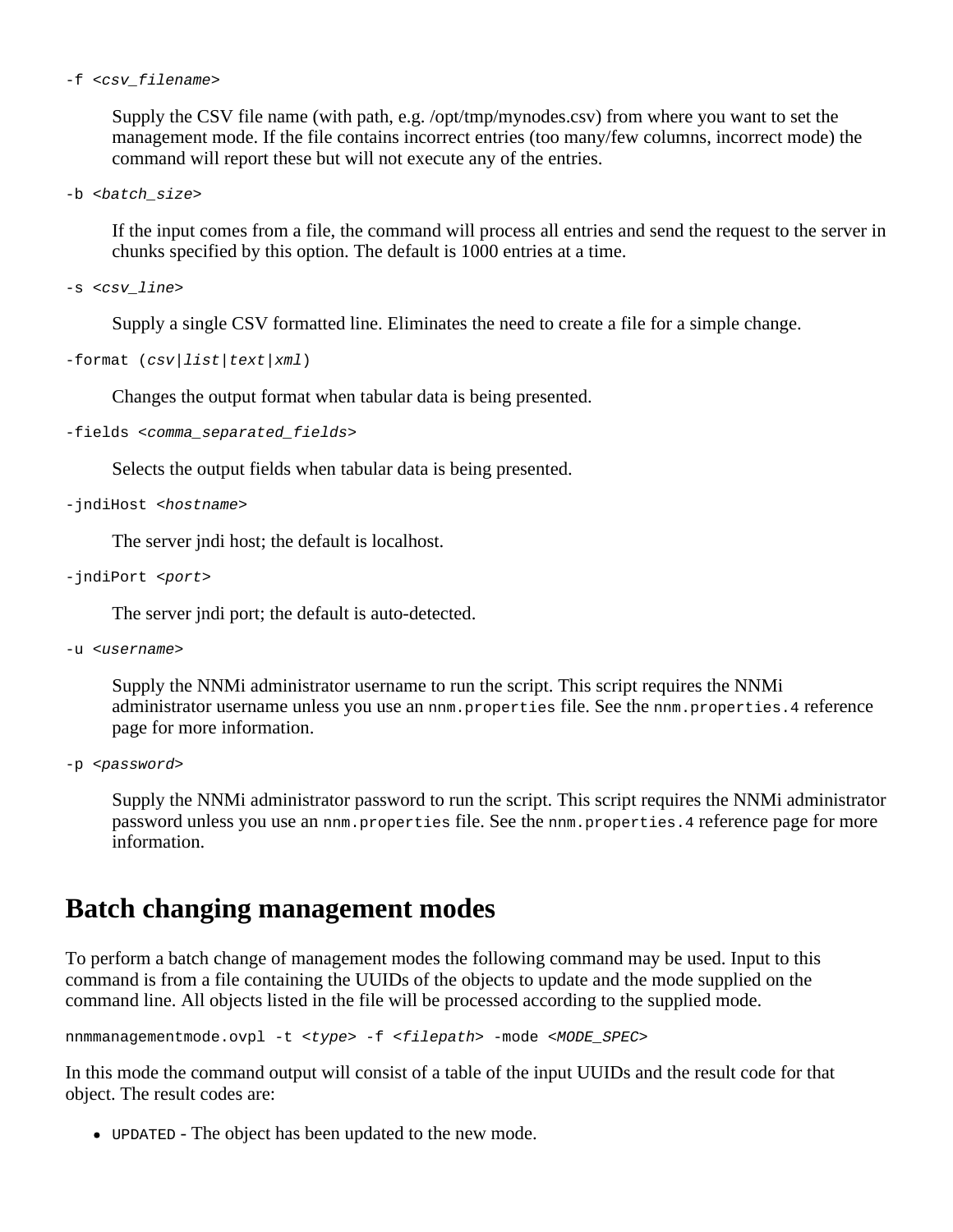```
-f <csv_filename>
```
Supply the CSV file name (with path, e.g. /opt/tmp/mynodes.csv) from where you want to set the management mode. If the file contains incorrect entries (too many/few columns, incorrect mode) the command will report these but will not execute any of the entries.

```
-b <batch_size>
```
If the input comes from a file, the command will process all entries and send the request to the server in chunks specified by this option. The default is 1000 entries at a time.

-s *<csv\_line>*

Supply a single CSV formatted line. Eliminates the need to create a file for a simple change.

-format (*csv*|*list*|*text*|*xml*)

Changes the output format when tabular data is being presented.

```
-fields <comma_separated_fields>
```
Selects the output fields when tabular data is being presented.

-jndiHost *<hostname>*

The server jndi host; the default is localhost.

```
-jndiPort <port>
```
The server jndi port; the default is auto-detected.

```
-u <username>
```
Supply the NNMi administrator username to run the script. This script requires the NNMi administrator username unless you use an nnm.properties file. See the nnm.properties. 4 reference page for more information.

```
-p <password>
```
Supply the NNMi administrator password to run the script. This script requires the NNMi administrator password unless you use an nnm.properties file. See the nnm.properties. 4 reference page for more information.

#### **Batch changing management modes**

To perform a batch change of management modes the following command may be used. Input to this command is from a file containing the UUIDs of the objects to update and the mode supplied on the command line. All objects listed in the file will be processed according to the supplied mode.

nnmmanagementmode.ovpl -t *<type>* -f *<filepath>* -mode *<MODE\_SPEC>*

In this mode the command output will consist of a table of the input UUIDs and the result code for that object. The result codes are:

UPDATED - The object has been updated to the new mode.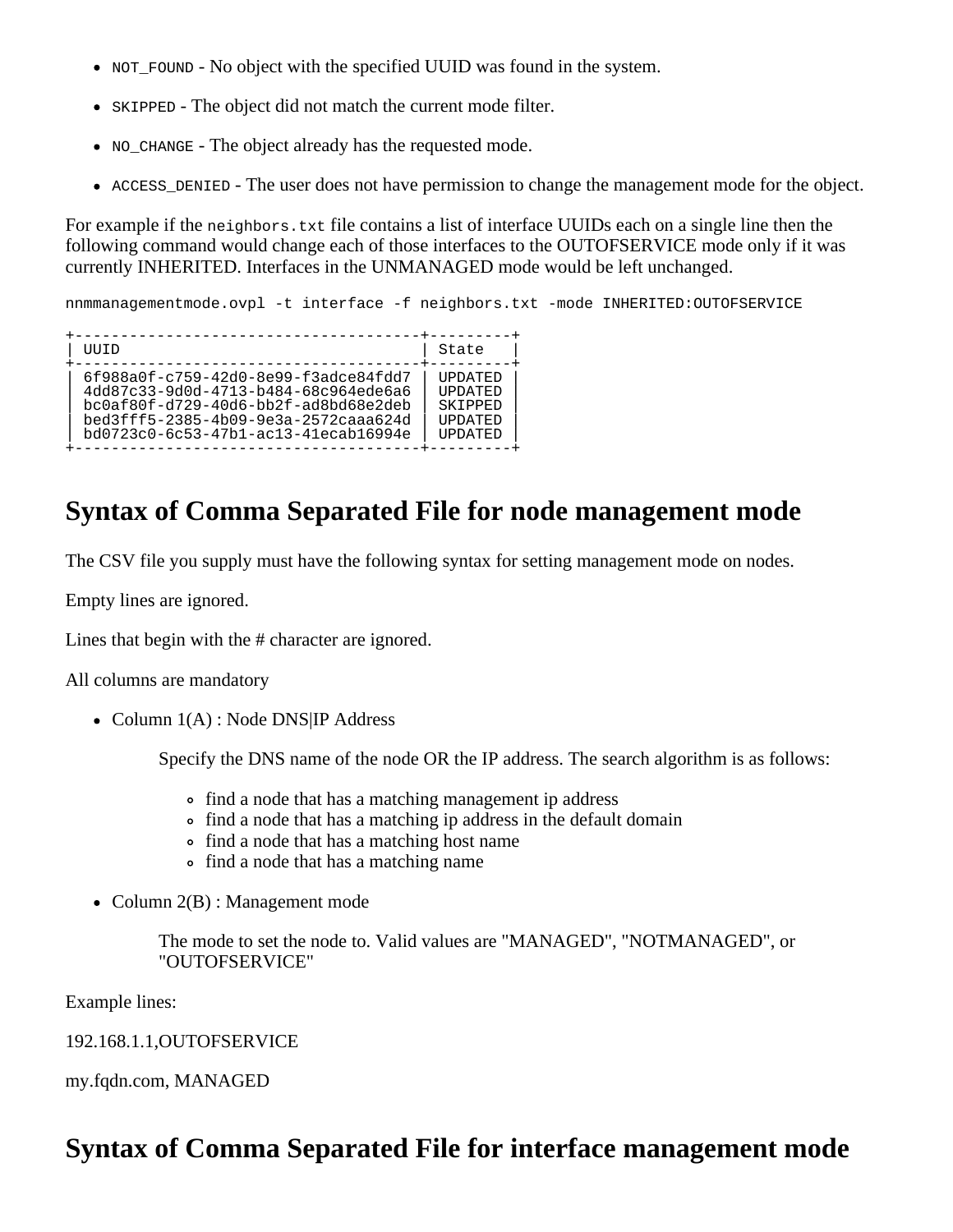- NOT\_FOUND No object with the specified UUID was found in the system.
- SKIPPED The object did not match the current mode filter.
- NO\_CHANGE The object already has the requested mode.
- ACCESS\_DENIED The user does not have permission to change the management mode for the object.

For example if the neighbors. txt file contains a list of interface UUIDs each on a single line then the following command would change each of those interfaces to the OUTOFSERVICE mode only if it was currently INHERITED. Interfaces in the UNMANAGED mode would be left unchanged.

nnmmanagementmode.ovpl -t interface -f neighbors.txt -mode INHERITED:OUTOFSERVICE

| TITITD                                                                                                                                                                                               | State                                                                               |
|------------------------------------------------------------------------------------------------------------------------------------------------------------------------------------------------------|-------------------------------------------------------------------------------------|
| 6f988a0f-c759-42d0-8e99-f3adce84fdd7<br>4dd87c33-9d0d-4713-b484-68c964ede6a6<br>bc0af80f-d729-40d6-bb2f-ad8bd68e2deb<br>bed3fff5-2385-4b09-9e3a-2572caaa624d<br>bd0723c0-6c53-47b1-ac13-41ecab16994e | <b>IIPDATED</b><br><b>IIPDATED</b><br>SKIPPED<br><b>IIPDATED</b><br><b>IIPDATED</b> |
|                                                                                                                                                                                                      |                                                                                     |

#### **Syntax of Comma Separated File for node management mode**

The CSV file you supply must have the following syntax for setting management mode on nodes.

Empty lines are ignored.

Lines that begin with the # character are ignored.

All columns are mandatory

• Column 1(A) : Node DNS|IP Address

Specify the DNS name of the node OR the IP address. The search algorithm is as follows:

- find a node that has a matching management ip address
- find a node that has a matching ip address in the default domain
- find a node that has a matching host name
- find a node that has a matching name
- Column 2(B) : Management mode

The mode to set the node to. Valid values are "MANAGED", "NOTMANAGED", or "OUTOFSERVICE"

Example lines:

192.168.1.1,OUTOFSERVICE

my.fqdn.com, MANAGED

#### **Syntax of Comma Separated File for interface management mode**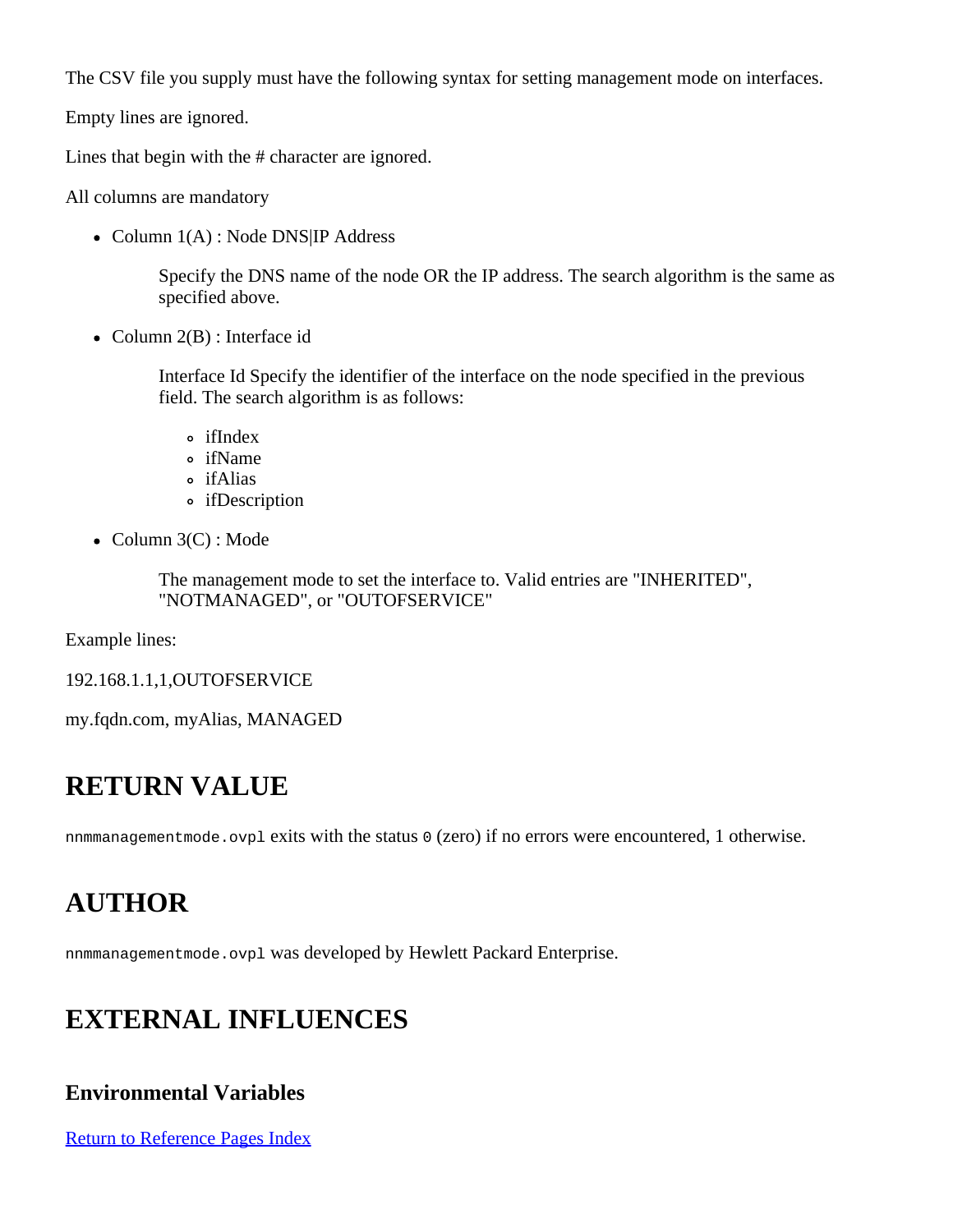The CSV file you supply must have the following syntax for setting management mode on interfaces.

Empty lines are ignored.

Lines that begin with the # character are ignored.

All columns are mandatory

• Column 1(A) : Node DNS|IP Address

Specify the DNS name of the node OR the IP address. The search algorithm is the same as specified above.

• Column 2(B) : Interface id

Interface Id Specify the identifier of the interface on the node specified in the previous field. The search algorithm is as follows:

- ifIndex
- ifName
- ifAlias
- ifDescription
- $\bullet$  Column 3(C) : Mode

The management mode to set the interface to. Valid entries are "INHERITED", "NOTMANAGED", or "OUTOFSERVICE"

Example lines:

192.168.1.1,1,OUTOFSERVICE

my.fqdn.com, myAlias, MANAGED

#### **RETURN VALUE**

nnmmanagementmode.ovpl exits with the status 0 (zero) if no errors were encountered, 1 otherwise.

## **AUTHOR**

nnmmanagementmode.ovpl was developed by Hewlett Packard Enterprise.

### **EXTERNAL INFLUENCES**

#### **Environmental Variables**

[Return to Reference Pages Index](#page-2-0)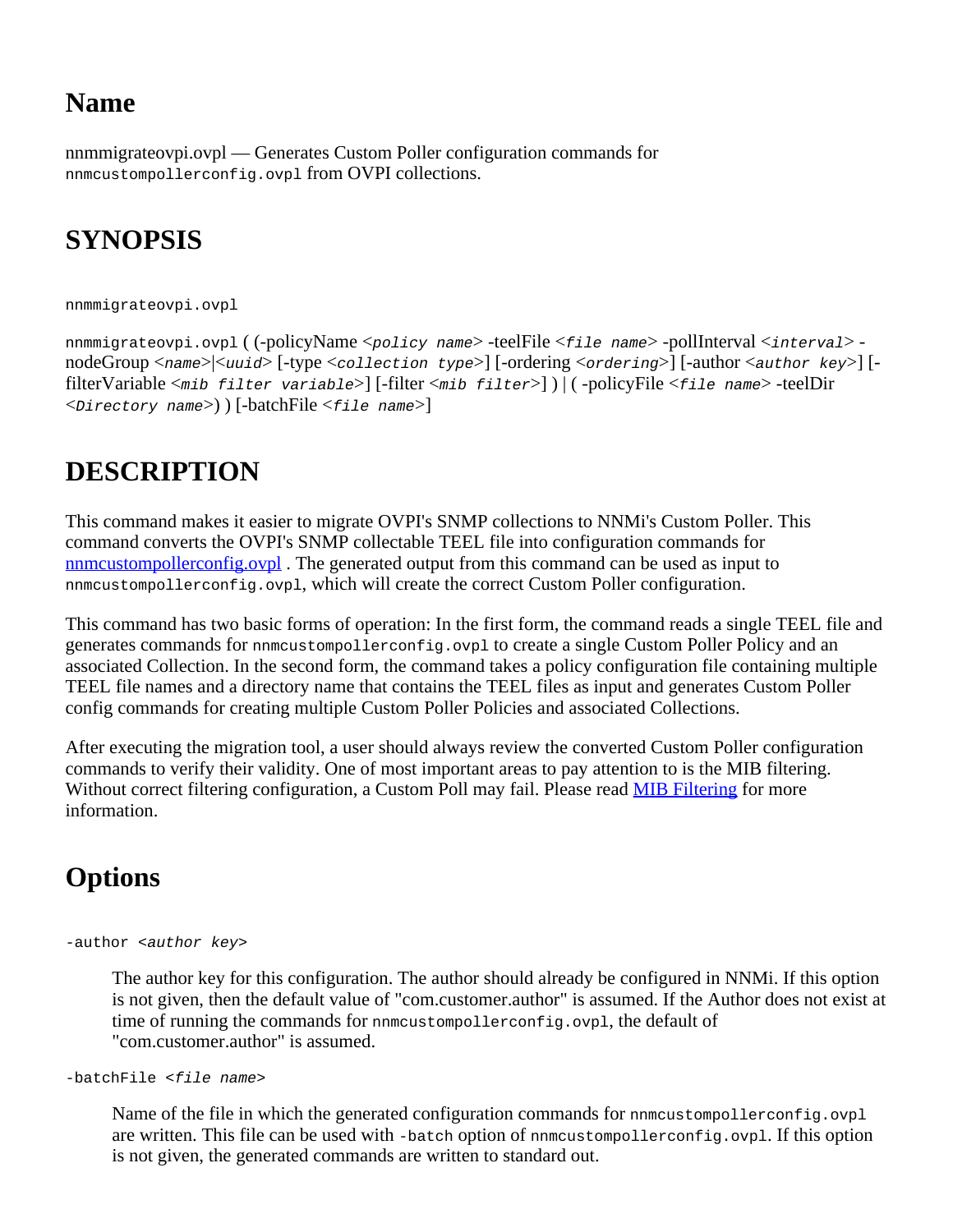### **Name**

nnmmigrateovpi.ovpl — Generates Custom Poller configuration commands for nnmcustompollerconfig.ovpl from OVPI collections.

## **SYNOPSIS**

nnmmigrateovpi.ovpl

nnmmigrateovpi.ovpl ( (-policyName <*policy name*> -teelFile <*file name*> -pollInterval <*interval*> nodeGroup <*name*>|<*uuid*> [-type <*collection type*>] [-ordering <*ordering*>] [-author <*author key*>] [ filterVariable <*mib filter variable*>] [-filter <*mib filter*>] ) | ( -policyFile <*file name*> -teelDir <*Directory name*>) ) [-batchFile <*file name*>]

## **DESCRIPTION**

This command makes it easier to migrate OVPI's SNMP collections to NNMi's Custom Poller. This command converts the OVPI's SNMP collectable TEEL file into configuration commands for [nnmcustompollerconfig.ovpl](#page-81-0). The generated output from this command can be used as input to nnmcustompollerconfig.ovpl, which will create the correct Custom Poller configuration.

This command has two basic forms of operation: In the first form, the command reads a single TEEL file and generates commands for nnmcustompollerconfig.ovpl to create a single Custom Poller Policy and an associated Collection. In the second form, the command takes a policy configuration file containing multiple TEEL file names and a directory name that contains the TEEL files as input and generates Custom Poller config commands for creating multiple Custom Poller Policies and associated Collections.

After executing the migration tool, a user should always review the converted Custom Poller configuration commands to verify their validity. One of most important areas to pay attention to is the MIB filtering. Without correct filtering configuration, a Custom Poll may fail. Please read **MIB** Filtering for more information.

### **Options**

```
-author <author key>
```
The author key for this configuration. The author should already be configured in NNMi. If this option is not given, then the default value of "com.customer.author" is assumed. If the Author does not exist at time of running the commands for nnmcustompollerconfig.ovpl, the default of "com.customer.author" is assumed.

#### -batchFile <*file name*>

Name of the file in which the generated configuration commands for nnmcustompollerconfig.ovpl are written. This file can be used with -batch option of nnmcustompollerconfig.ovpl. If this option is not given, the generated commands are written to standard out.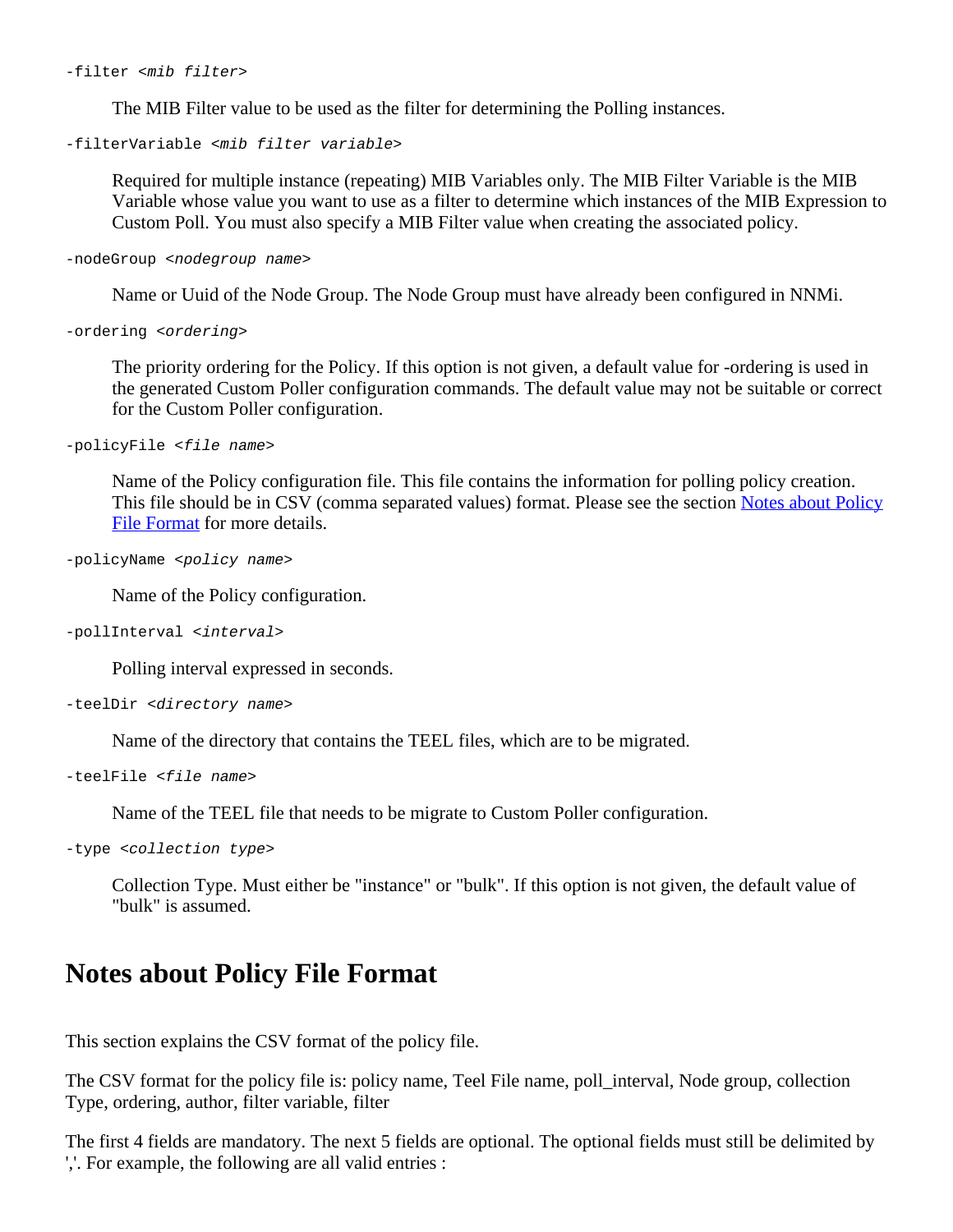-filter <*mib filter*>

The MIB Filter value to be used as the filter for determining the Polling instances.

-filterVariable <*mib filter variable*>

Required for multiple instance (repeating) MIB Variables only. The MIB Filter Variable is the MIB Variable whose value you want to use as a filter to determine which instances of the MIB Expression to Custom Poll. You must also specify a MIB Filter value when creating the associated policy.

-nodeGroup <*nodegroup name*>

Name or Uuid of the Node Group. The Node Group must have already been configured in NNMi.

-ordering <*ordering*>

The priority ordering for the Policy. If this option is not given, a default value for -ordering is used in the generated Custom Poller configuration commands. The default value may not be suitable or correct for the Custom Poller configuration.

-policyFile <*file name*>

Name of the Policy configuration file. This file contains the information for polling policy creation. This file should be in CSV (comma separated values) format. Please see the section [Notes about Policy](#page-169-0) [File Format](#page-169-0) for more details.

```
-policyName <policy name>
```
Name of the Policy configuration.

```
-pollInterval <interval>
```
Polling interval expressed in seconds.

```
-teelDir <directory name>
```
Name of the directory that contains the TEEL files, which are to be migrated.

```
-teelFile <file name>
```
Name of the TEEL file that needs to be migrate to Custom Poller configuration.

-type <*collection type*>

Collection Type. Must either be "instance" or "bulk". If this option is not given, the default value of "bulk" is assumed.

#### <span id="page-169-0"></span>**Notes about Policy File Format**

This section explains the CSV format of the policy file.

The CSV format for the policy file is: policy name, Teel File name, poll\_interval, Node group, collection Type, ordering, author, filter variable, filter

The first 4 fields are mandatory. The next 5 fields are optional. The optional fields must still be delimited by ','. For example, the following are all valid entries :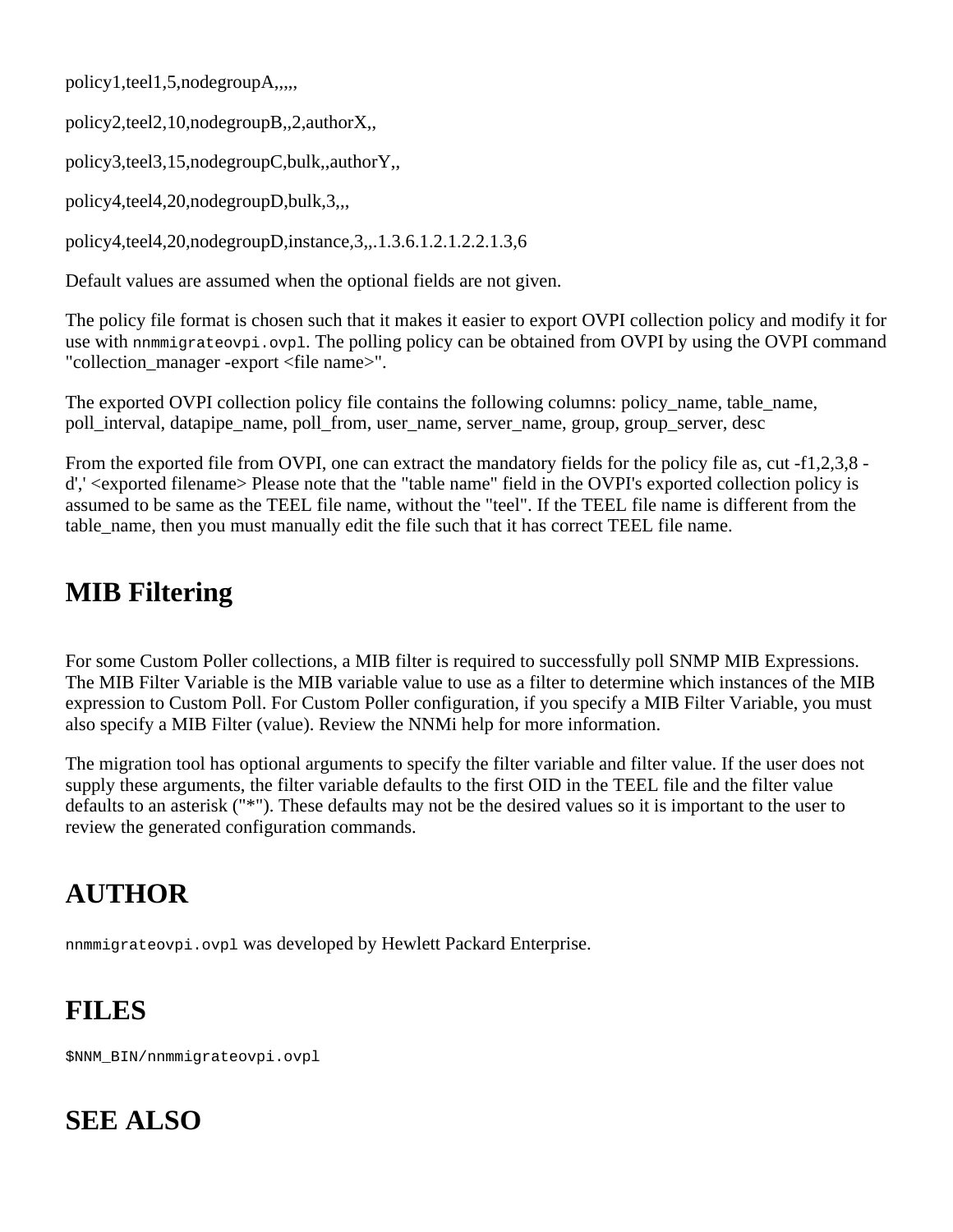policy1,teel1,5,nodegroupA,,,,,

policy2,teel2,10,nodegroupB,,2,authorX,,

policy3,teel3,15,nodegroupC,bulk,,authorY,,

policy4,teel4,20,nodegroupD,bulk,3,,,

policy4,teel4,20,nodegroupD,instance,3,,.1.3.6.1.2.1.2.2.1.3,6

Default values are assumed when the optional fields are not given.

The policy file format is chosen such that it makes it easier to export OVPI collection policy and modify it for use with nnmmigrateovpi.ovpl. The polling policy can be obtained from OVPI by using the OVPI command "collection\_manager -export <file name>".

The exported OVPI collection policy file contains the following columns: policy\_name, table\_name, poll\_interval, datapipe\_name, poll\_from, user\_name, server\_name, group, group\_server, desc

From the exported file from OVPI, one can extract the mandatory fields for the policy file as, cut -f1,2,3,8 d',' <exported filename> Please note that the "table name" field in the OVPI's exported collection policy is assumed to be same as the TEEL file name, without the "teel". If the TEEL file name is different from the table name, then you must manually edit the file such that it has correct TEEL file name.

## **MIB Filtering**

<span id="page-170-0"></span>For some Custom Poller collections, a MIB filter is required to successfully poll SNMP MIB Expressions. The MIB Filter Variable is the MIB variable value to use as a filter to determine which instances of the MIB expression to Custom Poll. For Custom Poller configuration, if you specify a MIB Filter Variable, you must also specify a MIB Filter (value). Review the NNMi help for more information.

The migration tool has optional arguments to specify the filter variable and filter value. If the user does not supply these arguments, the filter variable defaults to the first OID in the TEEL file and the filter value defaults to an asterisk ("\*"). These defaults may not be the desired values so it is important to the user to review the generated configuration commands.

# **AUTHOR**

nnmmigrateovpi.ovpl was developed by Hewlett Packard Enterprise.

# **FILES**

\$NNM\_BIN/nnmmigrateovpi.ovpl

# **SEE ALSO**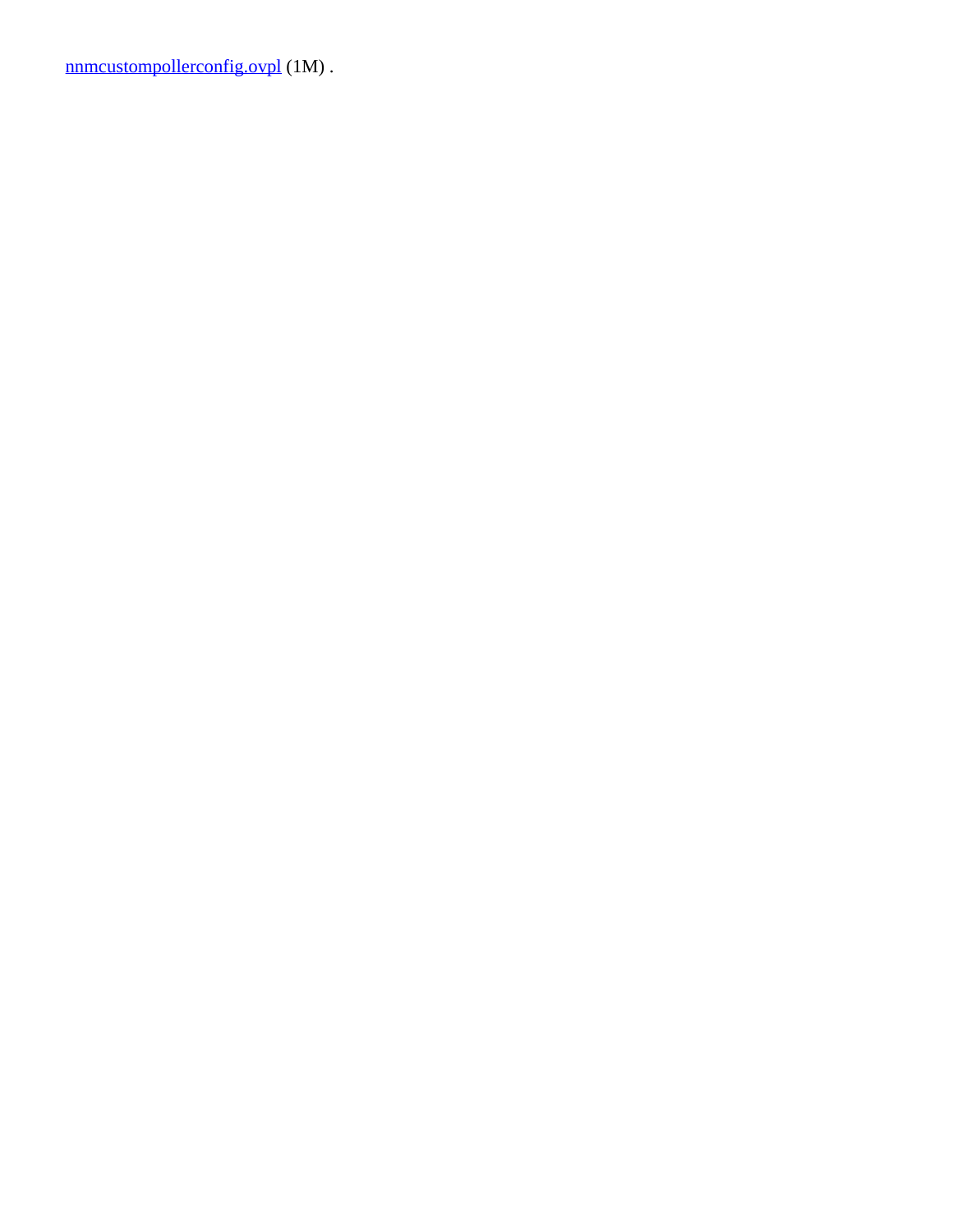[nnmcustompollerconfig.ovpl](#page-81-0) (1M) .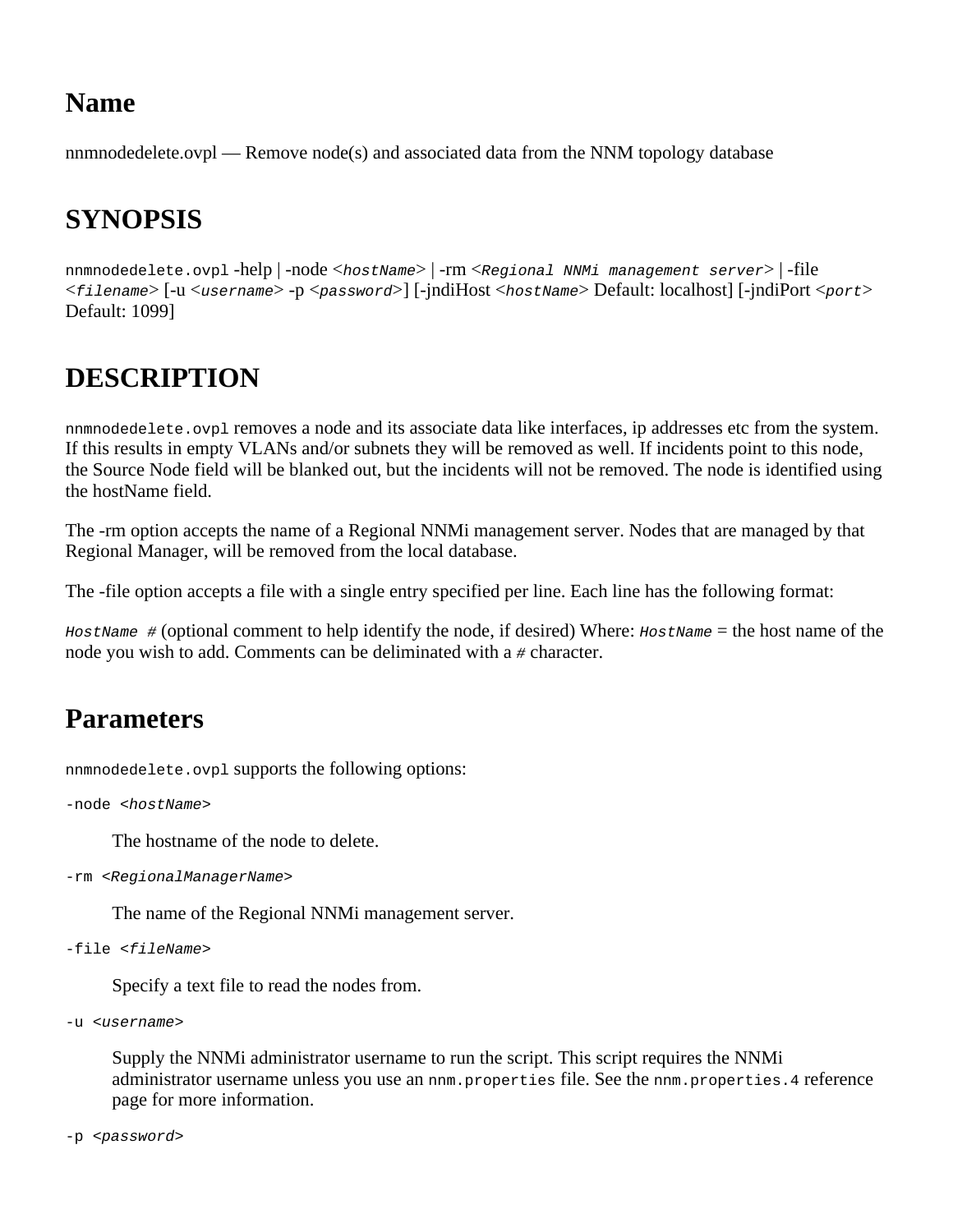## <span id="page-172-0"></span>**Name**

nnmnodedelete.ovpl — Remove node(s) and associated data from the NNM topology database

## **SYNOPSIS**

nnmnodedelete.ovpl -help | -node <*hostName*> | -rm <*Regional NNMi management server*> | -file <*filename*> [-u <*username*> -p <*password*>] [-jndiHost <*hostName*> Default: localhost] [-jndiPort <*port*> Default: 1099]

# **DESCRIPTION**

nnmnodedelete.ovpl removes a node and its associate data like interfaces, ip addresses etc from the system. If this results in empty VLANs and/or subnets they will be removed as well. If incidents point to this node, the Source Node field will be blanked out, but the incidents will not be removed. The node is identified using the hostName field.

The -rm option accepts the name of a Regional NNMi management server. Nodes that are managed by that Regional Manager, will be removed from the local database.

The -file option accepts a file with a single entry specified per line. Each line has the following format:

*HostName #* (optional comment to help identify the node, if desired) Where: *HostName* = the host name of the node you wish to add. Comments can be deliminated with a *#* character.

### **Parameters**

nnmnodedelete.ovpl supports the following options:

-node <*hostName*>

The hostname of the node to delete.

```
-rm <RegionalManagerName>
```
The name of the Regional NNMi management server.

-file <*fileName*>

Specify a text file to read the nodes from.

```
-u <username>
```
Supply the NNMi administrator username to run the script. This script requires the NNMi administrator username unless you use an nnm.properties file. See the nnm.properties.4 reference page for more information.

```
-p <password>
```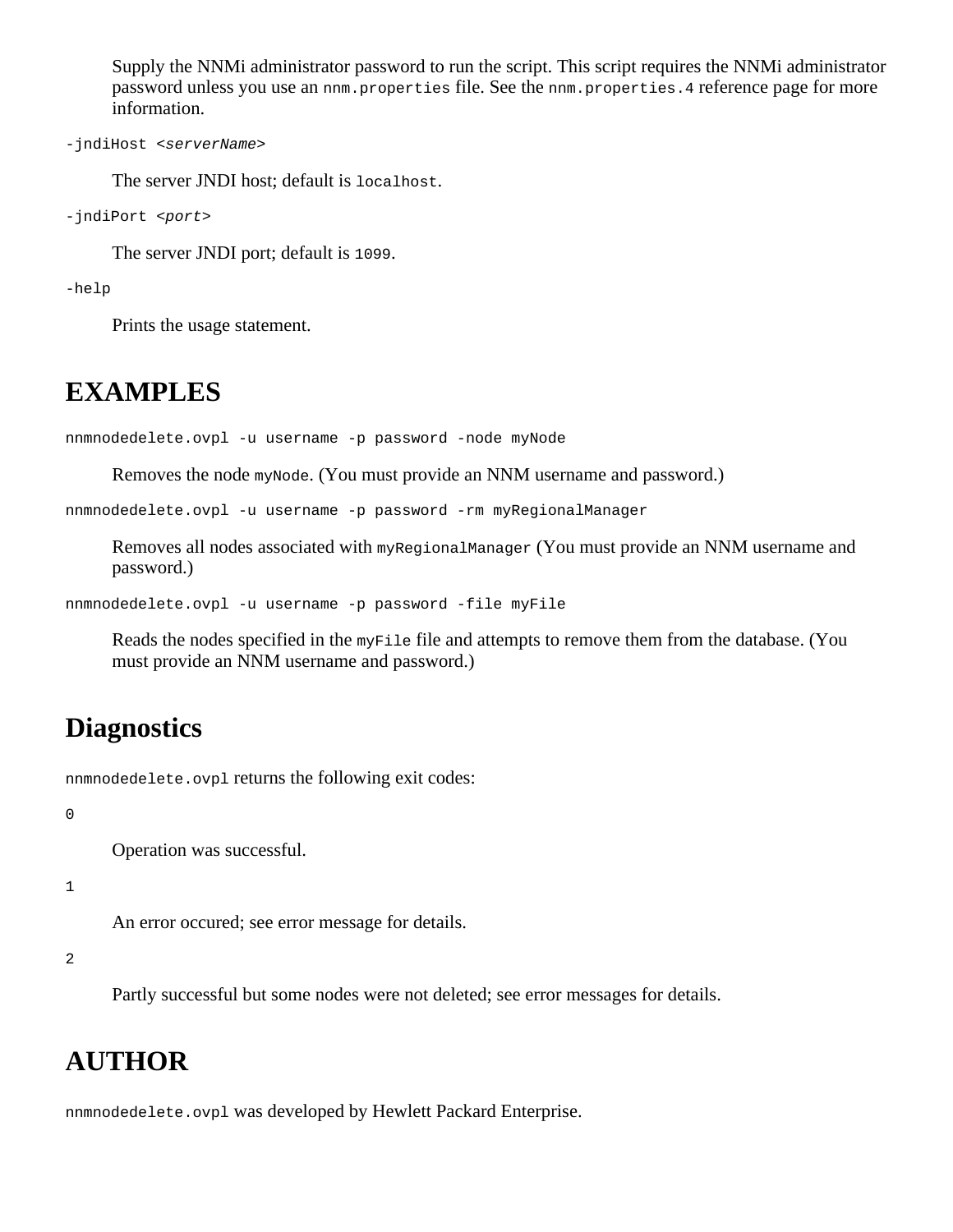Supply the NNMi administrator password to run the script. This script requires the NNMi administrator password unless you use an nnm.properties file. See the nnm.properties. 4 reference page for more information.

-jndiHost <*serverName*>

The server JNDI host; default is localhost.

-jndiPort <*port*>

The server JNDI port; default is 1099.

-help

Prints the usage statement.

#### **EXAMPLES**

nnmnodedelete.ovpl -u username -p password -node myNode

Removes the node myNode. (You must provide an NNM username and password.)

nnmnodedelete.ovpl -u username -p password -rm myRegionalManager

Removes all nodes associated with myRegionalManager (You must provide an NNM username and password.)

nnmnodedelete.ovpl -u username -p password -file myFile

Reads the nodes specified in the myFile file and attempts to remove them from the database. (You must provide an NNM username and password.)

#### **Diagnostics**

nnmnodedelete.ovpl returns the following exit codes:

0

Operation was successful.

1

An error occured; see error message for details.

2

Partly successful but some nodes were not deleted; see error messages for details.

#### **AUTHOR**

nnmnodedelete.ovpl was developed by Hewlett Packard Enterprise.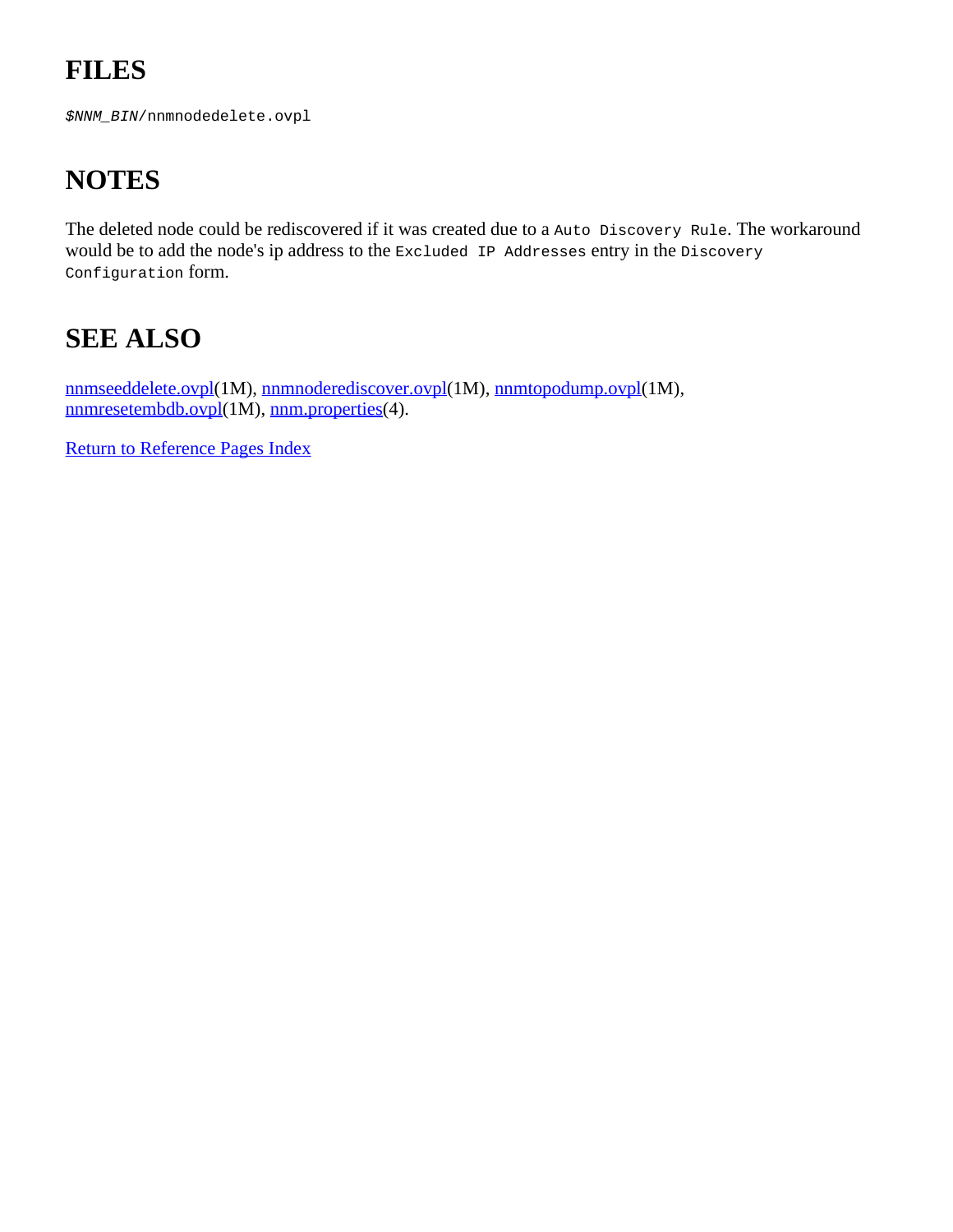# **FILES**

*\$NNM\_BIN*/nnmnodedelete.ovpl

# **NOTES**

The deleted node could be rediscovered if it was created due to a Auto Discovery Rule. The workaround would be to add the node's ip address to the Excluded IP Addresses entry in the Discovery Configuration form.

## **SEE ALSO**

[nnmseeddelete.ovpl](#page-260-0)(1M), [nnmnoderediscover.ovpl](#page-188-0)(1M), [nnmtopodump.ovpl](#page-287-0)(1M), [nnmresetembdb.ovpl\(](#page-239-0)1M), [nnm.properties](#page-212-0)(4).

[Return to Reference Pages Index](#page-2-0)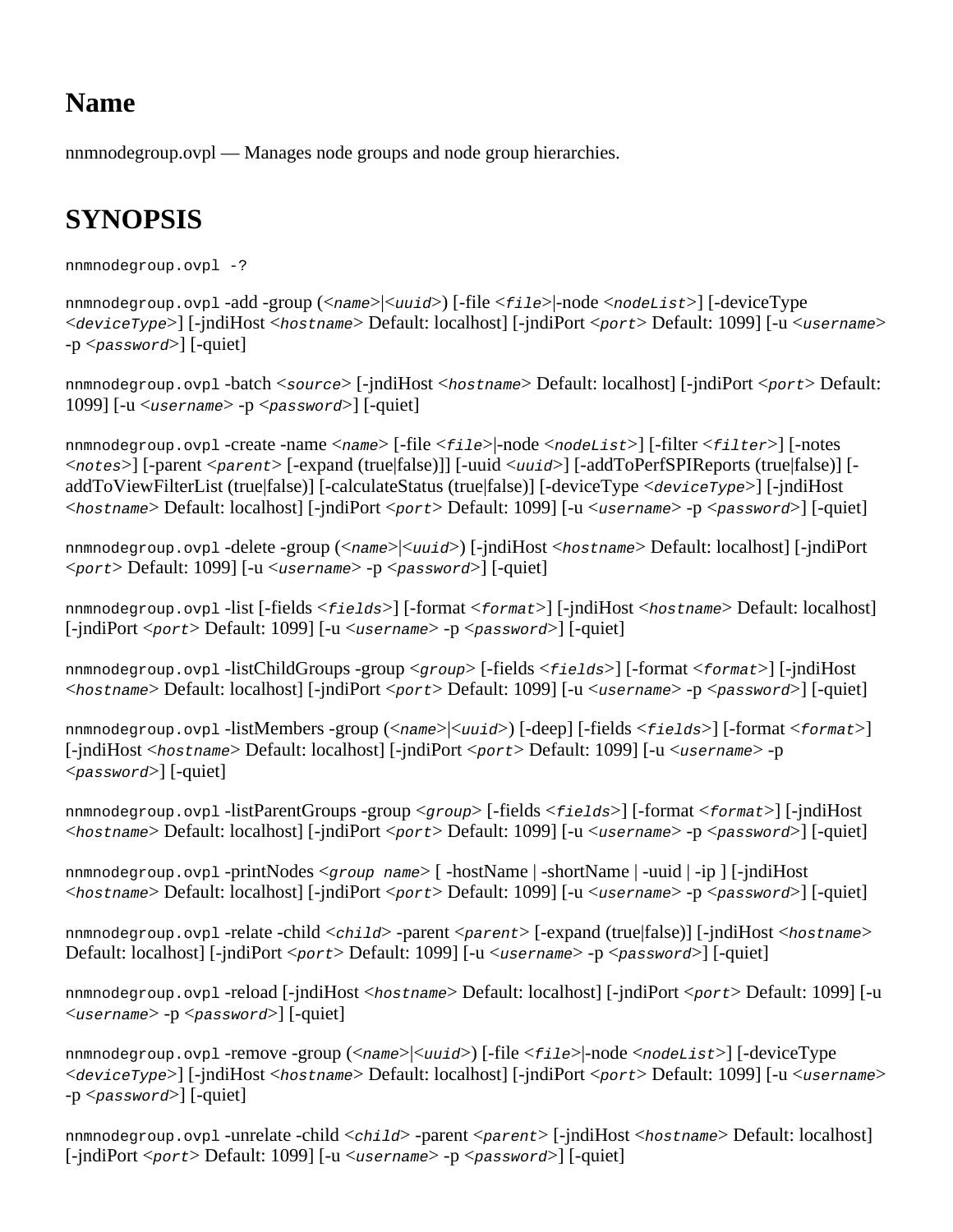## **Name**

nnmnodegroup.ovpl — Manages node groups and node group hierarchies.

# **SYNOPSIS**

```
nnmnodegroup.ovpl -?
```
nnmnodegroup.ovpl -add -group (<*name*>|<*uuid*>) [-file <*file*>|-node <*nodeList*>] [-deviceType <*deviceType*>] [-jndiHost <*hostname*> Default: localhost] [-jndiPort <*port*> Default: 1099] [-u <*username*> -p <*password*>] [-quiet]

nnmnodegroup.ovpl -batch <*source*> [-jndiHost <*hostname*> Default: localhost] [-jndiPort <*port*> Default: 1099] [-u <*username*> -p <*password*>] [-quiet]

nnmnodegroup.ovpl -create -name <*name*> [-file <*file*>|-node <*nodeList*>] [-filter <*filter*>] [-notes <*notes*>] [-parent <*parent*> [-expand (true|false)]] [-uuid <*uuid*>] [-addToPerfSPIReports (true|false)] [ addToViewFilterList (true|false)] [-calculateStatus (true|false)] [-deviceType <*deviceType*>] [-jndiHost <*hostname*> Default: localhost] [-jndiPort <*port*> Default: 1099] [-u <*username*> -p <*password*>] [-quiet]

nnmnodegroup.ovpl -delete -group (<*name*>|<*uuid*>) [-jndiHost <*hostname*> Default: localhost] [-jndiPort <*port*> Default: 1099] [-u <*username*> -p <*password*>] [-quiet]

nnmnodegroup.ovpl -list [-fields <*fields*>] [-format <*format*>] [-jndiHost <*hostname*> Default: localhost] [-jndiPort <*port*> Default: 1099] [-u <*username*> -p <*password*>] [-quiet]

nnmnodegroup.ovpl -listChildGroups -group <*group*> [-fields <*fields*>] [-format <*format*>] [-jndiHost <*hostname*> Default: localhost] [-jndiPort <*port*> Default: 1099] [-u <*username*> -p <*password*>] [-quiet]

nnmnodegroup.ovpl -listMembers -group (<*name*>|<*uuid*>) [-deep] [-fields <*fields*>] [-format <*format*>] [-jndiHost <*hostname*> Default: localhost] [-jndiPort <*port*> Default: 1099] [-u <*username*> -p <*password*>] [-quiet]

nnmnodegroup.ovpl -listParentGroups -group <*group*> [-fields <*fields*>] [-format <*format*>] [-jndiHost <*hostname*> Default: localhost] [-jndiPort <*port*> Default: 1099] [-u <*username*> -p <*password*>] [-quiet]

nnmnodegroup.ovpl -printNodes <*group name*> [ -hostName | -shortName | -uuid | -ip ] [-jndiHost <*hostname*> Default: localhost] [-jndiPort <*port*> Default: 1099] [-u <*username*> -p <*password*>] [-quiet]

nnmnodegroup.ovpl -relate -child <*child*> -parent <*parent*> [-expand (true|false)] [-jndiHost <*hostname*> Default: localhost] [-jndiPort <*port*> Default: 1099] [-u <*username*> -p <*password*>] [-quiet]

nnmnodegroup.ovpl -reload [-jndiHost <*hostname*> Default: localhost] [-jndiPort <*port*> Default: 1099] [-u <*username*> -p <*password*>] [-quiet]

nnmnodegroup.ovpl -remove -group (<*name*>|<*uuid*>) [-file <*file*>|-node <*nodeList*>] [-deviceType <*deviceType*>] [-jndiHost <*hostname*> Default: localhost] [-jndiPort <*port*> Default: 1099] [-u <*username*> -p <*password*>] [-quiet]

nnmnodegroup.ovpl -unrelate -child <*child*> -parent <*parent*> [-jndiHost <*hostname*> Default: localhost] [-jndiPort <*port*> Default: 1099] [-u <*username*> -p <*password*>] [-quiet]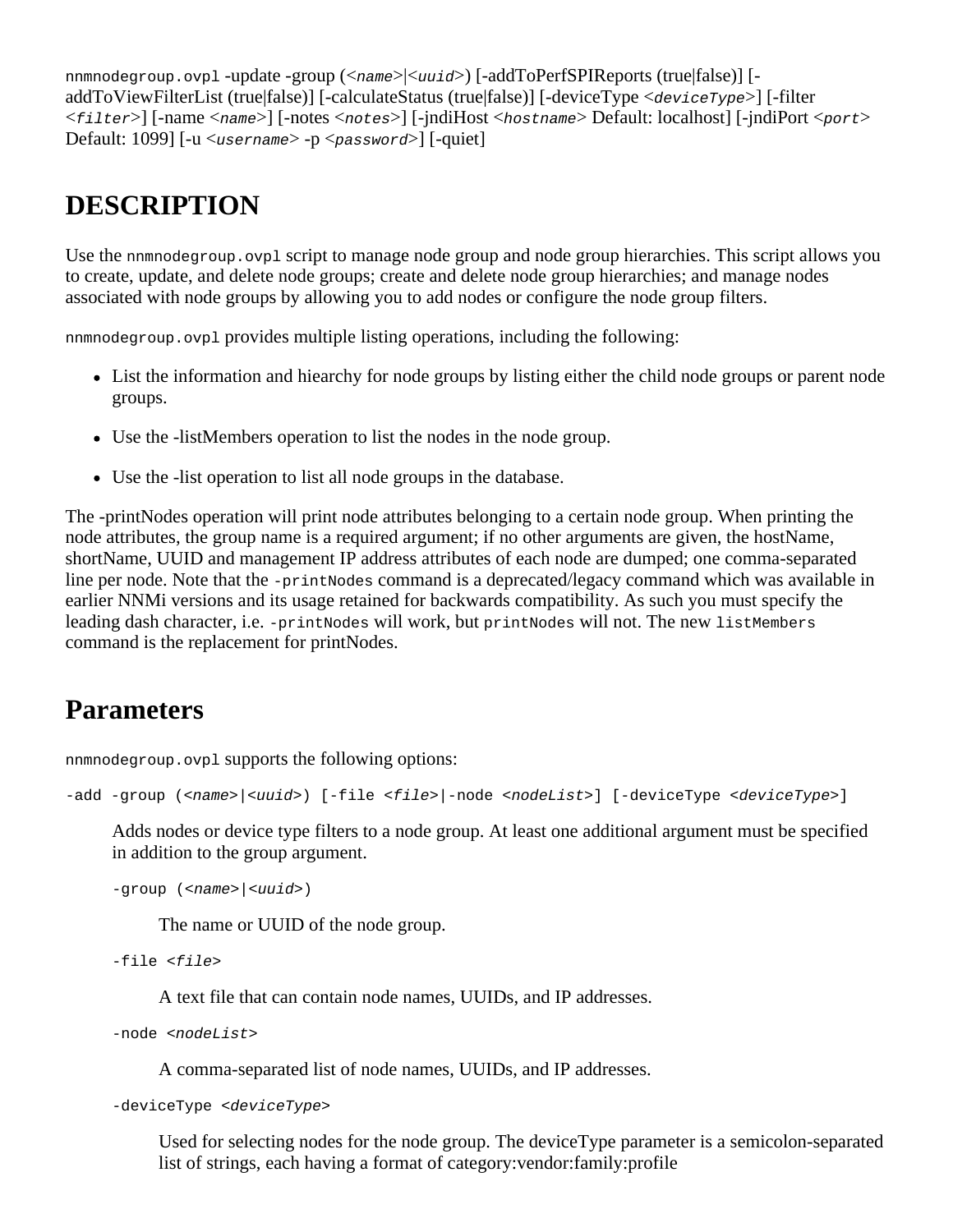nnmnodegroup.ovpl -update -group (<*name*>|<*uuid*>) [-addToPerfSPIReports (true|false)] [ addToViewFilterList (true|false)] [-calculateStatus (true|false)] [-deviceType <*deviceType*>] [-filter <*filter*>] [-name <*name*>] [-notes <*notes*>] [-jndiHost <*hostname*> Default: localhost] [-jndiPort <*port*> Default: 1099] [-u <*username*> -p <*password*>] [-quiet]

## **DESCRIPTION**

Use the nnmnodegroup.ovpl script to manage node group and node group hierarchies. This script allows you to create, update, and delete node groups; create and delete node group hierarchies; and manage nodes associated with node groups by allowing you to add nodes or configure the node group filters.

nnmnodegroup.ovpl provides multiple listing operations, including the following:

- List the information and hiearchy for node groups by listing either the child node groups or parent node groups.
- Use the -listMembers operation to list the nodes in the node group.
- Use the -list operation to list all node groups in the database.

The -printNodes operation will print node attributes belonging to a certain node group. When printing the node attributes, the group name is a required argument; if no other arguments are given, the hostName, shortName, UUID and management IP address attributes of each node are dumped; one comma-separated line per node. Note that the -printNodes command is a deprecated/legacy command which was available in earlier NNMi versions and its usage retained for backwards compatibility. As such you must specify the leading dash character, i.e. -printNodes will work, but printNodes will not. The new listMembers command is the replacement for printNodes.

#### **Parameters**

nnmnodegroup.ovpl supports the following options:

```
-add -group (<name>|<uuid>) [-file <file>|-node <nodeList>] [-deviceType <deviceType>]
```
Adds nodes or device type filters to a node group. At least one additional argument must be specified in addition to the group argument.

```
-group (<name>|<uuid>)
```
The name or UUID of the node group.

-file <*file*>

A text file that can contain node names, UUIDs, and IP addresses.

-node <*nodeList*>

A comma-separated list of node names, UUIDs, and IP addresses.

-deviceType <*deviceType*>

Used for selecting nodes for the node group. The deviceType parameter is a semicolon-separated list of strings, each having a format of category:vendor:family:profile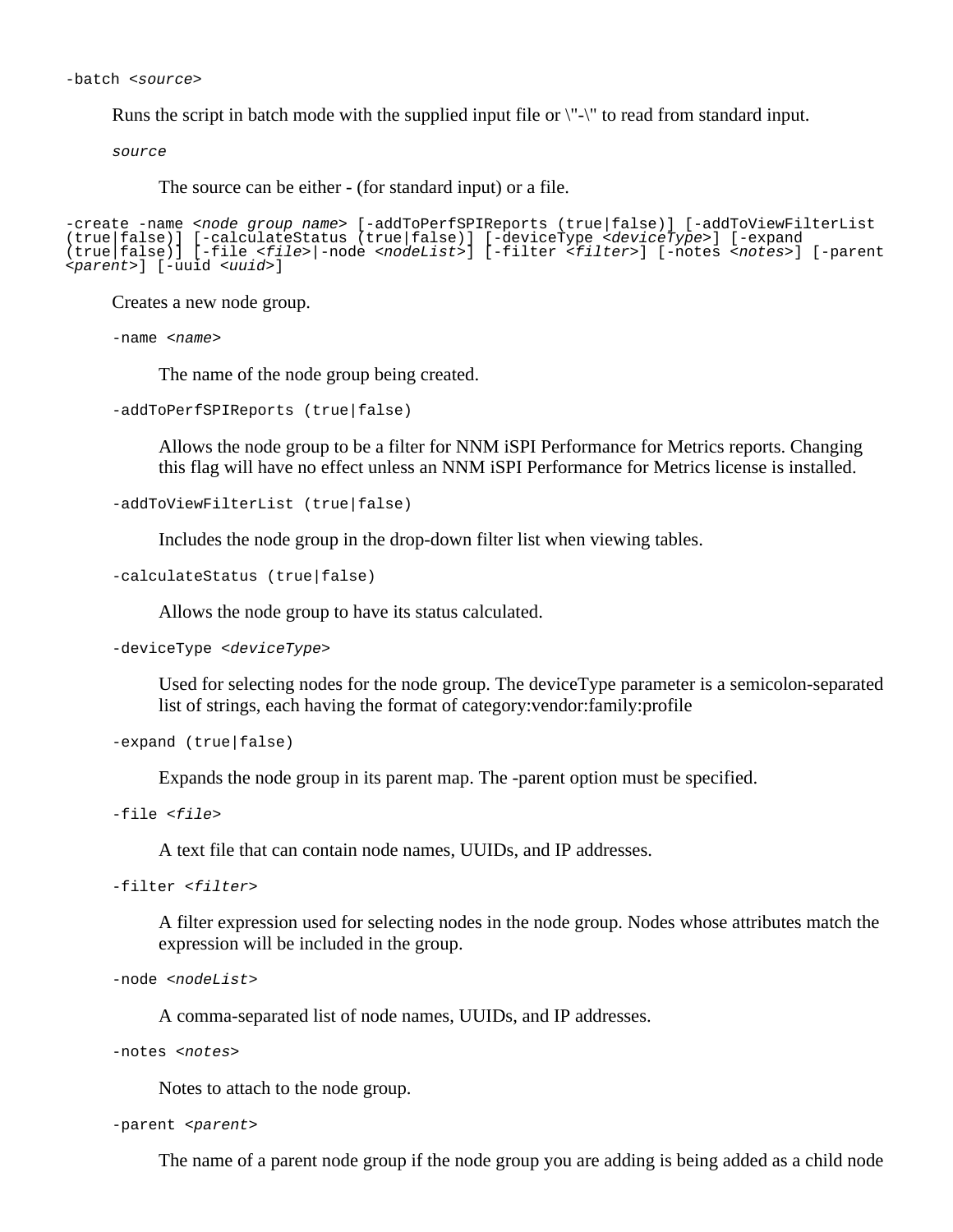Runs the script in batch mode with the supplied input file or \"-\" to read from standard input.

*source*

The source can be either - (for standard input) or a file.

```
-create -name <node group name> [-addToPerfSPIReports (true|false)] [-addToViewFilterList
(true|false)] [-calculateStatus (true|false)] [-deviceType <deviceType>] [-expand
(true|false)] [-file <file>|-node <nodeList>] [-filter <filter>] [-notes <notes>] [-parent <parent>] [-uuid <uuid>]
```
Creates a new node group.

-name <*name*>

The name of the node group being created.

```
-addToPerfSPIReports (true|false)
```
Allows the node group to be a filter for NNM iSPI Performance for Metrics reports. Changing this flag will have no effect unless an NNM iSPI Performance for Metrics license is installed.

```
-addToViewFilterList (true|false)
```
Includes the node group in the drop-down filter list when viewing tables.

```
-calculateStatus (true|false)
```
Allows the node group to have its status calculated.

```
-deviceType <deviceType>
```
Used for selecting nodes for the node group. The deviceType parameter is a semicolon-separated list of strings, each having the format of category:vendor:family:profile

```
-expand (true|false)
```
Expands the node group in its parent map. The -parent option must be specified.

-file <*file*>

A text file that can contain node names, UUIDs, and IP addresses.

-filter <*filter*>

A filter expression used for selecting nodes in the node group. Nodes whose attributes match the expression will be included in the group.

```
-node <nodeList>
```
A comma-separated list of node names, UUIDs, and IP addresses.

-notes <*notes*>

Notes to attach to the node group.

-parent <*parent*>

The name of a parent node group if the node group you are adding is being added as a child node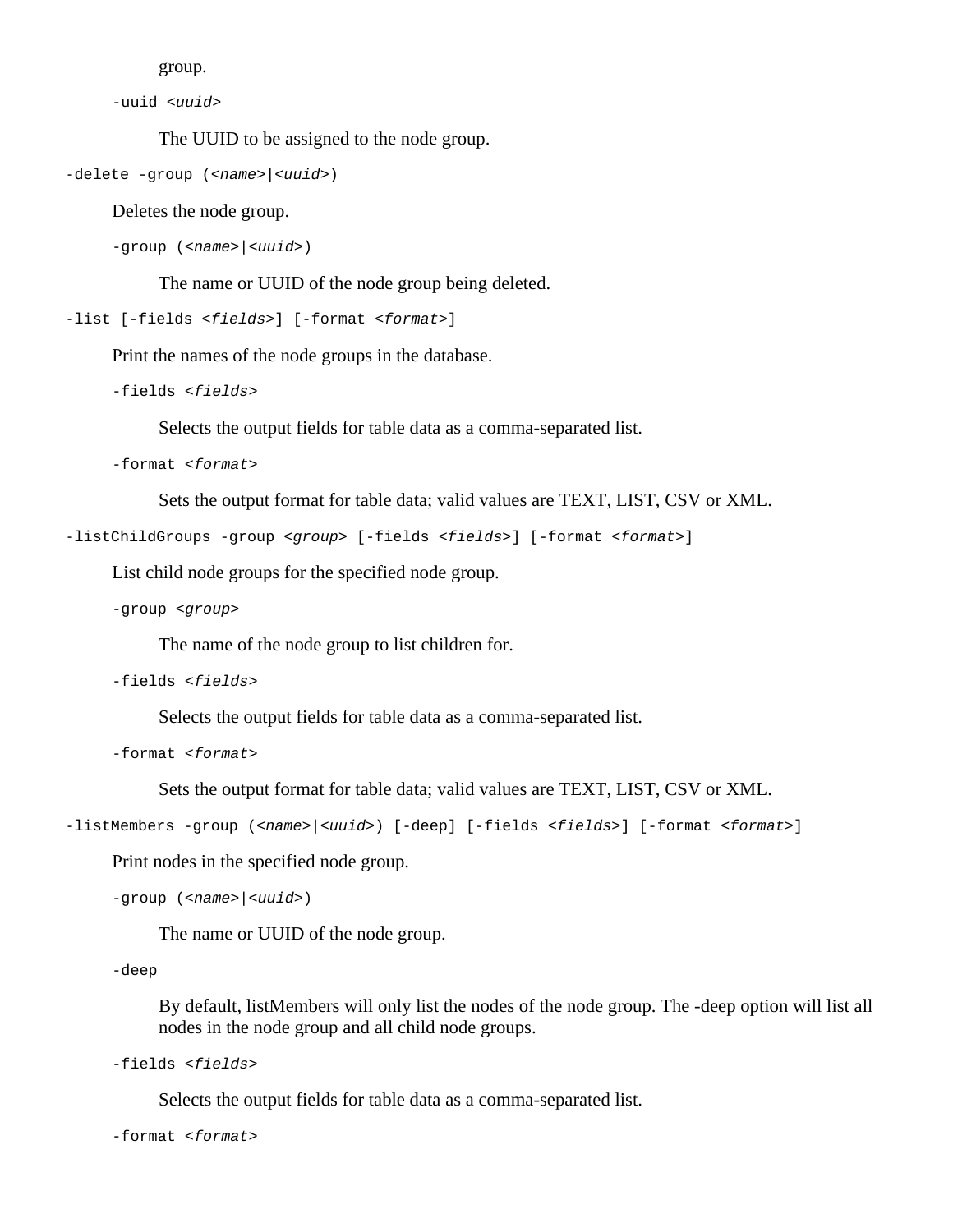#### group.

-uuid <*uuid*>

The UUID to be assigned to the node group.

```
-delete -group (<name>|<uuid>)
```
Deletes the node group.

```
-group (<name>|<uuid>)
```
The name or UUID of the node group being deleted.

-list [-fields <*fields*>] [-format <*format*>]

Print the names of the node groups in the database.

-fields <*fields*>

Selects the output fields for table data as a comma-separated list.

-format <*format*>

Sets the output format for table data; valid values are TEXT, LIST, CSV or XML.

-listChildGroups -group <*group*> [-fields <*fields*>] [-format <*format*>]

List child node groups for the specified node group.

-group <*group*>

The name of the node group to list children for.

-fields <*fields*>

Selects the output fields for table data as a comma-separated list.

-format <*format*>

Sets the output format for table data; valid values are TEXT, LIST, CSV or XML.

```
-listMembers -group (<name>|<uuid>) [-deep] [-fields <fields>] [-format <format>]
```
Print nodes in the specified node group.

-group (<*name*>|<*uuid*>)

The name or UUID of the node group.

-deep

By default, listMembers will only list the nodes of the node group. The -deep option will list all nodes in the node group and all child node groups.

```
-fields <fields>
```
Selects the output fields for table data as a comma-separated list.

-format <*format*>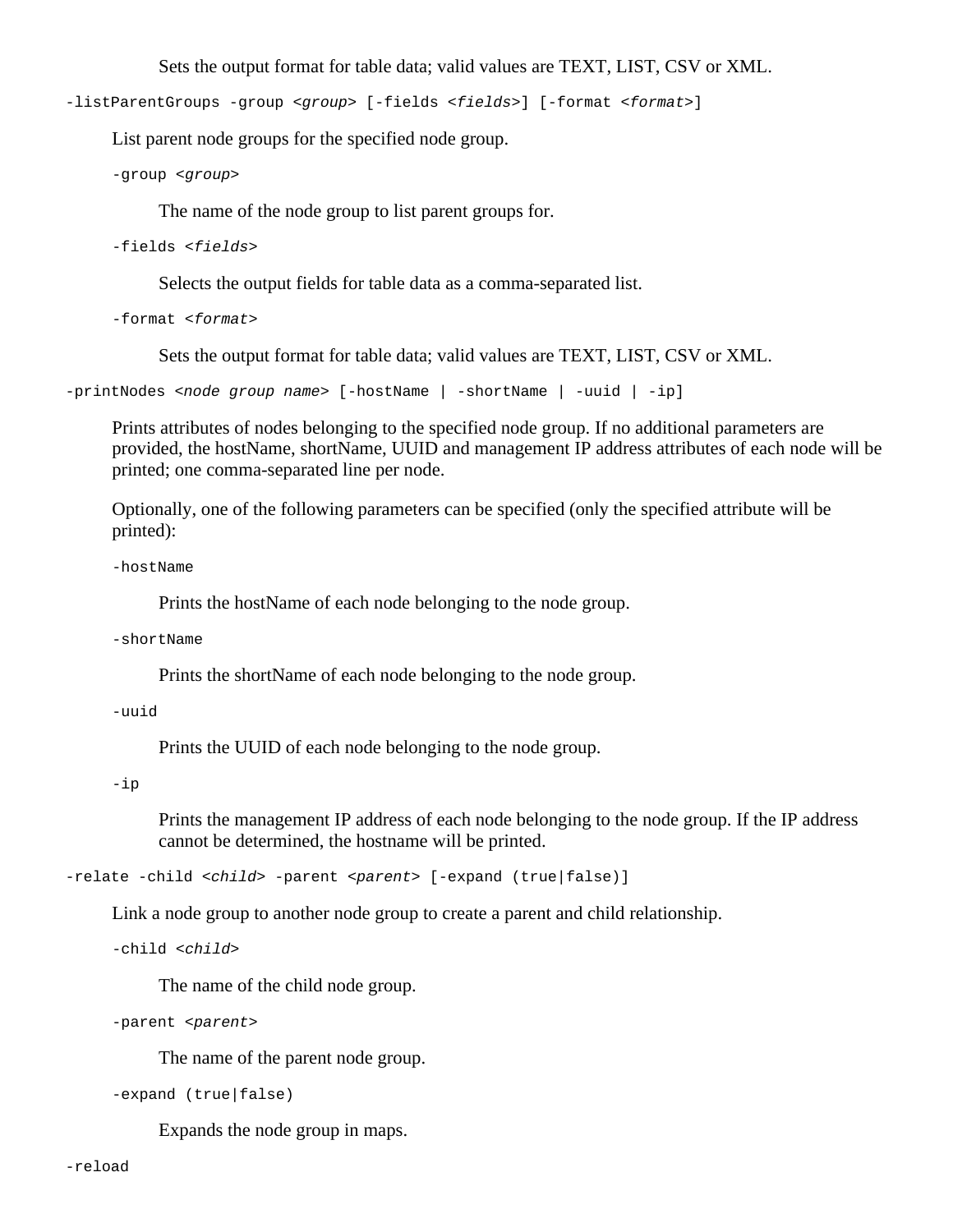Sets the output format for table data; valid values are TEXT, LIST, CSV or XML.

-listParentGroups -group <*group*> [-fields <*fields*>] [-format <*format*>]

List parent node groups for the specified node group.

-group <*group*>

The name of the node group to list parent groups for.

-fields <*fields*>

Selects the output fields for table data as a comma-separated list.

-format <*format*>

Sets the output format for table data; valid values are TEXT, LIST, CSV or XML.

```
-printNodes <node group name> [-hostName | -shortName | -uuid | -ip]
```
Prints attributes of nodes belonging to the specified node group. If no additional parameters are provided, the hostName, shortName, UUID and management IP address attributes of each node will be printed; one comma-separated line per node.

Optionally, one of the following parameters can be specified (only the specified attribute will be printed):

-hostName

Prints the hostName of each node belonging to the node group.

-shortName

Prints the shortName of each node belonging to the node group.

-uuid

Prints the UUID of each node belonging to the node group.

-ip

Prints the management IP address of each node belonging to the node group. If the IP address cannot be determined, the hostname will be printed.

```
-relate -child <child> -parent <parent> [-expand (true|false)]
```
Link a node group to another node group to create a parent and child relationship.

-child <*child*>

The name of the child node group.

-parent <*parent*>

The name of the parent node group.

-expand (true|false)

Expands the node group in maps.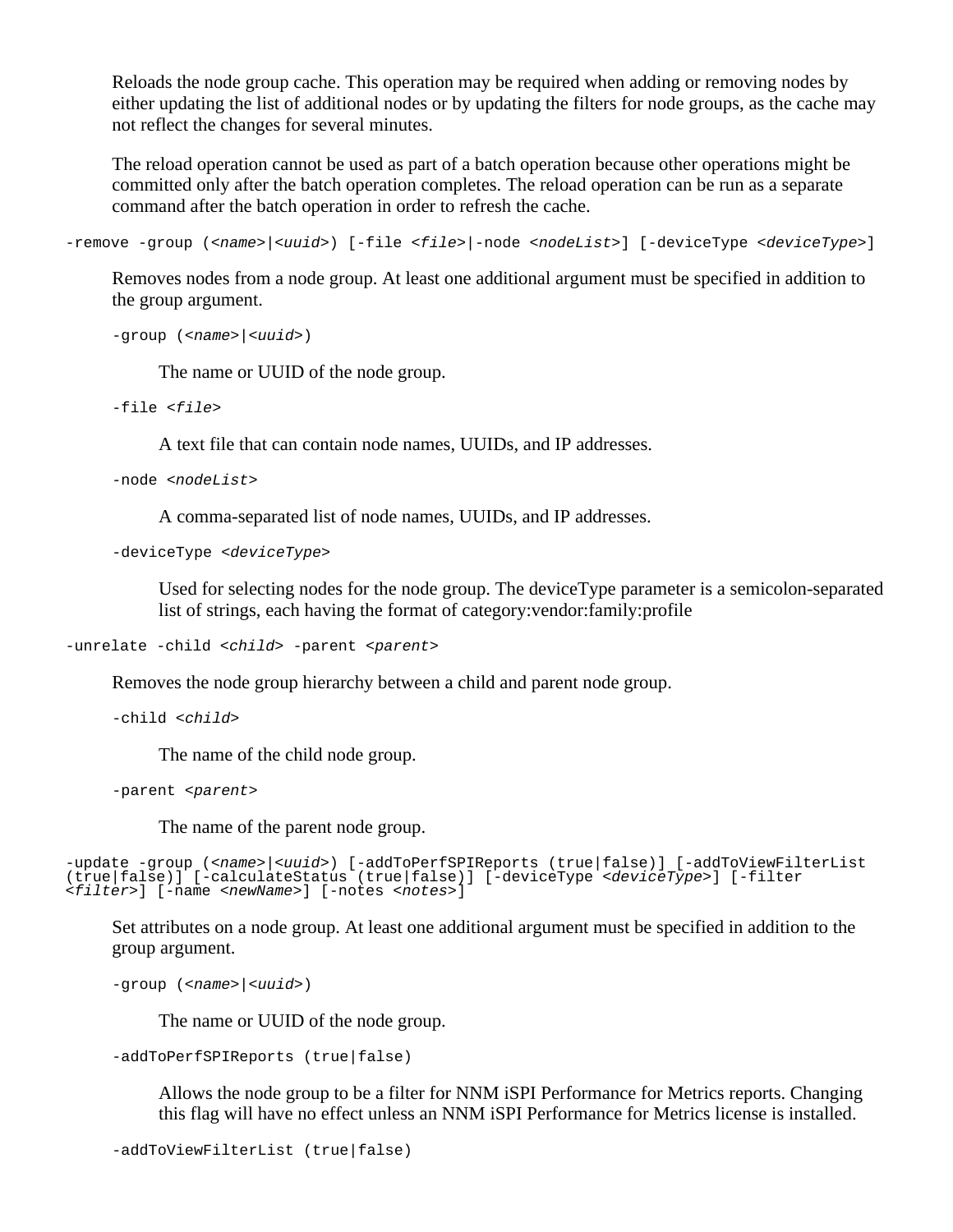Reloads the node group cache. This operation may be required when adding or removing nodes by either updating the list of additional nodes or by updating the filters for node groups, as the cache may not reflect the changes for several minutes.

The reload operation cannot be used as part of a batch operation because other operations might be committed only after the batch operation completes. The reload operation can be run as a separate command after the batch operation in order to refresh the cache.

```
-remove -group (<name>|<uuid>) [-file <file>|-node <nodeList>] [-deviceType <deviceType>]
```
Removes nodes from a node group. At least one additional argument must be specified in addition to the group argument.

```
-group (<name>|<uuid>)
```
The name or UUID of the node group.

```
-file <file>
```
A text file that can contain node names, UUIDs, and IP addresses.

```
-node <nodeList>
```
A comma-separated list of node names, UUIDs, and IP addresses.

-deviceType <*deviceType*>

Used for selecting nodes for the node group. The deviceType parameter is a semicolon-separated list of strings, each having the format of category:vendor:family:profile

```
-unrelate -child <child> -parent <parent>
```
Removes the node group hierarchy between a child and parent node group.

```
-child <child>
```
The name of the child node group.

-parent <*parent*>

The name of the parent node group.

```
-update -group (<name>|<uuid>) [-addToPerfSPIReports (true|false)] [-addToViewFilterList
(true|false)] [-calculateStatus (true|false)] [-deviceType <deviceType>] [-filter <filter>] [-name <newName>] [-notes <notes>]
```
Set attributes on a node group. At least one additional argument must be specified in addition to the group argument.

```
-group (<name>|<uuid>)
```
The name or UUID of the node group.

-addToPerfSPIReports (true|false)

Allows the node group to be a filter for NNM iSPI Performance for Metrics reports. Changing this flag will have no effect unless an NNM iSPI Performance for Metrics license is installed.

```
-addToViewFilterList (true|false)
```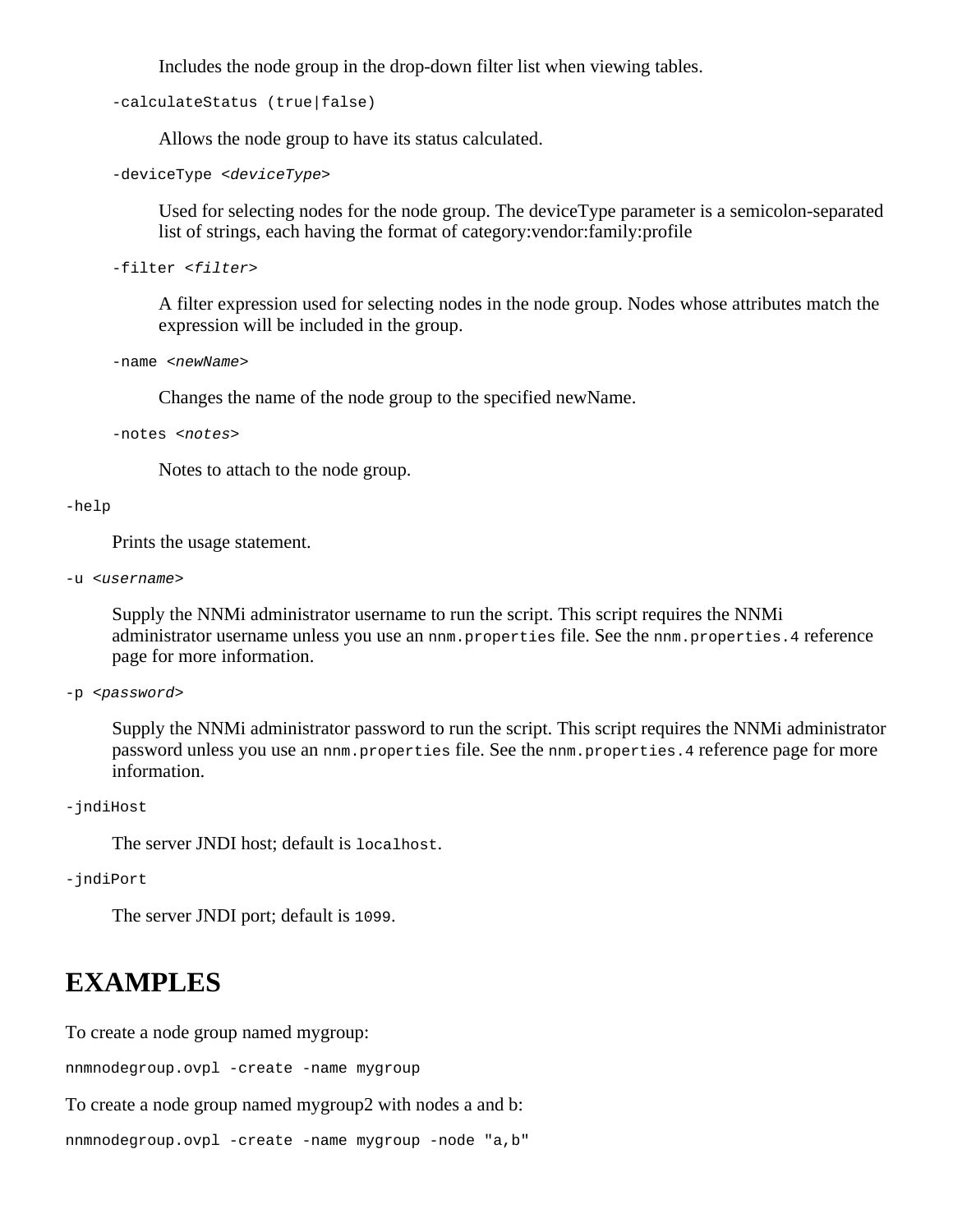Includes the node group in the drop-down filter list when viewing tables.

-calculateStatus (true|false)

Allows the node group to have its status calculated.

-deviceType <*deviceType*>

Used for selecting nodes for the node group. The deviceType parameter is a semicolon-separated list of strings, each having the format of category:vendor:family:profile

```
-filter <filter>
```
A filter expression used for selecting nodes in the node group. Nodes whose attributes match the expression will be included in the group.

```
-name <newName>
```
Changes the name of the node group to the specified newName.

-notes <*notes*>

Notes to attach to the node group.

#### -help

Prints the usage statement.

```
-u <username>
```
Supply the NNMi administrator username to run the script. This script requires the NNMi administrator username unless you use an nnm.properties file. See the nnm.properties.4 reference page for more information.

```
-p <password>
```
Supply the NNMi administrator password to run the script. This script requires the NNMi administrator password unless you use an nnm.properties file. See the nnm.properties. 4 reference page for more information.

-jndiHost

The server JNDI host; default is localhost.

-jndiPort

The server JNDI port; default is 1099.

#### **EXAMPLES**

To create a node group named mygroup:

nnmnodegroup.ovpl -create -name mygroup

To create a node group named mygroup2 with nodes a and b:

nnmnodegroup.ovpl -create -name mygroup -node "a,b"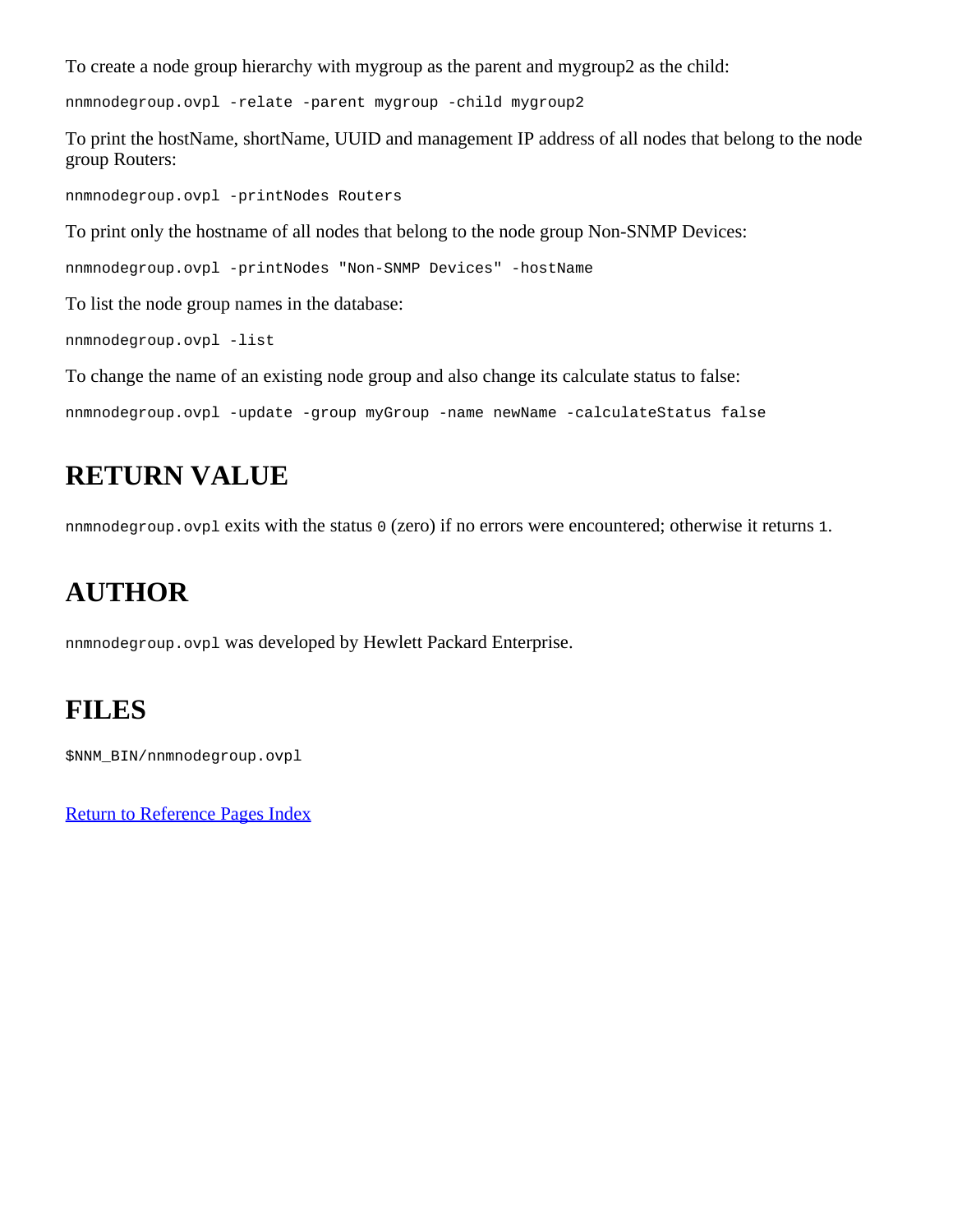To create a node group hierarchy with mygroup as the parent and mygroup2 as the child:

nnmnodegroup.ovpl -relate -parent mygroup -child mygroup2

To print the hostName, shortName, UUID and management IP address of all nodes that belong to the node group Routers:

nnmnodegroup.ovpl -printNodes Routers To print only the hostname of all nodes that belong to the node group Non-SNMP Devices: nnmnodegroup.ovpl -printNodes "Non-SNMP Devices" -hostName To list the node group names in the database: nnmnodegroup.ovpl -list To change the name of an existing node group and also change its calculate status to false:

nnmnodegroup.ovpl -update -group myGroup -name newName -calculateStatus false

### **RETURN VALUE**

nnmnodegroup.ovpl exits with the status 0 (zero) if no errors were encountered; otherwise it returns 1.

#### **AUTHOR**

nnmnodegroup.ovpl was developed by Hewlett Packard Enterprise.

#### **FILES**

\$NNM\_BIN/nnmnodegroup.ovpl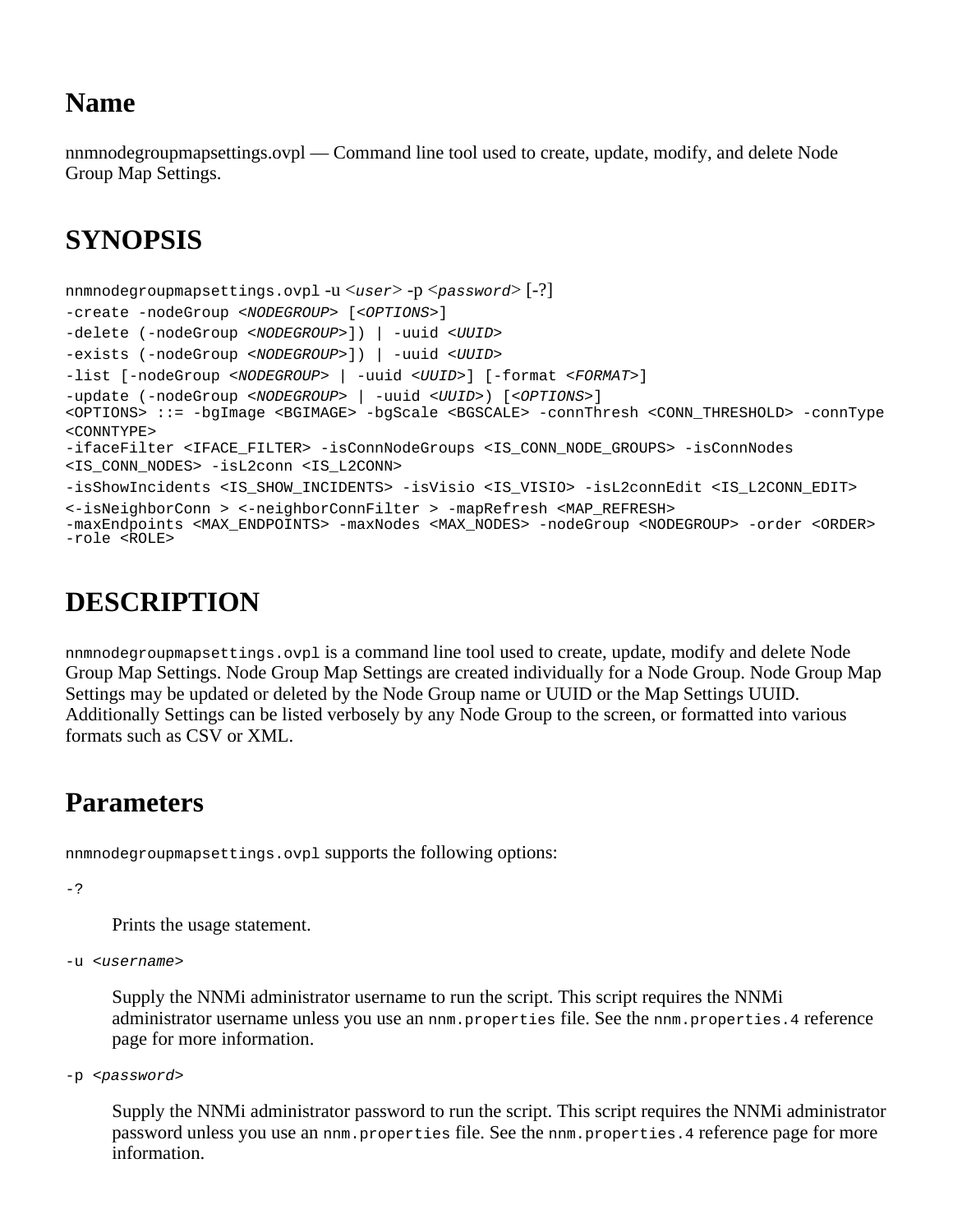nnmnodegroupmapsettings.ovpl — Command line tool used to create, update, modify, and delete Node Group Map Settings.

## **SYNOPSIS**

```
nnmnodegroupmapsettings.ovpl -u <user> -p <password> [-?] 
-create -nodeGroup <NODEGROUP> [<OPTIONS>]
-delete (-nodeGroup <NODEGROUP>]) | -uuid <UUID>
-exists (-nodeGroup <NODEGROUP>]) | -uuid <UUID>
-list [-nodeGroup <NODEGROUP> | -uuid <UUID>] [-format <FORMAT>]
-update (-nodeGroup <NODEGROUP> | -uuid <UUID>) [<OPTIONS>]
<OPTIONS> ::= -bgImage <BGIMAGE> -bgScale <BGSCALE> -connThresh <CONN_THRESHOLD> -connType
<CONNTYPE>
-ifaceFilter <IFACE_FILTER> -isConnNodeGroups <IS_CONN_NODE_GROUPS> -isConnNodes
<IS_CONN_NODES> -isL2conn <IS_L2CONN>
-isShowIncidents <IS_SHOW_INCIDENTS> -isVisio <IS_VISIO> -isL2connEdit <IS_L2CONN_EDIT>
<-isNeighborConn > <-neighborConnFilter > -mapRefresh <MAP_REFRESH>
-maxEndpoints <MAX_ENDPOINTS> -maxNodes <MAX_NODES> -nodeGroup <NODEGROUP> -order <ORDER>
-role <ROLE>
```
## **DESCRIPTION**

nnmnodegroupmapsettings.ovpl is a command line tool used to create, update, modify and delete Node Group Map Settings. Node Group Map Settings are created individually for a Node Group. Node Group Map Settings may be updated or deleted by the Node Group name or UUID or the Map Settings UUID. Additionally Settings can be listed verbosely by any Node Group to the screen, or formatted into various formats such as CSV or XML.

#### **Parameters**

nnmnodegroupmapsettings.ovpl supports the following options:

-?

Prints the usage statement.

```
-u <username>
```
Supply the NNMi administrator username to run the script. This script requires the NNMi administrator username unless you use an nnm.properties file. See the nnm.properties. 4 reference page for more information.

```
-p <password>
```
Supply the NNMi administrator password to run the script. This script requires the NNMi administrator password unless you use an nnm.properties file. See the nnm.properties.4 reference page for more information.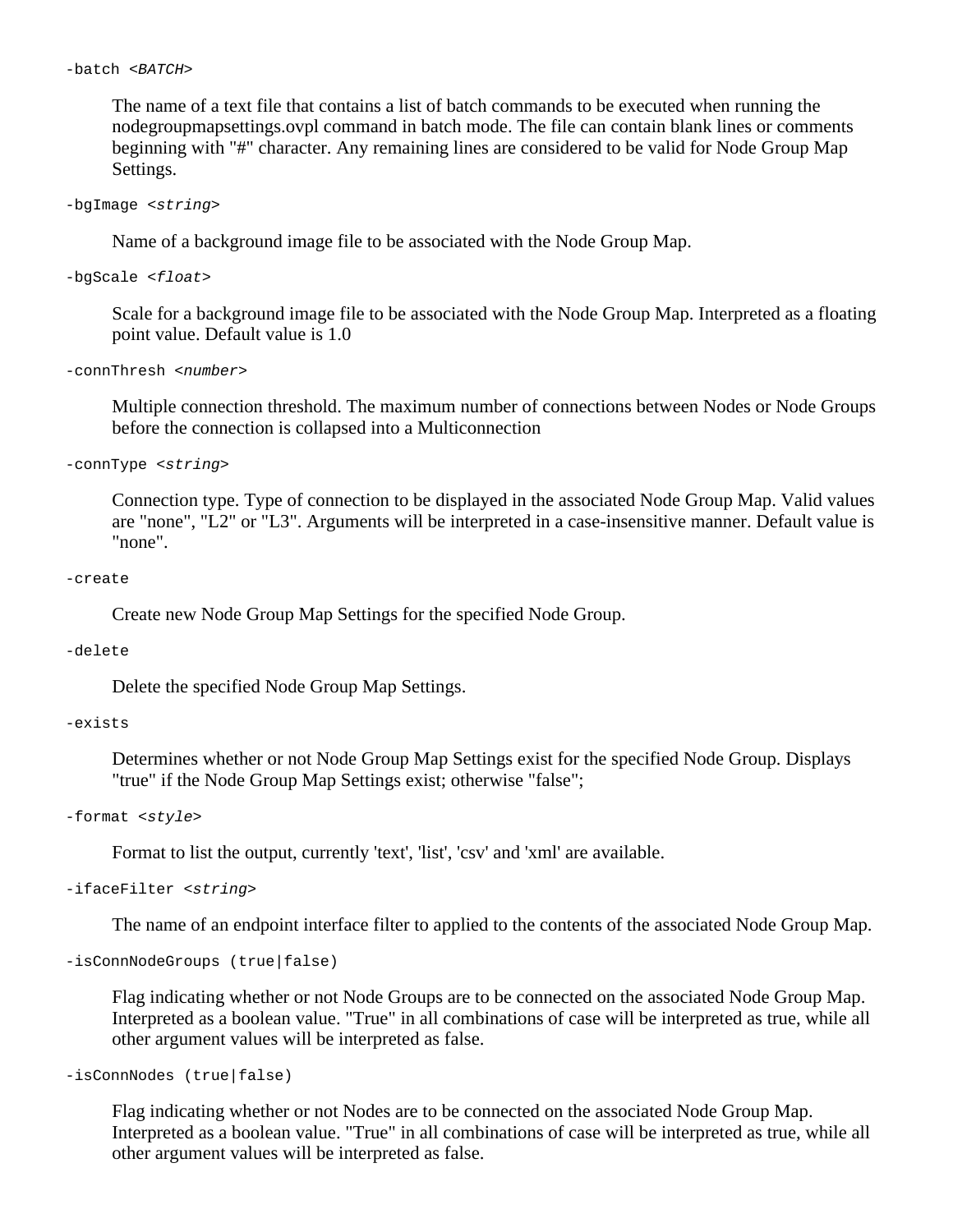#### -batch <*BATCH*>

The name of a text file that contains a list of batch commands to be executed when running the nodegroupmapsettings.ovpl command in batch mode. The file can contain blank lines or comments beginning with "#" character. Any remaining lines are considered to be valid for Node Group Map Settings.

```
-bgImage <string>
```
Name of a background image file to be associated with the Node Group Map.

```
-bgScale <float>
```
Scale for a background image file to be associated with the Node Group Map. Interpreted as a floating point value. Default value is 1.0

```
-connThresh <number>
```
Multiple connection threshold. The maximum number of connections between Nodes or Node Groups before the connection is collapsed into a Multiconnection

-connType <*string*>

Connection type. Type of connection to be displayed in the associated Node Group Map. Valid values are "none", "L2" or "L3". Arguments will be interpreted in a case-insensitive manner. Default value is "none".

```
-create
```
Create new Node Group Map Settings for the specified Node Group.

#### -delete

Delete the specified Node Group Map Settings.

#### -exists

Determines whether or not Node Group Map Settings exist for the specified Node Group. Displays "true" if the Node Group Map Settings exist; otherwise "false";

-format <*style*>

Format to list the output, currently 'text', 'list', 'csv' and 'xml' are available.

-ifaceFilter <*string*>

The name of an endpoint interface filter to applied to the contents of the associated Node Group Map.

```
-isConnNodeGroups (true|false)
```
Flag indicating whether or not Node Groups are to be connected on the associated Node Group Map. Interpreted as a boolean value. "True" in all combinations of case will be interpreted as true, while all other argument values will be interpreted as false.

```
-isConnNodes (true|false)
```
Flag indicating whether or not Nodes are to be connected on the associated Node Group Map. Interpreted as a boolean value. "True" in all combinations of case will be interpreted as true, while all other argument values will be interpreted as false.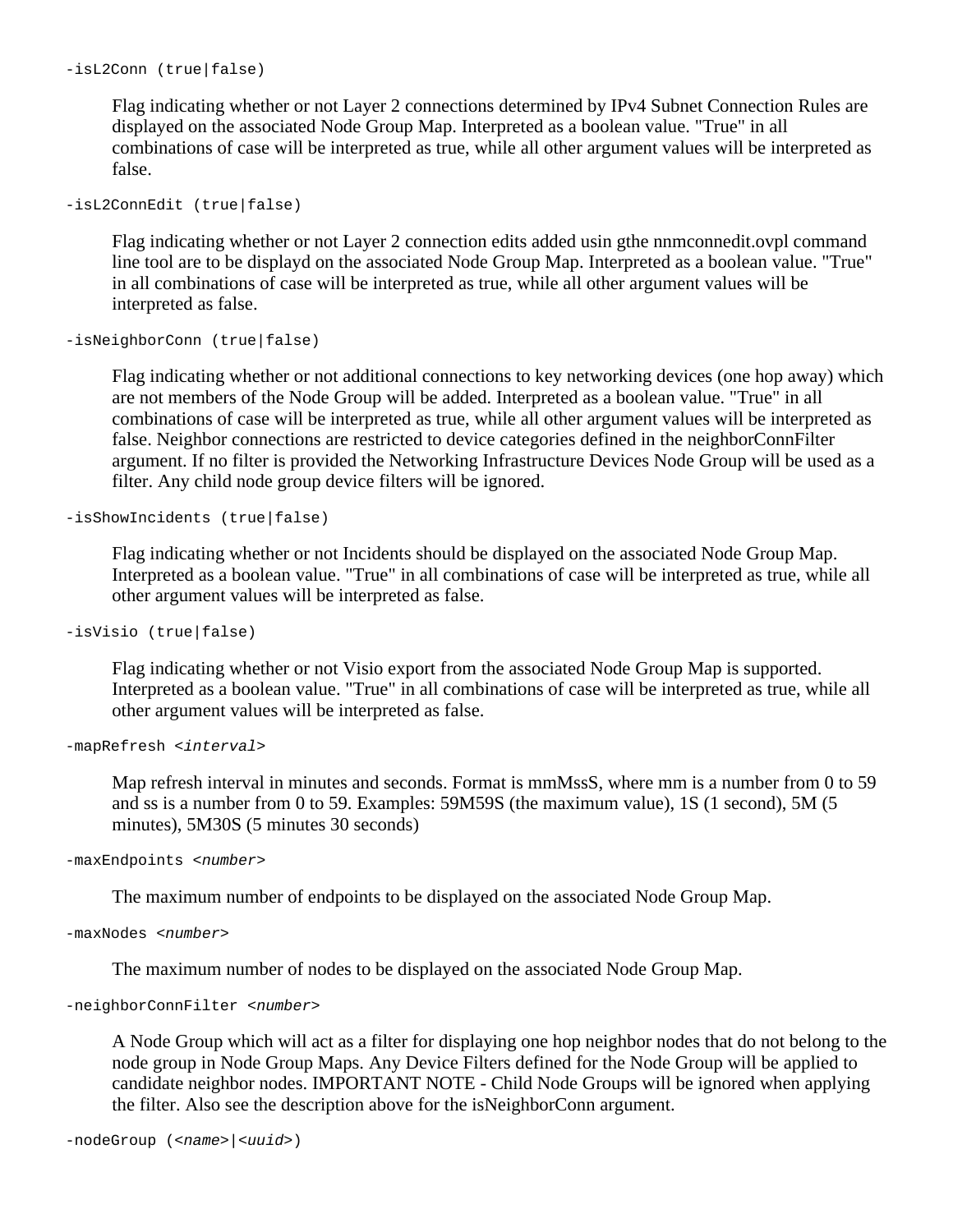Flag indicating whether or not Layer 2 connections determined by IPv4 Subnet Connection Rules are displayed on the associated Node Group Map. Interpreted as a boolean value. "True" in all combinations of case will be interpreted as true, while all other argument values will be interpreted as false.

-isL2ConnEdit (true|false)

Flag indicating whether or not Layer 2 connection edits added usin gthe nnmconnedit.ovpl command line tool are to be displayd on the associated Node Group Map. Interpreted as a boolean value. "True" in all combinations of case will be interpreted as true, while all other argument values will be interpreted as false.

-isNeighborConn (true|false)

Flag indicating whether or not additional connections to key networking devices (one hop away) which are not members of the Node Group will be added. Interpreted as a boolean value. "True" in all combinations of case will be interpreted as true, while all other argument values will be interpreted as false. Neighbor connections are restricted to device categories defined in the neighborConnFilter argument. If no filter is provided the Networking Infrastructure Devices Node Group will be used as a filter. Any child node group device filters will be ignored.

-isShowIncidents (true|false)

Flag indicating whether or not Incidents should be displayed on the associated Node Group Map. Interpreted as a boolean value. "True" in all combinations of case will be interpreted as true, while all other argument values will be interpreted as false.

-isVisio (true|false)

Flag indicating whether or not Visio export from the associated Node Group Map is supported. Interpreted as a boolean value. "True" in all combinations of case will be interpreted as true, while all other argument values will be interpreted as false.

-mapRefresh <*interval*>

Map refresh interval in minutes and seconds. Format is mmMssS, where mm is a number from 0 to 59 and ss is a number from 0 to 59. Examples: 59M59S (the maximum value), 1S (1 second), 5M (5 minutes), 5M30S (5 minutes 30 seconds)

-maxEndpoints <*number*>

The maximum number of endpoints to be displayed on the associated Node Group Map.

-maxNodes <*number*>

The maximum number of nodes to be displayed on the associated Node Group Map.

-neighborConnFilter <*number*>

A Node Group which will act as a filter for displaying one hop neighbor nodes that do not belong to the node group in Node Group Maps. Any Device Filters defined for the Node Group will be applied to candidate neighbor nodes. IMPORTANT NOTE - Child Node Groups will be ignored when applying the filter. Also see the description above for the isNeighborConn argument.

```
-nodeGroup (<name>|<uuid>)
```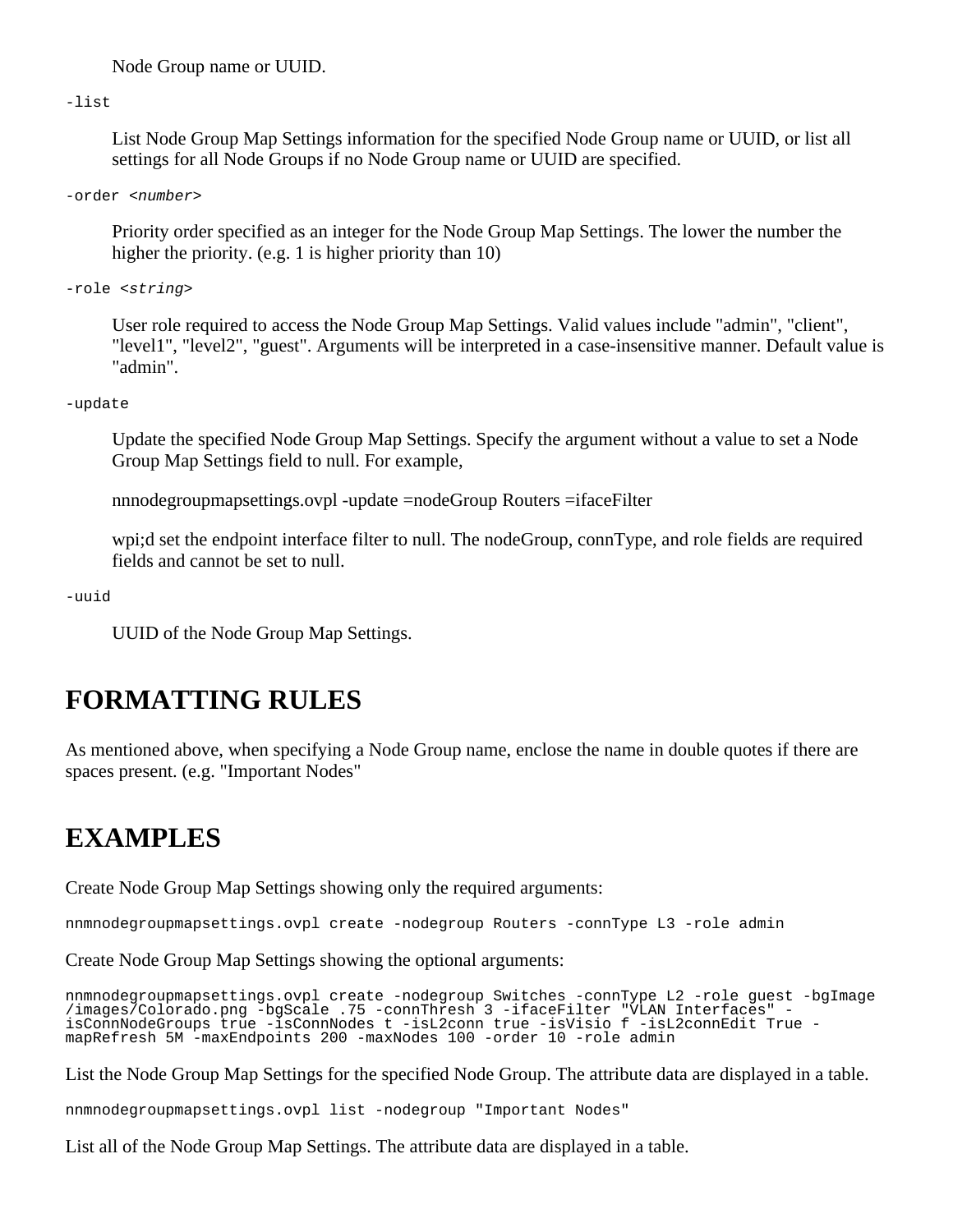Node Group name or UUID.

-list

List Node Group Map Settings information for the specified Node Group name or UUID, or list all settings for all Node Groups if no Node Group name or UUID are specified.

-order <*number*>

Priority order specified as an integer for the Node Group Map Settings. The lower the number the higher the priority. (e.g. 1 is higher priority than 10)

-role <*string*>

User role required to access the Node Group Map Settings. Valid values include "admin", "client", "level1", "level2", "guest". Arguments will be interpreted in a case-insensitive manner. Default value is "admin".

-update

Update the specified Node Group Map Settings. Specify the argument without a value to set a Node Group Map Settings field to null. For example,

nnnodegroupmapsettings.ovpl -update =nodeGroup Routers =ifaceFilter

wpi;d set the endpoint interface filter to null. The nodeGroup, connType, and role fields are required fields and cannot be set to null.

-uuid

UUID of the Node Group Map Settings.

#### **FORMATTING RULES**

As mentioned above, when specifying a Node Group name, enclose the name in double quotes if there are spaces present. (e.g. "Important Nodes"

#### **EXAMPLES**

Create Node Group Map Settings showing only the required arguments:

nnmnodegroupmapsettings.ovpl create -nodegroup Routers -connType L3 -role admin

Create Node Group Map Settings showing the optional arguments:

```
nnmnodegroupmapsettings.ovpl create -nodegroup Switches -connType L2 -role guest -bgImage
/images/Colorado.png -bgScale .75 -connThresh 3 -ifaceFilter "VLAN Interfaces" -
isConnNodeGroups true -isConnNodes t -isL2conn true -isVisio f -isL2connEdit True -
mapRefresh 5M -maxEndpoints 200 -maxNodes 100 -order 10 -role admin
```
List the Node Group Map Settings for the specified Node Group. The attribute data are displayed in a table.

nnmnodegroupmapsettings.ovpl list -nodegroup "Important Nodes"

List all of the Node Group Map Settings. The attribute data are displayed in a table.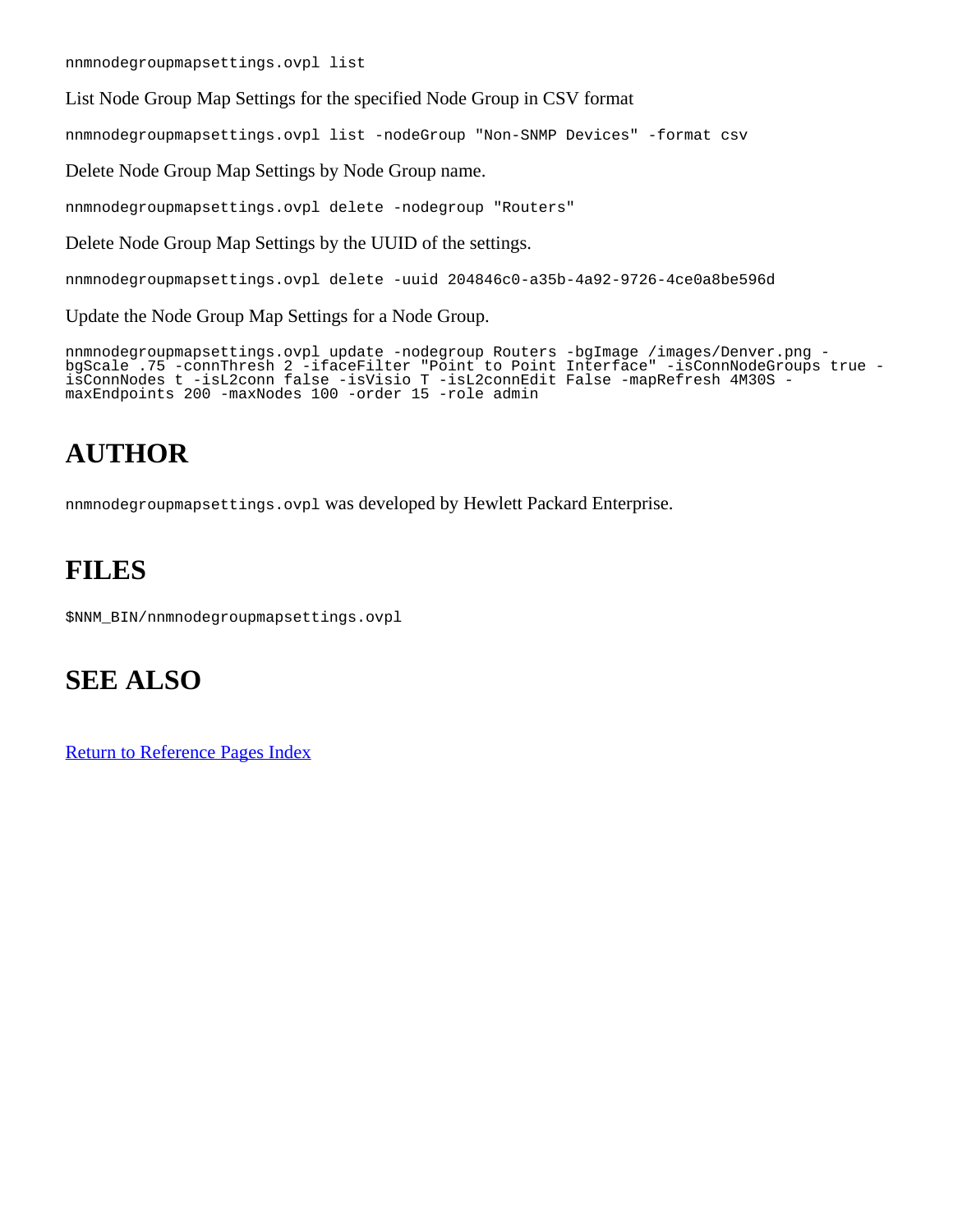List Node Group Map Settings for the specified Node Group in CSV format

nnmnodegroupmapsettings.ovpl list -nodeGroup "Non-SNMP Devices" -format csv

Delete Node Group Map Settings by Node Group name.

nnmnodegroupmapsettings.ovpl delete -nodegroup "Routers"

Delete Node Group Map Settings by the UUID of the settings.

nnmnodegroupmapsettings.ovpl delete -uuid 204846c0-a35b-4a92-9726-4ce0a8be596d

Update the Node Group Map Settings for a Node Group.

nnmnodegroupmapsettings.ovpl update -nodegroup Routers -bgImage /images/Denver.png bgScale .75 -connThresh 2 -ifaceFilter "Point to Point Interface" -isConnNodeGroups true isConnNodes t -isL2conn false -isVisio T -isL2connEdit False -mapRefresh 4M30S maxEndpoints 200 -maxNodes 100 -order 15 -role admin

# **AUTHOR**

nnmnodegroupmapsettings.ovpl was developed by Hewlett Packard Enterprise.

## **FILES**

\$NNM\_BIN/nnmnodegroupmapsettings.ovpl

## **SEE ALSO**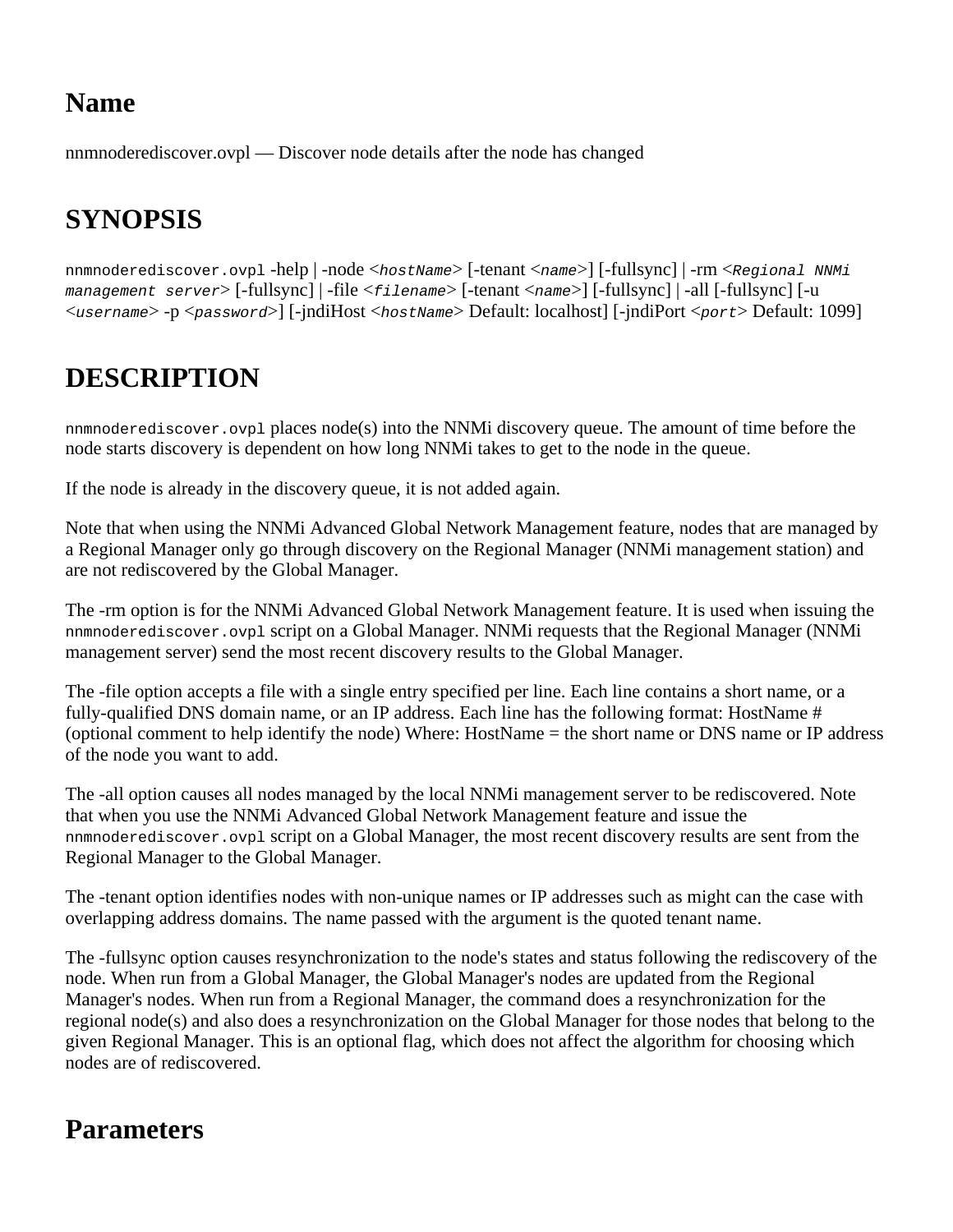nnmnoderediscover.ovpl — Discover node details after the node has changed

# **SYNOPSIS**

nnmnoderediscover.ovpl -help | -node <*hostName*> [-tenant <*name*>] [-fullsync] | -rm <*Regional NNMi management server*> [-fullsync] | -file <*filename*> [-tenant <*name*>] [-fullsync] | -all [-fullsync] [-u <*username*> -p <*password*>] [-jndiHost <*hostName*> Default: localhost] [-jndiPort <*port*> Default: 1099]

# **DESCRIPTION**

nnmnoderediscover.ovpl places node(s) into the NNMi discovery queue. The amount of time before the node starts discovery is dependent on how long NNMi takes to get to the node in the queue.

If the node is already in the discovery queue, it is not added again.

Note that when using the NNMi Advanced Global Network Management feature, nodes that are managed by a Regional Manager only go through discovery on the Regional Manager (NNMi management station) and are not rediscovered by the Global Manager.

The -rm option is for the NNMi Advanced Global Network Management feature. It is used when issuing the nnmnoderediscover.ovpl script on a Global Manager. NNMi requests that the Regional Manager (NNMi management server) send the most recent discovery results to the Global Manager.

The -file option accepts a file with a single entry specified per line. Each line contains a short name, or a fully-qualified DNS domain name, or an IP address. Each line has the following format: HostName # (optional comment to help identify the node) Where: HostName = the short name or DNS name or IP address of the node you want to add.

The -all option causes all nodes managed by the local NNMi management server to be rediscovered. Note that when you use the NNMi Advanced Global Network Management feature and issue the nnmnoderediscover.ovpl script on a Global Manager, the most recent discovery results are sent from the Regional Manager to the Global Manager.

The -tenant option identifies nodes with non-unique names or IP addresses such as might can the case with overlapping address domains. The name passed with the argument is the quoted tenant name.

The -fullsync option causes resynchronization to the node's states and status following the rediscovery of the node. When run from a Global Manager, the Global Manager's nodes are updated from the Regional Manager's nodes. When run from a Regional Manager, the command does a resynchronization for the regional node(s) and also does a resynchronization on the Global Manager for those nodes that belong to the given Regional Manager. This is an optional flag, which does not affect the algorithm for choosing which nodes are of rediscovered.

#### **Parameters**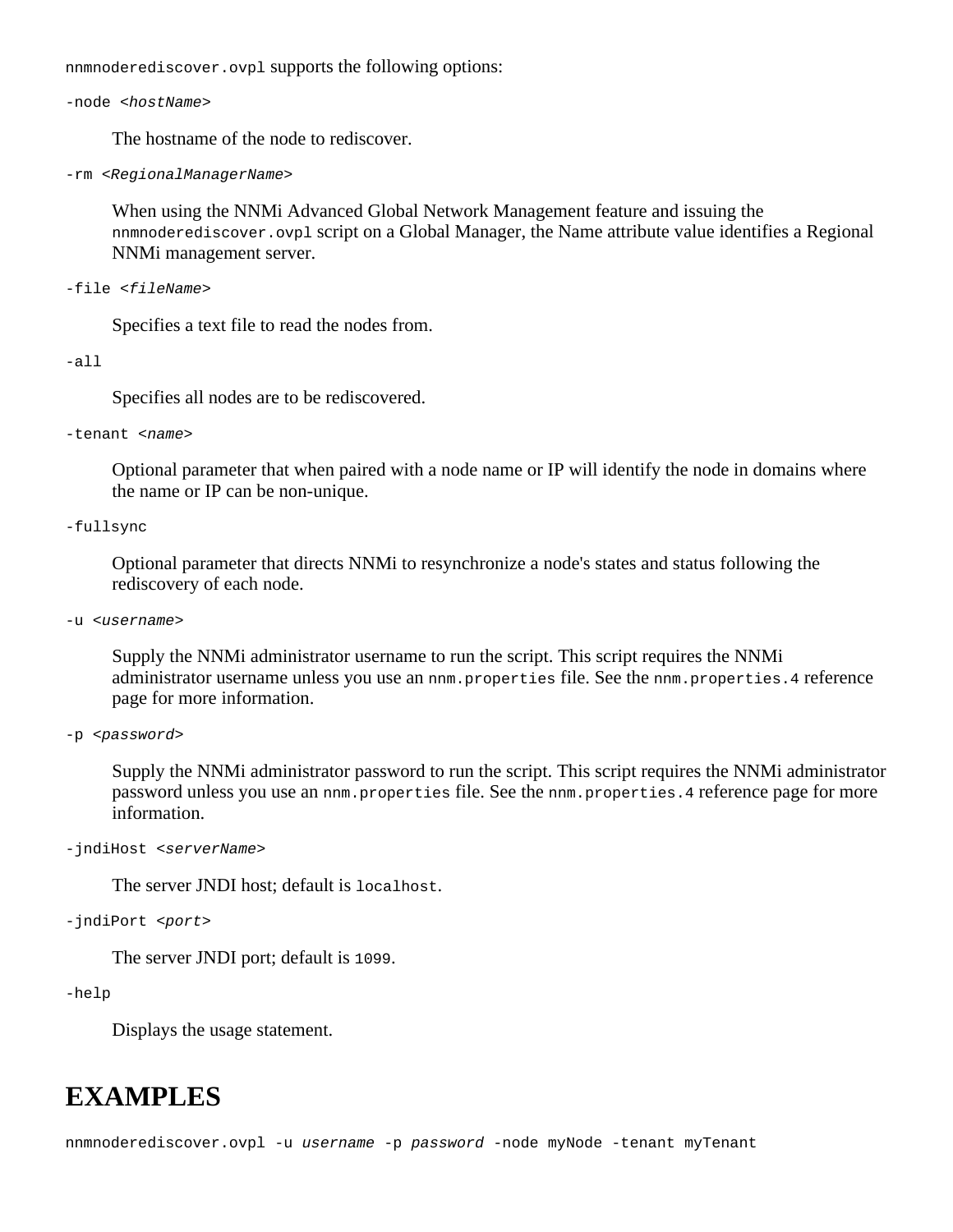nnmnoderediscover.ovpl supports the following options:

-node <*hostName*>

The hostname of the node to rediscover.

-rm <*RegionalManagerName*>

When using the NNMi Advanced Global Network Management feature and issuing the nnmnoderediscover.ovpl script on a Global Manager, the Name attribute value identifies a Regional NNMi management server.

```
-file <fileName>
```
Specifies a text file to read the nodes from.

-all

Specifies all nodes are to be rediscovered.

-tenant <*name*>

Optional parameter that when paired with a node name or IP will identify the node in domains where the name or IP can be non-unique.

-fullsync

Optional parameter that directs NNMi to resynchronize a node's states and status following the rediscovery of each node.

#### -u <*username*>

Supply the NNMi administrator username to run the script. This script requires the NNMi administrator username unless you use an nnm.properties file. See the nnm.properties.4 reference page for more information.

```
-p <password>
```
Supply the NNMi administrator password to run the script. This script requires the NNMi administrator password unless you use an nnm.properties file. See the nnm.properties. 4 reference page for more information.

-jndiHost <*serverName*>

The server JNDI host; default is localhost.

-jndiPort <*port*>

The server JNDI port; default is 1099.

-help

Displays the usage statement.

## **EXAMPLES**

nnmnoderediscover.ovpl -u *username* -p *password* -node myNode -tenant myTenant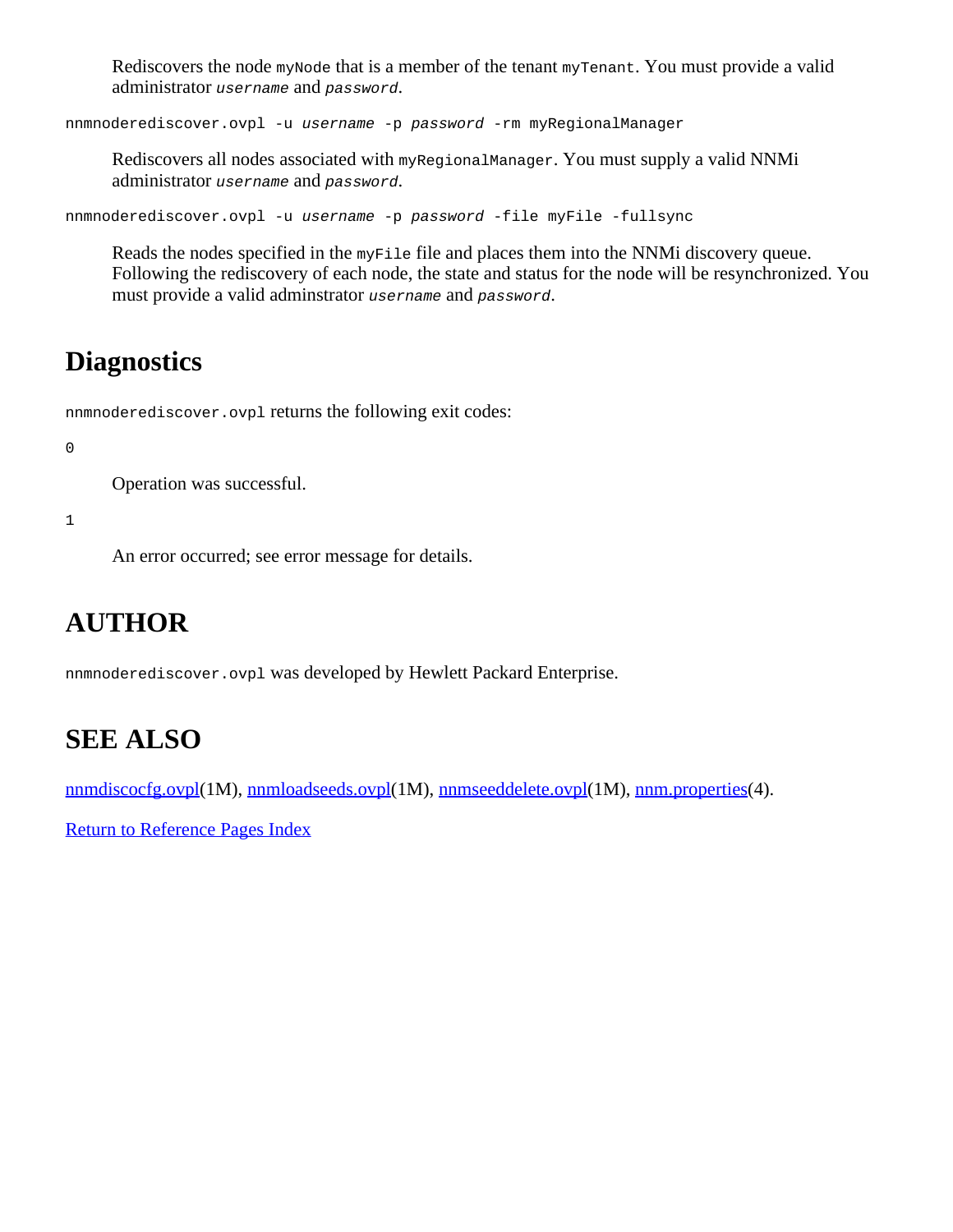Rediscovers the node myNode that is a member of the tenant myTenant. You must provide a valid administrator *username* and *password*.

nnmnoderediscover.ovpl -u *username* -p *password* -rm myRegionalManager

Rediscovers all nodes associated with myRegionalManager. You must supply a valid NNMi administrator *username* and *password*.

nnmnoderediscover.ovpl -u *username* -p *password* -file myFile -fullsync

Reads the nodes specified in the myFile file and places them into the NNMi discovery queue. Following the rediscovery of each node, the state and status for the node will be resynchronized. You must provide a valid adminstrator *username* and *password*.

#### **Diagnostics**

```
nnmnoderediscover.ovpl returns the following exit codes:
```
#### 0

Operation was successful.

#### 1

An error occurred; see error message for details.

## **AUTHOR**

nnmnoderediscover.ovpl was developed by Hewlett Packard Enterprise.

#### **SEE ALSO**

[nnmdiscocfg.ovpl](#page-105-0)(1M), [nnmloadseeds.ovpl](#page-161-0)(1M), [nnmseeddelete.ovpl](#page-260-0)(1M), [nnm.properties](#page-212-0)(4).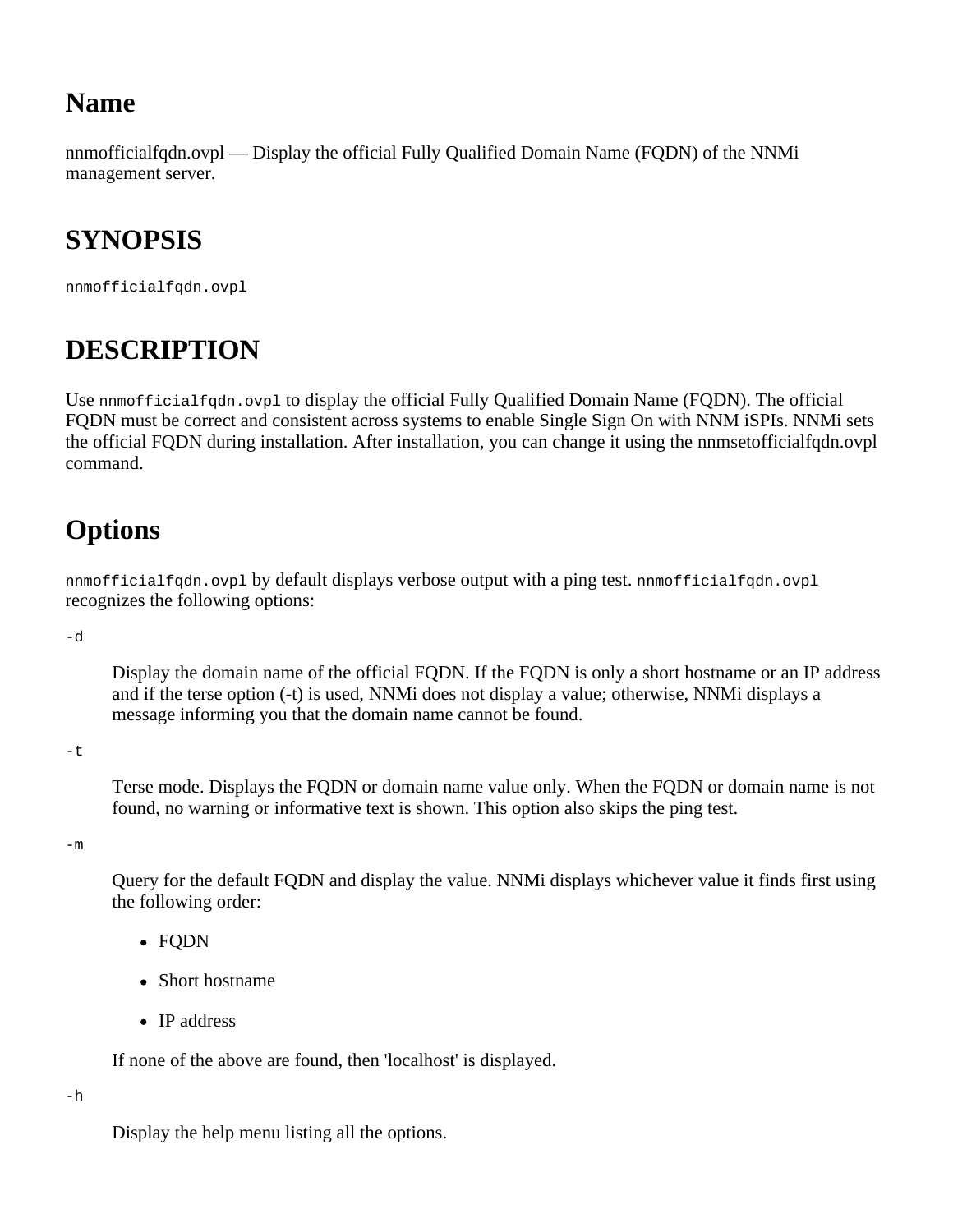nnmofficialfqdn.ovpl — Display the official Fully Qualified Domain Name (FQDN) of the NNMi management server.

## **SYNOPSIS**

nnmofficialfqdn.ovpl

# **DESCRIPTION**

Use nnmofficialfqdn.ovpl to display the official Fully Qualified Domain Name (FQDN). The official FQDN must be correct and consistent across systems to enable Single Sign On with NNM iSPIs. NNMi sets the official FQDN during installation. After installation, you can change it using the nnmsetofficialfqdn.ovpl command.

### **Options**

nnmofficialfqdn.ovpl by default displays verbose output with a ping test. nnmofficialfqdn.ovpl recognizes the following options:

-d

Display the domain name of the official FQDN. If the FQDN is only a short hostname or an IP address and if the terse option (-t) is used, NNMi does not display a value; otherwise, NNMi displays a message informing you that the domain name cannot be found.

-t

Terse mode. Displays the FQDN or domain name value only. When the FQDN or domain name is not found, no warning or informative text is shown. This option also skips the ping test.

-m

Query for the default FQDN and display the value. NNMi displays whichever value it finds first using the following order:

- FQDN
- Short hostname
- IP address

If none of the above are found, then 'localhost' is displayed.

-h

Display the help menu listing all the options.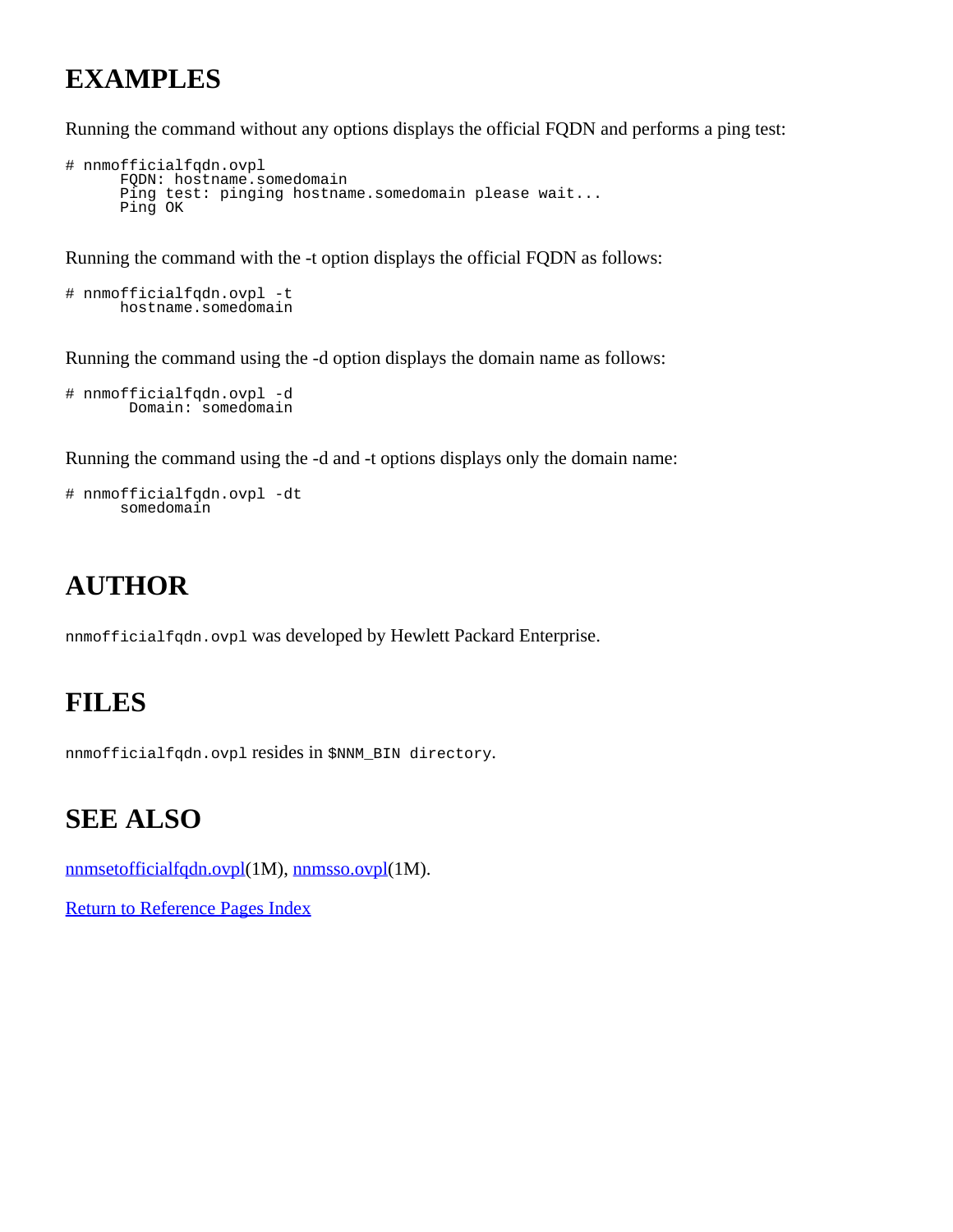### **EXAMPLES**

Running the command without any options displays the official FQDN and performs a ping test:

```
# nnmofficialfqdn.ovpl
      FQDN: hostname.somedomain
      Ping test: pinging hostname.somedomain please wait...
      Ping OK
```
Running the command with the -t option displays the official FQDN as follows:

```
# nnmofficialfqdn.ovpl -t
     hostname.somedomain
```
Running the command using the -d option displays the domain name as follows:

```
# nnmofficialfqdn.ovpl -d
       Domain: somedomain
```
Running the command using the -d and -t options displays only the domain name:

```
# nnmofficialfqdn.ovpl -dt
      somedomain
```
### **AUTHOR**

nnmofficialfqdn.ovpl was developed by Hewlett Packard Enterprise.

#### **FILES**

nnmofficialfqdn.ovpl resides in \$NNM\_BIN directory.

#### **SEE ALSO**

[nnmsetofficialfqdn.ovpl\(](#page-267-0)1M), [nnmsso.ovpl](#page-283-0)(1M).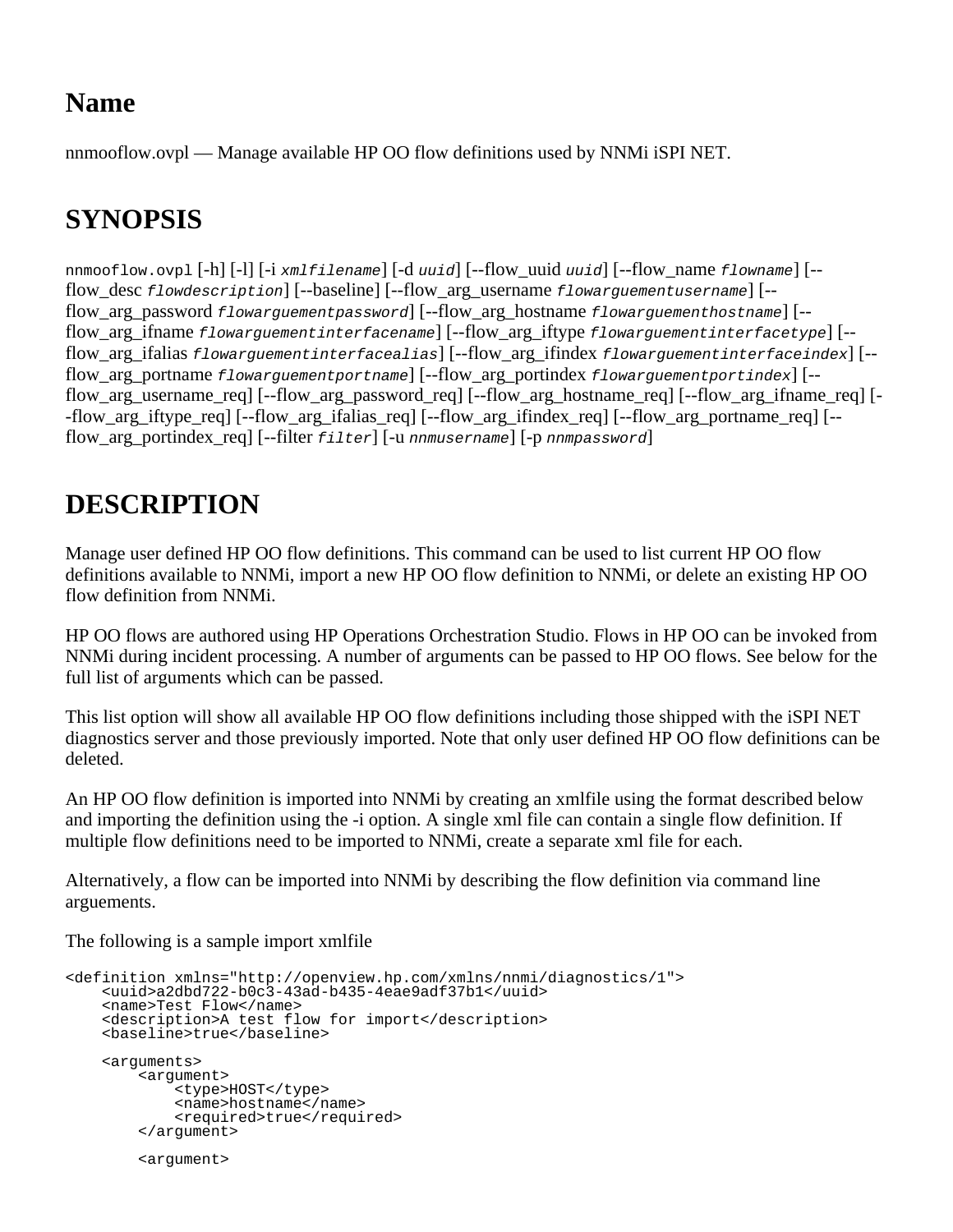nnmooflow.ovpl — Manage available HP OO flow definitions used by NNMi iSPI NET.

## **SYNOPSIS**

nnmooflow.ovpl [-h] [-l] [-i *xmlfilename*] [-d *uuid*] [--flow\_uuid *uuid*] [--flow\_name *flowname*] [- flow\_desc *flowdescription*] [--baseline] [--flow\_arg\_username *flowarguementusername*] [- flow arg password *flowarguementpassword*] [--flow arg hostname *flowarguementhostname*] [-flow\_arg\_ifname *flowarguementinterfacename*] [--flow\_arg\_iftype *flowarguementinterfacetype*] [- flow\_arg\_ifalias *flowarguementinterfacealias*] [--flow\_arg\_ifindex *flowarguementinterfaceindex*] [- flow\_arg\_portname *flowarguementportname*] [--flow\_arg\_portindex *flowarguementportindex*] [- flow\_arg\_username\_req] [--flow\_arg\_password\_req] [--flow\_arg\_hostname\_req] [--flow\_arg\_ifname\_req] [- -flow\_arg\_iftype\_req] [--flow\_arg\_ifalias\_req] [--flow\_arg\_ifindex\_req] [--flow\_arg\_portname\_req] [- flow\_arg\_portindex\_req] [--filter *filter*] [-u *nnmusername*] [-p *nnmpassword*]

## **DESCRIPTION**

Manage user defined HP OO flow definitions. This command can be used to list current HP OO flow definitions available to NNMi, import a new HP OO flow definition to NNMi, or delete an existing HP OO flow definition from NNMi.

HP OO flows are authored using HP Operations Orchestration Studio. Flows in HP OO can be invoked from NNMi during incident processing. A number of arguments can be passed to HP OO flows. See below for the full list of arguments which can be passed.

This list option will show all available HP OO flow definitions including those shipped with the iSPI NET diagnostics server and those previously imported. Note that only user defined HP OO flow definitions can be deleted.

An HP OO flow definition is imported into NNMi by creating an xmlfile using the format described below and importing the definition using the -i option. A single xml file can contain a single flow definition. If multiple flow definitions need to be imported to NNMi, create a separate xml file for each.

Alternatively, a flow can be imported into NNMi by describing the flow definition via command line arguements.

The following is a sample import xmlfile

```
<definition xmlns="http://openview.hp.com/xmlns/nnmi/diagnostics/1">
     <uuid>a2dbd722-b0c3-43ad-b435-4eae9adf37b1</uuid>
     <name>Test Flow</name>
     <description>A test flow for import</description>
     <baseline>true</baseline>
     <arguments>
         <argument>
             <type>HOST</type>
             <name>hostname</name>
             <required>true</required>
         </argument>
         <argument>
```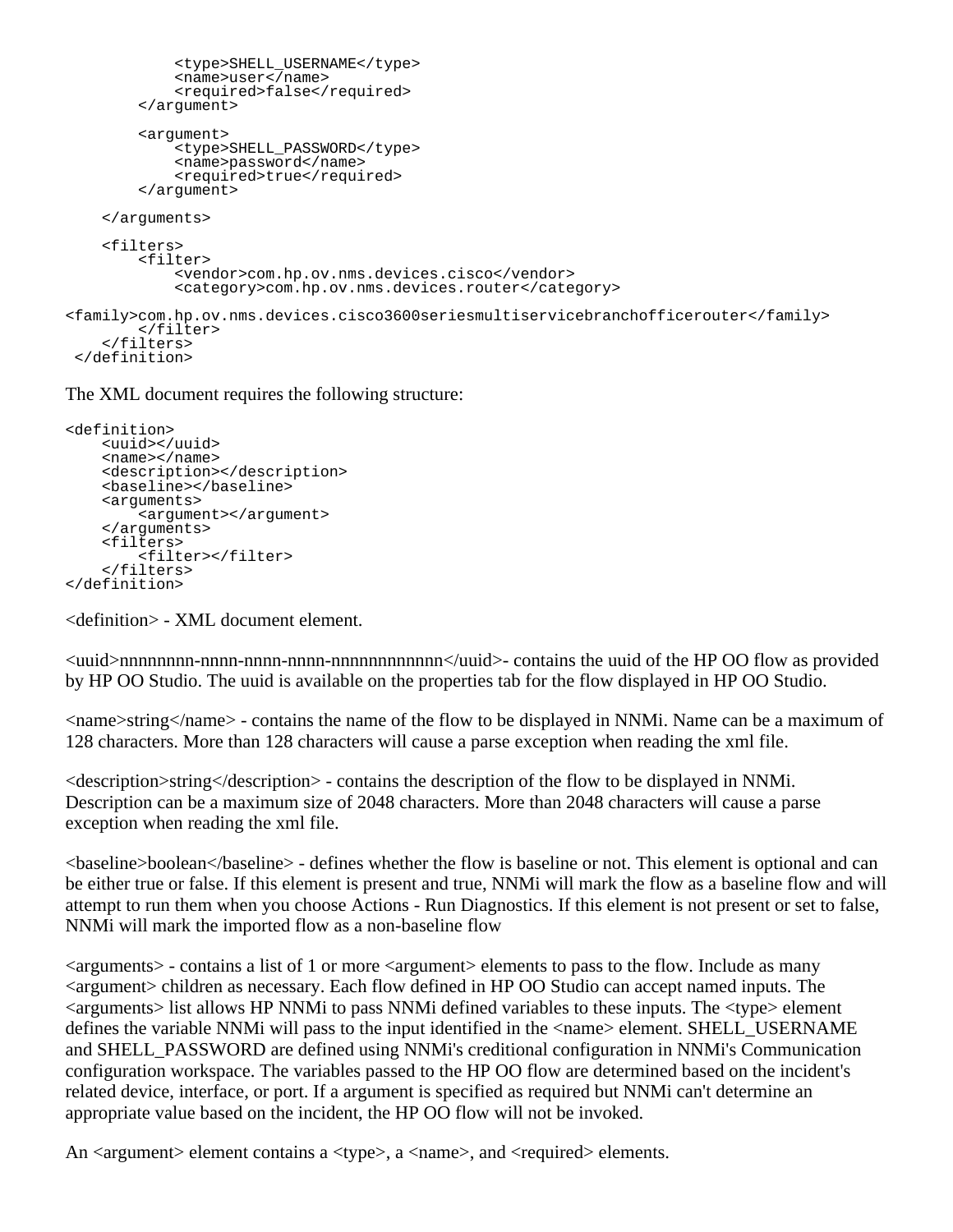```
 <type>SHELL_USERNAME</type>
             <name>user</name>
             <required>false</required>
         </argument>
         <argument>
             <type>SHELL_PASSWORD</type>
             <name>password</name>
             <required>true</required>
         </argument>
     </arguments>
     <filters>
         <filter>
             <vendor>com.hp.ov.nms.devices.cisco</vendor>
             <category>com.hp.ov.nms.devices.router</category>
<family>com.hp.ov.nms.devices.cisco3600seriesmultiservicebranchofficerouter</family>
         </filter>
     </filters>
 </definition>
```
The XML document requires the following structure:

```
<definition>
     <uuid></uuid>
     <name></name> 
     <description></description>
     <baseline></baseline>
     <arguments>
         <argument></argument>
     </arguments>
     <filters>
         <filter></filter>
     </filters>
</definition>
```
<definition> - XML document element.

<uuid>nnnnnnnn-nnnn-nnnn-nnnn-nnnnnnnnnnnn</uuid>- contains the uuid of the HP OO flow as provided by HP OO Studio. The uuid is available on the properties tab for the flow displayed in HP OO Studio.

 $\alpha$  -  $\alpha$  -  $\alpha$  -  $\alpha$  -  $\alpha$  -  $\alpha$  -  $\alpha$  -  $\alpha$  -  $\alpha$  -  $\alpha$  -  $\alpha$  -  $\alpha$  -  $\alpha$  -  $\alpha$  -  $\alpha$  -  $\alpha$  -  $\alpha$  -  $\alpha$  -  $\alpha$  -  $\alpha$  -  $\alpha$  -  $\alpha$  -  $\alpha$  -  $\alpha$  -  $\alpha$  -  $\alpha$  -  $\alpha$  -  $\alpha$  -  $\alpha$  -  $\alpha$  -  $\alpha$  -  $\alpha$ 128 characters. More than 128 characters will cause a parse exception when reading the xml file.

<description>string</description> - contains the description of the flow to be displayed in NNMi. Description can be a maximum size of 2048 characters. More than 2048 characters will cause a parse exception when reading the xml file.

<baseline>boolean</baseline> - defines whether the flow is baseline or not. This element is optional and can be either true or false. If this element is present and true, NNMi will mark the flow as a baseline flow and will attempt to run them when you choose Actions - Run Diagnostics. If this element is not present or set to false, NNMi will mark the imported flow as a non-baseline flow

 $\langle$ arguments $>$  - contains a list of 1 or more  $\langle$ argument $\rangle$  elements to pass to the flow. Include as many <argument> children as necessary. Each flow defined in HP OO Studio can accept named inputs. The  $\langle$  arguments $>$  list allows HP NNMi to pass NNMi defined variables to these inputs. The  $\langle$  type $>$  element defines the variable NNMi will pass to the input identified in the  $\langle$  -name  $\rangle$  element. SHELL\_USERNAME and SHELL\_PASSWORD are defined using NNMi's creditional configuration in NNMi's Communication configuration workspace. The variables passed to the HP OO flow are determined based on the incident's related device, interface, or port. If a argument is specified as required but NNMi can't determine an appropriate value based on the incident, the HP OO flow will not be invoked.

An  $\langle$  argument $\rangle$  element contains a  $\langle$  type $\rangle$ , a  $\langle$  and  $\langle$  and  $\rangle$  are elements.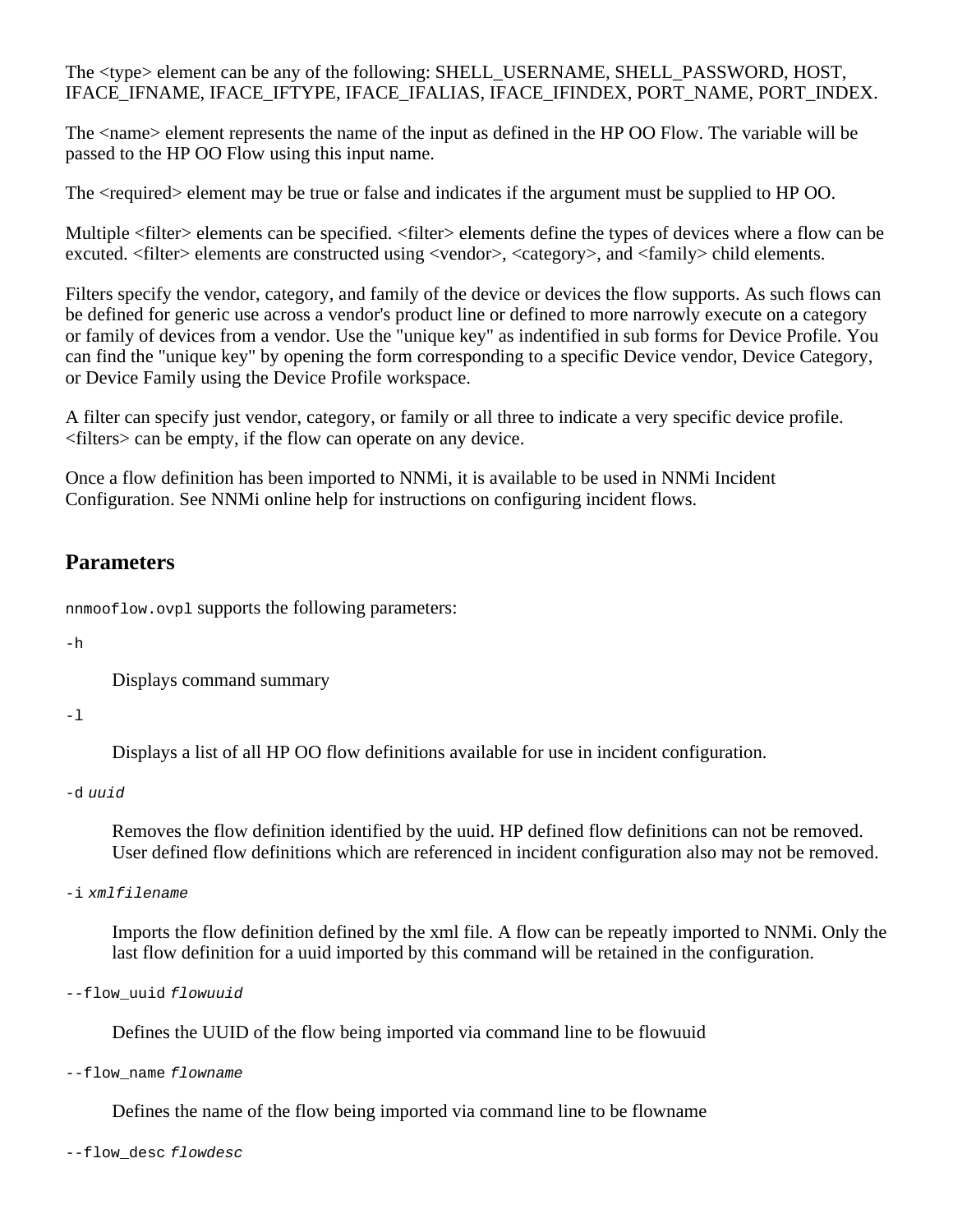The  $\langle$ type> element can be any of the following: SHELL\_USERNAME, SHELL\_PASSWORD, HOST, IFACE\_IFNAME, IFACE\_IFTYPE, IFACE\_IFALIAS, IFACE\_IFINDEX, PORT\_NAME, PORT\_INDEX.

The  $\alpha$  element represents the name of the input as defined in the HP OO Flow. The variable will be passed to the HP OO Flow using this input name.

The  $\le$ required $\ge$  element may be true or false and indicates if the argument must be supplied to HP OO.

Multiple <filter> elements can be specified. <filter> elements define the types of devices where a flow can be excuted. <filter> elements are constructed using <vendor>, <category>, and <family> child elements.

Filters specify the vendor, category, and family of the device or devices the flow supports. As such flows can be defined for generic use across a vendor's product line or defined to more narrowly execute on a category or family of devices from a vendor. Use the "unique key" as indentified in sub forms for Device Profile. You can find the "unique key" by opening the form corresponding to a specific Device vendor, Device Category, or Device Family using the Device Profile workspace.

A filter can specify just vendor, category, or family or all three to indicate a very specific device profile. <filters> can be empty, if the flow can operate on any device.

Once a flow definition has been imported to NNMi, it is available to be used in NNMi Incident Configuration. See NNMi online help for instructions on configuring incident flows.

#### **Parameters**

nnmooflow.ovpl supports the following parameters:

-h

Displays command summary

#### $-1$

Displays a list of all HP OO flow definitions available for use in incident configuration.

#### -d *uuid*

Removes the flow definition identified by the uuid. HP defined flow definitions can not be removed. User defined flow definitions which are referenced in incident configuration also may not be removed.

-i *xmlfilename*

Imports the flow definition defined by the xml file. A flow can be repeatly imported to NNMi. Only the last flow definition for a uuid imported by this command will be retained in the configuration.

```
--flow_uuid flowuuid
```
Defines the UUID of the flow being imported via command line to be flowuuid

--flow\_name *flowname*

Defines the name of the flow being imported via command line to be flowname

--flow\_desc *flowdesc*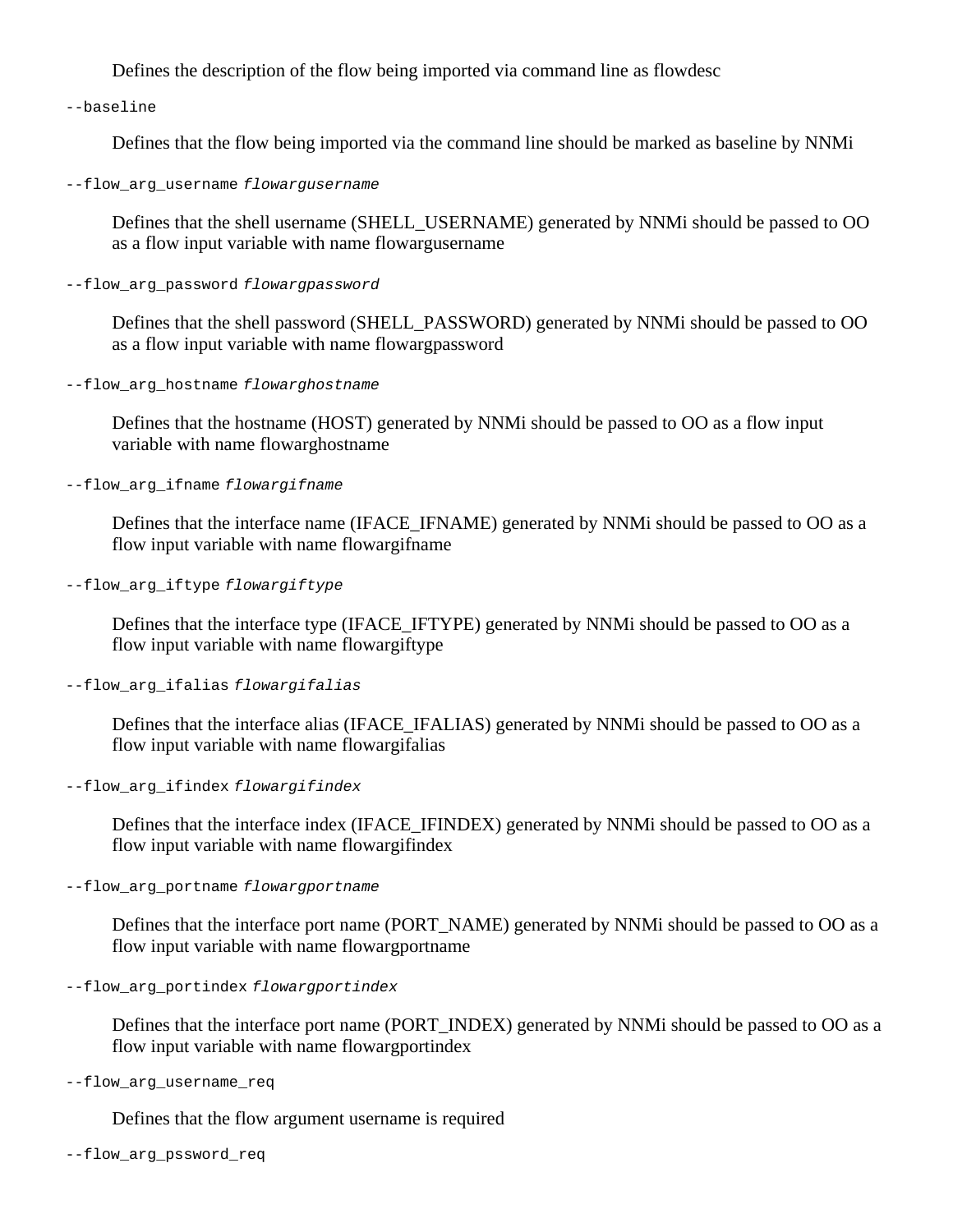Defines the description of the flow being imported via command line as flowdesc

--baseline

Defines that the flow being imported via the command line should be marked as baseline by NNMi

--flow\_arg\_username *flowargusername*

Defines that the shell username (SHELL\_USERNAME) generated by NNMi should be passed to OO as a flow input variable with name flowargusername

--flow\_arg\_password *flowargpassword*

Defines that the shell password (SHELL\_PASSWORD) generated by NNMi should be passed to OO as a flow input variable with name flowargpassword

--flow\_arg\_hostname *flowarghostname*

Defines that the hostname (HOST) generated by NNMi should be passed to OO as a flow input variable with name flowarghostname

--flow\_arg\_ifname *flowargifname*

Defines that the interface name (IFACE\_IFNAME) generated by NNMi should be passed to OO as a flow input variable with name flowargifname

--flow\_arg\_iftype *flowargiftype*

Defines that the interface type (IFACE\_IFTYPE) generated by NNMi should be passed to OO as a flow input variable with name flowargiftype

--flow\_arg\_ifalias *flowargifalias*

Defines that the interface alias (IFACE\_IFALIAS) generated by NNMi should be passed to OO as a flow input variable with name flowargifalias

--flow\_arg\_ifindex *flowargifindex*

Defines that the interface index (IFACE\_IFINDEX) generated by NNMi should be passed to OO as a flow input variable with name flowargifindex

--flow\_arg\_portname *flowargportname*

Defines that the interface port name (PORT\_NAME) generated by NNMi should be passed to OO as a flow input variable with name flowargportname

--flow\_arg\_portindex *flowargportindex*

Defines that the interface port name (PORT\_INDEX) generated by NNMi should be passed to OO as a flow input variable with name flowargportindex

--flow\_arg\_username\_req

Defines that the flow argument username is required

--flow\_arg\_pssword\_req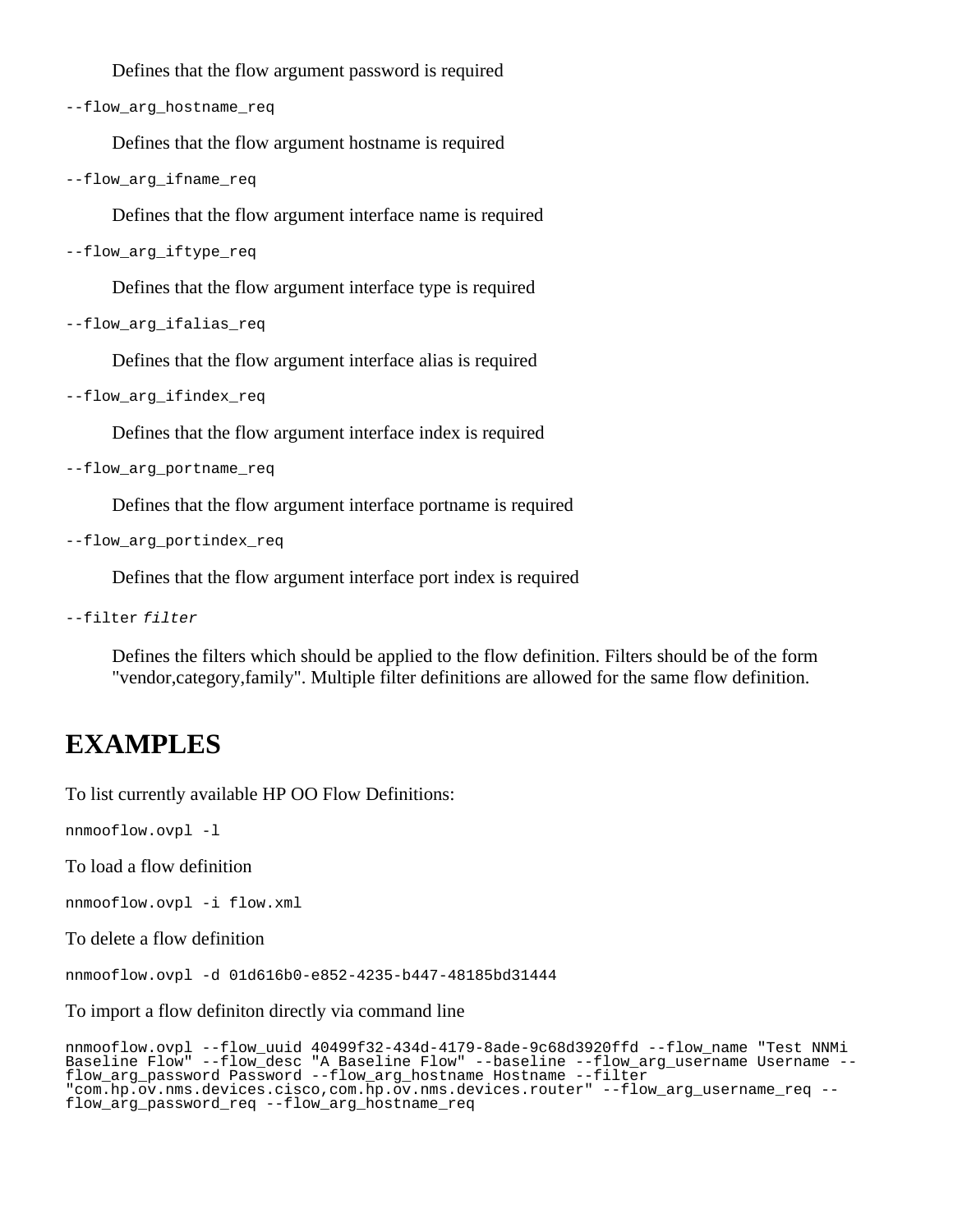Defines that the flow argument password is required

--flow arg hostname req

Defines that the flow argument hostname is required

```
--flow_arg_ifname_req
```
Defines that the flow argument interface name is required

```
--flow_arg_iftype_req
```
Defines that the flow argument interface type is required

```
--flow_arg_ifalias_req
```
Defines that the flow argument interface alias is required

```
--flow arg ifindex req
```
Defines that the flow argument interface index is required

```
--flow_arg_portname_req
```
Defines that the flow argument interface portname is required

```
--flow arg portindex req
```
Defines that the flow argument interface port index is required

--filter *filter*

Defines the filters which should be applied to the flow definition. Filters should be of the form "vendor,category,family". Multiple filter definitions are allowed for the same flow definition.

#### **EXAMPLES**

To list currently available HP OO Flow Definitions:

nnmooflow.ovpl -l

To load a flow definition

nnmooflow.ovpl -i flow.xml

To delete a flow definition

nnmooflow.ovpl -d 01d616b0-e852-4235-b447-48185bd31444

To import a flow definiton directly via command line

```
nnmooflow.ovpl --flow_uuid 40499f32-434d-4179-8ade-9c68d3920ffd --flow_name "Test NNMi
Baseline Flow" --flow_desc "A Baseline Flow" --baseline --flow_arg_username Username --
flow_arg_password Password --flow_arg_hostname Hostname --filter
"com.hp.ov.nms.devices.cisco,com.hp.ov.nms.devices.router" --flow_arg_username_req --
flow_arg_password_req --flow_arg_hostname_req
```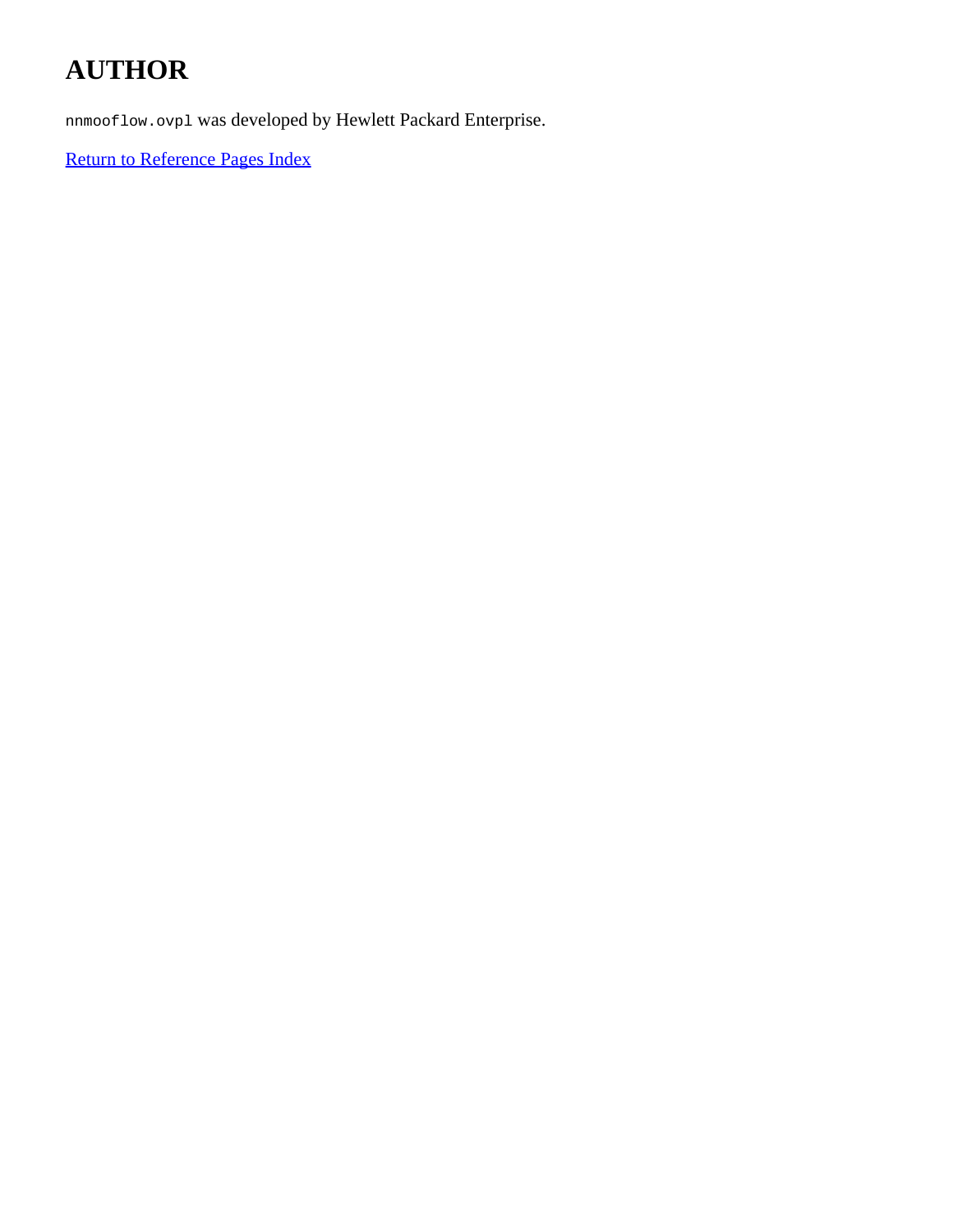# **AUTHOR**

nnmooflow.ovpl was developed by Hewlett Packard Enterprise.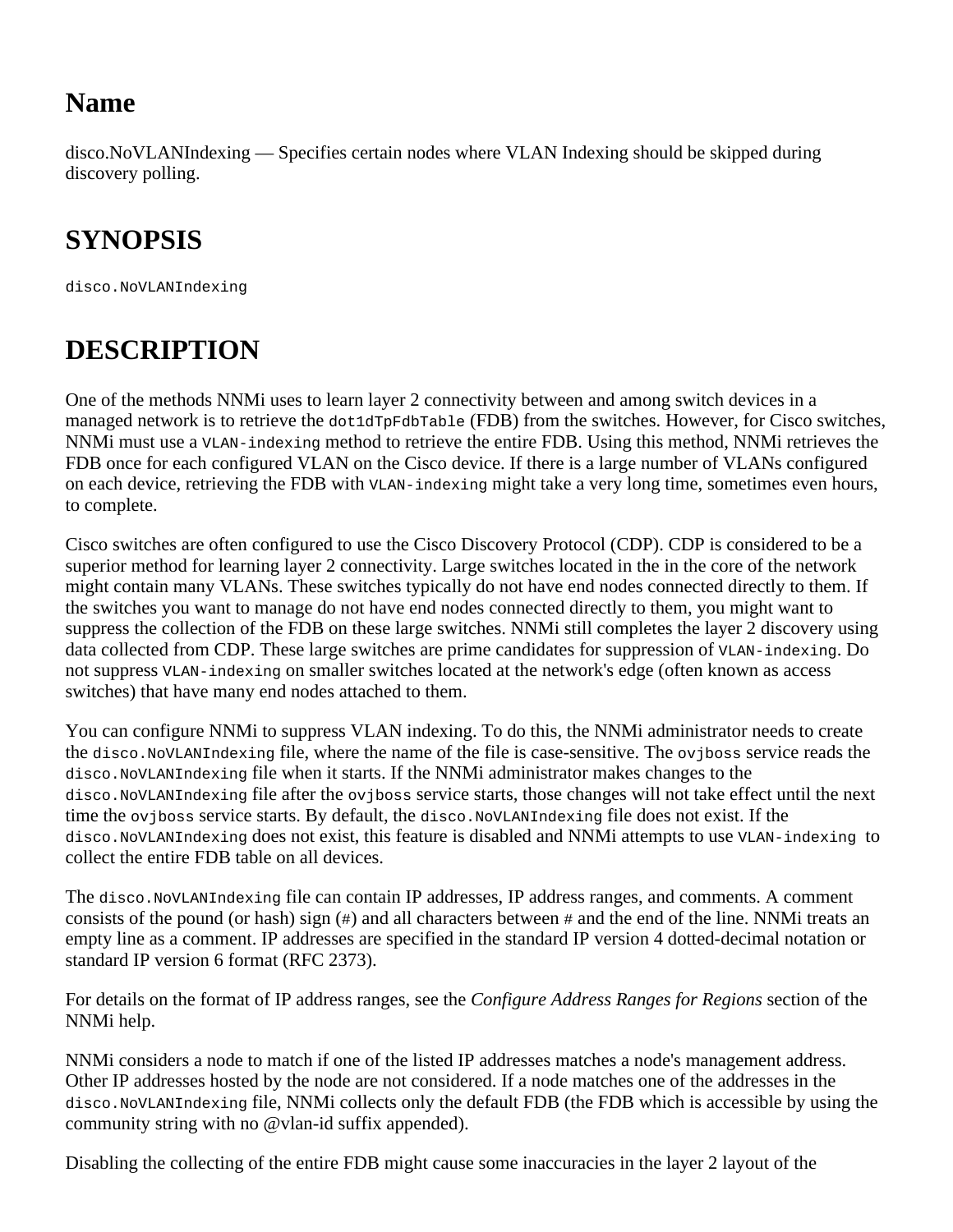disco.NoVLANIndexing — Specifies certain nodes where VLAN Indexing should be skipped during discovery polling.

# **SYNOPSIS**

disco.NoVLANIndexing

# **DESCRIPTION**

One of the methods NNMi uses to learn layer 2 connectivity between and among switch devices in a managed network is to retrieve the dot1dTpFdbTable (FDB) from the switches. However, for Cisco switches, NNMi must use a VLAN-indexing method to retrieve the entire FDB. Using this method, NNMi retrieves the FDB once for each configured VLAN on the Cisco device. If there is a large number of VLANs configured on each device, retrieving the FDB with VLAN-indexing might take a very long time, sometimes even hours, to complete.

Cisco switches are often configured to use the Cisco Discovery Protocol (CDP). CDP is considered to be a superior method for learning layer 2 connectivity. Large switches located in the in the core of the network might contain many VLANs. These switches typically do not have end nodes connected directly to them. If the switches you want to manage do not have end nodes connected directly to them, you might want to suppress the collection of the FDB on these large switches. NNMi still completes the layer 2 discovery using data collected from CDP. These large switches are prime candidates for suppression of VLAN-indexing. Do not suppress VLAN-indexing on smaller switches located at the network's edge (often known as access switches) that have many end nodes attached to them.

You can configure NNMi to suppress VLAN indexing. To do this, the NNMi administrator needs to create the disco.NoVLANIndexing file, where the name of the file is case-sensitive. The ovjboss service reads the disco.NoVLANIndexing file when it starts. If the NNMi administrator makes changes to the disco.NoVLANIndexing file after the ovjboss service starts, those changes will not take effect until the next time the ovjboss service starts. By default, the disco.NoVLANIndexing file does not exist. If the disco.NoVLANIndexing does not exist, this feature is disabled and NNMi attempts to use VLAN-indexing to collect the entire FDB table on all devices.

The disco.NoVLANIndexing file can contain IP addresses, IP address ranges, and comments. A comment consists of the pound (or hash) sign (#) and all characters between # and the end of the line. NNMi treats an empty line as a comment. IP addresses are specified in the standard IP version 4 dotted-decimal notation or standard IP version 6 format (RFC 2373).

For details on the format of IP address ranges, see the *Configure Address Ranges for Regions* section of the NNMi help.

NNMi considers a node to match if one of the listed IP addresses matches a node's management address. Other IP addresses hosted by the node are not considered. If a node matches one of the addresses in the disco.NoVLANIndexing file, NNMi collects only the default FDB (the FDB which is accessible by using the community string with no @vlan-id suffix appended).

Disabling the collecting of the entire FDB might cause some inaccuracies in the layer 2 layout of the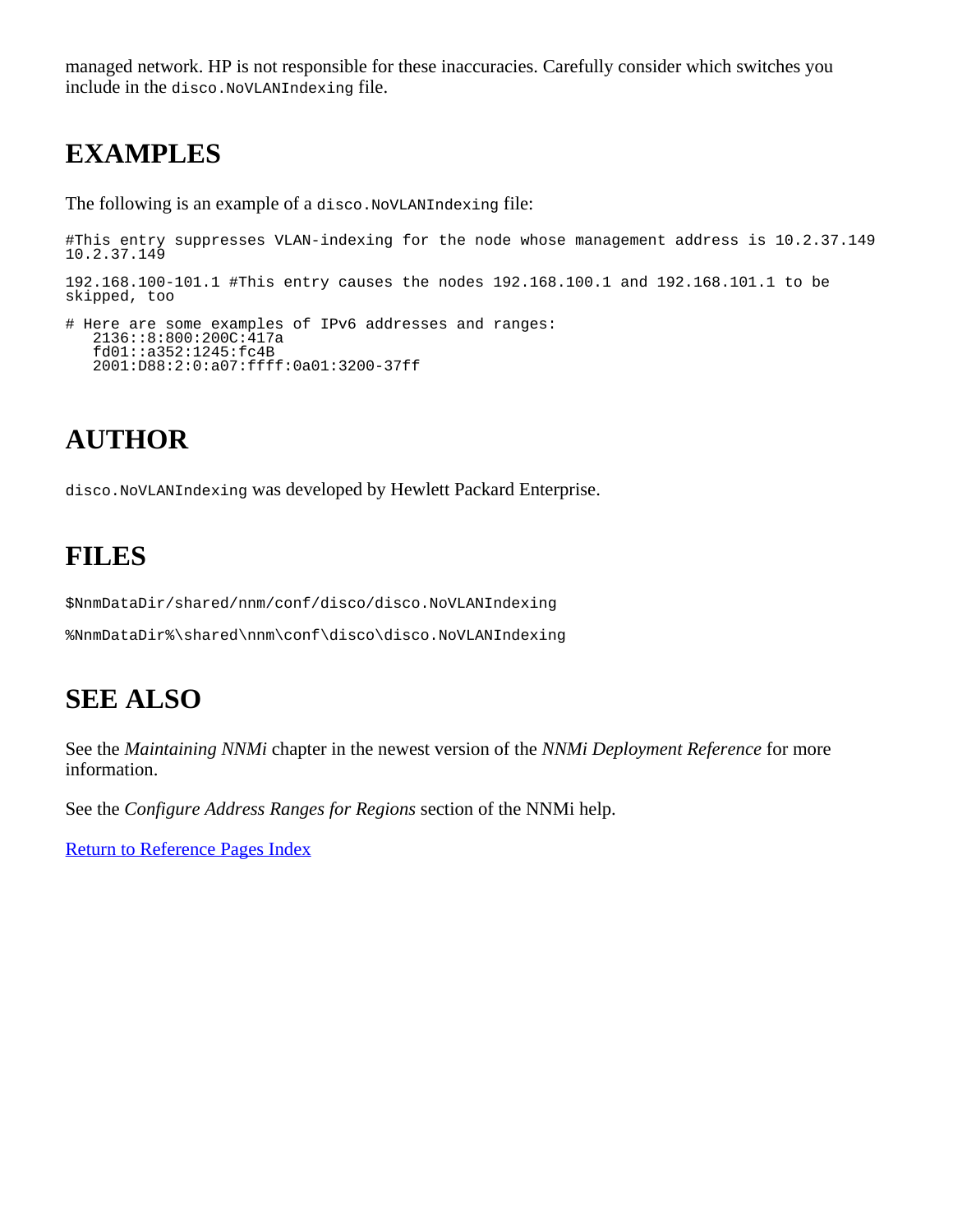managed network. HP is not responsible for these inaccuracies. Carefully consider which switches you include in the disco.NoVLANIndexing file.

## **EXAMPLES**

The following is an example of a disco. NoVLANIndexing file:

```
#This entry suppresses VLAN-indexing for the node whose management address is 10.2.37.149
10.2.37.149
192.168.100-101.1 #This entry causes the nodes 192.168.100.1 and 192.168.101.1 to be
skipped, too
# Here are some examples of IPv6 addresses and ranges:
    2136::8:800:200C:417a
    fd01::a352:1245:fc4B
    2001:D88:2:0:a07:ffff:0a01:3200-37ff
```
# **AUTHOR**

disco.NoVLANIndexing was developed by Hewlett Packard Enterprise.

### **FILES**

\$NnmDataDir/shared/nnm/conf/disco/disco.NoVLANIndexing

%NnmDataDir%\shared\nnm\conf\disco\disco.NoVLANIndexing

#### **SEE ALSO**

See the *Maintaining NNMi* chapter in the newest version of the *NNMi Deployment Reference* for more information.

See the *Configure Address Ranges for Regions* section of the NNMi help.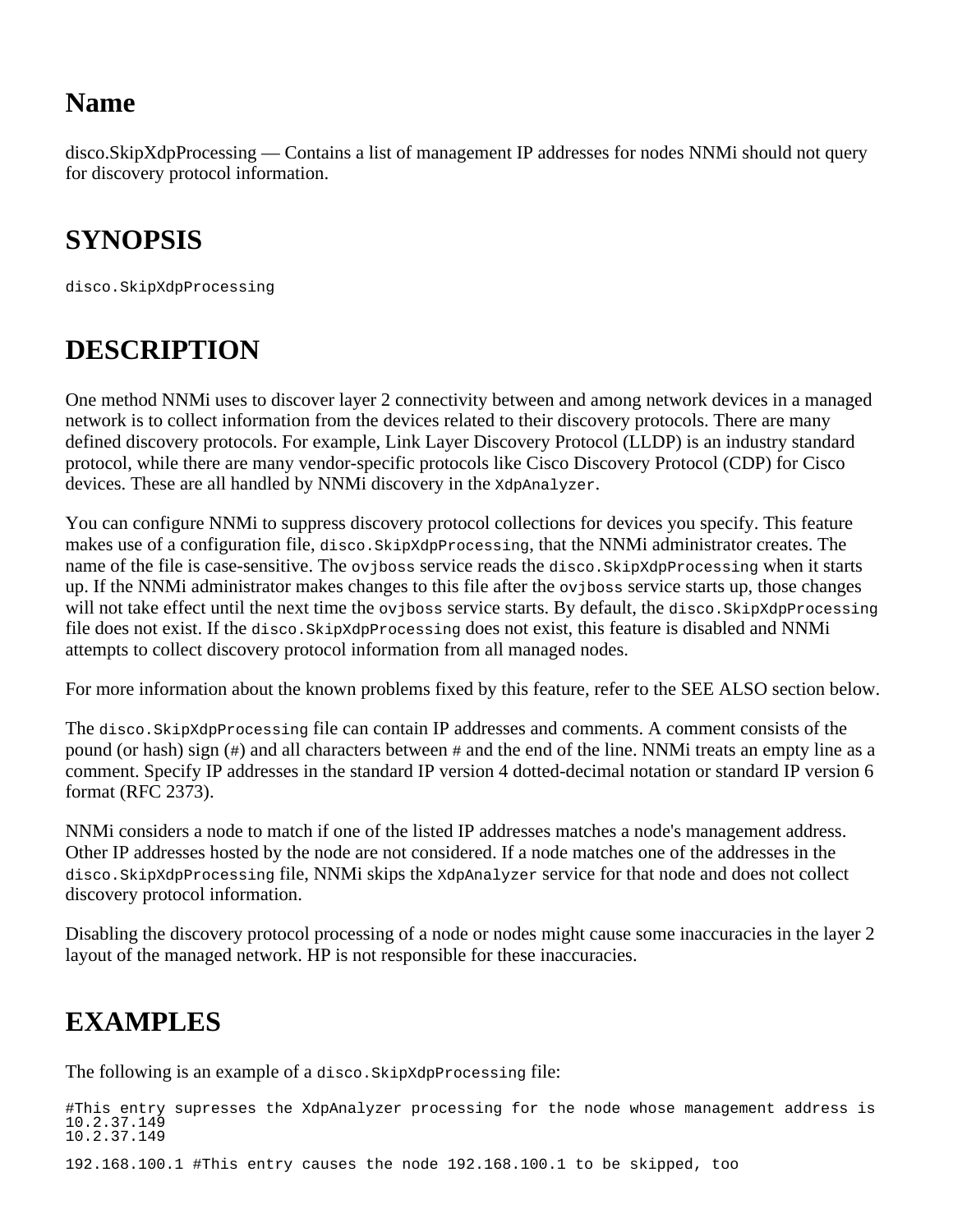disco.SkipXdpProcessing — Contains a list of management IP addresses for nodes NNMi should not query for discovery protocol information.

## **SYNOPSIS**

disco.SkipXdpProcessing

# **DESCRIPTION**

One method NNMi uses to discover layer 2 connectivity between and among network devices in a managed network is to collect information from the devices related to their discovery protocols. There are many defined discovery protocols. For example, Link Layer Discovery Protocol (LLDP) is an industry standard protocol, while there are many vendor-specific protocols like Cisco Discovery Protocol (CDP) for Cisco devices. These are all handled by NNMi discovery in the XdpAnalyzer.

You can configure NNMi to suppress discovery protocol collections for devices you specify. This feature makes use of a configuration file, disco.SkipXdpProcessing, that the NNMi administrator creates. The name of the file is case-sensitive. The ovjboss service reads the disco. SkipXdpProcessing when it starts up. If the NNMi administrator makes changes to this file after the ovjboss service starts up, those changes will not take effect until the next time the ovjboss service starts. By default, the disco. SkipXdpProcessing file does not exist. If the disco. SkipXdpProcessing does not exist, this feature is disabled and NNMi attempts to collect discovery protocol information from all managed nodes.

For more information about the known problems fixed by this feature, refer to the SEE ALSO section below.

The disco.SkipXdpProcessing file can contain IP addresses and comments. A comment consists of the pound (or hash) sign (#) and all characters between # and the end of the line. NNMi treats an empty line as a comment. Specify IP addresses in the standard IP version 4 dotted-decimal notation or standard IP version 6 format (RFC 2373).

NNMi considers a node to match if one of the listed IP addresses matches a node's management address. Other IP addresses hosted by the node are not considered. If a node matches one of the addresses in the disco.SkipXdpProcessing file, NNMi skips the XdpAnalyzer service for that node and does not collect discovery protocol information.

Disabling the discovery protocol processing of a node or nodes might cause some inaccuracies in the layer 2 layout of the managed network. HP is not responsible for these inaccuracies.

## **EXAMPLES**

The following is an example of a disco. SkipXdpProcessing file:

#This entry supresses the XdpAnalyzer processing for the node whose management address is 10.2.37.149 10.2.37.149

192.168.100.1 #This entry causes the node 192.168.100.1 to be skipped, too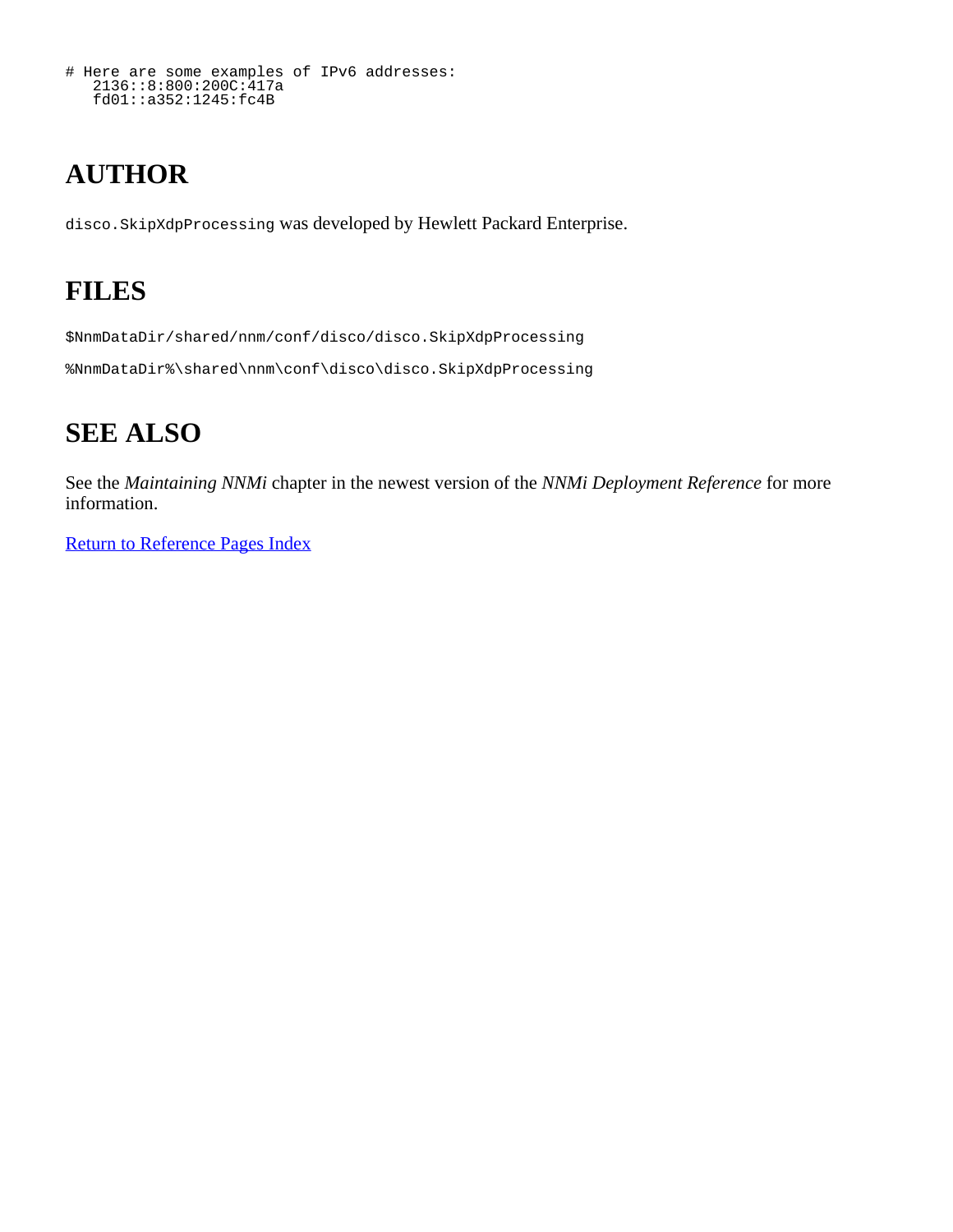```
# Here are some examples of IPv6 addresses:
 2136::8:800:200C:417a
   fd01::a352:1245:fc4B
```
# **AUTHOR**

disco.SkipXdpProcessing was developed by Hewlett Packard Enterprise.

### **FILES**

\$NnmDataDir/shared/nnm/conf/disco/disco.SkipXdpProcessing

%NnmDataDir%\shared\nnm\conf\disco\disco.SkipXdpProcessing

# **SEE ALSO**

See the *Maintaining NNMi* chapter in the newest version of the *NNMi Deployment Reference* for more information.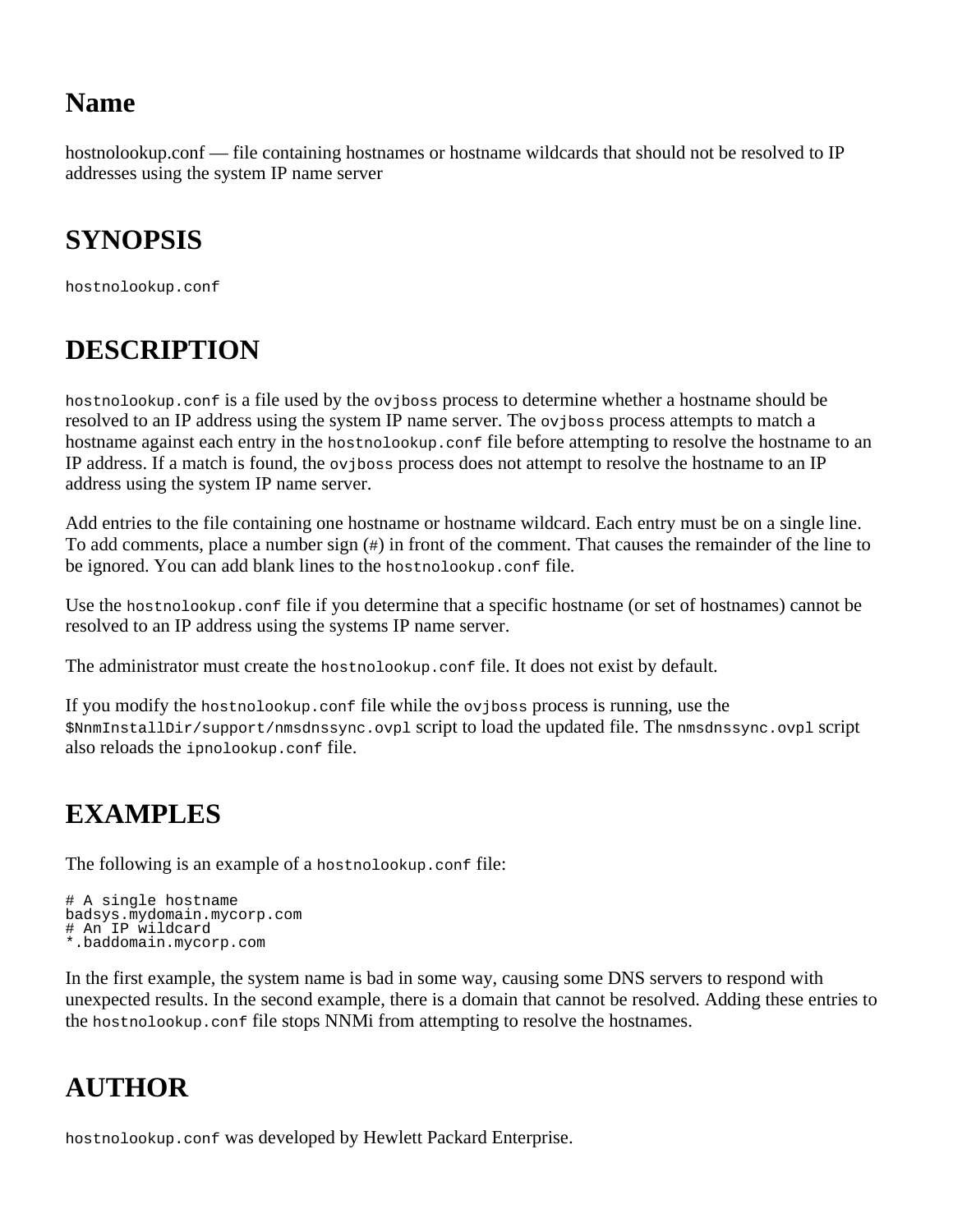hostnolookup.conf — file containing hostnames or hostname wildcards that should not be resolved to IP addresses using the system IP name server

## **SYNOPSIS**

hostnolookup.conf

# **DESCRIPTION**

hostnolookup.conf is a file used by the ovjboss process to determine whether a hostname should be resolved to an IP address using the system IP name server. The ovjboss process attempts to match a hostname against each entry in the hostnolookup.conf file before attempting to resolve the hostname to an IP address. If a match is found, the ovjboss process does not attempt to resolve the hostname to an IP address using the system IP name server.

Add entries to the file containing one hostname or hostname wildcard. Each entry must be on a single line. To add comments, place a number sign (#) in front of the comment. That causes the remainder of the line to be ignored. You can add blank lines to the hostnolookup.conf file.

Use the hostnolookup.conf file if you determine that a specific hostname (or set of hostnames) cannot be resolved to an IP address using the systems IP name server.

The administrator must create the hostnolookup.conf file. It does not exist by default.

If you modify the hostnolookup.conf file while the ovjboss process is running, use the \$NnmInstallDir/support/nmsdnssync.ovpl script to load the updated file. The nmsdnssync.ovpl script also reloads the ipnolookup.conf file.

## **EXAMPLES**

The following is an example of a hostnolookup.conf file:

# A single hostname badsys.mydomain.mycorp.com # An IP wildcard \*.baddomain.mycorp.com

In the first example, the system name is bad in some way, causing some DNS servers to respond with unexpected results. In the second example, there is a domain that cannot be resolved. Adding these entries to the hostnolookup.conf file stops NNMi from attempting to resolve the hostnames.

#### **AUTHOR**

hostnolookup.conf was developed by Hewlett Packard Enterprise.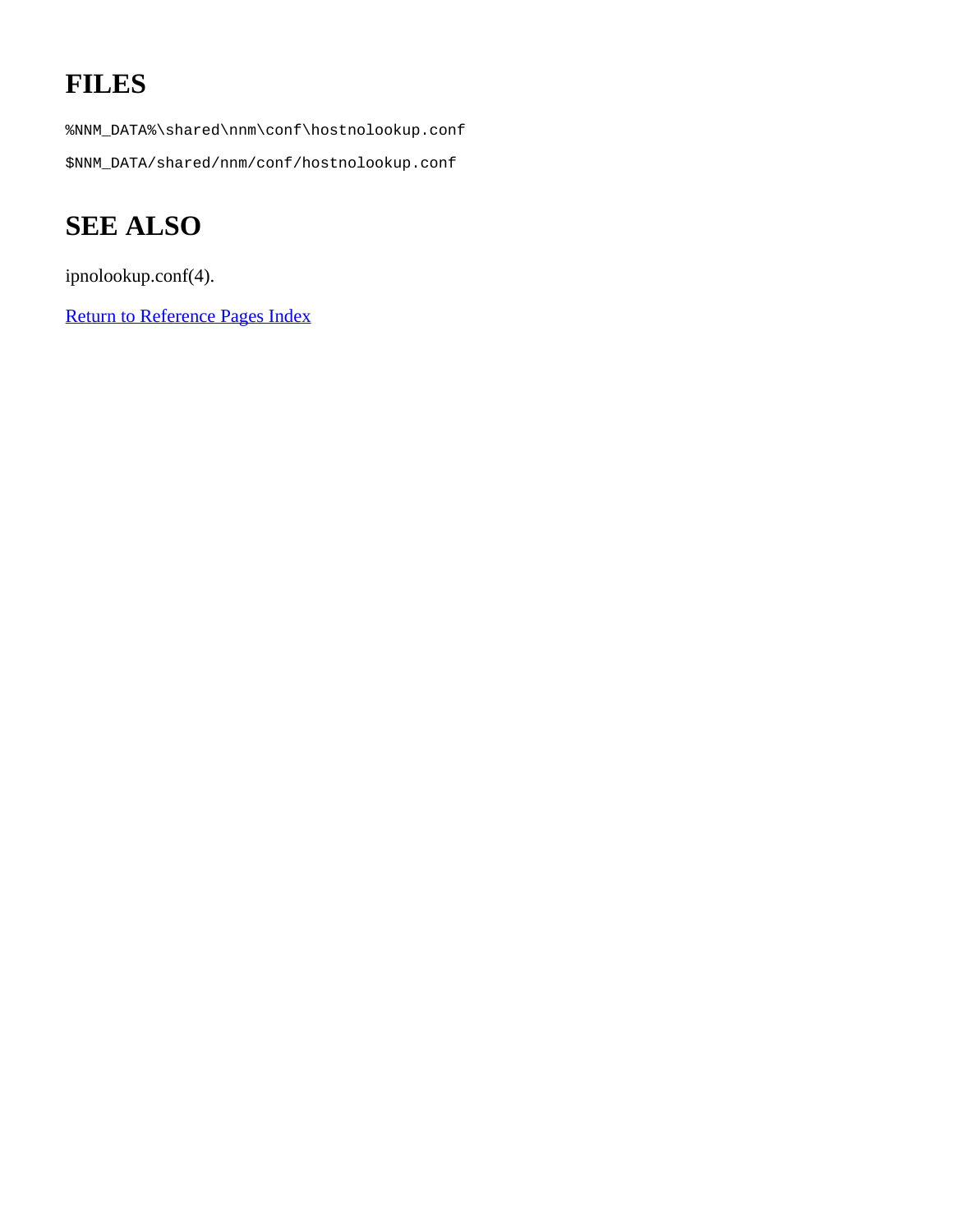# **FILES**

%NNM\_DATA%\shared\nnm\conf\hostnolookup.conf \$NNM\_DATA/shared/nnm/conf/hostnolookup.conf

# **SEE ALSO**

ipnolookup.conf(4).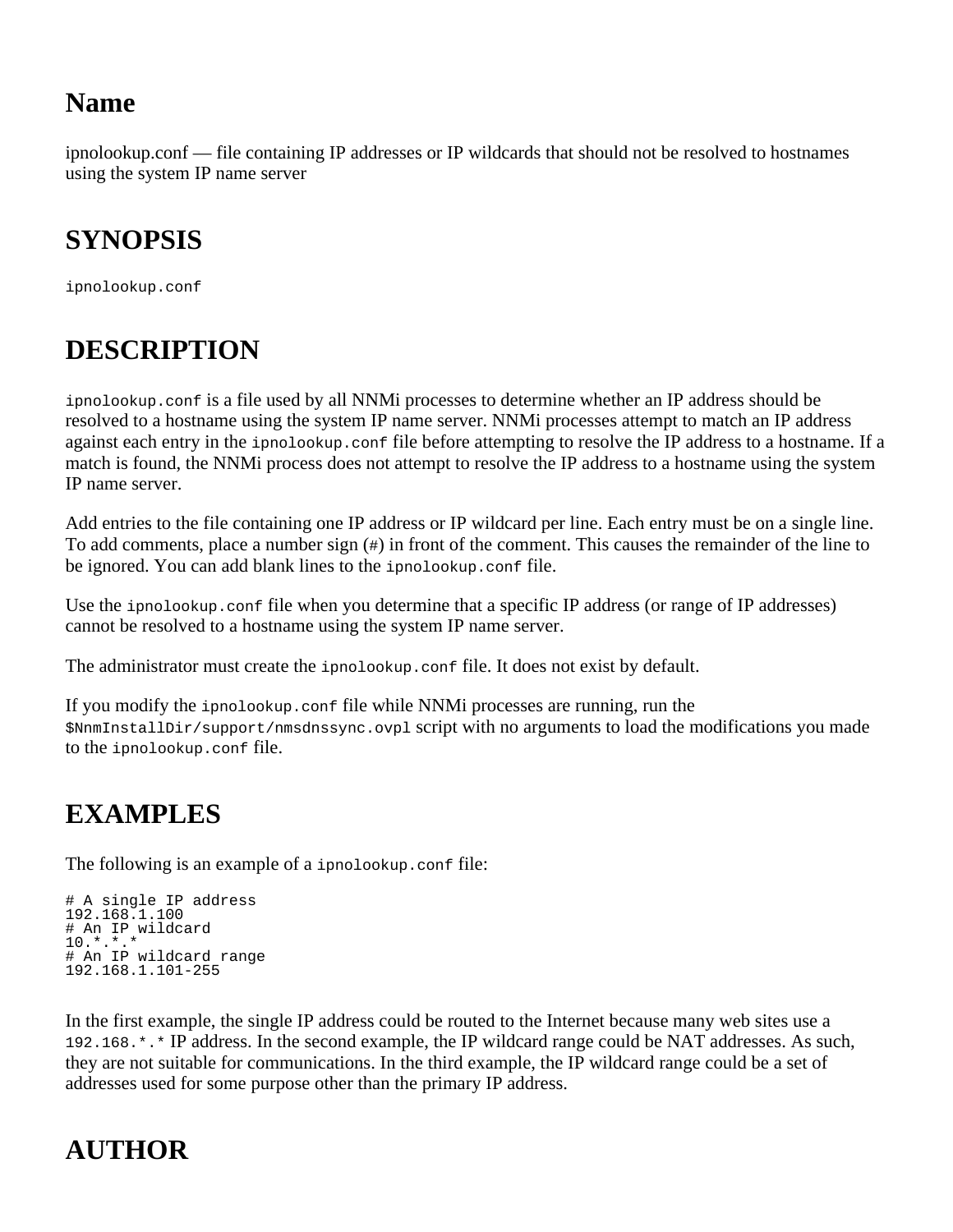ipnolookup.conf — file containing IP addresses or IP wildcards that should not be resolved to hostnames using the system IP name server

## **SYNOPSIS**

ipnolookup.conf

# **DESCRIPTION**

ipnolookup.conf is a file used by all NNMi processes to determine whether an IP address should be resolved to a hostname using the system IP name server. NNMi processes attempt to match an IP address against each entry in the ipnolookup.conf file before attempting to resolve the IP address to a hostname. If a match is found, the NNMi process does not attempt to resolve the IP address to a hostname using the system IP name server.

Add entries to the file containing one IP address or IP wildcard per line. Each entry must be on a single line. To add comments, place a number sign (#) in front of the comment. This causes the remainder of the line to be ignored. You can add blank lines to the ipnolookup.conf file.

Use the ipnolookup.conf file when you determine that a specific IP address (or range of IP addresses) cannot be resolved to a hostname using the system IP name server.

The administrator must create the ipnolookup.conf file. It does not exist by default.

If you modify the ipnolookup.conf file while NNMi processes are running, run the \$NnmInstallDir/support/nmsdnssync.ovpl script with no arguments to load the modifications you made to the ipnolookup.conf file.

## **EXAMPLES**

The following is an example of a ipnolookup.conf file:

```
# A single IP address
192.168.1.100
# An IP wildcard
10.*.*.*
# An IP wildcard range
192.168.1.101-255
```
In the first example, the single IP address could be routed to the Internet because many web sites use a 192.168.\*.\* IP address. In the second example, the IP wildcard range could be NAT addresses. As such, they are not suitable for communications. In the third example, the IP wildcard range could be a set of addresses used for some purpose other than the primary IP address.

# **AUTHOR**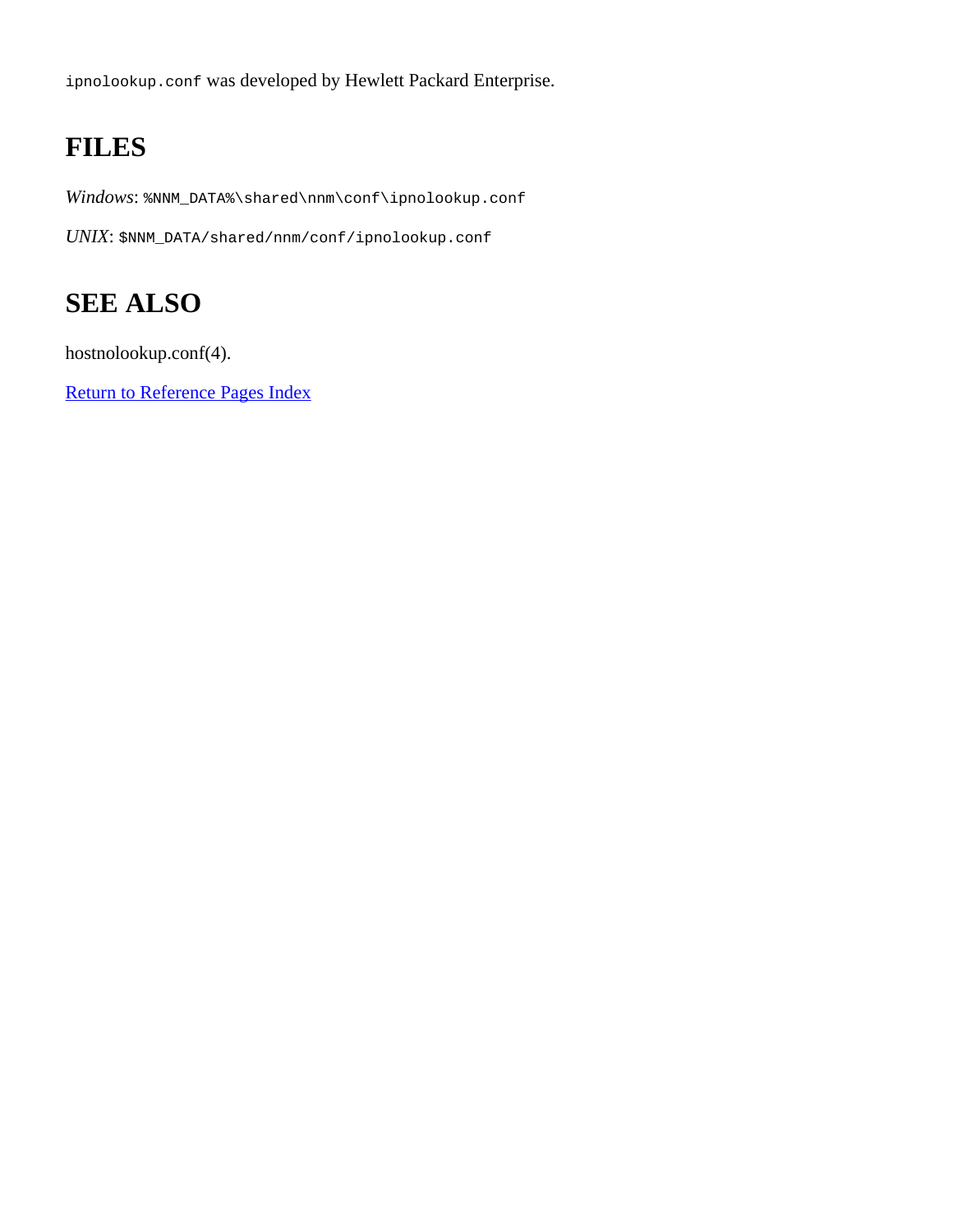ipnolookup.conf was developed by Hewlett Packard Enterprise.

# **FILES**

*Windows*: %NNM\_DATA%\shared\nnm\conf\ipnolookup.conf

*UNIX*: \$NNM\_DATA/shared/nnm/conf/ipnolookup.conf

## **SEE ALSO**

hostnolookup.conf(4).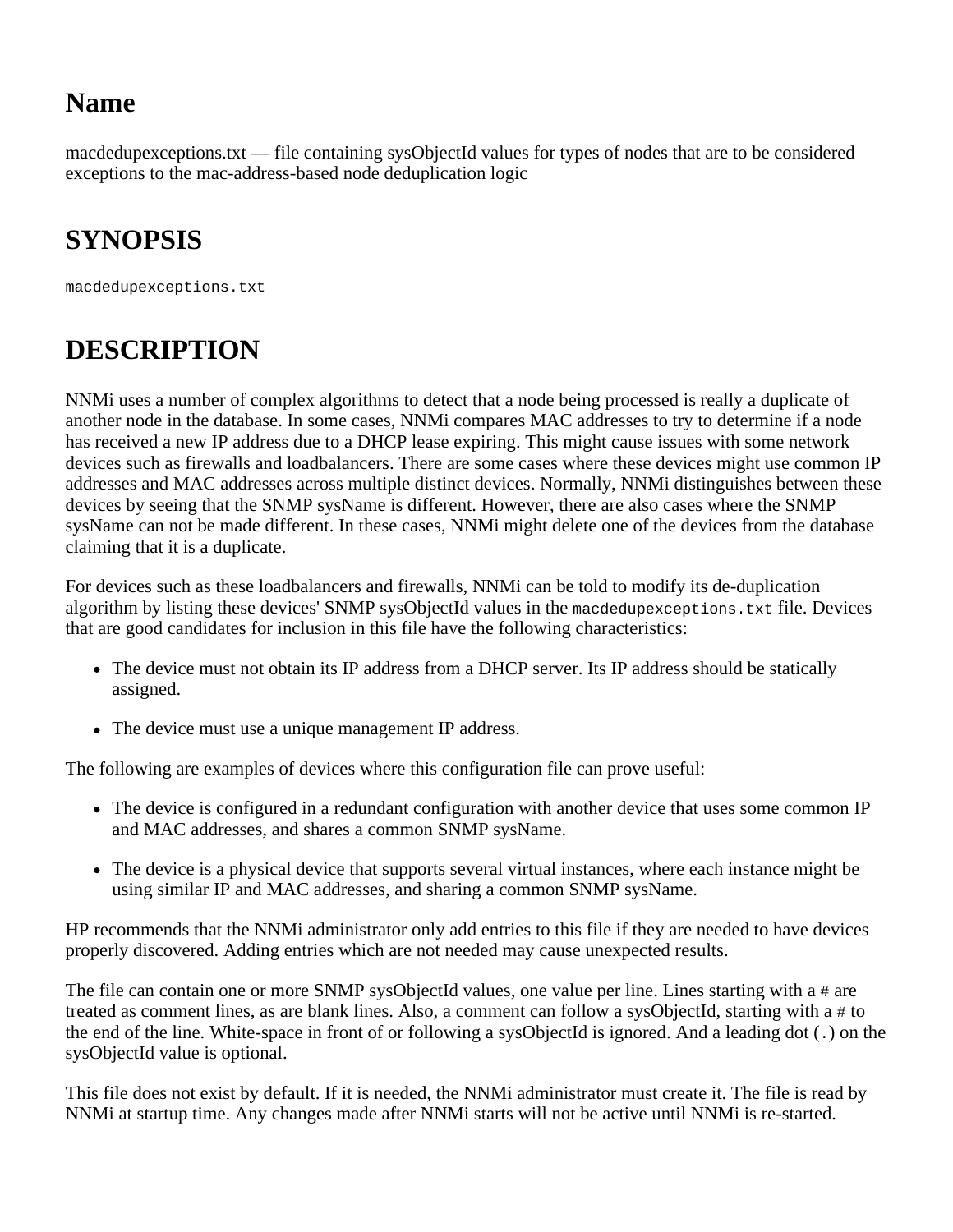macdedupexceptions.txt — file containing sysObjectId values for types of nodes that are to be considered exceptions to the mac-address-based node deduplication logic

# **SYNOPSIS**

macdedupexceptions.txt

# **DESCRIPTION**

NNMi uses a number of complex algorithms to detect that a node being processed is really a duplicate of another node in the database. In some cases, NNMi compares MAC addresses to try to determine if a node has received a new IP address due to a DHCP lease expiring. This might cause issues with some network devices such as firewalls and loadbalancers. There are some cases where these devices might use common IP addresses and MAC addresses across multiple distinct devices. Normally, NNMi distinguishes between these devices by seeing that the SNMP sysName is different. However, there are also cases where the SNMP sysName can not be made different. In these cases, NNMi might delete one of the devices from the database claiming that it is a duplicate.

For devices such as these loadbalancers and firewalls, NNMi can be told to modify its de-duplication algorithm by listing these devices' SNMP sysObjectId values in the macdedupexceptions.txt file. Devices that are good candidates for inclusion in this file have the following characteristics:

- The device must not obtain its IP address from a DHCP server. Its IP address should be statically assigned.
- The device must use a unique management IP address.

The following are examples of devices where this configuration file can prove useful:

- The device is configured in a redundant configuration with another device that uses some common IP and MAC addresses, and shares a common SNMP sysName.
- The device is a physical device that supports several virtual instances, where each instance might be using similar IP and MAC addresses, and sharing a common SNMP sysName.

HP recommends that the NNMi administrator only add entries to this file if they are needed to have devices properly discovered. Adding entries which are not needed may cause unexpected results.

The file can contain one or more SNMP sysObjectId values, one value per line. Lines starting with a # are treated as comment lines, as are blank lines. Also, a comment can follow a sysObjectId, starting with a # to the end of the line. White-space in front of or following a sysObjectId is ignored. And a leading dot (.) on the sysObjectId value is optional.

This file does not exist by default. If it is needed, the NNMi administrator must create it. The file is read by NNMi at startup time. Any changes made after NNMi starts will not be active until NNMi is re-started.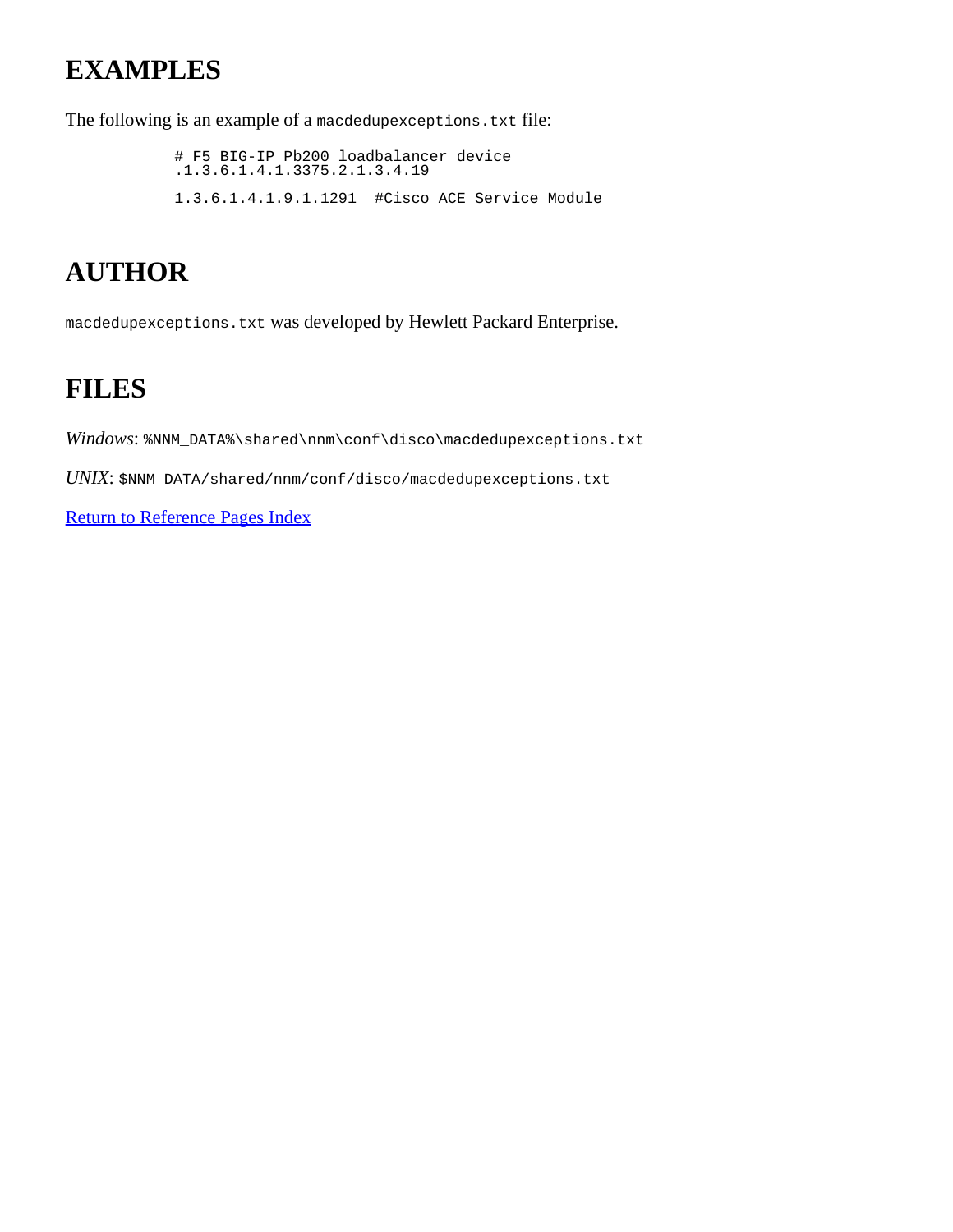## **EXAMPLES**

The following is an example of a macdedupexceptions.txt file:

 # F5 BIG-IP Pb200 loadbalancer device .1.3.6.1.4.1.3375.2.1.3.4.19 1.3.6.1.4.1.9.1.1291 #Cisco ACE Service Module

## **AUTHOR**

macdedupexceptions.txt was developed by Hewlett Packard Enterprise.

## **FILES**

*Windows*: %NNM\_DATA%\shared\nnm\conf\disco\macdedupexceptions.txt

*UNIX*: \$NNM\_DATA/shared/nnm/conf/disco/macdedupexceptions.txt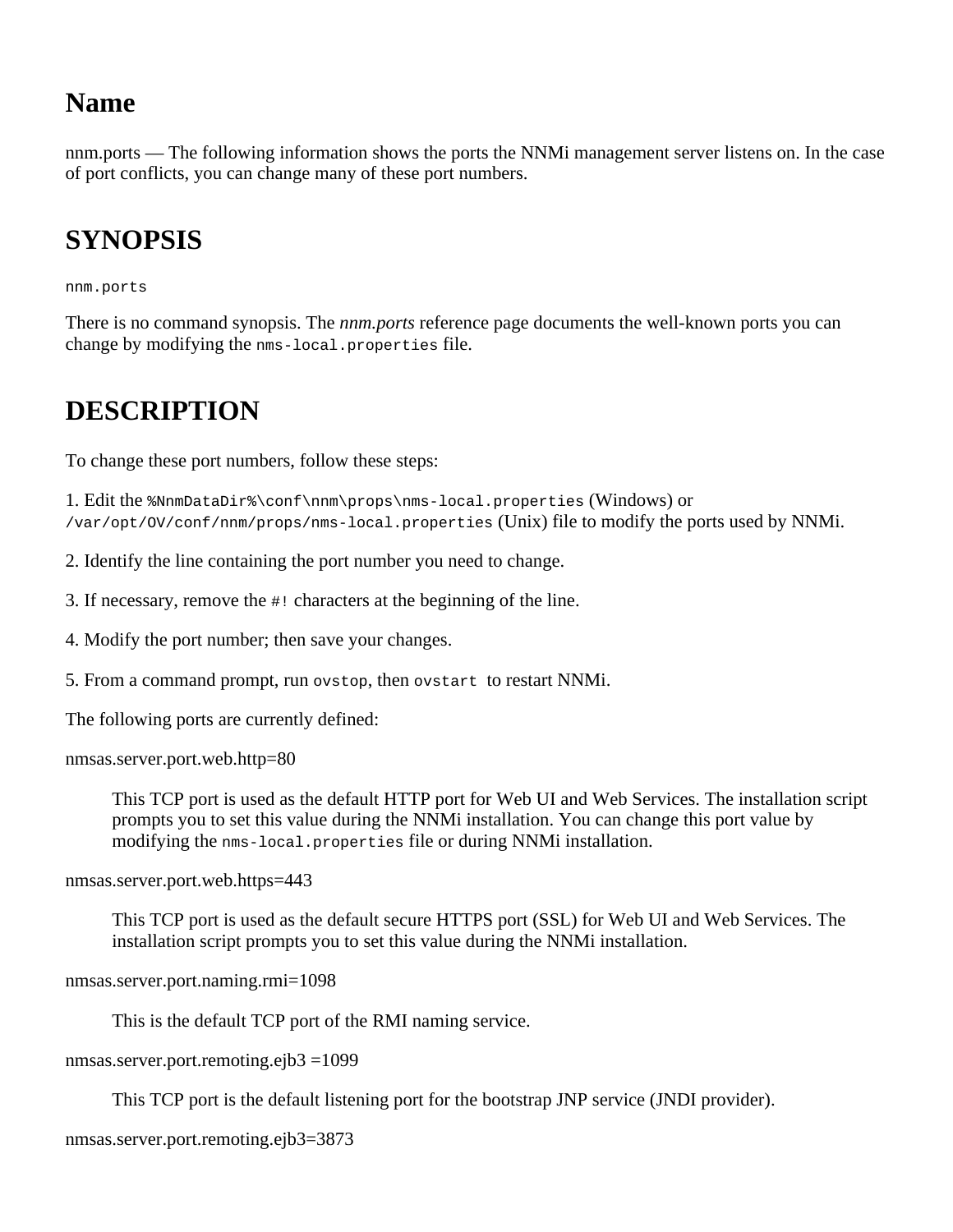nnm.ports — The following information shows the ports the NNMi management server listens on. In the case of port conflicts, you can change many of these port numbers.

# **SYNOPSIS**

nnm.ports

There is no command synopsis. The *nnm.ports* reference page documents the well-known ports you can change by modifying the nms-local.properties file.

#### **DESCRIPTION**

To change these port numbers, follow these steps:

1. Edit the %NnmDataDir%\conf\nnm\props\nms-local.properties (Windows) or /var/opt/OV/conf/nnm/props/nms-local.properties (Unix) file to modify the ports used by NNMi.

2. Identify the line containing the port number you need to change.

3. If necessary, remove the #! characters at the beginning of the line.

4. Modify the port number; then save your changes.

5. From a command prompt, run ovstop, then ovstart to restart NNMi.

The following ports are currently defined:

```
nmsas.server.port.web.http=80
```
This TCP port is used as the default HTTP port for Web UI and Web Services. The installation script prompts you to set this value during the NNMi installation. You can change this port value by modifying the nms-local.properties file or during NNMi installation.

nmsas.server.port.web.https=443

This TCP port is used as the default secure HTTPS port (SSL) for Web UI and Web Services. The installation script prompts you to set this value during the NNMi installation.

nmsas.server.port.naming.rmi=1098

This is the default TCP port of the RMI naming service.

nmsas.server.port.remoting.ejb3 =1099

This TCP port is the default listening port for the bootstrap JNP service (JNDI provider).

nmsas.server.port.remoting.ejb3=3873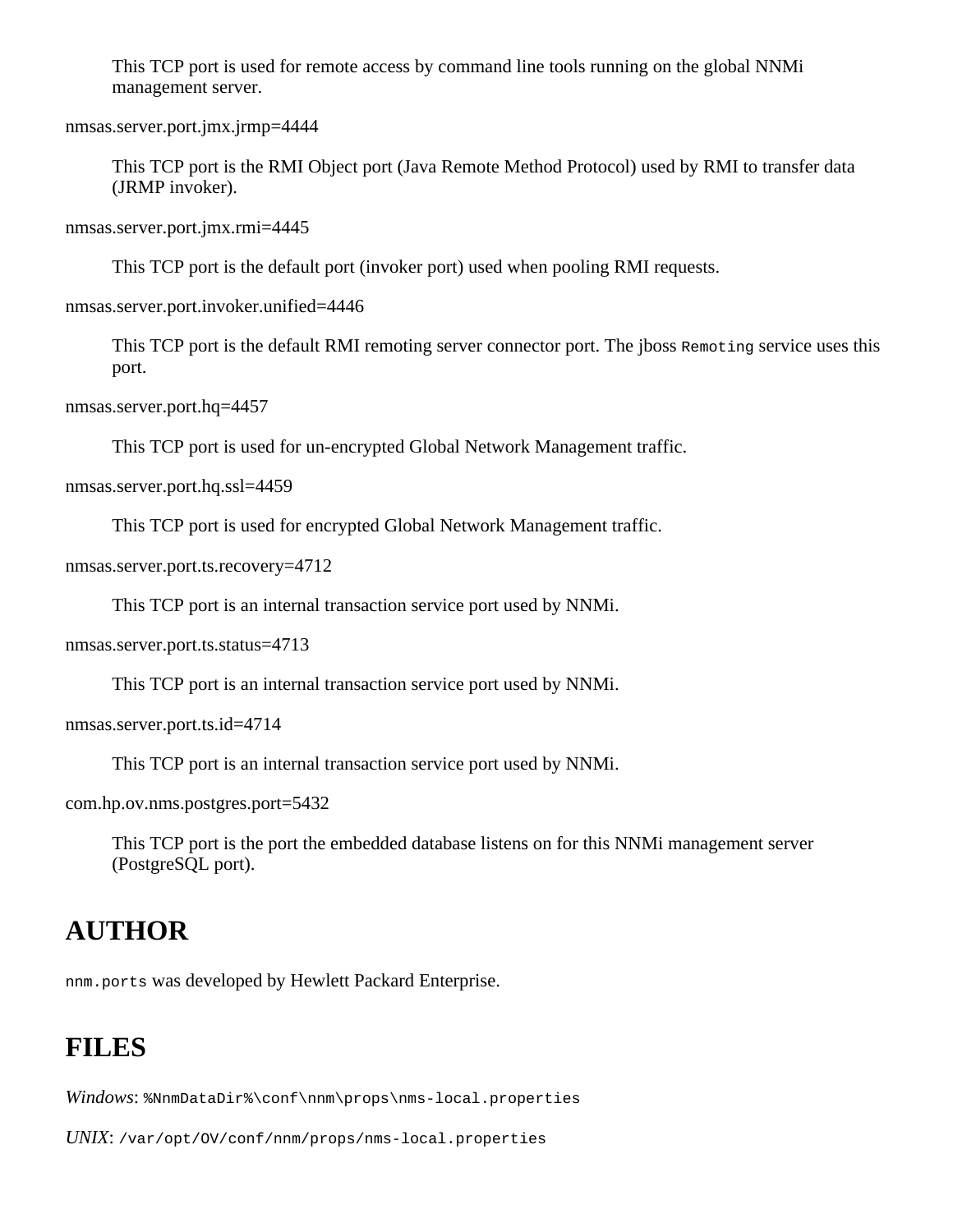This TCP port is used for remote access by command line tools running on the global NNMi management server.

nmsas.server.port.jmx.jrmp=4444

This TCP port is the RMI Object port (Java Remote Method Protocol) used by RMI to transfer data (JRMP invoker).

nmsas.server.port.jmx.rmi=4445

This TCP port is the default port (invoker port) used when pooling RMI requests.

nmsas.server.port.invoker.unified=4446

This TCP port is the default RMI remoting server connector port. The jboss Remoting service uses this port.

nmsas.server.port.hq=4457

This TCP port is used for un-encrypted Global Network Management traffic.

nmsas.server.port.hq.ssl=4459

This TCP port is used for encrypted Global Network Management traffic.

nmsas.server.port.ts.recovery=4712

This TCP port is an internal transaction service port used by NNMi.

nmsas.server.port.ts.status=4713

This TCP port is an internal transaction service port used by NNMi.

nmsas.server.port.ts.id=4714

This TCP port is an internal transaction service port used by NNMi.

com.hp.ov.nms.postgres.port=5432

This TCP port is the port the embedded database listens on for this NNMi management server (PostgreSQL port).

#### **AUTHOR**

nnm.ports was developed by Hewlett Packard Enterprise.

#### **FILES**

*Windows*: %NnmDataDir%\conf\nnm\props\nms-local.properties

*UNIX*: /var/opt/OV/conf/nnm/props/nms-local.properties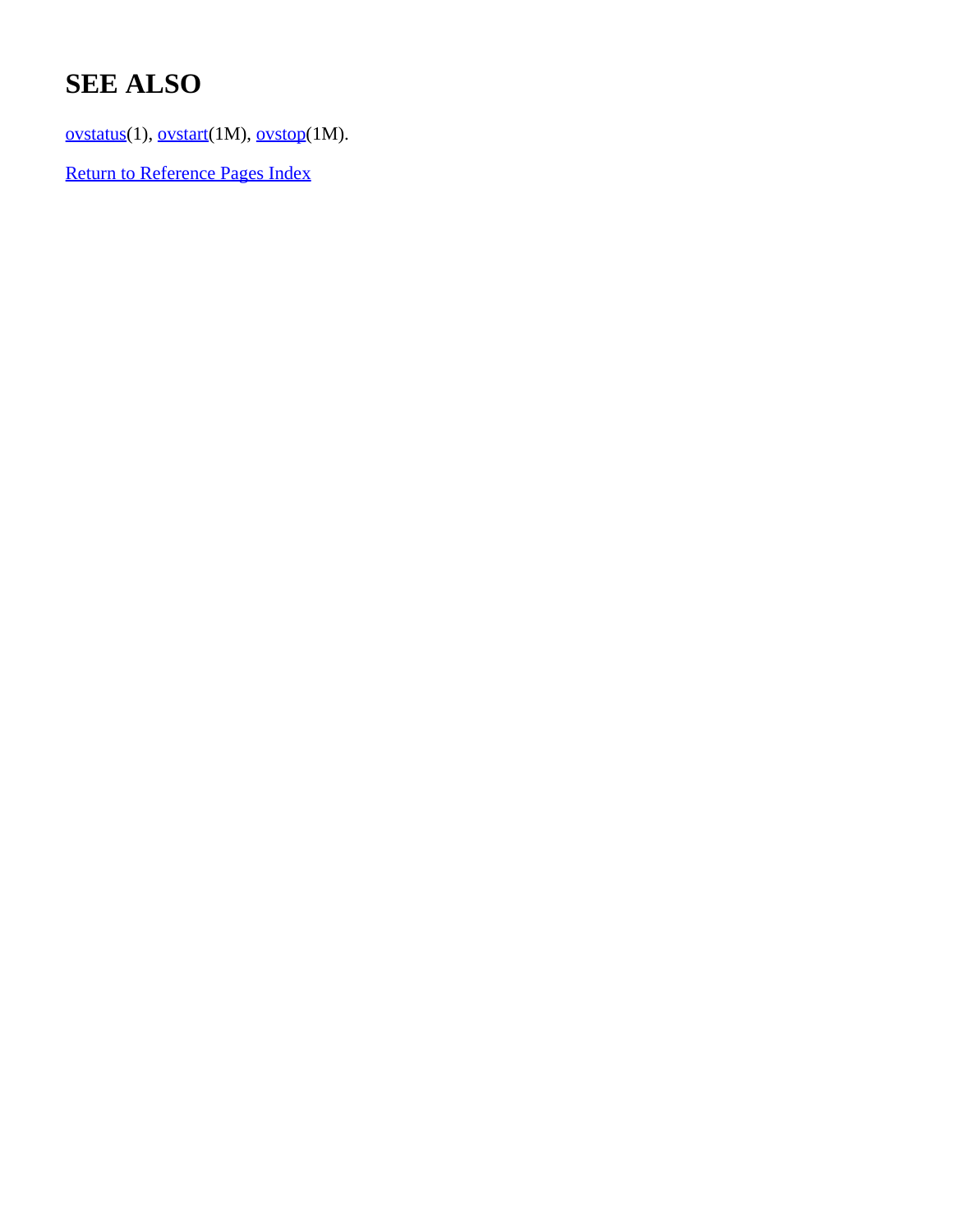# **SEE ALSO**

[ovstatus](#page-25-0)(1), [ovstart](#page-325-0)(1M), [ovstop](#page-329-0)(1M).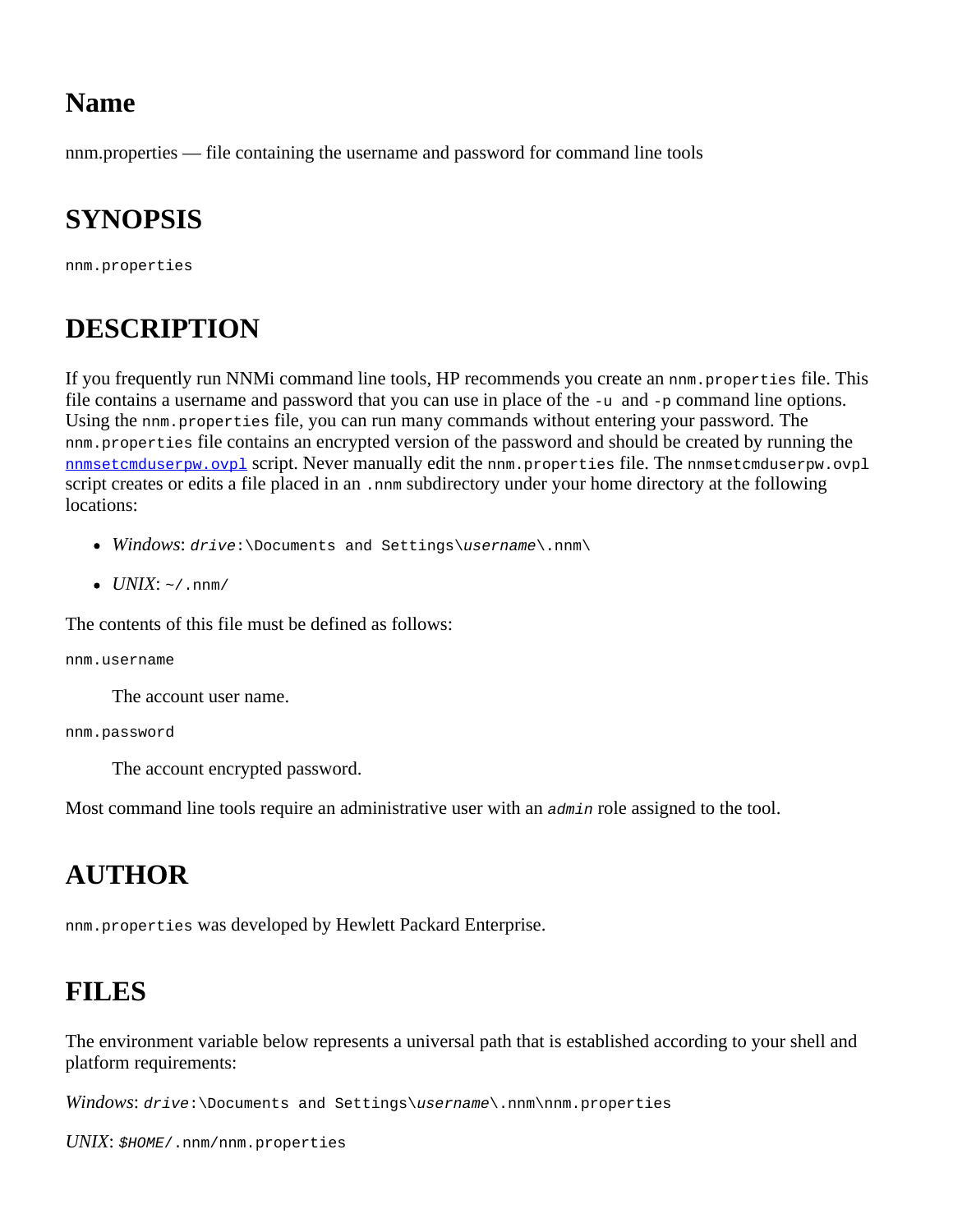<span id="page-212-0"></span>nnm.properties — file containing the username and password for command line tools

## **SYNOPSIS**

nnm.properties

## **DESCRIPTION**

If you frequently run NNMi command line tools, HP recommends you create an nnm. properties file. This file contains a username and password that you can use in place of the  $-u$  and  $-p$  command line options. Using the nnm. properties file, you can run many commands without entering your password. The nnm.properties file contains an encrypted version of the password and should be created by running the [nnmsetcmduserpw.ovpl](#page-15-0) script. Never manually edit the nnm.properties file. The nnmsetcmduserpw.ovpl script creates or edits a file placed in an .nnm subdirectory under your home directory at the following locations:

- *Windows*: *drive*:\Documents and Settings\*username*\.nnm\
- $\bullet$  *UNIX*: ~/.nnm/

The contents of this file must be defined as follows:

nnm.username

The account user name.

nnm.password

The account encrypted password.

Most command line tools require an administrative user with an *admin* role assigned to the tool.

#### **AUTHOR**

nnm.properties was developed by Hewlett Packard Enterprise.

#### **FILES**

The environment variable below represents a universal path that is established according to your shell and platform requirements:

*Windows*: *drive*:\Documents and Settings\*username*\.nnm\nnm.properties

*UNIX*: *\$HOME*/.nnm/nnm.properties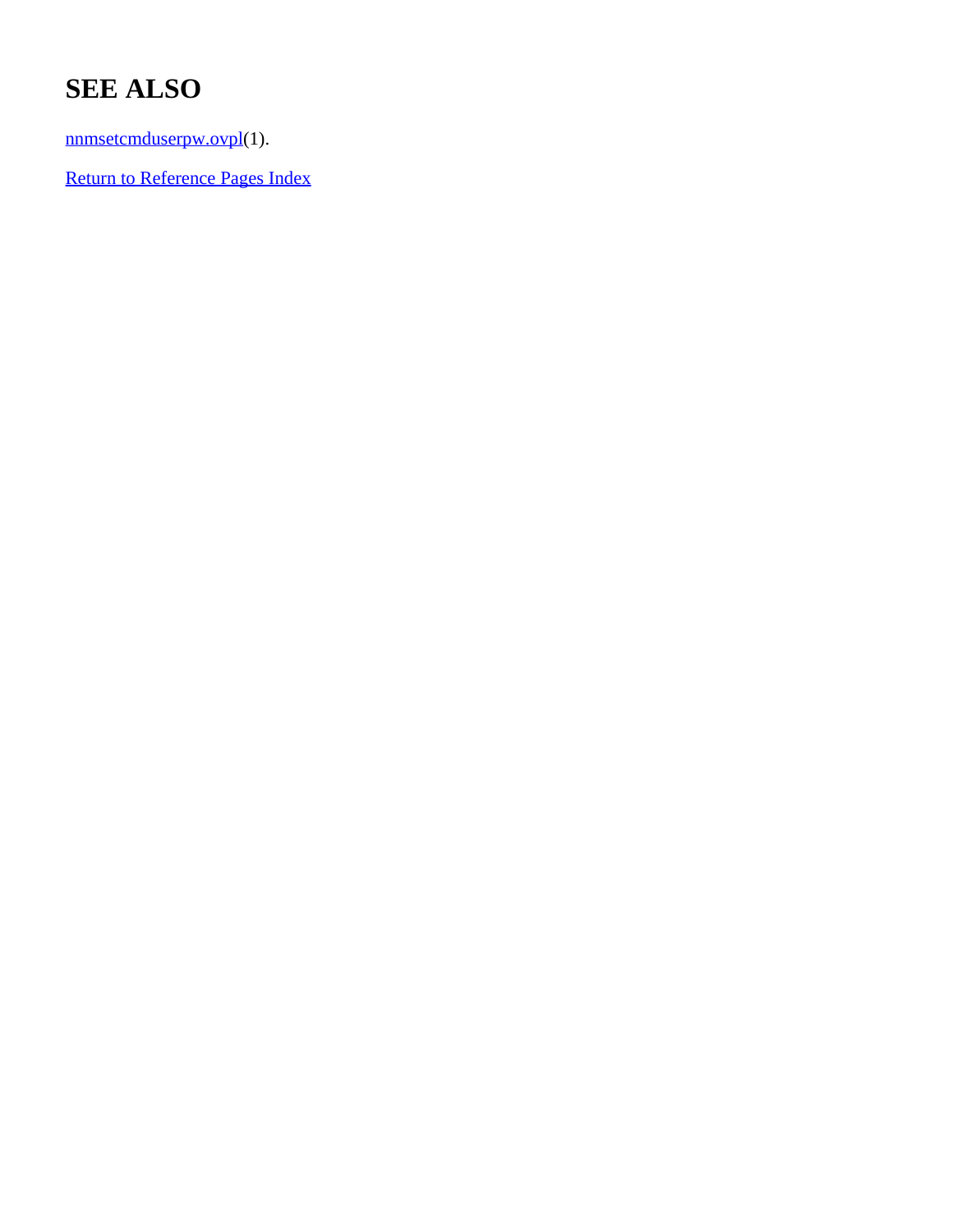## **SEE ALSO**

[nnmsetcmduserpw.ovpl](#page-15-0)(1).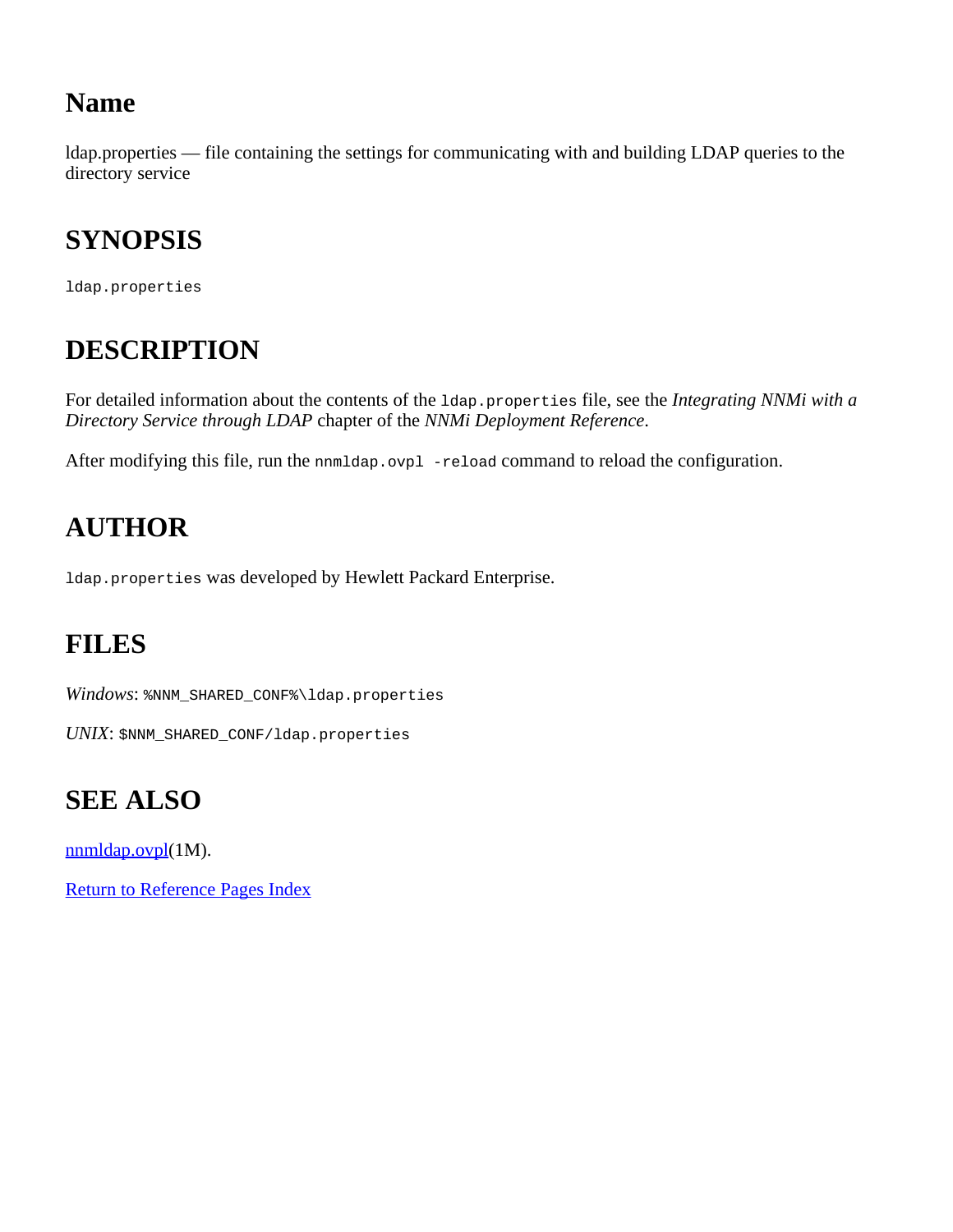ldap.properties — file containing the settings for communicating with and building LDAP queries to the directory service

## **SYNOPSIS**

ldap.properties

## **DESCRIPTION**

For detailed information about the contents of the 1dap.properties file, see the *Integrating NNMi with a Directory Service through LDAP* chapter of the *NNMi Deployment Reference*.

After modifying this file, run the nnmldap.ovpl -reload command to reload the configuration.

## **AUTHOR**

ldap.properties was developed by Hewlett Packard Enterprise.

## **FILES**

*Windows*: %NNM\_SHARED\_CONF%\ldap.properties

*UNIX*: \$NNM\_SHARED\_CONF/ldap.properties

## **SEE ALSO**

[nnmldap.ovpl](#page-129-0)(1M).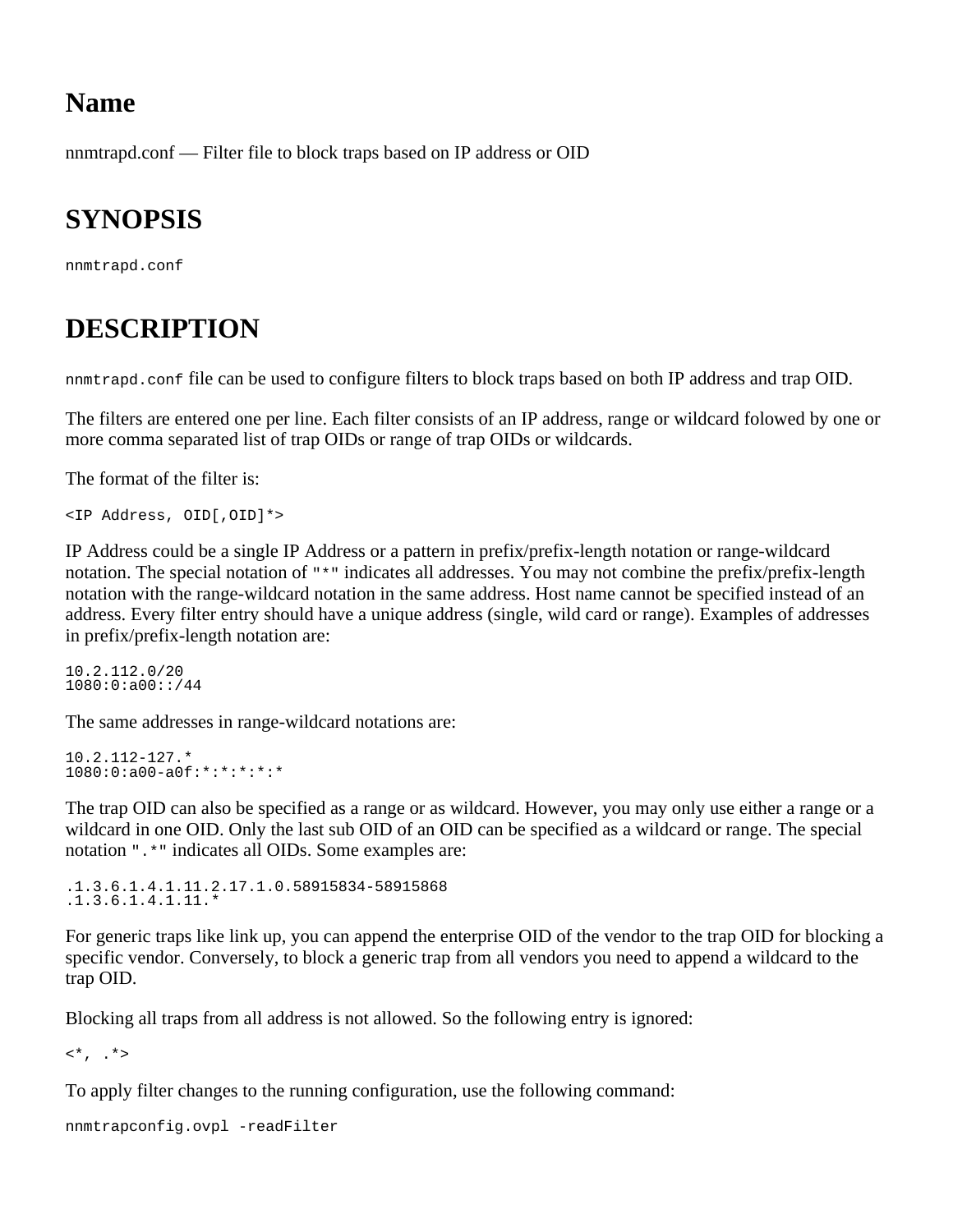nnmtrapd.conf — Filter file to block traps based on IP address or OID

## **SYNOPSIS**

nnmtrapd.conf

## **DESCRIPTION**

nnmtrapd.conf file can be used to configure filters to block traps based on both IP address and trap OID.

The filters are entered one per line. Each filter consists of an IP address, range or wildcard folowed by one or more comma separated list of trap OIDs or range of trap OIDs or wildcards.

The format of the filter is:

```
<IP Address, OID[,OID]*>
```
IP Address could be a single IP Address or a pattern in prefix/prefix-length notation or range-wildcard notation. The special notation of "\*" indicates all addresses. You may not combine the prefix/prefix-length notation with the range-wildcard notation in the same address. Host name cannot be specified instead of an address. Every filter entry should have a unique address (single, wild card or range). Examples of addresses in prefix/prefix-length notation are:

10.2.112.0/20 1080:0:a00::/44

The same addresses in range-wildcard notations are:

```
10.2.112-127.*
1080:0:a00-a0f:*:*:*:*:*
```
The trap OID can also be specified as a range or as wildcard. However, you may only use either a range or a wildcard in one OID. Only the last sub OID of an OID can be specified as a wildcard or range. The special notation ".\*" indicates all OIDs. Some examples are:

.1.3.6.1.4.1.11.2.17.1.0.58915834-58915868  $.1.3.6.1.4.1.11.$ <sup>\*</sup>

For generic traps like link up, you can append the enterprise OID of the vendor to the trap OID for blocking a specific vendor. Conversely, to block a generic trap from all vendors you need to append a wildcard to the trap OID.

Blocking all traps from all address is not allowed. So the following entry is ignored:

 $\langle$ \*, .\*>

To apply filter changes to the running configuration, use the following command:

```
nnmtrapconfig.ovpl -readFilter
```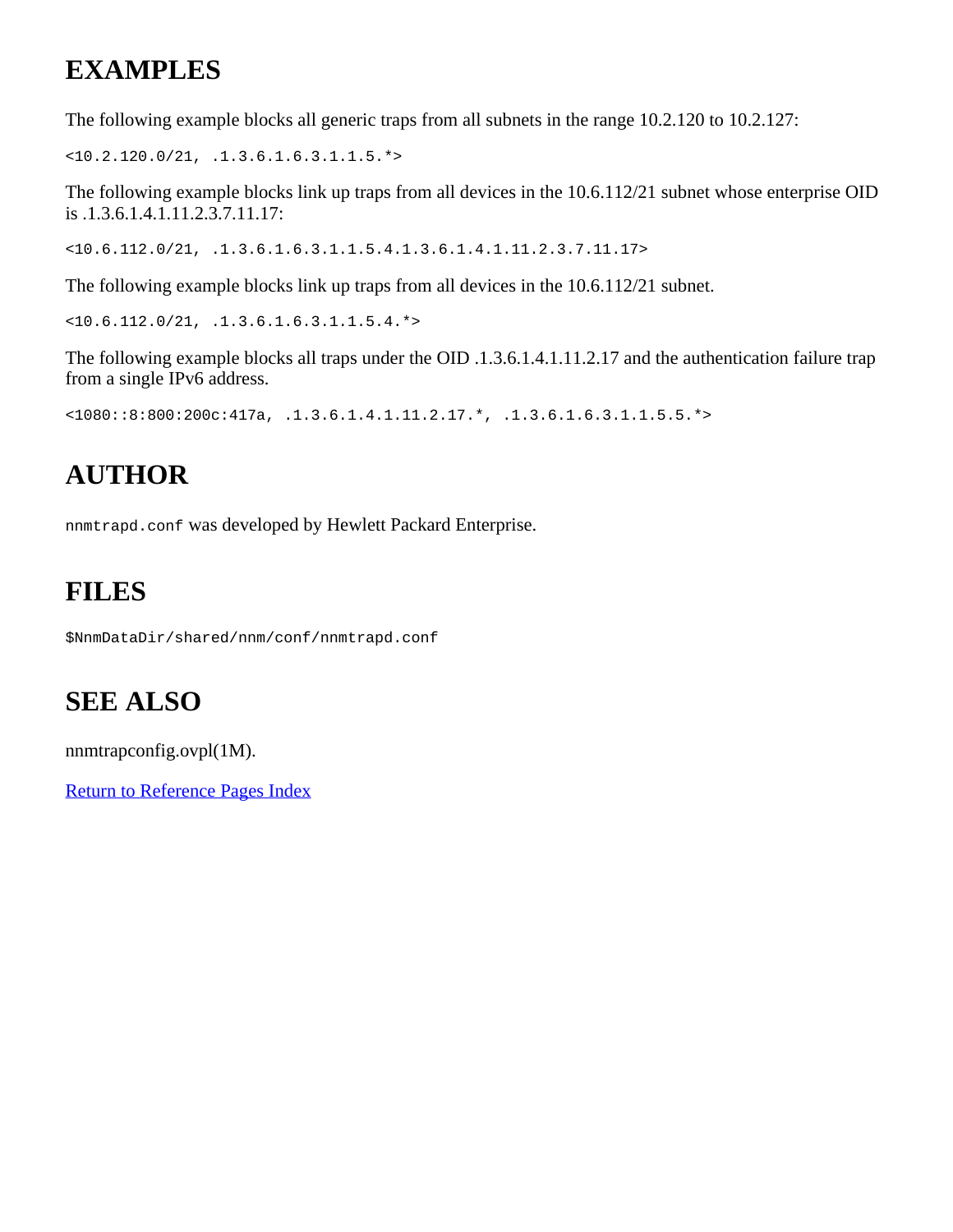# **EXAMPLES**

The following example blocks all generic traps from all subnets in the range 10.2.120 to 10.2.127:

<10.2.120.0/21, .1.3.6.1.6.3.1.1.5.\*>

The following example blocks link up traps from all devices in the 10.6.112/21 subnet whose enterprise OID is .1.3.6.1.4.1.11.2.3.7.11.17:

<10.6.112.0/21, .1.3.6.1.6.3.1.1.5.4.1.3.6.1.4.1.11.2.3.7.11.17>

The following example blocks link up traps from all devices in the 10.6.112/21 subnet.

<10.6.112.0/21, .1.3.6.1.6.3.1.1.5.4.\*>

The following example blocks all traps under the OID .1.3.6.1.4.1.11.2.17 and the authentication failure trap from a single IPv6 address.

<1080::8:800:200c:417a, .1.3.6.1.4.1.11.2.17.\*, .1.3.6.1.6.3.1.1.5.5.\*>

# **AUTHOR**

nnmtrapd.conf was developed by Hewlett Packard Enterprise.

## **FILES**

\$NnmDataDir/shared/nnm/conf/nnmtrapd.conf

# **SEE ALSO**

nnmtrapconfig.ovpl(1M).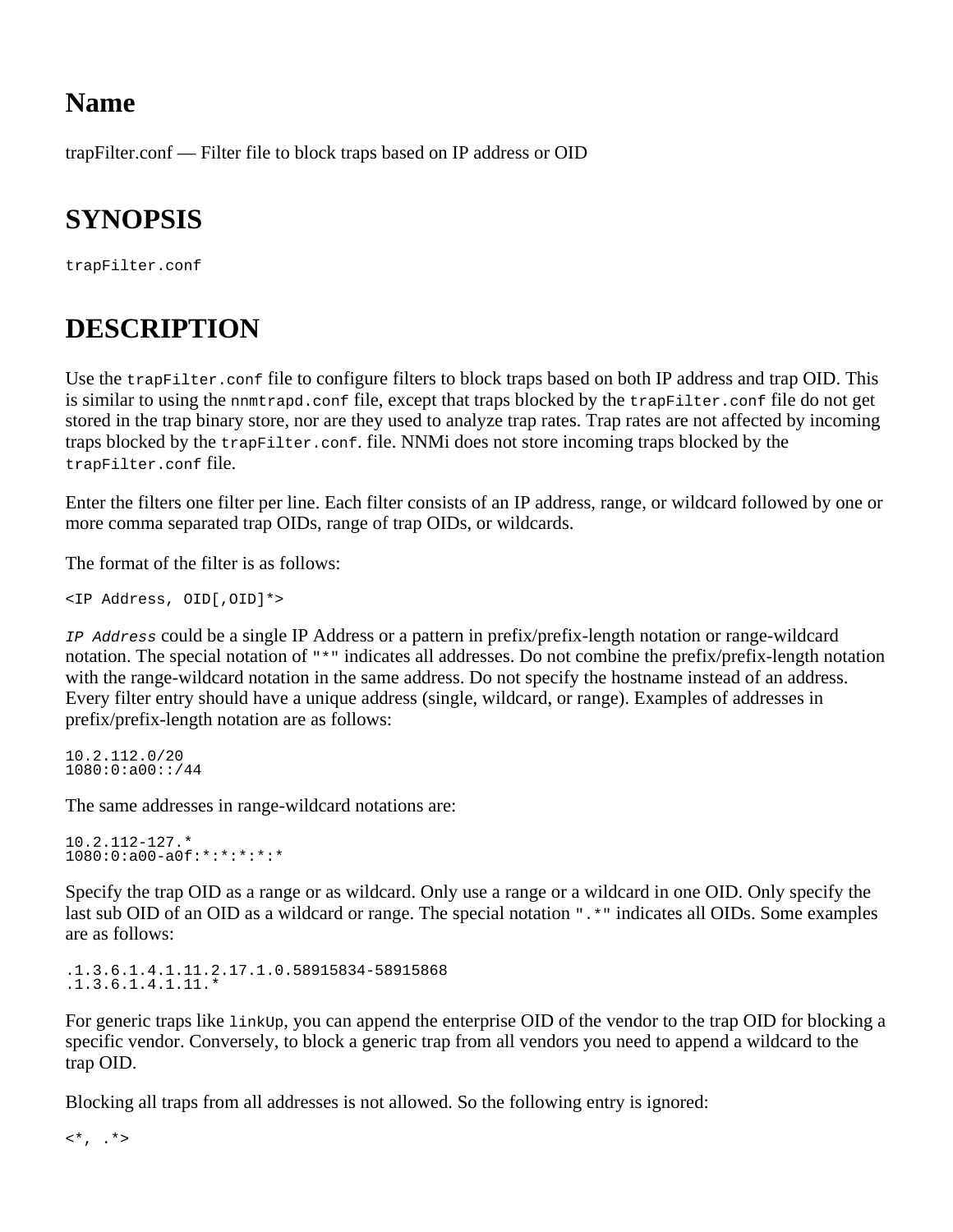trapFilter.conf — Filter file to block traps based on IP address or OID

# **SYNOPSIS**

trapFilter.conf

# **DESCRIPTION**

Use the trapFilter.conf file to configure filters to block traps based on both IP address and trap OID. This is similar to using the nnmtrapd.conf file, except that traps blocked by the trapFilter.conf file do not get stored in the trap binary store, nor are they used to analyze trap rates. Trap rates are not affected by incoming traps blocked by the trapFilter.conf. file. NNMi does not store incoming traps blocked by the trapFilter.conf file.

Enter the filters one filter per line. Each filter consists of an IP address, range, or wildcard followed by one or more comma separated trap OIDs, range of trap OIDs, or wildcards.

The format of the filter is as follows:

```
<IP Address, OID[,OID]*>
```
*IP Address* could be a single IP Address or a pattern in prefix/prefix-length notation or range-wildcard notation. The special notation of "\*" indicates all addresses. Do not combine the prefix/prefix-length notation with the range-wildcard notation in the same address. Do not specify the hostname instead of an address. Every filter entry should have a unique address (single, wildcard, or range). Examples of addresses in prefix/prefix-length notation are as follows:

10.2.112.0/20 1080:0:a00::/44

The same addresses in range-wildcard notations are:

10.2.112-127.\* 1080:0:a00-a0f:\*:\*:\*:\*:\*

Specify the trap OID as a range or as wildcard. Only use a range or a wildcard in one OID. Only specify the last sub OID of an OID as a wildcard or range. The special notation  $\cdot \cdot \cdot$  indicates all OIDs. Some examples are as follows:

.1.3.6.1.4.1.11.2.17.1.0.58915834-58915868 .1.3.6.1.4.1.11.\*

For generic traps like linkUp, you can append the enterprise OID of the vendor to the trap OID for blocking a specific vendor. Conversely, to block a generic trap from all vendors you need to append a wildcard to the trap OID.

Blocking all traps from all addresses is not allowed. So the following entry is ignored:

 $\langle$ \*, .\*>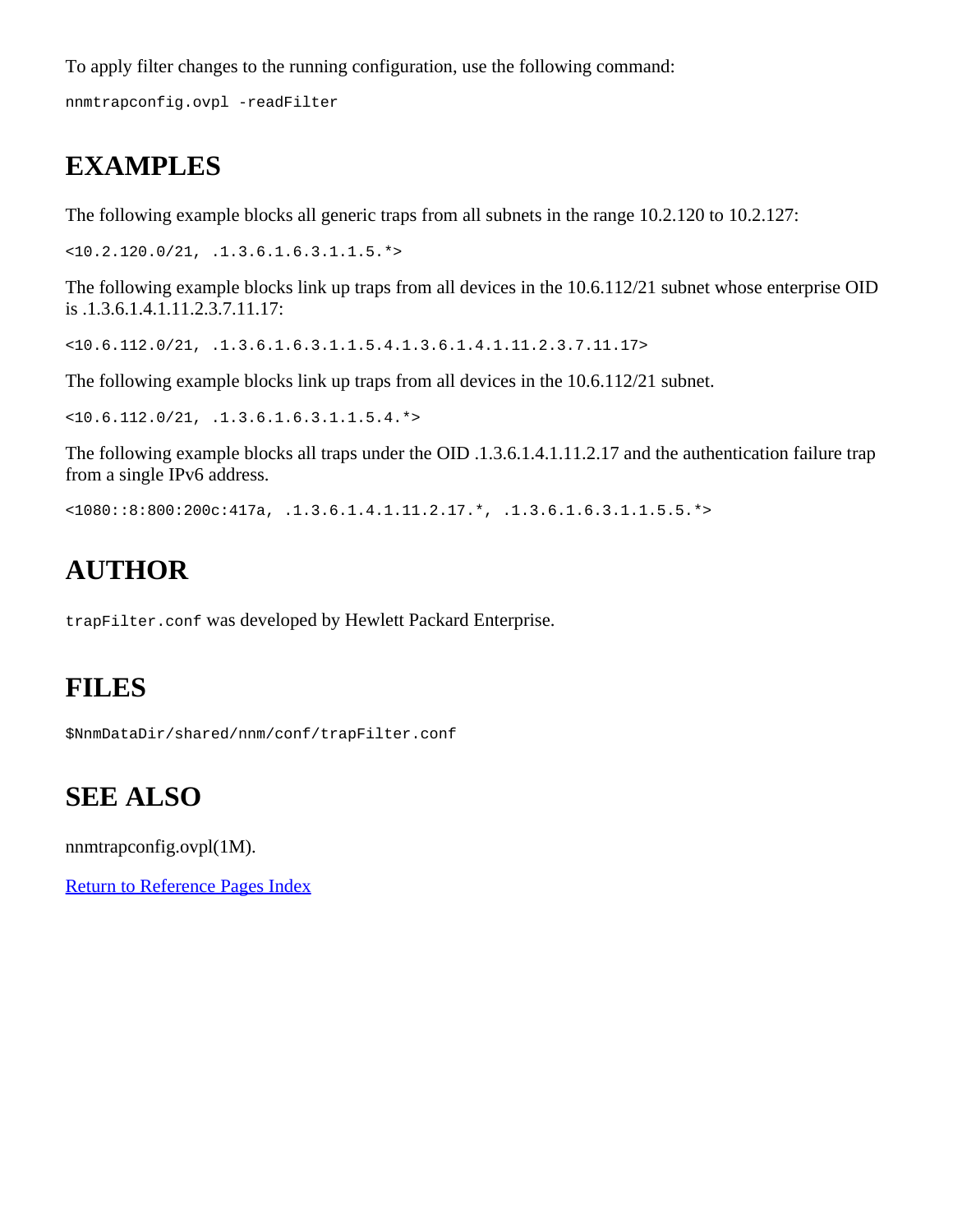To apply filter changes to the running configuration, use the following command:

nnmtrapconfig.ovpl -readFilter

# **EXAMPLES**

The following example blocks all generic traps from all subnets in the range 10.2.120 to 10.2.127:

<10.2.120.0/21, .1.3.6.1.6.3.1.1.5.\*>

The following example blocks link up traps from all devices in the 10.6.112/21 subnet whose enterprise OID is .1.3.6.1.4.1.11.2.3.7.11.17:

<10.6.112.0/21, .1.3.6.1.6.3.1.1.5.4.1.3.6.1.4.1.11.2.3.7.11.17>

The following example blocks link up traps from all devices in the 10.6.112/21 subnet.

<10.6.112.0/21, .1.3.6.1.6.3.1.1.5.4.\*>

The following example blocks all traps under the OID .1.3.6.1.4.1.11.2.17 and the authentication failure trap from a single IPv6 address.

<1080::8:800:200c:417a, .1.3.6.1.4.1.11.2.17.\*, .1.3.6.1.6.3.1.1.5.5.\*>

# **AUTHOR**

trapFilter.conf was developed by Hewlett Packard Enterprise.

# **FILES**

\$NnmDataDir/shared/nnm/conf/trapFilter.conf

# **SEE ALSO**

nnmtrapconfig.ovpl(1M).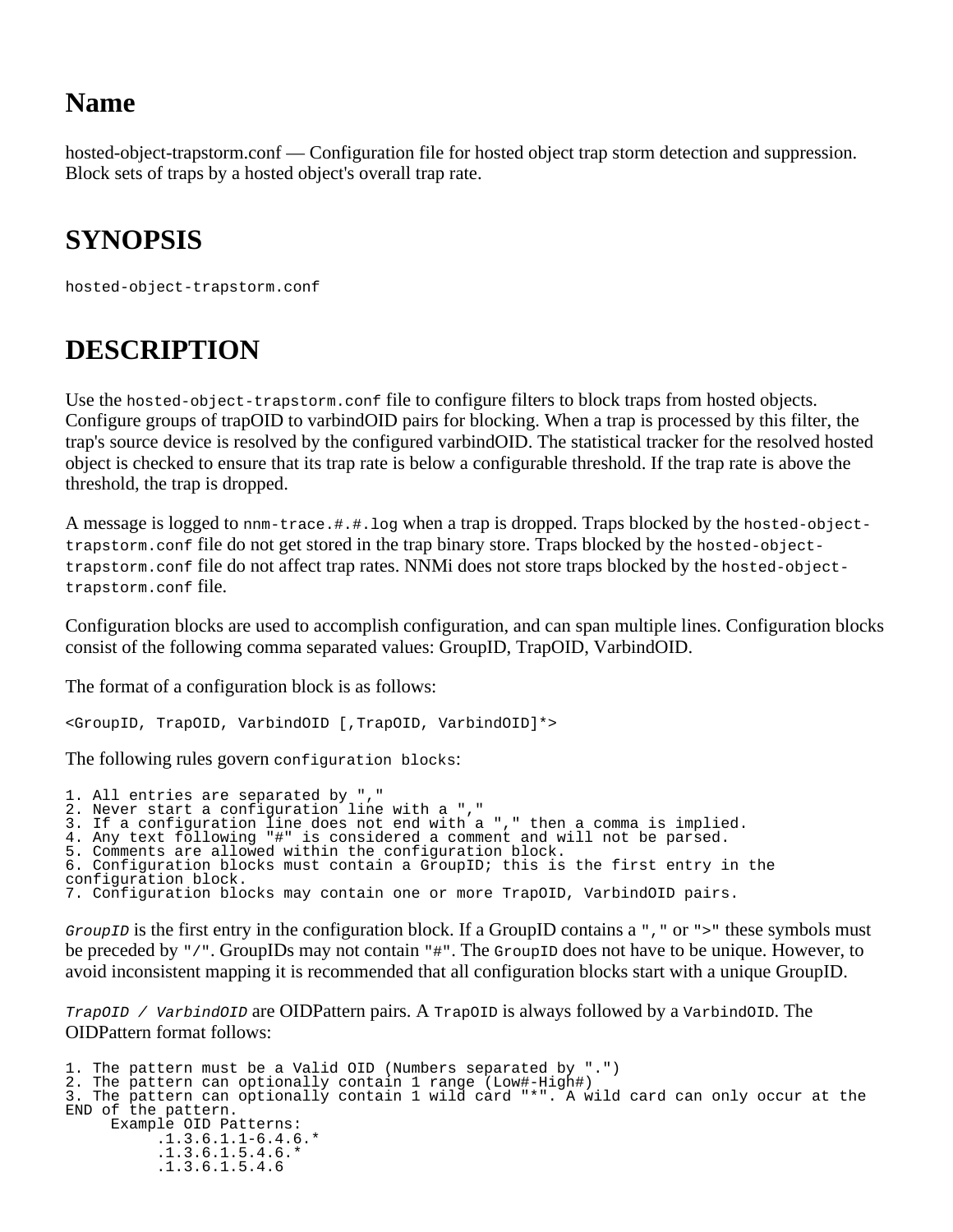hosted-object-trapstorm.conf — Configuration file for hosted object trap storm detection and suppression. Block sets of traps by a hosted object's overall trap rate.

# **SYNOPSIS**

hosted-object-trapstorm.conf

# **DESCRIPTION**

Use the hosted-object-trapstorm.conf file to configure filters to block traps from hosted objects. Configure groups of trapOID to varbindOID pairs for blocking. When a trap is processed by this filter, the trap's source device is resolved by the configured varbindOID. The statistical tracker for the resolved hosted object is checked to ensure that its trap rate is below a configurable threshold. If the trap rate is above the threshold, the trap is dropped.

A message is logged to nnm-trace.#.#.log when a trap is dropped. Traps blocked by the hosted-objecttrapstorm.conf file do not get stored in the trap binary store. Traps blocked by the hosted-objecttrapstorm.conf file do not affect trap rates. NNMi does not store traps blocked by the hosted-objecttrapstorm.conf file.

Configuration blocks are used to accomplish configuration, and can span multiple lines. Configuration blocks consist of the following comma separated values: GroupID, TrapOID, VarbindOID.

The format of a configuration block is as follows:

<GroupID, TrapOID, VarbindOID [,TrapOID, VarbindOID]\*>

The following rules govern configuration blocks:

```
1. All entries are separated by ","
2. Never start a configuration line with a ","
3. If a configuration line does not end with a "," then a comma is implied.
4. Any text following "#" is considered a comment and will not be parsed.
5. Comments are allowed within the configuration block.
6. Configuration blocks must contain a GroupID; this is the first entry in the
configuration block.
7. Configuration blocks may contain one or more TrapOID, VarbindOID pairs.
```
*GroupID* is the first entry in the configuration block. If a GroupID contains a ", " or ">" these symbols must be preceded by "/". GroupIDs may not contain "#". The GroupID does not have to be unique. However, to avoid inconsistent mapping it is recommended that all configuration blocks start with a unique GroupID.

*TrapOID / VarbindOID* are OIDPattern pairs. A TrapOID is always followed by a VarbindOID. The OIDPattern format follows:

```
1. The pattern must be a Valid OID (Numbers separated by ".")
2. The pattern can optionally contain 1 range (Low#-High#)
3. The pattern can optionally contain 1 wild card "*". A wild card can only occur at the
END of the pattern.
      Example OID Patterns:
           .1.3.6.1.1-6.4.6.*
           .1.3.6.1.5.4.6.*
           .1.3.6.1.5.4.6
```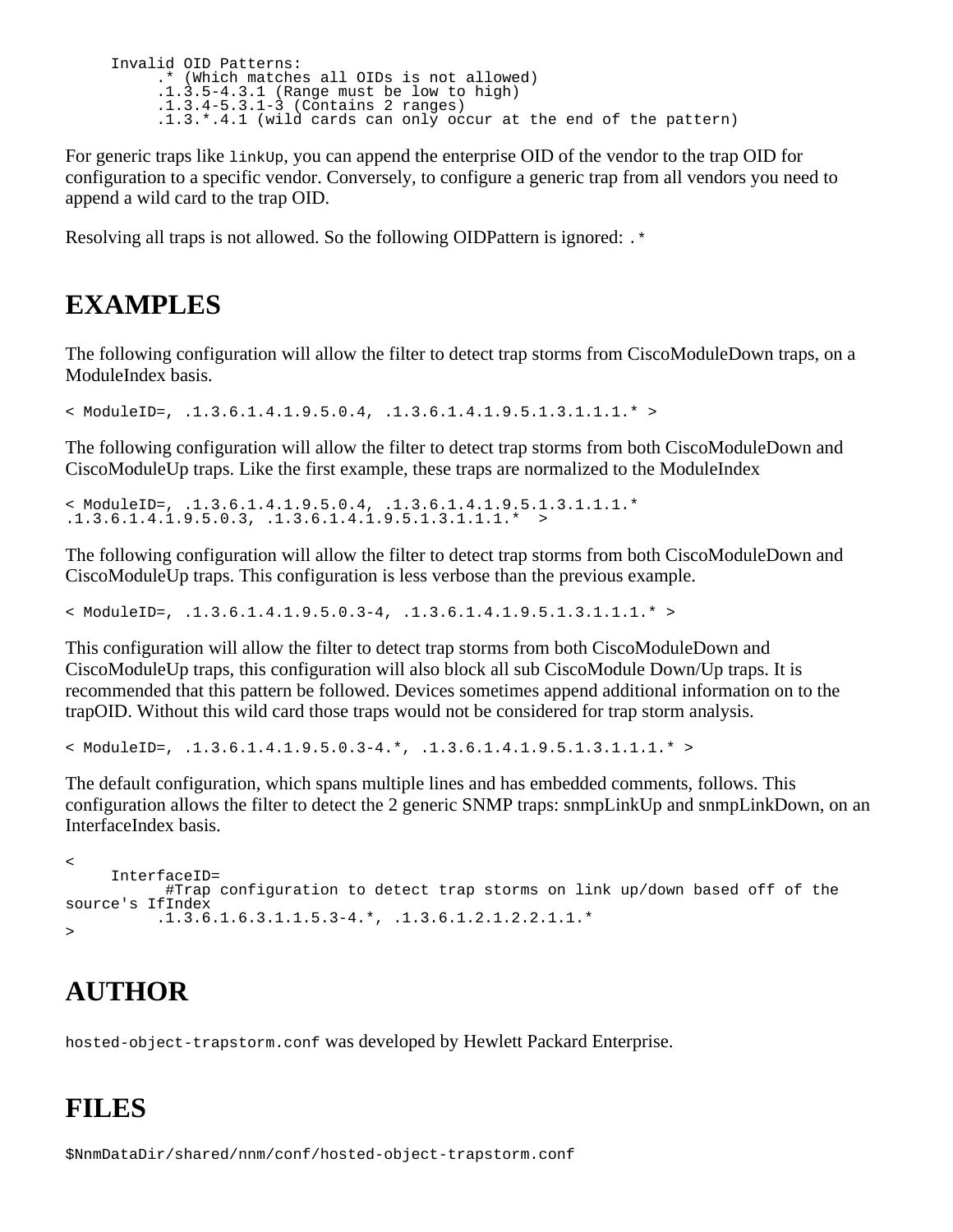Invalid OID Patterns: .\* (Which matches all OIDs is not allowed) .1.3.5-4.3.1 (Range must be low to high) .1.3.4-5.3.1-3 (Contains 2 ranges) .1.3.\*.4.1 (wild cards can only occur at the end of the pattern)

For generic traps like linkUp, you can append the enterprise OID of the vendor to the trap OID for configuration to a specific vendor. Conversely, to configure a generic trap from all vendors you need to append a wild card to the trap OID.

Resolving all traps is not allowed. So the following OIDP attern is ignored: .  $*$ 

#### **EXAMPLES**

The following configuration will allow the filter to detect trap storms from CiscoModuleDown traps, on a ModuleIndex basis.

< ModuleID=, .1.3.6.1.4.1.9.5.0.4, .1.3.6.1.4.1.9.5.1.3.1.1.1.\* >

The following configuration will allow the filter to detect trap storms from both CiscoModuleDown and CiscoModuleUp traps. Like the first example, these traps are normalized to the ModuleIndex

< ModuleID=, .1.3.6.1.4.1.9.5.0.4, .1.3.6.1.4.1.9.5.1.3.1.1.1.\*  $.1.3.6.1.4.1.9.5.0.3, .1.3.6.1.4.1.9.5.1.3.1.1.1.*$ 

The following configuration will allow the filter to detect trap storms from both CiscoModuleDown and CiscoModuleUp traps. This configuration is less verbose than the previous example.

< ModuleID=, .1.3.6.1.4.1.9.5.0.3-4, .1.3.6.1.4.1.9.5.1.3.1.1.1.\* >

This configuration will allow the filter to detect trap storms from both CiscoModuleDown and CiscoModuleUp traps, this configuration will also block all sub CiscoModule Down/Up traps. It is recommended that this pattern be followed. Devices sometimes append additional information on to the trapOID. Without this wild card those traps would not be considered for trap storm analysis.

< ModuleID=, .1.3.6.1.4.1.9.5.0.3-4.\*, .1.3.6.1.4.1.9.5.1.3.1.1.1.\* >

The default configuration, which spans multiple lines and has embedded comments, follows. This configuration allows the filter to detect the 2 generic SNMP traps: snmpLinkUp and snmpLinkDown, on an InterfaceIndex basis.

```
\overline{a} InterfaceID=
            #Trap configuration to detect trap storms on link up/down based off of the
source's IfIndex
            .1.3.6.1.6.3.1.1.5.3-4.*, .1.3.6.1.2.1.2.2.1.1.* 
>
```
## **AUTHOR**

hosted-object-trapstorm.conf was developed by Hewlett Packard Enterprise.

#### **FILES**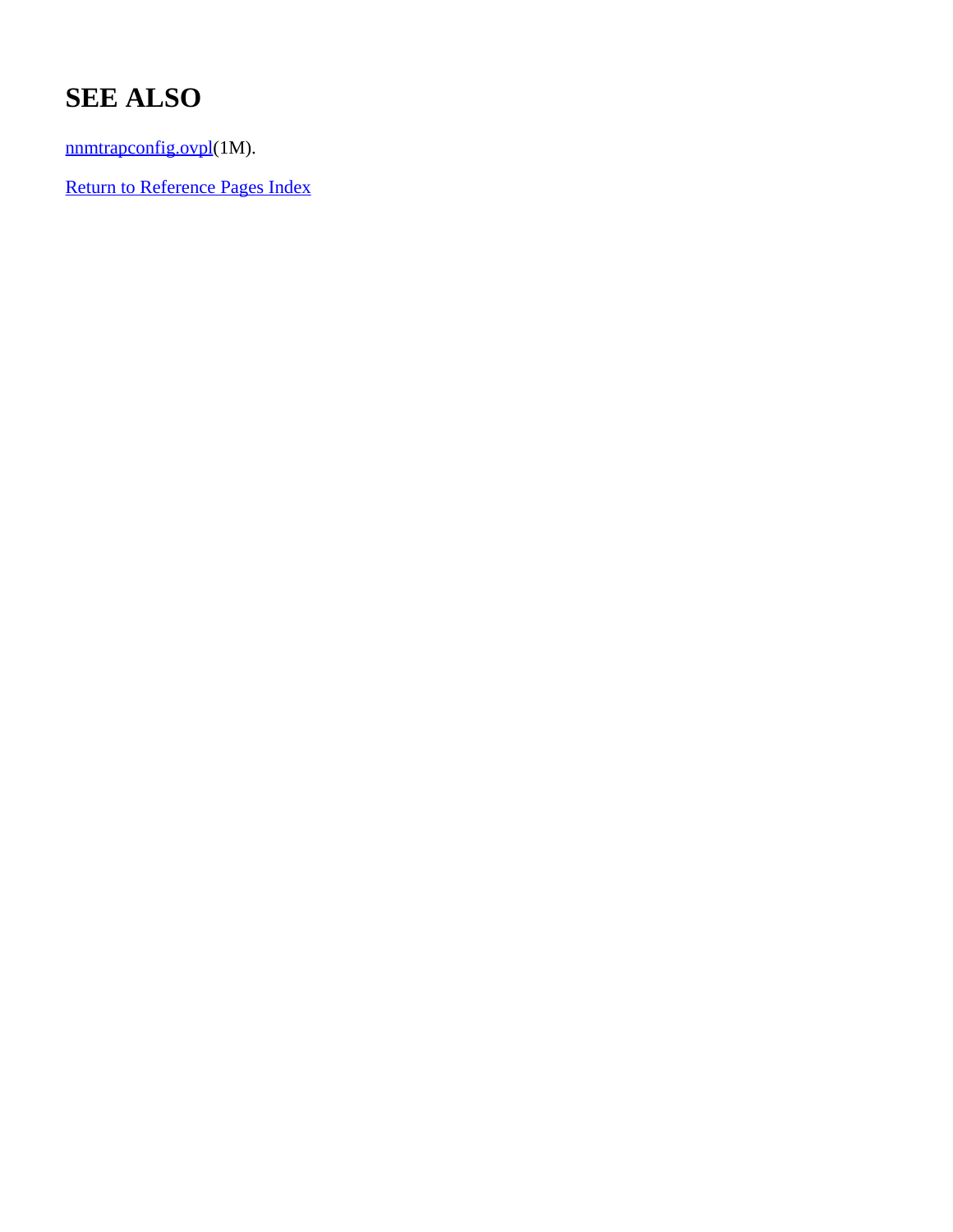# **SEE ALSO**

[nnmtrapconfig.ovpl\(](#page-293-0)1M).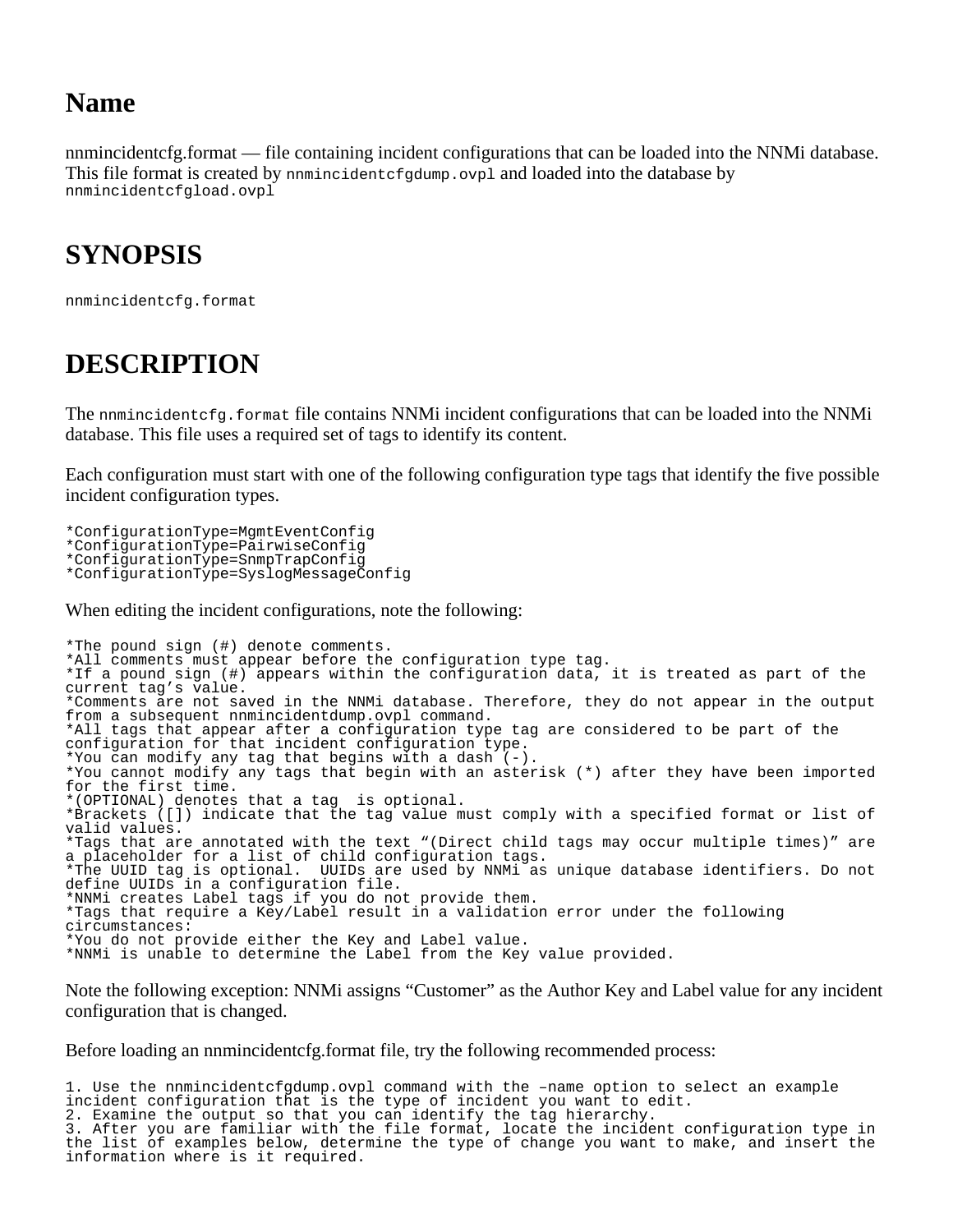nnmincidentcfg.format — file containing incident configurations that can be loaded into the NNMi database. This file format is created by nnmincidentcfgdump.ovpl and loaded into the database by nnmincidentcfgload.ovpl

# **SYNOPSIS**

nnmincidentcfg.format

### **DESCRIPTION**

The nnmincidentcfg.format file contains NNMi incident configurations that can be loaded into the NNMi database. This file uses a required set of tags to identify its content.

Each configuration must start with one of the following configuration type tags that identify the five possible incident configuration types.

\*ConfigurationType=MgmtEventConfig \*ConfigurationType=PairwiseConfig \*ConfigurationType=SnmpTrapConfig \*ConfigurationType=SyslogMessageConfig

When editing the incident configurations, note the following:

\*The pound sign (#) denote comments. \*All comments must appear before the configuration type tag. \*If a pound sign (#) appears within the configuration data, it is treated as part of the current tag's value. \*Comments are not saved in the NNMi database. Therefore, they do not appear in the output from a subsequent nnmincidentdump.ovpl command. \*All tags that appear after a configuration type tag are considered to be part of the configuration for that incident configuration type. \*You can modify any tag that begins with a dash (-). \*You cannot modify any tags that begin with an asterisk (\*) after they have been imported for the first time. \*(OPTIONAL) denotes that a tag is optional. \*Brackets ([]) indicate that the tag value must comply with a specified format or list of valid values. \*Tags that are annotated with the text "(Direct child tags may occur multiple times)" are a placeholder for a list of child configuration tags. \*The UUID tag is optional. UUIDs are used by NNMi as unique database identifiers. Do not define UUIDs in a configuration file. \*NNMi creates Label tags if you do not provide them. \*Tags that require a Key/Label result in a validation error under the following circumstances: \*You do not provide either the Key and Label value. \*NNMi is unable to determine the Label from the Key value provided.

Note the following exception: NNMi assigns "Customer" as the Author Key and Label value for any incident configuration that is changed.

Before loading an nnmincidentcfg.format file, try the following recommended process:

1. Use the nnmincidentcfgdump.ovpl command with the –name option to select an example incident configuration that is the type of incident you want to edit. 2. Examine the output so that you can identify the tag hierarchy. 3. After you are familiar with the file format, locate the incident configuration type in the list of examples below, determine the type of change you want to make, and insert the information where is it required.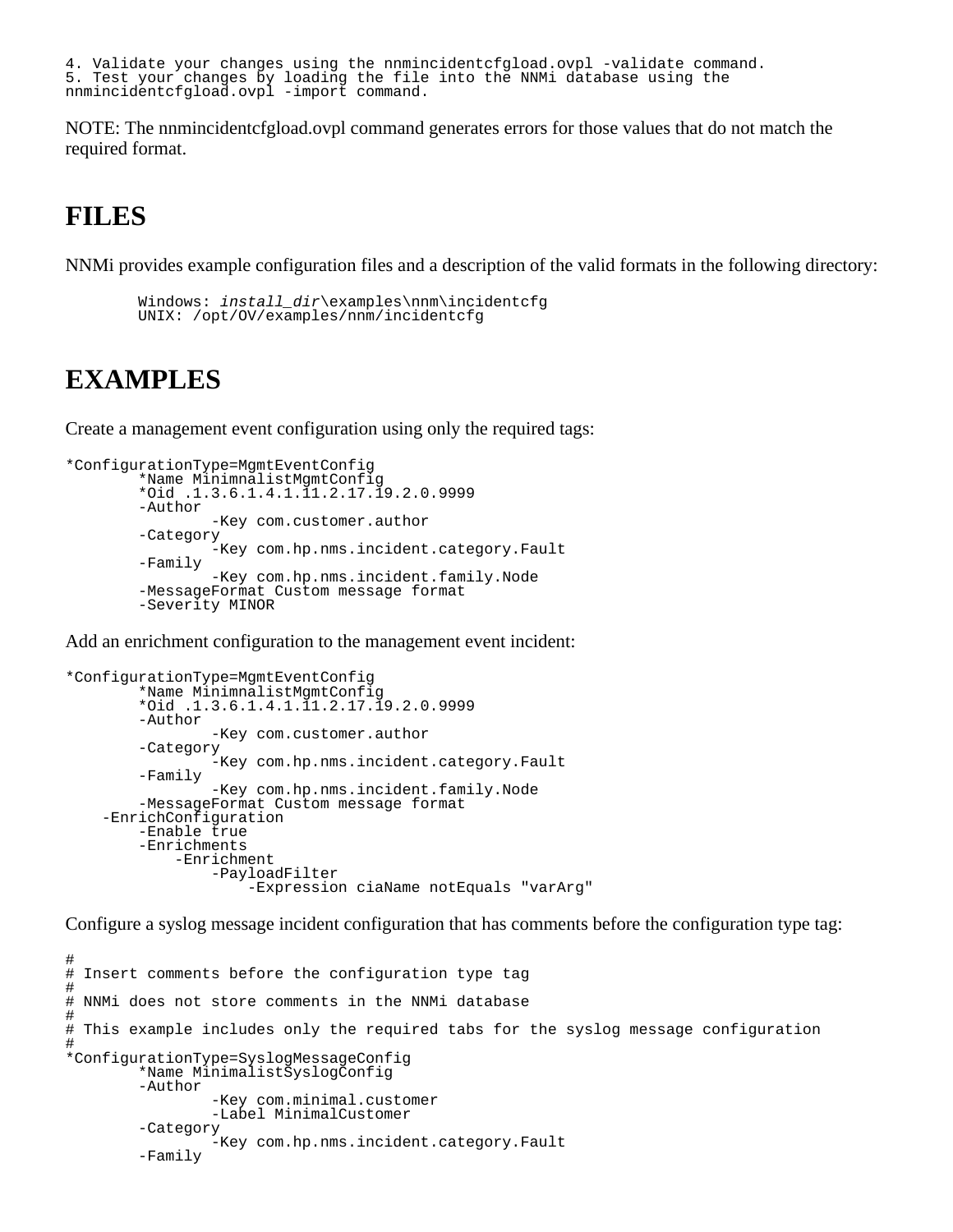4. Validate your changes using the nnmincidentcfgload.ovpl -validate command. 5. Test your changes by loading the file into the NNMi database using the nnmincidentcfgload.ovpl -import command.

NOTE: The nnmincidentcfgload.ovpl command generates errors for those values that do not match the required format.

#### **FILES**

NNMi provides example configuration files and a description of the valid formats in the following directory:

```
Windows: install_dir\examples\nnm\incidentcfg
UNIX: /opt/OV/examples/nnm/incidentcfg
```
#### **EXAMPLES**

Create a management event configuration using only the required tags:

```
*ConfigurationType=MgmtEventConfig
        *Name MinimnalistMgmtConfig
        *Oid .1.3.6.1.4.1.11.2.17.19.2.0.9999
       -Key com.customer.author<br>-Category
        -Key com.hp.nms.incident.category.Fault
               -Key com.hp.nms.incident.family.Node
       -MessageFormat Custom message format
       -Severity MINOR
```
Add an enrichment configuration to the management event incident:

```
*ConfigurationType=MgmtEventConfig
        *Name MinimnalistMgmtConfig
        *Oid .1.3.6.1.4.1.11.2.17.19.2.0.9999
        -Key com.customer.author<br>-Category
        -Key com.hp.nms.incident.category.Fault<br>-Family
                -Key com.hp.nms.incident.family.Node
        -MessageFormat Custom message format
     -EnrichConfiguration
         -Enable true
         -Enrichments
             -Enrichment
                 -PayloadFilter
                      -Expression ciaName notEquals "varArg"
```
Configure a syslog message incident configuration that has comments before the configuration type tag:

```
#
 Insert comments before the configuration type tag
#
# NNMi does not store comments in the NNMi database
# 
# This example includes only the required tabs for the syslog message configuration
#
*ConfigurationType=SyslogMessageConfig
        *Name MinimalistSyslogConfig
         -Key com.minimal.customer<br>-Label MinimalCustomer<br>-Category
                  -Key com.hp.nms.incident.category.Fault
         -Family
```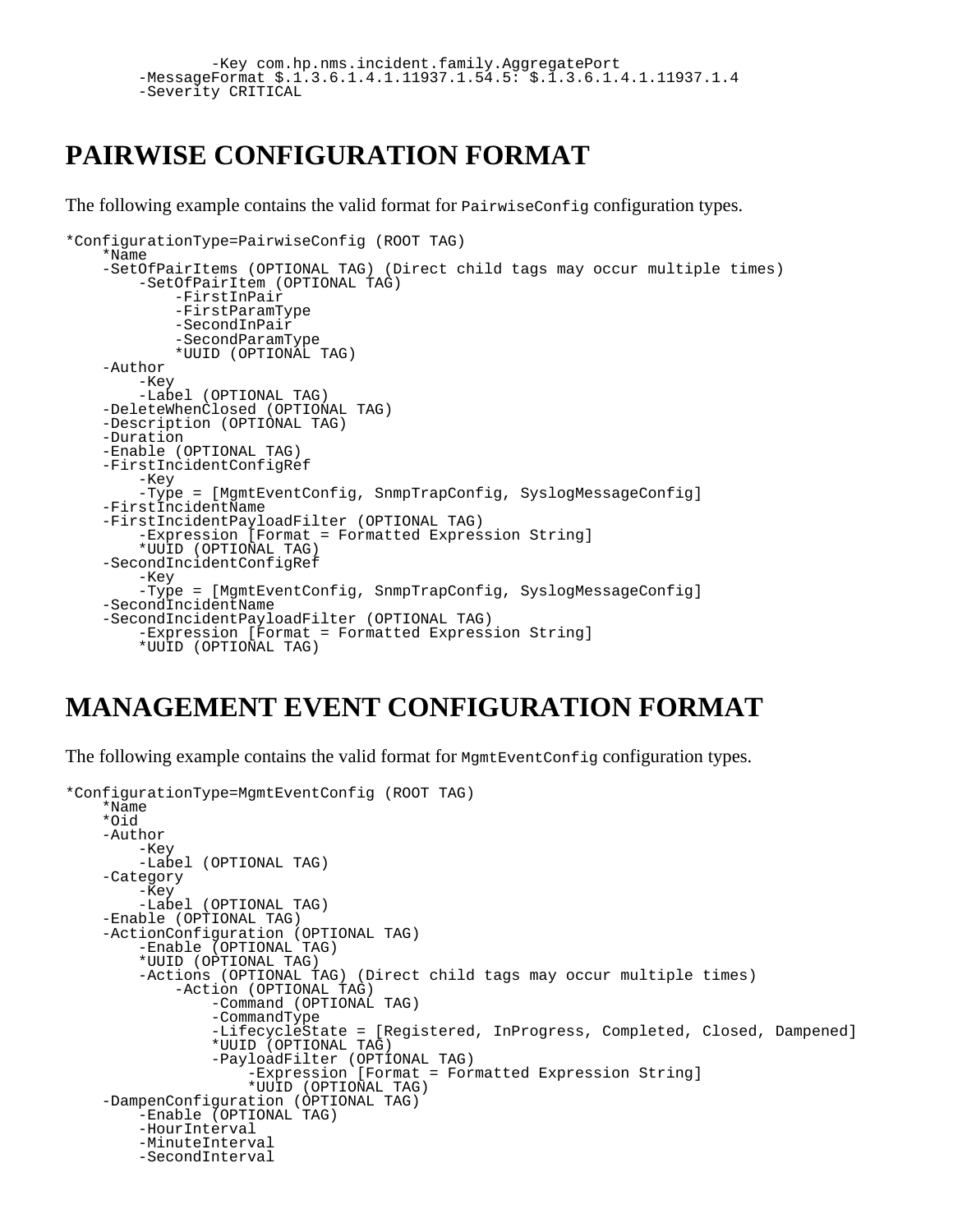```
 -Key com.hp.nms.incident.family.AggregatePort
-MessageFormat $.1.3.6.1.4.1.11937.1.54.5: $.1.3.6.1.4.1.11937.1.4
-Severity CRITICAL
```
#### **PAIRWISE CONFIGURATION FORMAT**

The following example contains the valid format for  $\text{PairwiseConfig}$  configuration types.

```
*ConfigurationType=PairwiseConfig (ROOT TAG)
     *Name
     -SetOfPairItems (OPTIONAL TAG) (Direct child tags may occur multiple times)
         -SetOfPairItem (OPTIONAL TAG)
             -FirstInPair
             -FirstParamType
             -SecondInPair
             -SecondParamType
             *UUID (OPTIONAL TAG)
    -Author
         -Key
         -Label (OPTIONAL TAG)
     -DeleteWhenClosed (OPTIONAL TAG)
     -Description (OPTIONAL TAG)
     -Duration
     -Enable (OPTIONAL TAG)
     -FirstIncidentConfigRef
         -Key
         -Type = [MgmtEventConfig, SnmpTrapConfig, SyslogMessageConfig]
     -FirstIncidentName
     -FirstIncidentPayloadFilter (OPTIONAL TAG)
         -Expression [Format = Formatted Expression String]
         *UUID (OPTIONAL TAG)
     -SecondIncidentConfigRef
         -Key
         -Type = [MgmtEventConfig, SnmpTrapConfig, SyslogMessageConfig]
     -SecondIncidentName
     -SecondIncidentPayloadFilter (OPTIONAL TAG)
         -Expression [Format = Formatted Expression String]
         *UUID (OPTIONAL TAG)
```
#### **MANAGEMENT EVENT CONFIGURATION FORMAT**

The following example contains the valid format for  $M_{\text{gmt}}$ EventConfiguration types.

```
*ConfigurationType=MgmtEventConfig (ROOT TAG)
     *Name
    *Oid
    -Author
        -Key
         -Label (OPTIONAL TAG)
    -Category
        -Key
        -Label (OPTIONAL TAG)
    -Enable (OPTIONAL TAG)
    -ActionConfiguration (OPTIONAL TAG)
         -Enable (OPTIONAL TAG)
         *UUID (OPTIONAL TAG)
        -Actions (OPTIONAL TAG) (Direct child tags may occur multiple times)
             -Action (OPTIONAL TAG)
                 -Command (OPTIONAL TAG)
                 -CommandType
                 -LifecycleState = [Registered, InProgress, Completed, Closed, Dampened]
                 *UUID (OPTIONAL TAG)
 -PayloadFilter (OPTIONAL TAG)
 -Expression [Format = Formatted Expression String]
                     *UUID (OPTIONAL TAG)
     -DampenConfiguration (OPTIONAL TAG)
         -Enable (OPTIONAL TAG)
         -HourInterval
        -MinuteInterval
        -SecondInterval
```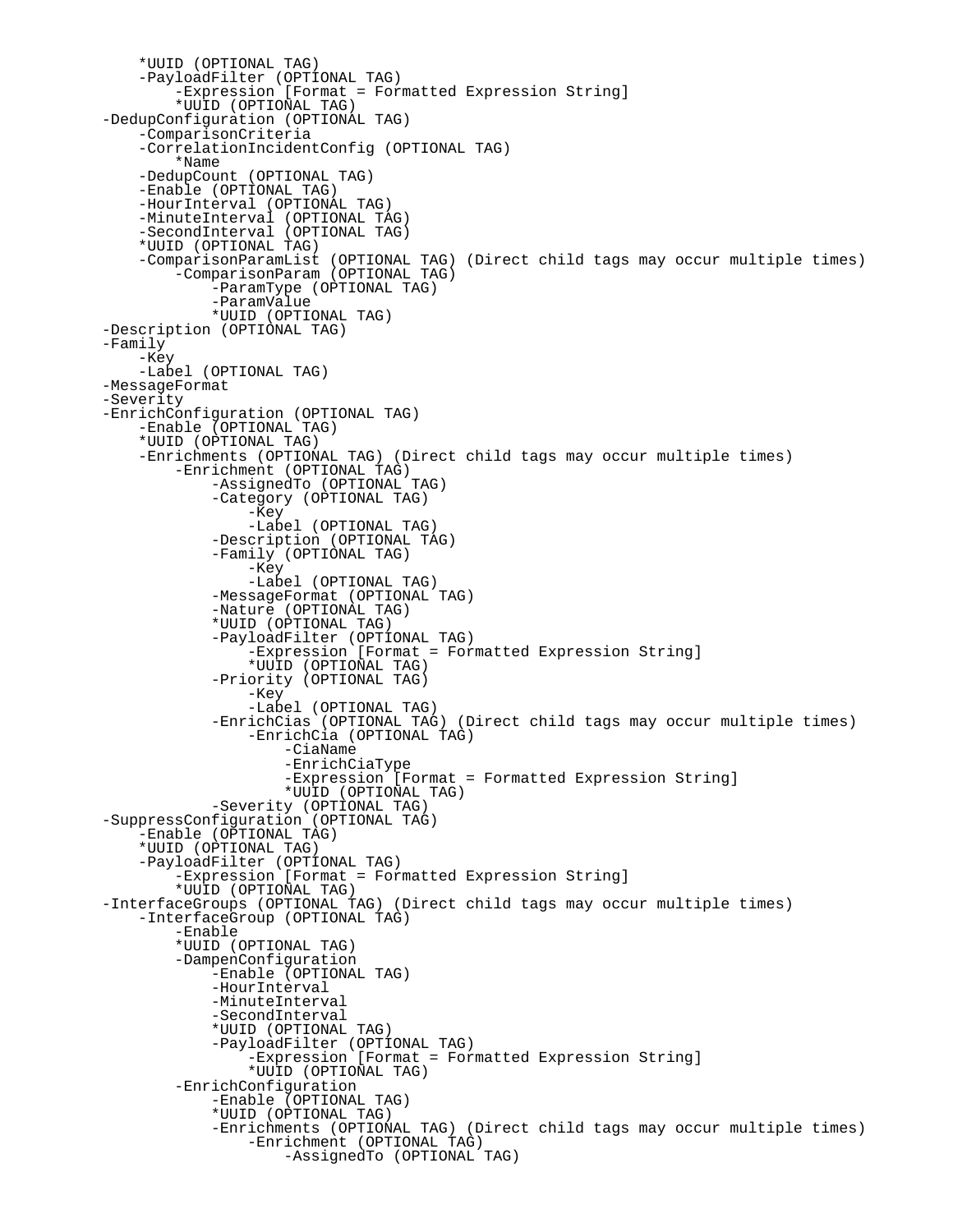```
 *UUID (OPTIONAL TAG)
     -PayloadFilter (OPTIONAL TAG)
         -Expression [Format = Formatted Expression String]
         *UUID (OPTIONAL TAG)
 -DedupConfiguration (OPTIONAL TAG)
     -ComparisonCriteria
     -CorrelationIncidentConfig (OPTIONAL TAG)
         *Name
     -DedupCount (OPTIONAL TAG)
     -Enable (OPTIONAL TAG)
     -HourInterval (OPTIONAL TAG)
     -MinuteInterval (OPTIONAL TAG)
     -SecondInterval (OPTIONAL TAG)
     *UUID (OPTIONAL TAG)
     -ComparisonParamList (OPTIONAL TAG) (Direct child tags may occur multiple times)
          -ComparisonParam (OPTIONAL TAG)
              -ParamType (OPTIONAL TAG)
             -ParamValue
             *UUID (OPTIONAL TAG)
 -Description (OPTIONAL TAG)
 -Family
    -Kev -Label (OPTIONAL TAG)
 -MessageFormat
 -Severity
 -EnrichConfiguration (OPTIONAL TAG)
     -Enable (OPTIONAL TAG)
     *UUID (OPTIONAL TAG)
     -Enrichments (OPTIONAL TAG) (Direct child tags may occur multiple times)
         -Enrichment (OPTIONAL TAG)
             -AssignedTo (OPTIONAL TAG)
             -Category (OPTIONAL TAG)
                  -Key
                  -Label (OPTIONAL TAG)
             -Description (OPTIONAL TAG)
             -Family (OPTIONAL TAG)
                  -Key
                  -Label (OPTIONAL TAG)
             -MessageFormat (OPTIONAL TAG)
             -Nature (OPTIONAL TAG)
             *UUID (OPTIONAL TAG)
             -PayloadFilter (OPTIONAL TAG)
                  -Expression [Format = Formatted Expression String]
                  *UUID (OPTIONAL TAG)
             -Priority (OPTIONAL TAG)
                  -Key
                  -Label (OPTIONAL TAG)
             -EnrichCias (OPTIONAL TAG) (Direct child tags may occur multiple times)
                  -EnrichCia (OPTIONAL TAG)
                      -CiaName
                      -EnrichCiaType
                      -Expression [Format = Formatted Expression String]
                      *UUID (OPTIONAL TAG)
             -Severity (OPTIONAL TAG)
 -SuppressConfiguration (OPTIONAL TAG)
     -Enable (OPTIONAL TAG)
     *UUID (OPTIONAL TAG)
     -PayloadFilter (OPTIONAL TAG)
         -Expression [Format = Formatted Expression String]
         *UUID (OPTIONAL TAG)
 -InterfaceGroups (OPTIONAL TAG) (Direct child tags may occur multiple times)
     -InterfaceGroup (OPTIONAL TAG)
         -Enable
         *UUID (OPTIONAL TAG)
         -DampenConfiguration
             -Enable (OPTIONAL TAG)
             -HourInterval
             -MinuteInterval
              -SecondInterval
             *UUID (OPTIONAL TAG)
             -PayloadFilter (OPTIONAL TAG)
                  -Expression [Format = Formatted Expression String]
                  *UUID (OPTIONAL TAG)
         -EnrichConfiguration
              -Enable (OPTIONAL TAG)
             *UUID (OPTIONAL TAG)
             -Enrichments (OPTIONAL TAG) (Direct child tags may occur multiple times)
                  -Enrichment (OPTIONAL TAG)
                      -AssignedTo (OPTIONAL TAG)
```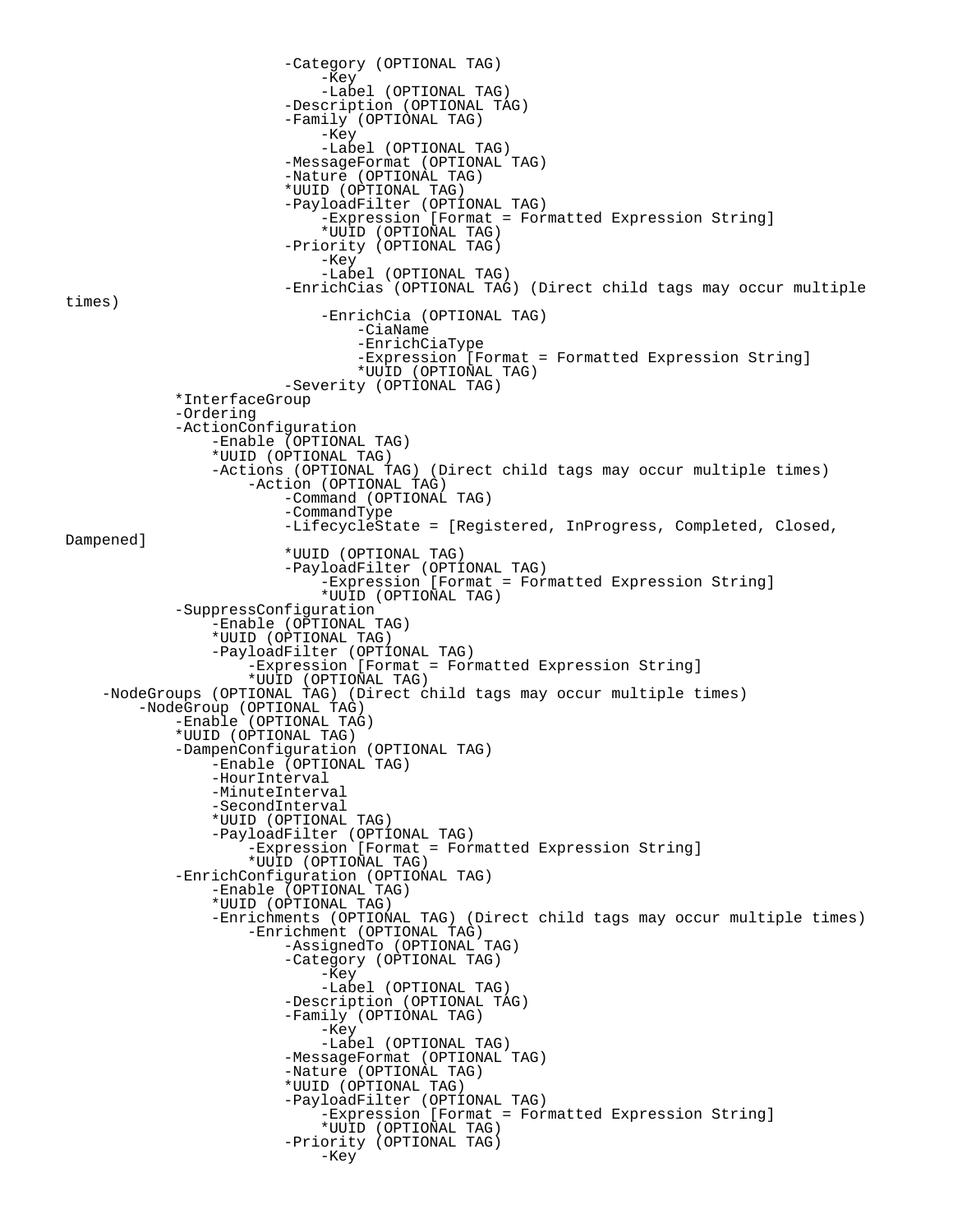-Category (OPTIONAL TAG) -Key -Label (OPTIONAL TAG) -Description (OPTIONAL TAG)  $-Family$  (OPTIONAL TAG)<br>-Key -Key -Label (OPTIONAL TAG) -MessageFormat (OPTIONAL TAG) -Nature (OPTIONAL TAG) \*UUID (OPTIONAL TAG) -PayloadFilter (OPTIONAL TAG) -Expression [Format = Formatted Expression String] \*UUID (OPTIONAL TAG) -Priority (OPTIONAL TAG) -Key -Label (OPTIONAL TAG) -EnrichCias (OPTIONAL TAG) (Direct child tags may occur multiple times) -EnrichCia (OPTIONAL TAG) -CiaName -EnrichCiaType -Expression [Format = Formatted Expression String] \*UUID (OPTIONAL TAG) -Severity (OPTIONAL TAG) \*InterfaceGroup -Ordering -ActionConfiguration -Enable (OPTIONAL TAG) \*UUID (OPTIONAL TAG) -Actions (OPTIONAL TAG) (Direct child tags may occur multiple times) -Action (OPTIONAL TAG) -Command (OPTIONAL TAG) -CommandType -LifecycleState = [Registered, InProgress, Completed, Closed, Dampened] \*UUID (OPTIONAL TAG) -PayloadFilter (OPTIONAL TAG) -Expression [Format = Formatted Expression String] \*UUID (OPTIONAL TAG) -SuppressConfiguration -Enable (OPTIONAL TAG) \*UUID (OPTIONAL TAG) -PayloadFilter (OPTIONAL TAG) -Expression [Format = Formatted Expression String] \*UUID (OPTIONAL TAG) -NodeGroups (OPTIONAL TAG) (Direct child tags may occur multiple times) -NodeGroup (OPTIONAL TAG) -Enable (OPTIONAL TAG) \*UUID (OPTIONAL TAG) -DampenConfiguration (OPTIONAL TAG) -Enable (OPTIONAL TAG) -HourInterval -MinuteInterval -SecondInterval \*UUID (OPTIONAL TAG) -PayloadFilter (OPTIONAL TAG) -Expression [Format = Formatted Expression String] \*UUID (OPTIONAL TAG) -EnrichConfiguration (OPTIONAL TAG) -Enable (OPTIONAL TAG) \*UUID (OPTIONAL TAG) -Enrichments (OPTIONAL TAG) (Direct child tags may occur multiple times) -Enrichment (OPTIONAL TAG) -AssignedTo (OPTIONAL TAG) -Category (OPTIONAL TAG) -Key -Label (OPTIONAL TAG) -Description (OPTIONAL TAG) -Family (OPTIONAL TAG) -Key -Label (OPTIONAL TAG) -MessageFormat (OPTIONAL TAG) -Nature (OPTIONAL TAG) \*UUID (OPTIONAL TAG) -PayloadFilter (OPTIONAL TAG) -Expression [Format = Formatted Expression String] \*UUID (OPTIONAL TAG) -Priority (OPTIONAL TAG)<br>-Key -Key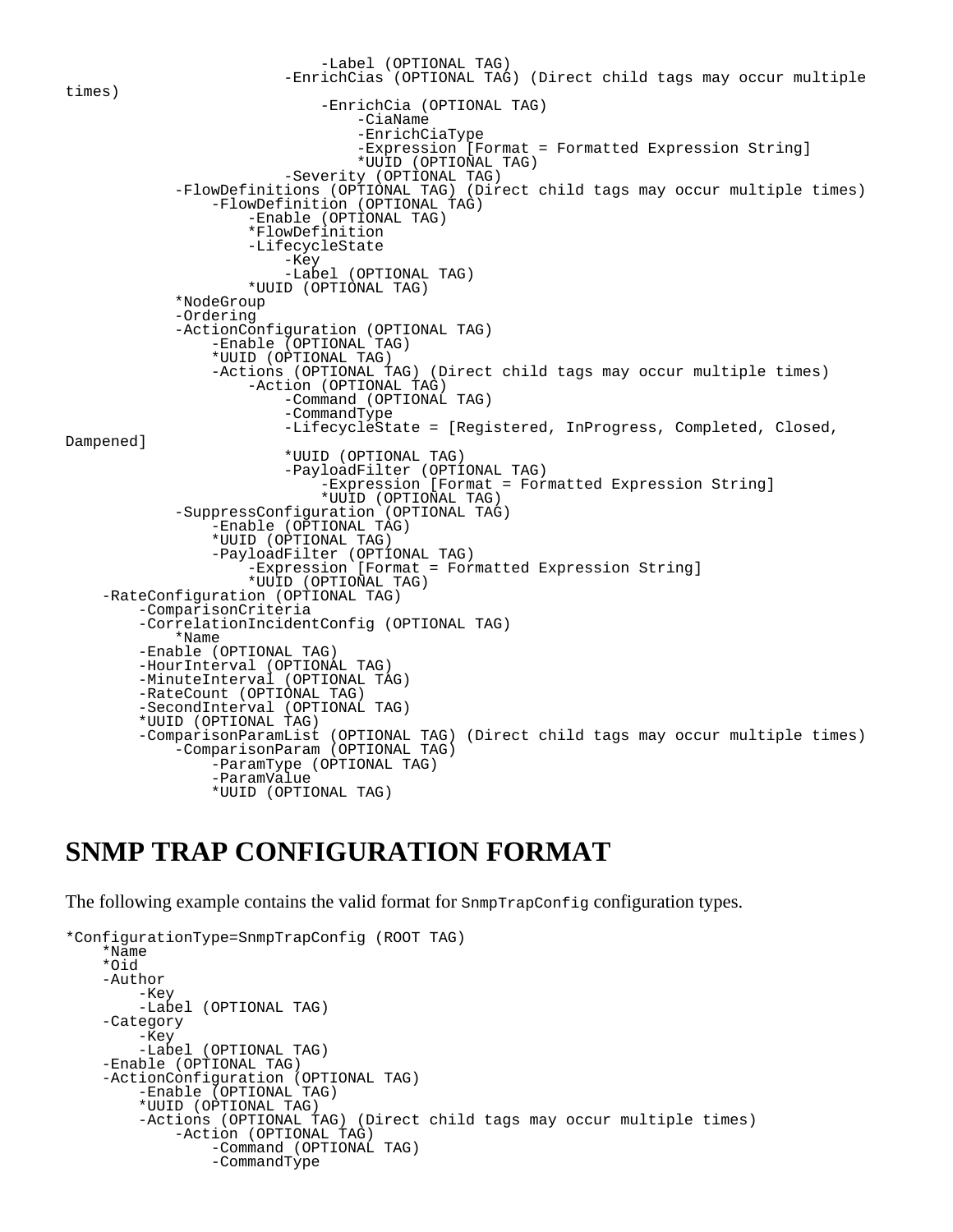```
 -Label (OPTIONAL TAG)
                          -EnrichCias (OPTIONAL TAG) (Direct child tags may occur multiple
times)
                              -EnrichCia (OPTIONAL TAG)
                                  -CiaName
                                  -EnrichCiaType
                                  -Expression [Format = Formatted Expression String]
                                  *UUID (OPTIONAL TAG)
                          -Severity (OPTIONAL TAG)
             -FlowDefinitions (OPTIONAL TAG) (Direct child tags may occur multiple times)
                  -FlowDefinition (OPTIONAL TAG)
                      -Enable (OPTIONAL TAG)
                      *FlowDefinition
                      -LifecycleState
 -Key
                          -Label (OPTIONAL TAG)
                      *UUID (OPTIONAL TAG)
             *NodeGroup
             -Ordering
             -ActionConfiguration (OPTIONAL TAG)
                  -Enable (OPTIONAL TAG)
                  *UUID (OPTIONAL TAG)
                 -Actions (OPTIONAL TAG) (Direct child tags may occur multiple times)
                      -Action (OPTIONAL TAG)
                          -Command (OPTIONAL TAG)
                          -CommandType
                          -LifecycleState = [Registered, InProgress, Completed, Closed,
Dampened]
                          *UUID (OPTIONAL TAG)
                          -PayloadFilter (OPTIONAL TAG)
                               -Expression [Format = Formatted Expression String]
                              *UUID (OPTIONAL TAG)
             -SuppressConfiguration (OPTIONAL TAG)
                  -Enable (OPTIONAL TAG)
                  *UUID (OPTIONAL TAG)
                 -PayloadFilter (OPTIONAL TAG)
                      -Expression [Format = Formatted Expression String]
                      *UUID (OPTIONAL TAG)
     -RateConfiguration (OPTIONAL TAG)
         -ComparisonCriteria
         -CorrelationIncidentConfig (OPTIONAL TAG)
             *Name
         -Enable (OPTIONAL TAG)
         -HourInterval (OPTIONAL TAG)
         -MinuteInterval (OPTIONAL TAG)
         -RateCount (OPTIONAL TAG)
         -SecondInterval (OPTIONAL TAG)
         *UUID (OPTIONAL TAG)
         -ComparisonParamList (OPTIONAL TAG) (Direct child tags may occur multiple times)
             -ComparisonParam (OPTIONAL TAG)
                  -ParamType (OPTIONAL TAG)
                 -ParamValue
                 *UUID (OPTIONAL TAG)
```
#### **SNMP TRAP CONFIGURATION FORMAT**

The following example contains the valid format for  $S_{\text{NmpTrapConfig}}$  configuration types.

```
*ConfigurationType=SnmpTrapConfig (ROOT TAG)
     *Name
     *Oid
     -Author
         -Key
         -Label (OPTIONAL TAG)
     -Category
         -Key
         -Label (OPTIONAL TAG)
     -Enable (OPTIONAL TAG)
     -ActionConfiguration (OPTIONAL TAG)
          -Enable (OPTIONAL TAG)
         *UUID (OPTIONAL TAG)
         -Actions (OPTIONAL TAG) (Direct child tags may occur multiple times)
             -Action (OPTIONAL TAG)
                  -Command (OPTIONAL TAG)
                  -CommandType
```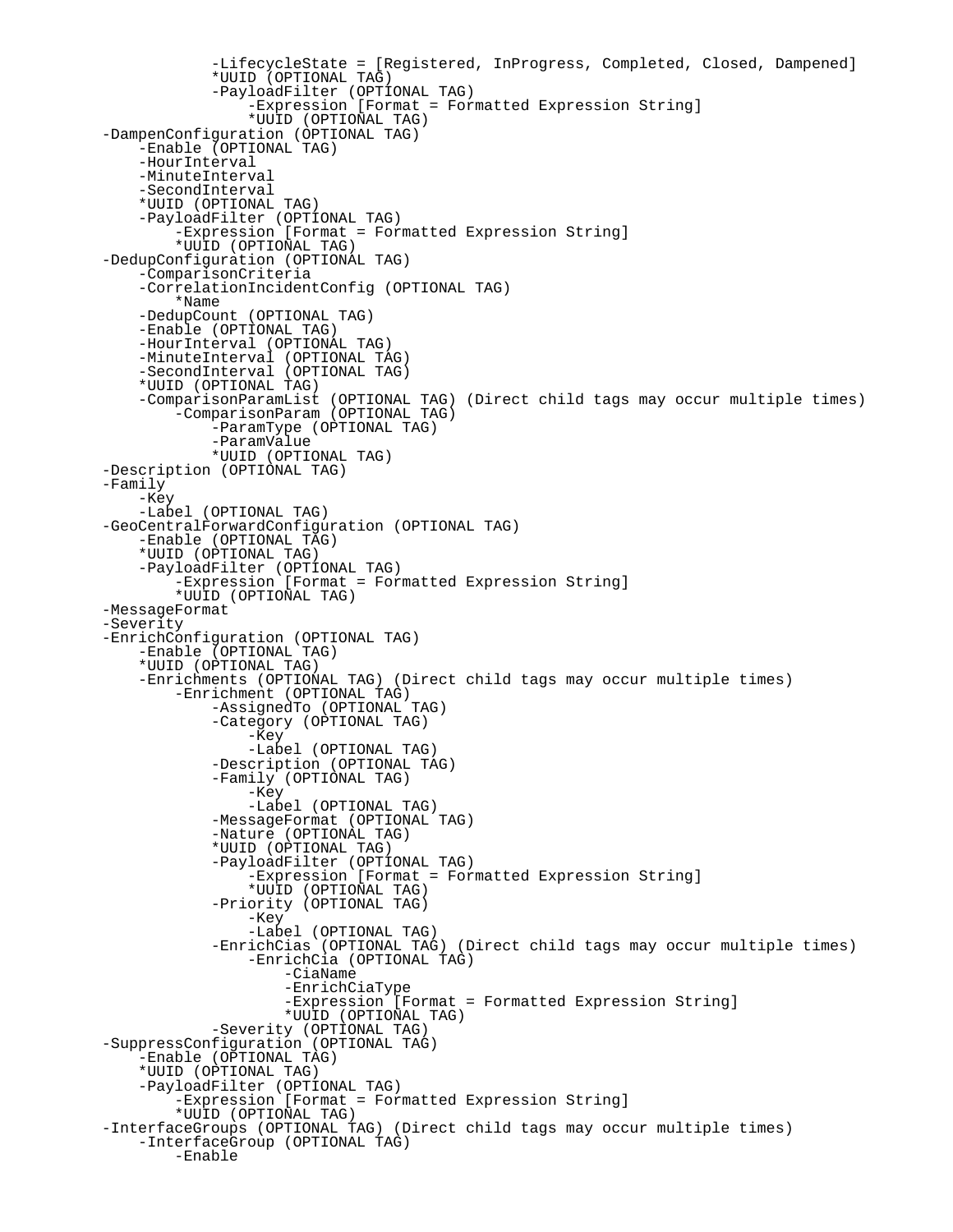```
 -LifecycleState = [Registered, InProgress, Completed, Closed, Dampened]
                 *UUID (OPTIONAL TAG)
                 -PayloadFilter (OPTIONAL TAG)
                      -Expression [Format = Formatted Expression String]
                      *UUID (OPTIONAL TAG)
     -DampenConfiguration (OPTIONAL TAG)
         -Enable (OPTIONAL TAG)
         -HourInterval
         -MinuteInterval
         -SecondInterval
         *UUID (OPTIONAL TAG)
         -PayloadFilter (OPTIONAL TAG)
             -Expression [Format = Formatted Expression String]
             *UUID (OPTIONAL TAG)
     -DedupConfiguration (OPTIONAL TAG)
         -ComparisonCriteria
         -CorrelationIncidentConfig (OPTIONAL TAG)
             *Name
         -DedupCount (OPTIONAL TAG)
         -Enable (OPTIONAL TAG)
         -HourInterval (OPTIONAL TAG)
        -MinuteInterval (OPTIONAL TAG)
         -SecondInterval (OPTIONAL TAG)
         *UUID (OPTIONAL TAG)
         -ComparisonParamList (OPTIONAL TAG) (Direct child tags may occur multiple times)
             -ComparisonParam (OPTIONAL TAG)
                 -ParamType (OPTIONAL TAG)
                 -ParamValue
                 *UUID (OPTIONAL TAG)
     -Description (OPTIONAL TAG)
     -Family
         -Key
         -Label (OPTIONAL TAG)
     -GeoCentralForwardConfiguration (OPTIONAL TAG)
         -Enable (OPTIONAL TAG)
         *UUID (OPTIONAL TAG)
         -PayloadFilter (OPTIONAL TAG)
              -Expression [Format = Formatted Expression String]
             *UUID (OPTIONAL TAG)
     -MessageFormat
     -Severity
     -EnrichConfiguration (OPTIONAL TAG)
         -Enable (OPTIONAL TAG)
         *UUID (OPTIONAL TAG)
         -Enrichments (OPTIONAL TAG) (Direct child tags may occur multiple times)
             -Enrichment (OPTIONAL TAG)
                -AssignedTo (OPTIONAL TAG)
                 -Category (OPTIONAL TAG)
                      -Key
                      -Label (OPTIONAL TAG)
                 -Description (OPTIONAL TAG)
                 -Family (OPTIONAL TAG)
 -Key
                      -Label (OPTIONAL TAG)
                 -MessageFormat (OPTIONAL TAG)
                 -Nature (OPTIONAL TAG)
                 *UUID (OPTIONAL TAG)
                 -PayloadFilter (OPTIONAL TAG)
                      -Expression [Format = Formatted Expression String]
                      *UUID (OPTIONAL TAG)
                 -Priority (OPTIONAL TAG)
                      -Key
                      -Label (OPTIONAL TAG)
                 -EnrichCias (OPTIONAL TAG) (Direct child tags may occur multiple times)
                      -EnrichCia (OPTIONAL TAG)
                          -CiaName
                          -EnrichCiaType
                          -Expression [Format = Formatted Expression String]
                          *UUID (OPTIONAL TAG)
                 -Severity (OPTIONAL TAG)
     -SuppressConfiguration (OPTIONAL TAG)
         -Enable (OPTIONAL TAG)
         *UUID (OPTIONAL TAG)
         -PayloadFilter (OPTIONAL TAG)
              -Expression [Format = Formatted Expression String]
             *UUID (OPTIONAL TAG)
     -InterfaceGroups (OPTIONAL TAG) (Direct child tags may occur multiple times)
         -InterfaceGroup (OPTIONAL TAG)
             -Enable
```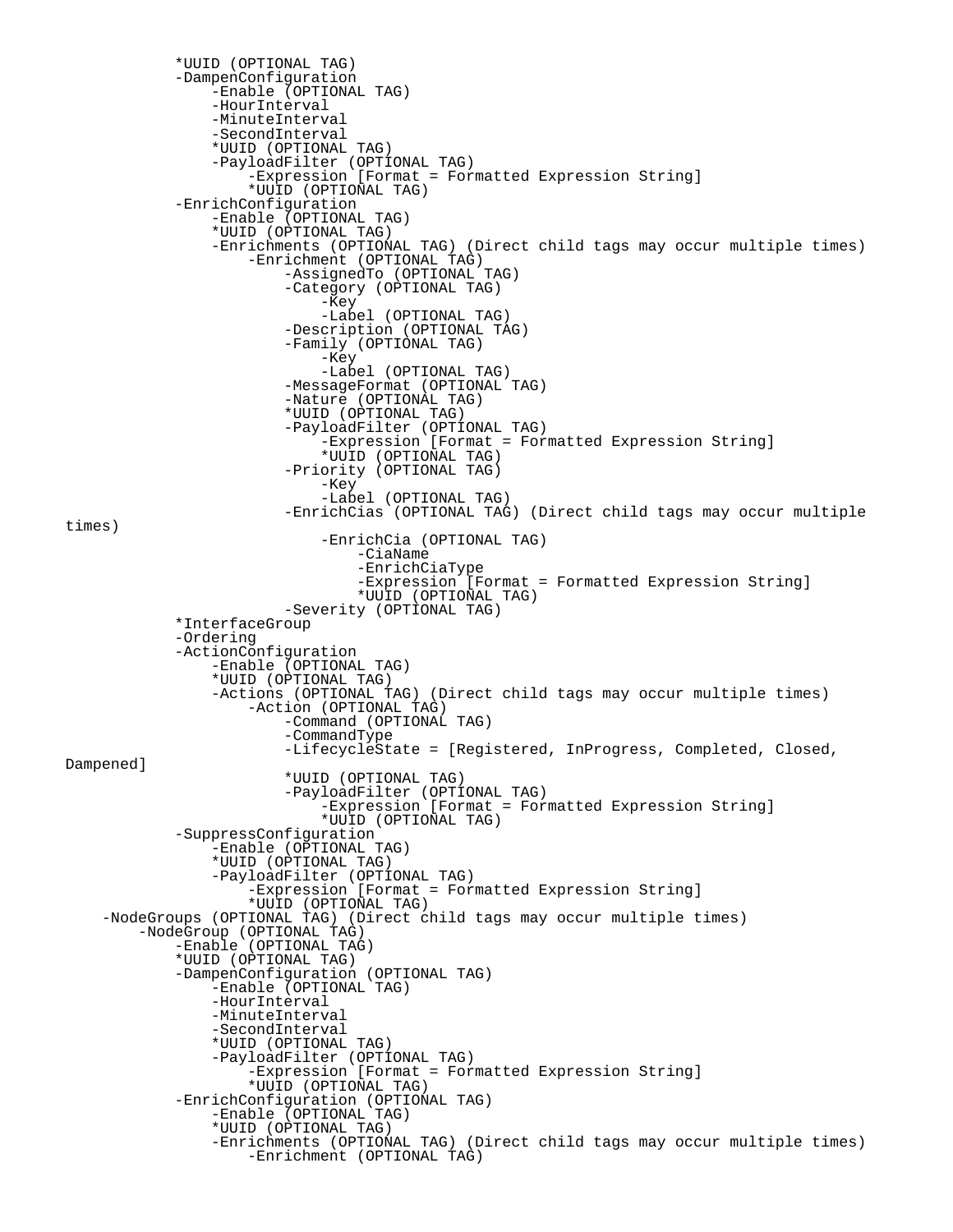```
 *UUID (OPTIONAL TAG)
             -DampenConfiguration
                 -Enable (OPTIONAL TAG)
                 -HourInterval
                 -MinuteInterval
                 -SecondInterval
                 *UUID (OPTIONAL TAG)
                 -PayloadFilter (OPTIONAL TAG)
                      -Expression [Format = Formatted Expression String]
                     *UUID (OPTIONAL TAG)
             -EnrichConfiguration
                 -Enable (OPTIONAL TAG)
                 *UUID (OPTIONAL TAG)
                 -Enrichments (OPTIONAL TAG) (Direct child tags may occur multiple times)
                     -Enrichment (OPTIONAL TAG)
                          -AssignedTo (OPTIONAL TAG)
                         -Category (OPTIONAL TAG)
 -Key
                              -Label (OPTIONAL TAG)
                         -Description (OPTIONAL TAG)
                         -Family (OPTIONAL TAG)
 -Key
                              -Label (OPTIONAL TAG)
                         -MessageFormat (OPTIONAL TAG)
                         -Nature (OPTIONAL TAG)
                         *UUID (OPTIONAL TAG)
                         -PayloadFilter (OPTIONAL TAG)
                              -Expression [Format = Formatted Expression String]
                             *UUID (OPTIONAL TAG)
                         -Priority (OPTIONAL TAG)
 -Key
                              -Label (OPTIONAL TAG)
                         -EnrichCias (OPTIONAL TAG) (Direct child tags may occur multiple
times)
                              -EnrichCia (OPTIONAL TAG)
                                 -CiaName
                                 -EnrichCiaType
                                  -Expression [Format = Formatted Expression String]
                                 *UUID (OPTIONAL TAG)
                         -Severity (OPTIONAL TAG)
             *InterfaceGroup
             -Ordering
             -ActionConfiguration
                 -Enable (OPTIONAL TAG)
                 *UUID (OPTIONAL TAG)
                 -Actions (OPTIONAL TAG) (Direct child tags may occur multiple times)
                     -Action (OPTIONAL TAG)
                         -Command (OPTIONAL TAG)
                         -CommandType
                         -LifecycleState = [Registered, InProgress, Completed, Closed,
Dampened]
                         *UUID (OPTIONAL TAG)
                         -PayloadFilter (OPTIONAL TAG)
                              -Expression [Format = Formatted Expression String]
                              *UUID (OPTIONAL TAG)
             -SuppressConfiguration
                 -Enable (OPTIONAL TAG)
                 *UUID (OPTIONAL TAG)
                 -PayloadFilter (OPTIONAL TAG)
                      -Expression [Format = Formatted Expression String]
                     *UUID (OPTIONAL TAG)
     -NodeGroups (OPTIONAL TAG) (Direct child tags may occur multiple times)
         -NodeGroup (OPTIONAL TAG)
             -Enable (OPTIONAL TAG)
             *UUID (OPTIONAL TAG)
             -DampenConfiguration (OPTIONAL TAG)
                 -Enable (OPTIONAL TAG)
                 -HourInterval
                 -MinuteInterval
                 -SecondInterval
                 *UUID (OPTIONAL TAG)
                 -PayloadFilter (OPTIONAL TAG)
                     -Expression [Format = Formatted Expression String]
                     *UUID (OPTIONAL TAG)
             -EnrichConfiguration (OPTIONAL TAG)
                 -Enable (OPTIONAL TAG)
                 *UUID (OPTIONAL TAG)
                 -Enrichments (OPTIONAL TAG) (Direct child tags may occur multiple times)
                     -Enrichment (OPTIONAL TAG)
```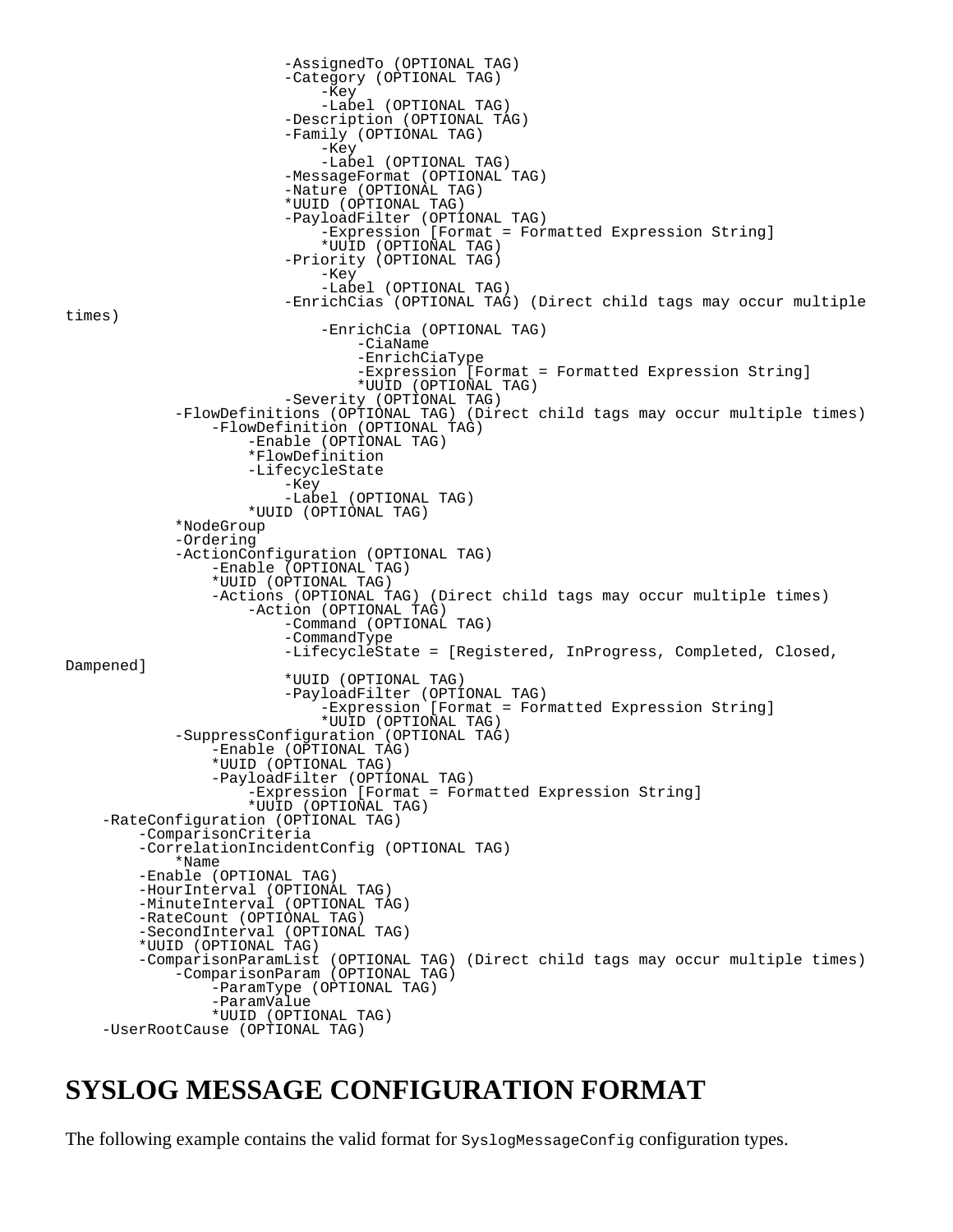-AssignedTo (OPTIONAL TAG) -Category (OPTIONAL TAG) -Key -Label (OPTIONAL TAG) -Description (OPTIONAL TAG) -Family (OPTIONAL TAG) -Key -Label (OPTIONAL TAG) -MessageFormat (OPTIONAL TAG) -Nature (OPTIONAL TAG) \*UUID (OPTIONAL TAG) -PayloadFilter (OPTIONAL TAG) -Expression [Format = Formatted Expression String] \*UUID (OPTIONAL TAG) -Priority (OPTIONAL TAG)<br>-Key -Key -Label (OPTIONAL TAG) -EnrichCias (OPTIONAL TAG) (Direct child tags may occur multiple times) -EnrichCia (OPTIONAL TAG) -CiaName -EnrichCiaType -Expression [Format = Formatted Expression String] \*UUID (OPTIONAL TAG) -Severity (OPTIONAL TAG) -FlowDefinitions (OPTIONAL TAG) (Direct child tags may occur multiple times) -FlowDefinition (OPTIONAL TAG) -Enable (OPTIONAL TAG) \*FlowDefinition -LifecycleState -Key -Label (OPTIONAL TAG) \*UUID (OPTIONAL TAG) \*NodeGroup -Ordering -ActionConfiguration (OPTIONAL TAG) -Enable (OPTIONAL TAG) \*UUID (OPTIONAL TAG) -Actions (OPTIONAL TAG) (Direct child tags may occur multiple times) -Action (OPTIONAL TAG) -Command (OPTIONAL TAG) -CommandType -LifecycleState = [Registered, InProgress, Completed, Closed, Dampened] \*UUID (OPTIONAL TAG) -PayloadFilter (OPTIONAL TAG) -Expression [Format = Formatted Expression String] \*UUID (OPTIONAL TAG) -SuppressConfiguration (OPTIONAL TAG) -Enable (OPTIONAL TAG) \*UUID (OPTIONAL TAG) -PayloadFilter (OPTIONAL TAG) -Expression [Format = Formatted Expression String] \*UUID (OPTIONAL TAG) -RateConfiguration (OPTIONAL TAG) -ComparisonCriteria -CorrelationIncidentConfig (OPTIONAL TAG) \*Name -Enable (OPTIONAL TAG) -HourInterval (OPTIONAL TAG) -MinuteInterval (OPTIONAL TAG) -RateCount (OPTIONAL TAG) -SecondInterval (OPTIONAL TAG) \*UUID (OPTIONAL TAG) -ComparisonParamList (OPTIONAL TAG) (Direct child tags may occur multiple times) -ComparisonParam (OPTIONAL TAG) -ParamType (OPTIONAL TAG) -ParamValue \*UUID (OPTIONAL TAG) -UserRootCause (OPTIONAL TAG)

#### **SYSLOG MESSAGE CONFIGURATION FORMAT**

The following example contains the valid format for  $\frac{1}{2}$  syslogMessageConfiguration types.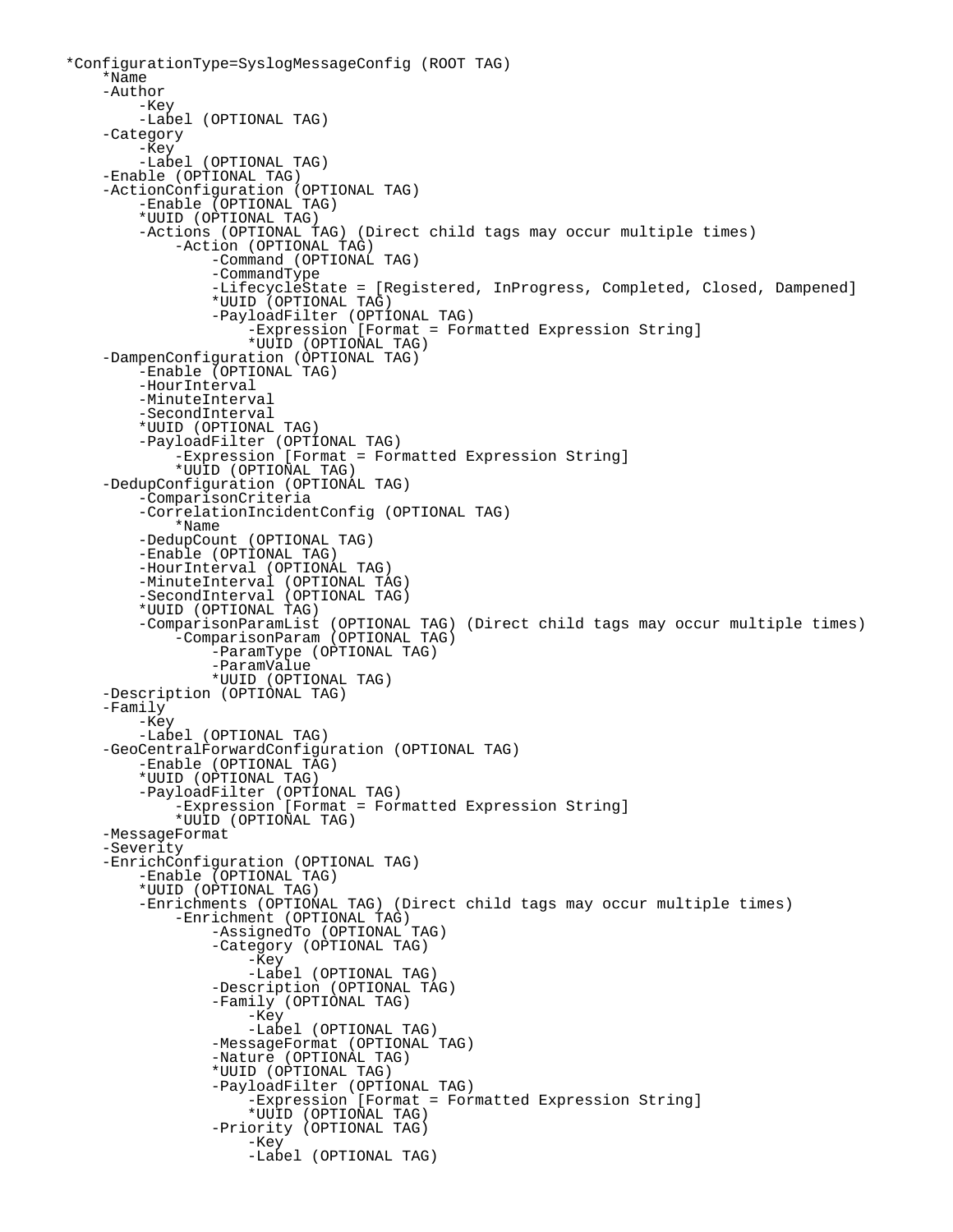```
*ConfigurationType=SyslogMessageConfig (ROOT TAG)
     *Name
     -Author
         -Key
         -Label (OPTIONAL TAG)
     -Category
         -Key
         -Label (OPTIONAL TAG)
     -Enable (OPTIONAL TAG)
     -ActionConfiguration (OPTIONAL TAG)
         -Enable (OPTIONAL TAG)
         *UUID (OPTIONAL TAG)
         -Actions (OPTIONAL TAG) (Direct child tags may occur multiple times)
             -Action (OPTIONAL TAG)
                 -Command (OPTIONAL TAG)
                 -CommandType
                 -LifecycleState = [Registered, InProgress, Completed, Closed, Dampened]
                 *UUID (OPTIONAL TAG)
                 -PayloadFilter (OPTIONAL TAG)
                     -Expression [Format = Formatted Expression String]
                     *UUID (OPTIONAL TAG)
     -DampenConfiguration (OPTIONAL TAG)
         -Enable (OPTIONAL TAG)
         -HourInterval
         -MinuteInterval
         -SecondInterval
         *UUID (OPTIONAL TAG)
         -PayloadFilter (OPTIONAL TAG)
             -Expression [Format = Formatted Expression String]
             *UUID (OPTIONAL TAG)
     -DedupConfiguration (OPTIONAL TAG)
         -ComparisonCriteria
         -CorrelationIncidentConfig (OPTIONAL TAG)
             *Name
         -DedupCount (OPTIONAL TAG)
         -Enable (OPTIONAL TAG)
         -HourInterval (OPTIONAL TAG)
         -MinuteInterval (OPTIONAL TAG)
         -SecondInterval (OPTIONAL TAG)
         *UUID (OPTIONAL TAG)
 -ComparisonParamList (OPTIONAL TAG) (Direct child tags may occur multiple times)
 -ComparisonParam (OPTIONAL TAG)
                 -ParamType (OPTIONAL TAG)
                 -ParamValue
                 *UUID (OPTIONAL TAG)
     -Description (OPTIONAL TAG)
     -Family
         -Key
         -Label (OPTIONAL TAG)
     -GeoCentralForwardConfiguration (OPTIONAL TAG)
         -Enable (OPTIONAL TAG)
         *UUID (OPTIONAL TAG)
         -PayloadFilter (OPTIONAL TAG)
             -Expression [Format = Formatted Expression String]
             *UUID (OPTIONAL TAG)
     -MessageFormat
     -Severity
 -EnrichConfiguration (OPTIONAL TAG)
 -Enable (OPTIONAL TAG)
         *UUID (OPTIONAL TAG)
         -Enrichments (OPTIONAL TAG) (Direct child tags may occur multiple times)
             -Enrichment (OPTIONAL TAG)
                 -AssignedTo (OPTIONAL TAG)
                 -Category (OPTIONAL TAG)
                     -Key
                     -Label (OPTIONAL TAG)
                 -Description (OPTIONAL TAG)
                 -Family (OPTIONAL TAG)
                     -Key
                     -Label (OPTIONAL TAG)
                 -MessageFormat (OPTIONAL TAG)
                 -Nature (OPTIONAL TAG)
                 *UUID (OPTIONAL TAG)
                 -PayloadFilter (OPTIONAL TAG)
                      -Expression [Format = Formatted Expression String]
                     *UUID (OPTIONAL TAG)
                 -Priority (OPTIONAL TAG)
 -Key
                     -Label (OPTIONAL TAG)
```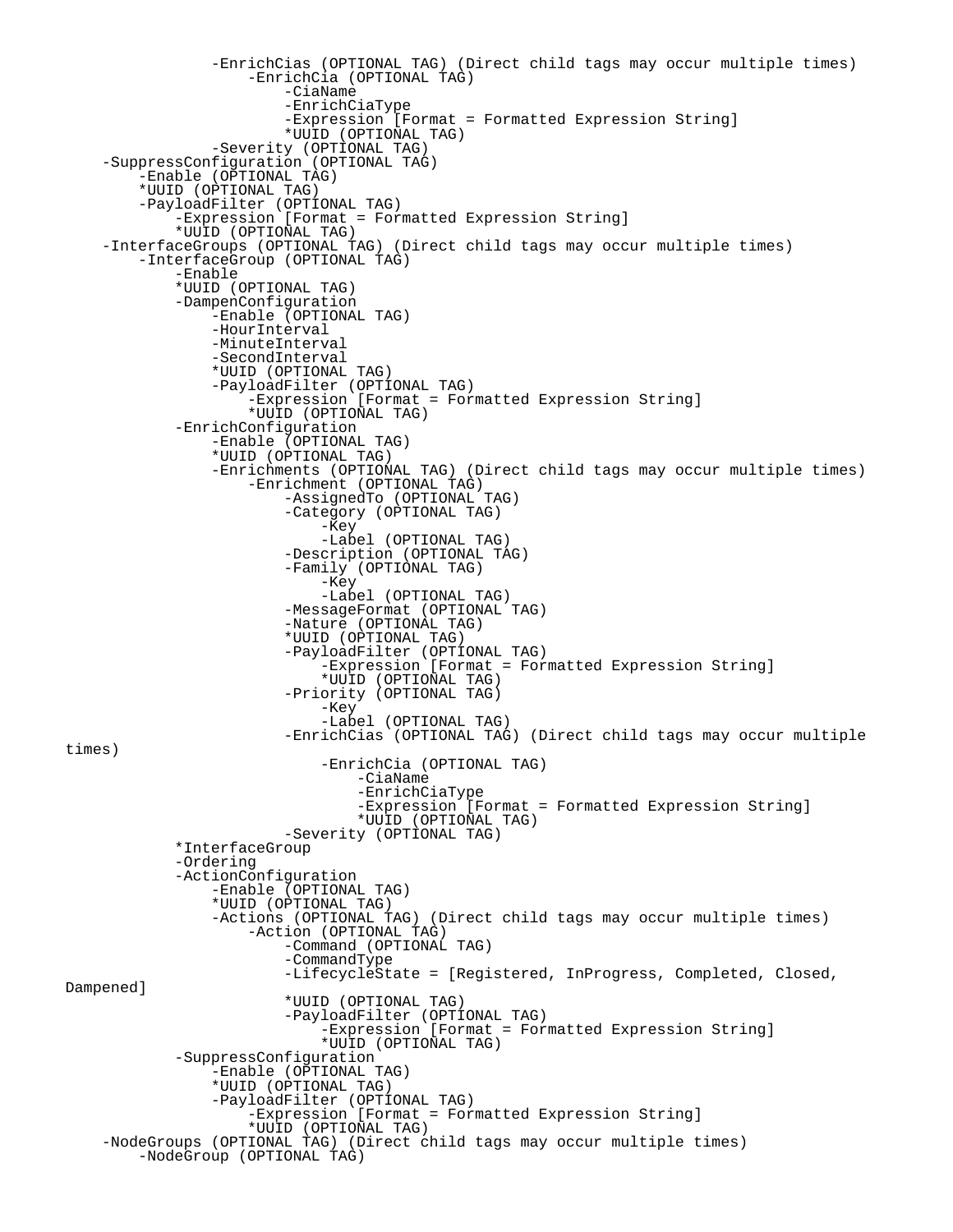```
 -EnrichCias (OPTIONAL TAG) (Direct child tags may occur multiple times)
                     -EnrichCia (OPTIONAL TAG)
                         -CiaName
                         -EnrichCiaType
                         -Expression [Format = Formatted Expression String]
                         *UUID (OPTIONAL TAG)
                 -Severity (OPTIONAL TAG)
     -SuppressConfiguration (OPTIONAL TAG)
         -Enable (OPTIONAL TAG)
         *UUID (OPTIONAL TAG)
         -PayloadFilter (OPTIONAL TAG)
             -Expression [Format = Formatted Expression String]
             *UUID (OPTIONAL TAG)
     -InterfaceGroups (OPTIONAL TAG) (Direct child tags may occur multiple times)
         -InterfaceGroup (OPTIONAL TAG)
             -Enable
             *UUID (OPTIONAL TAG)
             -DampenConfiguration
                 -Enable (OPTIONAL TAG)
                 -HourInterval
                 -MinuteInterval
                 -SecondInterval
                 *UUID (OPTIONAL TAG)
 -PayloadFilter (OPTIONAL TAG)
 -Expression [Format = Formatted Expression String]
                     *UUID (OPTIONAL TAG)
             -EnrichConfiguration
                 -Enable (OPTIONAL TAG)
                 *UUID (OPTIONAL TAG)
                 -Enrichments (OPTIONAL TAG) (Direct child tags may occur multiple times)
                     -Enrichment (OPTIONAL TAG)
                        -AssignedTo (OPTIONAL TAG)
                         -Category (OPTIONAL TAG)
 -Key
                             -Label (OPTIONAL TAG)
                         -Description (OPTIONAL TAG)
                         -Family (OPTIONAL TAG)
 -Key
                             -Label (OPTIONAL TAG)
                         -MessageFormat (OPTIONAL TAG)
                         -Nature (OPTIONAL TAG)
                         *UUID (OPTIONAL TAG)
                         -PayloadFilter (OPTIONAL TAG)
                             -Expression [Format = Formatted Expression String]
                             *UUID (OPTIONAL TAG)
                         -Priority (OPTIONAL TAG)
 -Key
                             -Label (OPTIONAL TAG)
                         -EnrichCias (OPTIONAL TAG) (Direct child tags may occur multiple
times)
                             -EnrichCia (OPTIONAL TAG)
                                 -CiaName
                                 -EnrichCiaType
                                 -Expression [Format = Formatted Expression String]
                                 *UUID (OPTIONAL TAG)
                         -Severity (OPTIONAL TAG)
             *InterfaceGroup
             -Ordering
             -ActionConfiguration
                 -Enable (OPTIONAL TAG)
                 *UUID (OPTIONAL TAG)
                 -Actions (OPTIONAL TAG) (Direct child tags may occur multiple times)
                     -Action (OPTIONAL TAG)
                         -Command (OPTIONAL TAG)
                         -CommandType
                         -LifecycleState = [Registered, InProgress, Completed, Closed,
Dampened]
                         *UUID (OPTIONAL TAG)
                         -PayloadFilter (OPTIONAL TAG)
                             -Expression [Format = Formatted Expression String]
                             *UUID (OPTIONAL TAG)
             -SuppressConfiguration
                 -Enable (OPTIONAL TAG)
                 *UUID (OPTIONAL TAG)
                 -PayloadFilter (OPTIONAL TAG)
                     -Expression [Format = Formatted Expression String]
                     *UUID (OPTIONAL TAG)
     -NodeGroups (OPTIONAL TAG) (Direct child tags may occur multiple times)
         -NodeGroup (OPTIONAL TAG)
```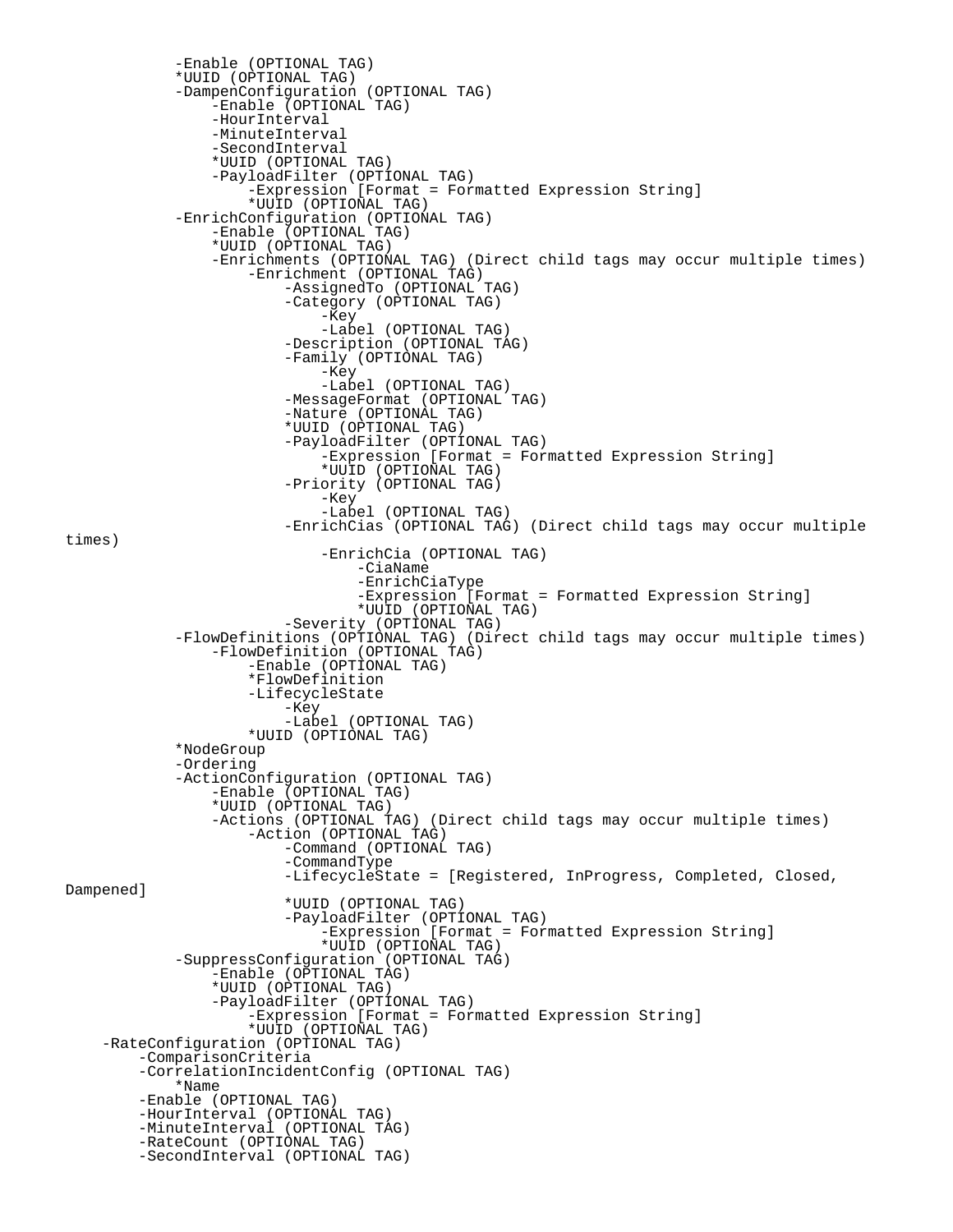```
 -Enable (OPTIONAL TAG)
            *UUID (OPTIONAL TAG)
            -DampenConfiguration (OPTIONAL TAG)
                -Enable (OPTIONAL TAG)
                -HourInterval
                -MinuteInterval
                -SecondInterval
                *UUID (OPTIONAL TAG)
                -PayloadFilter (OPTIONAL TAG)
                    -Expression [Format = Formatted Expression String]
                    *UUID (OPTIONAL TAG)
            -EnrichConfiguration (OPTIONAL TAG)
                -Enable (OPTIONAL TAG)
                *UUID (OPTIONAL TAG)
                -Enrichments (OPTIONAL TAG) (Direct child tags may occur multiple times)
                    -Enrichment (OPTIONAL TAG)
                        -AssignedTo (OPTIONAL TAG)
                        -Category (OPTIONAL TAG)
 -Key
                            -Label (OPTIONAL TAG)
                        -Description (OPTIONAL TAG)
                       -Family (OPTIONAL TAG)<br>-Key
 -Key
                            -Label (OPTIONAL TAG)
                        -MessageFormat (OPTIONAL TAG)
                        -Nature (OPTIONAL TAG)
                        *UUID (OPTIONAL TAG)
                        -PayloadFilter (OPTIONAL TAG)
                            -Expression [Format = Formatted Expression String]
                            *UUID (OPTIONAL TAG)
                        -Priority (OPTIONAL TAG)
 -Key
                            -Label (OPTIONAL TAG)
                        -EnrichCias (OPTIONAL TAG) (Direct child tags may occur multiple
times)
                            -EnrichCia (OPTIONAL TAG)
                                -CiaName
                                -EnrichCiaType
                                -Expression [Format = Formatted Expression String]
 *UUID (OPTIONAL TAG)
 -Severity (OPTIONAL TAG)
 -FlowDefinitions (OPTIONAL TAG) (Direct child tags may occur multiple times)
                -FlowDefinition (OPTIONAL TAG)
                    -Enable (OPTIONAL TAG)
                    *FlowDefinition
                    -LifecycleState
 -Key
                        -Label (OPTIONAL TAG)
                    *UUID (OPTIONAL TAG)
            *NodeGroup
            -Ordering
            -ActionConfiguration (OPTIONAL TAG)
                -Enable (OPTIONAL TAG)
                *UUID (OPTIONAL TAG)
                -Actions (OPTIONAL TAG) (Direct child tags may occur multiple times)
                    -Action (OPTIONAL TAG)
                        -Command (OPTIONAL TAG)
                        -CommandType
                        -LifecycleState = [Registered, InProgress, Completed, Closed,
Dampened]
                        *UUID (OPTIONAL TAG)
                        -PayloadFilter (OPTIONAL TAG)
                            -Expression [Format = Formatted Expression String]
                            *UUID (OPTIONAL TAG)
            -SuppressConfiguration (OPTIONAL TAG)
                -Enable (OPTIONAL TAG)
                *UUID (OPTIONAL TAG)
 -PayloadFilter (OPTIONAL TAG)
 -Expression [Format = Formatted Expression String]
                    *UUID (OPTIONAL TAG)
     -RateConfiguration (OPTIONAL TAG)
         -ComparisonCriteria
         -CorrelationIncidentConfig (OPTIONAL TAG)
            *Name
         -Enable (OPTIONAL TAG)
        -HourInterval (OPTIONAL TAG)
        -MinuteInterval (OPTIONAL TAG)
        -RateCount (OPTIONAL TAG)
        -SecondInterval (OPTIONAL TAG)
```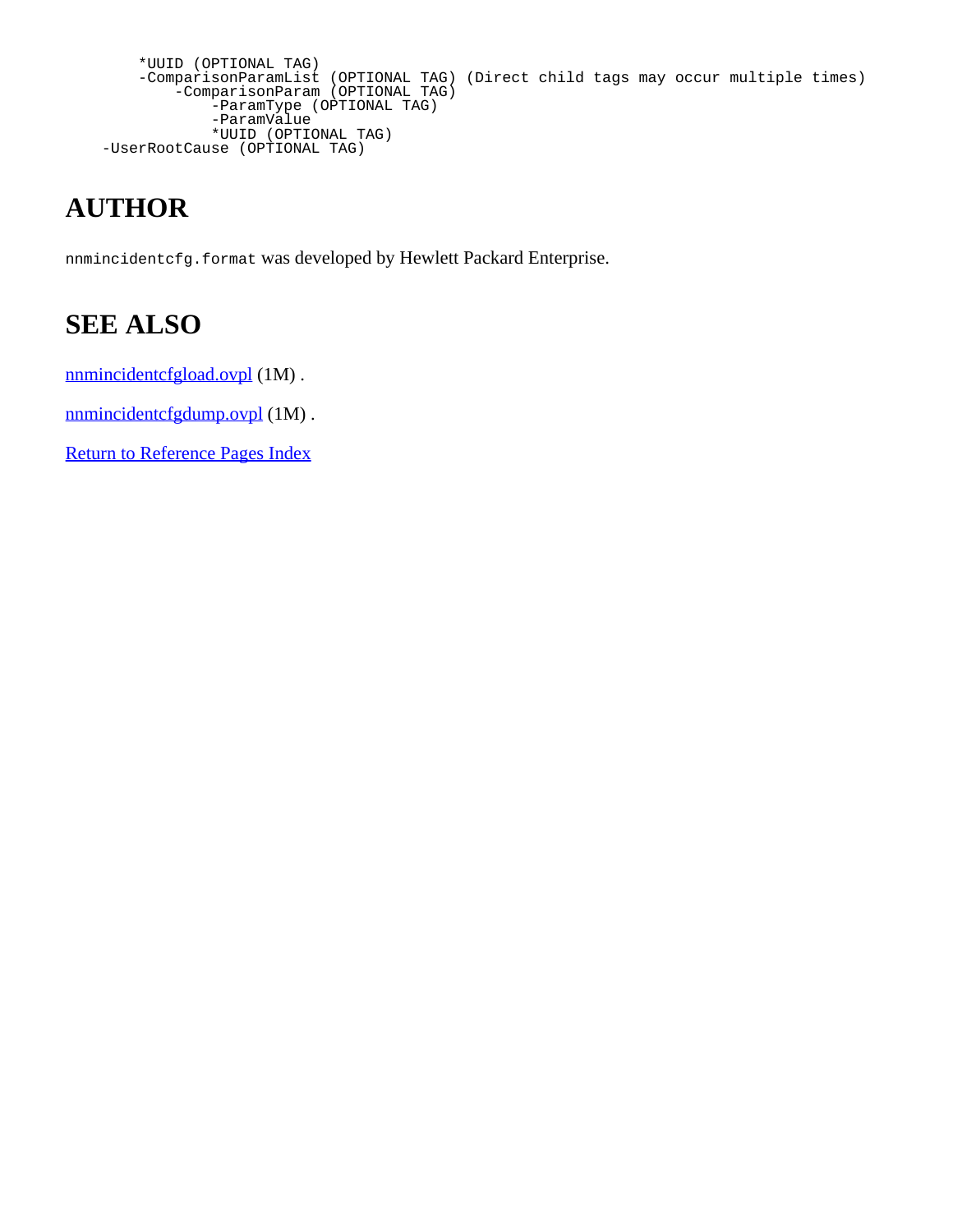```
 *UUID (OPTIONAL TAG)
 -ComparisonParamList (OPTIONAL TAG) (Direct child tags may occur multiple times)
 -ComparisonParam (OPTIONAL TAG)
 -ParamType (OPTIONAL TAG)
 -ParamValue
              *UUID (OPTIONAL TAG)
    -UserRootCause (OPTIONAL TAG)
```
## **AUTHOR**

nnmincidentcfg.format was developed by Hewlett Packard Enterprise.

#### **SEE ALSO**

[nnmincidentcfgload.ovpl](#page-121-0) (1M).

[nnmincidentcfgdump.ovpl](#page-125-0) (1M).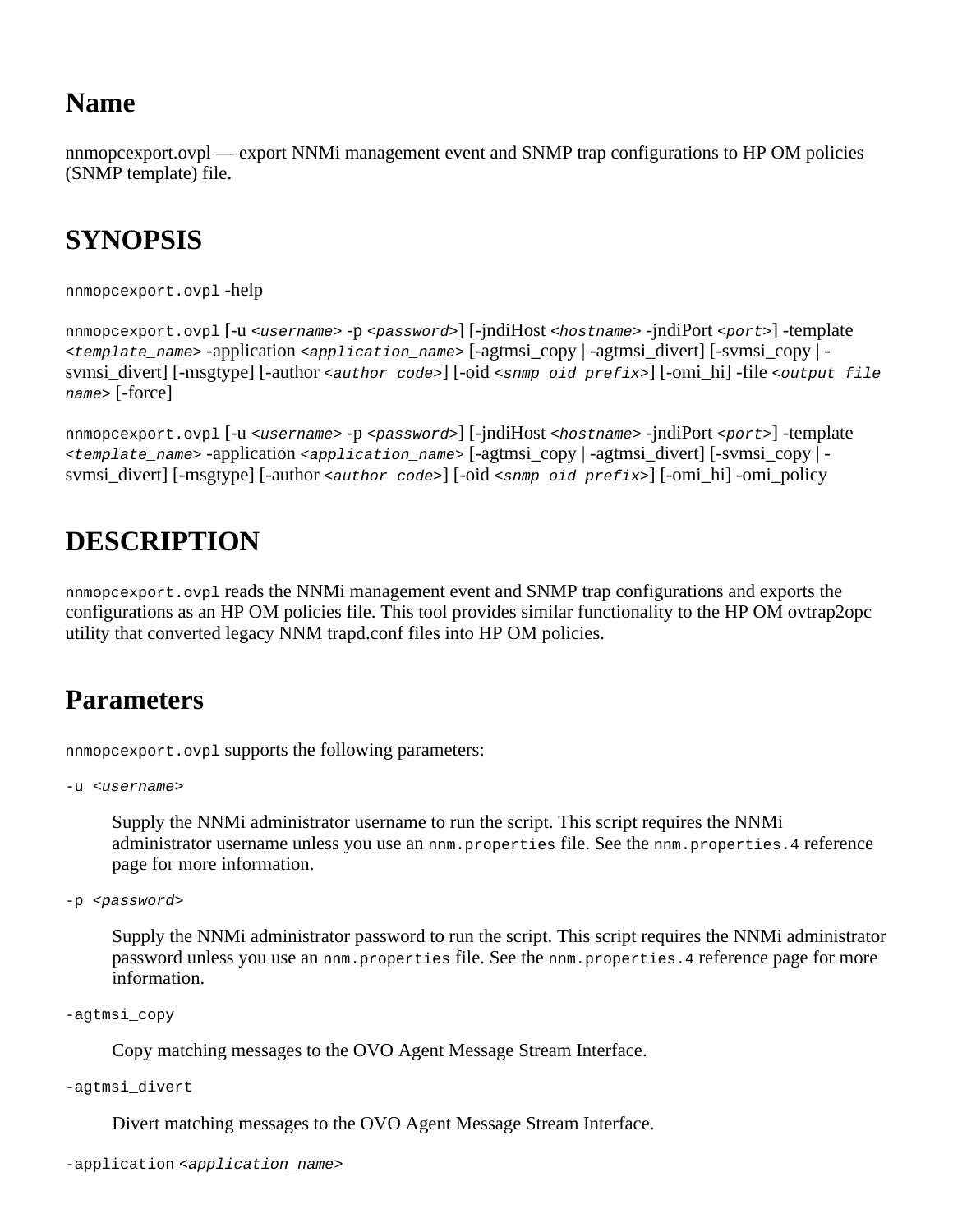nnmopcexport.ovpl — export NNMi management event and SNMP trap configurations to HP OM policies (SNMP template) file.

# **SYNOPSIS**

nnmopcexport.ovpl -help

nnmopcexport.ovpl [-u *<username>* -p *<password>*] [-jndiHost *<hostname>* -jndiPort *<port>*] -template *<template\_name>* -application *<application\_name>* [-agtmsi\_copy | -agtmsi\_divert] [-svmsi\_copy | svmsi\_divert] [-msgtype] [-author *<author code>*] [-oid *<snmp oid prefix>*] [-omi\_hi] -file *<output\_file name>* [-force]

nnmopcexport.ovpl [-u *<username>* -p *<password>*] [-jndiHost *<hostname>* -jndiPort *<port>*] -template *<template\_name>* -application *<application\_name>* [-agtmsi\_copy | -agtmsi\_divert] [-svmsi\_copy | svmsi\_divert] [-msgtype] [-author *<author code>*] [-oid *<snmp oid prefix>*] [-omi\_hi] -omi\_policy

#### **DESCRIPTION**

nnmopcexport.ovpl reads the NNMi management event and SNMP trap configurations and exports the configurations as an HP OM policies file. This tool provides similar functionality to the HP OM ovtrap2opc utility that converted legacy NNM trapd.conf files into HP OM policies.

#### **Parameters**

nnmopcexport.ovpl supports the following parameters:

-u <*username*>

Supply the NNMi administrator username to run the script. This script requires the NNMi administrator username unless you use an nnm.properties file. See the nnm.properties. 4 reference page for more information.

-p <*password*>

Supply the NNMi administrator password to run the script. This script requires the NNMi administrator password unless you use an nnm.properties file. See the nnm.properties. 4 reference page for more information.

-agtmsi\_copy

Copy matching messages to the OVO Agent Message Stream Interface.

-agtmsi\_divert

Divert matching messages to the OVO Agent Message Stream Interface.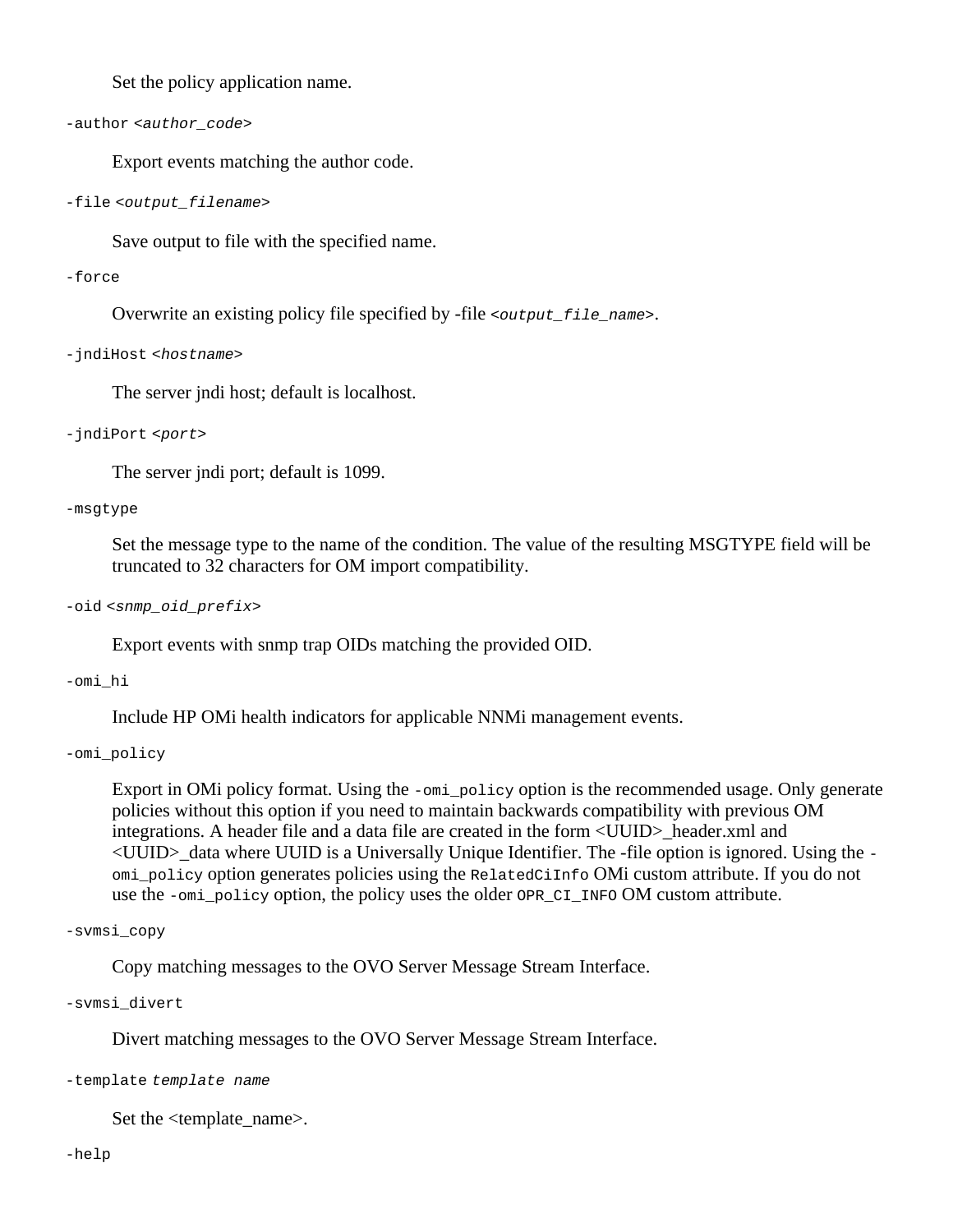Set the policy application name.

-author *<author\_code>*

Export events matching the author code.

```
-file <output_filename>
```
Save output to file with the specified name.

-force

Overwrite an existing policy file specified by -file *<output\_file\_name>*.

-jndiHost *<hostname>*

The server jndi host; default is localhost.

-jndiPort *<port>*

The server jndi port; default is 1099.

-msgtype

Set the message type to the name of the condition. The value of the resulting MSGTYPE field will be truncated to 32 characters for OM import compatibility.

-oid *<snmp\_oid\_prefix>*

Export events with snmp trap OIDs matching the provided OID.

-omi\_hi

Include HP OMi health indicators for applicable NNMi management events.

-omi\_policy

Export in OMi policy format. Using the -omi\_policy option is the recommended usage. Only generate policies without this option if you need to maintain backwards compatibility with previous OM integrations. A header file and a data file are created in the form  $\langle UUID \rangle$  header.xml and  $\langle$ UUID $\rangle$  data where UUID is a Universally Unique Identifier. The -file option is ignored. Using the  $$ omi\_policy option generates policies using the RelatedCiInfo OMi custom attribute. If you do not use the -omi\_policy option, the policy uses the older OPR\_CI\_INFO OM custom attribute.

```
-svmsi_copy
```
Copy matching messages to the OVO Server Message Stream Interface.

-svmsi\_divert

Divert matching messages to the OVO Server Message Stream Interface.

-template *template name*

Set the <template\_name>.

-help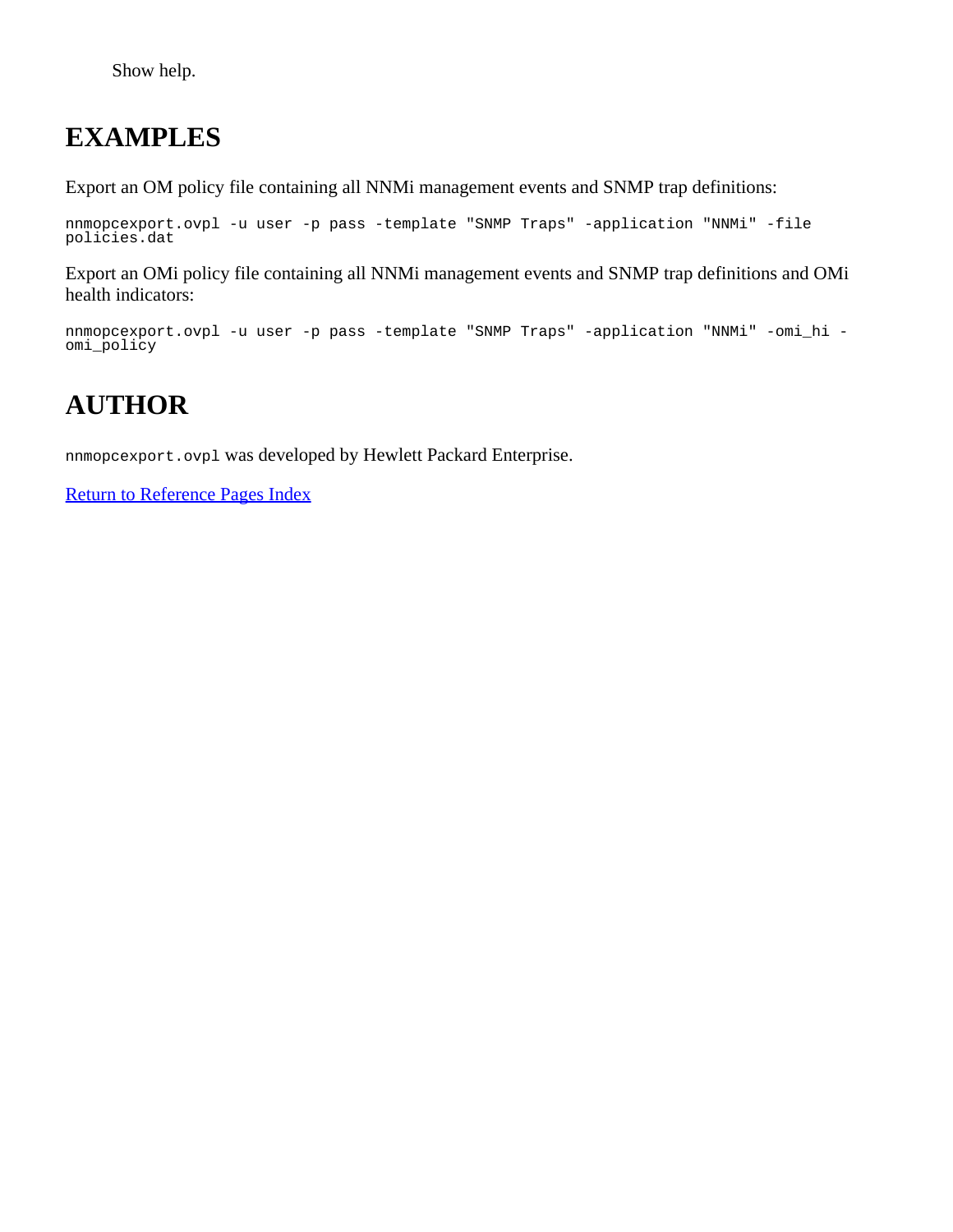Show help.

## **EXAMPLES**

Export an OM policy file containing all NNMi management events and SNMP trap definitions:

nnmopcexport.ovpl -u user -p pass -template "SNMP Traps" -application "NNMi" -file policies.dat

Export an OMi policy file containing all NNMi management events and SNMP trap definitions and OMi health indicators:

nnmopcexport.ovpl -u user -p pass -template "SNMP Traps" -application "NNMi" -omi\_hi omi\_policy

# **AUTHOR**

nnmopcexport.ovpl was developed by Hewlett Packard Enterprise.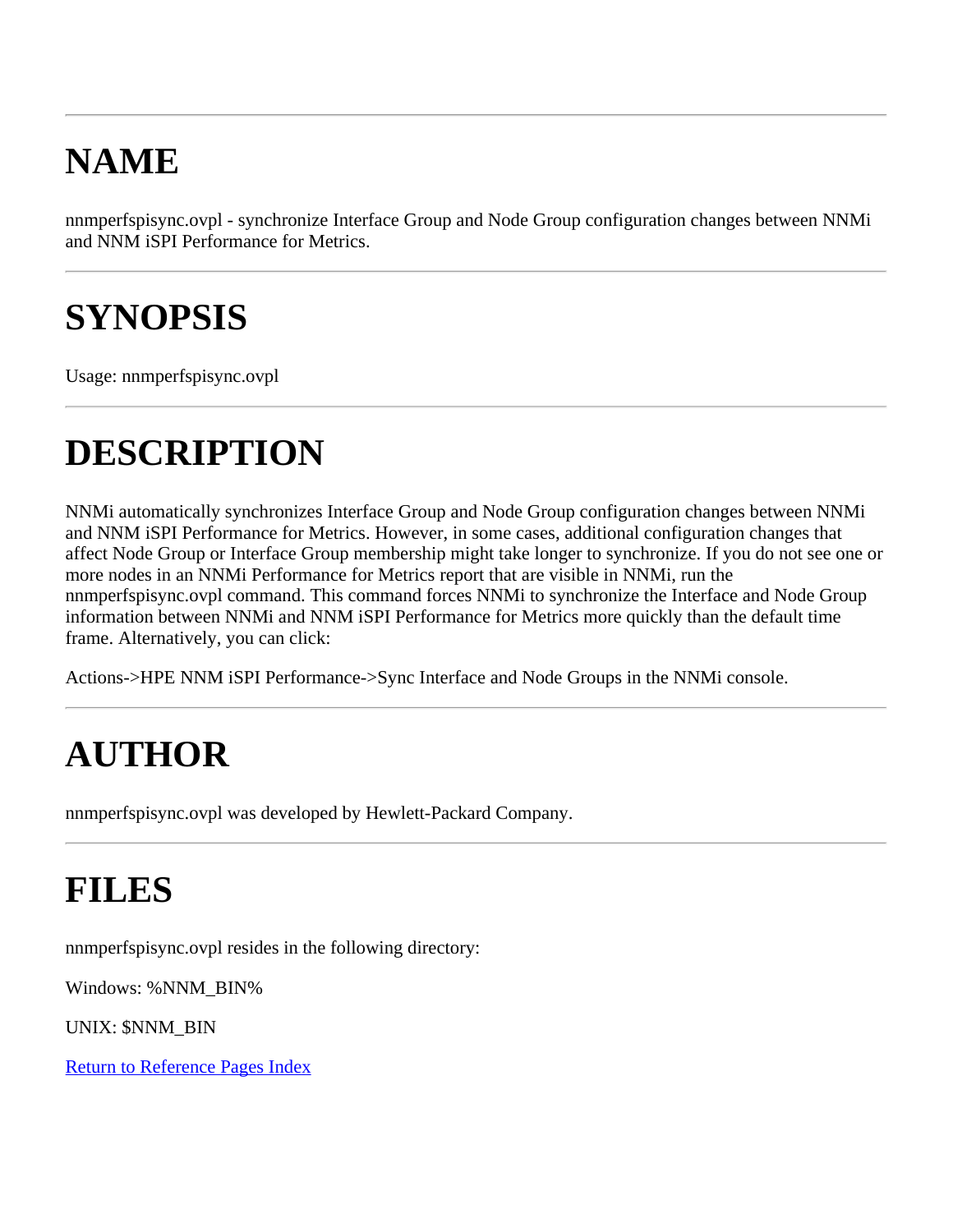# **NAME**

nnmperfspisync.ovpl - synchronize Interface Group and Node Group configuration changes between NNMi and NNM iSPI Performance for Metrics.

# **SYNOPSIS**

Usage: nnmperfspisync.ovpl

# **DESCRIPTION**

NNMi automatically synchronizes Interface Group and Node Group configuration changes between NNMi and NNM iSPI Performance for Metrics. However, in some cases, additional configuration changes that affect Node Group or Interface Group membership might take longer to synchronize. If you do not see one or more nodes in an NNMi Performance for Metrics report that are visible in NNMi, run the nnmperfspisync.ovpl command. This command forces NNMi to synchronize the Interface and Node Group information between NNMi and NNM iSPI Performance for Metrics more quickly than the default time frame. Alternatively, you can click:

Actions->HPE NNM iSPI Performance->Sync Interface and Node Groups in the NNMi console.

# **AUTHOR**

nnmperfspisync.ovpl was developed by Hewlett-Packard Company.

# **FILES**

nnmperfspisync.ovpl resides in the following directory:

Windows: %NNM\_BIN%

UNIX: \$NNM\_BIN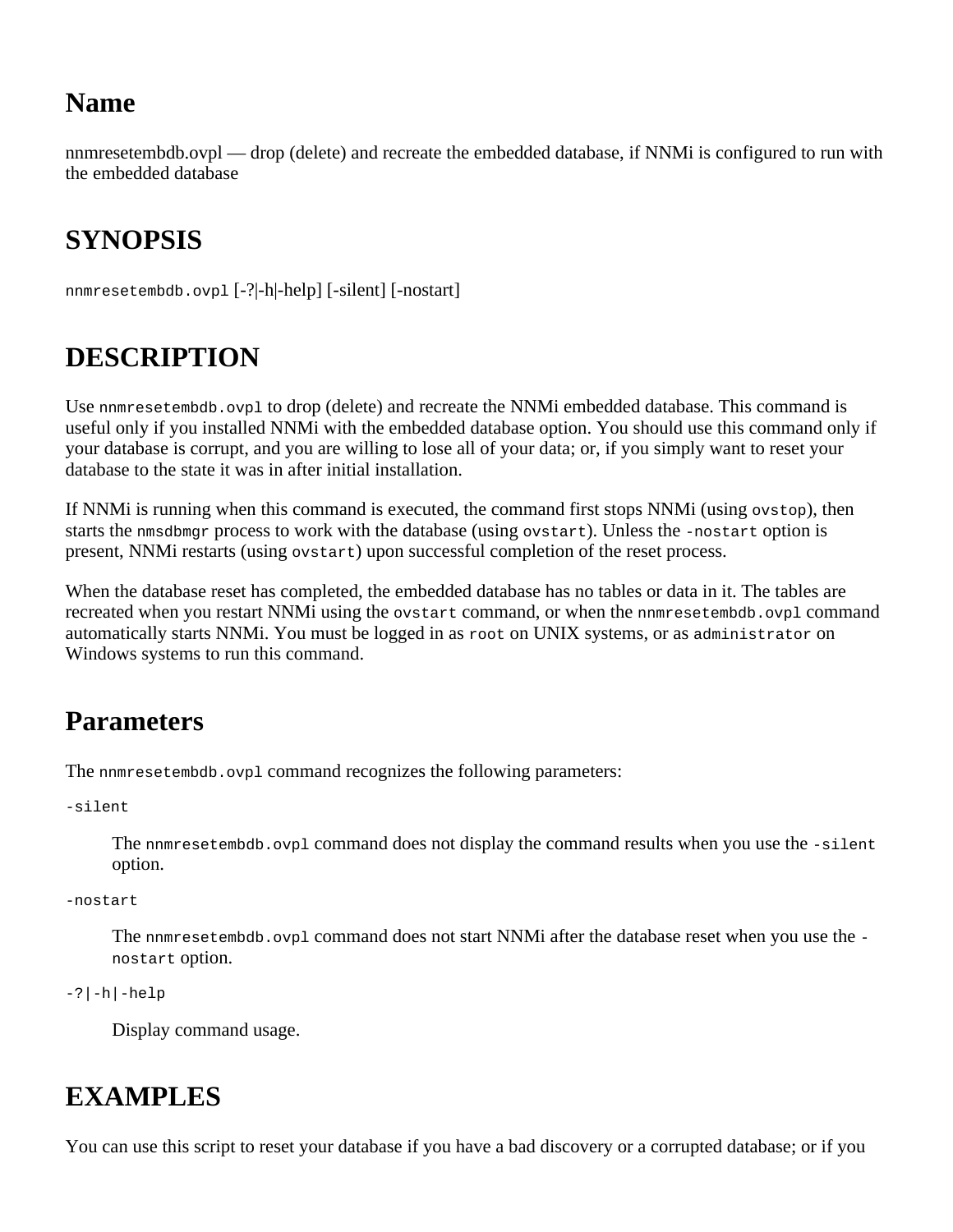nnmresetembdb.ovpl — drop (delete) and recreate the embedded database, if NNMi is configured to run with the embedded database

# **SYNOPSIS**

nnmresetembdb.ovpl [-?|-h|-help] [-silent] [-nostart]

# **DESCRIPTION**

Use nnmresetembdb.ovpl to drop (delete) and recreate the NNMi embedded database. This command is useful only if you installed NNMi with the embedded database option. You should use this command only if your database is corrupt, and you are willing to lose all of your data; or, if you simply want to reset your database to the state it was in after initial installation.

If NNMi is running when this command is executed, the command first stops NNMi (using ovstop), then starts the nmsdbmgr process to work with the database (using ovstart). Unless the -nostart option is present, NNMi restarts (using ovstart) upon successful completion of the reset process.

When the database reset has completed, the embedded database has no tables or data in it. The tables are recreated when you restart NNMi using the ovstart command, or when the nnmresetembdb.ovpl command automatically starts NNMi. You must be logged in as root on UNIX systems, or as administrator on Windows systems to run this command.

## **Parameters**

The nnmresetembdb.ovpl command recognizes the following parameters:

-silent

The nnmresetembdb.ovpl command does not display the command results when you use the -silent option.

-nostart

The nnmresetembdb.ovpl command does not start NNMi after the database reset when you use the nostart option.

-?|-h|-help

Display command usage.

# **EXAMPLES**

You can use this script to reset your database if you have a bad discovery or a corrupted database; or if you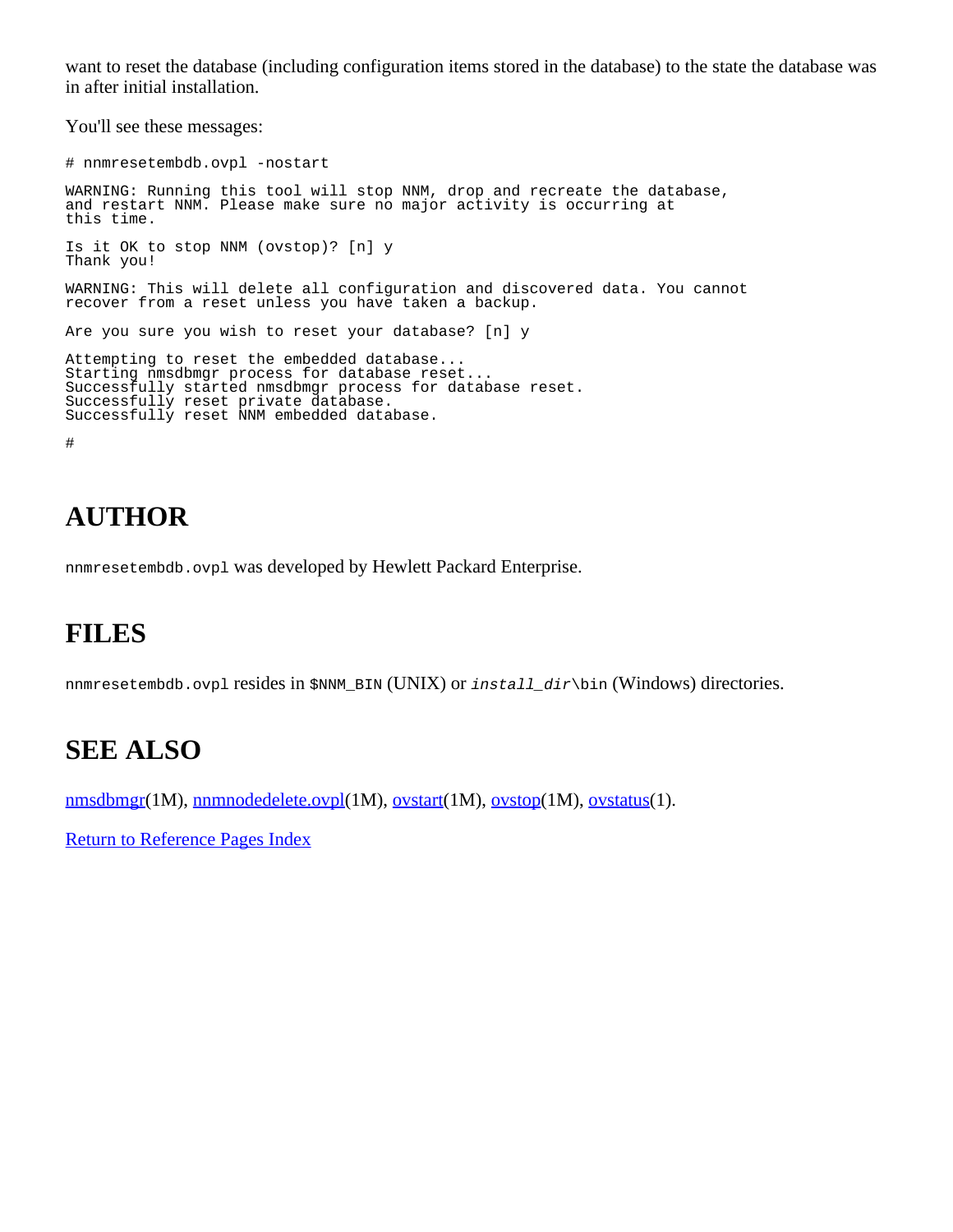want to reset the database (including configuration items stored in the database) to the state the database was in after initial installation.

You'll see these messages:

# nnmresetembdb.ovpl -nostart WARNING: Running this tool will stop NNM, drop and recreate the database, and restart NNM. Please make sure no major activity is occurring at this time. Is it OK to stop NNM (ovstop)? [n] y Thank you! WARNING: This will delete all configuration and discovered data. You cannot recover from a reset unless you have taken a backup. Are you sure you wish to reset your database? [n] y Attempting to reset the embedded database... Starting nmsdbmgr process for database reset... Successfully started nmsdbmgr process for database reset. Successfully reset private database. Successfully reset NNM embedded database.

#

# **AUTHOR**

nnmresetembdb.ovpl was developed by Hewlett Packard Enterprise.

# **FILES**

nnmresetembdb.ovpl resides in \$NNM\_BIN (UNIX) or *install\_dir*\bin (Windows) directories.

## **SEE ALSO**

[nmsdbmgr](#page-33-0)(1M), [nnmnodedelete.ovpl\(](#page-172-0)1M), [ovstart](#page-325-0)(1M), [ovstop](#page-329-0)(1M), [ovstatus](#page-25-0)(1).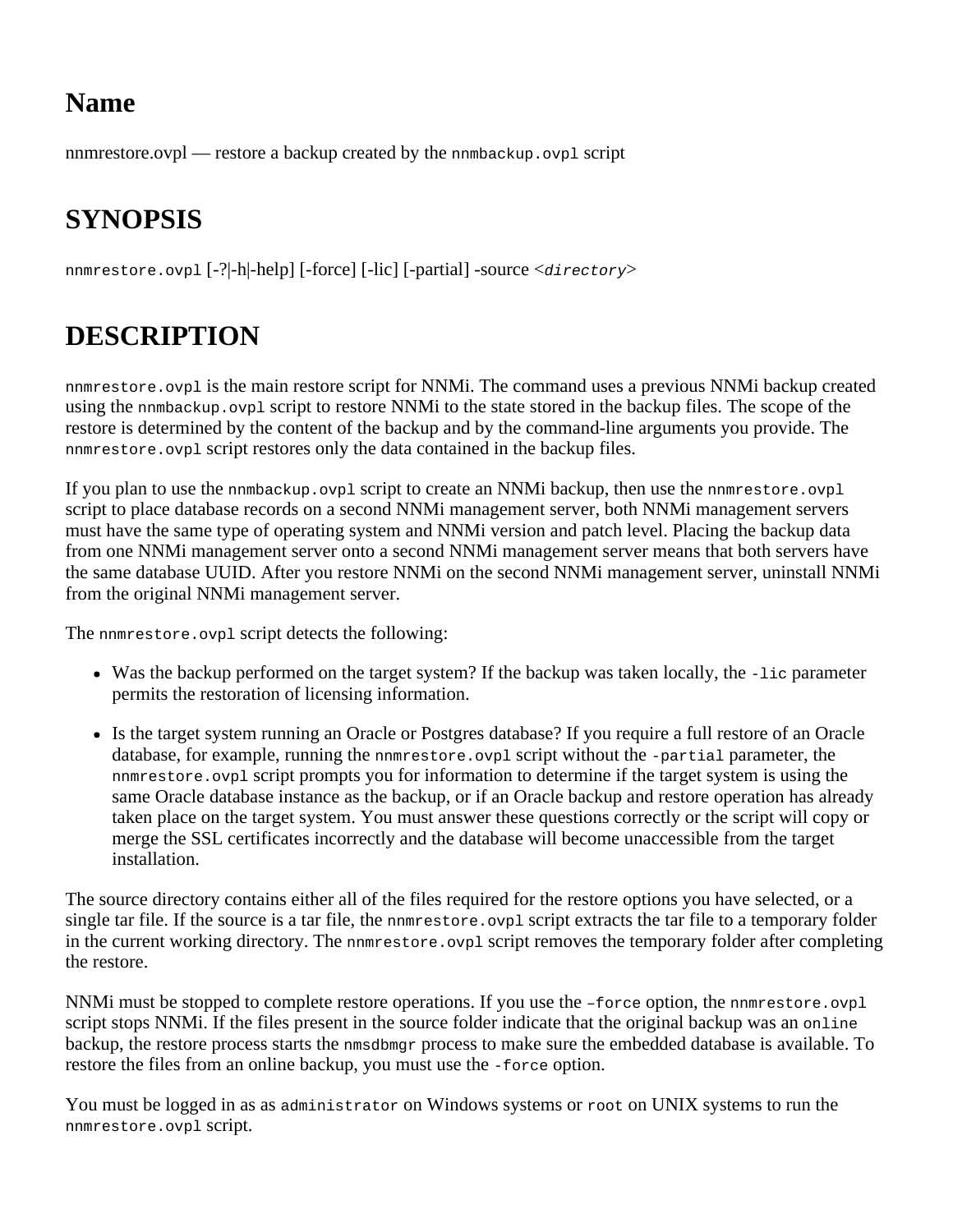nnmrestore.ovpl — restore a backup created by the nnmbackup.ovpl script

# **SYNOPSIS**

nnmrestore.ovpl [-?|-h|-help] [-force] [-lic] [-partial] -source <*directory*>

# **DESCRIPTION**

nnmrestore.ovpl is the main restore script for NNMi. The command uses a previous NNMi backup created using the nnmbackup.ovpl script to restore NNMi to the state stored in the backup files. The scope of the restore is determined by the content of the backup and by the command-line arguments you provide. The nnmrestore.ovpl script restores only the data contained in the backup files.

If you plan to use the nnmbackup.ovpl script to create an NNMi backup, then use the nnmrestore.ovpl script to place database records on a second NNMi management server, both NNMi management servers must have the same type of operating system and NNMi version and patch level. Placing the backup data from one NNMi management server onto a second NNMi management server means that both servers have the same database UUID. After you restore NNMi on the second NNMi management server, uninstall NNMi from the original NNMi management server.

The nnmrestore.ovpl script detects the following:

- Was the backup performed on the target system? If the backup was taken locally, the -lic parameter permits the restoration of licensing information.
- Is the target system running an Oracle or Postgres database? If you require a full restore of an Oracle database, for example, running the nnmrestore.ovpl script without the -partial parameter, the nnmrestore.ovpl script prompts you for information to determine if the target system is using the same Oracle database instance as the backup, or if an Oracle backup and restore operation has already taken place on the target system. You must answer these questions correctly or the script will copy or merge the SSL certificates incorrectly and the database will become unaccessible from the target installation.

The source directory contains either all of the files required for the restore options you have selected, or a single tar file. If the source is a tar file, the nnmrestore.ovpl script extracts the tar file to a temporary folder in the current working directory. The nnmrestore.ovpl script removes the temporary folder after completing the restore.

NNMi must be stopped to complete restore operations. If you use the –force option, the nnm restore.ovpl script stops NNMi. If the files present in the source folder indicate that the original backup was an online backup, the restore process starts the nmsdbmgr process to make sure the embedded database is available. To restore the files from an online backup, you must use the -force option.

You must be logged in as as administrator on Windows systems or root on UNIX systems to run the nnmrestore.ovpl script.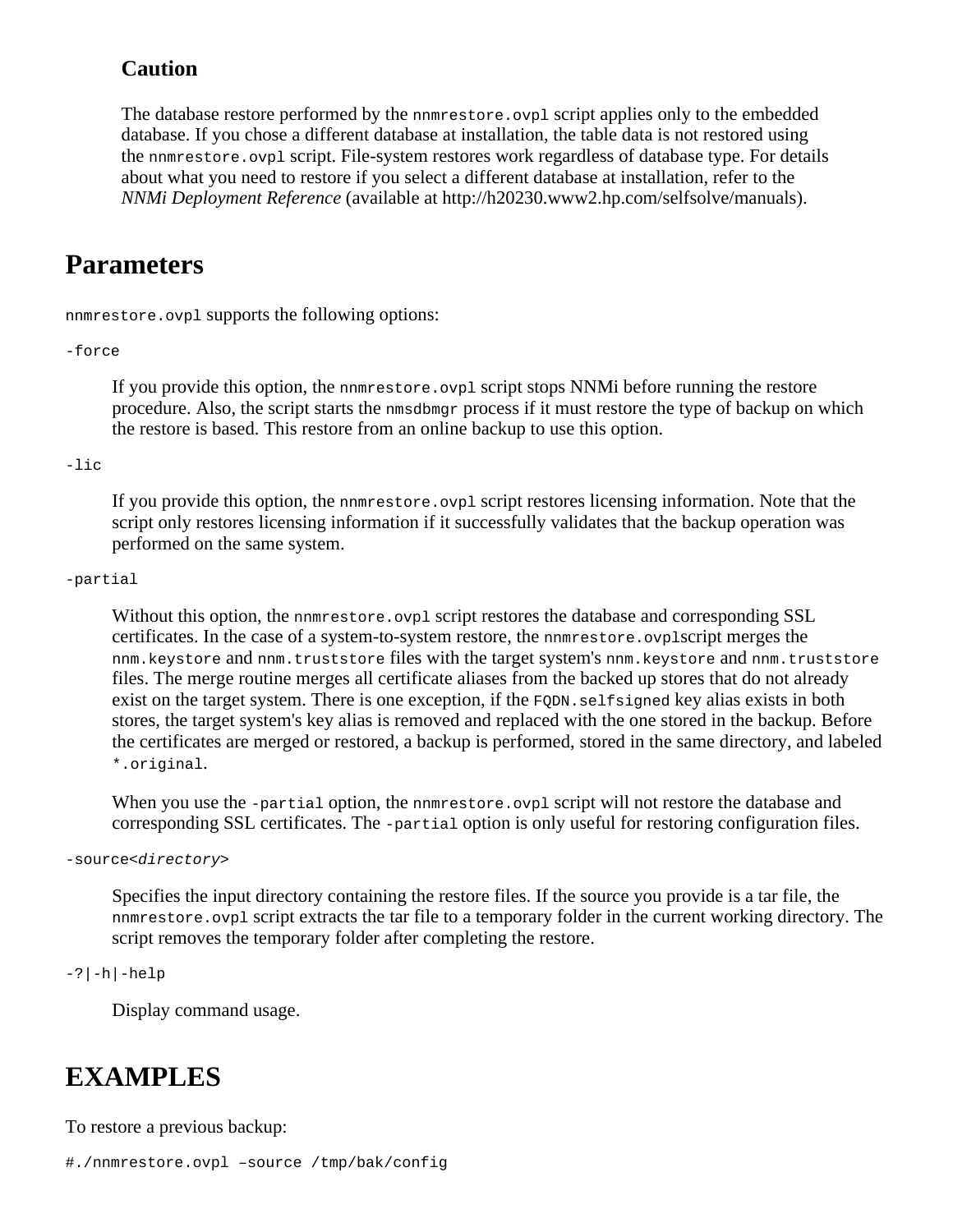#### **Caution**

The database restore performed by the non-estore.ovpl script applies only to the embedded database. If you chose a different database at installation, the table data is not restored using the nnmrestore.ovpl script. File-system restores work regardless of database type. For details about what you need to restore if you select a different database at installation, refer to the *NNMi Deployment Reference* (available at http://h20230.www2.hp.com/selfsolve/manuals).

#### **Parameters**

nnmrestore.ovpl supports the following options:

-force

If you provide this option, the nnmrestore.ovpl script stops NNMi before running the restore procedure. Also, the script starts the nmsdbmgr process if it must restore the type of backup on which the restore is based. This restore from an online backup to use this option.

-lic

If you provide this option, the nnmrestore.ovpl script restores licensing information. Note that the script only restores licensing information if it successfully validates that the backup operation was performed on the same system.

#### -partial

Without this option, the nnmrestore.ovpl script restores the database and corresponding SSL certificates. In the case of a system-to-system restore, the nnmrestore.ovplscript merges the nnm.keystore and nnm.truststore files with the target system's nnm.keystore and nnm.truststore files. The merge routine merges all certificate aliases from the backed up stores that do not already exist on the target system. There is one exception, if the FQDN. selfsigned key alias exists in both stores, the target system's key alias is removed and replaced with the one stored in the backup. Before the certificates are merged or restored, a backup is performed, stored in the same directory, and labeled \*.original.

When you use the -partial option, the nnmrestore.ovpl script will not restore the database and corresponding SSL certificates. The -partial option is only useful for restoring configuration files.

```
-source<directory>
```
Specifies the input directory containing the restore files. If the source you provide is a tar file, the nnmrestore.ovpl script extracts the tar file to a temporary folder in the current working directory. The script removes the temporary folder after completing the restore.

-?|-h|-help

Display command usage.

#### **EXAMPLES**

To restore a previous backup:

```
#./nnmrestore.ovpl –source /tmp/bak/config
```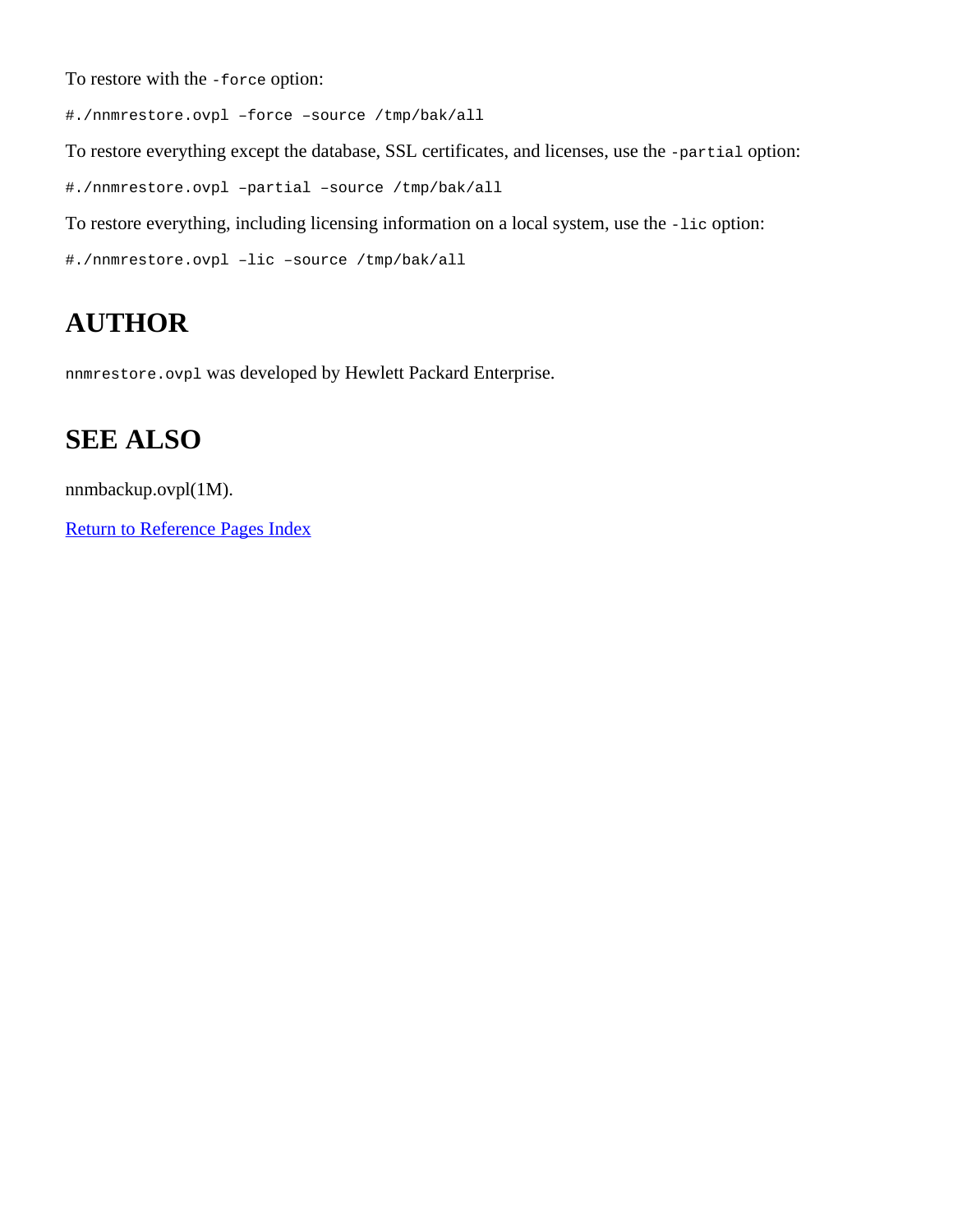To restore with the -force option:

#./nnmrestore.ovpl –force –source /tmp/bak/all

To restore everything except the database, SSL certificates, and licenses, use the -partial option:

#./nnmrestore.ovpl –partial –source /tmp/bak/all

To restore everything, including licensing information on a local system, use the -lic option:

#./nnmrestore.ovpl –lic –source /tmp/bak/all

#### **AUTHOR**

nnmrestore.ovpl was developed by Hewlett Packard Enterprise.

### **SEE ALSO**

nnmbackup.ovpl(1M).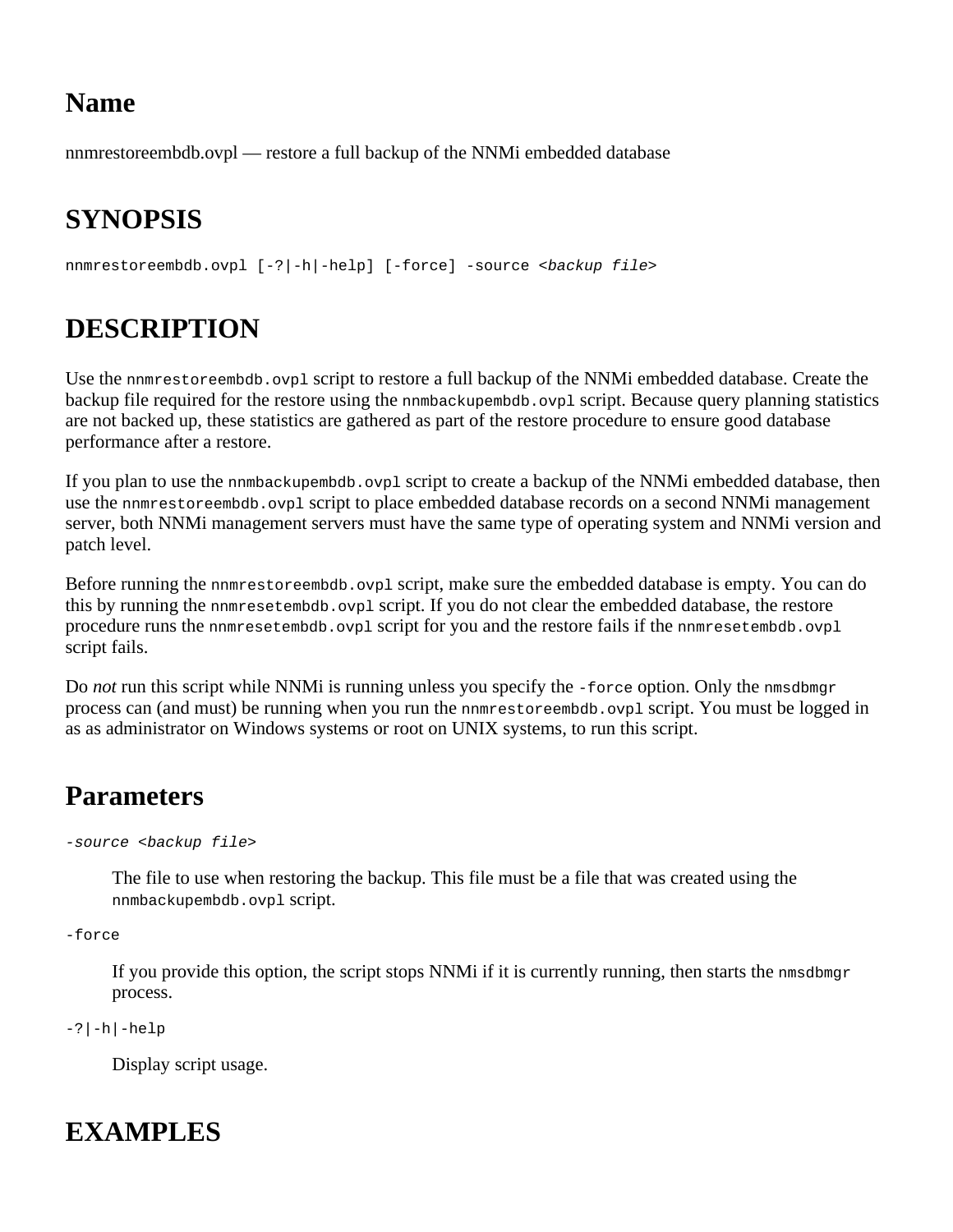nnmrestoreembdb.ovpl — restore a full backup of the NNMi embedded database

# **SYNOPSIS**

nnmrestoreembdb.ovpl [-?|-h|-help] [-force] -source <*backup file*>

# **DESCRIPTION**

Use the nnmrestoreembdb.ovpl script to restore a full backup of the NNMi embedded database. Create the backup file required for the restore using the nnmbackupembdb.ovpl script. Because query planning statistics are not backed up, these statistics are gathered as part of the restore procedure to ensure good database performance after a restore.

If you plan to use the nnmbackupembdb.ovpl script to create a backup of the NNMi embedded database, then use the nnmrestoreembdb.ovpl script to place embedded database records on a second NNMi management server, both NNMi management servers must have the same type of operating system and NNMi version and patch level.

Before running the nnmrestoreembdb.ovpl script, make sure the embedded database is empty. You can do this by running the nnmresetembdb.ovpl script. If you do not clear the embedded database, the restore procedure runs the nnmresetembdb.ovpl script for you and the restore fails if the nnmresetembdb.ovpl script fails.

Do *not* run this script while NNMi is running unless you specify the -force option. Only the nmsdbmgr process can (and must) be running when you run the nnmrestoreembdb.ovpl script. You must be logged in as as administrator on Windows systems or root on UNIX systems, to run this script.

## **Parameters**

*-source <backup file>*

The file to use when restoring the backup. This file must be a file that was created using the nnmbackupembdb.ovpl script.

-force

If you provide this option, the script stops NNMi if it is currently running, then starts the nmsdbmgr process.

-?|-h|-help

Display script usage.

#### **EXAMPLES**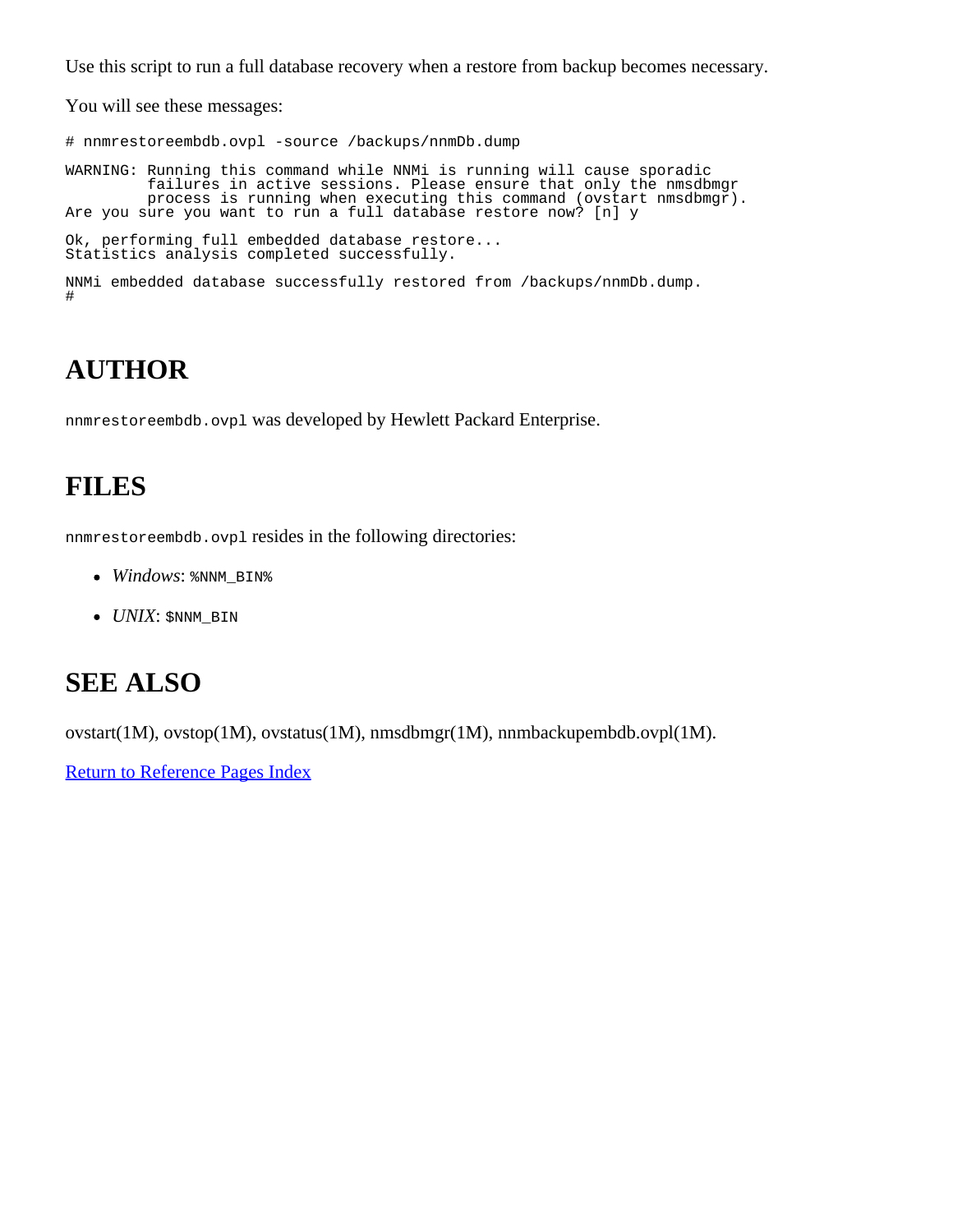Use this script to run a full database recovery when a restore from backup becomes necessary.

You will see these messages:

# nnmrestoreembdb.ovpl -source /backups/nnmDb.dump WARNING: Running this command while NNMi is running will cause sporadic failures in active sessions. Please ensure that only the nmsdbmgr process is running when executing this command (ovstart nmsdbmgr). Are you sure you want to run a full database restore now? [n] y Ok, performing full embedded database restore... Statistics analysis completed successfully. NNMi embedded database successfully restored from /backups/nnmDb.dump. #

#### **AUTHOR**

nnmrestoreembdb.ovpl was developed by Hewlett Packard Enterprise.

#### **FILES**

nnmrestoreembdb.ovpl resides in the following directories:

- $\bullet$  Windows: \$NNM BIN\$
- *UNIX*: \$NNM\_BIN

#### **SEE ALSO**

ovstart(1M), ovstop(1M), ovstatus(1M), nmsdbmgr(1M), nnmbackupembdb.ovpl(1M).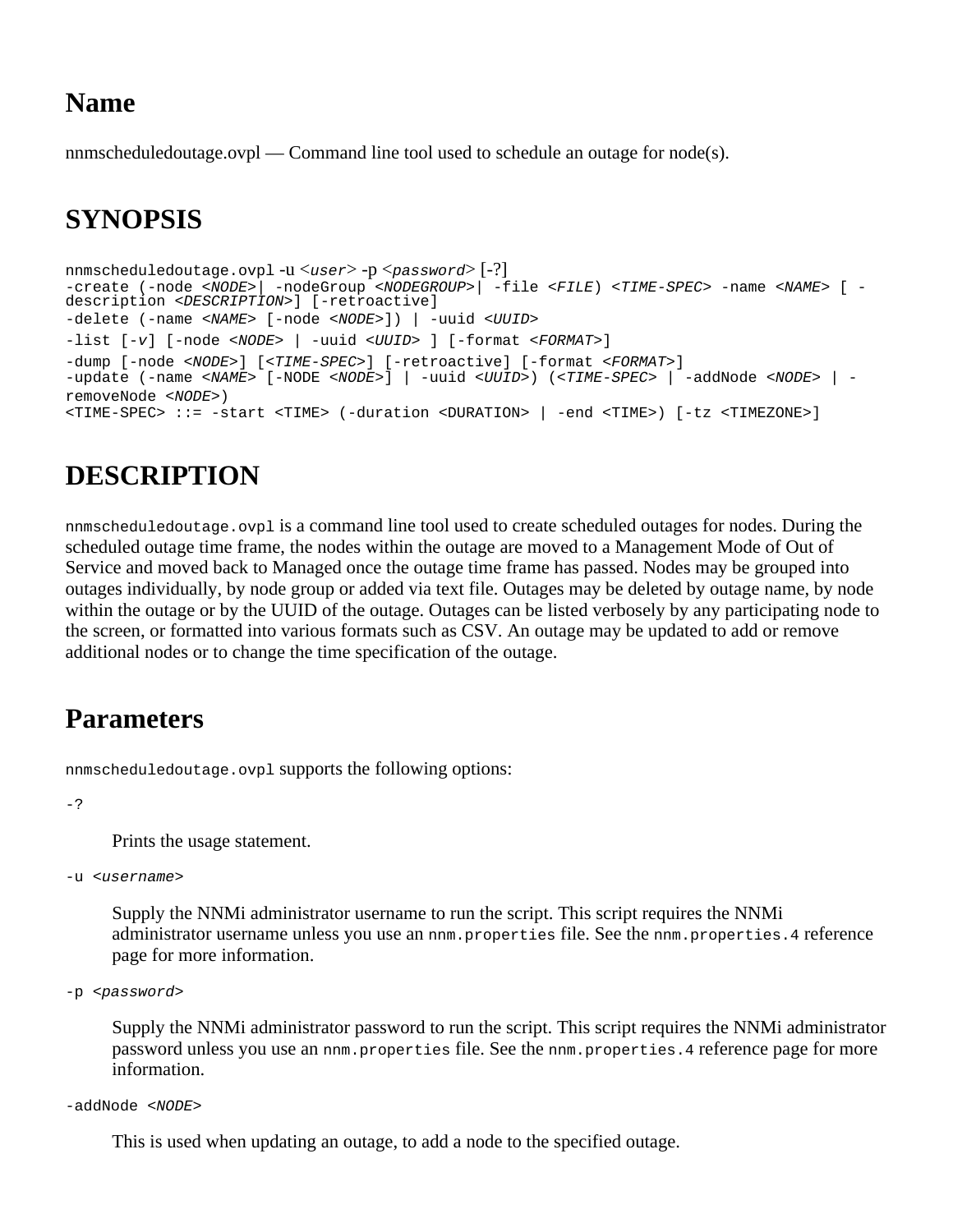nnmscheduledoutage.ovpl — Command line tool used to schedule an outage for node(s).

## **SYNOPSIS**

```
nnmscheduledoutage.ovpl -u <user> -p <password> [-?] 
-create (-node <NODE>| -nodeGroup <NODEGROUP>| -file <FILE) <TIME-SPEC> -name <NAME> [ -
description <DESCRIPTION>] [-retroactive] 
-delete (-name <NAME> [-node <NODE>]) | -uuid <UUID>
-list [-v] [-node <NODE> | -uuid <UUID> ] [-format <FORMAT>]
-dump [-node <NODE>] [<TIME-SPEC>] [-retroactive] [-format <FORMAT>]
-update (-name <NAME> [-NODE <NODE>] | -uuid <UUID>) (<TIME-SPEC> | -addNode <NODE> | -
removeNode <NODE>)
<TIME-SPEC> ::= -start <TIME> (-duration <DURATION> | -end <TIME>) [-tz <TIMEZONE>]
```
### **DESCRIPTION**

nnmscheduledoutage.ovpl is a command line tool used to create scheduled outages for nodes. During the scheduled outage time frame, the nodes within the outage are moved to a Management Mode of Out of Service and moved back to Managed once the outage time frame has passed. Nodes may be grouped into outages individually, by node group or added via text file. Outages may be deleted by outage name, by node within the outage or by the UUID of the outage. Outages can be listed verbosely by any participating node to the screen, or formatted into various formats such as CSV. An outage may be updated to add or remove additional nodes or to change the time specification of the outage.

#### **Parameters**

nnmscheduledoutage.ovpl supports the following options:

-?

Prints the usage statement.

-u <*username*>

Supply the NNMi administrator username to run the script. This script requires the NNMi administrator username unless you use an nnm.properties file. See the nnm.properties.4 reference page for more information.

```
-p <password>
```
Supply the NNMi administrator password to run the script. This script requires the NNMi administrator password unless you use an nnm.properties file. See the nnm.properties.4 reference page for more information.

-addNode <*NODE*>

This is used when updating an outage, to add a node to the specified outage.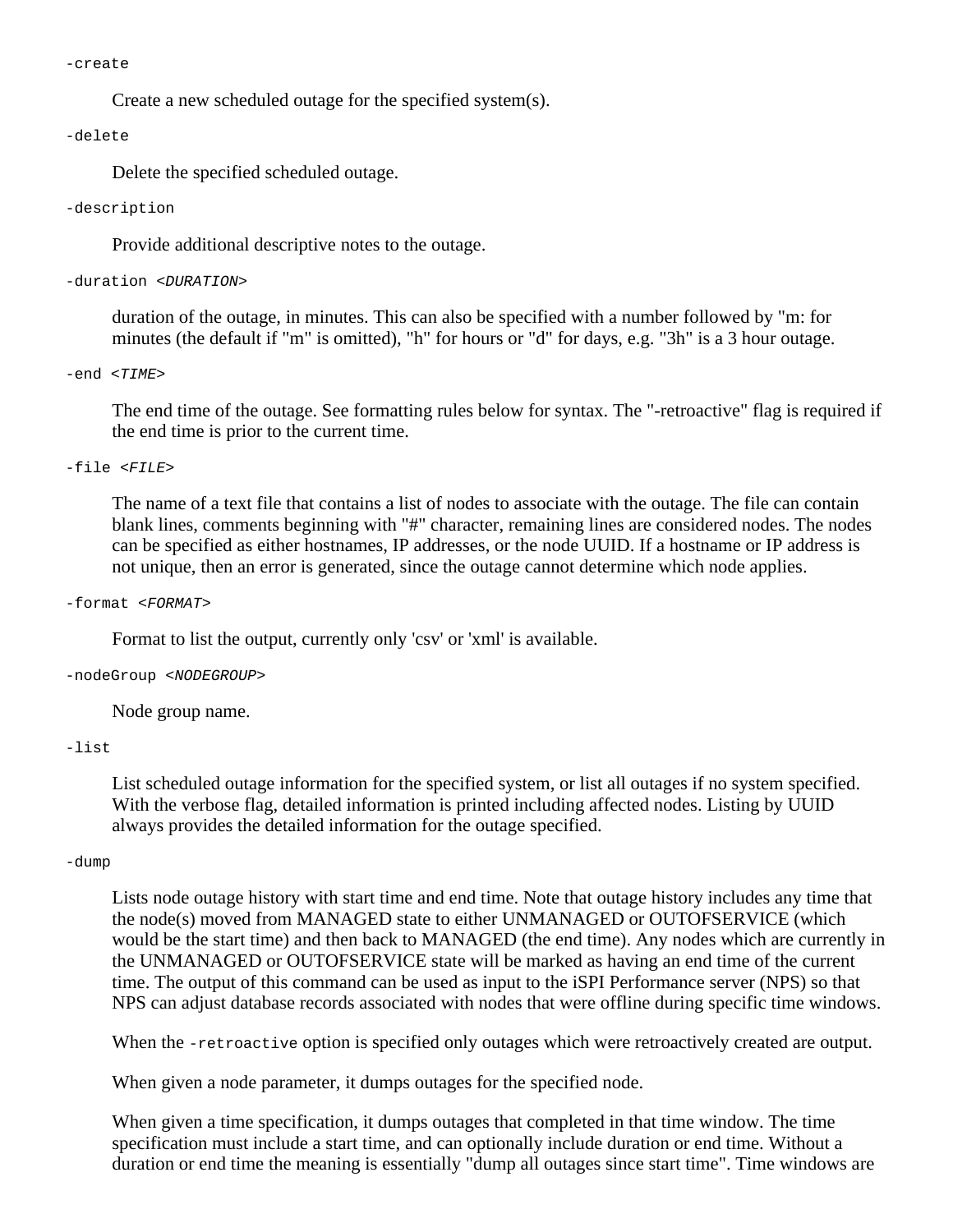-create

Create a new scheduled outage for the specified system(s).

-delete

Delete the specified scheduled outage.

#### -description

Provide additional descriptive notes to the outage.

-duration <*DURATION*>

duration of the outage, in minutes. This can also be specified with a number followed by "m: for minutes (the default if "m" is omitted), "h" for hours or "d" for days, e.g. "3h" is a 3 hour outage.

#### -end <*TIME*>

The end time of the outage. See formatting rules below for syntax. The "-retroactive" flag is required if the end time is prior to the current time.

-file <*FILE*>

The name of a text file that contains a list of nodes to associate with the outage. The file can contain blank lines, comments beginning with "#" character, remaining lines are considered nodes. The nodes can be specified as either hostnames, IP addresses, or the node UUID. If a hostname or IP address is not unique, then an error is generated, since the outage cannot determine which node applies.

-format <*FORMAT*>

Format to list the output, currently only 'csv' or 'xml' is available.

#### -nodeGroup <*NODEGROUP*>

Node group name.

#### -list

List scheduled outage information for the specified system, or list all outages if no system specified. With the verbose flag, detailed information is printed including affected nodes. Listing by UUID always provides the detailed information for the outage specified.

#### -dump

Lists node outage history with start time and end time. Note that outage history includes any time that the node(s) moved from MANAGED state to either UNMANAGED or OUTOFSERVICE (which would be the start time) and then back to MANAGED (the end time). Any nodes which are currently in the UNMANAGED or OUTOFSERVICE state will be marked as having an end time of the current time. The output of this command can be used as input to the iSPI Performance server (NPS) so that NPS can adjust database records associated with nodes that were offline during specific time windows.

When the -retroactive option is specified only outages which were retroactively created are output.

When given a node parameter, it dumps outages for the specified node.

When given a time specification, it dumps outages that completed in that time window. The time specification must include a start time, and can optionally include duration or end time. Without a duration or end time the meaning is essentially "dump all outages since start time". Time windows are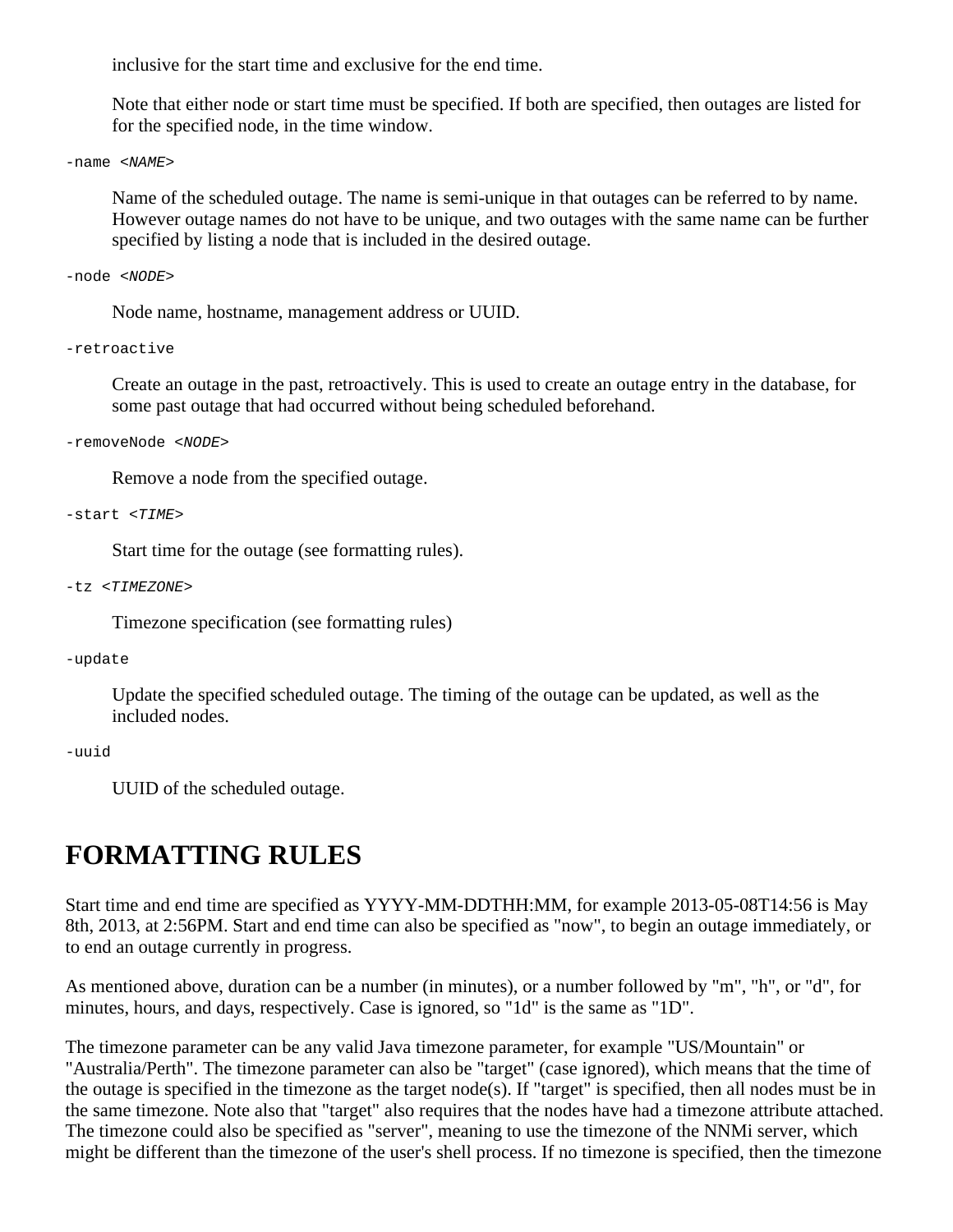inclusive for the start time and exclusive for the end time.

Note that either node or start time must be specified. If both are specified, then outages are listed for for the specified node, in the time window.

-name <*NAME*>

Name of the scheduled outage. The name is semi-unique in that outages can be referred to by name. However outage names do not have to be unique, and two outages with the same name can be further specified by listing a node that is included in the desired outage.

-node <*NODE*>

Node name, hostname, management address or UUID.

-retroactive

Create an outage in the past, retroactively. This is used to create an outage entry in the database, for some past outage that had occurred without being scheduled beforehand.

-removeNode <*NODE*>

Remove a node from the specified outage.

-start <*TIME*>

Start time for the outage (see formatting rules).

-tz <*TIMEZONE*>

Timezone specification (see formatting rules)

-update

Update the specified scheduled outage. The timing of the outage can be updated, as well as the included nodes.

-uuid

UUID of the scheduled outage.

#### **FORMATTING RULES**

Start time and end time are specified as YYYY-MM-DDTHH:MM, for example 2013-05-08T14:56 is May 8th, 2013, at 2:56PM. Start and end time can also be specified as "now", to begin an outage immediately, or to end an outage currently in progress.

As mentioned above, duration can be a number (in minutes), or a number followed by "m", "h", or "d", for minutes, hours, and days, respectively. Case is ignored, so "1d" is the same as "1D".

The timezone parameter can be any valid Java timezone parameter, for example "US/Mountain" or "Australia/Perth". The timezone parameter can also be "target" (case ignored), which means that the time of the outage is specified in the timezone as the target node(s). If "target" is specified, then all nodes must be in the same timezone. Note also that "target" also requires that the nodes have had a timezone attribute attached. The timezone could also be specified as "server", meaning to use the timezone of the NNMi server, which might be different than the timezone of the user's shell process. If no timezone is specified, then the timezone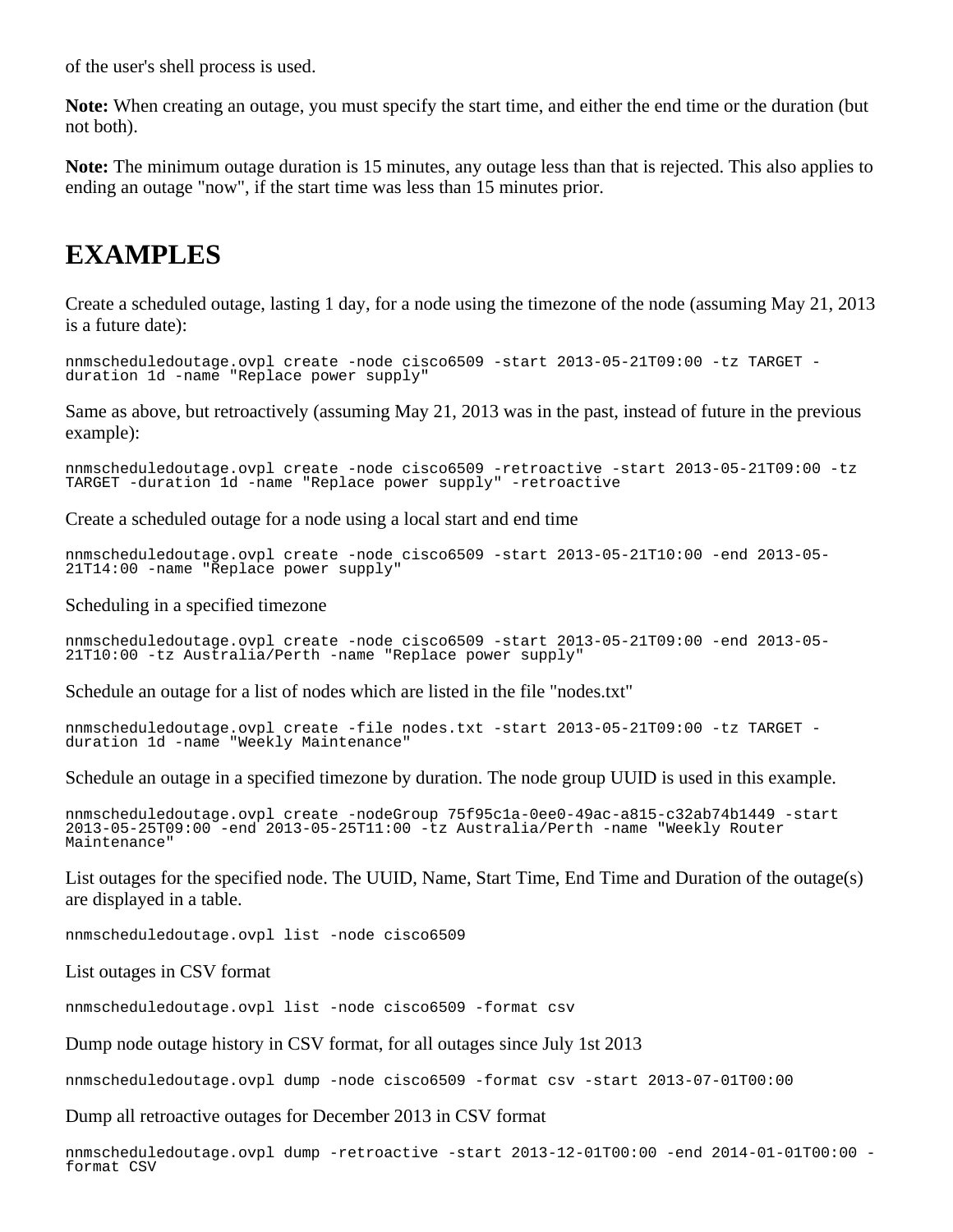of the user's shell process is used.

**Note:** When creating an outage, you must specify the start time, and either the end time or the duration (but not both).

**Note:** The minimum outage duration is 15 minutes, any outage less than that is rejected. This also applies to ending an outage "now", if the start time was less than 15 minutes prior.

#### **EXAMPLES**

Create a scheduled outage, lasting 1 day, for a node using the timezone of the node (assuming May 21, 2013 is a future date):

```
nnmscheduledoutage.ovpl create -node cisco6509 -start 2013-05-21T09:00 -tz TARGET -
duration 1d -name "Replace power supply"
```
Same as above, but retroactively (assuming May 21, 2013 was in the past, instead of future in the previous example):

nnmscheduledoutage.ovpl create -node cisco6509 -retroactive -start 2013-05-21T09:00 -tz TARGET -duration 1d -name "Replace power supply" -retroactive

Create a scheduled outage for a node using a local start and end time

nnmscheduledoutage.ovpl create -node cisco6509 -start 2013-05-21T10:00 -end 2013-05- 21T14:00 -name "Replace power supply"

Scheduling in a specified timezone

nnmscheduledoutage.ovpl create -node cisco6509 -start 2013-05-21T09:00 -end 2013-05- 21T10:00 -tz Australia/Perth -name "Replace power supply"

Schedule an outage for a list of nodes which are listed in the file "nodes.txt"

nnmscheduledoutage.ovpl create -file nodes.txt -start 2013-05-21T09:00 -tz TARGET duration 1d -name "Weekly Maintenance"

Schedule an outage in a specified timezone by duration. The node group UUID is used in this example.

```
nnmscheduledoutage.ovpl create -nodeGroup 75f95c1a-0ee0-49ac-a815-c32ab74b1449 -start
2013-05-25T09:00 -end 2013-05-25T11:00 -tz Australia/Perth -name "Weekly Router
Maintenance"
```
List outages for the specified node. The UUID, Name, Start Time, End Time and Duration of the outage(s) are displayed in a table.

nnmscheduledoutage.ovpl list -node cisco6509

List outages in CSV format

nnmscheduledoutage.ovpl list -node cisco6509 -format csv

Dump node outage history in CSV format, for all outages since July 1st 2013

nnmscheduledoutage.ovpl dump -node cisco6509 -format csv -start 2013-07-01T00:00

Dump all retroactive outages for December 2013 in CSV format

nnmscheduledoutage.ovpl dump -retroactive -start 2013-12-01T00:00 -end 2014-01-01T00:00 format CSV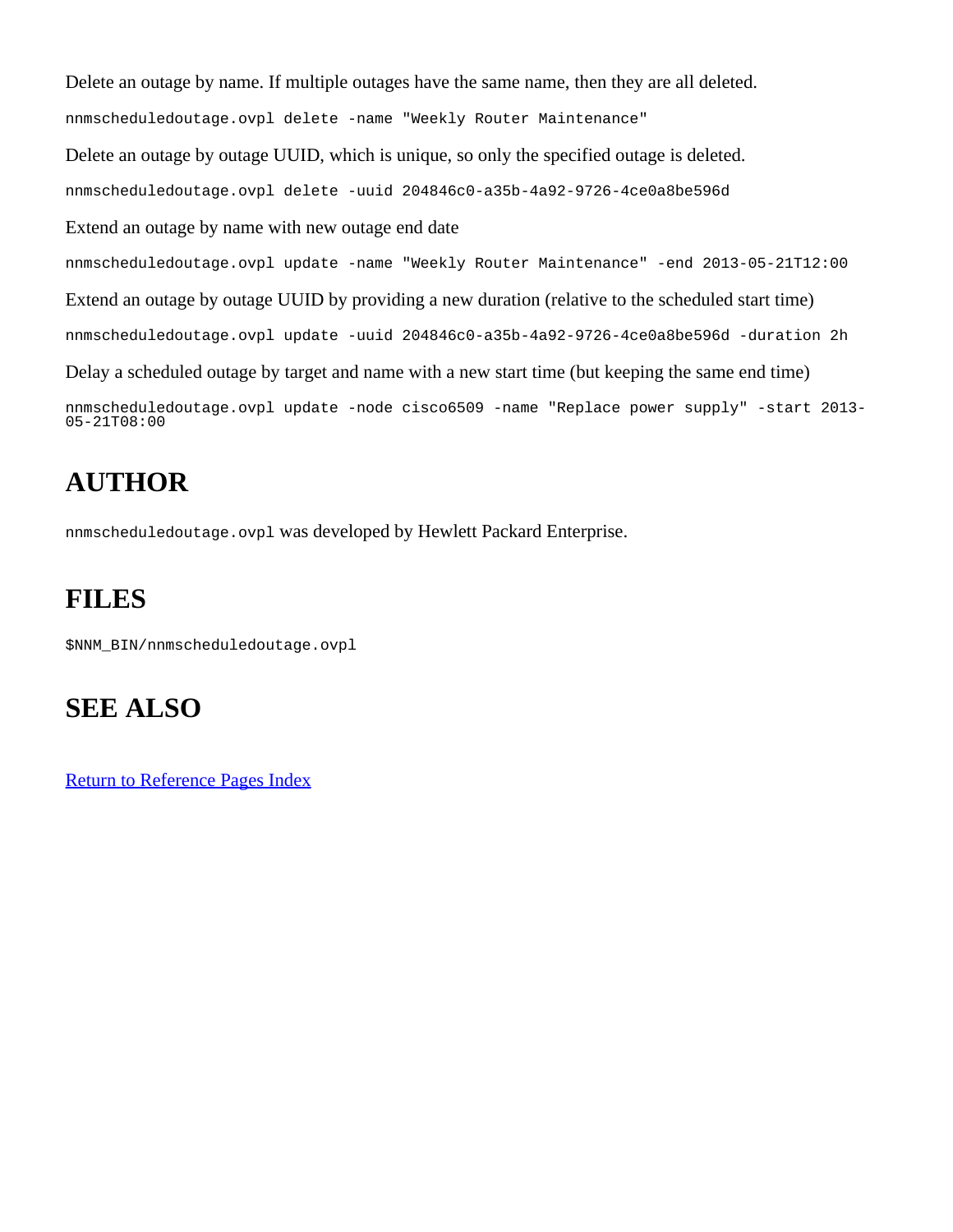Delete an outage by name. If multiple outages have the same name, then they are all deleted.

nnmscheduledoutage.ovpl delete -name "Weekly Router Maintenance"

Delete an outage by outage UUID, which is unique, so only the specified outage is deleted.

nnmscheduledoutage.ovpl delete -uuid 204846c0-a35b-4a92-9726-4ce0a8be596d

Extend an outage by name with new outage end date

nnmscheduledoutage.ovpl update -name "Weekly Router Maintenance" -end 2013-05-21T12:00

Extend an outage by outage UUID by providing a new duration (relative to the scheduled start time)

nnmscheduledoutage.ovpl update -uuid 204846c0-a35b-4a92-9726-4ce0a8be596d -duration 2h

Delay a scheduled outage by target and name with a new start time (but keeping the same end time)

nnmscheduledoutage.ovpl update -node cisco6509 -name "Replace power supply" -start 2013- 05-21T08:00

# **AUTHOR**

nnmscheduledoutage.ovpl was developed by Hewlett Packard Enterprise.

### **FILES**

\$NNM\_BIN/nnmscheduledoutage.ovpl

#### **SEE ALSO**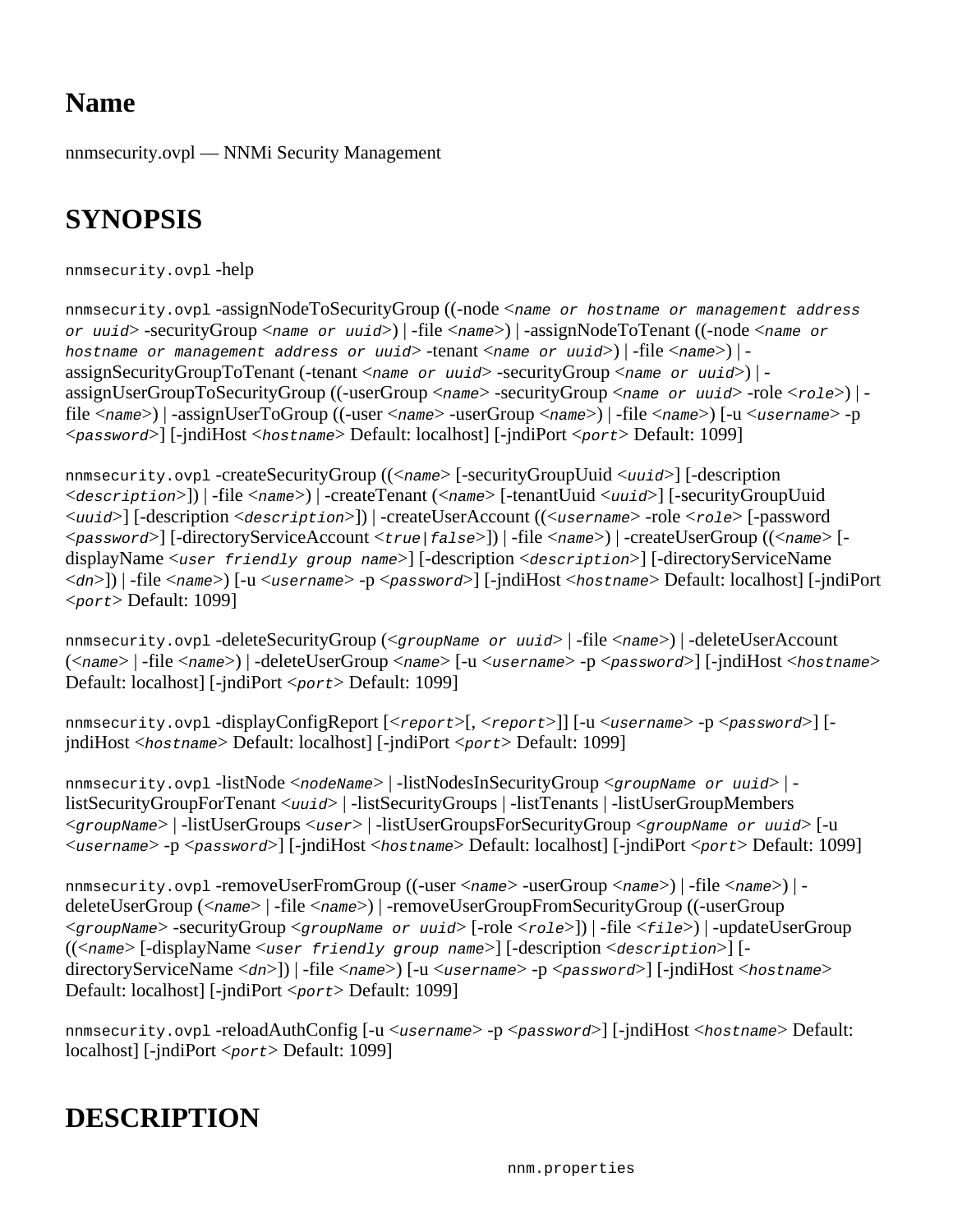nnmsecurity.ovpl — NNMi Security Management

# **SYNOPSIS**

nnmsecurity.ovpl -help

nnmsecurity.ovpl -assignNodeToSecurityGroup ((-node <*name or hostname or management address or uuid*> -securityGroup <*name or uuid*>) | -file <*name*>) | -assignNodeToTenant ((-node <*name or hostname or management address or uuid*> -tenant <*name or uuid*>) | -file <*name*>) | assignSecurityGroupToTenant (-tenant <*name or uuid*> -securityGroup <*name or uuid*>) | assignUserGroupToSecurityGroup ((-userGroup <*name*> -securityGroup <*name or uuid*> -role <*role*>) | file <*name*>) | -assignUserToGroup ((-user <*name*> -userGroup <*name*>) | -file <*name*>) [-u <*username*> -p <*password*>] [-jndiHost <*hostname*> Default: localhost] [-jndiPort <*port*> Default: 1099]

nnmsecurity.ovpl -createSecurityGroup ((<*name*> [-securityGroupUuid <*uuid*>] [-description <*description*>]) | -file <*name*>) | -createTenant (<*name*> [-tenantUuid <*uuid*>] [-securityGroupUuid <*uuid*>] [-description <*description*>]) | -createUserAccount ((<*username*> -role <*role*> [-password <*password*>] [-directoryServiceAccount <*true|false*>]) | -file <*name*>) | -createUserGroup ((<*name*> [ displayName <*user friendly group name*>] [-description <*description*>] [-directoryServiceName <*dn*>]) | -file <*name*>) [-u <*username*> -p <*password*>] [-jndiHost <*hostname*> Default: localhost] [-jndiPort <*port*> Default: 1099]

nnmsecurity.ovpl -deleteSecurityGroup (<*groupName or uuid*> | -file <*name*>) | -deleteUserAccount (<*name*> | -file <*name*>) | -deleteUserGroup <*name*> [-u <*username*> -p <*password*>] [-jndiHost <*hostname*> Default: localhost] [-jndiPort <*port*> Default: 1099]

nnmsecurity.ovpl -displayConfigReport [<*report*>[, <*report*>]] [-u <*username*> -p <*password*>] [ jndiHost <*hostname*> Default: localhost] [-jndiPort <*port*> Default: 1099]

nnmsecurity.ovpl -listNode <*nodeName*> | -listNodesInSecurityGroup <*groupName or uuid*> | listSecurityGroupForTenant <*uuid*> | -listSecurityGroups | -listTenants | -listUserGroupMembers <*groupName*> | -listUserGroups <*user*> | -listUserGroupsForSecurityGroup <*groupName or uuid*> [-u <*username*> -p <*password*>] [-jndiHost <*hostname*> Default: localhost] [-jndiPort <*port*> Default: 1099]

nnmsecurity.ovpl -removeUserFromGroup ((-user <*name*> -userGroup <*name*>) | -file <*name*>) | deleteUserGroup (<*name*> | -file <*name*>) | -removeUserGroupFromSecurityGroup ((-userGroup <*groupName*> -securityGroup <*groupName or uuid*> [-role <*role*>]) | -file <*file*>) | -updateUserGroup ((<*name*> [-displayName <*user friendly group name*>] [-description <*description*>] [ directoryServiceName <*dn*>]) | -file <*name*>) [-u <*username*> -p <*password*>] [-jndiHost <*hostname*> Default: localhost] [-jndiPort <*port*> Default: 1099]

nnmsecurity.ovpl -reloadAuthConfig [-u <*username*> -p <*password*>] [-jndiHost <*hostname*> Default: localhost] [-jndiPort <*port*> Default: 1099]

# **DESCRIPTION**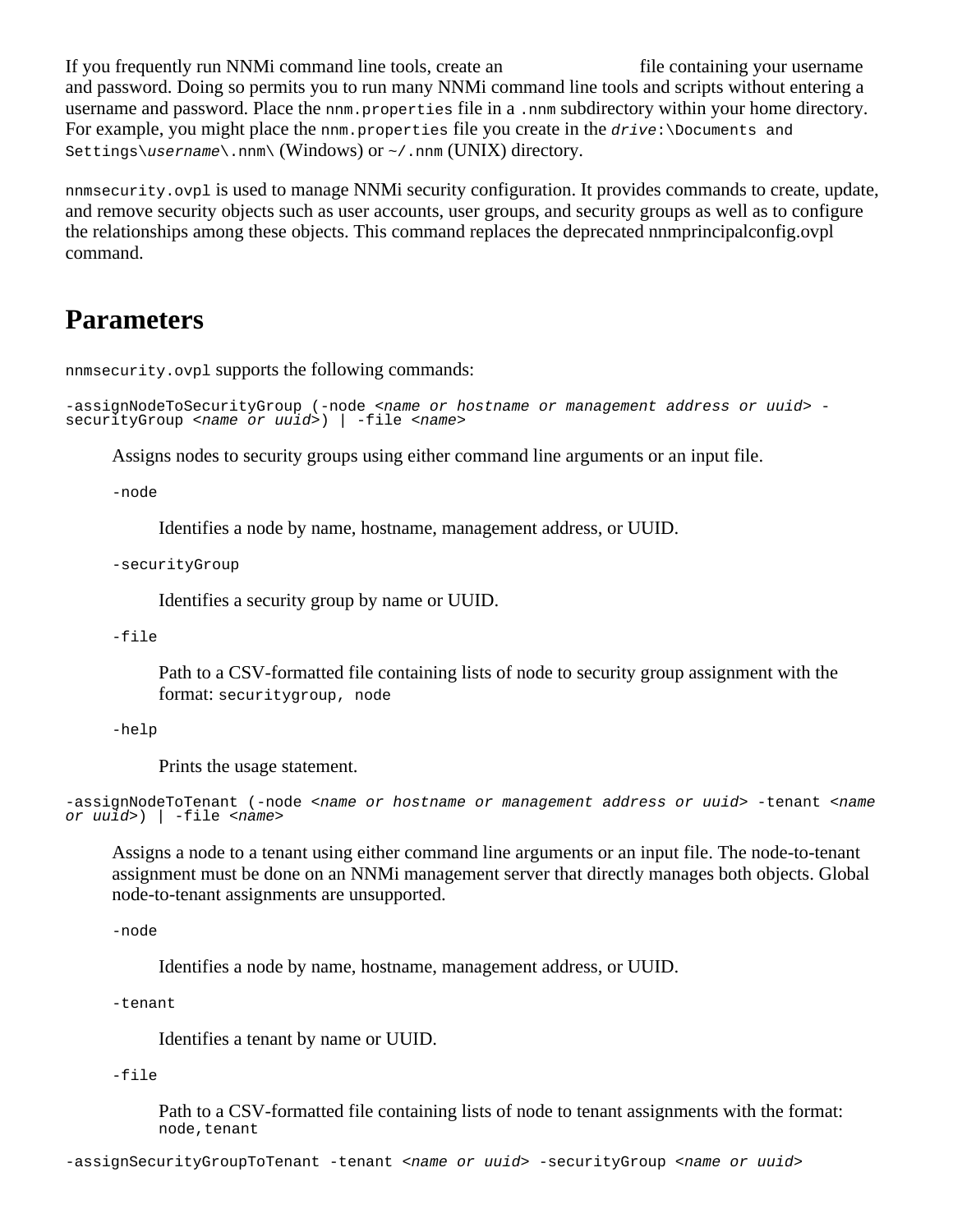If you frequently run NNMi command line tools, create an file containing your username and password. Doing so permits you to run many NNMi command line tools and scripts without entering a username and password. Place the nnm.properties file in a .nnm subdirectory within your home directory. For example, you might place the nnm.properties file you create in the *drive*: \Documents and Settings\*username*\.nnm\ (Windows) or ~/.nnm (UNIX) directory.

nnmsecurity.ovpl is used to manage NNMi security configuration. It provides commands to create, update, and remove security objects such as user accounts, user groups, and security groups as well as to configure the relationships among these objects. This command replaces the deprecated nnmprincipalconfig.ovpl command.

#### **Parameters**

nnmsecurity.ovpl supports the following commands:

```
-assignNodeToSecurityGroup (-node <name or hostname or management address or uuid> -
securityGroup <name or uuid>) | -file <name>
```
Assigns nodes to security groups using either command line arguments or an input file.

-node

Identifies a node by name, hostname, management address, or UUID.

-securityGroup

Identifies a security group by name or UUID.

-file

Path to a CSV-formatted file containing lists of node to security group assignment with the format: securitygroup, node

-help

Prints the usage statement.

-assignNodeToTenant (-node <*name or hostname or management address or uuid*> -tenant <*name or uuid*>) | -file <*name*<sup>&</sup>gt;

Assigns a node to a tenant using either command line arguments or an input file. The node-to-tenant assignment must be done on an NNMi management server that directly manages both objects. Global node-to-tenant assignments are unsupported.

-node

Identifies a node by name, hostname, management address, or UUID.

-tenant

Identifies a tenant by name or UUID.

-file

Path to a CSV-formatted file containing lists of node to tenant assignments with the format: node, tenant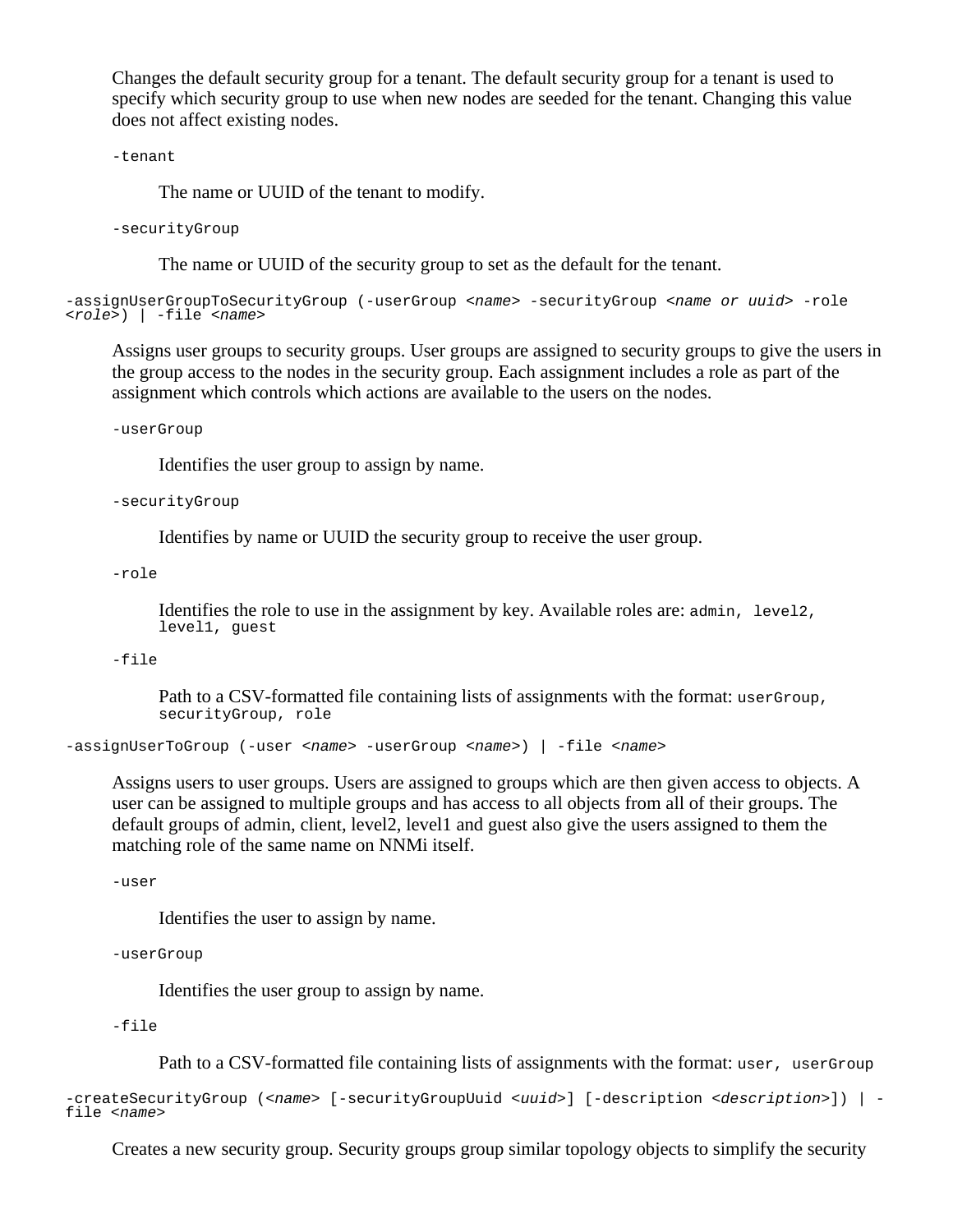Changes the default security group for a tenant. The default security group for a tenant is used to specify which security group to use when new nodes are seeded for the tenant. Changing this value does not affect existing nodes.

-tenant

The name or UUID of the tenant to modify.

-securityGroup

The name or UUID of the security group to set as the default for the tenant.

```
-assignUserGroupToSecurityGroup (-userGroup <name> -securityGroup <name or uuid> -role <role>) | -file <name>
```
Assigns user groups to security groups. User groups are assigned to security groups to give the users in the group access to the nodes in the security group. Each assignment includes a role as part of the assignment which controls which actions are available to the users on the nodes.

-userGroup

Identifies the user group to assign by name.

-securityGroup

Identifies by name or UUID the security group to receive the user group.

-role

Identifies the role to use in the assignment by key. Available roles are: admin, level2, level1, guest

-file

Path to a CSV-formatted file containing lists of assignments with the format: userGroup, securityGroup, role

-assignUserToGroup (-user <*name*> -userGroup <*name*>) | -file <*name*>

Assigns users to user groups. Users are assigned to groups which are then given access to objects. A user can be assigned to multiple groups and has access to all objects from all of their groups. The default groups of admin, client, level2, level1 and guest also give the users assigned to them the matching role of the same name on NNMi itself.

-user

Identifies the user to assign by name.

-userGroup

Identifies the user group to assign by name.

-file

Path to a CSV-formatted file containing lists of assignments with the format: user, userGroup

-createSecurityGroup (<*name*> [-securityGroupUuid <*uuid*>] [-description <*description*>]) | file <*name*>

Creates a new security group. Security groups group similar topology objects to simplify the security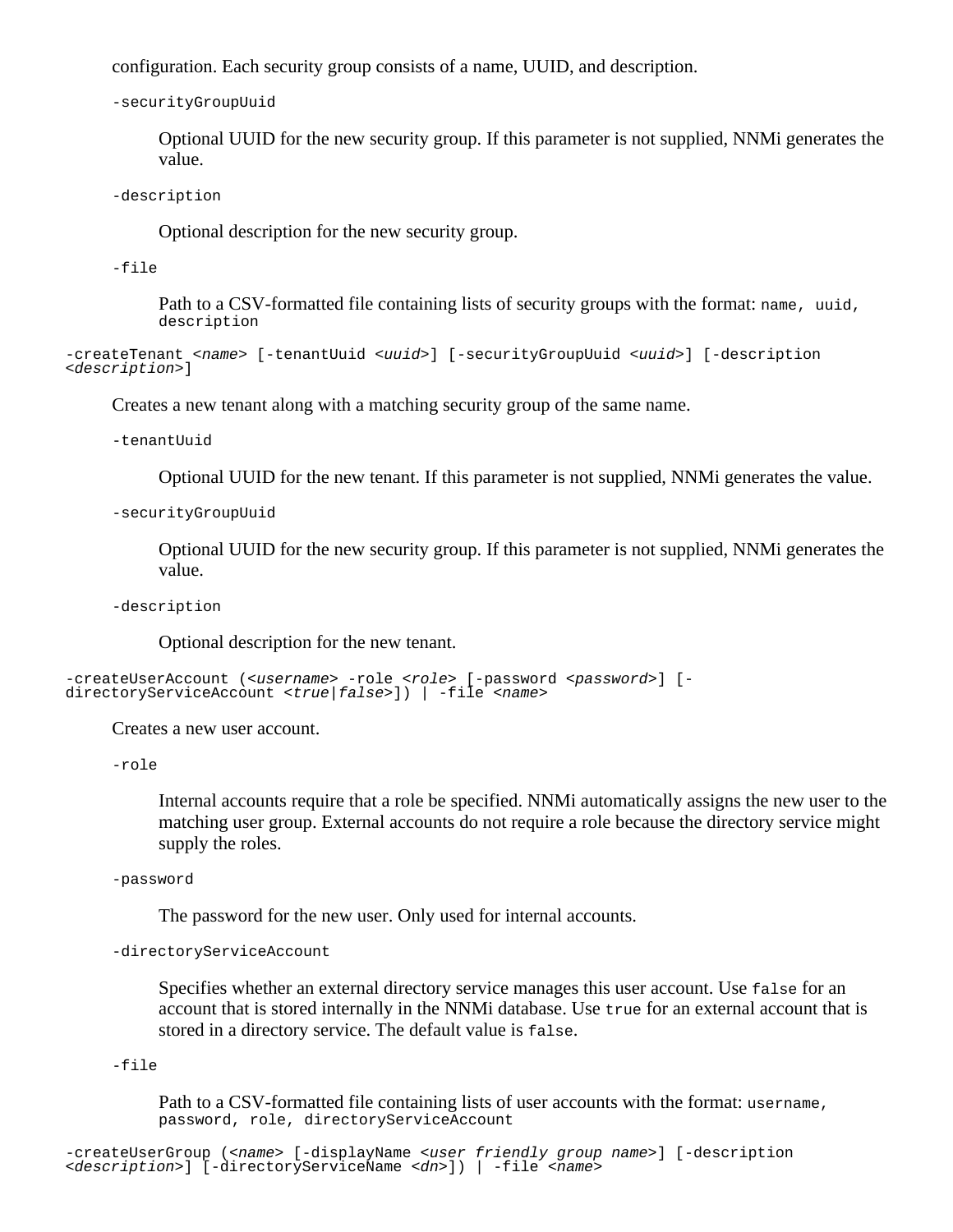configuration. Each security group consists of a name, UUID, and description.

-securityGroupUuid

Optional UUID for the new security group. If this parameter is not supplied, NNMi generates the value.

-description

Optional description for the new security group.

-file

Path to a CSV-formatted file containing lists of security groups with the format: name, uuid, description

-createTenant <*name*> [-tenantUuid <*uuid*>] [-securityGroupUuid <*uuid*>] [-description <sup>&</sup>lt;*description*>]

Creates a new tenant along with a matching security group of the same name.

-tenantUuid

Optional UUID for the new tenant. If this parameter is not supplied, NNMi generates the value.

-securityGroupUuid

Optional UUID for the new security group. If this parameter is not supplied, NNMi generates the value.

-description

Optional description for the new tenant.

```
-createUserAccount (<username> -role <role> [-password <password>] [-
directoryServiceAccount <true|false>]) | -file <name>
```
Creates a new user account.

-role

Internal accounts require that a role be specified. NNMi automatically assigns the new user to the matching user group. External accounts do not require a role because the directory service might supply the roles.

-password

The password for the new user. Only used for internal accounts.

-directoryServiceAccount

Specifies whether an external directory service manages this user account. Use false for an account that is stored internally in the NNMi database. Use true for an external account that is stored in a directory service. The default value is false.

-file

Path to a CSV-formatted file containing lists of user accounts with the format: username, password, role, directoryServiceAccount

```
-createUserGroup (<name> [-displayName <user friendly group name>] [-description <description>] [-directoryServiceName <dn>]) | -file <name>
```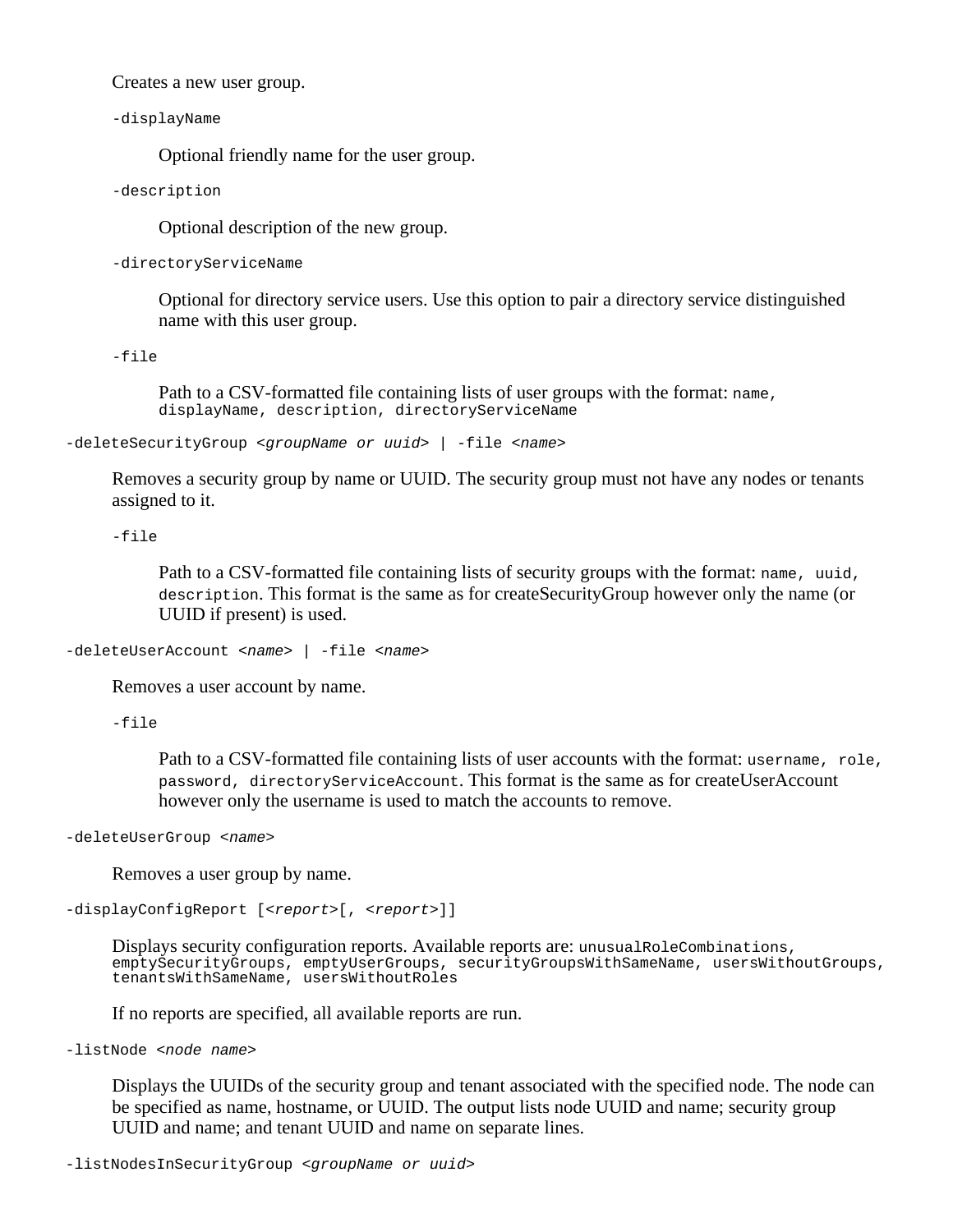Creates a new user group.

-displayName

Optional friendly name for the user group.

-description

Optional description of the new group.

-directoryServiceName

Optional for directory service users. Use this option to pair a directory service distinguished name with this user group.

-file

Path to a CSV-formatted file containing lists of user groups with the format: name, displayName, description, directoryServiceName

-deleteSecurityGroup <*groupName or uuid*> | -file <*name*>

Removes a security group by name or UUID. The security group must not have any nodes or tenants assigned to it.

-file

Path to a CSV-formatted file containing lists of security groups with the format: name, uuid, description. This format is the same as for createSecurityGroup however only the name (or UUID if present) is used.

-deleteUserAccount <*name*> | -file <*name*>

Removes a user account by name.

-file

Path to a CSV-formatted file containing lists of user accounts with the format: username, role, password, directoryServiceAccount. This format is the same as for createUserAccount however only the username is used to match the accounts to remove.

-deleteUserGroup <*name*>

Removes a user group by name.

-displayConfigReport [<*report*>[, <*report*>]]

Displays security configuration reports. Available reports are: unusualRoleCombinations, emptySecurityGroups, emptyUserGroups, securityGroupsWithSameName, usersWithoutGroups, tenantsWithSameName, usersWithoutRoles

If no reports are specified, all available reports are run.

-listNode <*node name*>

Displays the UUIDs of the security group and tenant associated with the specified node. The node can be specified as name, hostname, or UUID. The output lists node UUID and name; security group UUID and name; and tenant UUID and name on separate lines.

```
-listNodesInSecurityGroup <groupName or uuid>
```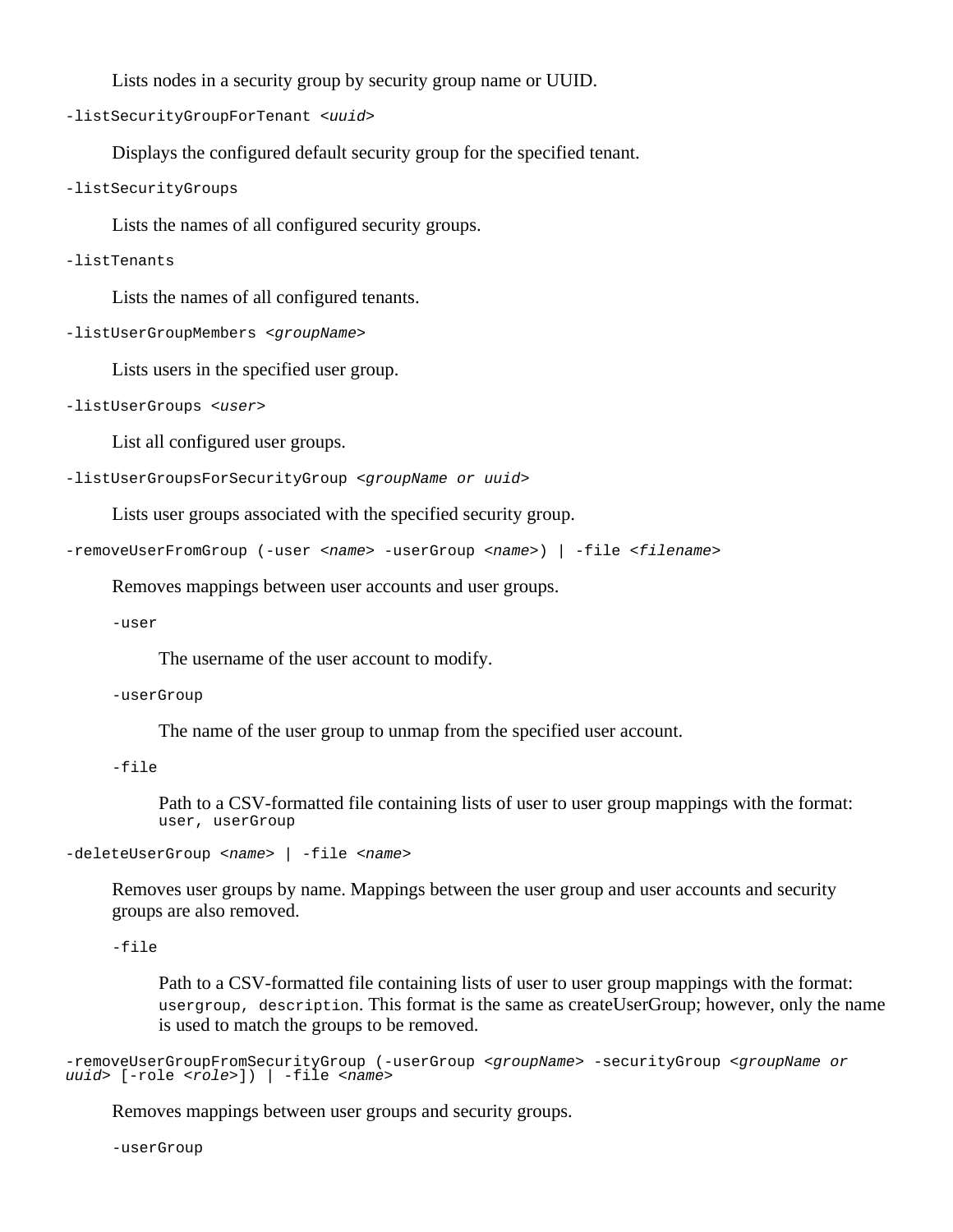Lists nodes in a security group by security group name or UUID.

-listSecurityGroupForTenant <*uuid*>

Displays the configured default security group for the specified tenant.

-listSecurityGroups

Lists the names of all configured security groups.

-listTenants

Lists the names of all configured tenants.

-listUserGroupMembers <*groupName*>

Lists users in the specified user group.

-listUserGroups <*user*>

List all configured user groups.

-listUserGroupsForSecurityGroup <*groupName or uuid*>

Lists user groups associated with the specified security group.

-removeUserFromGroup (-user <*name*> -userGroup <*name*>) | -file <*filename*>

Removes mappings between user accounts and user groups.

-user

The username of the user account to modify.

-userGroup

The name of the user group to unmap from the specified user account.

-file

Path to a CSV-formatted file containing lists of user to user group mappings with the format: user, userGroup

-deleteUserGroup <*name*> | -file <*name*>

Removes user groups by name. Mappings between the user group and user accounts and security groups are also removed.

#### -file

Path to a CSV-formatted file containing lists of user to user group mappings with the format: usergroup, description. This format is the same as createUserGroup; however, only the name is used to match the groups to be removed.

-removeUserGroupFromSecurityGroup (-userGroup <*groupName*> -securityGroup <*groupName or uuid*> [-role <*role*>]) | -file <*name*>

Removes mappings between user groups and security groups.

-userGroup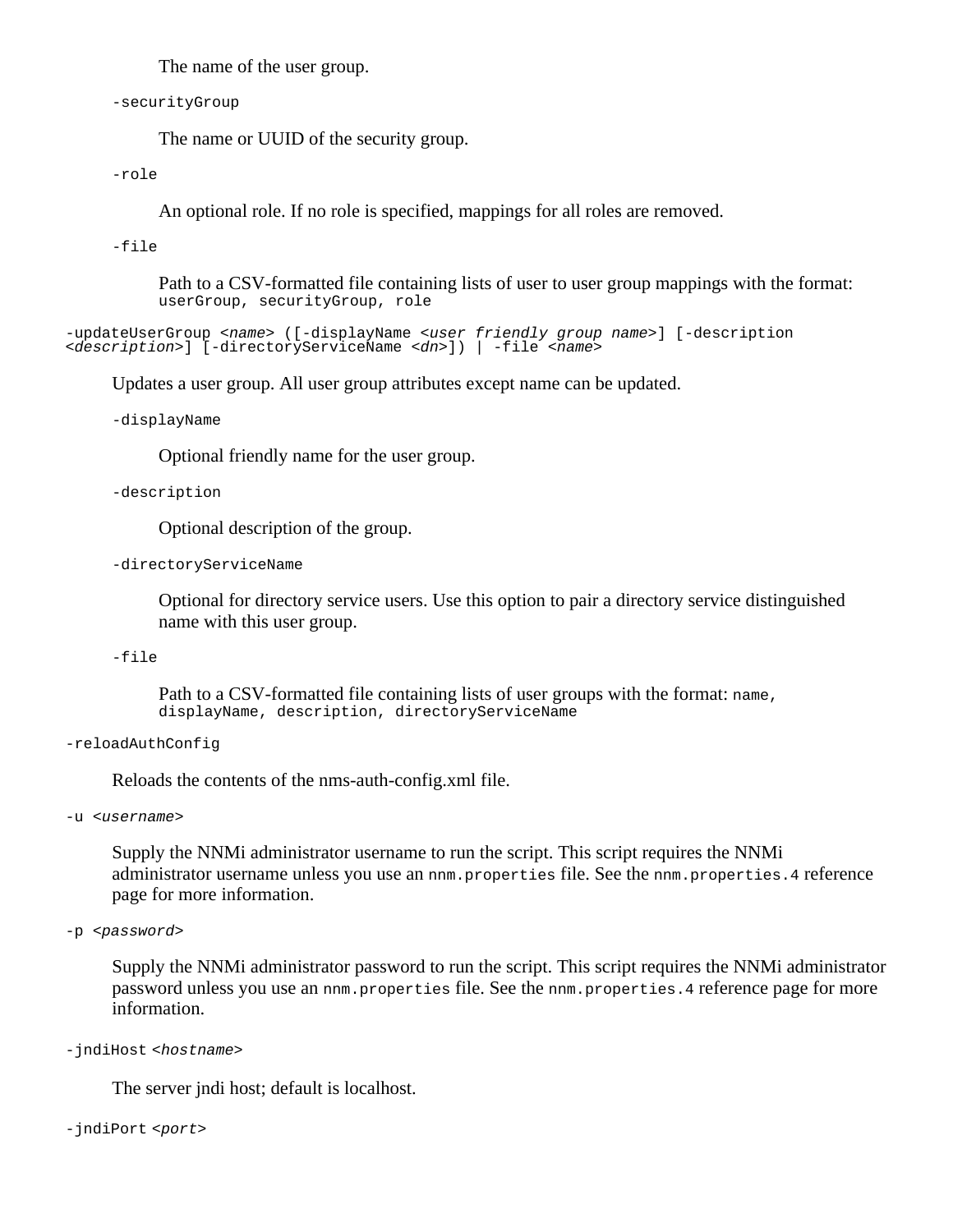The name of the user group.

-securityGroup

The name or UUID of the security group.

-role

An optional role. If no role is specified, mappings for all roles are removed.

-file

Path to a CSV-formatted file containing lists of user to user group mappings with the format: userGroup, securityGroup, role

-updateUserGroup <*name*> ([-displayName <*user friendly group name*>] [-description <sup>&</sup>lt;*description*>] [-directoryServiceName <*dn*>]) | -file <*name*<sup>&</sup>gt;

Updates a user group. All user group attributes except name can be updated.

-displayName

Optional friendly name for the user group.

-description

Optional description of the group.

-directoryServiceName

Optional for directory service users. Use this option to pair a directory service distinguished name with this user group.

-file

Path to a CSV-formatted file containing lists of user groups with the format: name, displayName, description, directoryServiceName

-reloadAuthConfig

Reloads the contents of the nms-auth-config.xml file.

-u <*username*>

Supply the NNMi administrator username to run the script. This script requires the NNMi administrator username unless you use an nnm.properties file. See the nnm.properties. 4 reference page for more information.

-p <*password*>

Supply the NNMi administrator password to run the script. This script requires the NNMi administrator password unless you use an nnm.properties file. See the nnm.properties. 4 reference page for more information.

-jndiHost *<hostname>*

The server jndi host; default is localhost.

-jndiPort *<port>*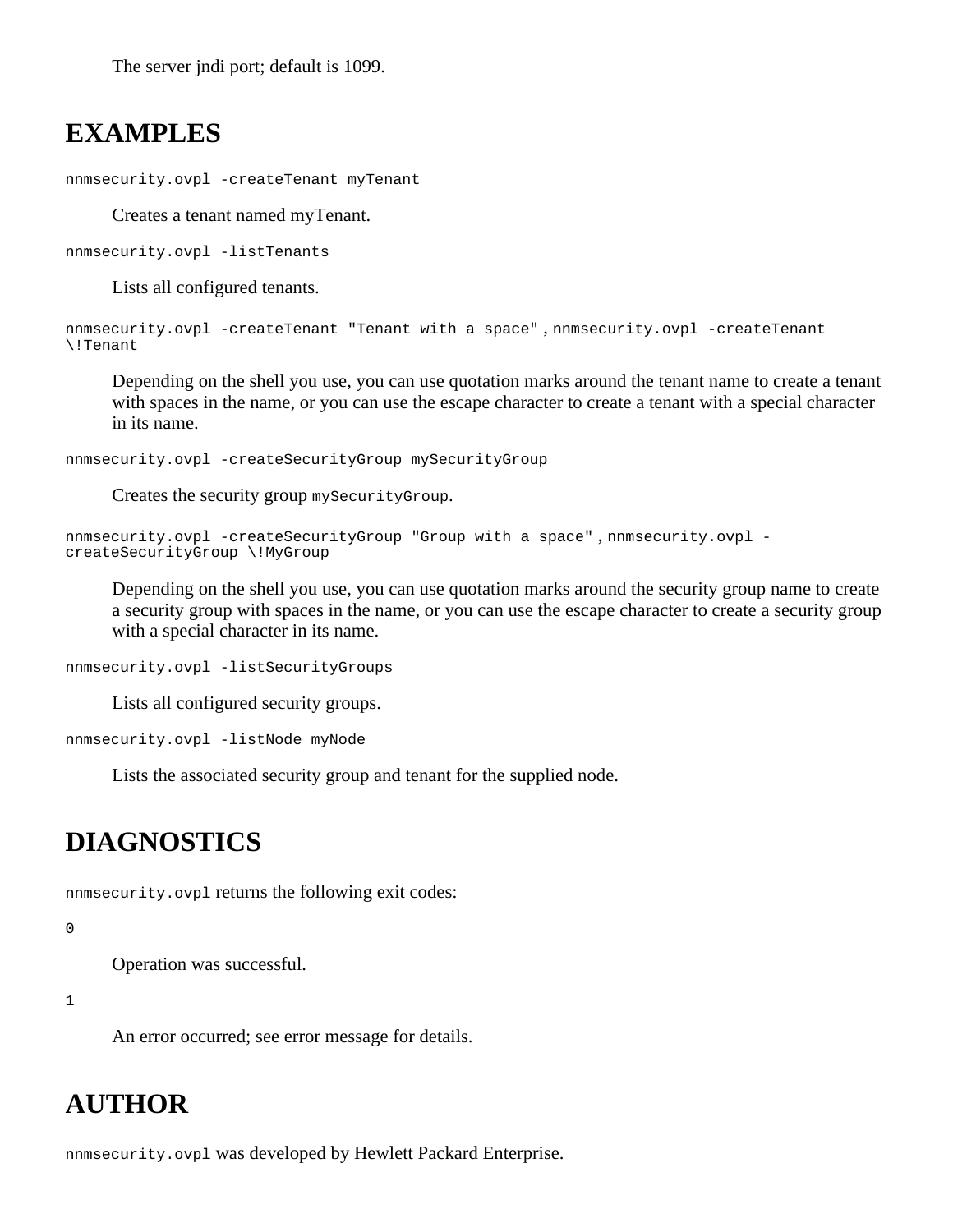The server jndi port; default is 1099.

### **EXAMPLES**

nnmsecurity.ovpl -createTenant myTenant

Creates a tenant named myTenant.

nnmsecurity.ovpl -listTenants

Lists all configured tenants.

```
nnmsecurity.ovpl -createTenant "Tenant with a space" , nnmsecurity.ovpl -createTenant
\!Tenant
```
Depending on the shell you use, you can use quotation marks around the tenant name to create a tenant with spaces in the name, or you can use the escape character to create a tenant with a special character in its name.

nnmsecurity.ovpl -createSecurityGroup mySecurityGroup

Creates the security group mySecurityGroup.

```
nnmsecurity.ovpl -createSecurityGroup "Group with a space" , nnmsecurity.ovpl -
createSecurityGroup \!MyGroup
```
Depending on the shell you use, you can use quotation marks around the security group name to create a security group with spaces in the name, or you can use the escape character to create a security group with a special character in its name.

```
nnmsecurity.ovpl -listSecurityGroups
```
Lists all configured security groups.

nnmsecurity.ovpl -listNode myNode

Lists the associated security group and tenant for the supplied node.

### **DIAGNOSTICS**

nnmsecurity.ovpl returns the following exit codes:

#### 0

Operation was successful.

#### 1

An error occurred; see error message for details.

### **AUTHOR**

nnmsecurity.ovpl was developed by Hewlett Packard Enterprise.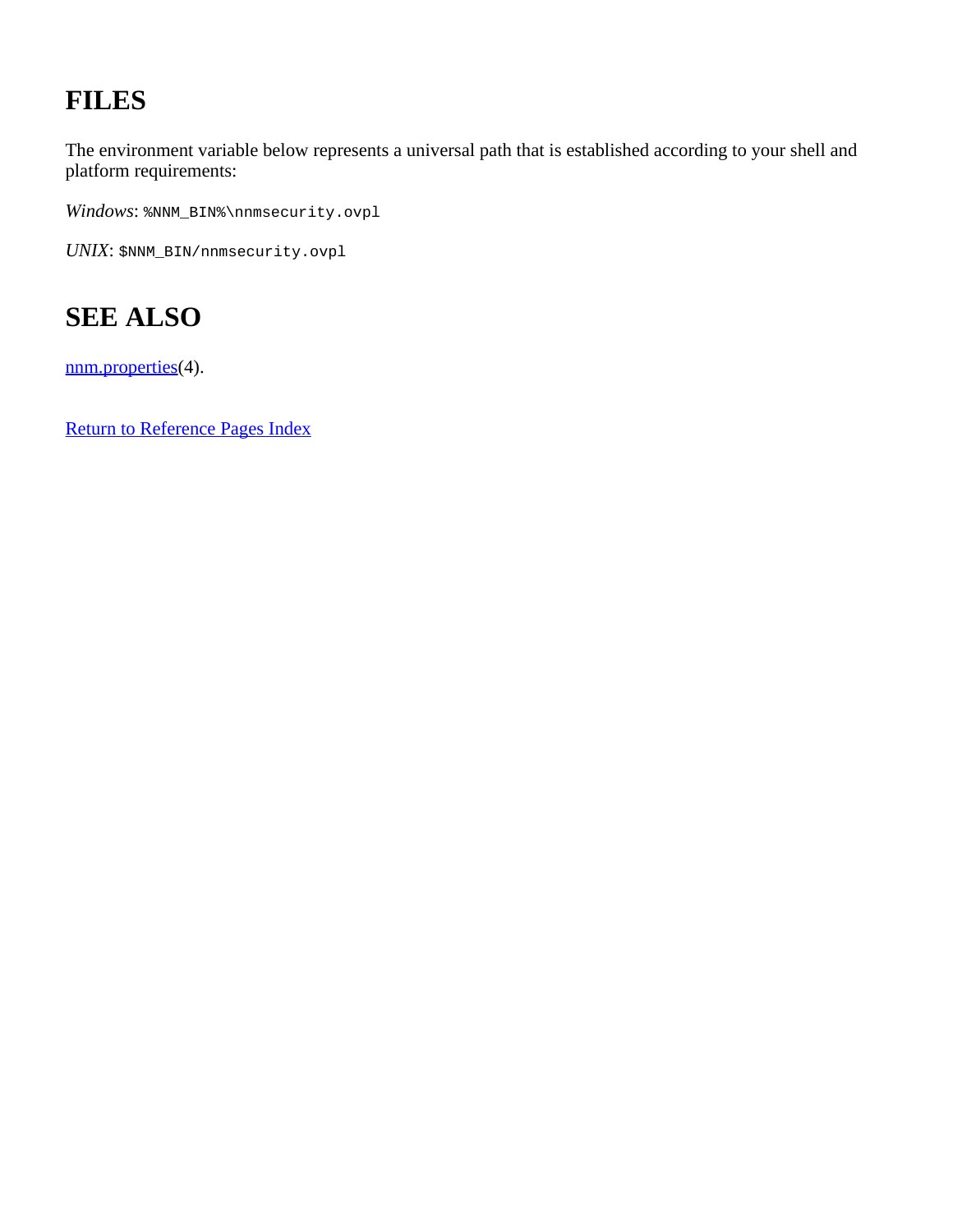# **FILES**

The environment variable below represents a universal path that is established according to your shell and platform requirements:

*Windows*: %NNM\_BIN%\nnmsecurity.ovpl

*UNIX*: \$NNM\_BIN/nnmsecurity.ovpl

# **SEE ALSO**

[nnm.properties](#page-212-0)(4).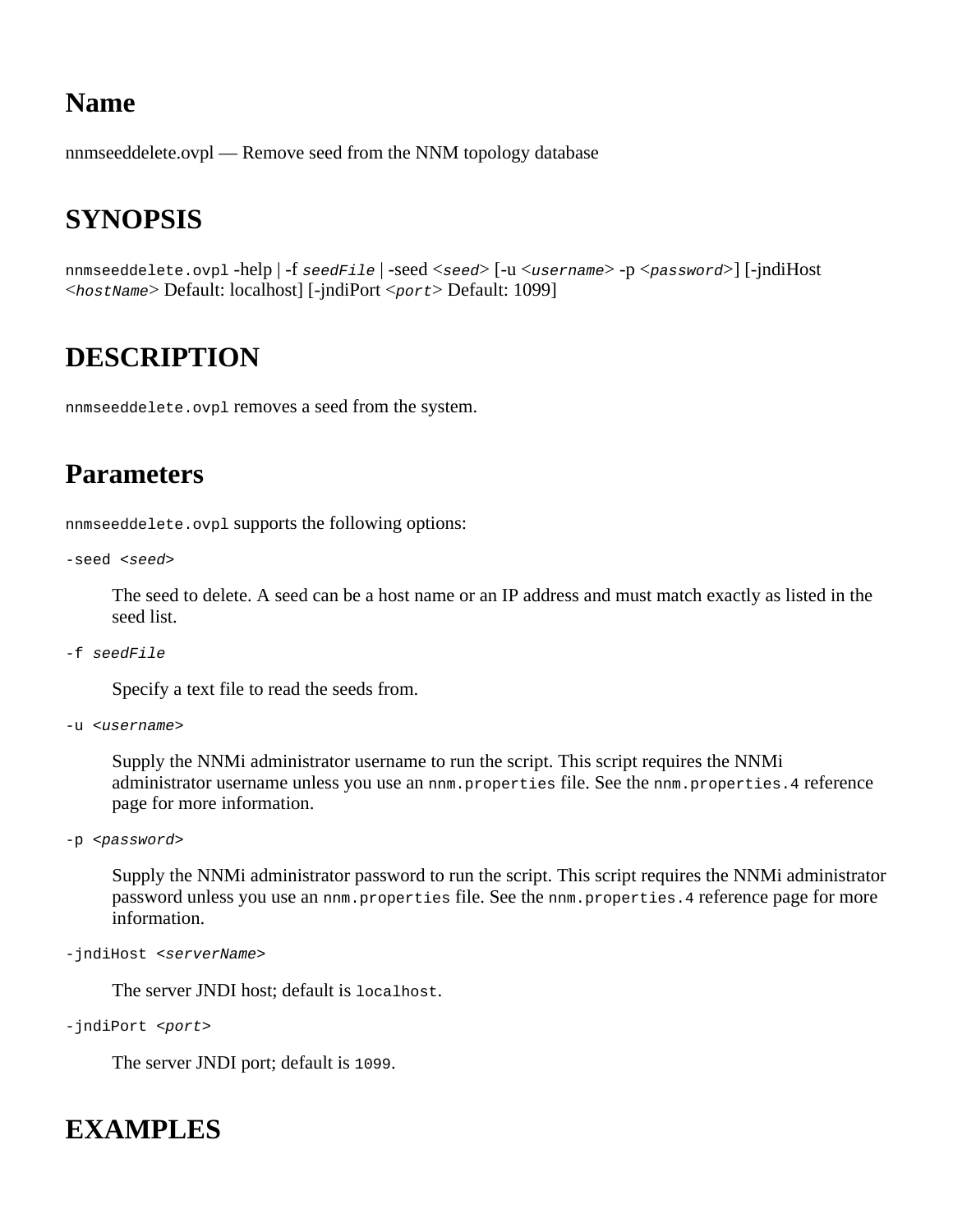nnmseeddelete.ovpl — Remove seed from the NNM topology database

# **SYNOPSIS**

nnmseeddelete.ovpl -help | -f *seedFile* | -seed <*seed*> [-u <*username*> -p <*password*>] [-jndiHost <*hostName*> Default: localhost] [-jndiPort <*port*> Default: 1099]

# **DESCRIPTION**

nnmseeddelete.ovpl removes a seed from the system.

#### **Parameters**

nnmseeddelete.ovpl supports the following options:

-seed <*seed*>

The seed to delete. A seed can be a host name or an IP address and must match exactly as listed in the seed list.

-f *seedFile*

Specify a text file to read the seeds from.

```
-u <username>
```
Supply the NNMi administrator username to run the script. This script requires the NNMi administrator username unless you use an nnm.properties file. See the nnm.properties. 4 reference page for more information.

```
-p <password>
```
Supply the NNMi administrator password to run the script. This script requires the NNMi administrator password unless you use an nnm.properties file. See the nnm.properties. 4 reference page for more information.

-jndiHost <*serverName*>

The server JNDI host; default is localhost.

-jndiPort <*port*>

The server JNDI port; default is 1099.

### **EXAMPLES**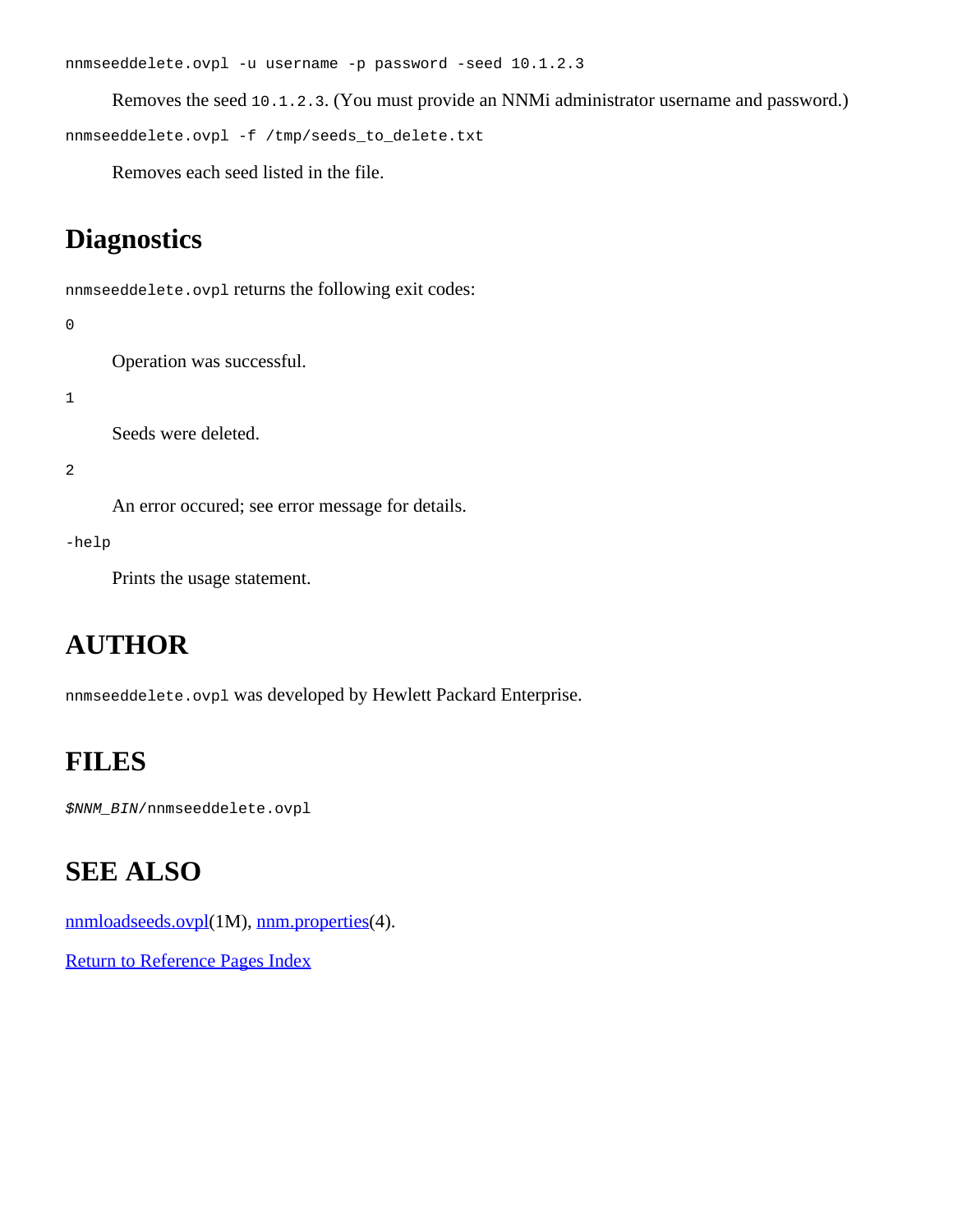nnmseeddelete.ovpl -u username -p password -seed 10.1.2.3

Removes the seed 10.1.2.3. (You must provide an NNMi administrator username and password.)

```
nnmseeddelete.ovpl -f /tmp/seeds_to_delete.txt
```
Removes each seed listed in the file.

#### **Diagnostics**

nnmseeddelete.ovpl returns the following exit codes:

```
0
```
Operation was successful.

1

Seeds were deleted.

#### 2

An error occured; see error message for details.

-help

Prints the usage statement.

### **AUTHOR**

nnmseeddelete.ovpl was developed by Hewlett Packard Enterprise.

### **FILES**

*\$NNM\_BIN*/nnmseeddelete.ovpl

# **SEE ALSO**

[nnmloadseeds.ovpl](#page-161-0)(1M), [nnm.properties](#page-212-0)(4).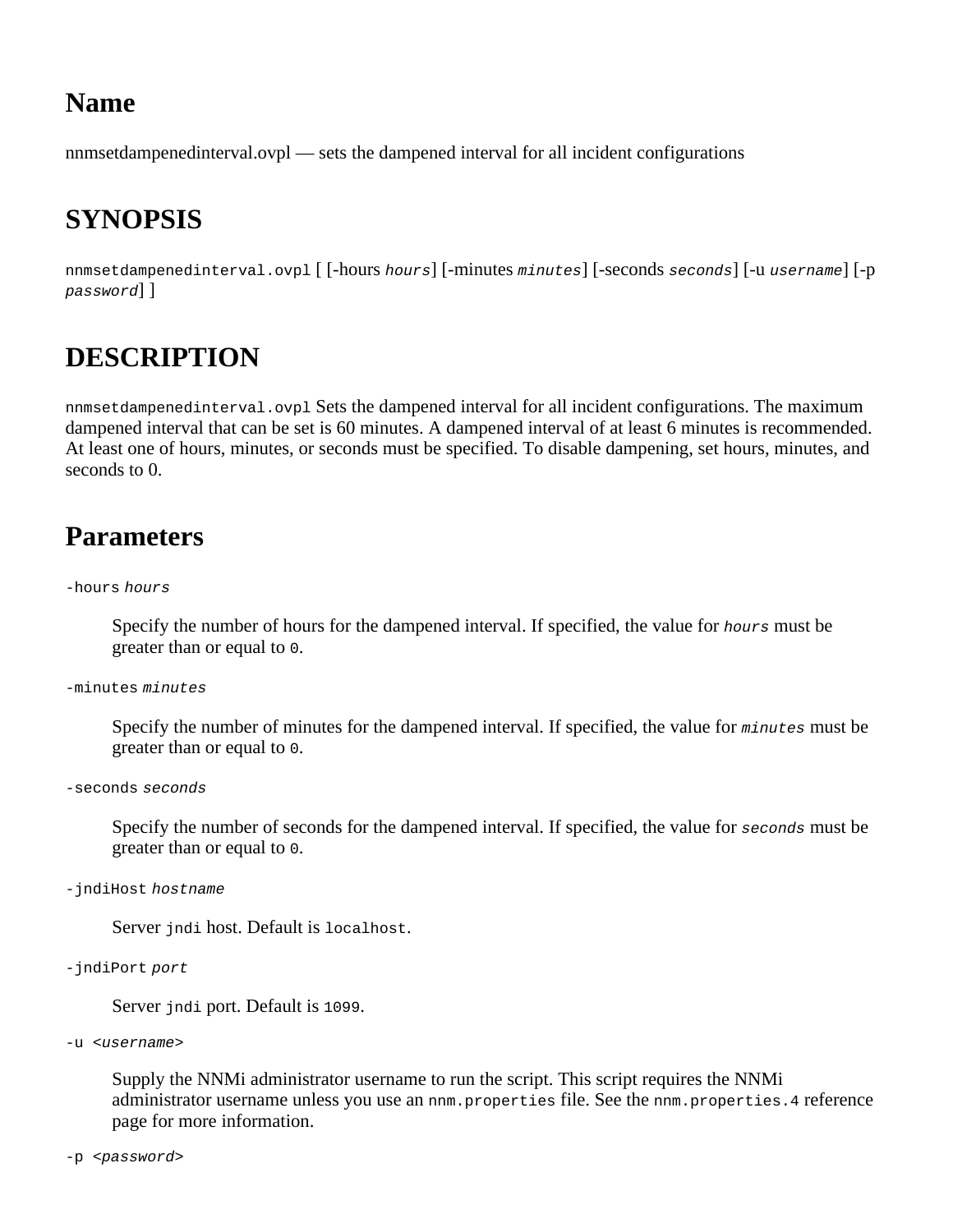nnmsetdampenedinterval.ovpl — sets the dampened interval for all incident configurations

# **SYNOPSIS**

nnmsetdampenedinterval.ovpl [ [-hours *hours*] [-minutes *minutes*] [-seconds *seconds*] [-u *username*] [-p *password*] ]

# **DESCRIPTION**

nnmsetdampenedinterval.ovpl Sets the dampened interval for all incident configurations. The maximum dampened interval that can be set is 60 minutes. A dampened interval of at least 6 minutes is recommended. At least one of hours, minutes, or seconds must be specified. To disable dampening, set hours, minutes, and seconds to 0.

# **Parameters**

#### -hours *hours*

Specify the number of hours for the dampened interval. If specified, the value for *hours* must be greater than or equal to 0.

-minutes *minutes*

Specify the number of minutes for the dampened interval. If specified, the value for *minutes* must be greater than or equal to 0.

-seconds *seconds*

Specify the number of seconds for the dampened interval. If specified, the value for *seconds* must be greater than or equal to 0.

-jndiHost *hostname*

Server indi host. Default is localhost.

-jndiPort *port*

Server jndi port. Default is 1099.

```
-u <username>
```
Supply the NNMi administrator username to run the script. This script requires the NNMi administrator username unless you use an nnm.properties file. See the nnm.properties. 4 reference page for more information.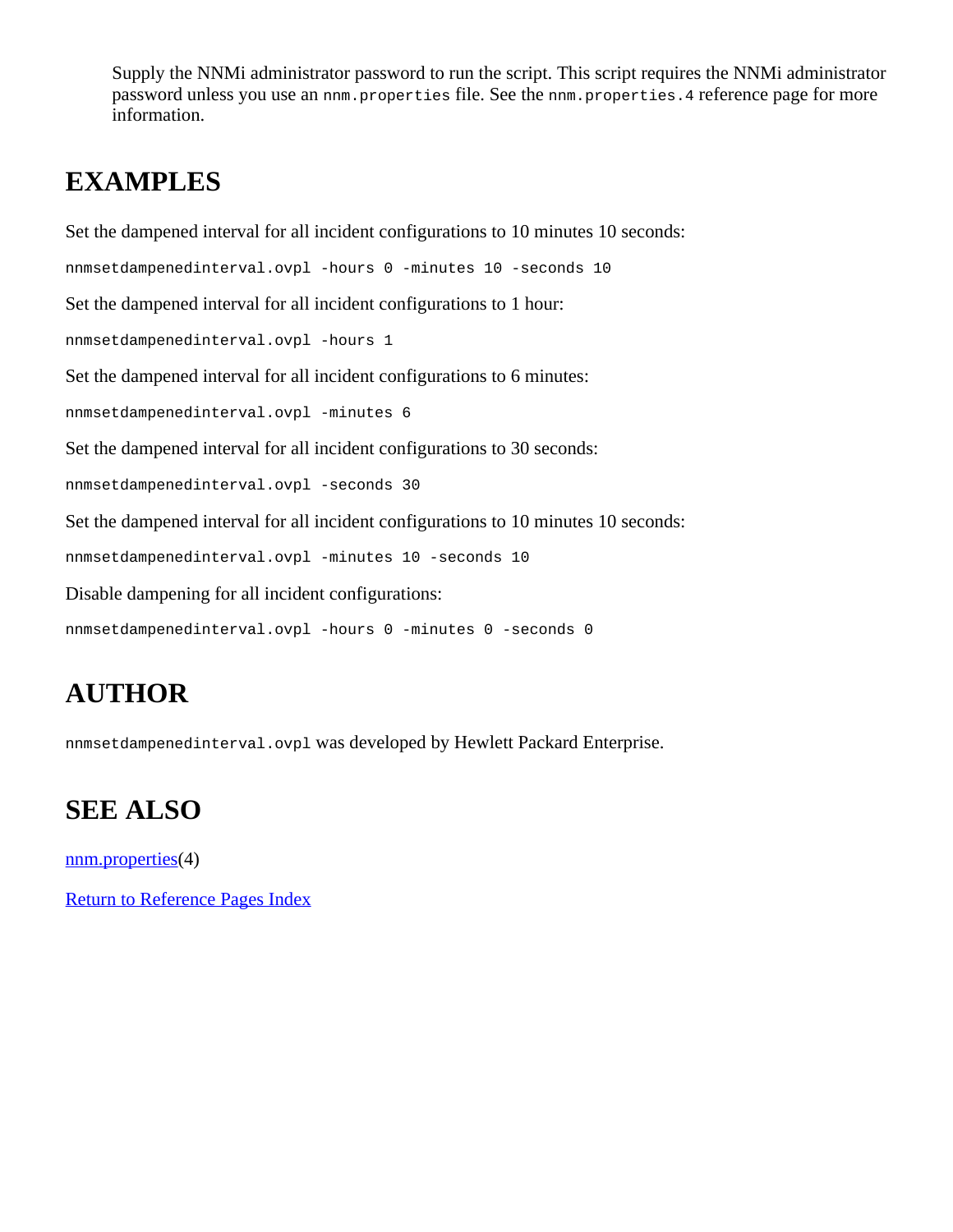Supply the NNMi administrator password to run the script. This script requires the NNMi administrator password unless you use an nnm.properties file. See the nnm.properties. 4 reference page for more information.

### **EXAMPLES**

Set the dampened interval for all incident configurations to 10 minutes 10 seconds: nnmsetdampenedinterval.ovpl -hours 0 -minutes 10 -seconds 10 Set the dampened interval for all incident configurations to 1 hour: nnmsetdampenedinterval.ovpl -hours 1 Set the dampened interval for all incident configurations to 6 minutes: nnmsetdampenedinterval.ovpl -minutes 6 Set the dampened interval for all incident configurations to 30 seconds: nnmsetdampenedinterval.ovpl -seconds 30 Set the dampened interval for all incident configurations to 10 minutes 10 seconds: nnmsetdampenedinterval.ovpl -minutes 10 -seconds 10 Disable dampening for all incident configurations: nnmsetdampenedinterval.ovpl -hours 0 -minutes 0 -seconds 0

# **AUTHOR**

nnmsetdampenedinterval.ovpl was developed by Hewlett Packard Enterprise.

# **SEE ALSO**

[nnm.properties](#page-212-0)(4)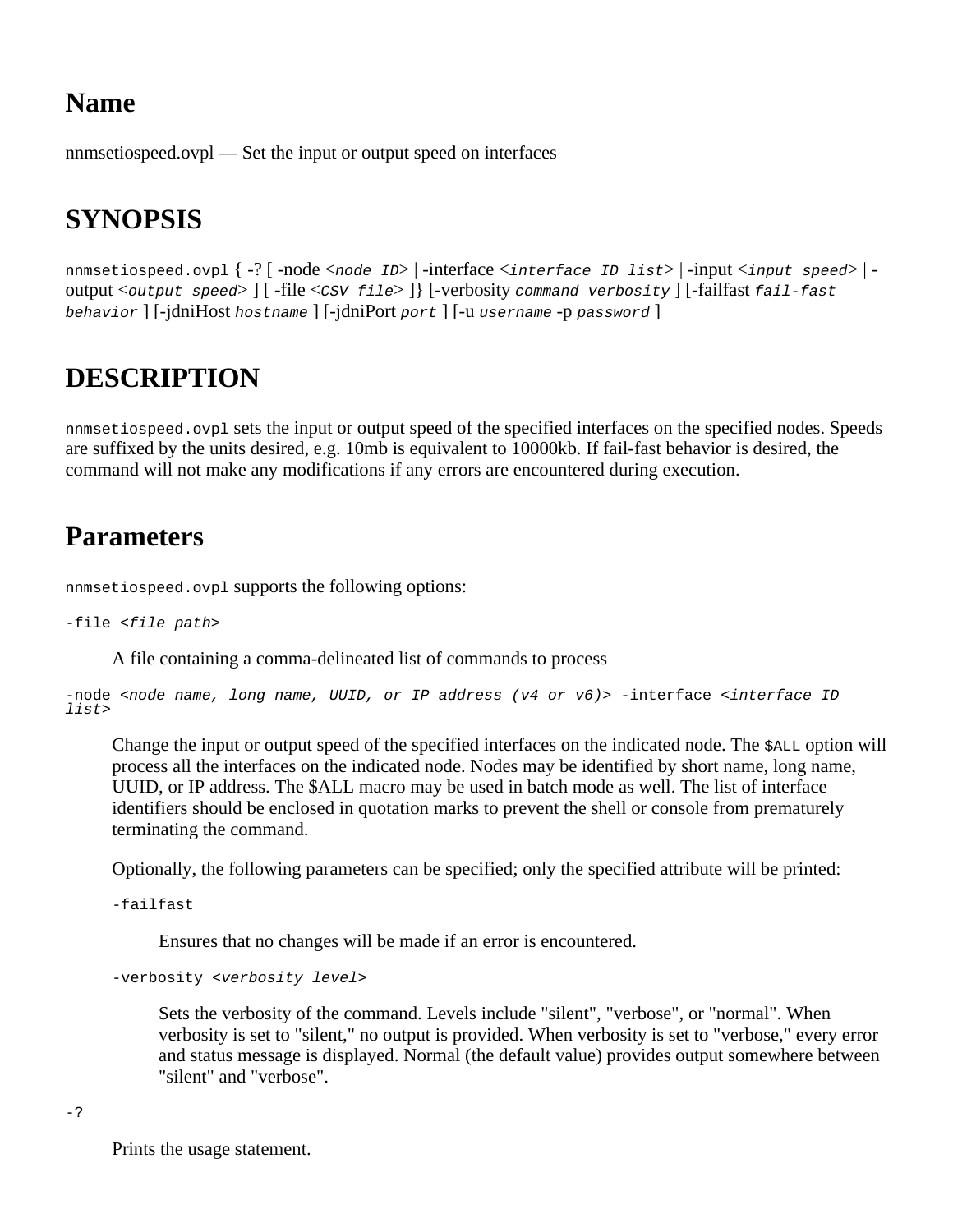nnmsetiospeed.ovpl — Set the input or output speed on interfaces

# **SYNOPSIS**

nnmsetiospeed.ovpl { -? [ -node <*node ID*> | -interface <*interface ID list*> | -input <*input speed*> | output <*output speed*> ] [ -file <*CSV file*> ]} [-verbosity *command verbosity* ] [-failfast *fail-fast behavior* ] [-jdniHost *hostname* ] [-jdniPort *port* ] [-u *username* -p *password* ]

# **DESCRIPTION**

nnmsetiospeed.ovpl sets the input or output speed of the specified interfaces on the specified nodes. Speeds are suffixed by the units desired, e.g. 10mb is equivalent to 10000kb. If fail-fast behavior is desired, the command will not make any modifications if any errors are encountered during execution.

## **Parameters**

nnmsetiospeed.ovpl supports the following options:

-file <*file path*>

A file containing a comma-delineated list of commands to process

```
-node <node name, long name, UUID, or IP address (v4 or v6)> -interface <interface ID
list>
```
Change the input or output speed of the specified interfaces on the indicated node. The \$ALL option will process all the interfaces on the indicated node. Nodes may be identified by short name, long name, UUID, or IP address. The \$ALL macro may be used in batch mode as well. The list of interface identifiers should be enclosed in quotation marks to prevent the shell or console from prematurely terminating the command.

Optionally, the following parameters can be specified; only the specified attribute will be printed:

-failfast

Ensures that no changes will be made if an error is encountered.

```
-verbosity <verbosity level>
```
Sets the verbosity of the command. Levels include "silent", "verbose", or "normal". When verbosity is set to "silent," no output is provided. When verbosity is set to "verbose," every error and status message is displayed. Normal (the default value) provides output somewhere between "silent" and "verbose".

-?

Prints the usage statement.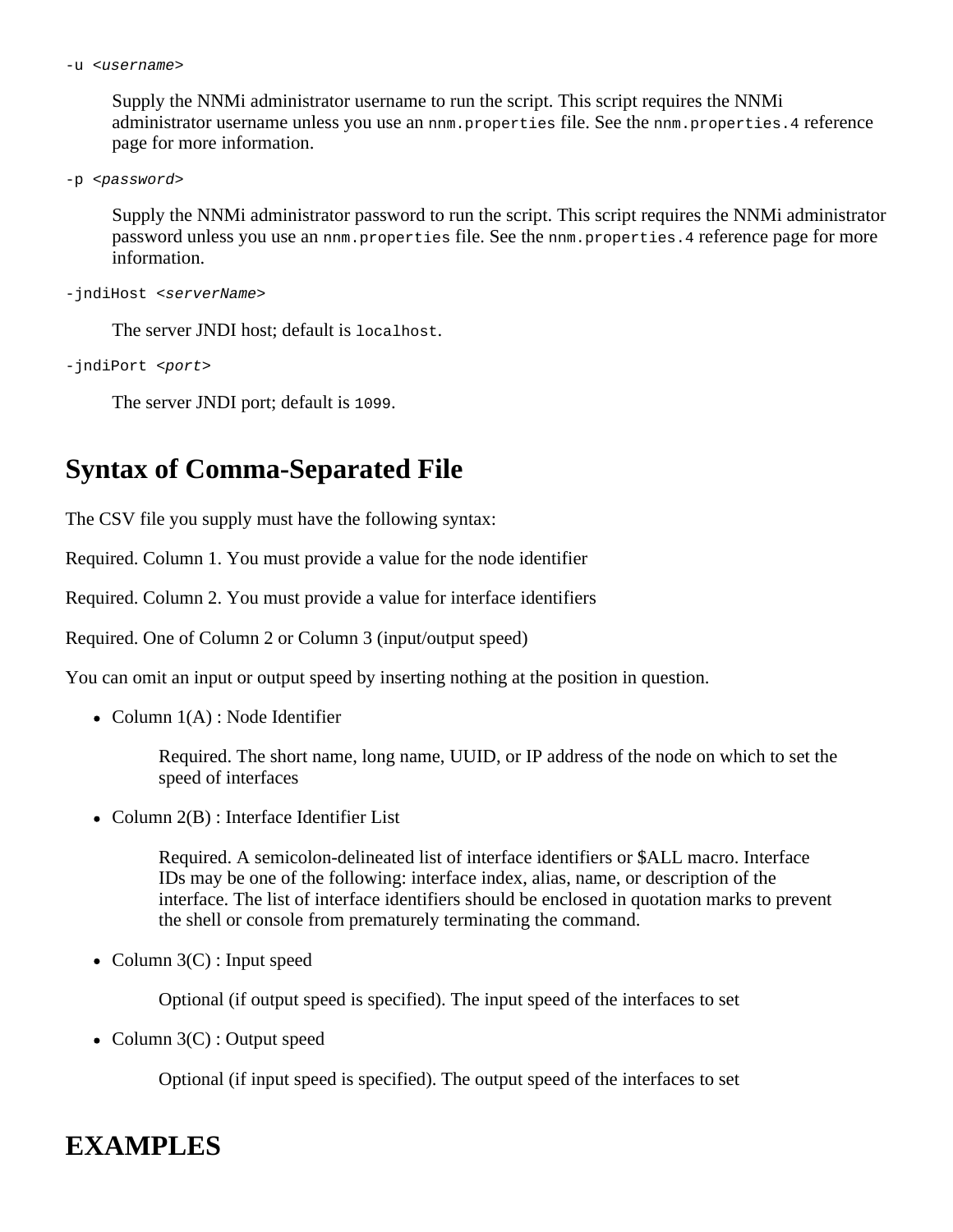Supply the NNMi administrator username to run the script. This script requires the NNMi administrator username unless you use an nnm.properties file. See the nnm.properties.4 reference page for more information.

```
-p <password>
```
Supply the NNMi administrator password to run the script. This script requires the NNMi administrator password unless you use an nnm.properties file. See the nnm.properties. 4 reference page for more information.

```
-jndiHost <serverName>
```
The server JNDI host; default is localhost.

```
-jndiPort <port>
```
The server JNDI port; default is 1099.

### **Syntax of Comma-Separated File**

The CSV file you supply must have the following syntax:

Required. Column 1. You must provide a value for the node identifier

Required. Column 2. You must provide a value for interface identifiers

Required. One of Column 2 or Column 3 (input/output speed)

You can omit an input or output speed by inserting nothing at the position in question.

• Column  $1(A)$ : Node Identifier

Required. The short name, long name, UUID, or IP address of the node on which to set the speed of interfaces

• Column 2(B) : Interface Identifier List

Required. A semicolon-delineated list of interface identifiers or \$ALL macro. Interface IDs may be one of the following: interface index, alias, name, or description of the interface. The list of interface identifiers should be enclosed in quotation marks to prevent the shell or console from prematurely terminating the command.

• Column  $3(C)$ : Input speed

Optional (if output speed is specified). The input speed of the interfaces to set

• Column  $3(C)$ : Output speed

Optional (if input speed is specified). The output speed of the interfaces to set

### **EXAMPLES**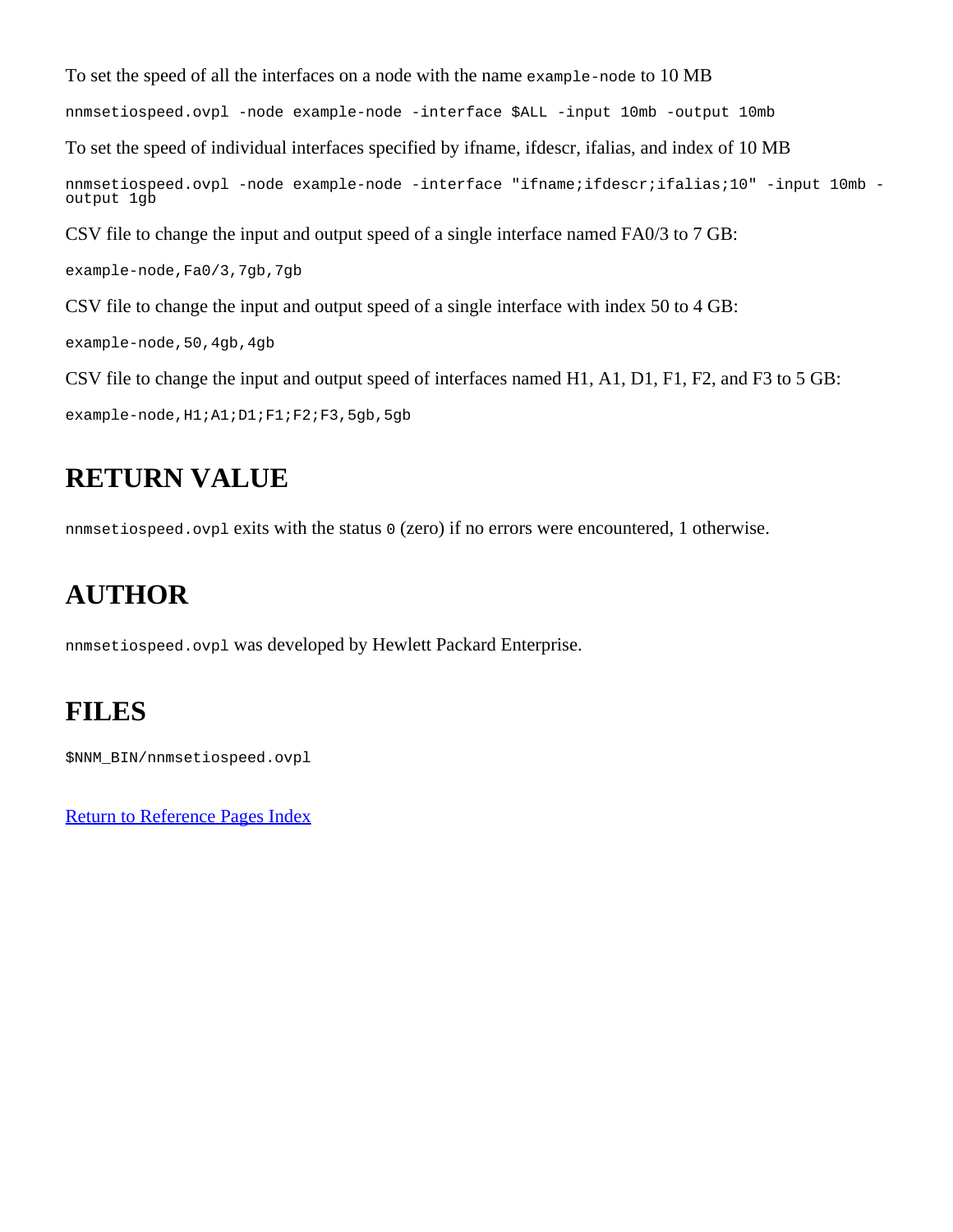To set the speed of all the interfaces on a node with the name example-node to 10 MB nnmsetiospeed.ovpl -node example-node -interface \$ALL -input 10mb -output 10mb To set the speed of individual interfaces specified by ifname, ifdescr, ifalias, and index of 10 MB nnmsetiospeed.ovpl -node example-node -interface "ifname;ifdescr;ifalias;10" -input 10mb output 1gb CSV file to change the input and output speed of a single interface named FA0/3 to 7 GB: example-node,Fa0/3,7gb,7gb CSV file to change the input and output speed of a single interface with index 50 to 4 GB: example-node,50,4gb,4gb CSV file to change the input and output speed of interfaces named H1, A1, D1, F1, F2, and F3 to 5 GB:

example-node, H1;A1;D1;F1;F2;F3,5gb,5gb

# **RETURN VALUE**

nnmsetiospeed.ovpl exits with the status 0 (zero) if no errors were encountered, 1 otherwise.

# **AUTHOR**

nnmsetiospeed.ovpl was developed by Hewlett Packard Enterprise.

# **FILES**

\$NNM\_BIN/nnmsetiospeed.ovpl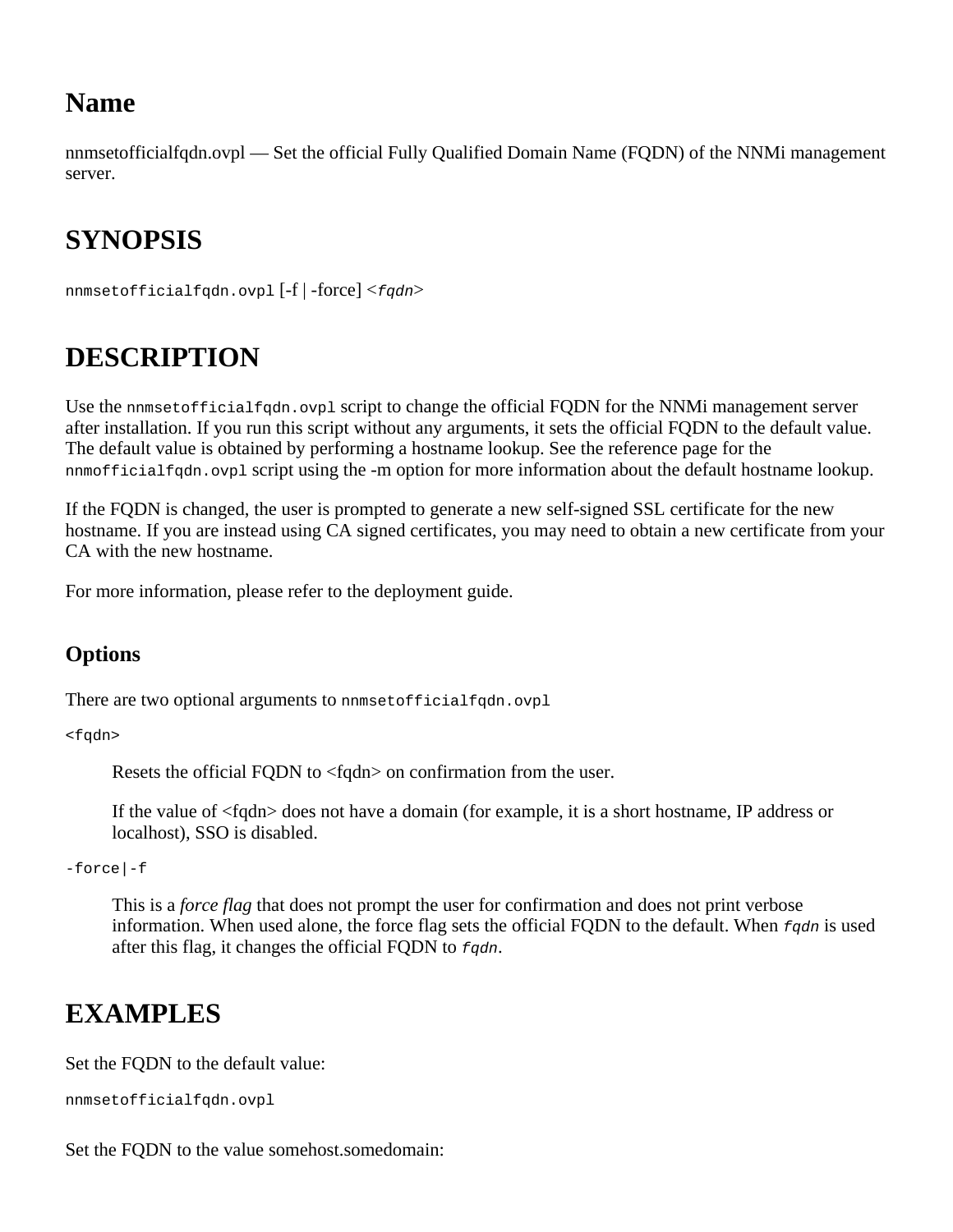<span id="page-267-0"></span>nnmsetofficialfqdn.ovpl — Set the official Fully Qualified Domain Name (FQDN) of the NNMi management server.

# **SYNOPSIS**

nnmsetofficialfqdn.ovpl [-f | -force] <*fqdn*>

# **DESCRIPTION**

Use the nnmsetofficialfqdn.ovpl script to change the official FQDN for the NNMi management server after installation. If you run this script without any arguments, it sets the official FQDN to the default value. The default value is obtained by performing a hostname lookup. See the reference page for the nnmofficialfqdn.ovpl script using the -m option for more information about the default hostname lookup.

If the FQDN is changed, the user is prompted to generate a new self-signed SSL certificate for the new hostname. If you are instead using CA signed certificates, you may need to obtain a new certificate from your CA with the new hostname.

For more information, please refer to the deployment guide.

#### **Options**

There are two optional arguments to nnmsetofficialfqdn.ovpl

<fqdn>

Resets the official FQDN to <fqdn> on confirmation from the user.

If the value of <fqdn> does not have a domain (for example, it is a short hostname, IP address or localhost), SSO is disabled.

```
-force|-f
```
This is a *force flag* that does not prompt the user for confirmation and does not print verbose information. When used alone, the force flag sets the official FQDN to the default. When *fqdn* is used after this flag, it changes the official FQDN to *fqdn*.

### **EXAMPLES**

Set the FQDN to the default value:

```
nnmsetofficialfqdn.ovpl
```
Set the FQDN to the value somehost.somedomain: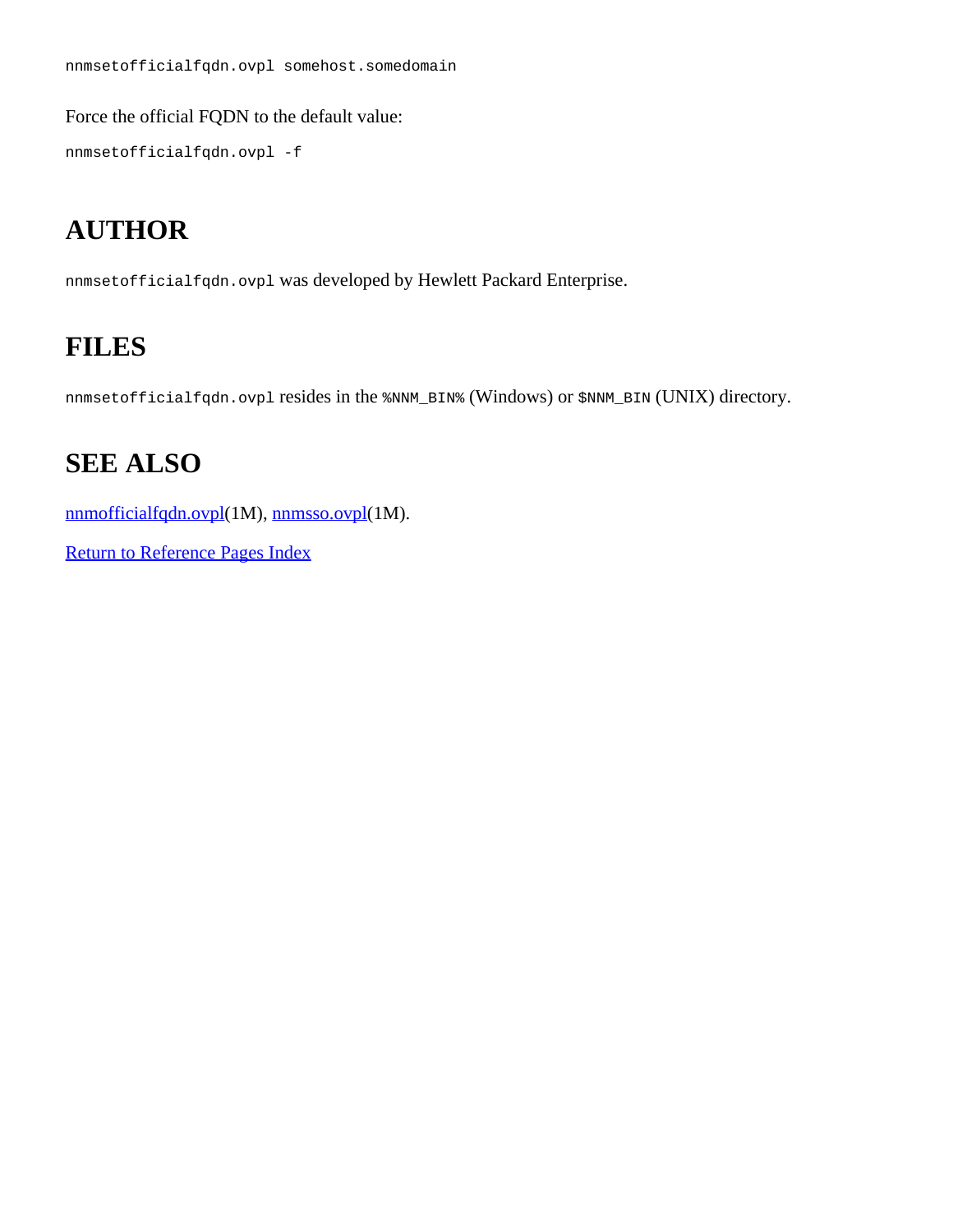nnmsetofficialfqdn.ovpl somehost.somedomain

Force the official FQDN to the default value:

nnmsetofficialfqdn.ovpl -f

# **AUTHOR**

nnmsetofficialfqdn.ovpl was developed by Hewlett Packard Enterprise.

# **FILES**

nnmsetofficialfqdn.ovpl resides in the %NNM\_BIN% (Windows) or \$NNM\_BIN (UNIX) directory.

## **SEE ALSO**

[nnmofficialfqdn.ovpl](#page-191-0)(1M), [nnmsso.ovpl\(](#page-283-0)1M).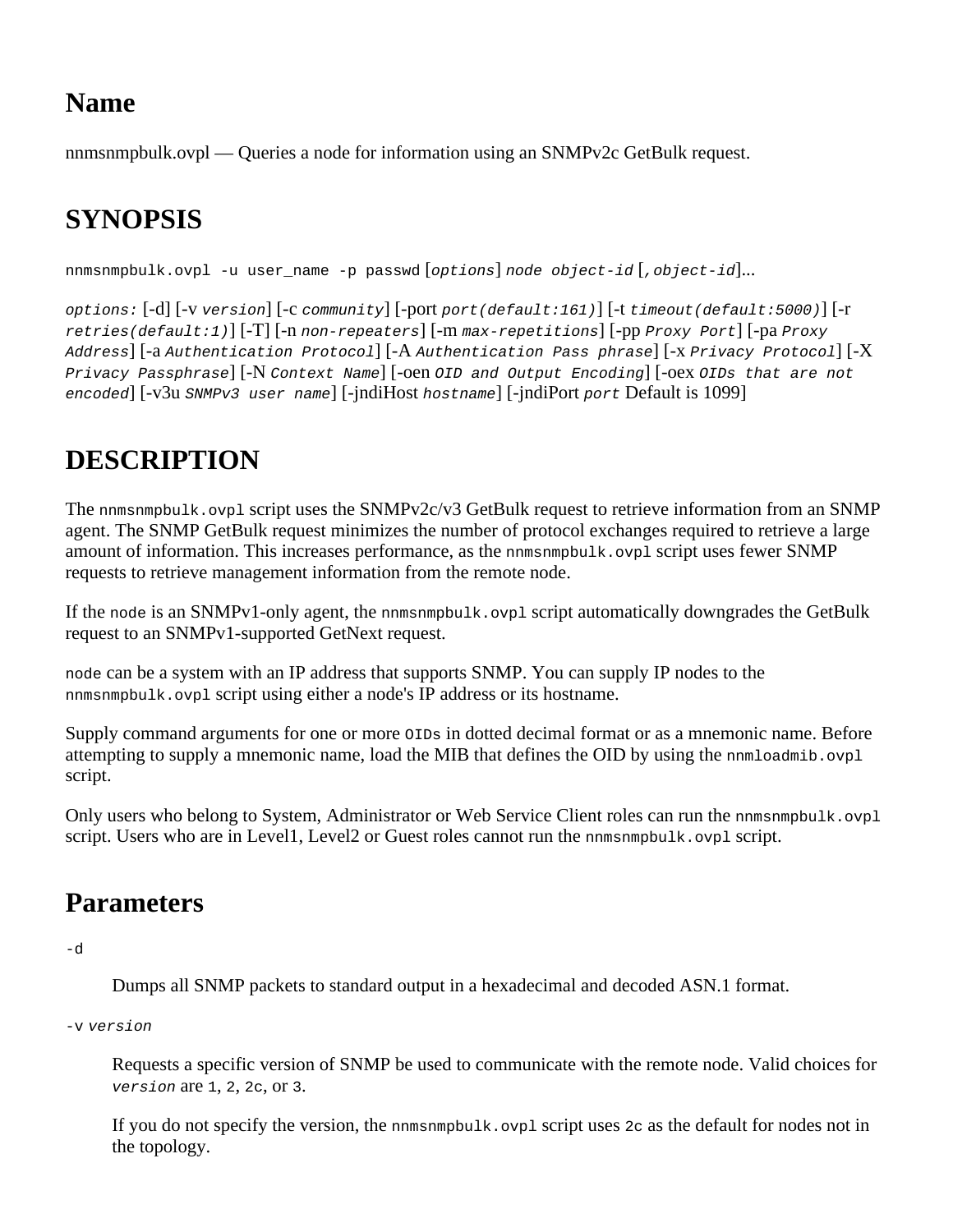<span id="page-269-0"></span>nnmsnmpbulk.ovpl — Queries a node for information using an SNMPv2c GetBulk request.

# **SYNOPSIS**

nnmsnmpbulk.ovpl -u user\_name -p passwd [*options*] *node object-id* [*,object-id*]...

*options:* [-d] [-v *version*] [-c *community*] [-port *port(default:161)*] [-t *timeout(default:5000)*] [-r *retries(default:1)*] [-T] [-n *non-repeaters*] [-m *max-repetitions*] [-pp *Proxy Port*] [-pa *Proxy Address*] [-a *Authentication Protocol*] [-A *Authentication Pass phrase*] [-x *Privacy Protocol*] [-X *Privacy Passphrase*] [-N *Context Name*] [-oen *OID and Output Encoding*] [-oex *OIDs that are not encoded*] [-v3u *SNMPv3 user name*] [-jndiHost *hostname*] [-jndiPort *port* Default is 1099]

# **DESCRIPTION**

The nnmsnmpbulk.ovpl script uses the SNMPv2c/v3 GetBulk request to retrieve information from an SNMP agent. The SNMP GetBulk request minimizes the number of protocol exchanges required to retrieve a large amount of information. This increases performance, as the non-negationrequests to retrieve management information from the remote node.

If the node is an SNMPv1-only agent, the nomenmologies.ovpl script automatically downgrades the GetBulk request to an SNMPv1-supported GetNext request.

node can be a system with an IP address that supports SNMP. You can supply IP nodes to the nnmsnmpbulk.ovpl script using either a node's IP address or its hostname.

Supply command arguments for one or more  $\circ$ IDs in dotted decimal format or as a mnemonic name. Before attempting to supply a mnemonic name, load the MIB that defines the OID by using the nnmloadmib.ovpl script.

Only users who belong to System, Administrator or Web Service Client roles can run the nnmsnmpbulk.ovpl script. Users who are in Level1, Level2 or Guest roles cannot run the nnmsnmpbulk.ovpl script.

### **Parameters**

-d

Dumps all SNMP packets to standard output in a hexadecimal and decoded ASN.1 format.

-v *version*

Requests a specific version of SNMP be used to communicate with the remote node. Valid choices for *version* are 1, 2, 2c, or 3.

If you do not specify the version, the nnmsnmpbulk.ovpl script uses  $2c$  as the default for nodes not in the topology.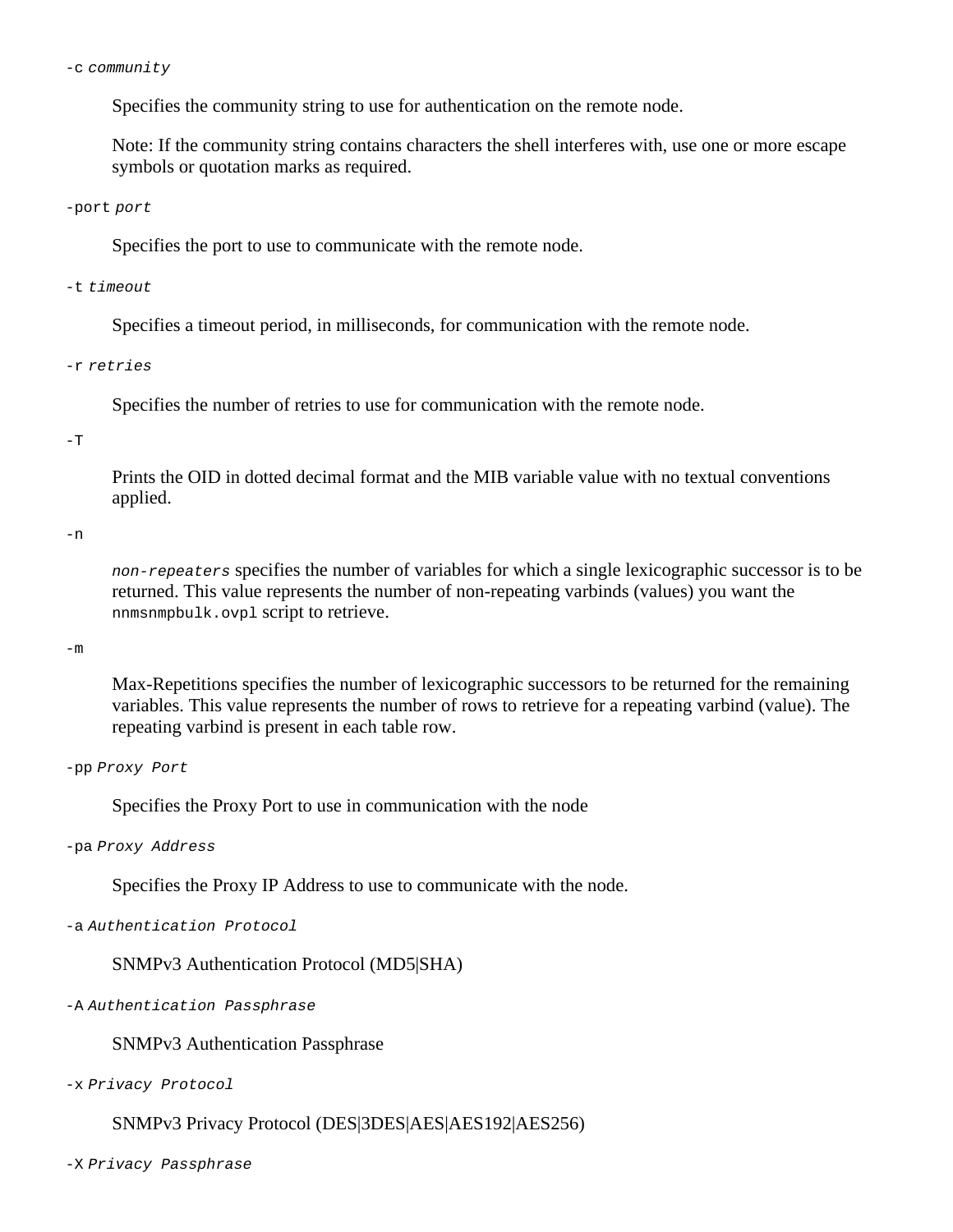-c *community*

Specifies the community string to use for authentication on the remote node.

Note: If the community string contains characters the shell interferes with, use one or more escape symbols or quotation marks as required.

-port *port*

Specifies the port to use to communicate with the remote node.

-t *timeout*

Specifies a timeout period, in milliseconds, for communication with the remote node.

-r *retries*

Specifies the number of retries to use for communication with the remote node.

 $-T$ 

Prints the OID in dotted decimal format and the MIB variable value with no textual conventions applied.

-n

*non-repeaters* specifies the number of variables for which a single lexicographic successor is to be returned. This value represents the number of non-repeating varbinds (values) you want the nnmsnmpbulk.ovpl script to retrieve.

-m

Max-Repetitions specifies the number of lexicographic successors to be returned for the remaining variables. This value represents the number of rows to retrieve for a repeating varbind (value). The repeating varbind is present in each table row.

-pp *Proxy Port*

Specifies the Proxy Port to use in communication with the node

-pa *Proxy Address*

Specifies the Proxy IP Address to use to communicate with the node.

-a *Authentication Protocol*

SNMPv3 Authentication Protocol (MD5|SHA)

-A *Authentication Passphrase*

SNMPv3 Authentication Passphrase

-x *Privacy Protocol*

#### SNMPv3 Privacy Protocol (DES|3DES|AES|AES192|AES256)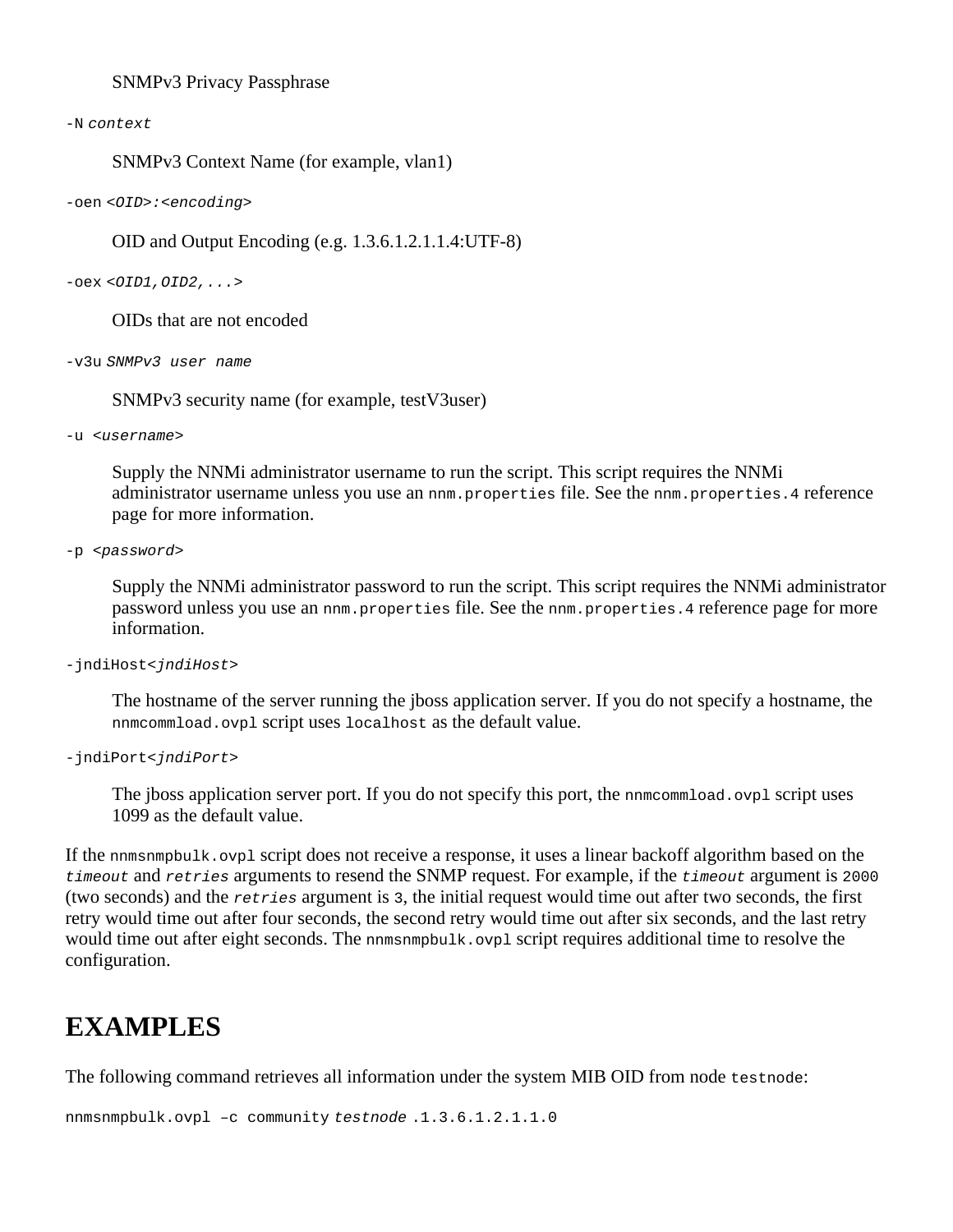#### SNMPv3 Privacy Passphrase

-N *context*

#### SNMPv3 Context Name (for example, vlan1)

-oen *<OID>:<encoding>*

OID and Output Encoding (e.g. 1.3.6.1.2.1.1.4:UTF-8)

-oex *<OID1,OID2,...>*

OIDs that are not encoded

-v3u *SNMPv3 user name*

SNMPv3 security name (for example, testV3user)

-u <*username*>

Supply the NNMi administrator username to run the script. This script requires the NNMi administrator username unless you use an nnm.properties file. See the nnm.properties.4 reference page for more information.

-p <*password*>

Supply the NNMi administrator password to run the script. This script requires the NNMi administrator password unless you use an nnm.properties file. See the nnm.properties. 4 reference page for more information.

-jndiHost<*jndiHost*>

The hostname of the server running the jboss application server. If you do not specify a hostname, the nnmcommload.ovpl script uses localhost as the default value.

-jndiPort<*jndiPort*>

The jboss application server port. If you do not specify this port, the nnmcommload.ovpl script uses 1099 as the default value.

If the nnmsnmpbulk.ovpl script does not receive a response, it uses a linear backoff algorithm based on the *timeout* and *retries* arguments to resend the SNMP request. For example, if the *timeout* argument is 2000 (two seconds) and the *retries* argument is 3, the initial request would time out after two seconds, the first retry would time out after four seconds, the second retry would time out after six seconds, and the last retry would time out after eight seconds. The nnmsnmpbulk.ovpl script requires additional time to resolve the configuration.

### **EXAMPLES**

The following command retrieves all information under the system MIB OID from node testnode:

```
nnmsnmpbulk.ovpl –c community testnode .1.3.6.1.2.1.1.0
```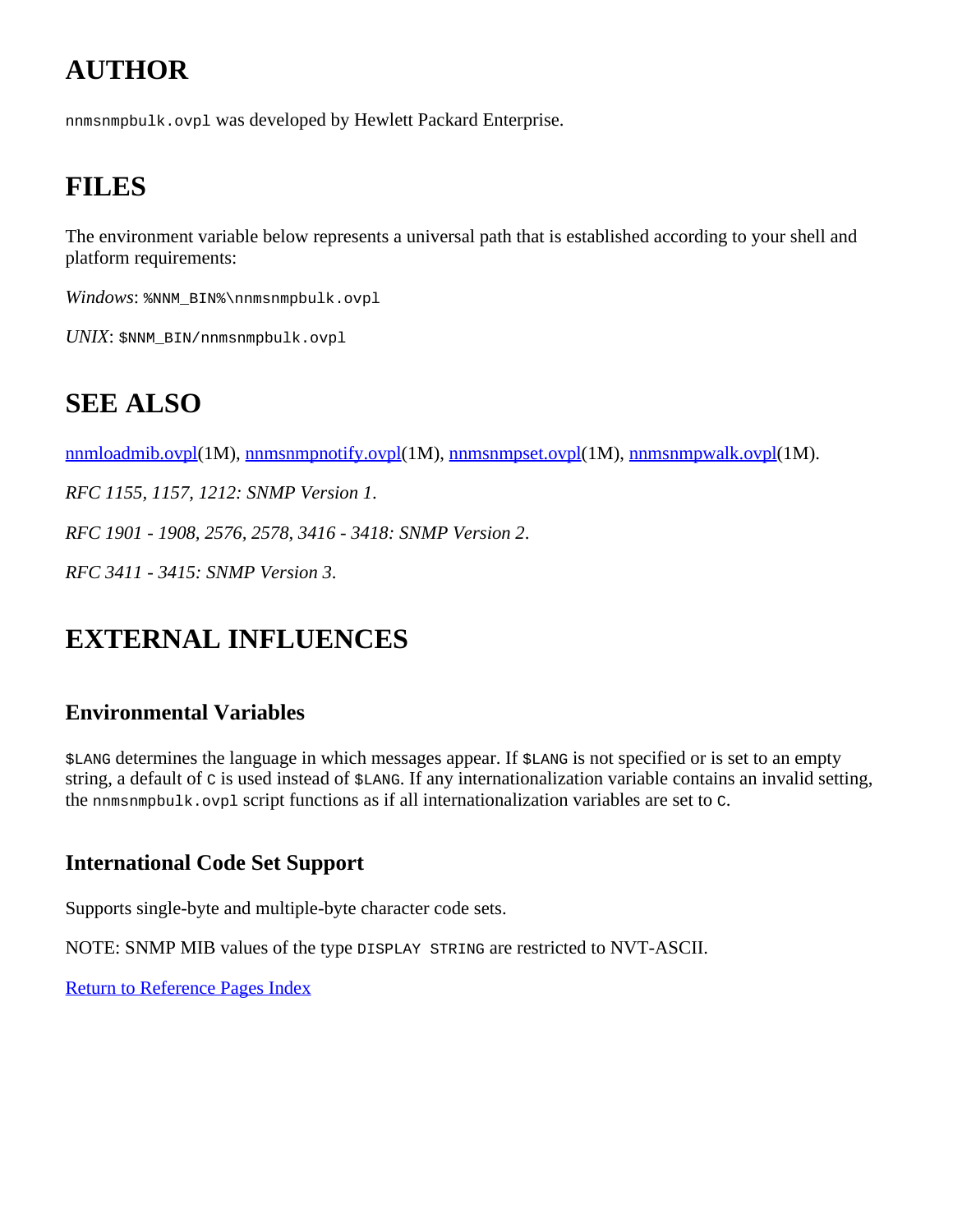# **AUTHOR**

nnmsnmpbulk.ovpl was developed by Hewlett Packard Enterprise.

# **FILES**

The environment variable below represents a universal path that is established according to your shell and platform requirements:

*Windows*: %NNM\_BIN%\nnmsnmpbulk.ovpl

*UNIX*: \$NNM\_BIN/nnmsnmpbulk.ovpl

# **SEE ALSO**

[nnmloadmib.ovpl\(](#page-149-0)1M), [nnmsnmpnotify.ovpl\(](#page-28-0)1M), [nnmsnmpset.ovpl](#page-278-0)(1M), [nnmsnmpwalk.ovpl](#page-273-0)(1M).

*RFC 1155, 1157, 1212: SNMP Version 1*.

*RFC 1901 - 1908, 2576, 2578, 3416 - 3418: SNMP Version 2*.

*RFC 3411 - 3415: SNMP Version 3*.

# **EXTERNAL INFLUENCES**

#### **Environmental Variables**

\$LANG determines the language in which messages appear. If \$LANG is not specified or is set to an empty string, a default of  $\sigma$  is used instead of  $\sigma$ LANG. If any internationalization variable contains an invalid setting, the nnmsnmpbulk.ovpl script functions as if all internationalization variables are set to C.

#### **International Code Set Support**

Supports single-byte and multiple-byte character code sets.

NOTE: SNMP MIB values of the type DISPLAY STRING are restricted to NVT-ASCII.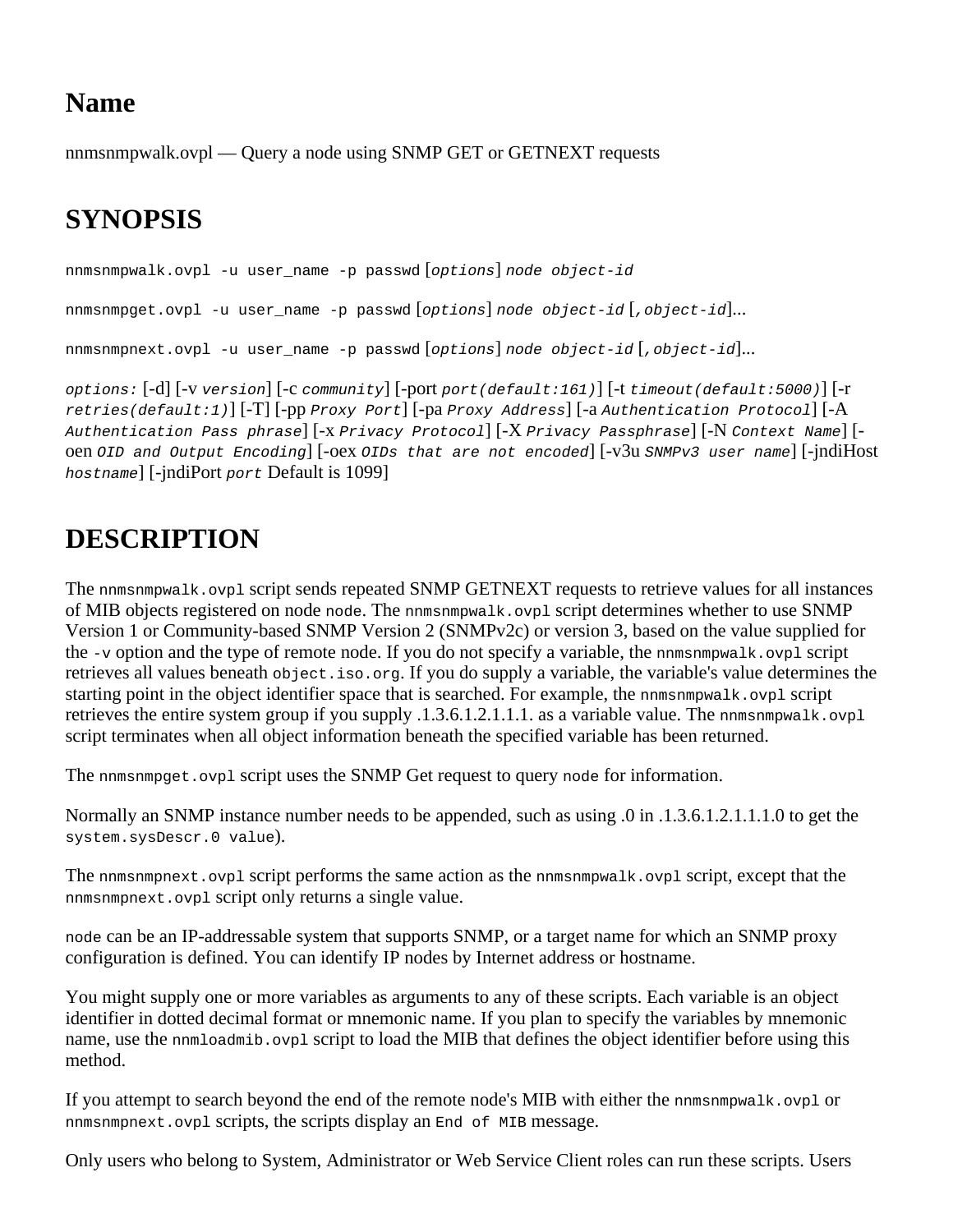<span id="page-273-0"></span>nnmsnmpwalk.ovpl — Query a node using SNMP GET or GETNEXT requests

# **SYNOPSIS**

```
nnmsnmpwalk.ovpl -u user_name -p passwd [options] node object-id
nnmsnmpget.ovpl -u user_name -p passwd [options] node object-id [,object-id]...
nnmsnmpnext.ovpl -u user_name -p passwd [options] node object-id [,object-id]...
```
*options:* [-d] [-v *version*] [-c *community*] [-port *port(default:161)*] [-t *timeout(default:5000)*] [-r *retries(default:1)*] [-T] [-pp *Proxy Port*] [-pa *Proxy Address*] [-a *Authentication Protocol*] [-A *Authentication Pass phrase*] [-x *Privacy Protocol*] [-X *Privacy Passphrase*] [-N *Context Name*] [ oen *OID and Output Encoding*] [-oex *OIDs that are not encoded*] [-v3u *SNMPv3 user name*] [-jndiHost *hostname*] [-jndiPort *port* Default is 1099]

# **DESCRIPTION**

The nnmsnmpwalk.ovpl script sends repeated SNMP GETNEXT requests to retrieve values for all instances of MIB objects registered on node node. The nnmsnmpwalk.ovpl script determines whether to use SNMP Version 1 or Community-based SNMP Version 2 (SNMPv2c) or version 3, based on the value supplied for the  $-v$  option and the type of remote node. If you do not specify a variable, the nnmsnmpwalk.ovpl script retrieves all values beneath object.iso.org. If you do supply a variable, the variable's value determines the starting point in the object identifier space that is searched. For example, the nnmsnmpwalk.ovpl script retrieves the entire system group if you supply .1.3.6.1.2.1.1.1. as a variable value. The nnmsnmpwalk.ovpl script terminates when all object information beneath the specified variable has been returned.

The nnmsnmpget.ovpl script uses the SNMP Get request to query node for information.

Normally an SNMP instance number needs to be appended, such as using .0 in .1.3.6.1.2.1.1.1.0 to get the system.sysDescr.0 value).

The nnmsnmpnext.ovpl script performs the same action as the nnmsnmpwalk.ovpl script, except that the nnmsnmpnext.ovpl script only returns a single value.

node can be an IP-addressable system that supports SNMP, or a target name for which an SNMP proxy configuration is defined. You can identify IP nodes by Internet address or hostname.

You might supply one or more variables as arguments to any of these scripts. Each variable is an object identifier in dotted decimal format or mnemonic name. If you plan to specify the variables by mnemonic name, use the nnmloadmib.ovpl script to load the MIB that defines the object identifier before using this method.

If you attempt to search beyond the end of the remote node's MIB with either the nnmsnmpwalk.ovpl or nnmsnmpnext.ovpl scripts, the scripts display an End of MIB message.

Only users who belong to System, Administrator or Web Service Client roles can run these scripts. Users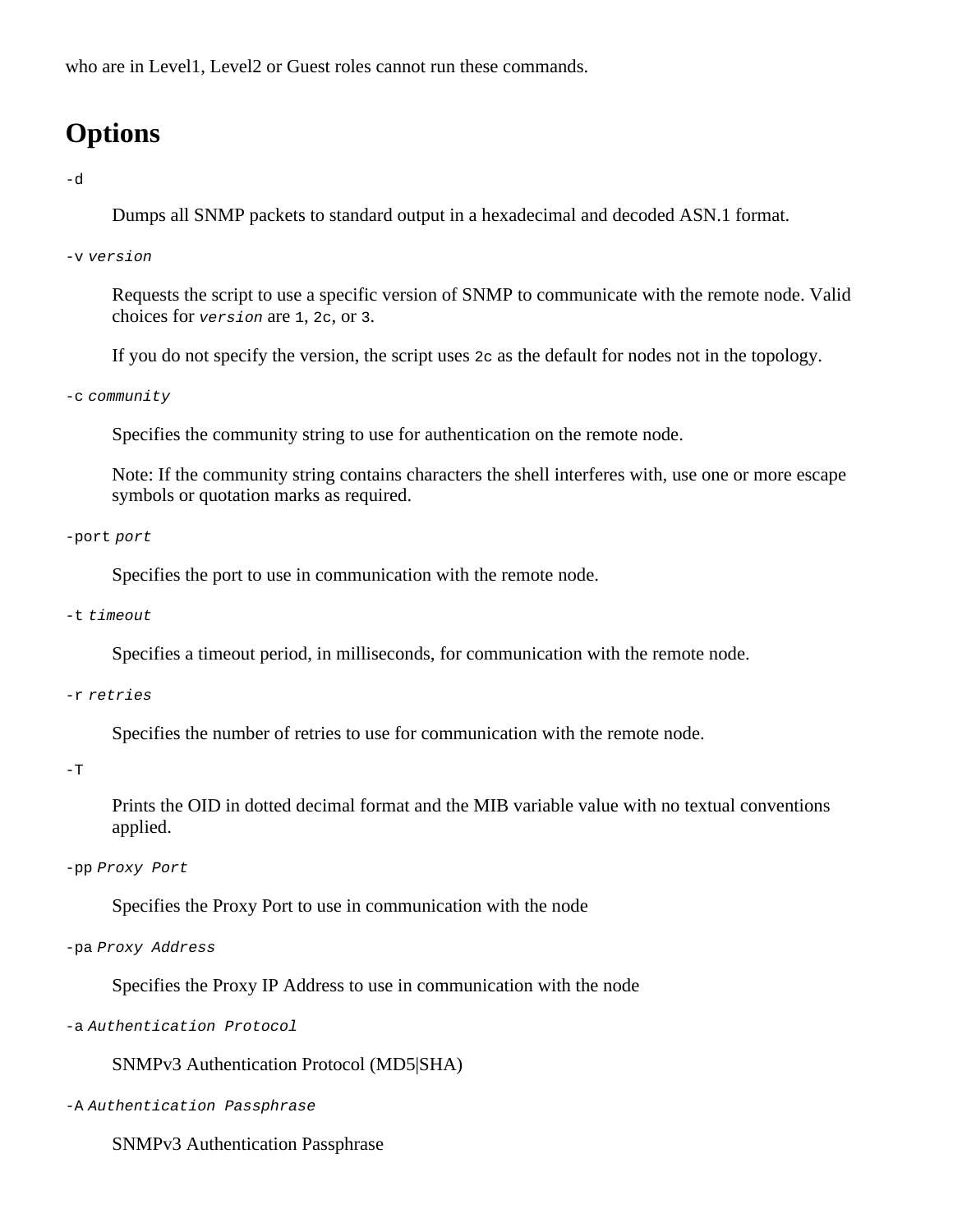who are in Level<sub>1</sub>. Level<sub>2</sub> or Guest roles cannot run these commands.

## **Options**

#### -d

Dumps all SNMP packets to standard output in a hexadecimal and decoded ASN.1 format.

#### -v *version*

Requests the script to use a specific version of SNMP to communicate with the remote node. Valid choices for *version* are 1, 2c, or 3.

If you do not specify the version, the script uses 2c as the default for nodes not in the topology.

-c *community*

Specifies the community string to use for authentication on the remote node.

Note: If the community string contains characters the shell interferes with, use one or more escape symbols or quotation marks as required.

-port *port*

Specifies the port to use in communication with the remote node.

#### -t *timeout*

Specifies a timeout period, in milliseconds, for communication with the remote node.

-r *retries*

Specifies the number of retries to use for communication with the remote node.

#### $-\mathsf{T}$

Prints the OID in dotted decimal format and the MIB variable value with no textual conventions applied.

-pp *Proxy Port*

Specifies the Proxy Port to use in communication with the node

-pa *Proxy Address*

Specifies the Proxy IP Address to use in communication with the node

-a *Authentication Protocol*

SNMPv3 Authentication Protocol (MD5|SHA)

-A *Authentication Passphrase*

#### SNMPv3 Authentication Passphrase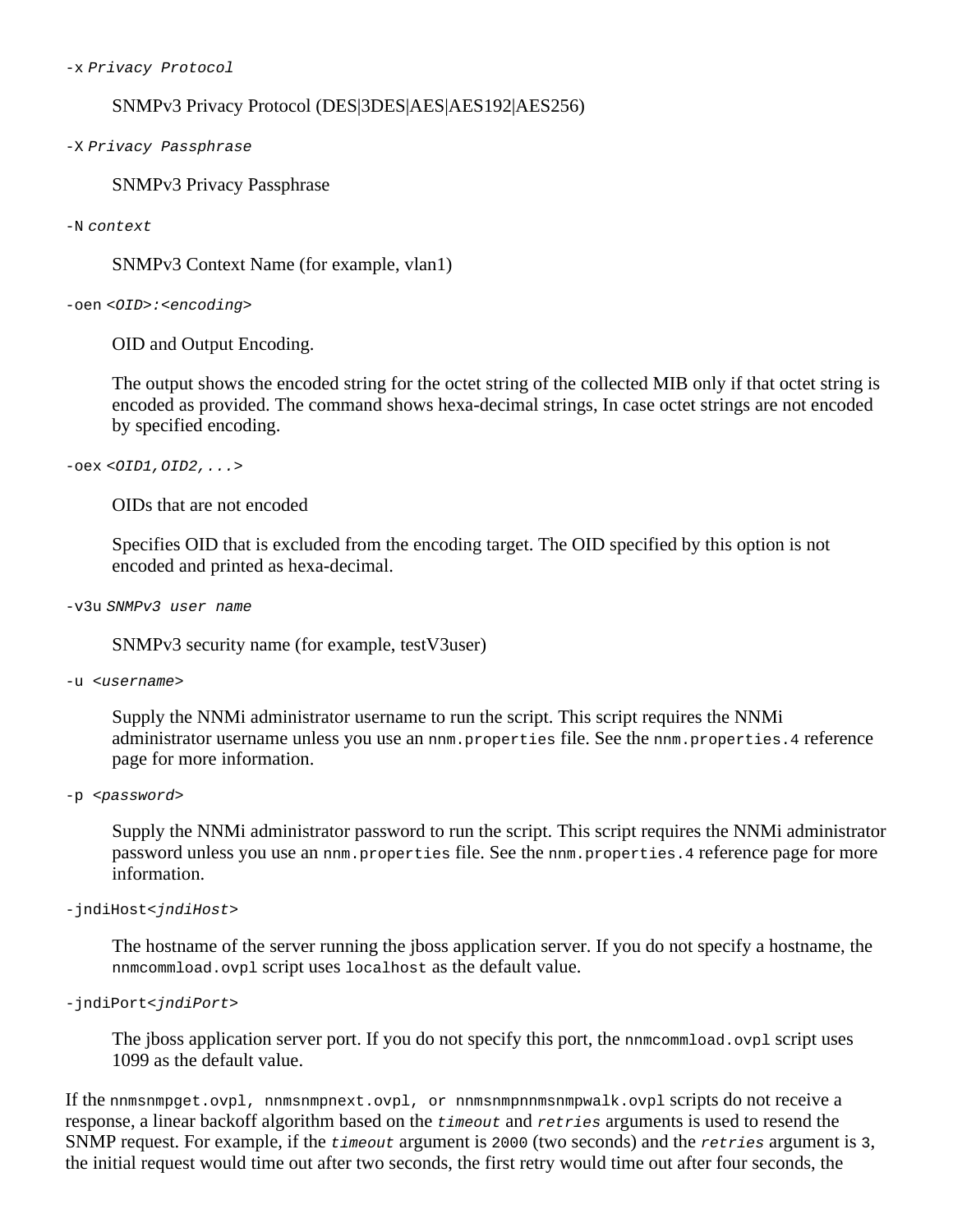-x *Privacy Protocol*

#### SNMPv3 Privacy Protocol (DES|3DES|AES|AES192|AES256)

-X *Privacy Passphrase*

SNMPv3 Privacy Passphrase

-N *context*

SNMPv3 Context Name (for example, vlan1)

-oen *<OID>:<encoding>*

OID and Output Encoding.

The output shows the encoded string for the octet string of the collected MIB only if that octet string is encoded as provided. The command shows hexa-decimal strings, In case octet strings are not encoded by specified encoding.

-oex *<OID1,OID2,...>*

OIDs that are not encoded

Specifies OID that is excluded from the encoding target. The OID specified by this option is not encoded and printed as hexa-decimal.

```
-v3u SNMPv3 user name
```
SNMPv3 security name (for example, testV3user)

```
-u <username>
```
Supply the NNMi administrator username to run the script. This script requires the NNMi administrator username unless you use an nnm.properties file. See the nnm.properties. 4 reference page for more information.

#### -p <*password*>

Supply the NNMi administrator password to run the script. This script requires the NNMi administrator password unless you use an nnm.properties file. See the nnm.properties. 4 reference page for more information.

```
-jndiHost<jndiHost>
```
The hostname of the server running the jboss application server. If you do not specify a hostname, the nnmcommload.ovpl script uses localhost as the default value.

```
-jndiPort<jndiPort>
```
The jboss application server port. If you do not specify this port, the nnmcommload.ovpl script uses 1099 as the default value.

If the nnmsnmpget.ovpl, nnmsnmpnext.ovpl, or nnmsnmpnnmsnmpwalk.ovpl scripts do not receive a response, a linear backoff algorithm based on the *timeout* and *retries* arguments is used to resend the SNMP request. For example, if the *timeout* argument is 2000 (two seconds) and the *retries* argument is 3, the initial request would time out after two seconds, the first retry would time out after four seconds, the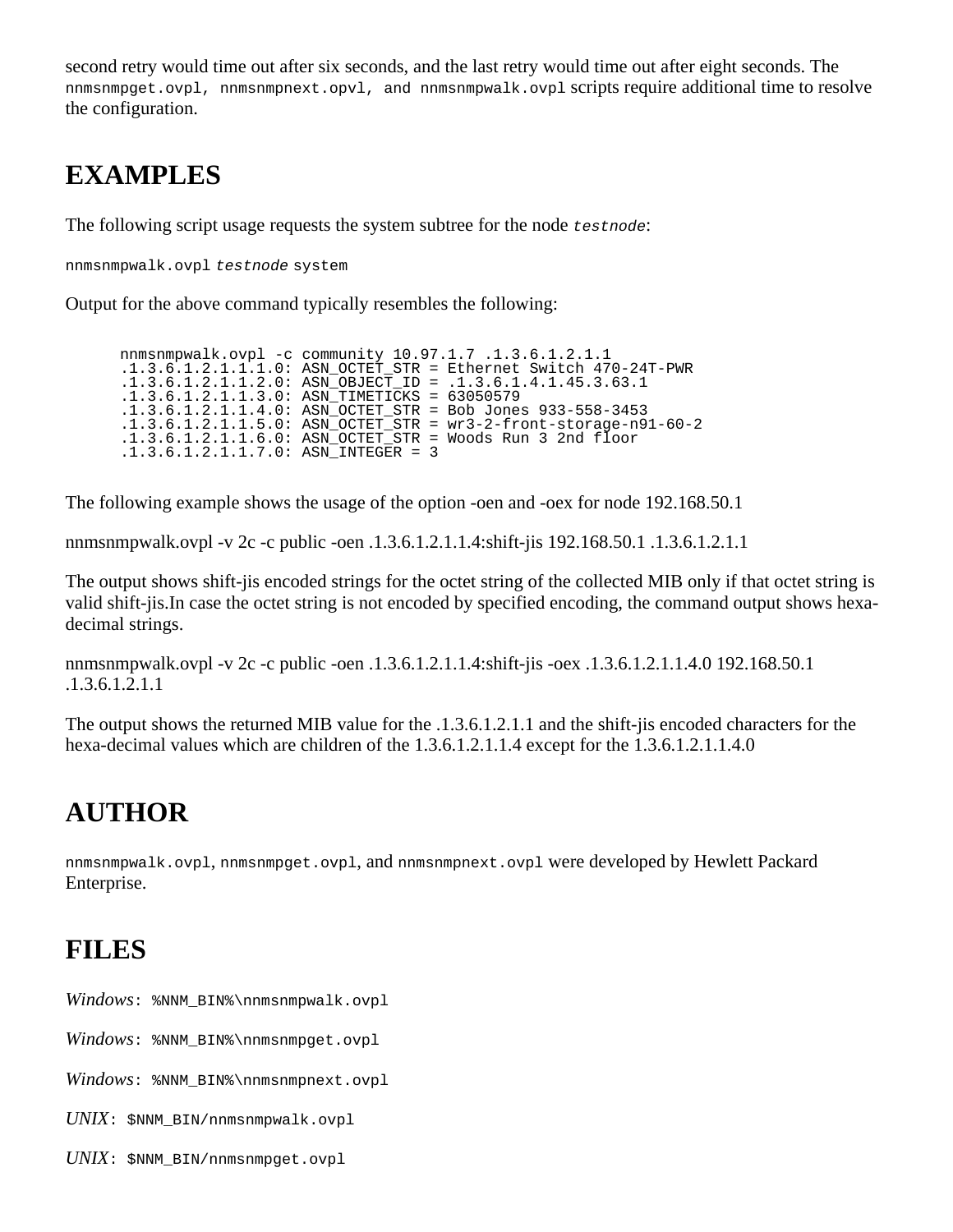second retry would time out after six seconds, and the last retry would time out after eight seconds. The nnmsnmpget.ovpl, nnmsnmpnext.opvl, and nnmsnmpwalk.ovpl scripts require additional time to resolve the configuration.

# **EXAMPLES**

The following script usage requests the system subtree for the node *testnode*:

nnmsnmpwalk.ovpl *testnode* system

Output for the above command typically resembles the following:

```
nnmsnmpwalk.ovpl -c community 10.97.1.7 .1.3.6.1.2.1.1
 .1.3.6.1.2.1.1.1.0: ASN_OCTET_STR = Ethernet Switch 470-24T-PWR
      .1.3.6.1.2.1.1.2.0: ASN_OBJECT_ID = .1.3.6.1.4.1.45.3.63.1
 .1.3.6.1.2.1.1.3.0: ASN_TIMETICKS = 63050579
 .1.3.6.1.2.1.1.4.0: ASN_OCTET_STR = Bob Jones 933-558-3453
 .1.3.6.1.2.1.1.5.0: ASN_OCTET_STR = wr3-2-front-storage-n91-60-2
 .1.3.6.1.2.1.1.6.0: ASN_OCTET_STR = Woods Run 3 2nd floor
      .1.3.6.1.2.1.1.7.0: ASN_INTEGER = 3
```
The following example shows the usage of the option -oen and -oex for node 192.168.50.1

nnmsnmpwalk.ovpl -v 2c -c public -oen .1.3.6.1.2.1.1.4:shift-jis 192.168.50.1 .1.3.6.1.2.1.1

The output shows shift-jis encoded strings for the octet string of the collected MIB only if that octet string is valid shift-jis.In case the octet string is not encoded by specified encoding, the command output shows hexadecimal strings.

nnmsnmpwalk.ovpl -v 2c -c public -oen .1.3.6.1.2.1.1.4:shift-jis -oex .1.3.6.1.2.1.1.4.0 192.168.50.1 .1.3.6.1.2.1.1

The output shows the returned MIB value for the .1.3.6.1.2.1.1 and the shift-jis encoded characters for the hexa-decimal values which are children of the 1.3.6.1.2.1.1.4 except for the 1.3.6.1.2.1.1.4.0

### **AUTHOR**

nnmsnmpwalk.ovpl, nnmsnmpget.ovpl, and nnmsnmpnext.ovpl were developed by Hewlett Packard Enterprise.

### **FILES**

*Windows*: %NNM\_BIN%\nnmsnmpwalk.ovpl

*Windows*: %NNM\_BIN%\nnmsnmpget.ovpl

Windows:  $\text{NNN}$  BIN%\nnmsnmpnext.ovpl

*UNIX*: \$NNM\_BIN/nnmsnmpwalk.ovpl

*UNIX*: \$NNM\_BIN/nnmsnmpget.ovpl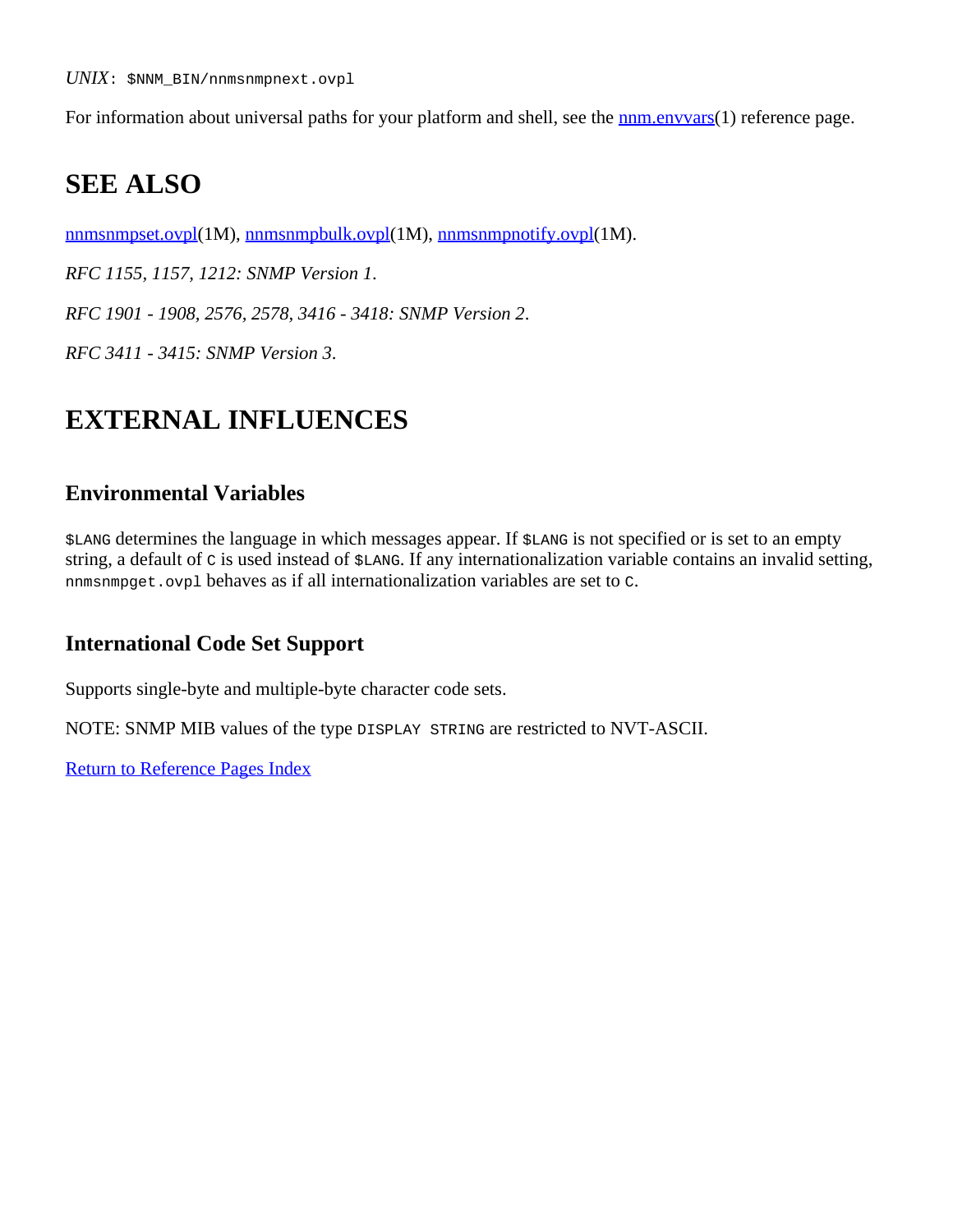For information about universal paths for your platform and shell, see the **nnm**.envvars(1) reference page.

# **SEE ALSO**

[nnmsnmpset.ovpl](#page-278-0)(1M), [nnmsnmpbulk.ovpl\(](#page-269-0)1M), [nnmsnmpnotify.ovpl](#page-28-0)(1M).

*RFC 1155, 1157, 1212: SNMP Version 1*.

*RFC 1901 - 1908, 2576, 2578, 3416 - 3418: SNMP Version 2*.

*RFC 3411 - 3415: SNMP Version 3*.

### **EXTERNAL INFLUENCES**

#### **Environmental Variables**

\$LANG determines the language in which messages appear. If \$LANG is not specified or is set to an empty string, a default of  $\sigma$  is used instead of  $\epsilon$ LANG. If any internationalization variable contains an invalid setting, nnmsnmpget.ovpl behaves as if all internationalization variables are set to C.

#### **International Code Set Support**

Supports single-byte and multiple-byte character code sets.

NOTE: SNMP MIB values of the type DISPLAY STRING are restricted to NVT-ASCII.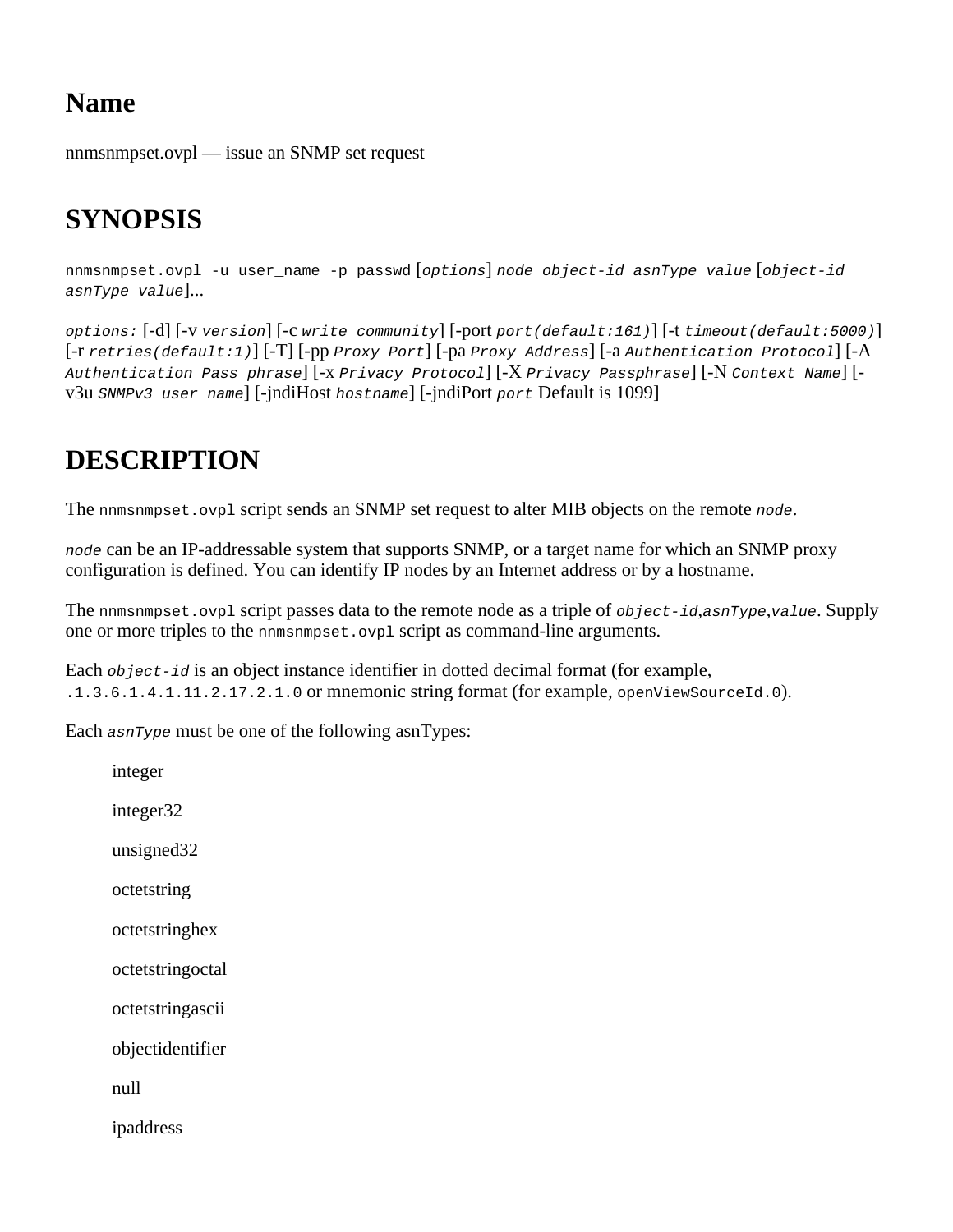<span id="page-278-0"></span>nnmsnmpset.ovpl — issue an SNMP set request

# **SYNOPSIS**

nnmsnmpset.ovpl -u user\_name -p passwd [*options*] *node object-id asnType value* [*object-id asnType value*]...

*options:* [-d] [-v *version*] [-c *write community*] [-port *port(default:161)*] [-t *timeout(default:5000)*] [-r *retries(default:1)*] [-T] [-pp *Proxy Port*] [-pa *Proxy Address*] [-a *Authentication Protocol*] [-A *Authentication Pass phrase*] [-x *Privacy Protocol*] [-X *Privacy Passphrase*] [-N *Context Name*] [ v3u *SNMPv3 user name*] [-jndiHost *hostname*] [-jndiPort *port* Default is 1099]

# **DESCRIPTION**

The nnmsnmpset.ovpl script sends an SNMP set request to alter MIB objects on the remote *node*.

*node* can be an IP-addressable system that supports SNMP, or a target name for which an SNMP proxy configuration is defined. You can identify IP nodes by an Internet address or by a hostname.

The nnmsnmpset.ovpl script passes data to the remote node as a triple of *object-id*,*asnType*,*value*. Supply one or more triples to the nnmsnmpset.ovpl script as command-line arguments.

Each *object-id* is an object instance identifier in dotted decimal format (for example, .1.3.6.1.4.1.11.2.17.2.1.0 or mnemonic string format (for example, openViewSourceId.0).

Each *asnType* must be one of the following asnTypes:

integer integer32 unsigned32 octetstring octetstringhex octetstringoctal octetstringascii objectidentifier null ipaddress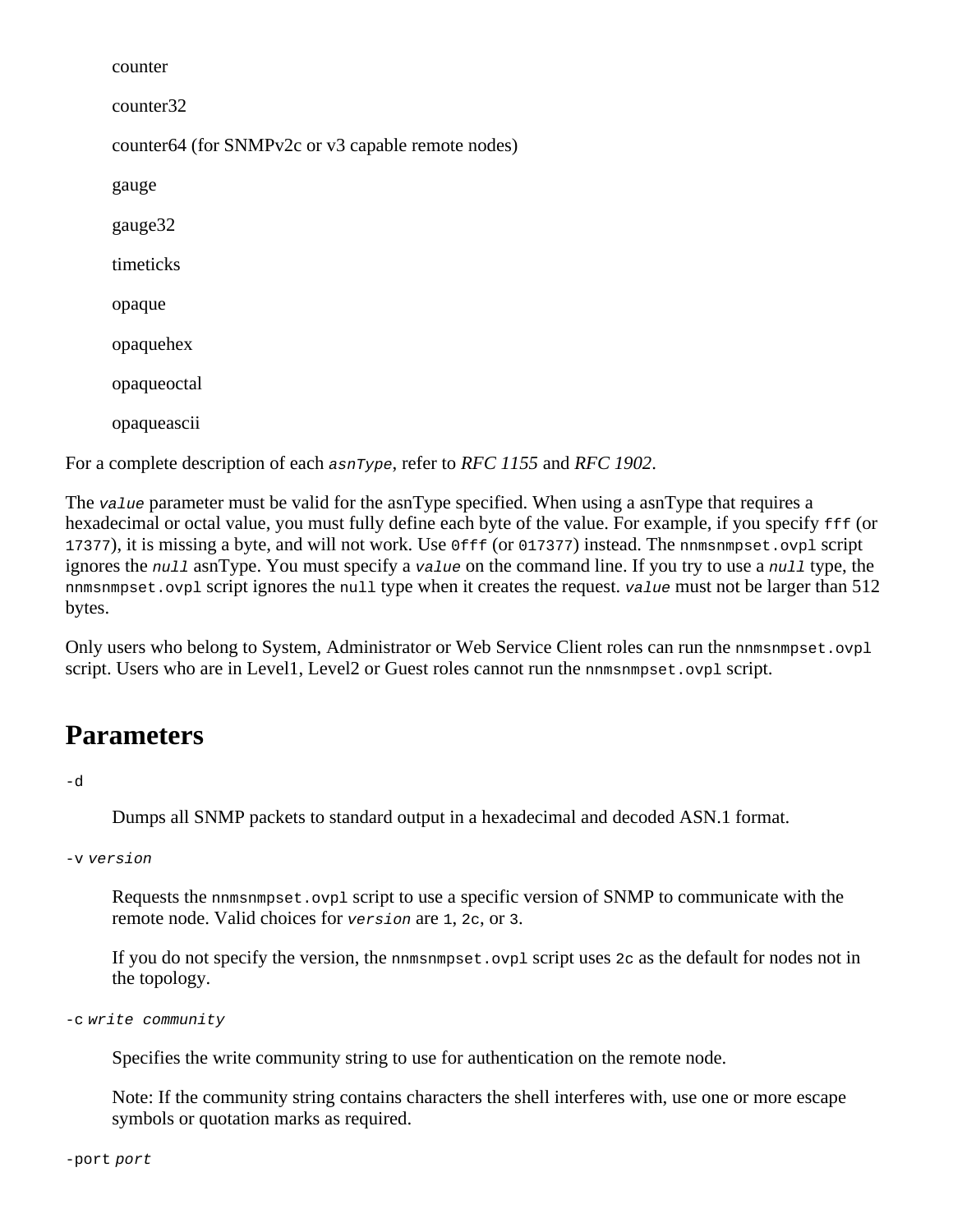```
counter
counter32
counter64 (for SNMPv2c or v3 capable remote nodes)
gauge
gauge32
timeticks
opaque
opaquehex
opaqueoctal
opaqueascii
```
For a complete description of each *asnType*, refer to *RFC 1155* and *RFC 1902*.

The *value* parameter must be valid for the asnType specified. When using a asnType that requires a hexadecimal or octal value, you must fully define each byte of the value. For example, if you specify fff (or 17377), it is missing a byte, and will not work. Use 0fff (or 017377) instead. The nnmsnmpset.ovpl script ignores the *null* asnType. You must specify a *value* on the command line. If you try to use a *null* type, the nnmsnmpset.ovpl script ignores the null type when it creates the request. *value* must not be larger than 512 bytes.

Only users who belong to System, Administrator or Web Service Client roles can run the nomes over  $\text{Cov}(t)$ script. Users who are in Level1, Level2 or Guest roles cannot run the nonest properties over l script.

### **Parameters**

#### -d

Dumps all SNMP packets to standard output in a hexadecimal and decoded ASN.1 format.

-v *version*

Requests the nnmsnmpset.ovpl script to use a specific version of SNMP to communicate with the remote node. Valid choices for *version* are 1, 2c, or 3.

If you do not specify the version, the nnmsnmpset.ovpl script uses 2c as the default for nodes not in the topology.

-c *write community*

Specifies the write community string to use for authentication on the remote node.

Note: If the community string contains characters the shell interferes with, use one or more escape symbols or quotation marks as required.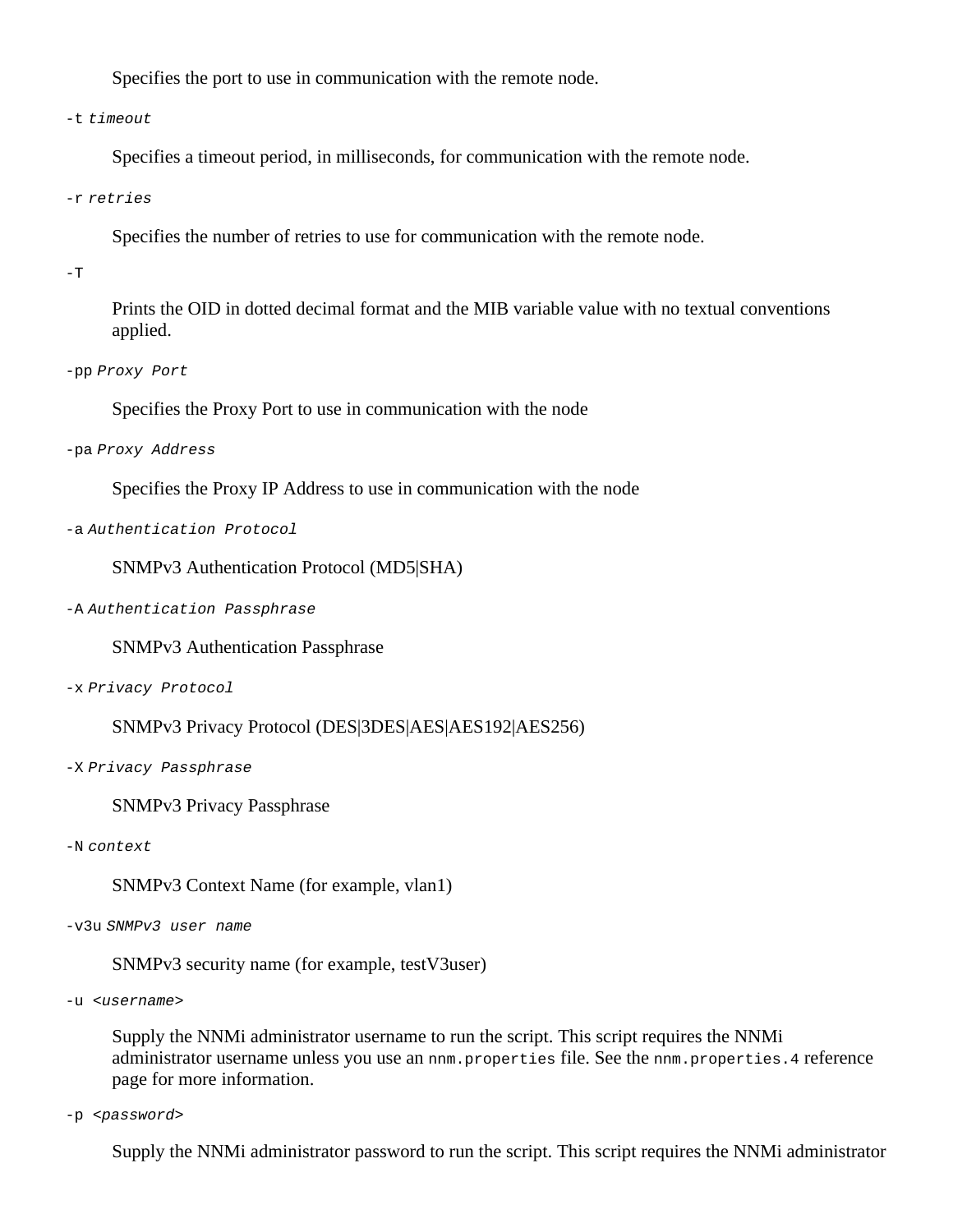Specifies the port to use in communication with the remote node.

-t *timeout*

Specifies a timeout period, in milliseconds, for communication with the remote node.

-r *retries*

Specifies the number of retries to use for communication with the remote node.

 $-\mathbf{T}$ 

Prints the OID in dotted decimal format and the MIB variable value with no textual conventions applied.

#### -pp *Proxy Port*

Specifies the Proxy Port to use in communication with the node

-pa *Proxy Address*

Specifies the Proxy IP Address to use in communication with the node

-a *Authentication Protocol*

SNMPv3 Authentication Protocol (MD5|SHA)

-A *Authentication Passphrase*

SNMPv3 Authentication Passphrase

-x *Privacy Protocol*

#### SNMPv3 Privacy Protocol (DES|3DES|AES|AES192|AES256)

-X *Privacy Passphrase*

SNMPv3 Privacy Passphrase

-N *context*

SNMPv3 Context Name (for example, vlan1)

-v3u *SNMPv3 user name*

SNMPv3 security name (for example, testV3user)

-u <*username*>

Supply the NNMi administrator username to run the script. This script requires the NNMi administrator username unless you use an nnm.properties file. See the nnm.properties. 4 reference page for more information.

-p <*password*>

Supply the NNMi administrator password to run the script. This script requires the NNMi administrator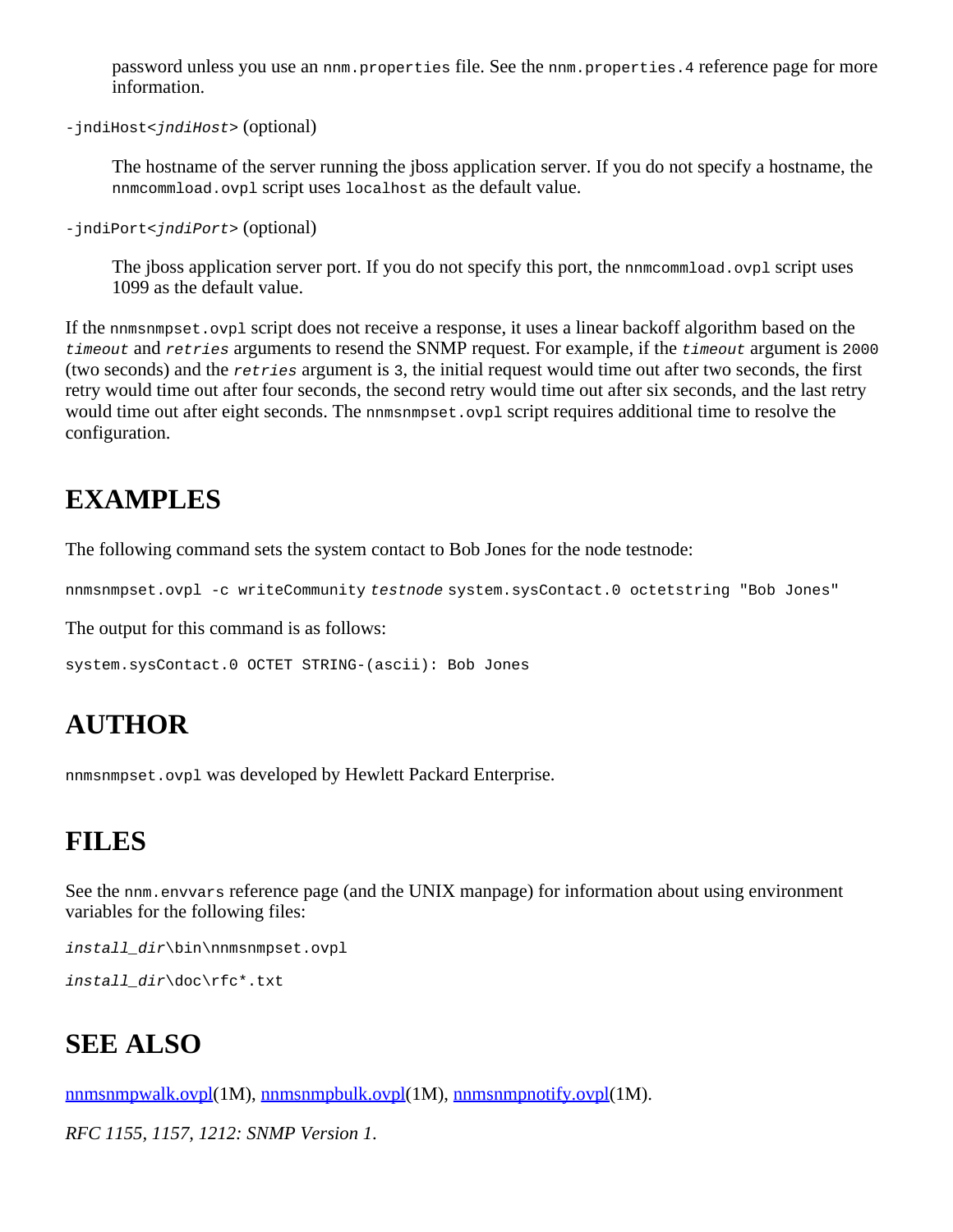password unless you use an nnm.properties file. See the nnm.properties.4 reference page for more information.

-jndiHost<*jndiHost*> (optional)

The hostname of the server running the jboss application server. If you do not specify a hostname, the nnmcommload.ovpl script uses localhost as the default value.

-jndiPort<*jndiPort*> (optional)

The jboss application server port. If you do not specify this port, the nnmcommload.ovpl script uses 1099 as the default value.

If the nnmsnmpset.ovpl script does not receive a response, it uses a linear backoff algorithm based on the *timeout* and *retries* arguments to resend the SNMP request. For example, if the *timeout* argument is 2000 (two seconds) and the *retries* argument is 3, the initial request would time out after two seconds, the first retry would time out after four seconds, the second retry would time out after six seconds, and the last retry would time out after eight seconds. The nnmsnmpset.ovpl script requires additional time to resolve the configuration.

### **EXAMPLES**

The following command sets the system contact to Bob Jones for the node testnode:

nnmsnmpset.ovpl -c writeCommunity *testnode* system.sysContact.0 octetstring "Bob Jones"

The output for this command is as follows:

```
system.sysContact.0 OCTET STRING-(ascii): Bob Jones
```
# **AUTHOR**

nnmsnmpset.ovpl was developed by Hewlett Packard Enterprise.

# **FILES**

See the nnm. envyars reference page (and the UNIX manpage) for information about using environment variables for the following files:

```
install_dir\bin\nnmsnmpset.ovpl
```
*install\_dir*\doc\rfc\*.txt

# **SEE ALSO**

[nnmsnmpwalk.ovpl\(](#page-273-0)1M), [nnmsnmpbulk.ovpl](#page-269-0)(1M), [nnmsnmpnotify.ovpl](#page-28-0)(1M).

```
RFC 1155, 1157, 1212: SNMP Version 1.
```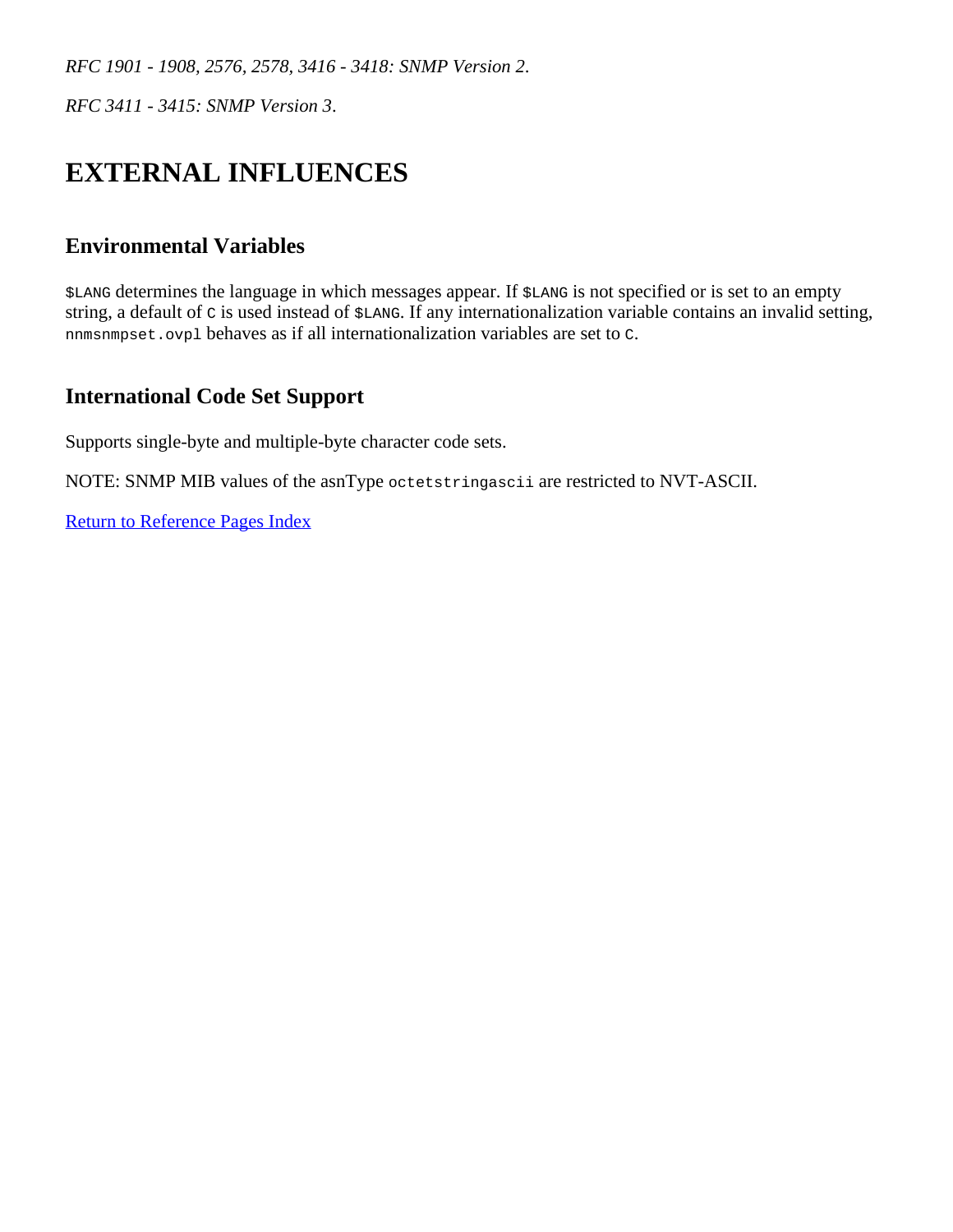*RFC 1901 - 1908, 2576, 2578, 3416 - 3418: SNMP Version 2*.

*RFC 3411 - 3415: SNMP Version 3*.

# **EXTERNAL INFLUENCES**

#### **Environmental Variables**

\$LANG determines the language in which messages appear. If \$LANG is not specified or is set to an empty string, a default of  $\sigma$  is used instead of  $\epsilon$ LANG. If any internationalization variable contains an invalid setting, nnmsnmpset.ovpl behaves as if all internationalization variables are set to C.

#### **International Code Set Support**

Supports single-byte and multiple-byte character code sets.

NOTE: SNMP MIB values of the asnType octetstringascii are restricted to NVT-ASCII.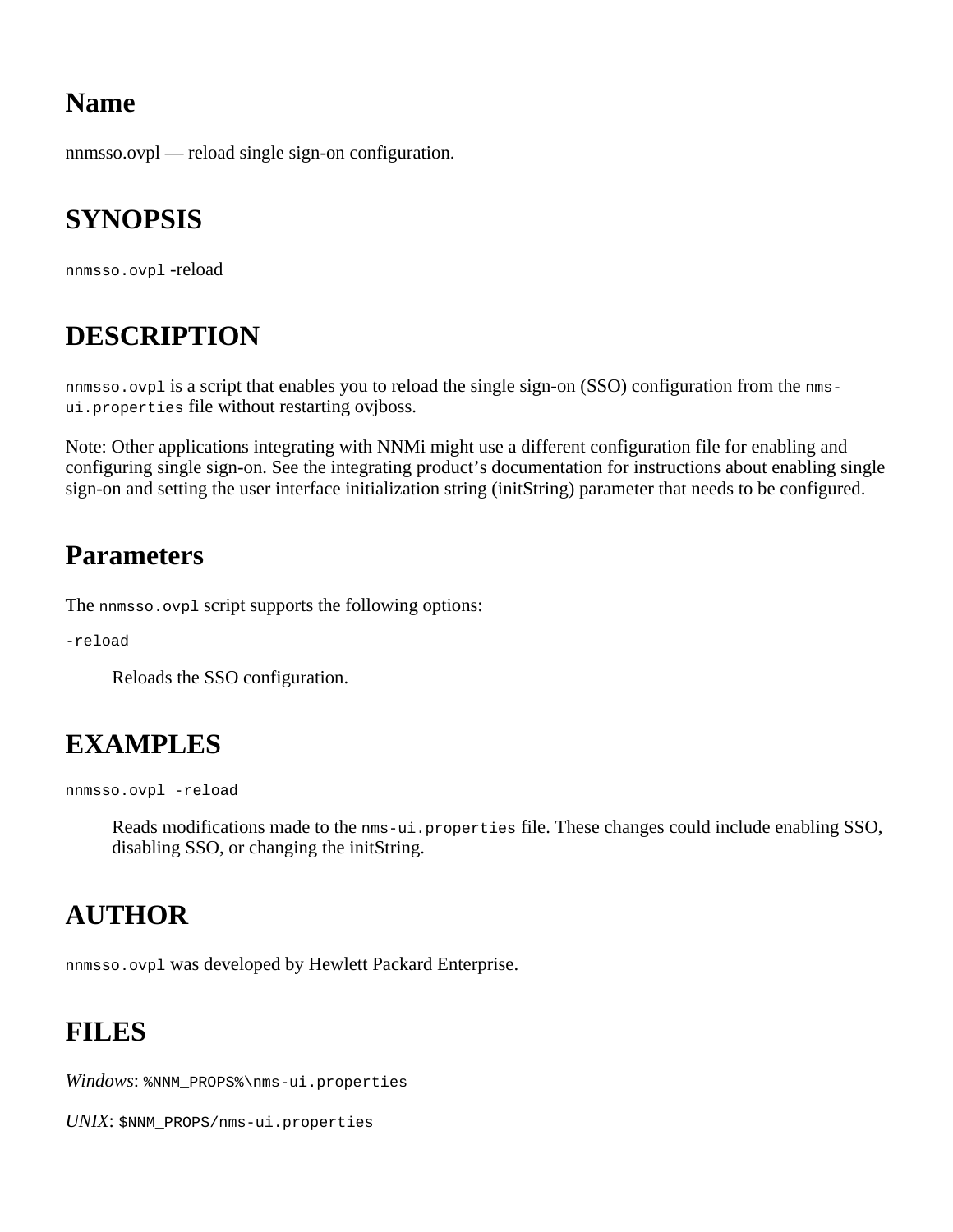<span id="page-283-0"></span>nnmsso.ovpl — reload single sign-on configuration.

# **SYNOPSIS**

nnmsso.ovpl -reload

# **DESCRIPTION**

nnmsso.ovpl is a script that enables you to reload the single sign-on (SSO) configuration from the nmsui.properties file without restarting ovjboss.

Note: Other applications integrating with NNMi might use a different configuration file for enabling and configuring single sign-on. See the integrating product's documentation for instructions about enabling single sign-on and setting the user interface initialization string (initString) parameter that needs to be configured.

## **Parameters**

The nnmsso.ovpl script supports the following options:

-reload

Reloads the SSO configuration.

# **EXAMPLES**

nnmsso.ovpl -reload

Reads modifications made to the nms-ui.properties file. These changes could include enabling SSO, disabling SSO, or changing the initString.

# **AUTHOR**

nnmsso.ovpl was developed by Hewlett Packard Enterprise.

# **FILES**

*Windows*: %NNM\_PROPS%\nms-ui.properties

*UNIX*: \$NNM\_PROPS/nms-ui.properties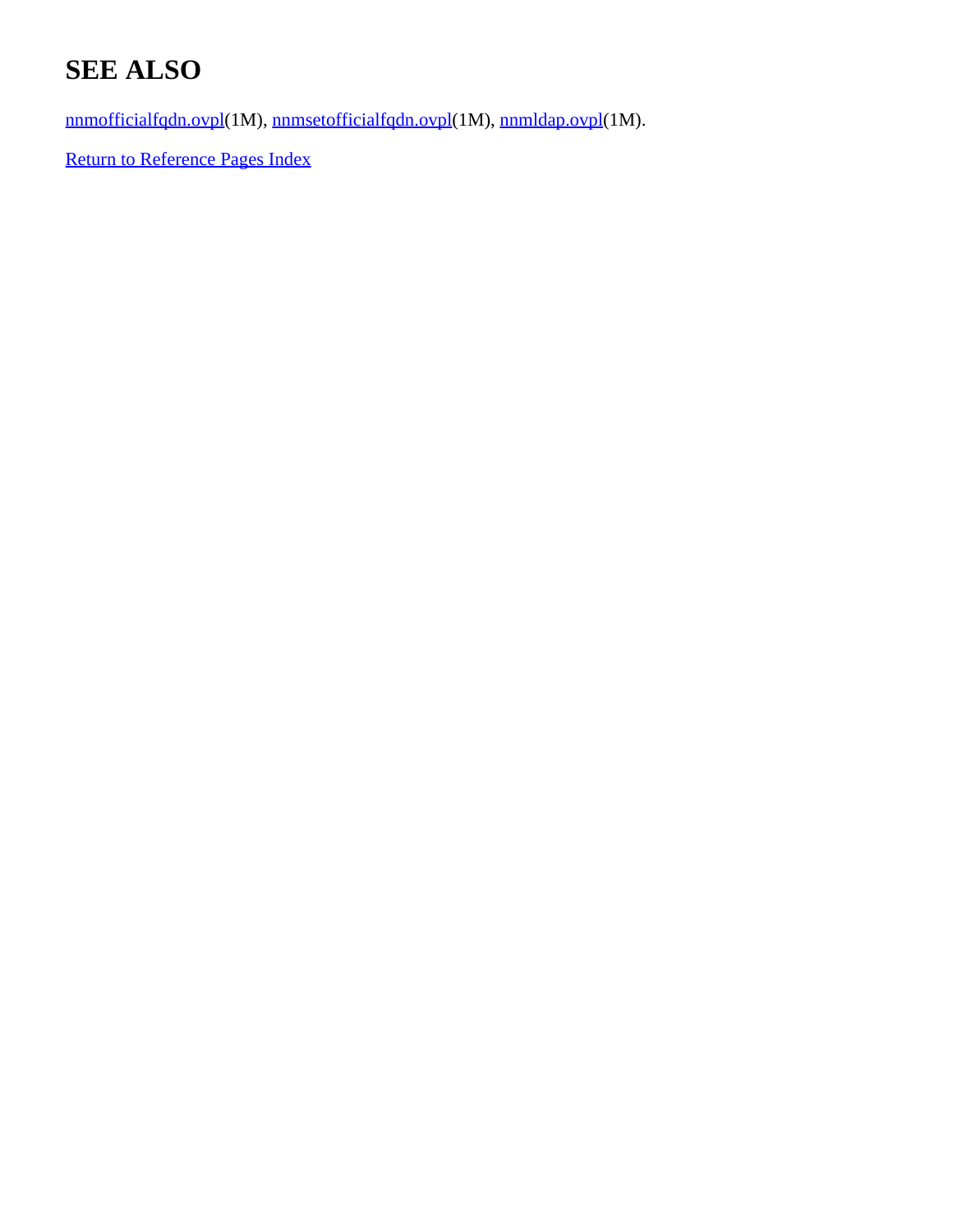# **SEE ALSO**

[nnmofficialfqdn.ovpl](#page-191-0)(1M), [nnmsetofficialfqdn.ovpl\(](#page-267-0)1M), [nnmldap.ovpl](#page-129-0)(1M).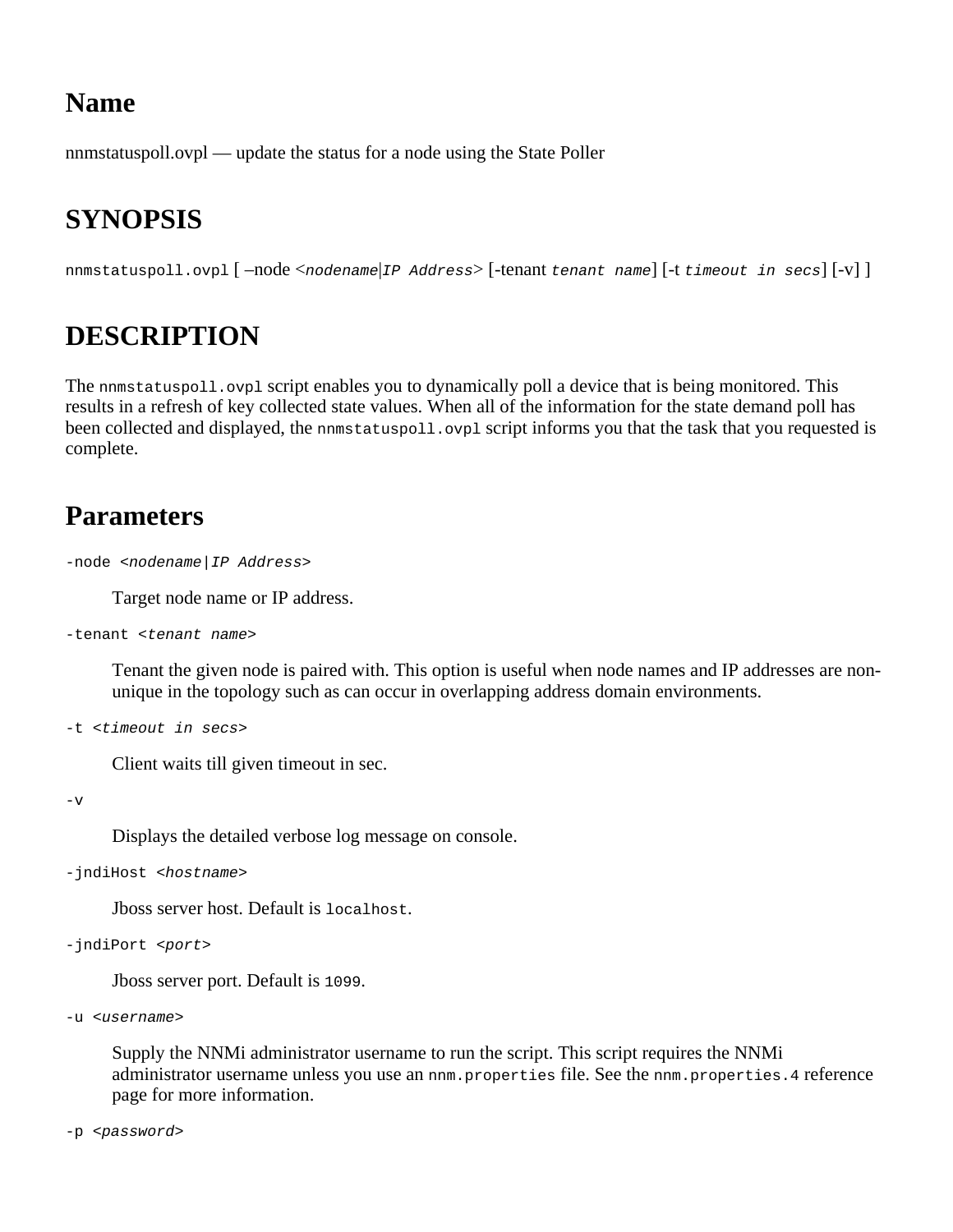nnmstatuspoll.ovpl — update the status for a node using the State Poller

# **SYNOPSIS**

nnmstatuspoll.ovpl [ –node <*nodename*|*IP Address*> [-tenant *tenant name*] [-t *timeout in secs*] [-v] ]

# **DESCRIPTION**

The nnmstatuspoll.ovpl script enables you to dynamically poll a device that is being monitored. This results in a refresh of key collected state values. When all of the information for the state demand poll has been collected and displayed, the nnmstatuspoll.ovpl script informs you that the task that you requested is complete.

### **Parameters**

```
-node <nodename|IP Address>
```
Target node name or IP address.

```
-tenant <tenant name>
```
Tenant the given node is paired with. This option is useful when node names and IP addresses are nonunique in the topology such as can occur in overlapping address domain environments.

```
-t <timeout in secs>
```
Client waits till given timeout in sec.

 $-v$ 

Displays the detailed verbose log message on console.

-jndiHost <*hostname*>

Jboss server host. Default is localhost.

```
-jndiPort <port>
```
Jboss server port. Default is 1099.

```
-u <username>
```
Supply the NNMi administrator username to run the script. This script requires the NNMi administrator username unless you use an nnm.properties file. See the nnm.properties. 4 reference page for more information.

```
-p <password>
```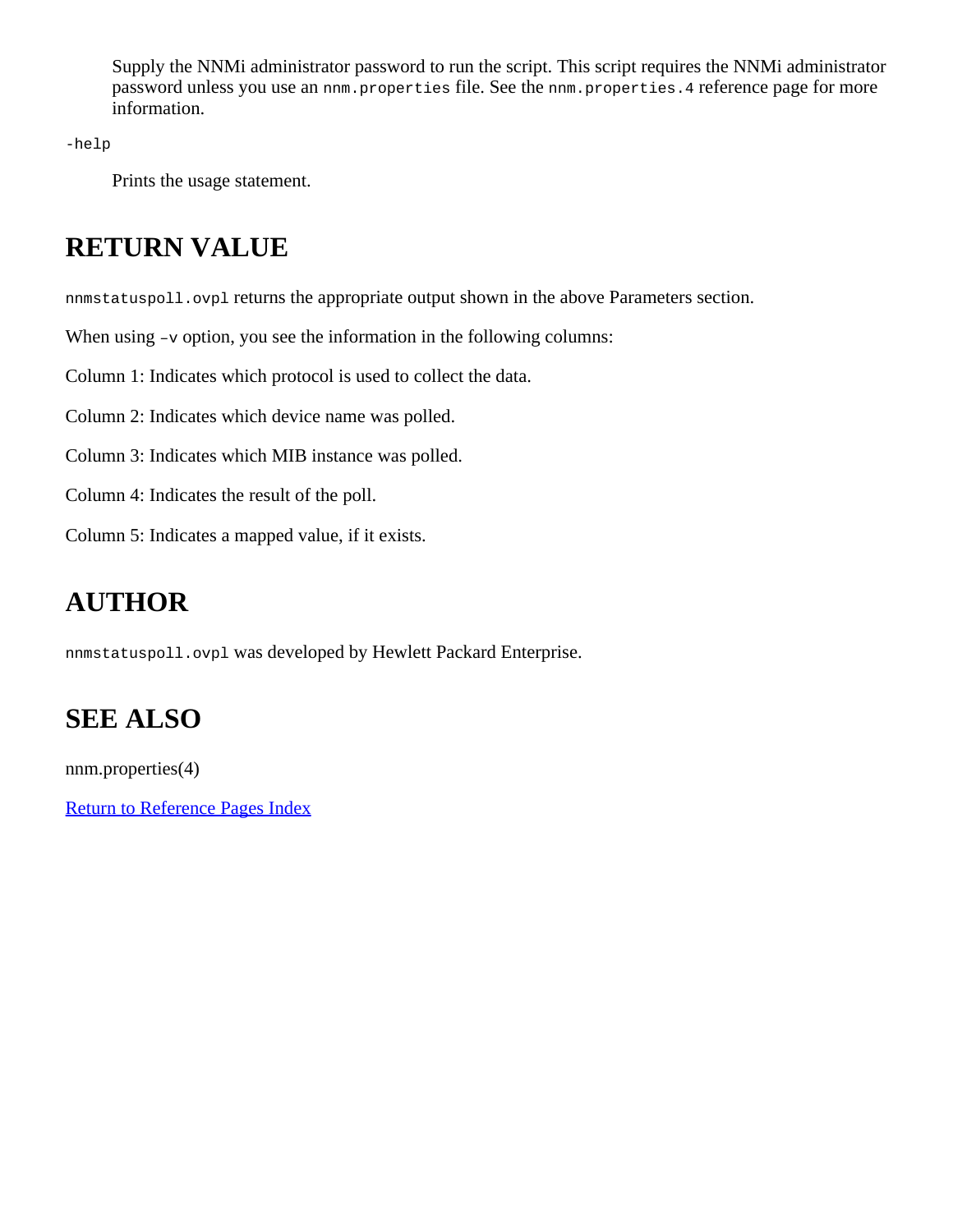Supply the NNMi administrator password to run the script. This script requires the NNMi administrator password unless you use an nnm.properties file. See the nnm.properties. 4 reference page for more information.

-help

Prints the usage statement.

# **RETURN VALUE**

nnmstatuspoll.ovpl returns the appropriate output shown in the above Parameters section.

When using  $-v$  option, you see the information in the following columns:

Column 1: Indicates which protocol is used to collect the data.

Column 2: Indicates which device name was polled.

Column 3: Indicates which MIB instance was polled.

Column 4: Indicates the result of the poll.

Column 5: Indicates a mapped value, if it exists.

### **AUTHOR**

nnmstatuspoll.ovpl was developed by Hewlett Packard Enterprise.

# **SEE ALSO**

nnm.properties(4)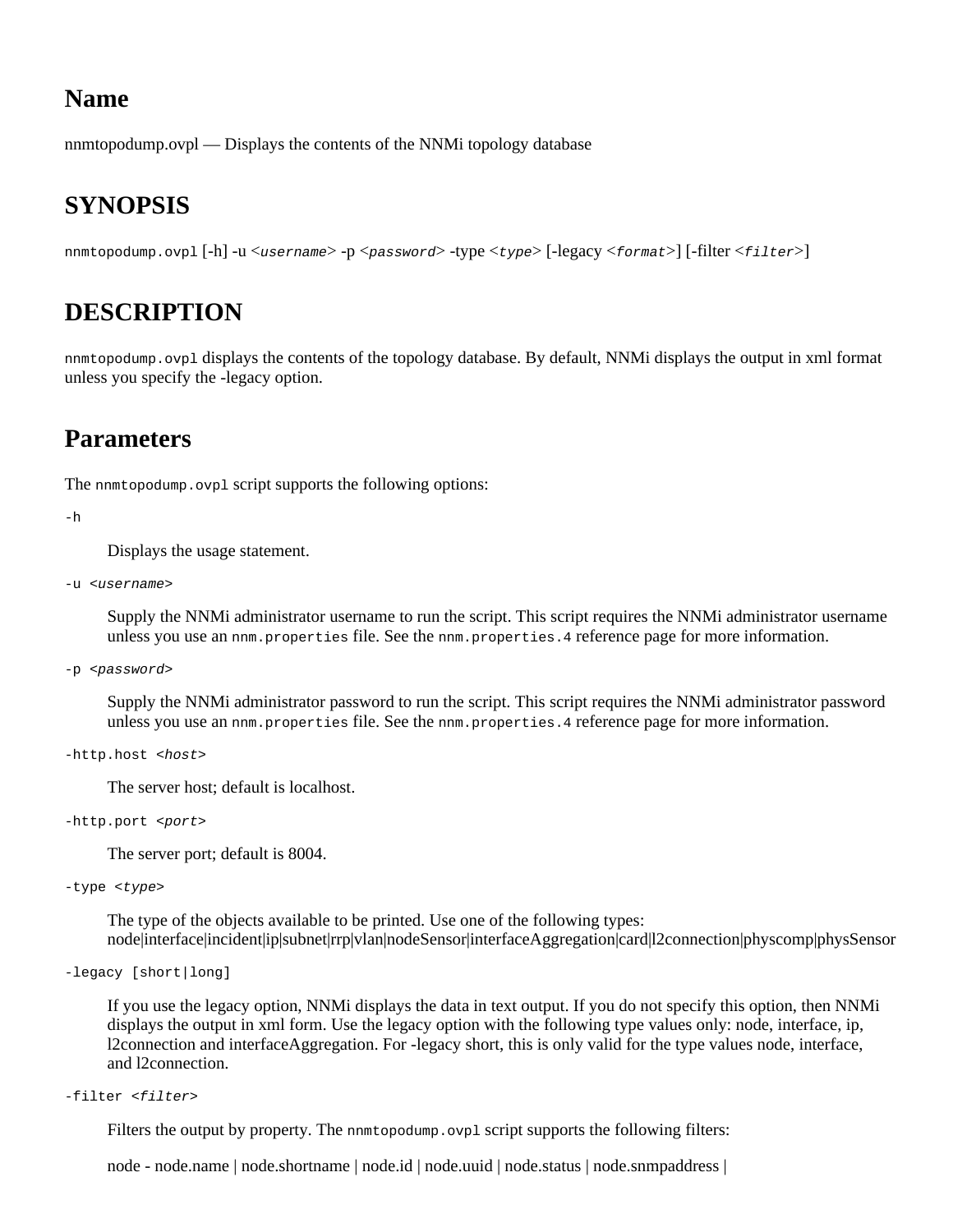nnmtopodump.ovpl — Displays the contents of the NNMi topology database

### **SYNOPSIS**

nnmtopodump.ovpl [-h] -u <*username*> -p <*password*> -type <*type*> [-legacy <*format*>] [-filter <*filter*>]

#### **DESCRIPTION**

nnmtopodump.ovpl displays the contents of the topology database. By default, NNMi displays the output in xml format unless you specify the -legacy option.

#### **Parameters**

The nnmtopodump.ovpl script supports the following options:

-h

Displays the usage statement.

```
-u <username>
```
Supply the NNMi administrator username to run the script. This script requires the NNMi administrator username unless you use an nnm.properties file. See the nnm.properties.4 reference page for more information.

```
-p <password>
```
Supply the NNMi administrator password to run the script. This script requires the NNMi administrator password unless you use an nnm.properties file. See the nnm.properties. 4 reference page for more information.

-http.host <*host*>

The server host; default is localhost.

-http.port <*port*>

The server port; default is 8004.

-type <*type*>

The type of the objects available to be printed. Use one of the following types: node|interface|incident|ip|subnet|rrp|vlan|nodeSensor|interfaceAggregation|card|l2connection|physcomp|physSensor

```
-legacy [short|long]
```
If you use the legacy option, NNMi displays the data in text output. If you do not specify this option, then NNMi displays the output in xml form. Use the legacy option with the following type values only: node, interface, ip, l2connection and interfaceAggregation. For -legacy short, this is only valid for the type values node, interface, and l2connection.

```
-filter <filter>
```
Filters the output by property. The nnmtopodump.ovpl script supports the following filters:

node - node.name | node.shortname | node.id | node.uuid | node.status | node.snmpaddress |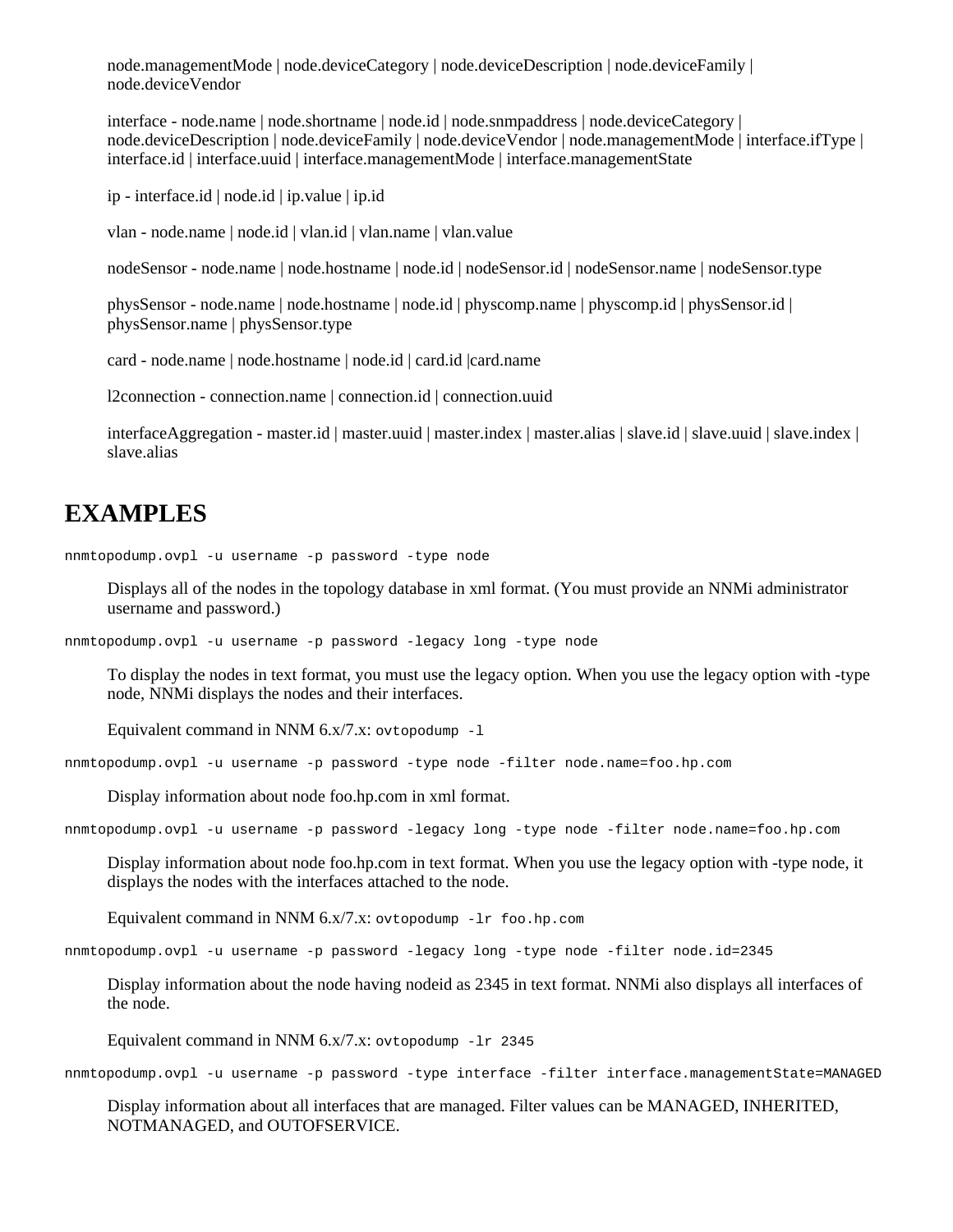node.managementMode | node.deviceCategory | node.deviceDescription | node.deviceFamily | node.deviceVendor

interface - node.name | node.shortname | node.id | node.snmpaddress | node.deviceCategory | node.deviceDescription | node.deviceFamily | node.deviceVendor | node.managementMode | interface.ifType | interface.id | interface.uuid | interface.managementMode | interface.managementState

ip - interface.id | node.id | ip.value | ip.id

vlan - node.name | node.id | vlan.id | vlan.name | vlan.value

nodeSensor - node.name | node.hostname | node.id | nodeSensor.id | nodeSensor.name | nodeSensor.type

physSensor - node.name | node.hostname | node.id | physcomp.name | physcomp.id | physSensor.id | physSensor.name | physSensor.type

card - node.name | node.hostname | node.id | card.id |card.name

l2connection - connection.name | connection.id | connection.uuid

interfaceAggregation - master.id | master.uuid | master.index | master.alias | slave.id | slave.uuid | slave.index | slave.alias

#### **EXAMPLES**

nnmtopodump.ovpl -u username -p password -type node

Displays all of the nodes in the topology database in xml format. (You must provide an NNMi administrator username and password.)

nnmtopodump.ovpl -u username -p password -legacy long -type node

To display the nodes in text format, you must use the legacy option. When you use the legacy option with -type node, NNMi displays the nodes and their interfaces.

Equivalent command in NNM  $6.x/7.x$ : ovtopodump -1

nnmtopodump.ovpl -u username -p password -type node -filter node.name=foo.hp.com

Display information about node foo.hp.com in xml format.

nnmtopodump.ovpl -u username -p password -legacy long -type node -filter node.name=foo.hp.com

Display information about node foo.hp.com in text format. When you use the legacy option with -type node, it displays the nodes with the interfaces attached to the node.

Equivalent command in NNM 6.x/7.x: ovtopodump -lr foo.hp.com

nnmtopodump.ovpl -u username -p password -legacy long -type node -filter node.id=2345

Display information about the node having nodeid as 2345 in text format. NNMi also displays all interfaces of the node.

Equivalent command in NNM 6.x/7.x: ovtopodump -lr 2345

nnmtopodump.ovpl -u username -p password -type interface -filter interface.managementState=MANAGED

Display information about all interfaces that are managed. Filter values can be MANAGED, INHERITED, NOTMANAGED, and OUTOFSERVICE.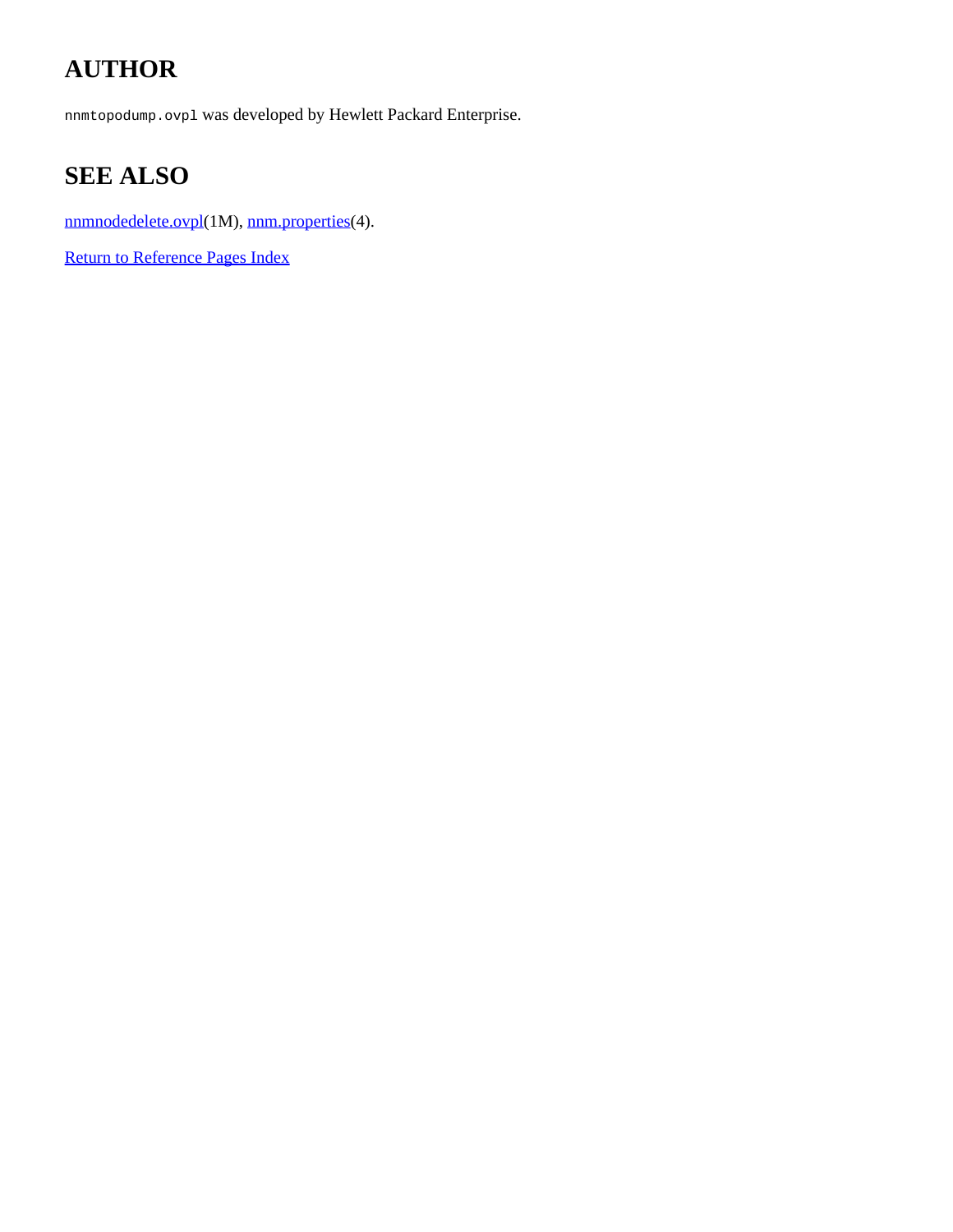## **AUTHOR**

nnmtopodump.ovpl was developed by Hewlett Packard Enterprise.

### **SEE ALSO**

[nnmnodedelete.ovpl](#page-172-0)(1M), [nnm.properties](#page-212-0)(4).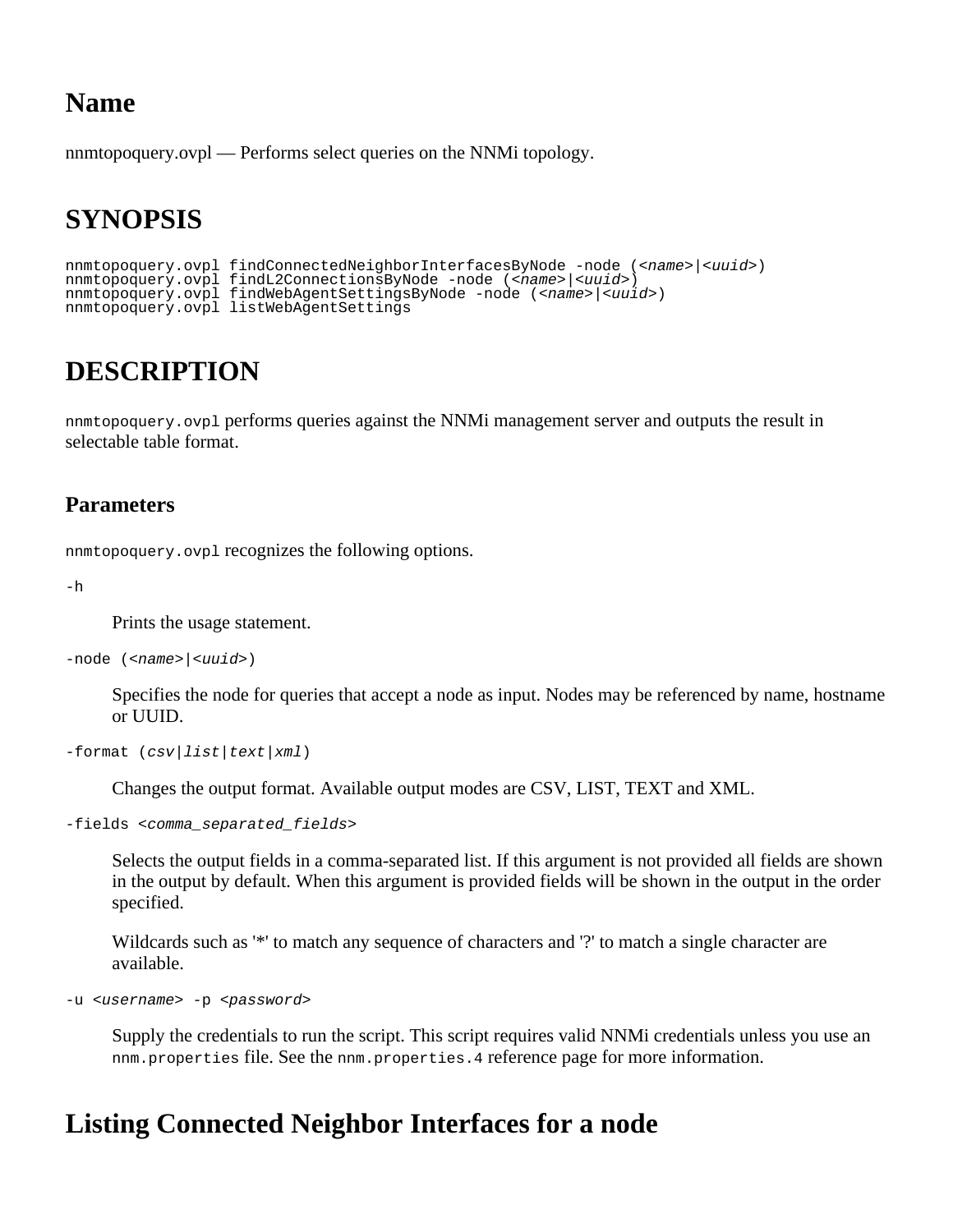nnmtopoquery.ovpl — Performs select queries on the NNMi topology.

### **SYNOPSIS**

nnmtopoquery.ovpl findConnectedNeighborInterfacesByNode -node (*<name>*|*<uuid>*) nnmtopoquery.ovpl findL2ConnectionsByNode -node (*<name>*|*<uuid>*) nnmtopoquery.ovpl findWebAgentSettingsByNode -node (*<name>*|*<uuid>*) nnmtopoquery.ovpl listWebAgentSettings

### **DESCRIPTION**

nnmtopoquery.ovpl performs queries against the NNMi management server and outputs the result in selectable table format.

#### **Parameters**

nnmtopoquery.ovpl recognizes the following options.

-h

Prints the usage statement.

```
-node (<name>|<uuid>)
```
Specifies the node for queries that accept a node as input. Nodes may be referenced by name, hostname or UUID.

```
-format (csv|list|text|xml)
```
Changes the output format. Available output modes are CSV, LIST, TEXT and XML.

```
-fields <comma_separated_fields>
```
Selects the output fields in a comma-separated list. If this argument is not provided all fields are shown in the output by default. When this argument is provided fields will be shown in the output in the order specified.

Wildcards such as '\*' to match any sequence of characters and '?' to match a single character are available.

-u *<username>* -p *<password>*

Supply the credentials to run the script. This script requires valid NNMi credentials unless you use an nnm.properties file. See the nnm.properties.4 reference page for more information.

#### **Listing Connected Neighbor Interfaces for a node**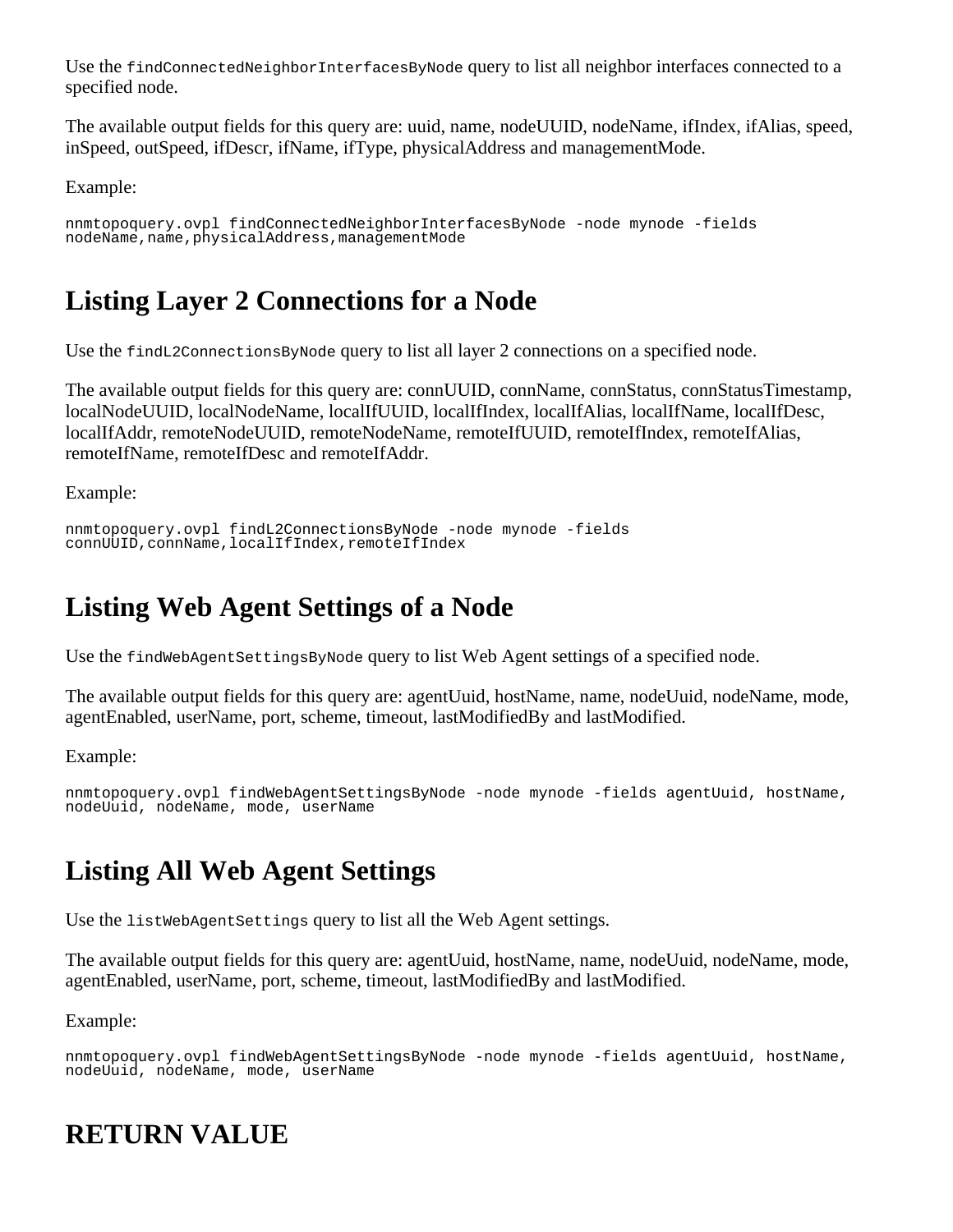Use the findConnectedNeighborInterfacesByNode query to list all neighbor interfaces connected to a specified node.

The available output fields for this query are: uuid, name, nodeUUID, nodeName, ifIndex, ifAlias, speed, inSpeed, outSpeed, ifDescr, ifName, ifType, physicalAddress and managementMode.

Example:

```
nnmtopoquery.ovpl findConnectedNeighborInterfacesByNode -node mynode -fields
nodeName, name, physicalAddress, managementMode
```
#### **Listing Layer 2 Connections for a Node**

Use the findL2ConnectionsByNode query to list all layer 2 connections on a specified node.

The available output fields for this query are: connUUID, connName, connStatus, connStatusTimestamp, localNodeUUID, localNodeName, localIfUUID, localIfIndex, localIfAlias, localIfName, localIfDesc, localIfAddr, remoteNodeUUID, remoteNodeName, remoteIfUUID, remoteIfIndex, remoteIfAlias, remoteIfName, remoteIfDesc and remoteIfAddr.

Example:

```
nnmtopoquery.ovpl findL2ConnectionsByNode -node mynode -fields
connUUID, connName, localIfIndex, remoteIfIndex
```
#### **Listing Web Agent Settings of a Node**

Use the findWebAgentSettingsByNode query to list Web Agent settings of a specified node.

The available output fields for this query are: agentUuid, hostName, name, nodeUuid, nodeName, mode, agentEnabled, userName, port, scheme, timeout, lastModifiedBy and lastModified.

Example:

```
nnmtopoquery.ovpl findWebAgentSettingsByNode -node mynode -fields agentUuid, hostName,
nodeUuid, nodeName, mode, userName
```
#### **Listing All Web Agent Settings**

Use the list WebAgent Settings query to list all the Web Agent settings.

The available output fields for this query are: agentUuid, hostName, name, nodeUuid, nodeName, mode, agentEnabled, userName, port, scheme, timeout, lastModifiedBy and lastModified.

Example:

```
nnmtopoquery.ovpl findWebAgentSettingsByNode -node mynode -fields agentUuid, hostName,
nodeUuid, nodeName, mode, userName
```
#### **RETURN VALUE**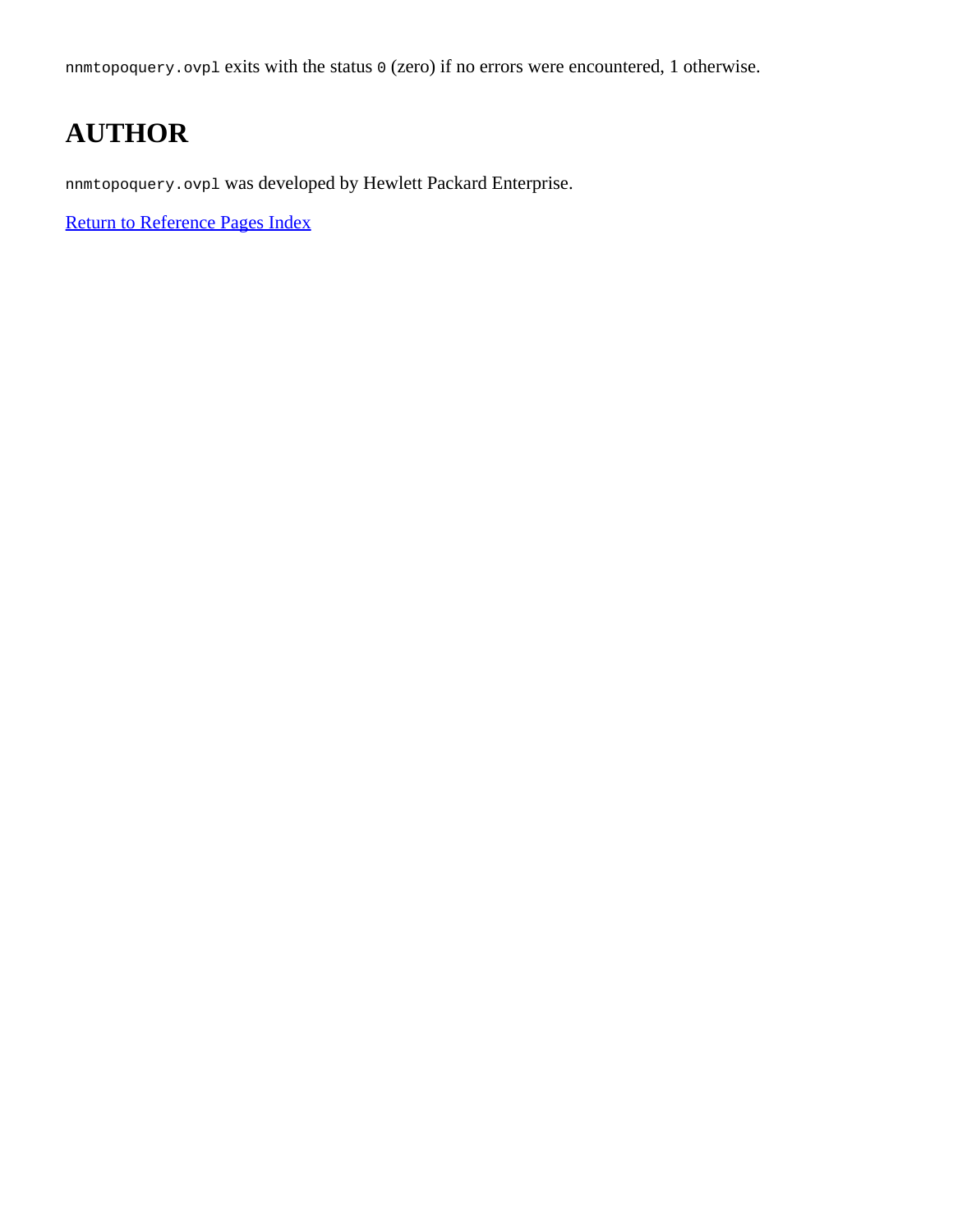nnmtopoquery.ovpl exits with the status 0 (zero) if no errors were encountered, 1 otherwise.

# **AUTHOR**

nnmtopoquery.ovpl was developed by Hewlett Packard Enterprise.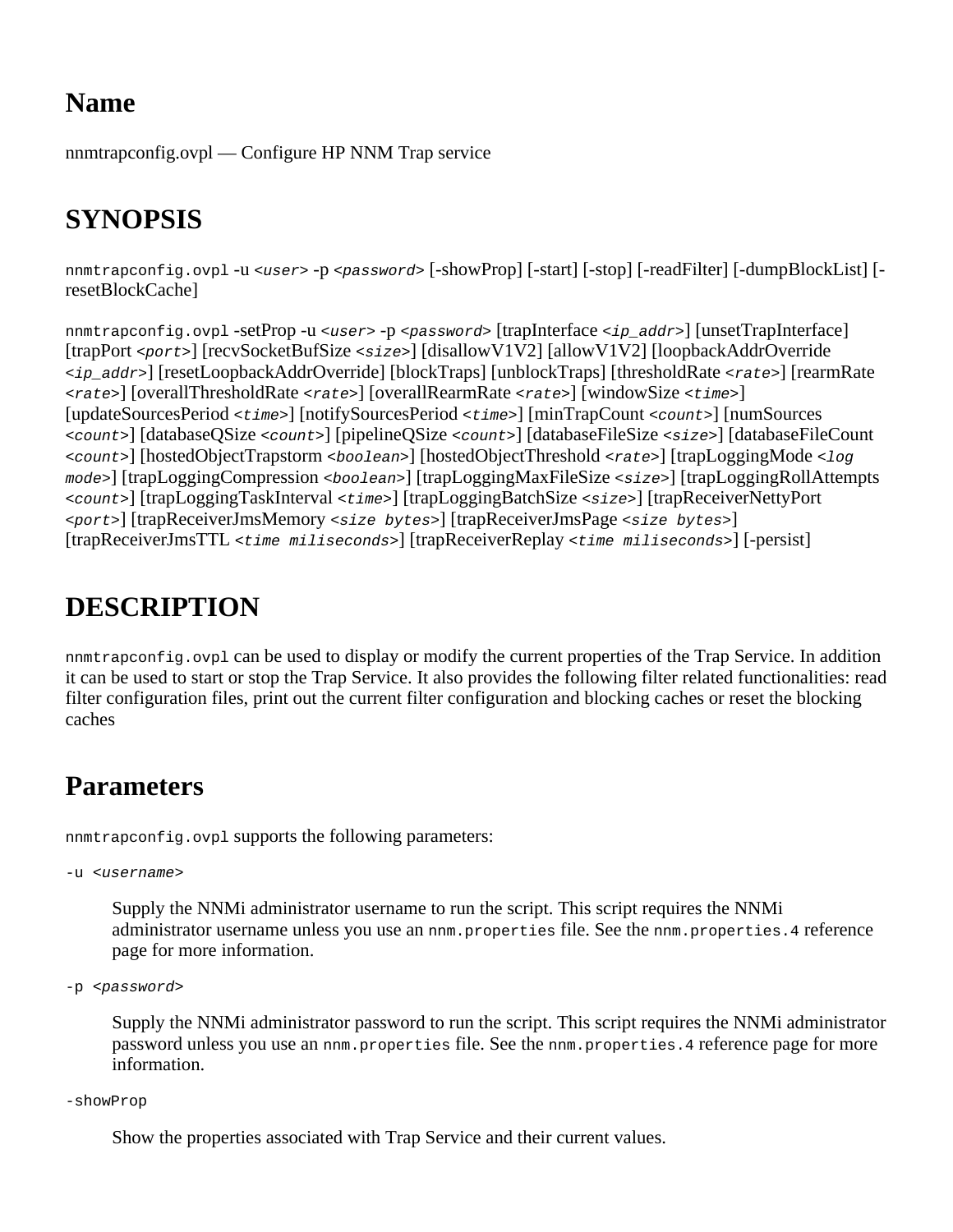nnmtrapconfig.ovpl — Configure HP NNM Trap service

# **SYNOPSIS**

nnmtrapconfig.ovpl -u *<user>* -p *<password>* [-showProp] [-start] [-stop] [-readFilter] [-dumpBlockList] [resetBlockCache]

nnmtrapconfig.ovpl -setProp -u *<user>* -p *<password>* [trapInterface *<ip\_addr>*] [unsetTrapInterface] [trapPort *<port>*] [recvSocketBufSize *<size>*] [disallowV1V2] [allowV1V2] [loopbackAddrOverride *<ip\_addr>*] [resetLoopbackAddrOverride] [blockTraps] [unblockTraps] [thresholdRate *<rate>*] [rearmRate *<rate>*] [overallThresholdRate *<rate>*] [overallRearmRate *<rate>*] [windowSize *<time>*] [updateSourcesPeriod *<time>*] [notifySourcesPeriod *<time>*] [minTrapCount *<count>*] [numSources *<count>*] [databaseQSize *<count>*] [pipelineQSize *<count>*] [databaseFileSize *<size>*] [databaseFileCount *<count>*] [hostedObjectTrapstorm *<boolean>*] [hostedObjectThreshold *<rate>*] [trapLoggingMode *<log mode>*] [trapLoggingCompression *<boolean>*] [trapLoggingMaxFileSize *<size>*] [trapLoggingRollAttempts *<count>*] [trapLoggingTaskInterval *<time>*] [trapLoggingBatchSize *<size>*] [trapReceiverNettyPort *<port>*] [trapReceiverJmsMemory *<size bytes>*] [trapReceiverJmsPage *<size bytes>*] [trapReceiverJmsTTL *<time miliseconds>*] [trapReceiverReplay *<time miliseconds>*] [-persist]

## **DESCRIPTION**

nnmtrapconfig.ovpl can be used to display or modify the current properties of the Trap Service. In addition it can be used to start or stop the Trap Service. It also provides the following filter related functionalities: read filter configuration files, print out the current filter configuration and blocking caches or reset the blocking caches

### **Parameters**

nnmtrapconfig.ovpl supports the following parameters:

-u <*username*>

Supply the NNMi administrator username to run the script. This script requires the NNMi administrator username unless you use an nnm.properties file. See the nnm.properties.4 reference page for more information.

-p <*password*>

Supply the NNMi administrator password to run the script. This script requires the NNMi administrator password unless you use an nnm.properties file. See the nnm.properties. 4 reference page for more information.

-showProp

Show the properties associated with Trap Service and their current values.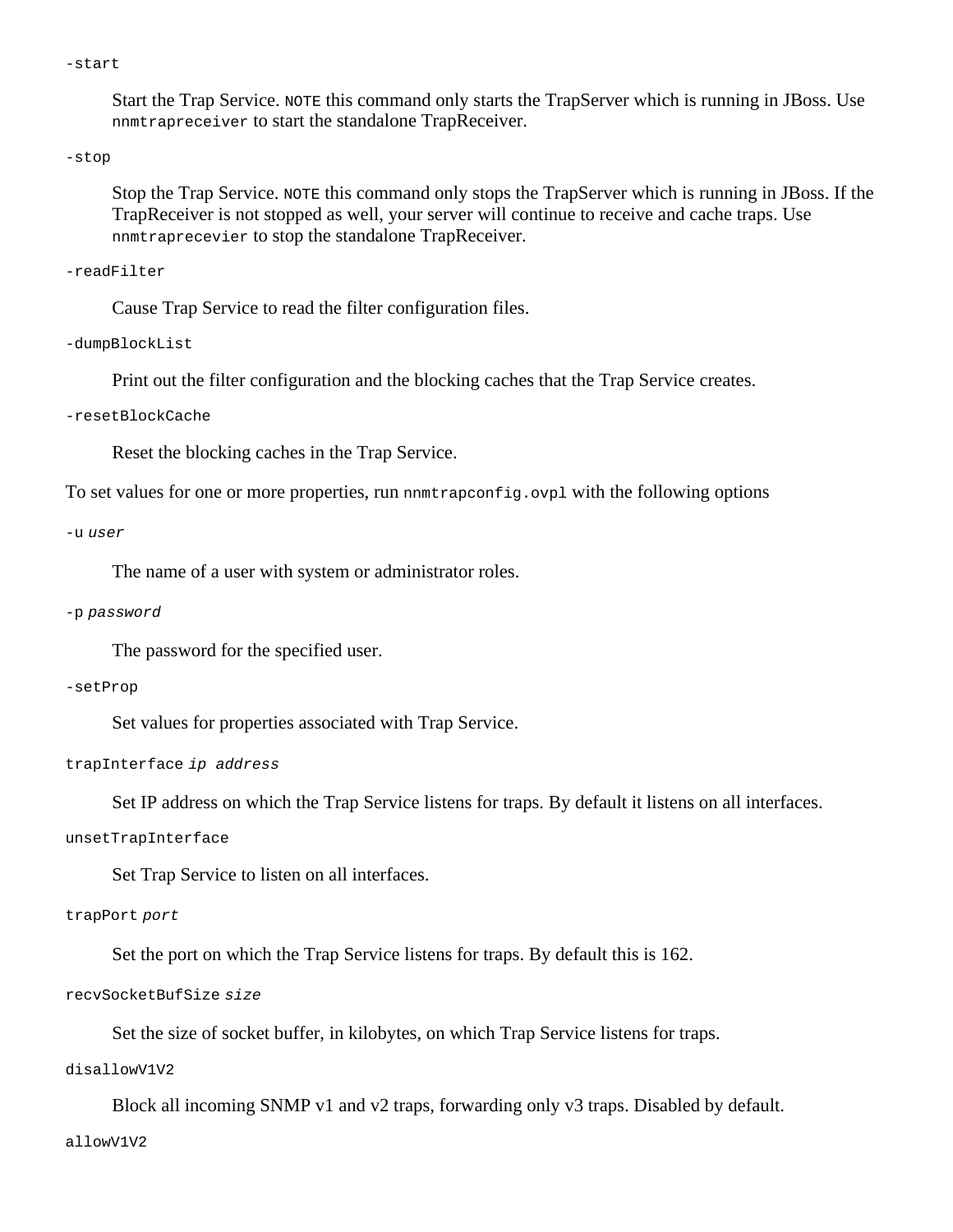-start

Start the Trap Service. NOTE this command only starts the TrapServer which is running in JBoss. Use nnmtrapreceiver to start the standalone TrapReceiver.

-stop

Stop the Trap Service. NOTE this command only stops the TrapServer which is running in JBoss. If the TrapReceiver is not stopped as well, your server will continue to receive and cache traps. Use nnmtraprecevier to stop the standalone TrapReceiver.

#### -readFilter

Cause Trap Service to read the filter configuration files.

-dumpBlockList

Print out the filter configuration and the blocking caches that the Trap Service creates.

-resetBlockCache

Reset the blocking caches in the Trap Service.

To set values for one or more properties, run nnmtrapconfig.ovpl with the following options

-u *user*

The name of a user with system or administrator roles.

#### -p *password*

The password for the specified user.

#### -setProp

Set values for properties associated with Trap Service.

trapInterface *ip address*

Set IP address on which the Trap Service listens for traps. By default it listens on all interfaces.

unsetTrapInterface

Set Trap Service to listen on all interfaces.

#### trapPort *port*

Set the port on which the Trap Service listens for traps. By default this is 162.

recvSocketBufSize *size*

Set the size of socket buffer, in kilobytes, on which Trap Service listens for traps.

#### disallowV1V2

Block all incoming SNMP v1 and v2 traps, forwarding only v3 traps. Disabled by default.

allowV1V2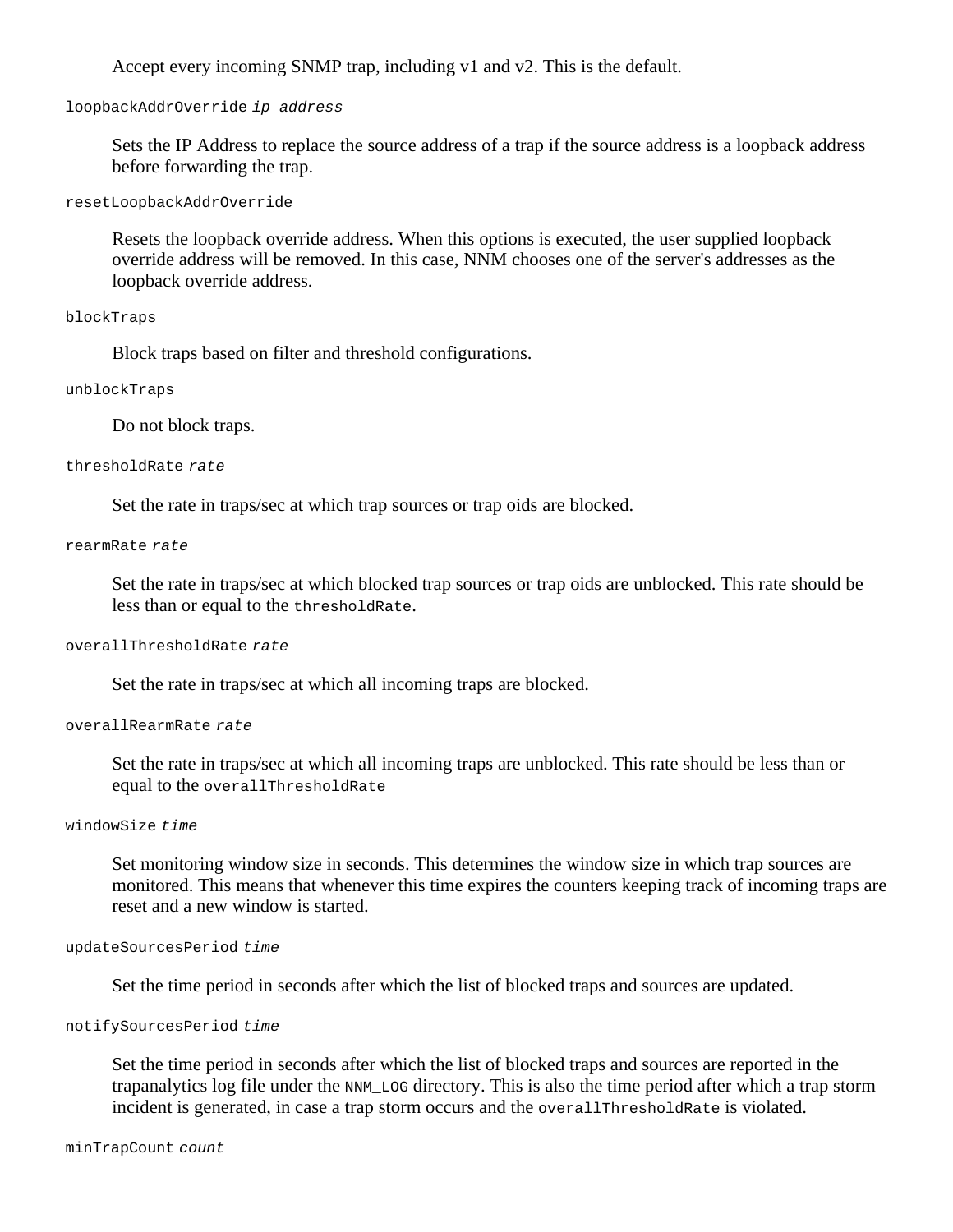Accept every incoming SNMP trap, including v1 and v2. This is the default.

loopbackAddrOverride *ip address*

Sets the IP Address to replace the source address of a trap if the source address is a loopback address before forwarding the trap.

resetLoopbackAddrOverride

Resets the loopback override address. When this options is executed, the user supplied loopback override address will be removed. In this case, NNM chooses one of the server's addresses as the loopback override address.

#### blockTraps

Block traps based on filter and threshold configurations.

unblockTraps

Do not block traps.

thresholdRate *rate*

Set the rate in traps/sec at which trap sources or trap oids are blocked.

rearmRate *rate*

Set the rate in traps/sec at which blocked trap sources or trap oids are unblocked. This rate should be less than or equal to the thresholdRate.

#### overallThresholdRate *rate*

Set the rate in traps/sec at which all incoming traps are blocked.

#### overallRearmRate *rate*

Set the rate in traps/sec at which all incoming traps are unblocked. This rate should be less than or equal to the overallThresholdRate

windowSize *time*

Set monitoring window size in seconds. This determines the window size in which trap sources are monitored. This means that whenever this time expires the counters keeping track of incoming traps are reset and a new window is started.

updateSourcesPeriod *time*

Set the time period in seconds after which the list of blocked traps and sources are updated.

notifySourcesPeriod *time*

Set the time period in seconds after which the list of blocked traps and sources are reported in the trapanalytics log file under the NNM\_LOG directory. This is also the time period after which a trap storm incident is generated, in case a trap storm occurs and the overallThresholdRate is violated.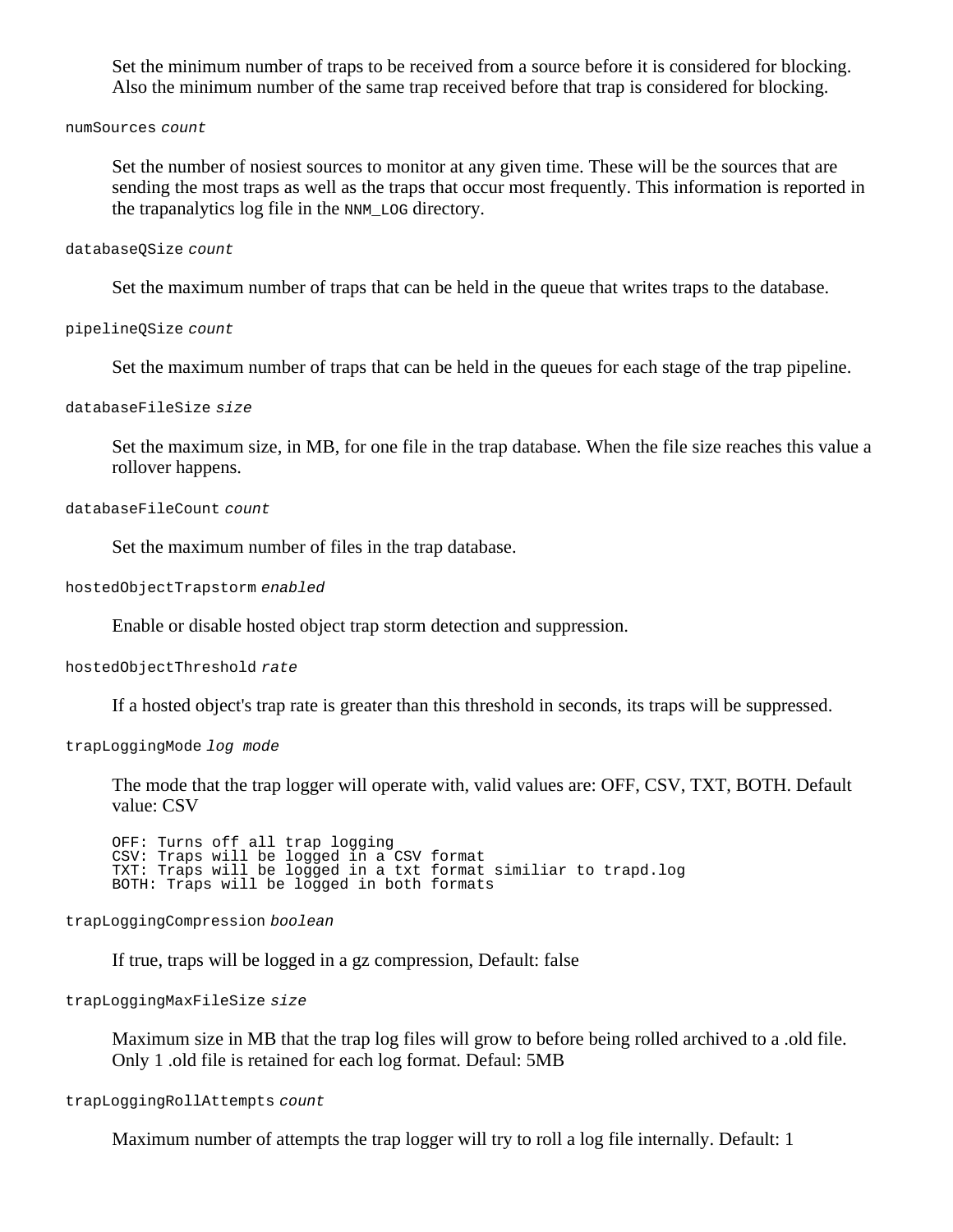Set the minimum number of traps to be received from a source before it is considered for blocking. Also the minimum number of the same trap received before that trap is considered for blocking.

numSources *count*

Set the number of nosiest sources to monitor at any given time. These will be the sources that are sending the most traps as well as the traps that occur most frequently. This information is reported in the trapanalytics log file in the NNM\_LOG directory.

#### databaseQSize *count*

Set the maximum number of traps that can be held in the queue that writes traps to the database.

pipelineQSize *count*

Set the maximum number of traps that can be held in the queues for each stage of the trap pipeline.

databaseFileSize *size*

Set the maximum size, in MB, for one file in the trap database. When the file size reaches this value a rollover happens.

databaseFileCount *count*

Set the maximum number of files in the trap database.

hostedObjectTrapstorm *enabled*

Enable or disable hosted object trap storm detection and suppression.

hostedObjectThreshold *rate*

If a hosted object's trap rate is greater than this threshold in seconds, its traps will be suppressed.

trapLoggingMode *log mode*

The mode that the trap logger will operate with, valid values are: OFF, CSV, TXT, BOTH. Default value: CSV

OFF: Turns off all trap logging CSV: Traps will be logged in a CSV format TXT: Traps will be logged in a txt format similiar to trapd.log BOTH: Traps will be logged in both formats

trapLoggingCompression *boolean*

If true, traps will be logged in a gz compression, Default: false

trapLoggingMaxFileSize *size*

Maximum size in MB that the trap log files will grow to before being rolled archived to a .old file. Only 1 .old file is retained for each log format. Defaul: 5MB

trapLoggingRollAttempts *count*

Maximum number of attempts the trap logger will try to roll a log file internally. Default: 1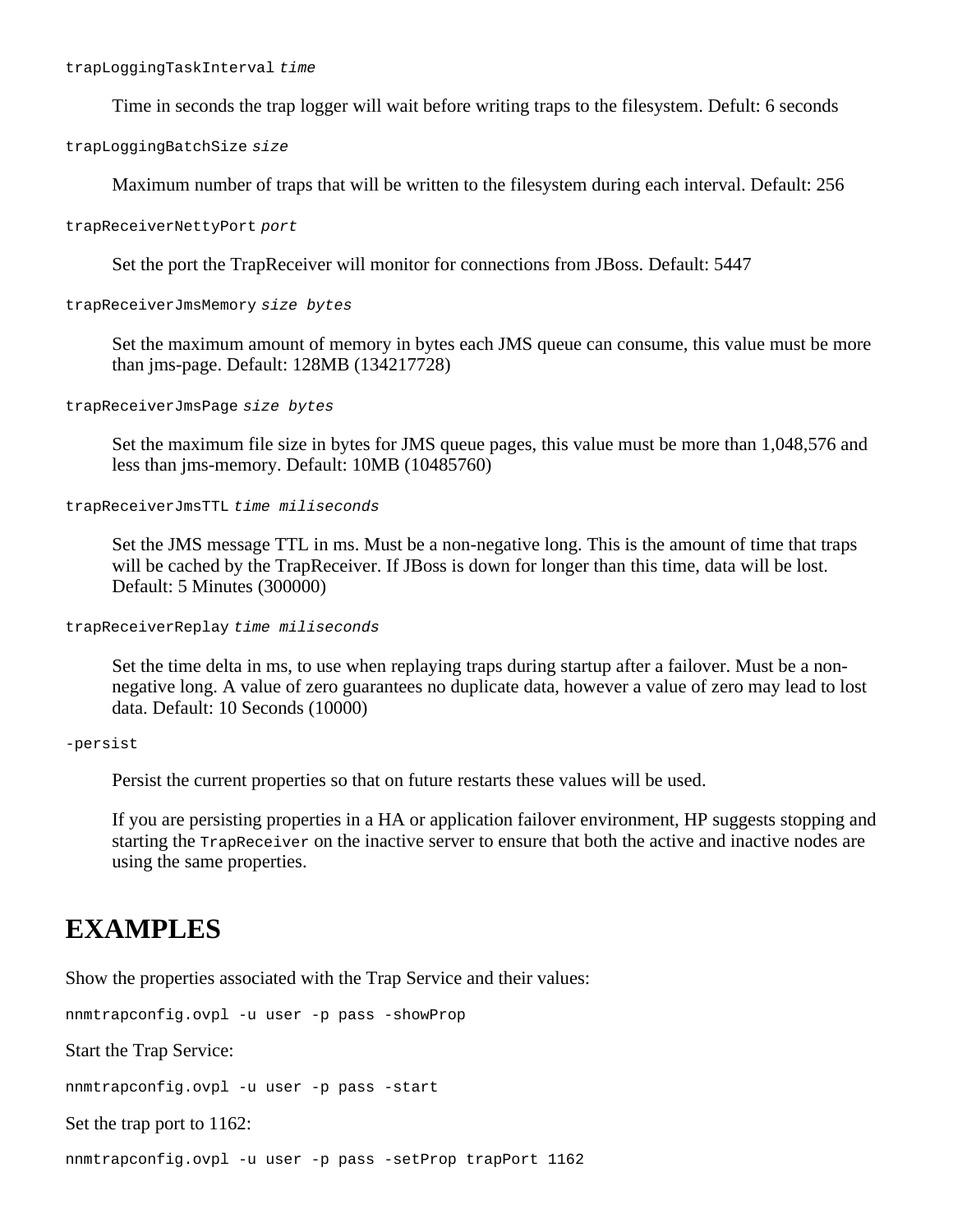trapLoggingTaskInterval *time*

Time in seconds the trap logger will wait before writing traps to the filesystem. Defult: 6 seconds

trapLoggingBatchSize *size*

Maximum number of traps that will be written to the filesystem during each interval. Default: 256

trapReceiverNettyPort *port*

Set the port the TrapReceiver will monitor for connections from JBoss. Default: 5447

trapReceiverJmsMemory *size bytes*

Set the maximum amount of memory in bytes each JMS queue can consume, this value must be more than jms-page. Default: 128MB (134217728)

trapReceiverJmsPage *size bytes*

Set the maximum file size in bytes for JMS queue pages, this value must be more than 1,048,576 and less than jms-memory. Default: 10MB (10485760)

trapReceiverJmsTTL *time miliseconds*

Set the JMS message TTL in ms. Must be a non-negative long. This is the amount of time that traps will be cached by the TrapReceiver. If JBoss is down for longer than this time, data will be lost. Default: 5 Minutes (300000)

trapReceiverReplay *time miliseconds*

Set the time delta in ms, to use when replaying traps during startup after a failover. Must be a nonnegative long. A value of zero guarantees no duplicate data, however a value of zero may lead to lost data. Default: 10 Seconds (10000)

#### -persist

Persist the current properties so that on future restarts these values will be used.

If you are persisting properties in a HA or application failover environment, HP suggests stopping and starting the TrapReceiver on the inactive server to ensure that both the active and inactive nodes are using the same properties.

#### **EXAMPLES**

Show the properties associated with the Trap Service and their values:

nnmtrapconfig.ovpl -u user -p pass -showProp

Start the Trap Service:

nnmtrapconfig.ovpl -u user -p pass -start

Set the trap port to 1162:

nnmtrapconfig.ovpl -u user -p pass -setProp trapPort 1162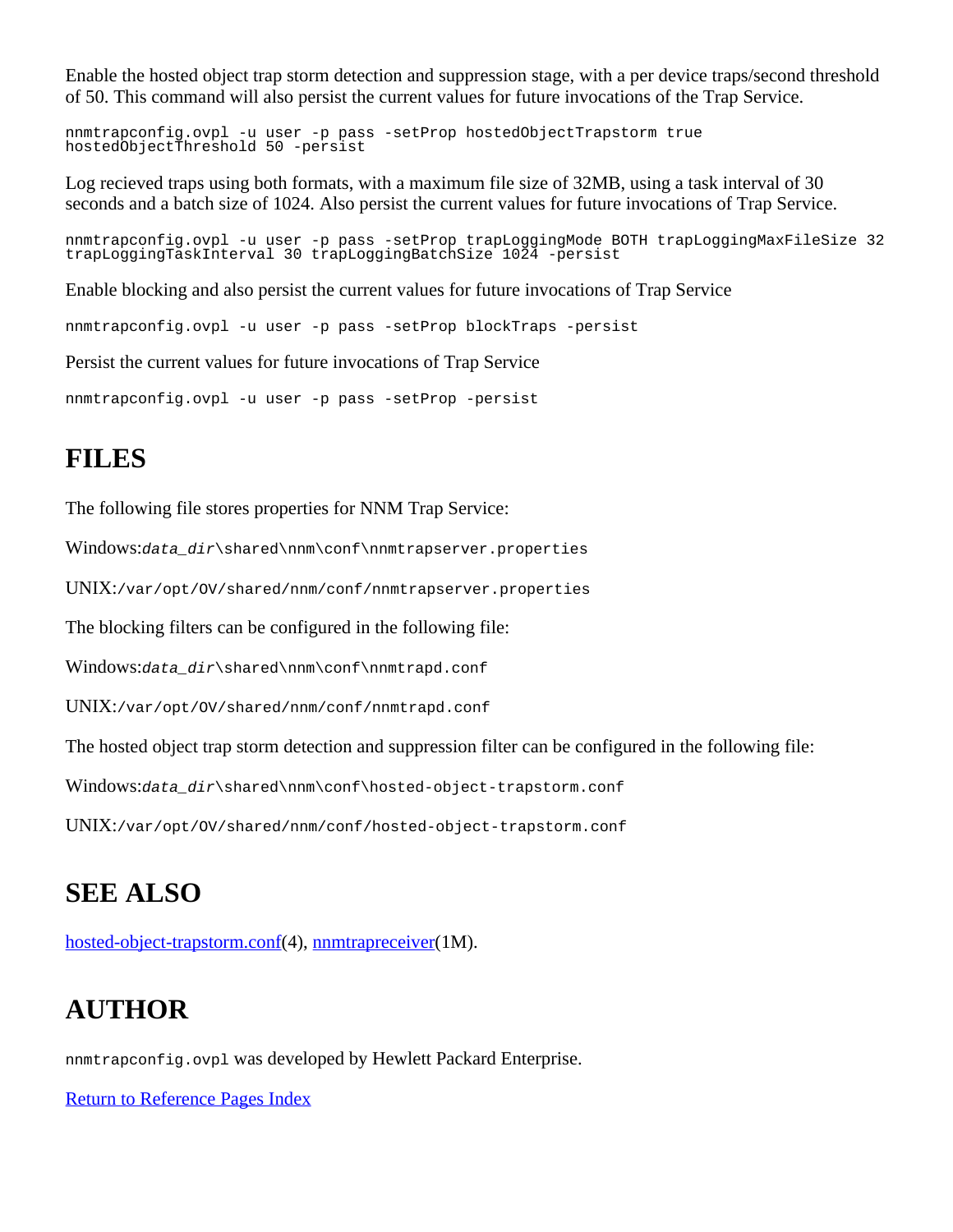Enable the hosted object trap storm detection and suppression stage, with a per device traps/second threshold of 50. This command will also persist the current values for future invocations of the Trap Service.

nnmtrapconfig.ovpl -u user -p pass -setProp hostedObjectTrapstorm true hostedObjectThreshold 50 -persist

Log recieved traps using both formats, with a maximum file size of 32MB, using a task interval of 30 seconds and a batch size of 1024. Also persist the current values for future invocations of Trap Service.

nnmtrapconfig.ovpl -u user -p pass -setProp trapLoggingMode BOTH trapLoggingMaxFileSize 32 trapLoggingTaskInterval 30 trapLoggingBatchSize 1024 -persist

Enable blocking and also persist the current values for future invocations of Trap Service

nnmtrapconfig.ovpl -u user -p pass -setProp blockTraps -persist

Persist the current values for future invocations of Trap Service

nnmtrapconfig.ovpl -u user -p pass -setProp -persist

#### **FILES**

The following file stores properties for NNM Trap Service:

Windows:*data\_dir*\shared\nnm\conf\nnmtrapserver.properties

UNIX:/var/opt/OV/shared/nnm/conf/nnmtrapserver.properties

The blocking filters can be configured in the following file:

Windows:*data\_dir*\shared\nnm\conf\nnmtrapd.conf

UNIX:/var/opt/OV/shared/nnm/conf/nnmtrapd.conf

The hosted object trap storm detection and suppression filter can be configured in the following file:

Windows:*data\_dir*\shared\nnm\conf\hosted-object-trapstorm.conf

UNIX:/var/opt/OV/shared/nnm/conf/hosted-object-trapstorm.conf

### **SEE ALSO**

[hosted-object-trapstorm.conf\(](#page-219-0)4), [nnmtrapreceiver](#page-299-0)(1M).

#### **AUTHOR**

nnmtrapconfig.ovpl was developed by Hewlett Packard Enterprise.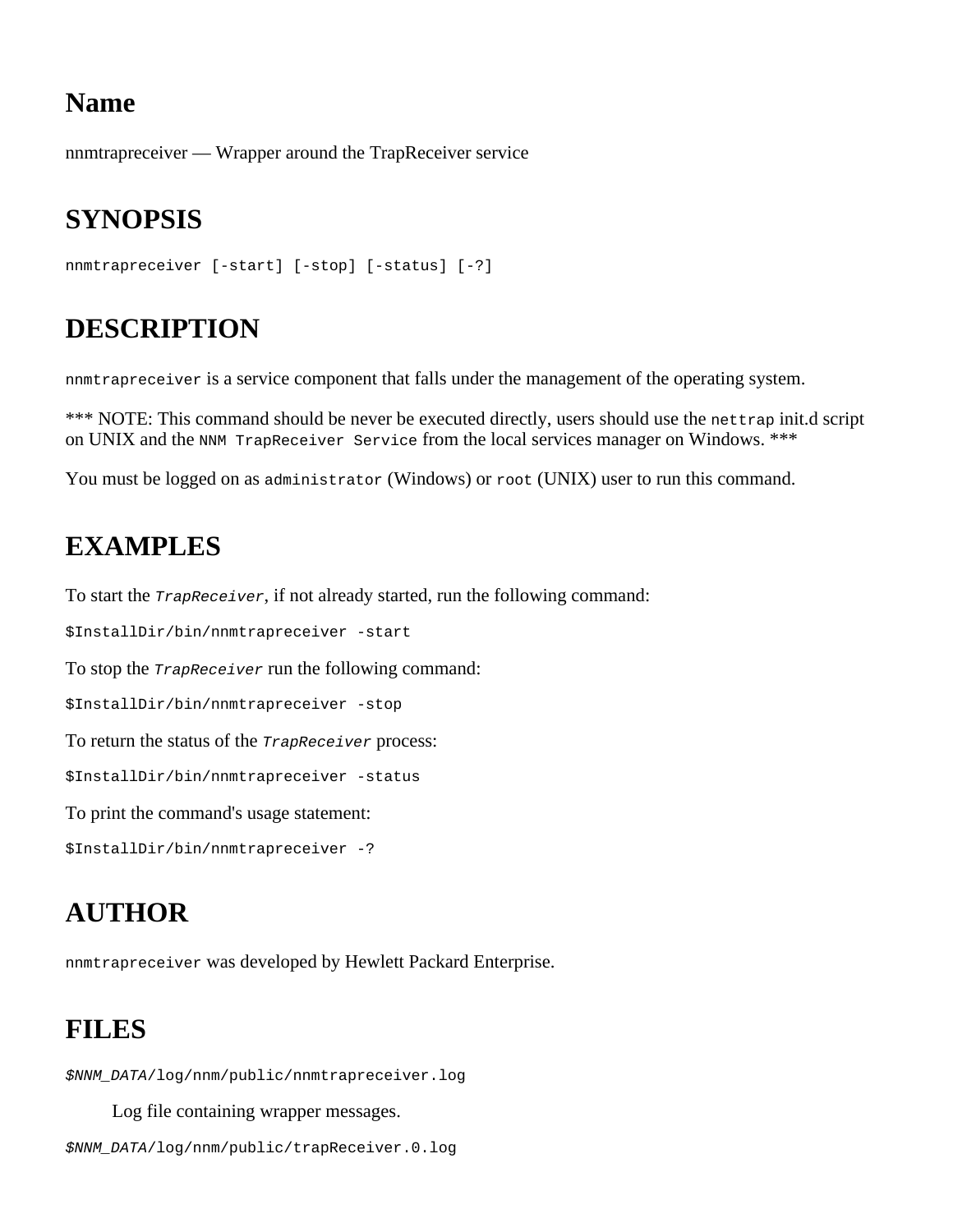<span id="page-299-0"></span>nnmtrapreceiver — Wrapper around the TrapReceiver service

# **SYNOPSIS**

```
nnmtrapreceiver [-start] [-stop] [-status] [-?]
```
# **DESCRIPTION**

nnmtrapreceiver is a service component that falls under the management of the operating system.

\*\*\* NOTE: This command should be never be executed directly, users should use the nettrap init.d script on UNIX and the NNM TrapReceiver Service from the local services manager on Windows. \*\*\*

You must be logged on as administrator (Windows) or root (UNIX) user to run this command.

## **EXAMPLES**

To start the *TrapReceiver*, if not already started, run the following command:

\$InstallDir/bin/nnmtrapreceiver -start

To stop the *TrapReceiver* run the following command:

\$InstallDir/bin/nnmtrapreceiver -stop

To return the status of the *TrapReceiver* process:

\$InstallDir/bin/nnmtrapreceiver -status

To print the command's usage statement:

\$InstallDir/bin/nnmtrapreceiver -?

# **AUTHOR**

nnmtrapreceiver was developed by Hewlett Packard Enterprise.

#### **FILES**

*\$NNM\_DATA*/log/nnm/public/nnmtrapreceiver.log

Log file containing wrapper messages.

*\$NNM\_DATA*/log/nnm/public/trapReceiver.0.log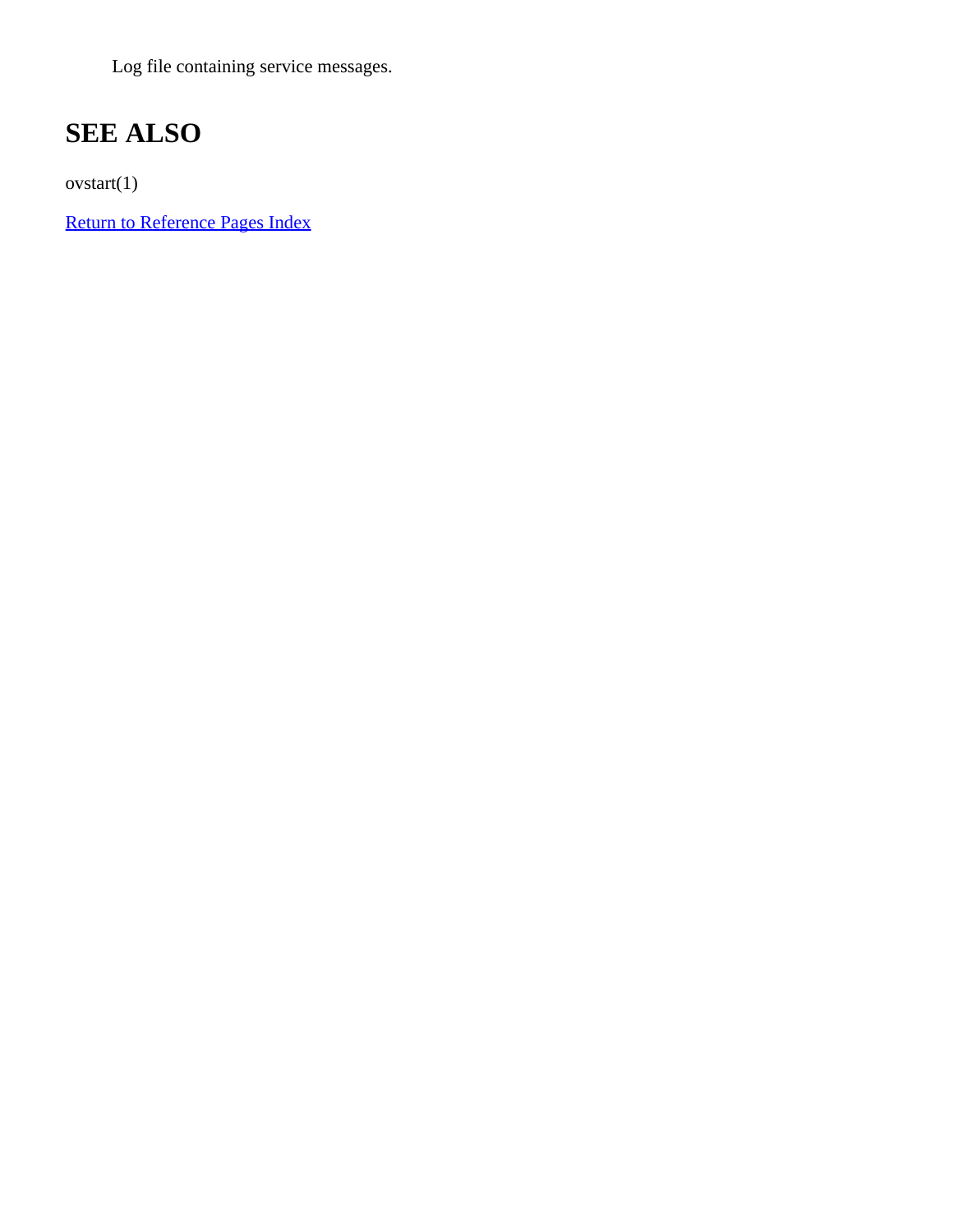Log file containing service messages.

# **SEE ALSO**

ovstart(1)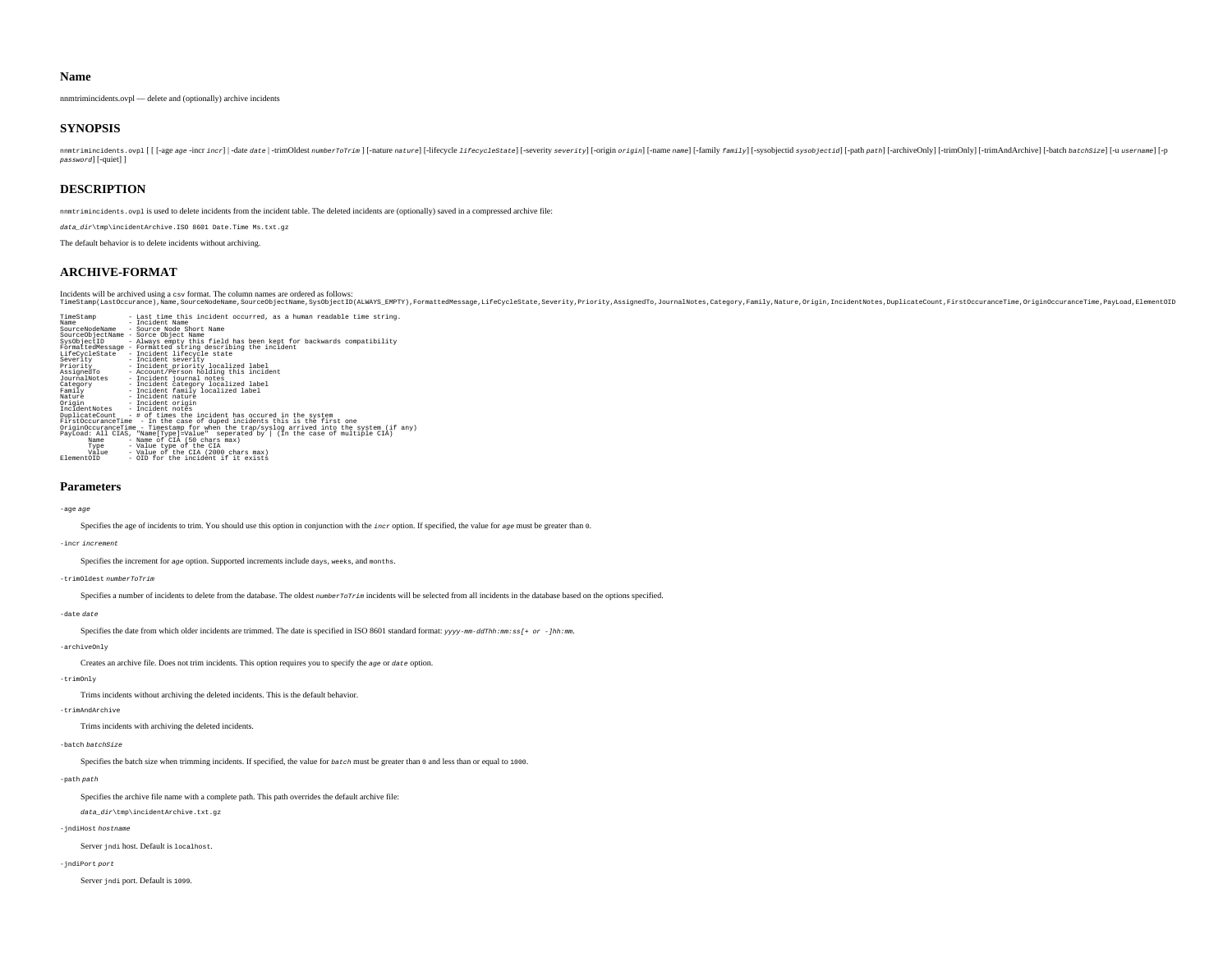nnmtrimincidents.ovpl — delete and (optionally) archive incidents

#### **SYNOPSIS**

nnmtrimincidents.ovpl[[[-age age -incr incr]]-date date |-trimOldest numberToTrim][-nature nature][-lifecycle lifecycleState][-severity][-origin origin][-name name][family] [-amily][-sysobjectid][-path path ][-achiveOnly][ *password*] [-quiet] ]

#### **DESCRIPTION**

nnmtrimincidents.ovpl is used to delete incidents from the incident table. The deleted incidents are (optionally) saved in a compressed archive file:

*data\_dir*\tmp\incidentArchive.ISO 8601 Date.Time Ms.txt.gz

The default behavior is to delete incidents without archiving.

#### **ARCHIVE-FORMAT**

lncidens will be archived using a csy format. The column names are ordered as follows:<br>TimeStamp(LastOccurance),Name,SourceNodelame,SourceObjectName,SyaObjectID(ALWAYS\_EMPY),PormattedMessage,LifeCycleState,Severity,Arsigne TimeStamp - Last time this incident occurred, as a human readable time string.

| Name                           | - Incident Name                                                                           |
|--------------------------------|-------------------------------------------------------------------------------------------|
| SourceNodeName                 | - Source Node Short Name                                                                  |
|                                | SourceObjectName - Sorce Object Name                                                      |
| SvsObjectID                    | - Always empty this field has been kept for backwards compatibility                       |
|                                | FormattedMessage - Formatted string describing the incident                               |
| LifeCvcleState                 | - Incident lifecycle state                                                                |
| Severity                       | - Incident severity                                                                       |
| Priority                       | - Incident priority localized label                                                       |
| AssignedTo                     | - Account/Person holding this incident                                                    |
| JournalNotes                   | - Incident journal notes                                                                  |
| Category                       | - Incident category localized label                                                       |
| Family                         | - Incident family localized label                                                         |
| Nature - Incident nature       |                                                                                           |
| Origin                         | - Incident origin                                                                         |
| IncidentNotes - Incident notes |                                                                                           |
|                                | DuplicateCount - # of times the incident has occured in the system                        |
|                                | FirstOccuranceTime - In the case of duped incidents this is the first one                 |
|                                | OriginOccuranceTime - Timestamp for when the trap/syslog arrived into the system (if any) |
|                                | PayLoad: All CIAS, "Name[Type]=Value" seperated by   (In the case of multiple CIA)        |
| Name                           | - Name of CIA (50 chars max)                                                              |
| Type                           | - Value type of the CIA                                                                   |
|                                | Value - Value of the CIA (2000 chars max)                                                 |
| ElementOID                     | - OID for the incident if it exists                                                       |
|                                |                                                                                           |

#### **Parameters**

-age *age*

Specifies the age of incidents to trim. You should use this option in conjunction with the *incr* option. If specified, the value for *age* must be greater than 0.

#### -incr *increment*

Specifies the increment for *age* option. Supported increments include days, weeks, and months.

#### -trimOldest *numberToTrim*

Specifies a number of incidents to delete from the database. The oldest *numberToTrim* incidents will be selected from all incidents in the database based on the options specified.

#### -date *date*

Specifies the date from which older incidents are trimmed. The date is specified in ISO 8601 standard format: *yyyy-mm-ddThh:mm:ss[+ or -]hh:mm*.

#### -archiveOnly

Creates an archive file. Does not trim incidents. This option requires you to specify the *age* or *date* option.

#### -trimOnly

Trims incidents without archiving the deleted incidents. This is the default behavior.

#### -trimAndArchive

Trims incidents with archiving the deleted incidents.

#### -batch *batchSize*

Specifies the batch size when trimming incidents. If specified, the value for *batch* must be greater than 0 and less than or equal to 1000.

#### -path *path*

Specifies the archive file name with a complete path. This path overrides the default archive file:

*data\_dir*\tmp\incidentArchive.txt.gz

#### -jndiHost *hostname*

Server indi host. Default is localhost.

-jndiPort *port*

Server jndi port. Default is 1099.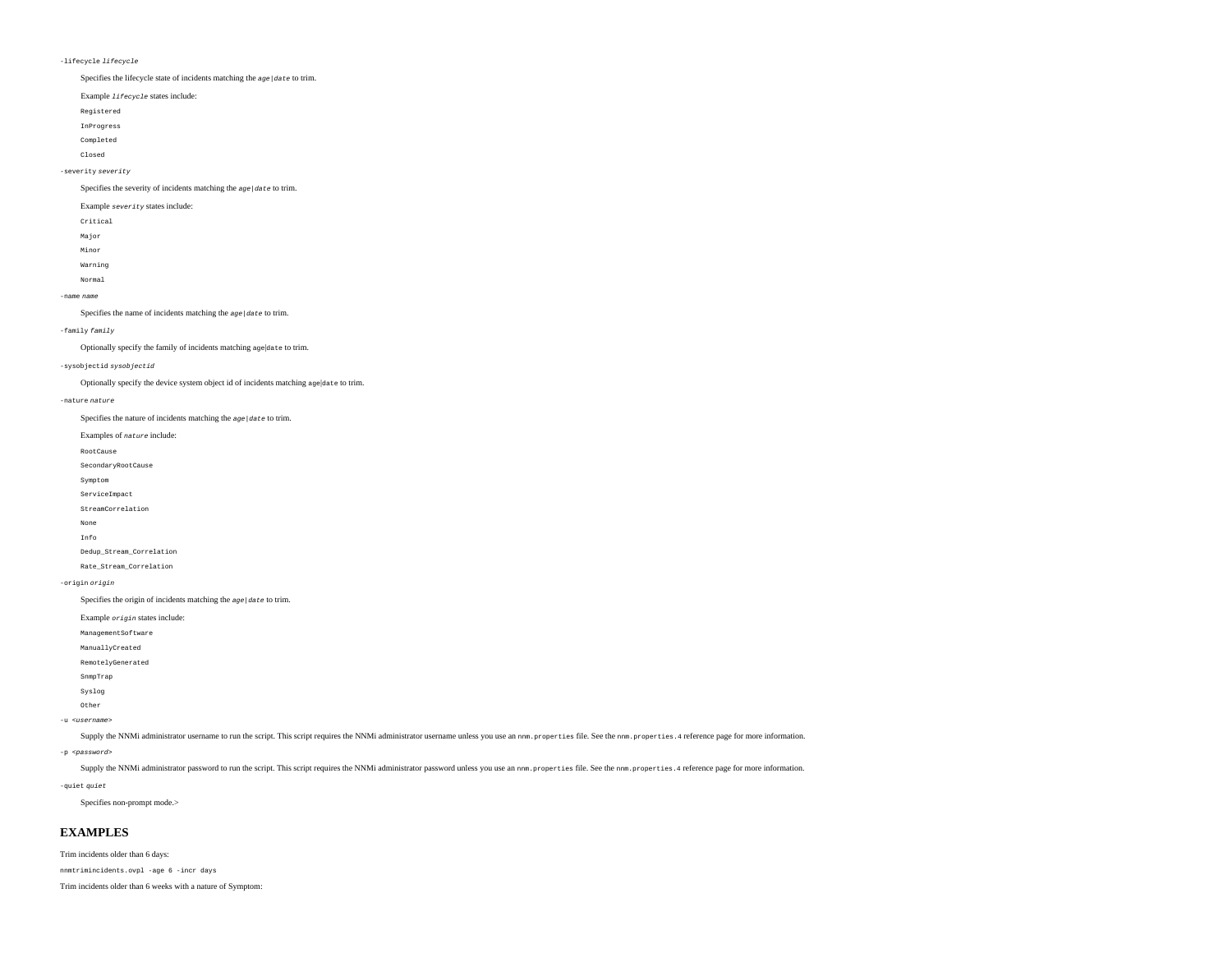#### -lifecycle *lifecycle*

#### Specifies the lifecycle state of incidents matching the *age*|*date* to trim.

- Example *lifecycle* states include:
- Registered
- InProgress
- Completed
- Closed

-severity *severity*

#### Specifies the severity of incidents matching the *age*|*date* to trim.

#### Example *severity* states include:

- Critical
- Major
- Minor
- Warning
- Normal
- 

#### -name *name*

Specifies the name of incidents matching the *age*|*date* to trim.

#### -family *family*

Optionally specify the family of incidents matching age|date to trim.

#### -sysobjectid *sysobjectid*

Optionally specify the device system object id of incidents matching age|date to trim.

#### -nature *nature*

Specifies the nature of incidents matching the *age*|*date* to trim.

- Examples of *nature* include:
- RootCause
- SecondaryRootCause
- Symptom

ServiceImpact

- StreamCorrelation
- None
- Info
	-
- Dedup\_Stream\_Correlation
- Rate\_Stream\_Correlation

-origin *origin*

Specifies the origin of incidents matching the *age*|*date* to trim.

Example *origin* states include:

- ManagementSoftware
- ManuallyCreated
- RemotelyGenerated
- SnmpTrap
- Syslog
- Other
- -u <*username*>

Supply the NNMi administrator username to run the script. This script requires the NNMi administrator username unless you use an nnm.properties file. See the nnm.properties. 4 reference page for more information.

#### -p <*password*>

Supply the NNMi administrator password to run the script. This script requires the NNMi administrator password unless you use an nmm.properties file. See the nnm.properties. 4 reference page for more information.

-quiet *quiet*

Specifies non-prompt mode.>

#### **EXAMPLES**

Trim incidents older than 6 days:

nnmtrimincidents.ovpl -age 6 -incr days

Trim incidents older than 6 weeks with a nature of Symptom: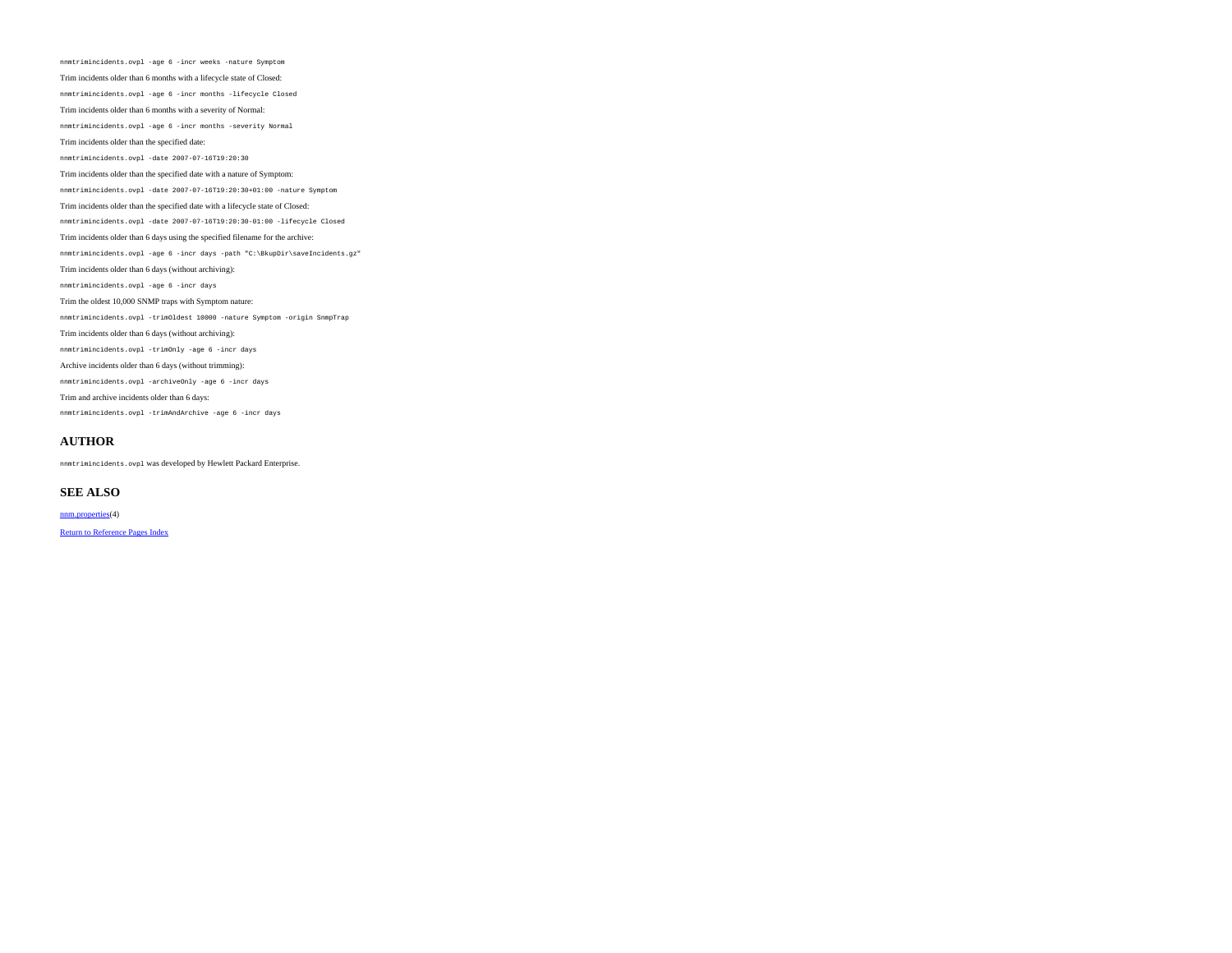nnmtrimincidents.ovpl -age 6 -incr weeks -nature Symptom

Trim incidents older than 6 months with a lifecycle state of Closed:

nnmtrimincidents.ovpl -age 6 -incr months -lifecycle Closed

Trim incidents older than 6 months with a severity of Normal:

nnmtrimincidents.ovpl -age 6 -incr months -severity Normal

Trim incidents older than the specified date:

nnmtrimincidents.ovpl -date 2007-07-16T19:20:30

Trim incidents older than the specified date with a nature of Symptom:

nnmtrimincidents.ovpl -date 2007-07-16T19:20:30+01:00 -nature Symptom

#### Trim incidents older than the specified date with a lifecycle state of Closed:

nnmtrimincidents.ovpl -date 2007-07-16T19:20:30-01:00 -lifecycle Closed

#### Trim incidents older than 6 days using the specified filename for the archive:

nnmtrimincidents.ovpl -age 6 -incr days -path "C:\BkupDir\saveIncidents.gz"

Trim incidents older than 6 days (without archiving):

nnmtrimincidents.ovpl -age 6 -incr days

Trim the oldest 10,000 SNMP traps with Symptom nature:

nnmtrimincidents.ovpl -trimOldest 10000 -nature Symptom -origin SnmpTrap

Trim incidents older than 6 days (without archiving): nnmtrimincidents.ovpl -trimOnly -age 6 -incr days

Archive incidents older than 6 days (without trimming):

nnmtrimincidents.ovpl -archiveOnly -age 6 -incr days

#### Trim and archive incidents older than 6 days:

nnmtrimincidents.ovpl -trimAndArchive -age 6 -incr days

#### **AUTHOR**

nnmtrimincidents.ovpl was developed by Hewlett Packard Enterprise.

#### **SEE ALSO**

[nnm.properties\(](#page-212-1)4)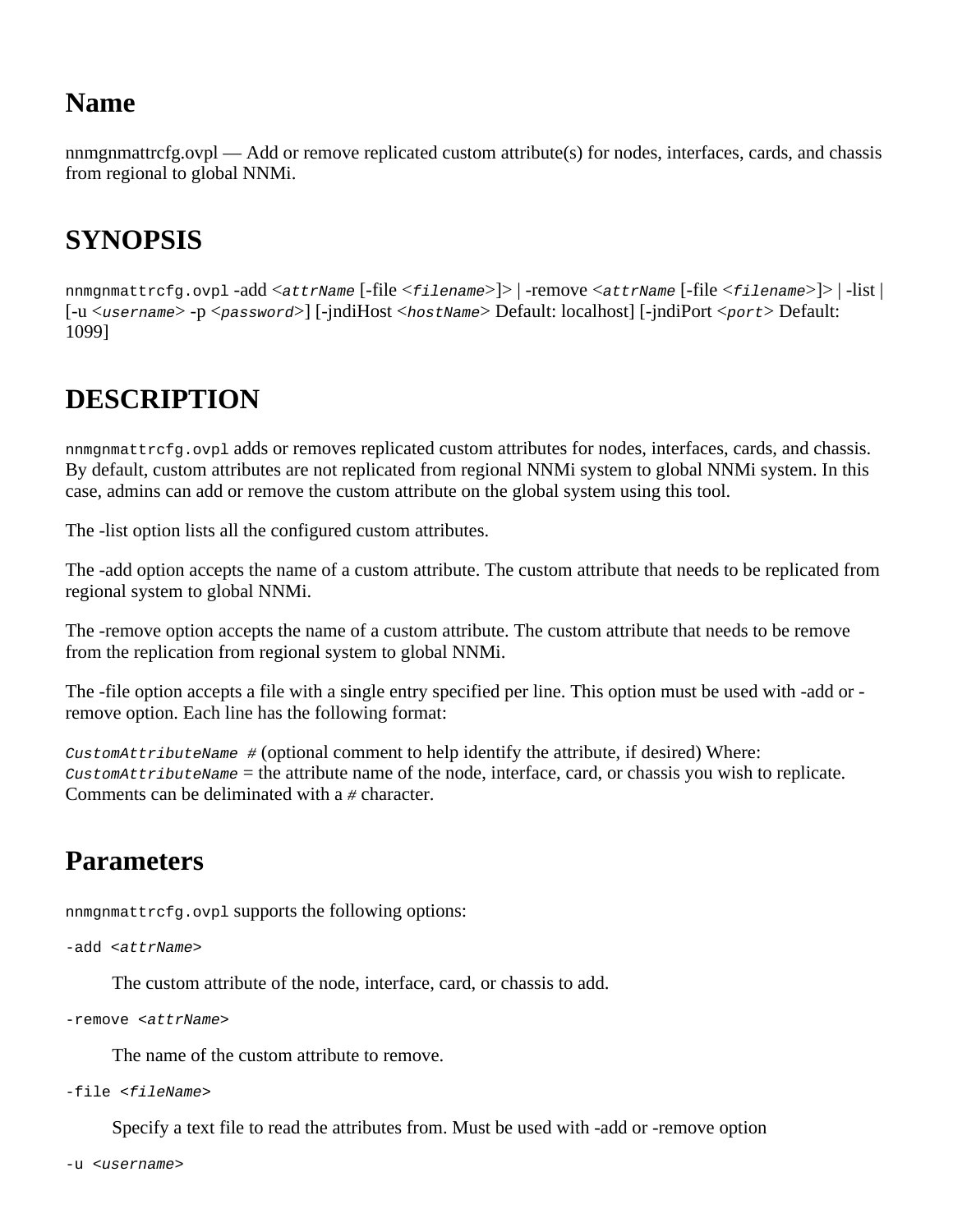nnmgnmattrcfg.ovpl — Add or remove replicated custom attribute(s) for nodes, interfaces, cards, and chassis from regional to global NNMi.

# **SYNOPSIS**

nnmgnmattrcfg.ovpl -add <*attrName* [-file <*filename*>]> | -remove <*attrName* [-file <*filename*>]> | -list | [-u <*username*> -p <*password*>] [-jndiHost <*hostName*> Default: localhost] [-jndiPort <*port*> Default: 1099]

### **DESCRIPTION**

nnmgnmattrcfg.ovpl adds or removes replicated custom attributes for nodes, interfaces, cards, and chassis. By default, custom attributes are not replicated from regional NNMi system to global NNMi system. In this case, admins can add or remove the custom attribute on the global system using this tool.

The -list option lists all the configured custom attributes.

The -add option accepts the name of a custom attribute. The custom attribute that needs to be replicated from regional system to global NNMi.

The -remove option accepts the name of a custom attribute. The custom attribute that needs to be remove from the replication from regional system to global NNMi.

The -file option accepts a file with a single entry specified per line. This option must be used with -add or remove option. Each line has the following format:

*CustomAttributeName #* (optional comment to help identify the attribute, if desired) Where: *CustomAttributeName* = the attribute name of the node, interface, card, or chassis you wish to replicate. Comments can be deliminated with a *#* character.

#### **Parameters**

nnmgnmattrcfg.ovpl supports the following options:

```
-add <attrName>
```
The custom attribute of the node, interface, card, or chassis to add.

-remove <*attrName*>

The name of the custom attribute to remove.

```
-file <fileName>
```
Specify a text file to read the attributes from. Must be used with -add or -remove option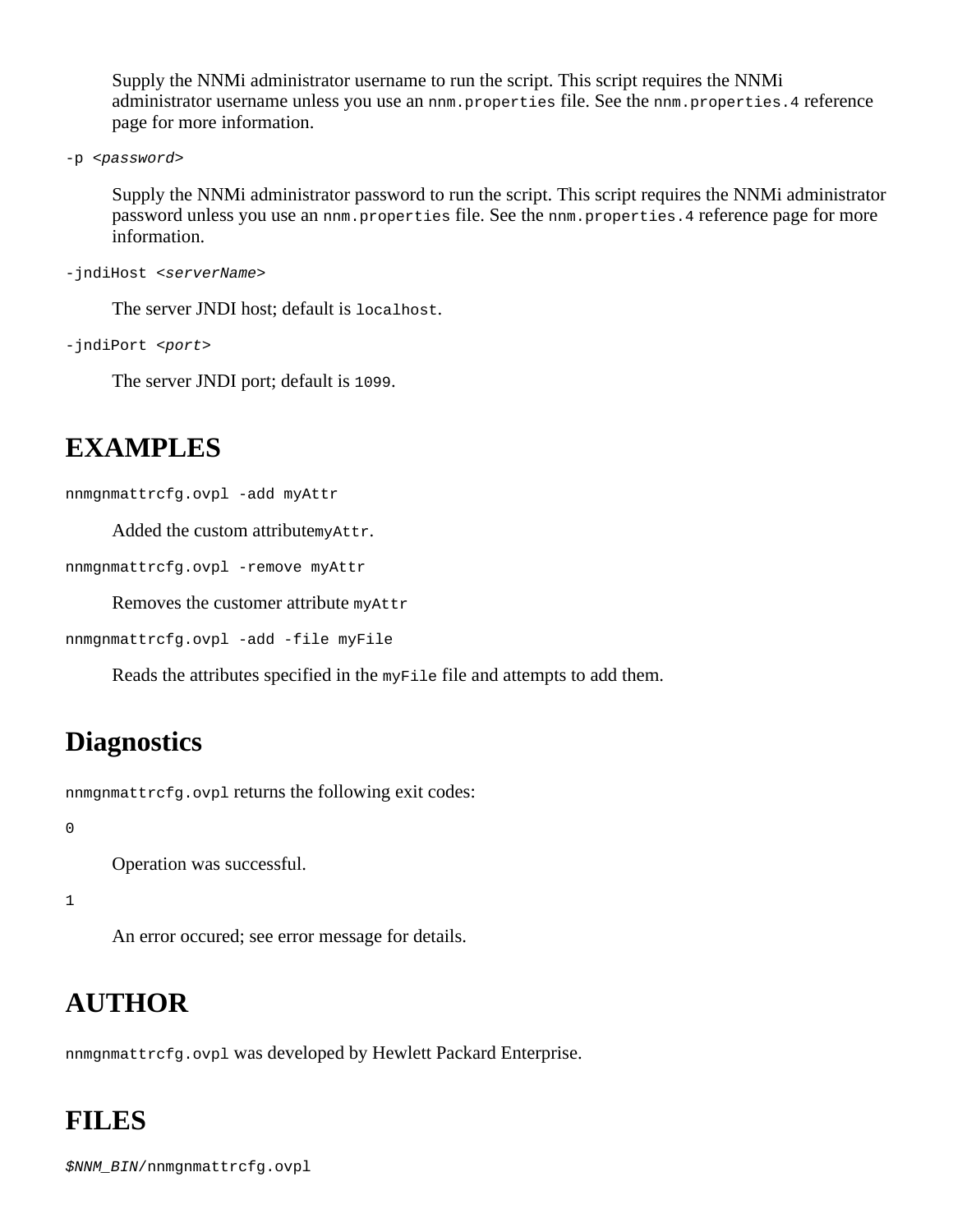Supply the NNMi administrator username to run the script. This script requires the NNMi administrator username unless you use an nnm.properties file. See the nnm.properties. 4 reference page for more information.

-p <*password*>

Supply the NNMi administrator password to run the script. This script requires the NNMi administrator password unless you use an nnm.properties file. See the nnm.properties. 4 reference page for more information.

```
-jndiHost <serverName>
```
The server JNDI host; default is localhost.

-jndiPort <*port*>

The server JNDI port; default is 1099.

#### **EXAMPLES**

nnmgnmattrcfg.ovpl -add myAttr

Added the custom attributemyAttr.

nnmgnmattrcfg.ovpl -remove myAttr

Removes the customer attribute myAttr

nnmgnmattrcfg.ovpl -add -file myFile

Reads the attributes specified in the myFile file and attempts to add them.

#### **Diagnostics**

nnmgnmattrcfg.ovpl returns the following exit codes:

0

Operation was successful.

1

An error occured; see error message for details.

#### **AUTHOR**

nnmgnmattrcfg.ovpl was developed by Hewlett Packard Enterprise.

#### **FILES**

*\$NNM\_BIN*/nnmgnmattrcfg.ovpl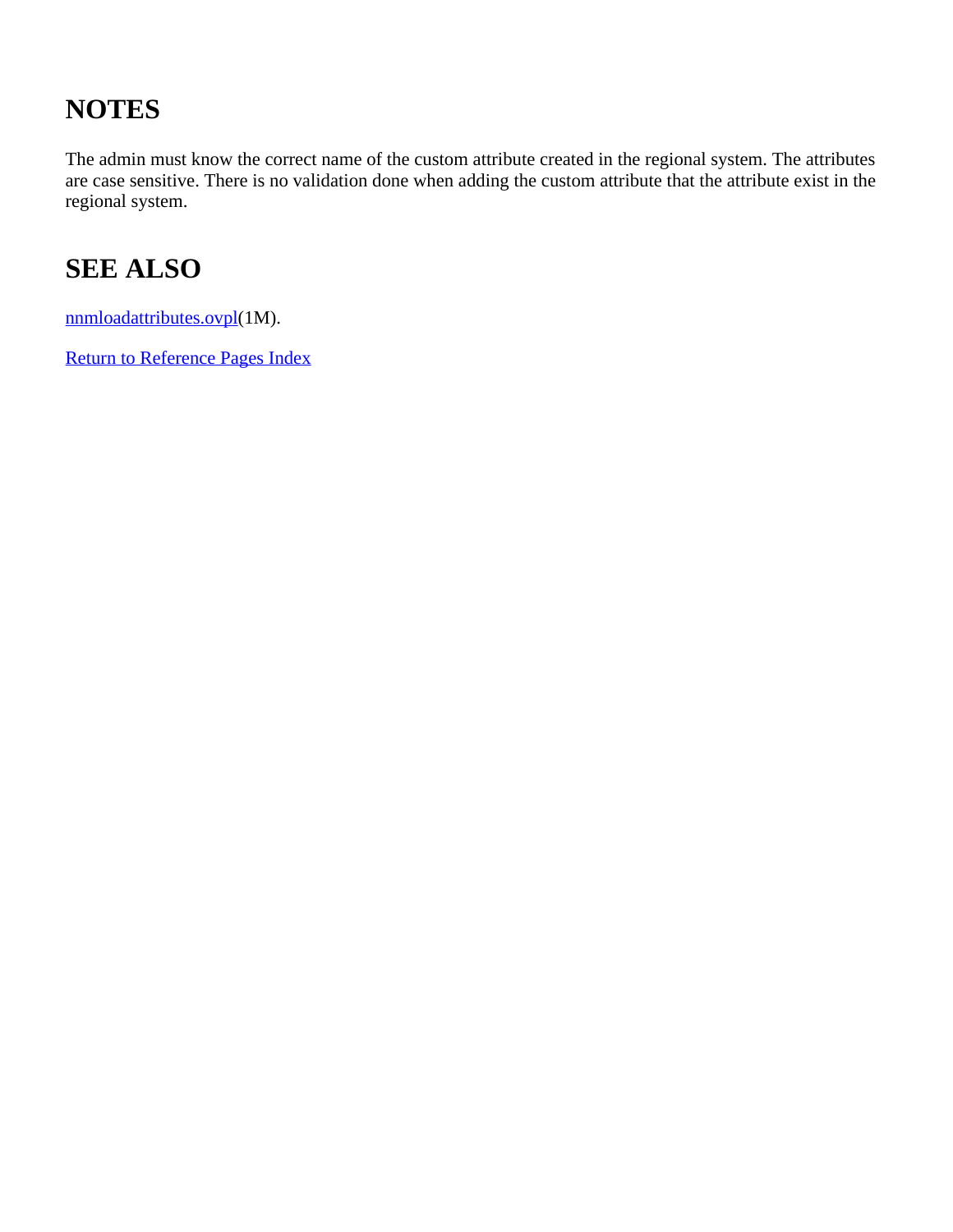# **NOTES**

The admin must know the correct name of the custom attribute created in the regional system. The attributes are case sensitive. There is no validation done when adding the custom attribute that the attribute exist in the regional system.

### **SEE ALSO**

[nnmloadattributes.ovpl](#page-143-0)(1M).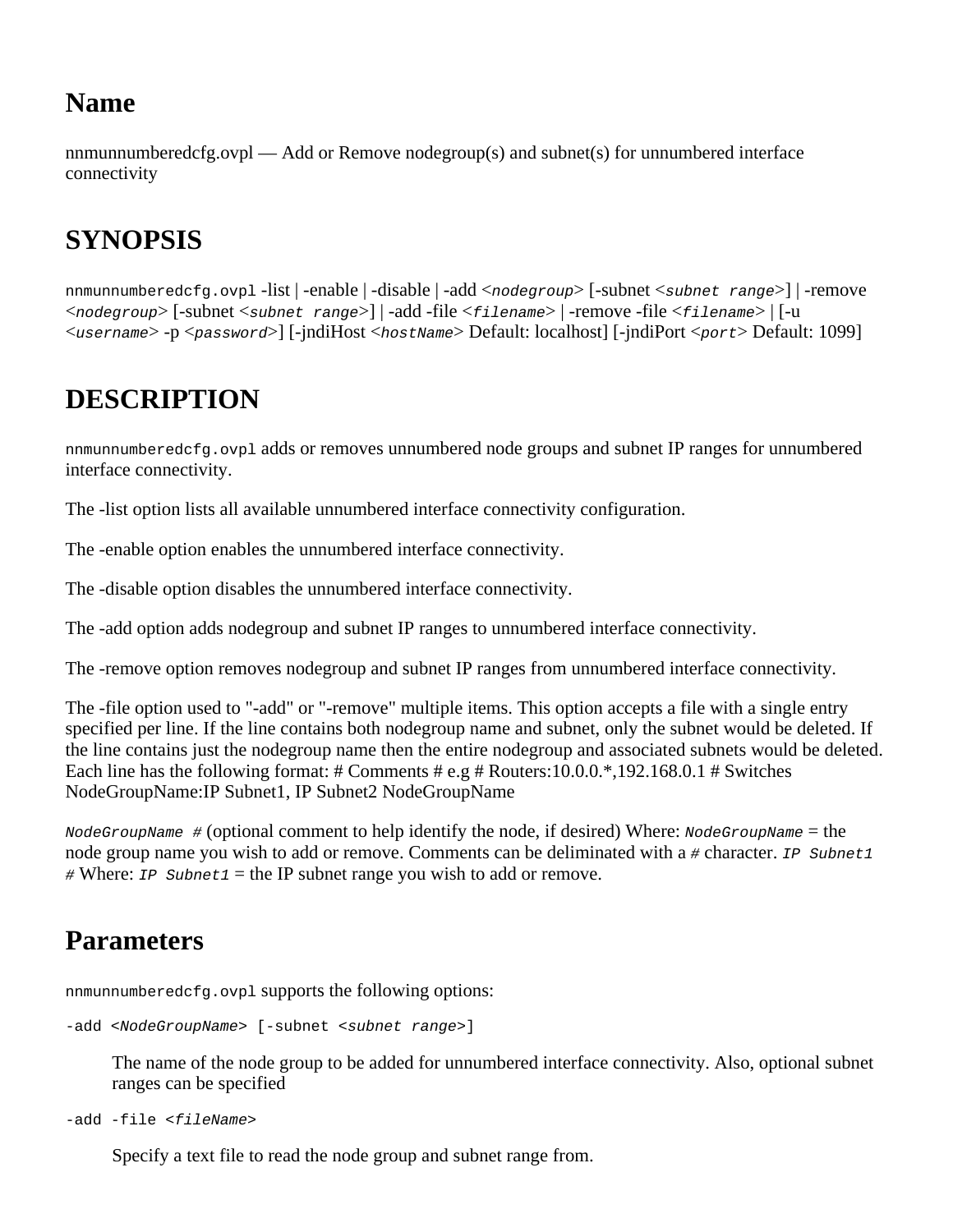nnmunnumberedcfg.ovpl — Add or Remove nodegroup(s) and subnet(s) for unnumbered interface connectivity

# **SYNOPSIS**

nnmunnumberedcfg.ovpl -list | -enable | -disable | -add <*nodegroup*> [-subnet <*subnet range*>] | -remove <*nodegroup*> [-subnet <*subnet range*>] | -add -file <*filename*> | -remove -file <*filename*> | [-u <*username*> -p <*password*>] [-jndiHost <*hostName*> Default: localhost] [-jndiPort <*port*> Default: 1099]

### **DESCRIPTION**

nnmunnumberedcfg.ovpl adds or removes unnumbered node groups and subnet IP ranges for unnumbered interface connectivity.

The -list option lists all available unnumbered interface connectivity configuration.

The -enable option enables the unnumbered interface connectivity.

The -disable option disables the unnumbered interface connectivity.

The -add option adds nodegroup and subnet IP ranges to unnumbered interface connectivity.

The -remove option removes nodegroup and subnet IP ranges from unnumbered interface connectivity.

The -file option used to "-add" or "-remove" multiple items. This option accepts a file with a single entry specified per line. If the line contains both nodegroup name and subnet, only the subnet would be deleted. If the line contains just the nodegroup name then the entire nodegroup and associated subnets would be deleted. Each line has the following format: # Comments #  $e.g.$  # Routers:10.0.0.\*,192.168.0.1 # Switches NodeGroupName:IP Subnet1, IP Subnet2 NodeGroupName

*NodeGroupName #* (optional comment to help identify the node, if desired) Where: *NodeGroupName* = the node group name you wish to add or remove. Comments can be deliminated with a *#* character. *IP Subnet1 #* Where: *IP Subnet1* = the IP subnet range you wish to add or remove.

### **Parameters**

nnmunnumberedcfg.ovpl supports the following options:

```
-add <NodeGroupName> [-subnet <subnet range>]
```
The name of the node group to be added for unnumbered interface connectivity. Also, optional subnet ranges can be specified

-add -file <*fileName*>

Specify a text file to read the node group and subnet range from.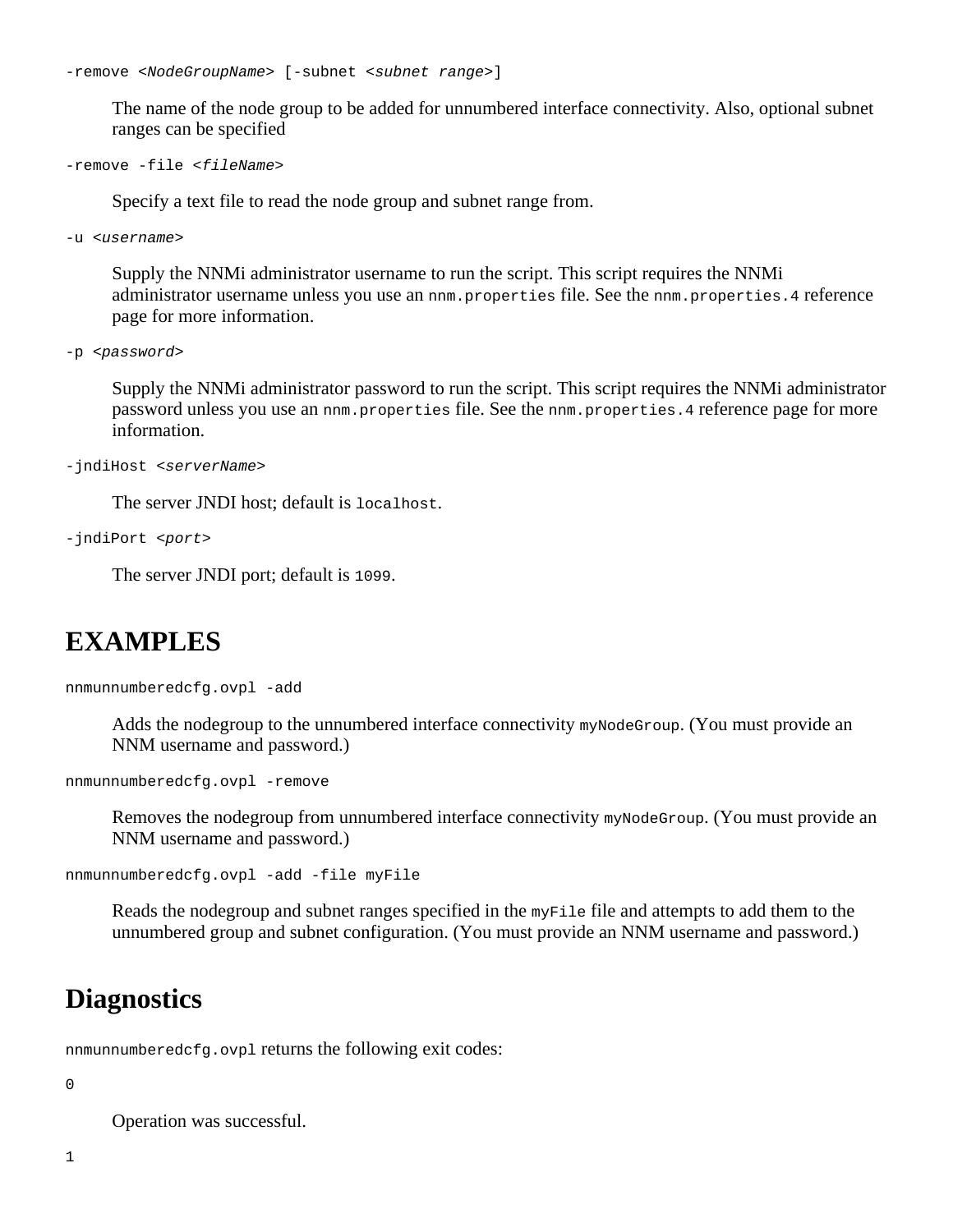-remove <*NodeGroupName*> [-subnet <*subnet range*>]

The name of the node group to be added for unnumbered interface connectivity. Also, optional subnet ranges can be specified

-remove -file <*fileName*>

Specify a text file to read the node group and subnet range from.

-u <*username*>

Supply the NNMi administrator username to run the script. This script requires the NNMi administrator username unless you use an nnm.properties file. See the nnm.properties.4 reference page for more information.

```
-p <password>
```
Supply the NNMi administrator password to run the script. This script requires the NNMi administrator password unless you use an nnm.properties file. See the nnm.properties. 4 reference page for more information.

-jndiHost <*serverName*>

The server JNDI host; default is localhost.

```
-jndiPort <port>
```
The server JNDI port; default is 1099.

#### **EXAMPLES**

nnmunnumberedcfg.ovpl -add

Adds the nodegroup to the unnumbered interface connectivity myNodeGroup. (You must provide an NNM username and password.)

nnmunnumberedcfg.ovpl -remove

Removes the nodegroup from unnumbered interface connectivity myNodeGroup. (You must provide an NNM username and password.)

nnmunnumberedcfg.ovpl -add -file myFile

Reads the nodegroup and subnet ranges specified in the  $myFile$  file and attempts to add them to the unnumbered group and subnet configuration. (You must provide an NNM username and password.)

#### **Diagnostics**

nnmunnumberedcfg.ovpl returns the following exit codes:

#### 0

Operation was successful.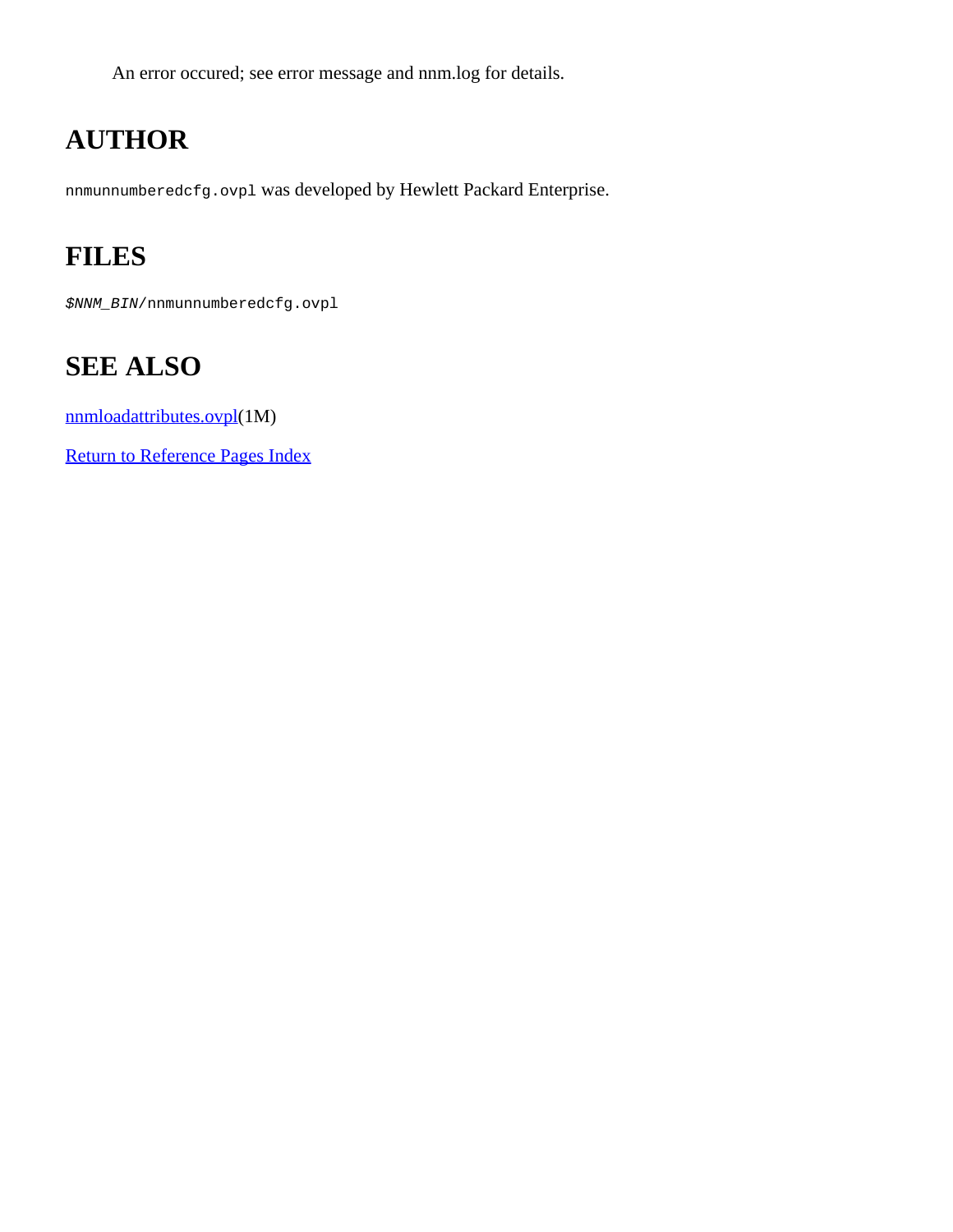An error occured; see error message and nnm.log for details.

# **AUTHOR**

nnmunnumberedcfg.ovpl was developed by Hewlett Packard Enterprise.

## **FILES**

*\$NNM\_BIN*/nnmunnumberedcfg.ovpl

## **SEE ALSO**

[nnmloadattributes.ovpl](#page-143-0)(1M)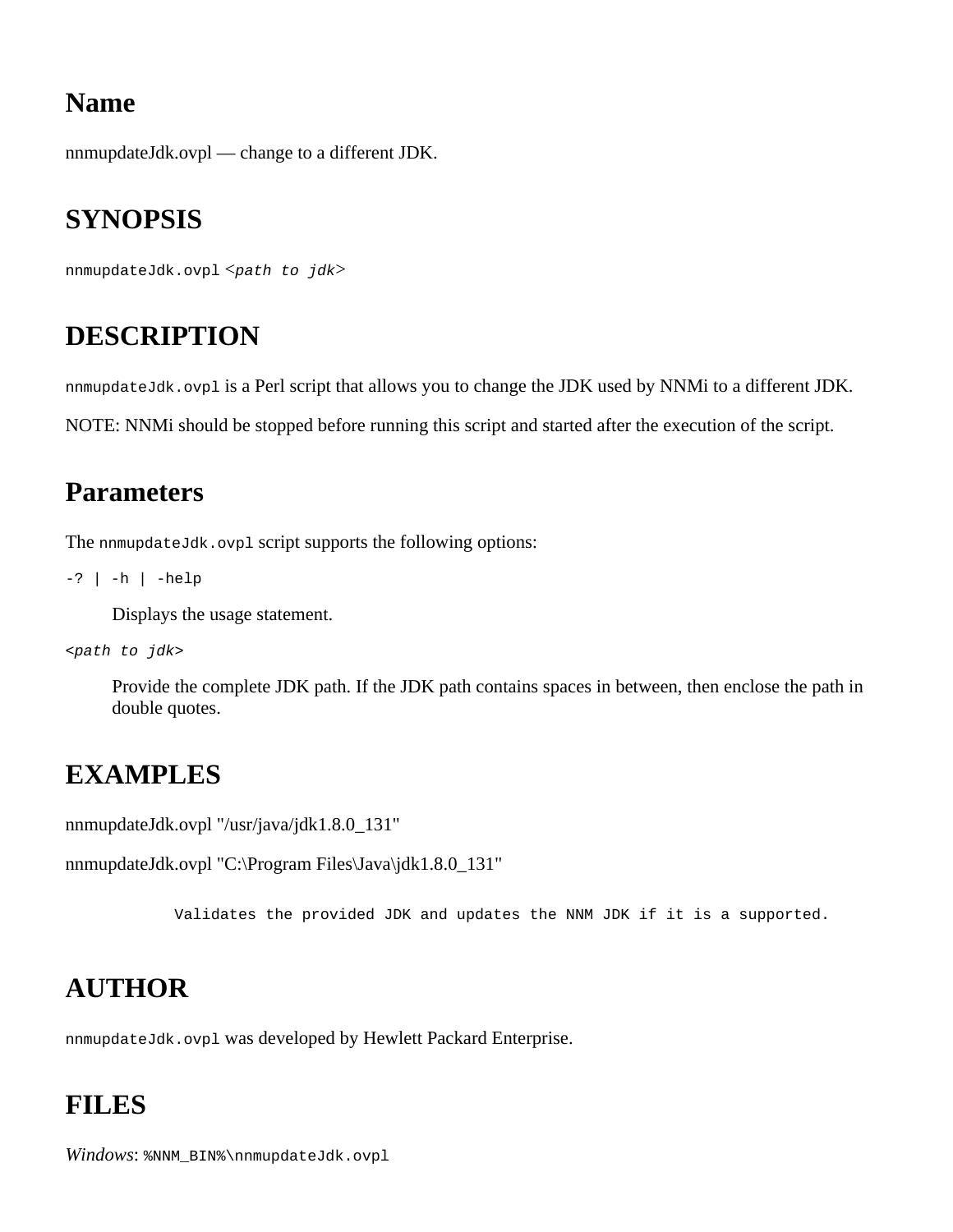nnmupdateJdk.ovpl — change to a different JDK.

## **SYNOPSIS**

```
nnmupdateJdk.ovpl <path to jdk>
```
### **DESCRIPTION**

nnmupdateJdk.ovpl is a Perl script that allows you to change the JDK used by NNMi to a different JDK.

NOTE: NNMi should be stopped before running this script and started after the execution of the script.

#### **Parameters**

The nnmupdateJdk.ovpl script supports the following options:

```
-? | -h | -help
```
Displays the usage statement.

<*path to jdk*>

Provide the complete JDK path. If the JDK path contains spaces in between, then enclose the path in double quotes.

#### **EXAMPLES**

nnmupdateJdk.ovpl "/usr/java/jdk1.8.0\_131"

nnmupdateJdk.ovpl "C:\Program Files\Java\jdk1.8.0\_131"

Validates the provided JDK and updates the NNM JDK if it is a supported.

# **AUTHOR**

nnmupdateJdk.ovpl was developed by Hewlett Packard Enterprise.

#### **FILES**

*Windows*: %NNM\_BIN%\nnmupdateJdk.ovpl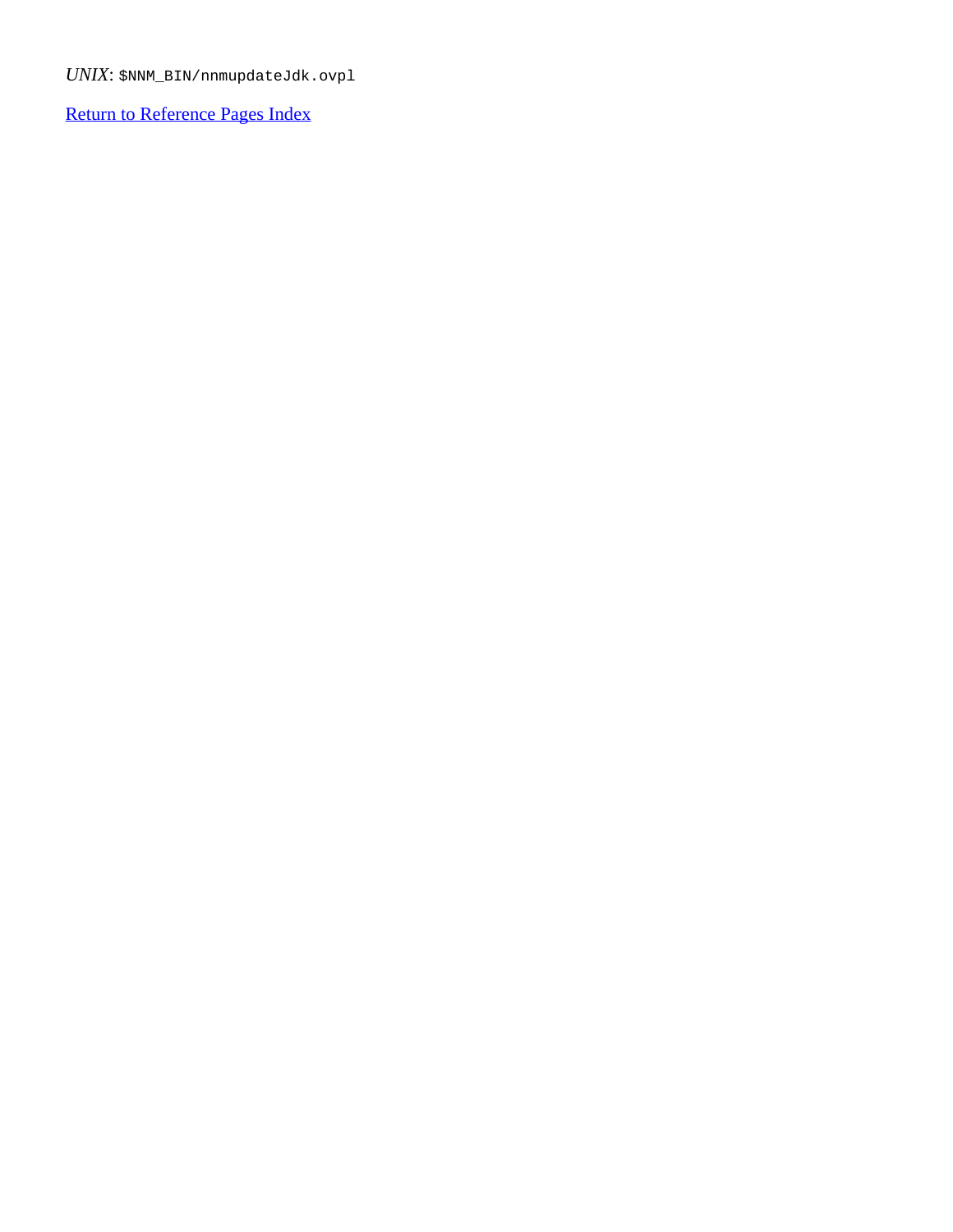*UNIX*: \$NNM\_BIN/nnmupdateJdk.ovpl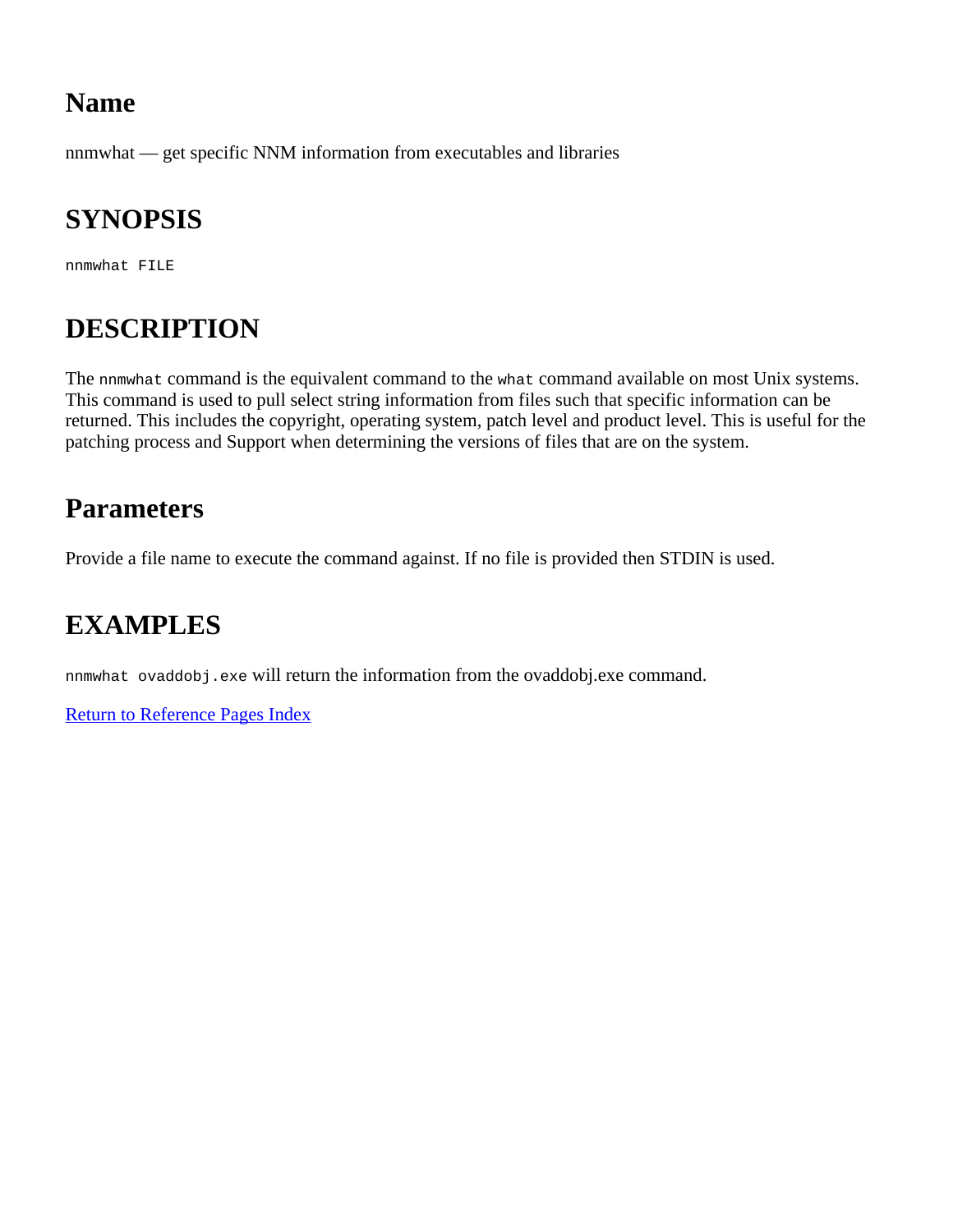nnmwhat — get specific NNM information from executables and libraries

## **SYNOPSIS**

nnmwhat FILE

# **DESCRIPTION**

The nnmwhat command is the equivalent command to the what command available on most Unix systems. This command is used to pull select string information from files such that specific information can be returned. This includes the copyright, operating system, patch level and product level. This is useful for the patching process and Support when determining the versions of files that are on the system.

### **Parameters**

Provide a file name to execute the command against. If no file is provided then STDIN is used.

### **EXAMPLES**

nnmwhat ovaddobj.exe will return the information from the ovaddobj.exe command.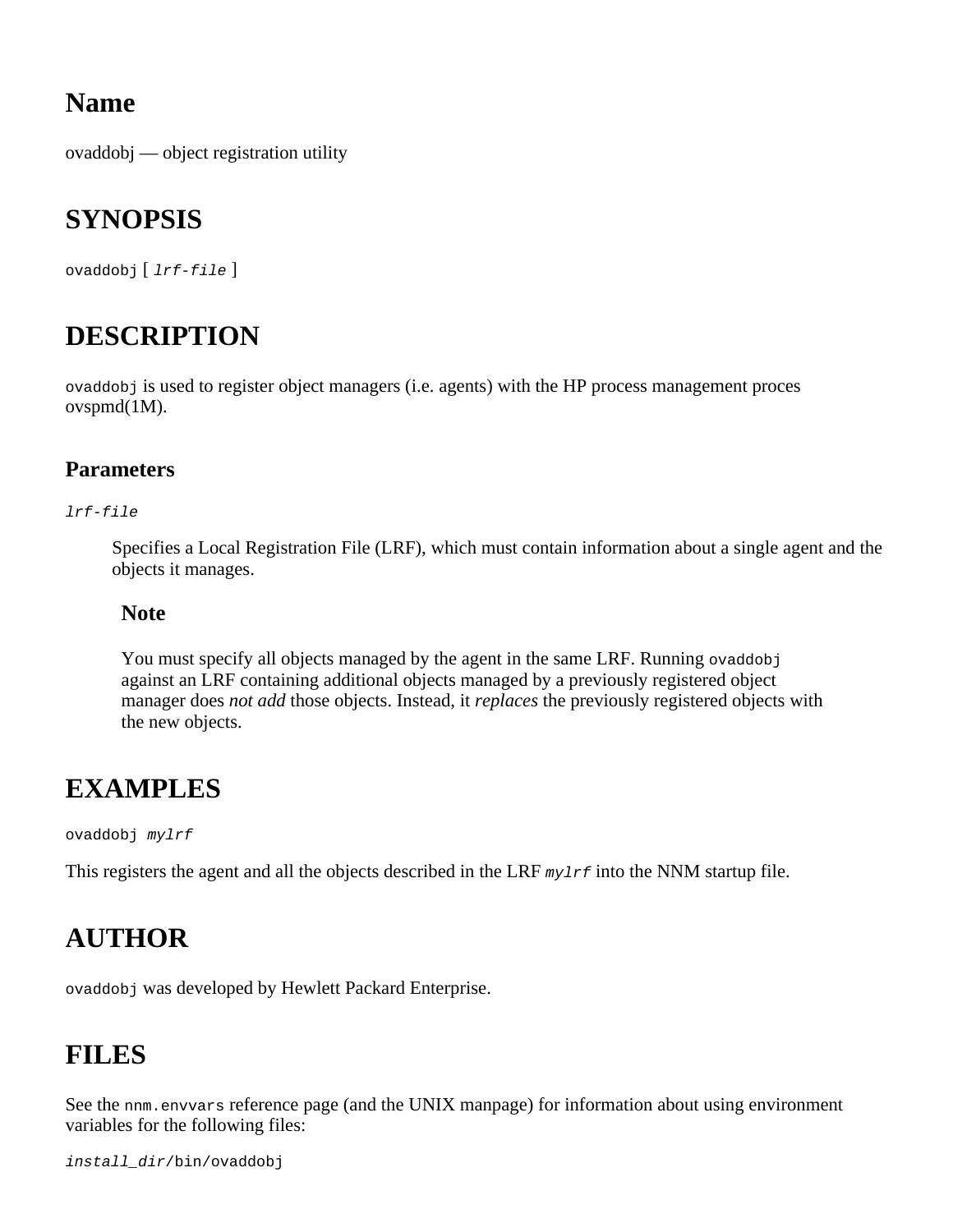<span id="page-313-0"></span>ovaddobj — object registration utility

## **SYNOPSIS**

ovaddobj [ *lrf-file* ]

### **DESCRIPTION**

ovaddobj is used to register object managers (i.e. agents) with the HP process management proces ovspmd(1M).

#### **Parameters**

#### *lrf-file*

Specifies a Local Registration File (LRF), which must contain information about a single agent and the objects it manages.

#### **Note**

You must specify all objects managed by the agent in the same LRF. Running ovaddobj against an LRF containing additional objects managed by a previously registered object manager does *not add* those objects. Instead, it *replaces* the previously registered objects with the new objects.

### **EXAMPLES**

ovaddobj *mylrf*

This registers the agent and all the objects described in the LRF *mylrf* into the NNM startup file.

### **AUTHOR**

ovaddobj was developed by Hewlett Packard Enterprise.

#### **FILES**

See the nnm.envvars reference page (and the UNIX manpage) for information about using environment variables for the following files:

*install\_dir*/bin/ovaddobj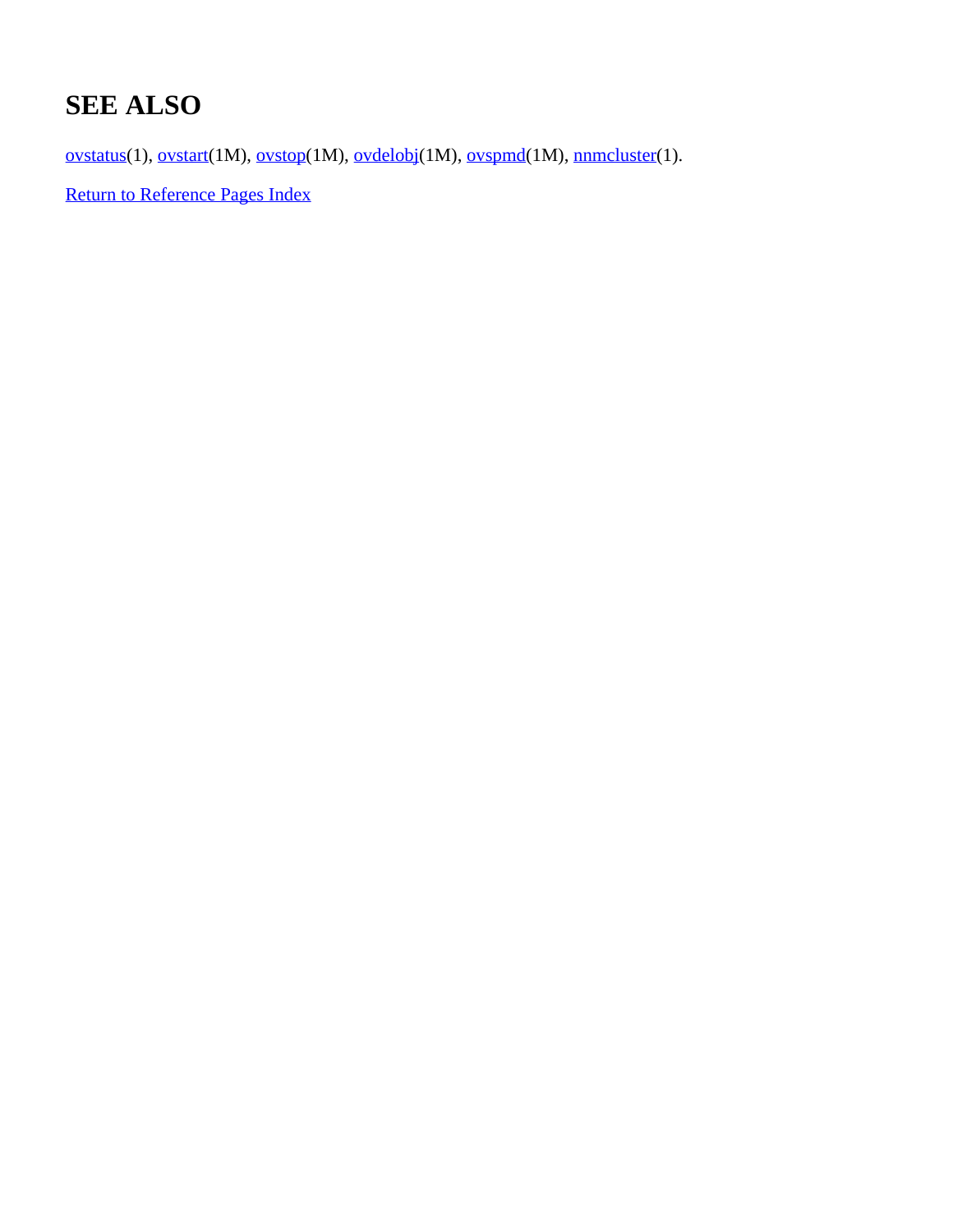# **SEE ALSO**

[ovstatus](#page-25-0)(1), [ovstart](#page-325-0)(1M), [ovstop](#page-329-0)(1M), [ovdelobj](#page-315-0)(1M), [ovspmd](#page-320-0)(1M), [nnmcluster](#page-6-0)(1).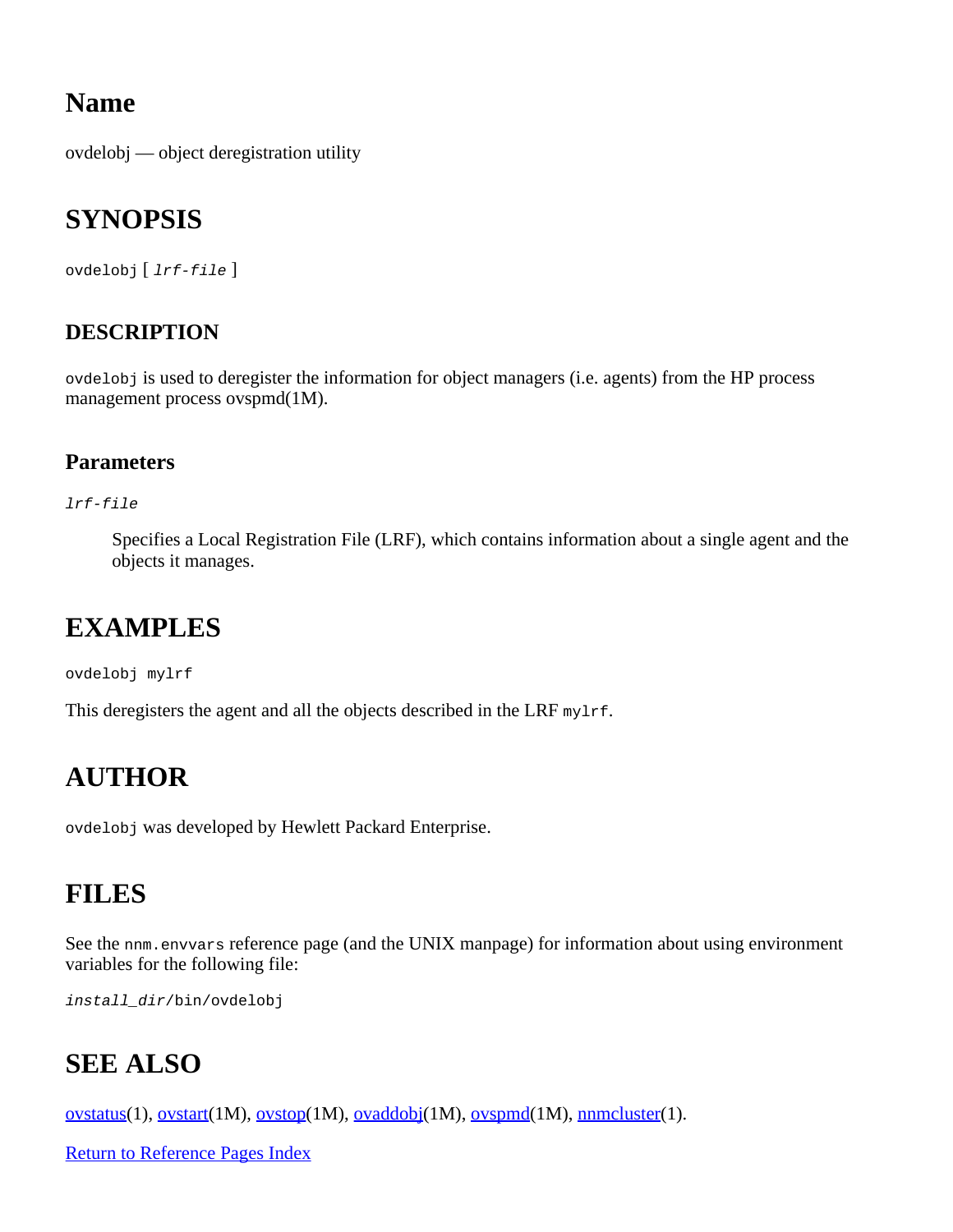<span id="page-315-0"></span>ovdelobj — object deregistration utility

## **SYNOPSIS**

ovdelobj [ *lrf-file* ]

#### **DESCRIPTION**

ovdelobj is used to deregister the information for object managers (i.e. agents) from the HP process management process ovspmd(1M).

#### **Parameters**

*lrf-file*

Specifies a Local Registration File (LRF), which contains information about a single agent and the objects it manages.

### **EXAMPLES**

ovdelobj mylrf

This deregisters the agent and all the objects described in the LRF mylrf.

### **AUTHOR**

ovdelobj was developed by Hewlett Packard Enterprise.

#### **FILES**

See the nnm.envvars reference page (and the UNIX manpage) for information about using environment variables for the following file:

*install\_dir*/bin/ovdelobj

### **SEE ALSO**

[ovstatus](#page-25-0)(1), [ovstart](#page-325-0)(1M), [ovstop](#page-329-0)(1M), [ovaddobj](#page-313-0)(1M), [ovspmd](#page-320-0)(1M), [nnmcluster](#page-6-0)(1).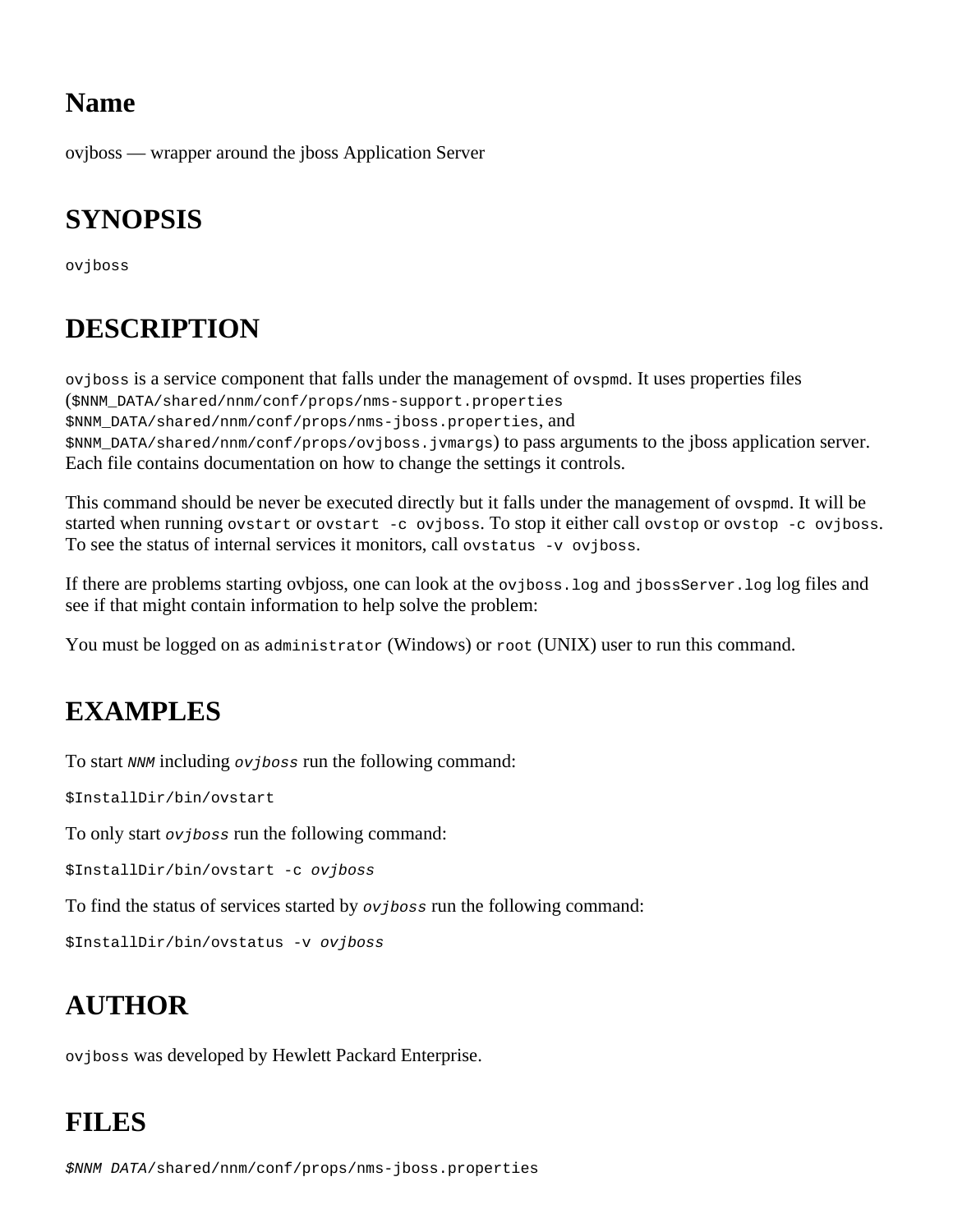ovjboss — wrapper around the jboss Application Server

# **SYNOPSIS**

ovjboss

# **DESCRIPTION**

ovjboss is a service component that falls under the management of ovspmd. It uses properties files (\$NNM\_DATA/shared/nnm/conf/props/nms-support.properties \$NNM\_DATA/shared/nnm/conf/props/nms-jboss.properties, and \$NNM\_DATA/shared/nnm/conf/props/ovjboss.jvmargs) to pass arguments to the jboss application server. Each file contains documentation on how to change the settings it controls.

This command should be never be executed directly but it falls under the management of ovspmd. It will be started when running ovstart or ovstart -c ovjboss. To stop it either call ovstop or ovstop -c ovjboss. To see the status of internal services it monitors, call ovstatus -v ovjboss.

If there are problems starting ovbjoss, one can look at the ovjboss.log and jbossServer.log log files and see if that might contain information to help solve the problem:

You must be logged on as administrator (Windows) or root (UNIX) user to run this command.

# **EXAMPLES**

To start *NNM* including *ovjboss* run the following command:

\$InstallDir/bin/ovstart

To only start *ovjboss* run the following command:

\$InstallDir/bin/ovstart -c *ovjboss*

To find the status of services started by *ovjboss* run the following command:

\$InstallDir/bin/ovstatus -v *ovjboss*

# **AUTHOR**

ovjboss was developed by Hewlett Packard Enterprise.

# **FILES**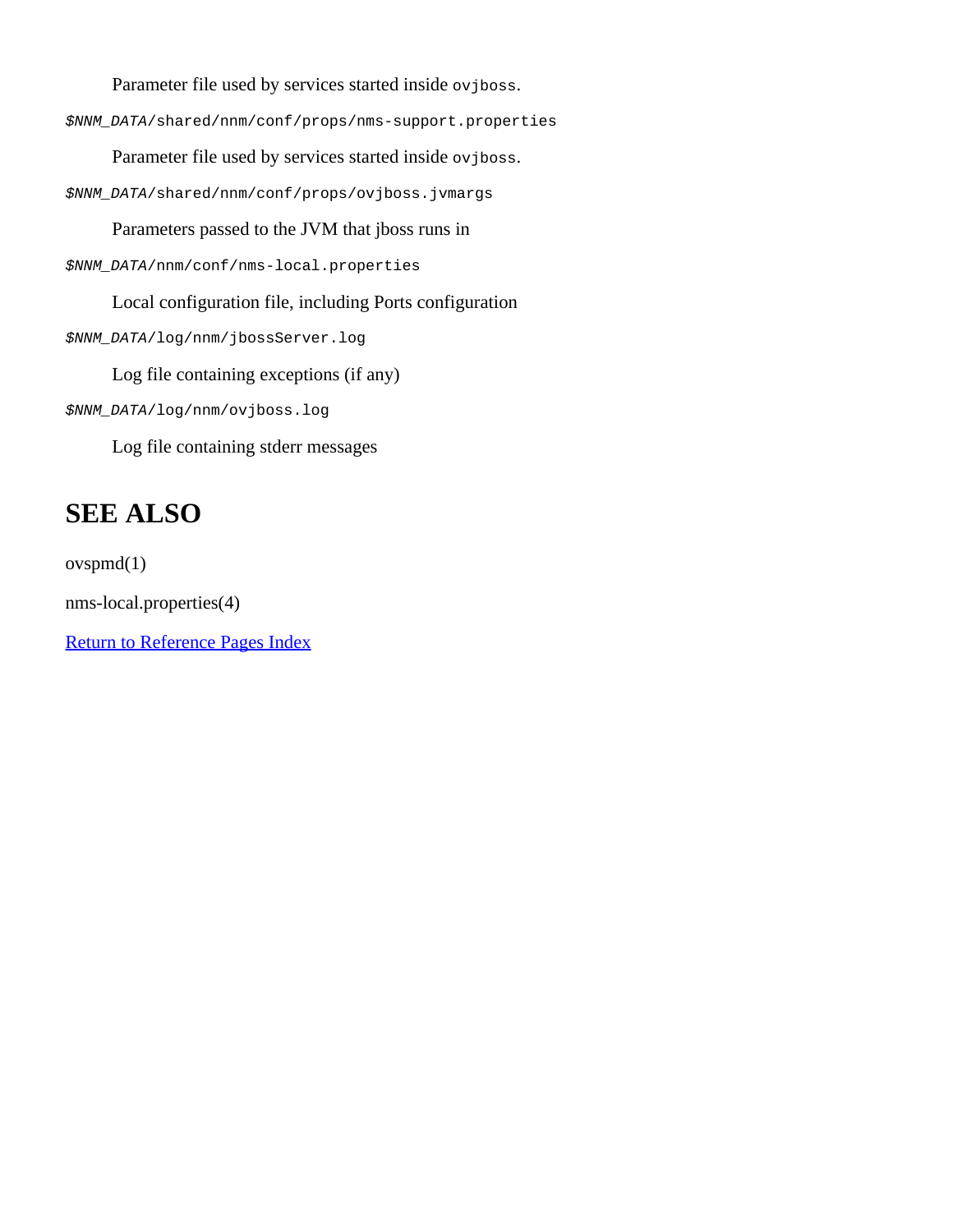Parameter file used by services started inside ovjboss.

*\$NNM\_DATA*/shared/nnm/conf/props/nms-support.properties

Parameter file used by services started inside ovjboss.

*\$NNM\_DATA*/shared/nnm/conf/props/ovjboss.jvmargs

Parameters passed to the JVM that jboss runs in

*\$NNM\_DATA*/nnm/conf/nms-local.properties

Local configuration file, including Ports configuration

*\$NNM\_DATA*/log/nnm/jbossServer.log

Log file containing exceptions (if any)

*\$NNM\_DATA*/log/nnm/ovjboss.log

Log file containing stderr messages

### **SEE ALSO**

ovspmd(1)

nms-local.properties(4)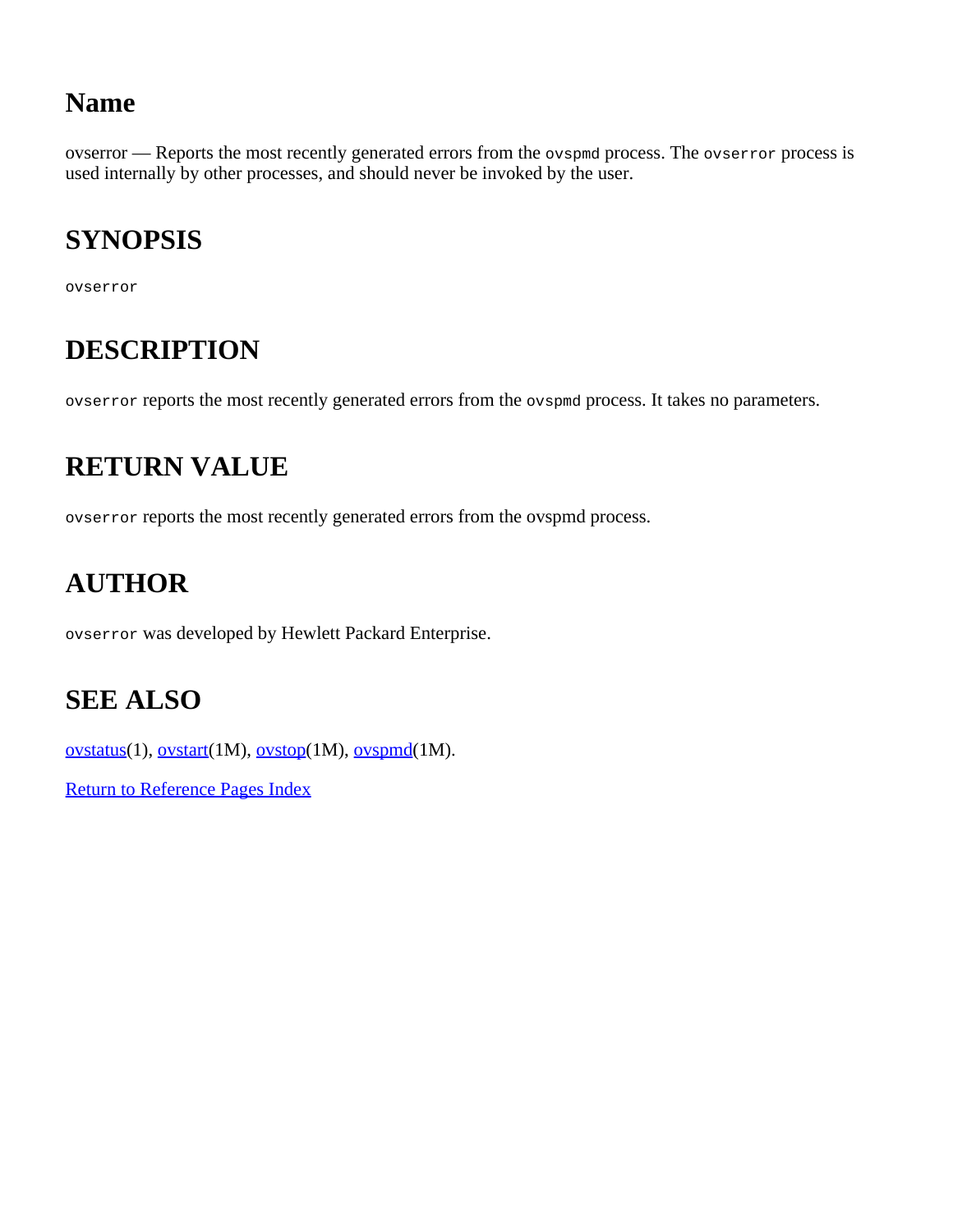ovserror — Reports the most recently generated errors from the ovspmd process. The ovserror process is used internally by other processes, and should never be invoked by the user.

# **SYNOPSIS**

ovserror

# **DESCRIPTION**

ovserror reports the most recently generated errors from the ovspmd process. It takes no parameters.

### **RETURN VALUE**

ovserror reports the most recently generated errors from the ovspmd process.

# **AUTHOR**

ovserror was developed by Hewlett Packard Enterprise.

#### **SEE ALSO**

[ovstatus](#page-25-0)(1), [ovstart](#page-325-0)(1M), [ovstop](#page-329-0)(1M), [ovspmd](#page-320-0)(1M).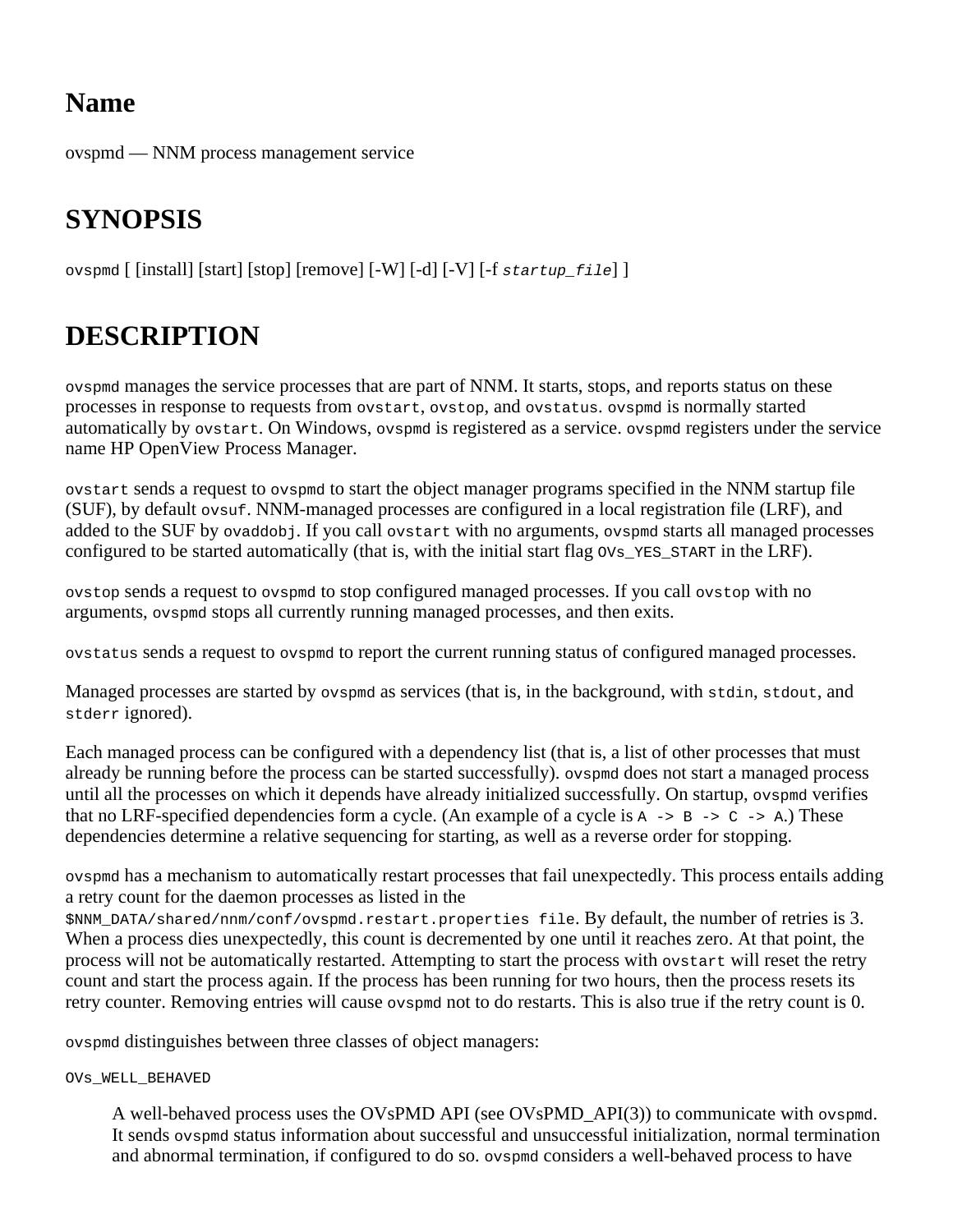<span id="page-320-0"></span>ovspmd — NNM process management service

# **SYNOPSIS**

ovspmd [ [install] [start] [stop] [remove] [-W] [-d] [-V] [-f *startup\_file*] ]

# **DESCRIPTION**

ovspmd manages the service processes that are part of NNM. It starts, stops, and reports status on these processes in response to requests from ovstart, ovstop, and ovstatus. ovspmd is normally started automatically by ovstart. On Windows, ovspmd is registered as a service. ovspmd registers under the service name HP OpenView Process Manager.

ovstart sends a request to ovspmd to start the object manager programs specified in the NNM startup file (SUF), by default ovsuf. NNM-managed processes are configured in a local registration file (LRF), and added to the SUF by ovaddobj. If you call ovstart with no arguments, ovspmd starts all managed processes configured to be started automatically (that is, with the initial start flag OVs\_YES\_START in the LRF).

ovstop sends a request to ovspmd to stop configured managed processes. If you call ovstop with no arguments, ovspmd stops all currently running managed processes, and then exits.

ovstatus sends a request to ovspmd to report the current running status of configured managed processes.

Managed processes are started by ovspmd as services (that is, in the background, with stdin, stdout, and stderr ignored).

Each managed process can be configured with a dependency list (that is, a list of other processes that must already be running before the process can be started successfully). ovspmd does not start a managed process until all the processes on which it depends have already initialized successfully. On startup, ovspmd verifies that no LRF-specified dependencies form a cycle. (An example of a cycle is  $A \rightarrow B \rightarrow C \rightarrow A$ .) These dependencies determine a relative sequencing for starting, as well as a reverse order for stopping.

ovspmd has a mechanism to automatically restart processes that fail unexpectedly. This process entails adding a retry count for the daemon processes as listed in the

\$NNM\_DATA/shared/nnm/conf/ovspmd.restart.properties file. By default, the number of retries is 3. When a process dies unexpectedly, this count is decremented by one until it reaches zero. At that point, the process will not be automatically restarted. Attempting to start the process with ovstart will reset the retry count and start the process again. If the process has been running for two hours, then the process resets its retry counter. Removing entries will cause ovspmd not to do restarts. This is also true if the retry count is 0.

ovspmd distinguishes between three classes of object managers:

#### OVs\_WELL\_BEHAVED

A well-behaved process uses the OVsPMD API (see OVsPMD\_API(3)) to communicate with ovspmd. It sends ovspmd status information about successful and unsuccessful initialization, normal termination and abnormal termination, if configured to do so. ovspmd considers a well-behaved process to have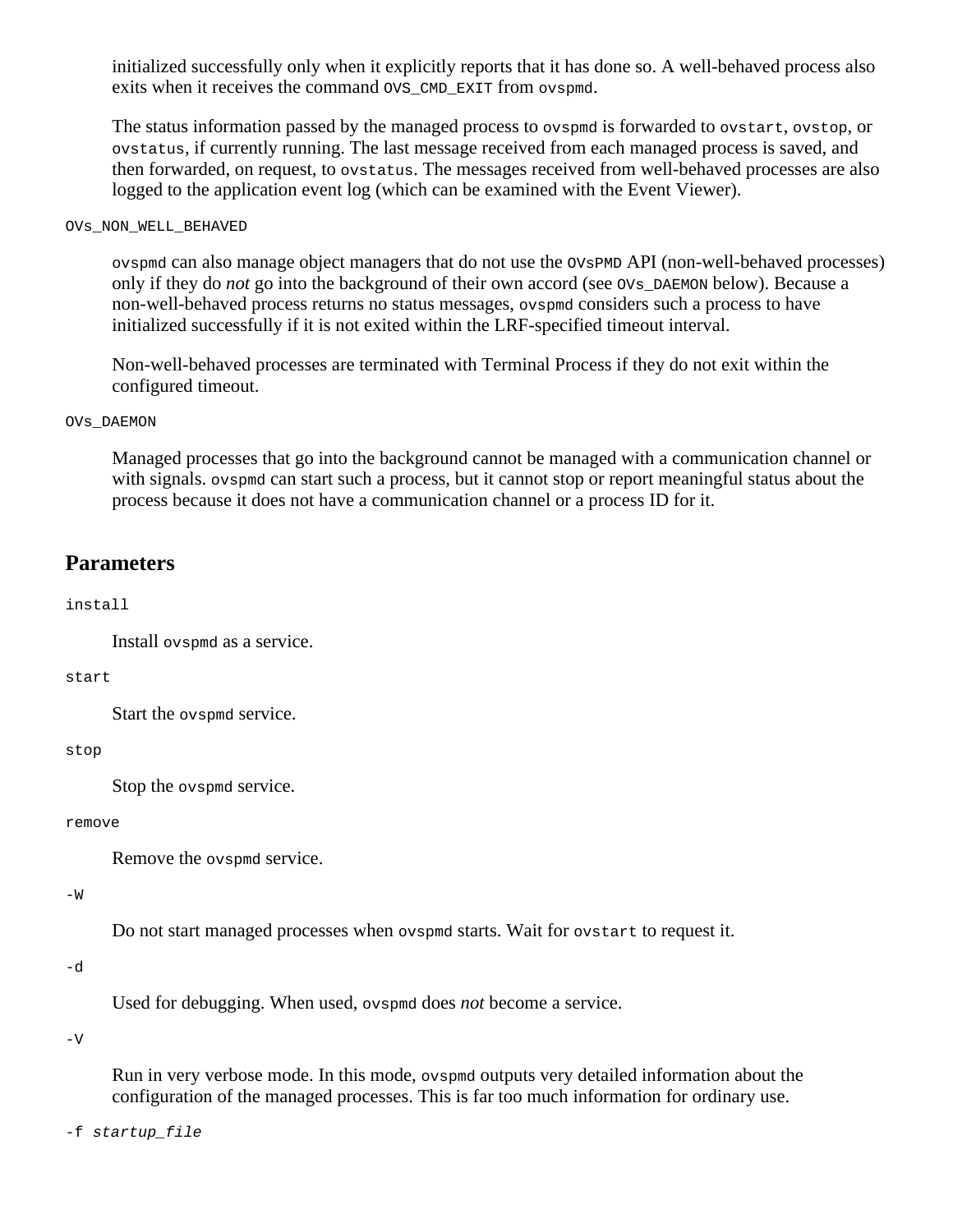initialized successfully only when it explicitly reports that it has done so. A well-behaved process also exits when it receives the command ovs CMD EXIT from ovspmd.

The status information passed by the managed process to ovspmd is forwarded to ovstart, ovstop, or ovstatus, if currently running. The last message received from each managed process is saved, and then forwarded, on request, to ovstatus. The messages received from well-behaved processes are also logged to the application event log (which can be examined with the Event Viewer).

```
OVs_NON_WELL_BEHAVED
```
ovspmd can also manage object managers that do not use the OVsPMD API (non-well-behaved processes) only if they do *not* go into the background of their own accord (see ovs DAEMON below). Because a non-well-behaved process returns no status messages, ovspmd considers such a process to have initialized successfully if it is not exited within the LRF-specified timeout interval.

Non-well-behaved processes are terminated with Terminal Process if they do not exit within the configured timeout.

#### OVs\_DAEMON

Managed processes that go into the background cannot be managed with a communication channel or with signals. ovspmd can start such a process, but it cannot stop or report meaningful status about the process because it does not have a communication channel or a process ID for it.

#### **Parameters**

#### install

Install ovspmd as a service.

#### start

Start the ovspmd service.

#### stop

Stop the ovspmd service.

#### remove

Remove the ovspmd service.

#### $-W$

Do not start managed processes when ovspmd starts. Wait for ovstart to request it.

#### -d

Used for debugging. When used, ovspmd does *not* become a service.

-V

Run in very verbose mode. In this mode, ovspmd outputs very detailed information about the configuration of the managed processes. This is far too much information for ordinary use.

-f *startup\_file*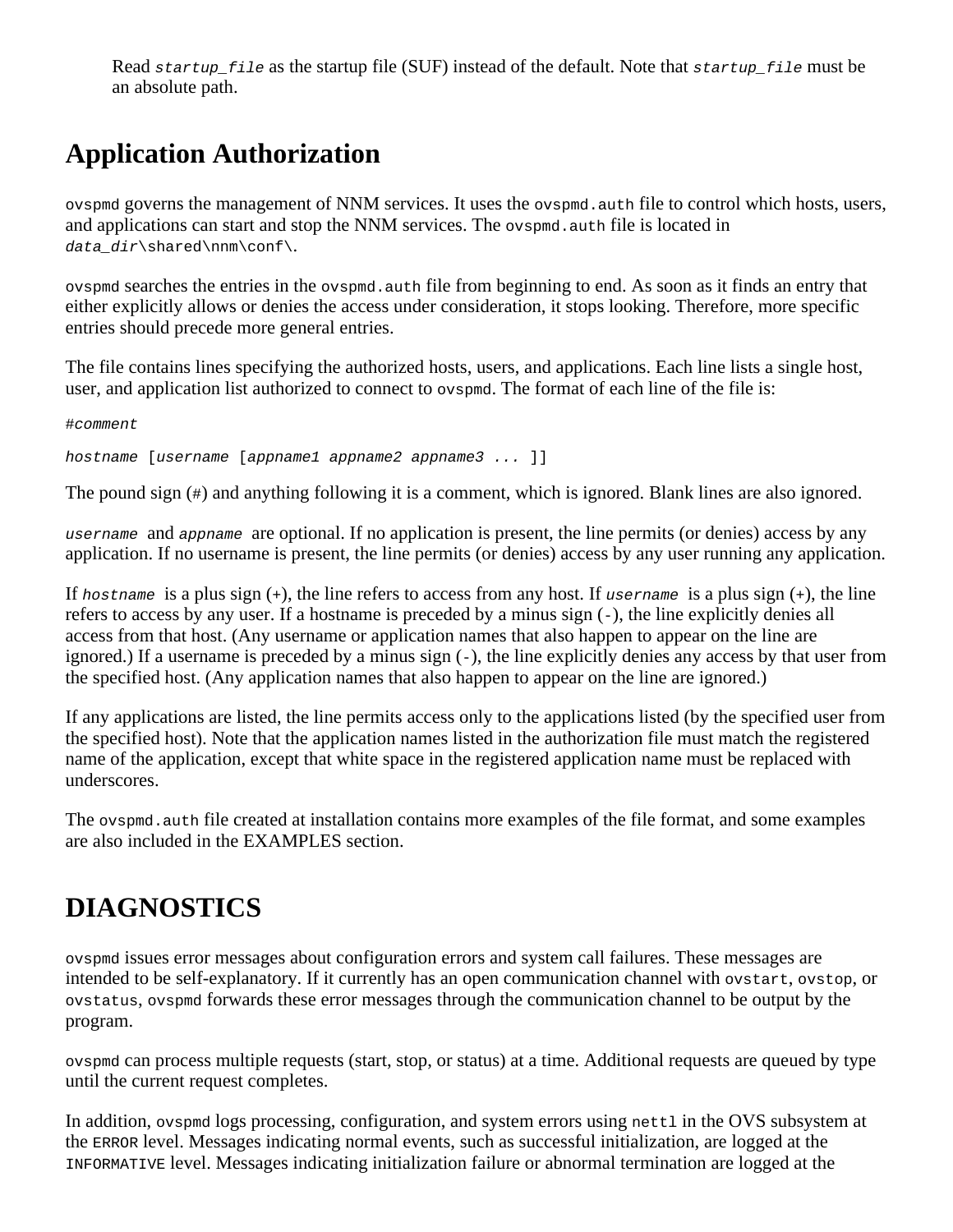Read *startup\_file* as the startup file (SUF) instead of the default. Note that *startup\_file* must be an absolute path.

# **Application Authorization**

ovspmd governs the management of NNM services. It uses the ovspmd.auth file to control which hosts, users, and applications can start and stop the NNM services. The ovspmd.auth file is located in *data\_dir*\shared\nnm\conf\.

ovspmd searches the entries in the ovspmd.auth file from beginning to end. As soon as it finds an entry that either explicitly allows or denies the access under consideration, it stops looking. Therefore, more specific entries should precede more general entries.

The file contains lines specifying the authorized hosts, users, and applications. Each line lists a single host, user, and application list authorized to connect to ovspmd. The format of each line of the file is:

#*comment*

*hostname* [*username* [*appname1 appname2 appname3 ...* ]]

The pound sign (#) and anything following it is a comment, which is ignored. Blank lines are also ignored.

*username* and *appname* are optional. If no application is present, the line permits (or denies) access by any application. If no username is present, the line permits (or denies) access by any user running any application.

If *hostname* is a plus sign (+), the line refers to access from any host. If *username* is a plus sign (+), the line refers to access by any user. If a hostname is preceded by a minus sign (-), the line explicitly denies all access from that host. (Any username or application names that also happen to appear on the line are ignored.) If a username is preceded by a minus sign (-), the line explicitly denies any access by that user from the specified host. (Any application names that also happen to appear on the line are ignored.)

If any applications are listed, the line permits access only to the applications listed (by the specified user from the specified host). Note that the application names listed in the authorization file must match the registered name of the application, except that white space in the registered application name must be replaced with underscores.

The ovspmd.auth file created at installation contains more examples of the file format, and some examples are also included in the EXAMPLES section.

# **DIAGNOSTICS**

ovspmd issues error messages about configuration errors and system call failures. These messages are intended to be self-explanatory. If it currently has an open communication channel with ovstart, ovstop, or ovstatus, ovspmd forwards these error messages through the communication channel to be output by the program.

ovspmd can process multiple requests (start, stop, or status) at a time. Additional requests are queued by type until the current request completes.

In addition, ovspmd logs processing, configuration, and system errors using nettle in the OVS subsystem at the ERROR level. Messages indicating normal events, such as successful initialization, are logged at the INFORMATIVE level. Messages indicating initialization failure or abnormal termination are logged at the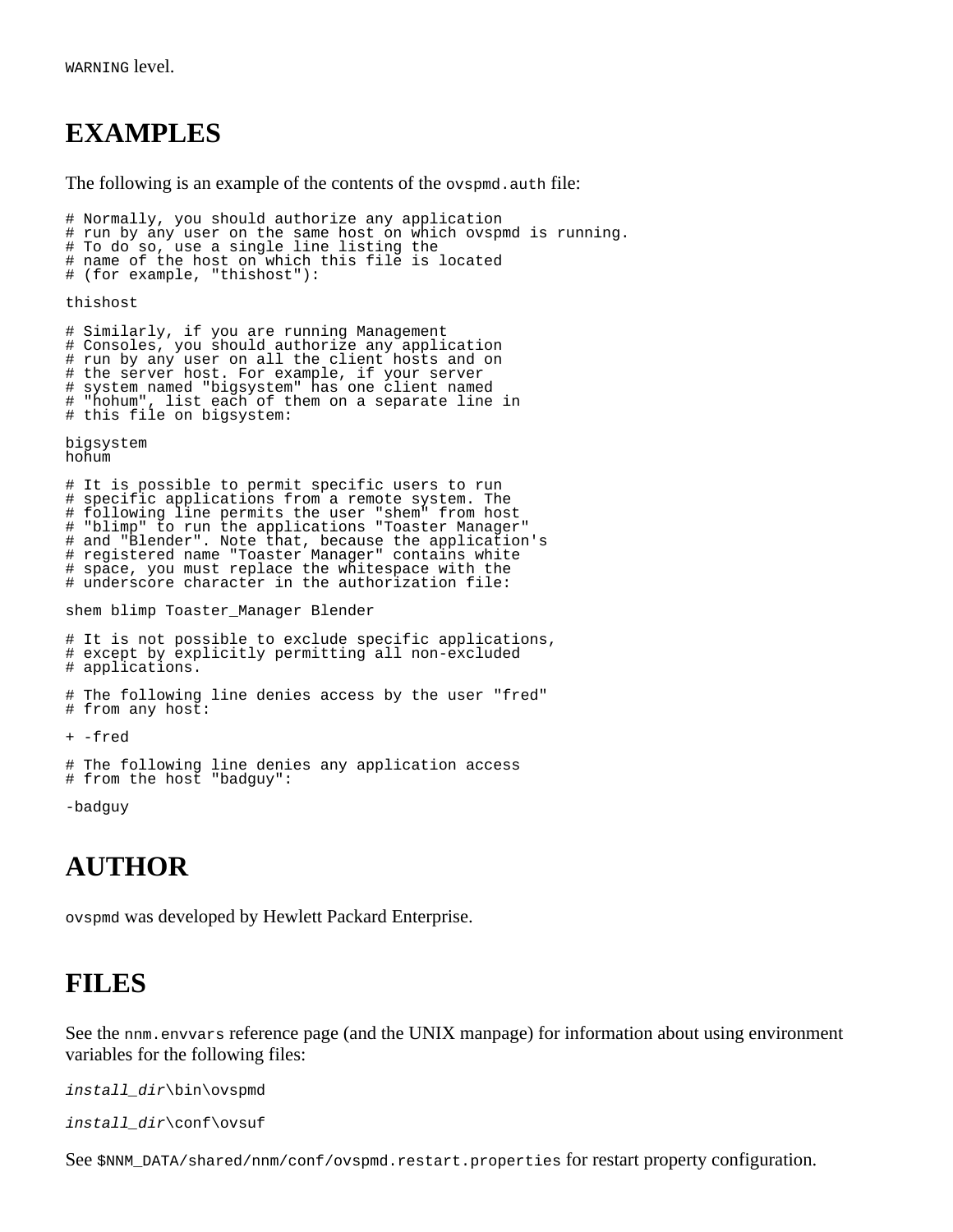WARNING level.

#### **EXAMPLES**

The following is an example of the contents of the ovspmd.auth file:

# Normally, you should authorize any application # run by any user on the same host on which ovspmd is running. # To do so, use a single line listing the # name of the host on which this file is located # (for example, "thishost"): thishost # Similarly, if you are running Management # Consoles, you should authorize any application # run by any user on all the client hosts and on # the server host. For example, if your server # system named "bigsystem" has one client named # "hohum", list each of them on a separate line in # this file on bigsystem: bigsystem hohum # It is possible to permit specific users to run # specific applications from a remote system. The # following line permits the user "shem" from host # "blimp" to run the applications "Toaster Manager" # and "Blender". Note that, because the application's # registered name "Toaster Manager" contains white # space, you must replace the whitespace with the # underscore character in the authorization file:

shem blimp Toaster\_Manager Blender

```
# It is not possible to exclude specific applications,
# except by explicitly permitting all non-excluded
# applications.
```
# The following line denies access by the user "fred" # from any host:

+ -fred

# The following line denies any application access # from the host "badguy":

-badguy

### **AUTHOR**

ovspmd was developed by Hewlett Packard Enterprise.

#### **FILES**

See the nnm. envvars reference page (and the UNIX manpage) for information about using environment variables for the following files:

*install\_dir*\bin\ovspmd

*install\_dir*\conf\ovsuf

See \$NNM\_DATA/shared/nnm/conf/ovspmd.restart.properties for restart property configuration.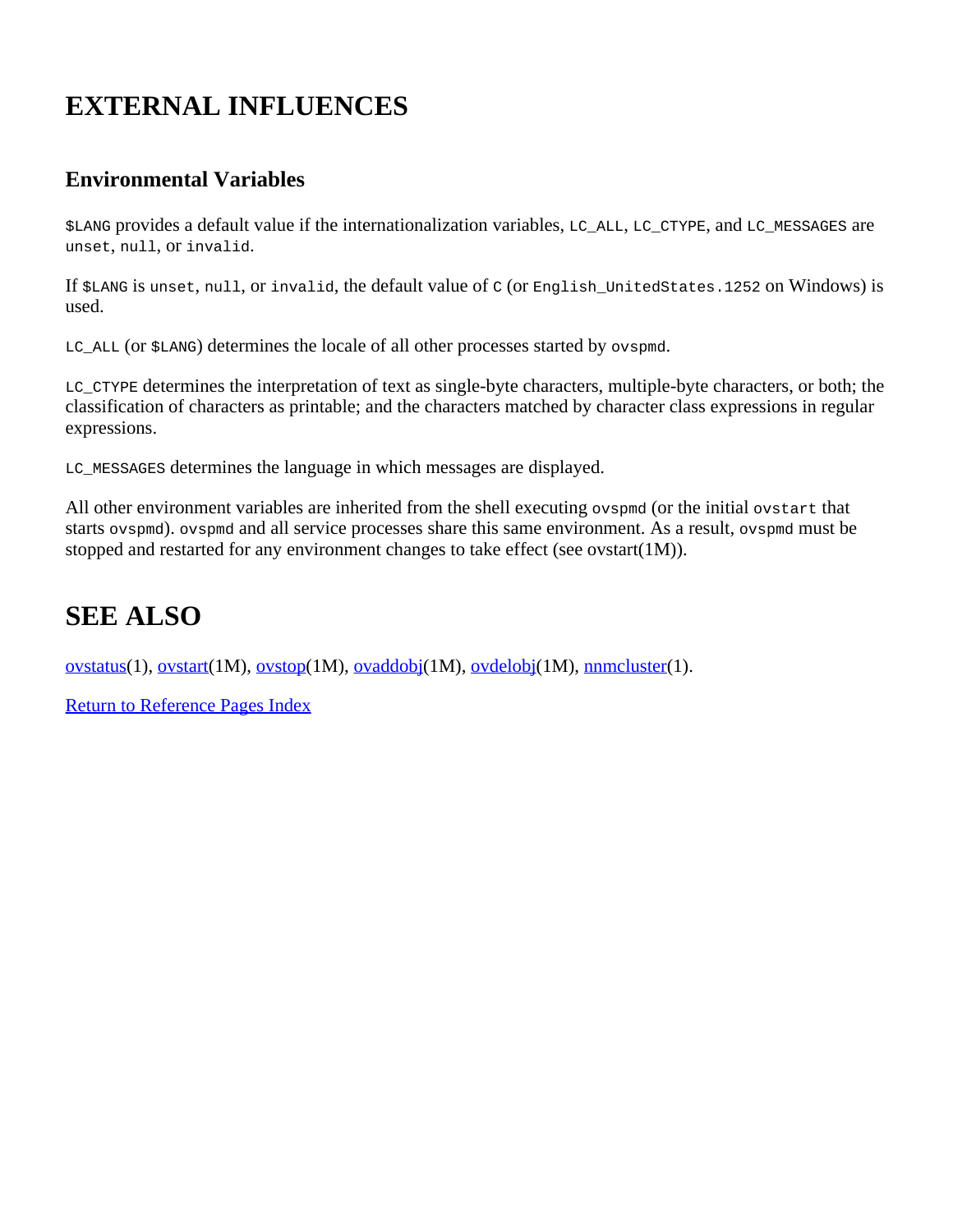# **EXTERNAL INFLUENCES**

#### **Environmental Variables**

\$LANG provides a default value if the internationalization variables, LC\_ALL, LC\_CTYPE, and LC\_MESSAGES are unset, null, or invalid.

If \$LANG is unset, null, or invalid, the default value of C (or English UnitedStates.1252 on Windows) is used.

LC\_ALL (or \$LANG) determines the locale of all other processes started by ovspmd.

LC\_CTYPE determines the interpretation of text as single-byte characters, multiple-byte characters, or both; the classification of characters as printable; and the characters matched by character class expressions in regular expressions.

LC\_MESSAGES determines the language in which messages are displayed.

All other environment variables are inherited from the shell executing ovspmd (or the initial ovstart that starts ovspmd). ovspmd and all service processes share this same environment. As a result, ovspmd must be stopped and restarted for any environment changes to take effect (see ovstart(1M)).

## **SEE ALSO**

[ovstatus](#page-25-0)(1), [ovstart](#page-325-0)(1M), [ovstop](#page-329-0)(1M), [ovaddobj](#page-313-0)(1M), [ovdelobj](#page-315-0)(1M), [nnmcluster](#page-6-0)(1).

[Return to Reference Pages Index](#page-2-0)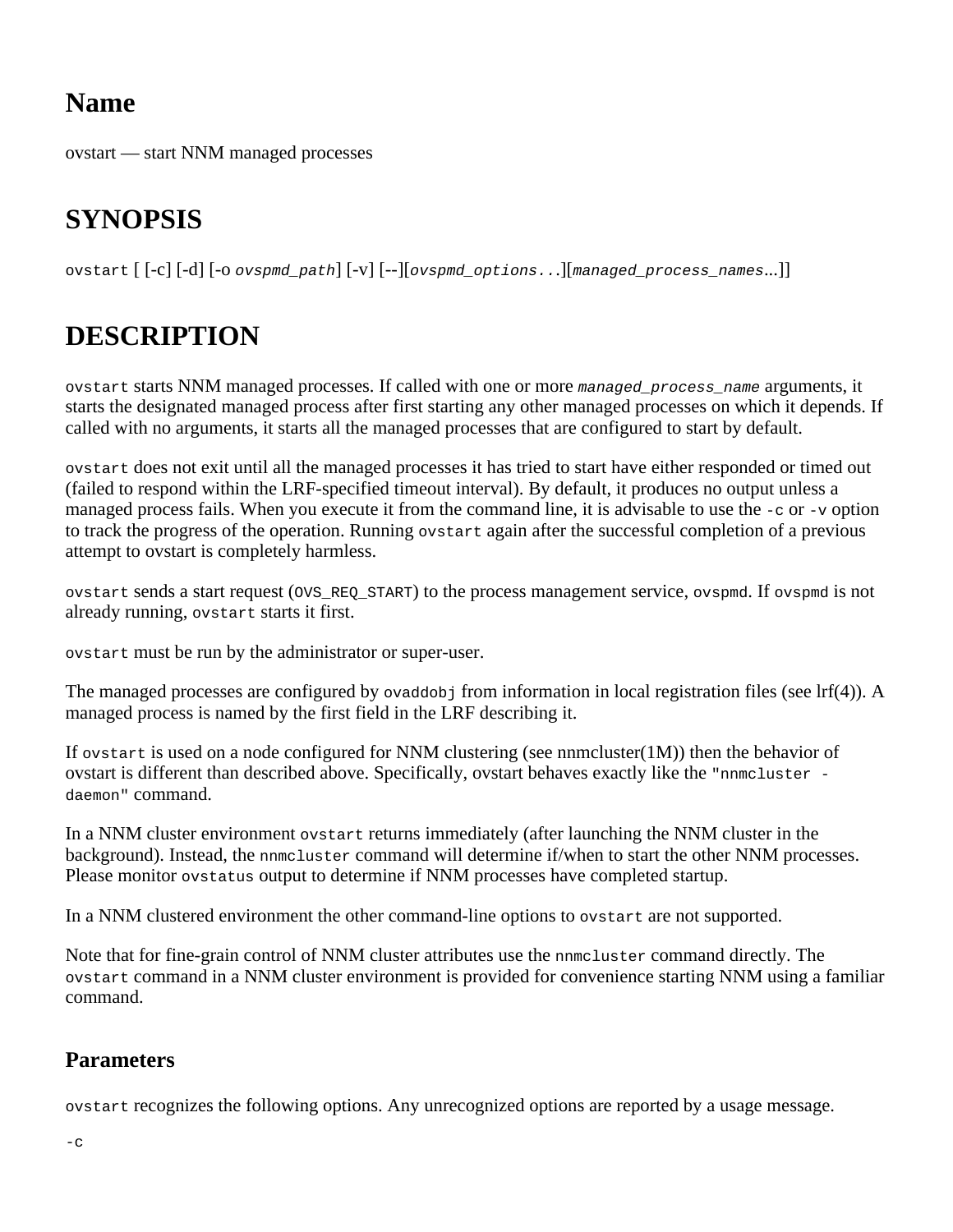# <span id="page-325-0"></span>**Name**

ovstart — start NNM managed processes

# **SYNOPSIS**

ovstart [ [-c] [-d] [-o *ovspmd\_path*] [-v] [--][*ovspmd\_options..*.][*managed\_process\_names*...]]

# **DESCRIPTION**

ovstart starts NNM managed processes. If called with one or more *managed\_process\_name* arguments, it starts the designated managed process after first starting any other managed processes on which it depends. If called with no arguments, it starts all the managed processes that are configured to start by default.

ovstart does not exit until all the managed processes it has tried to start have either responded or timed out (failed to respond within the LRF-specified timeout interval). By default, it produces no output unless a managed process fails. When you execute it from the command line, it is advisable to use the -c or -v option to track the progress of the operation. Running ovstart again after the successful completion of a previous attempt to ovstart is completely harmless.

ovstart sends a start request (OVS\_REQ\_START) to the process management service, ovspmd. If ovspmd is not already running, ovstart starts it first.

ovstart must be run by the administrator or super-user.

The managed processes are configured by  $\alpha$  ovaddobj from information in local registration files (see lrf(4)). A managed process is named by the first field in the LRF describing it.

If ovstart is used on a node configured for NNM clustering (see nnmcluster(1M)) then the behavior of ovstart is different than described above. Specifically, ovstart behaves exactly like the "nnmcluster daemon" command.

In a NNM cluster environment ovstart returns immediately (after launching the NNM cluster in the background). Instead, the nnmcluster command will determine if/when to start the other NNM processes. Please monitor ovstatus output to determine if NNM processes have completed startup.

In a NNM clustered environment the other command-line options to ovstart are not supported.

Note that for fine-grain control of NNM cluster attributes use the nnmcluster command directly. The ovstart command in a NNM cluster environment is provided for convenience starting NNM using a familiar command.

#### **Parameters**

ovstart recognizes the following options. Any unrecognized options are reported by a usage message.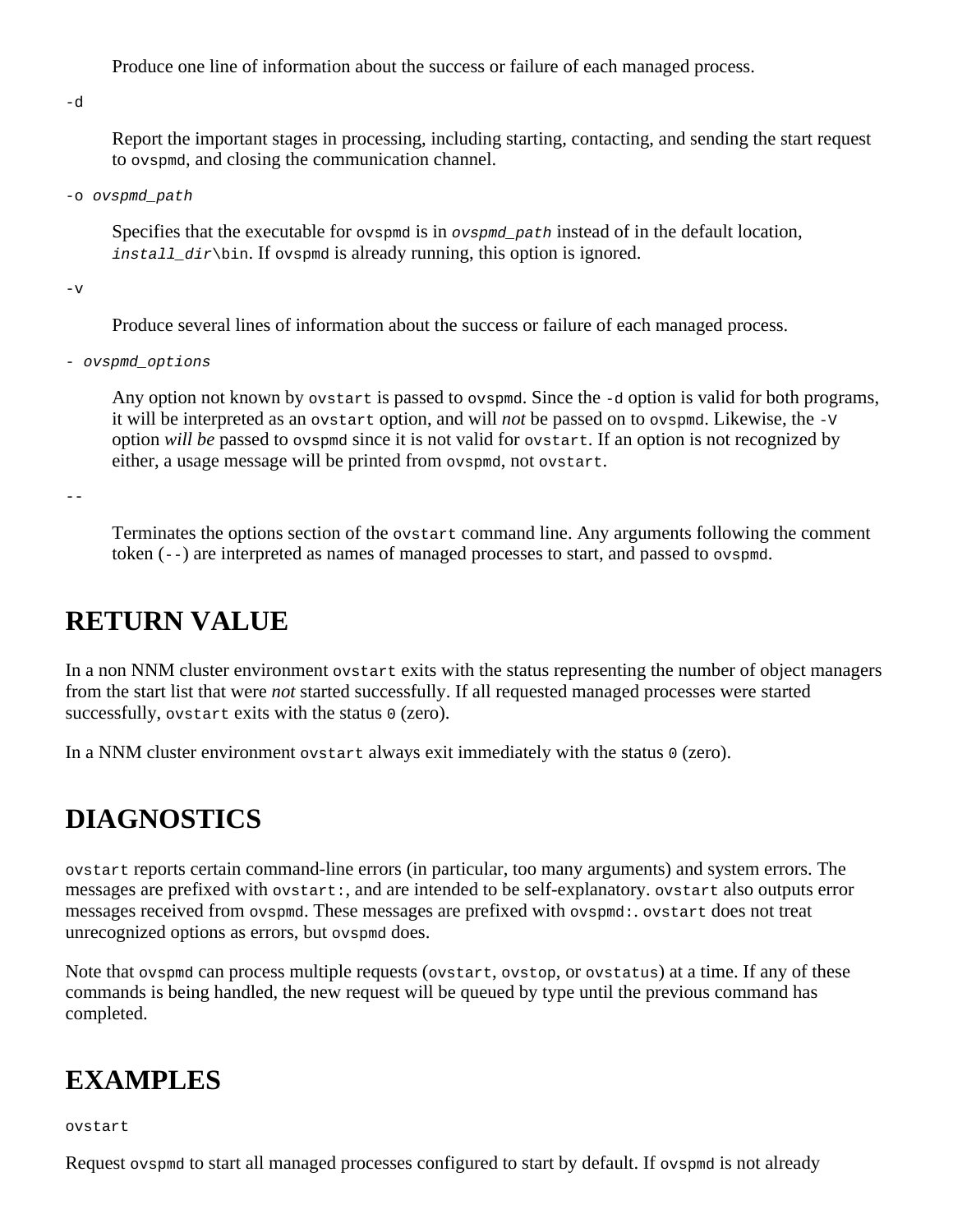Produce one line of information about the success or failure of each managed process.

-d

Report the important stages in processing, including starting, contacting, and sending the start request to ovspmd, and closing the communication channel.

-o *ovspmd\_path*

Specifies that the executable for ovspmd is in *ovspmd\_path* instead of in the default location, *install dir*\bin. If ovspmd is already running, this option is ignored.

-v

Produce several lines of information about the success or failure of each managed process.

- *ovspmd\_options*

Any option not known by ovstart is passed to ovspmd. Since the  $-d$  option is valid for both programs, it will be interpreted as an ovstart option, and will *not* be passed on to ovspmd. Likewise, the -V option *will be* passed to ovspmd since it is not valid for ovstart. If an option is not recognized by either, a usage message will be printed from ovspmd, not ovstart.

--

Terminates the options section of the ovstart command line. Any arguments following the comment token (--) are interpreted as names of managed processes to start, and passed to ovspmd.

#### **RETURN VALUE**

In a non NNM cluster environment ovstart exits with the status representing the number of object managers from the start list that were *not* started successfully. If all requested managed processes were started successfully, ovstart exits with the status 0 (zero).

In a NNM cluster environment ovstart always exit immediately with the status 0 (zero).

### **DIAGNOSTICS**

ovstart reports certain command-line errors (in particular, too many arguments) and system errors. The messages are prefixed with ovstart:, and are intended to be self-explanatory. ovstart also outputs error messages received from ovspmd. These messages are prefixed with ovspmd:. ovstart does not treat unrecognized options as errors, but ovspmd does.

Note that ovspmd can process multiple requests (ovstart, ovstop, or ovstatus) at a time. If any of these commands is being handled, the new request will be queued by type until the previous command has completed.

#### **EXAMPLES**

ovstart

Request ovspmd to start all managed processes configured to start by default. If ovspmd is not already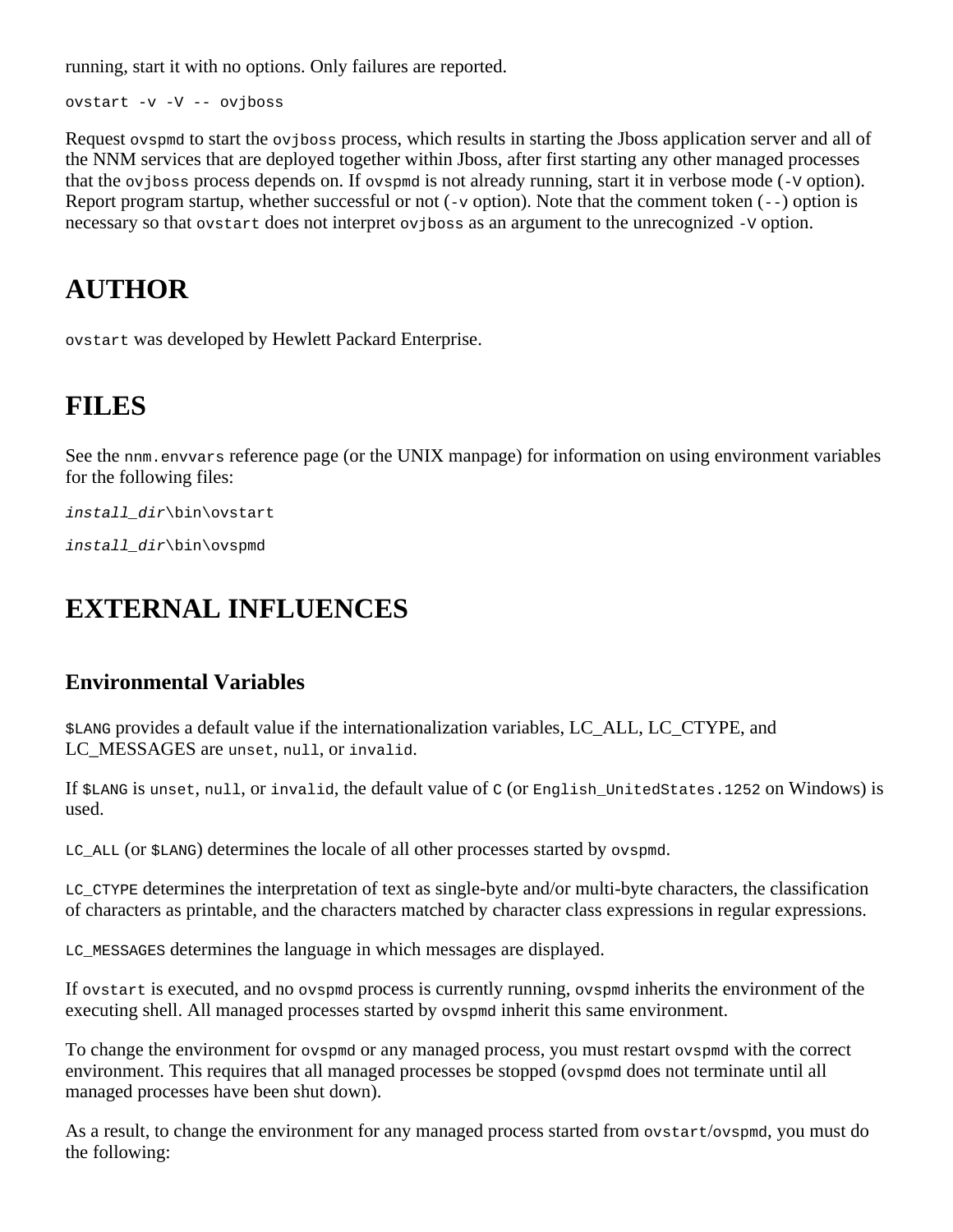running, start it with no options. Only failures are reported.

ovstart -v -V -- ovjboss

Request ovspmd to start the ovjboss process, which results in starting the Jboss application server and all of the NNM services that are deployed together within Jboss, after first starting any other managed processes that the ovjboss process depends on. If ovspmd is not already running, start it in verbose mode (-V option). Report program startup, whether successful or not  $(-v \text{ option})$ . Note that the comment token  $(-)$  option is necessary so that ovstart does not interpret ovjboss as an argument to the unrecognized -V option.

## **AUTHOR**

ovstart was developed by Hewlett Packard Enterprise.

#### **FILES**

See the nnm. envvars reference page (or the UNIX manpage) for information on using environment variables for the following files:

*install\_dir*\bin\ovstart

*install\_dir*\bin\ovspmd

## **EXTERNAL INFLUENCES**

#### **Environmental Variables**

\$LANG provides a default value if the internationalization variables, LC\_ALL, LC\_CTYPE, and LC MESSAGES are unset, null, or invalid.

If \$LANG is unset, null, or invalid, the default value of  $\sigma$  (or English UnitedStates.1252 on Windows) is used.

LC ALL (or \$LANG) determines the locale of all other processes started by ovspmd.

LC\_CTYPE determines the interpretation of text as single-byte and/or multi-byte characters, the classification of characters as printable, and the characters matched by character class expressions in regular expressions.

LC\_MESSAGES determines the language in which messages are displayed.

If ovstart is executed, and no ovspmd process is currently running, ovspmd inherits the environment of the executing shell. All managed processes started by ovspmd inherit this same environment.

To change the environment for ovspmd or any managed process, you must restart ovspmd with the correct environment. This requires that all managed processes be stopped (ovspmd does not terminate until all managed processes have been shut down).

As a result, to change the environment for any managed process started from ovstart/ovspmd, you must do the following: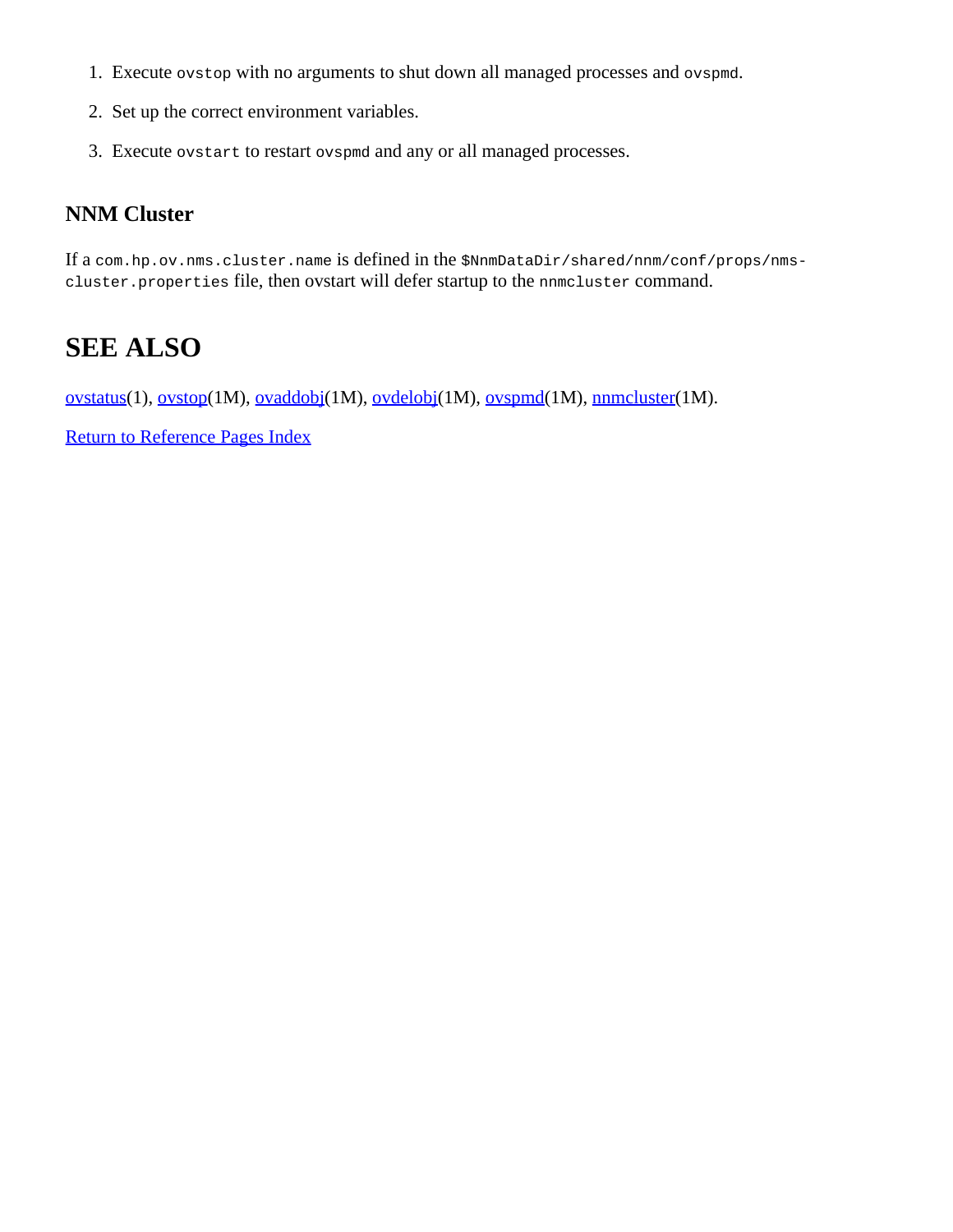- 1. Execute ovstop with no arguments to shut down all managed processes and ovspmd.
- 2. Set up the correct environment variables.
- 3. Execute ovstart to restart ovspmd and any or all managed processes.

#### **NNM Cluster**

If a com.hp.ov.nms.cluster.name is defined in the \$NnmDataDir/shared/nnm/conf/props/nmscluster.properties file, then ovstart will defer startup to the nnmcluster command.

## **SEE ALSO**

[ovstatus](#page-25-0)(1), [ovstop](#page-329-0)(1M), [ovaddobj](#page-313-0)(1M), [ovdelobj](#page-315-0)(1M), [ovspmd](#page-320-0)(1M), [nnmcluster](#page-6-0)(1M).

[Return to Reference Pages Index](#page-2-0)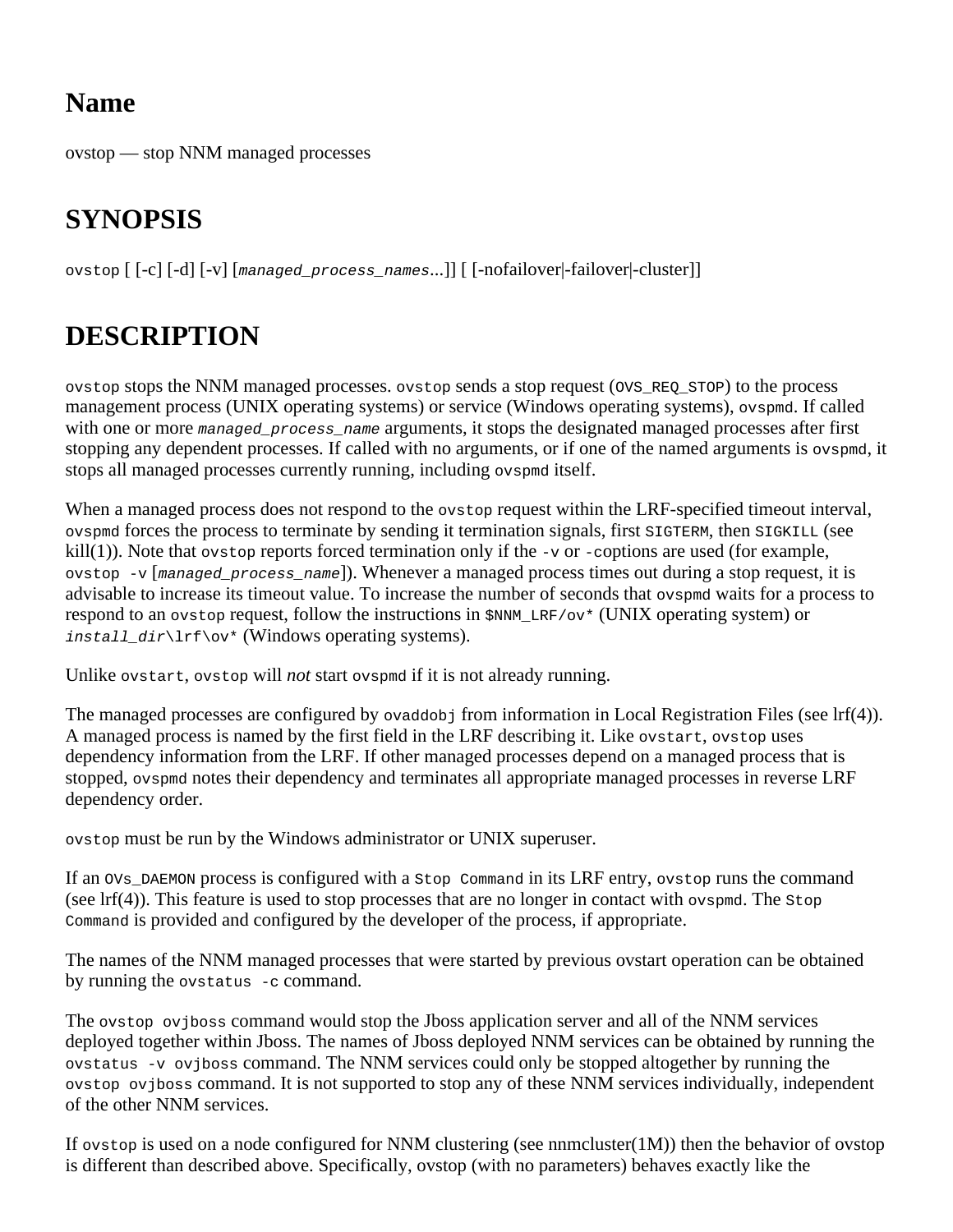# <span id="page-329-0"></span>**Name**

ovstop — stop NNM managed processes

# **SYNOPSIS**

ovstop [ [-c] [-d] [-v] [*managed\_process\_names*...]] [ [-nofailover|-failover|-cluster]]

# **DESCRIPTION**

ovstop stops the NNM managed processes. ovstop sends a stop request (OVS\_REQ\_STOP) to the process management process (UNIX operating systems) or service (Windows operating systems), ovspmd. If called with one or more *managed\_process\_name* arguments, it stops the designated managed processes after first stopping any dependent processes. If called with no arguments, or if one of the named arguments is ovspmd, it stops all managed processes currently running, including ovspmd itself.

When a managed process does not respond to the ovstop request within the LRF-specified timeout interval, ovspmd forces the process to terminate by sending it termination signals, first SIGTERM, then SIGKILL (see kill(1)). Note that ovstop reports forced termination only if the  $-v$  or  $-c$  options are used (for example, ovstop -v [*managed\_process\_name*]). Whenever a managed process times out during a stop request, it is advisable to increase its timeout value. To increase the number of seconds that ovspmd waits for a process to respond to an ovstop request, follow the instructions in  $\frac{SNNM_{LRF}}{ov*}$  (UNIX operating system) or *install\_dir*\lrf\ov\* (Windows operating systems).

Unlike ovstart, ovstop will *not* start ovspmd if it is not already running.

The managed processes are configured by  $\alpha$  ovaddobj from information in Local Registration Files (see lrf(4)). A managed process is named by the first field in the LRF describing it. Like ovstart, ovstop uses dependency information from the LRF. If other managed processes depend on a managed process that is stopped, ovspmd notes their dependency and terminates all appropriate managed processes in reverse LRF dependency order.

ovstop must be run by the Windows administrator or UNIX superuser.

If an OV<sub>s</sub> DAEMON process is configured with a Stop Command in its LRF entry, ovstop runs the command (see  $\text{lrf}(4)$ ). This feature is used to stop processes that are no longer in contact with ovspmd. The  $\text{Stop}$ Command is provided and configured by the developer of the process, if appropriate.

The names of the NNM managed processes that were started by previous ovstart operation can be obtained by running the ovstatus -c command.

The ovstop ovjboss command would stop the Jboss application server and all of the NNM services deployed together within Jboss. The names of Jboss deployed NNM services can be obtained by running the ovstatus -v ovjboss command. The NNM services could only be stopped altogether by running the ovstop ovjboss command. It is not supported to stop any of these NNM services individually, independent of the other NNM services.

If ovstop is used on a node configured for NNM clustering (see nnmcluster $(1M)$ ) then the behavior of ovstop is different than described above. Specifically, ovstop (with no parameters) behaves exactly like the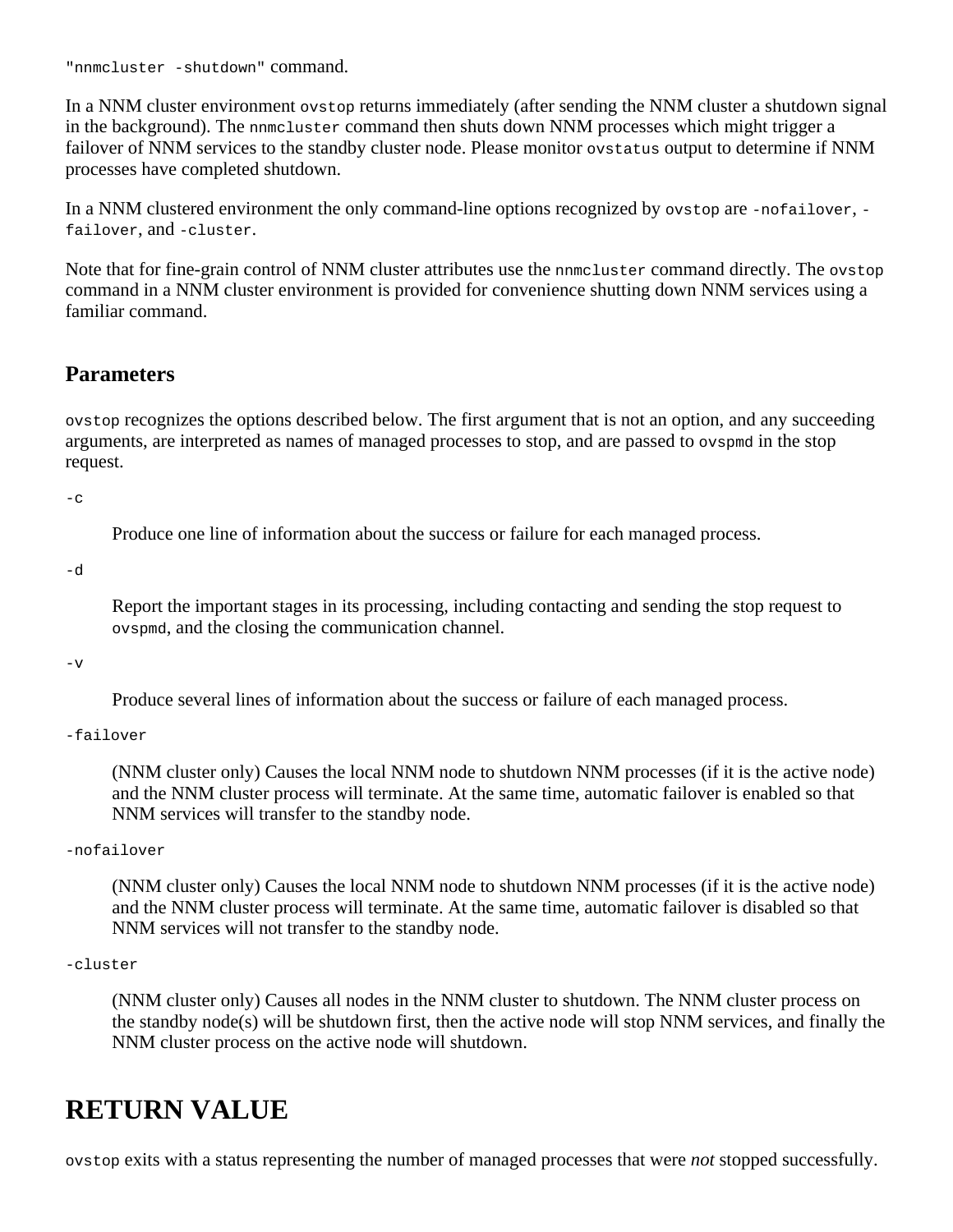"nnmcluster -shutdown" command.

In a NNM cluster environment ovstop returns immediately (after sending the NNM cluster a shutdown signal in the background). The nnmcluster command then shuts down NNM processes which might trigger a failover of NNM services to the standby cluster node. Please monitor ovstatus output to determine if NNM processes have completed shutdown.

In a NNM clustered environment the only command-line options recognized by ovstop are -nofailover, failover, and -cluster.

Note that for fine-grain control of NNM cluster attributes use the nnmcluster command directly. The ovstop command in a NNM cluster environment is provided for convenience shutting down NNM services using a familiar command.

#### **Parameters**

ovstop recognizes the options described below. The first argument that is not an option, and any succeeding arguments, are interpreted as names of managed processes to stop, and are passed to ovspmd in the stop request.

 $-c$ 

Produce one line of information about the success or failure for each managed process.

-d

Report the important stages in its processing, including contacting and sending the stop request to ovspmd, and the closing the communication channel.

-v

Produce several lines of information about the success or failure of each managed process.

#### -failover

(NNM cluster only) Causes the local NNM node to shutdown NNM processes (if it is the active node) and the NNM cluster process will terminate. At the same time, automatic failover is enabled so that NNM services will transfer to the standby node.

#### -nofailover

(NNM cluster only) Causes the local NNM node to shutdown NNM processes (if it is the active node) and the NNM cluster process will terminate. At the same time, automatic failover is disabled so that NNM services will not transfer to the standby node.

#### -cluster

(NNM cluster only) Causes all nodes in the NNM cluster to shutdown. The NNM cluster process on the standby node(s) will be shutdown first, then the active node will stop NNM services, and finally the NNM cluster process on the active node will shutdown.

#### **RETURN VALUE**

ovstop exits with a status representing the number of managed processes that were *not* stopped successfully.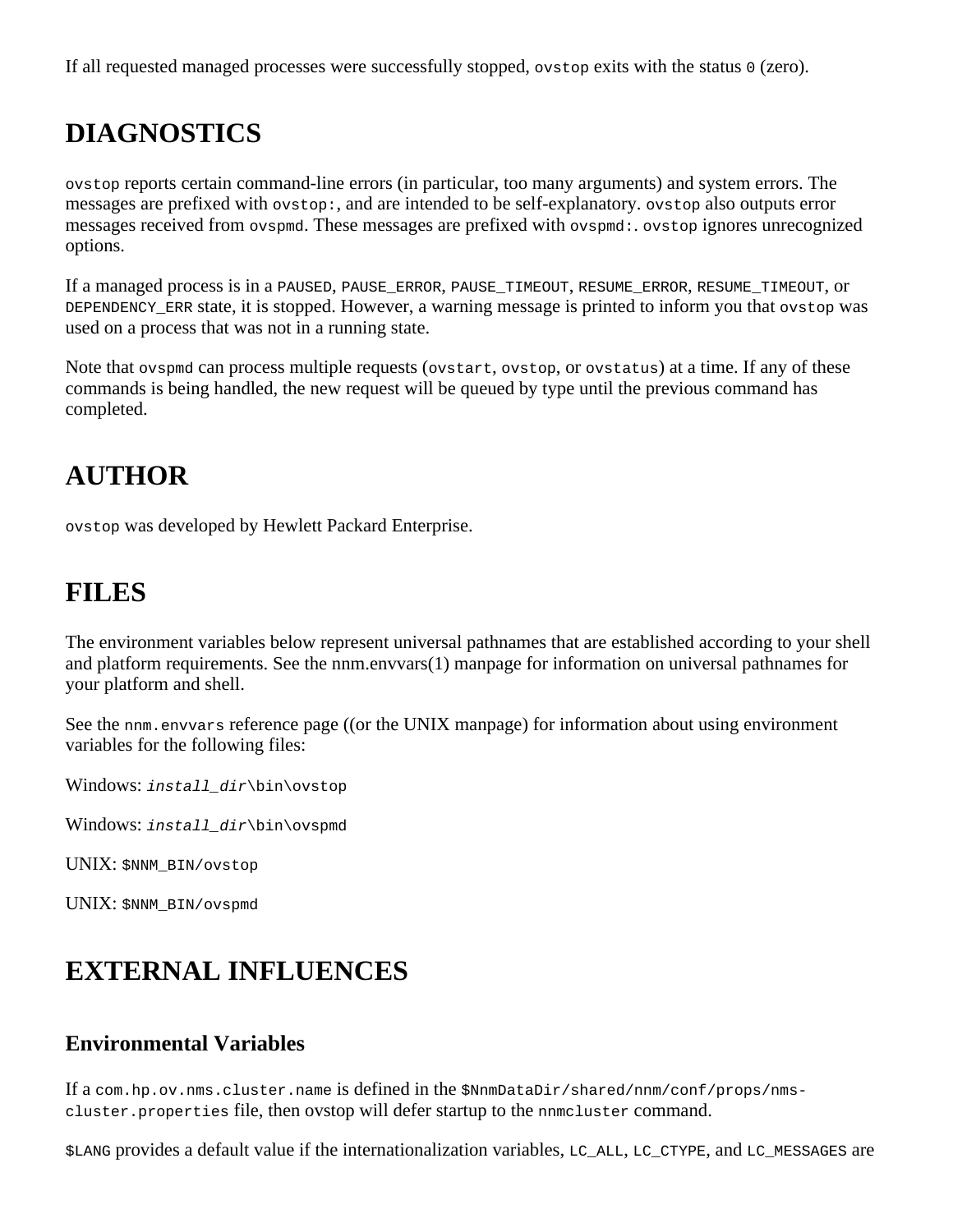If all requested managed processes were successfully stopped, ovstop exits with the status 0 (zero).

# **DIAGNOSTICS**

ovstop reports certain command-line errors (in particular, too many arguments) and system errors. The messages are prefixed with ovstop:, and are intended to be self-explanatory. ovstop also outputs error messages received from ovspmd. These messages are prefixed with ovspmd:. ovstop ignores unrecognized options.

If a managed process is in a PAUSED, PAUSE\_ERROR, PAUSE\_TIMEOUT, RESUME\_ERROR, RESUME\_TIMEOUT, or DEPENDENCY\_ERR state, it is stopped. However, a warning message is printed to inform you that ovstop was used on a process that was not in a running state.

Note that ovspmd can process multiple requests (ovstart, ovstop, or ovstatus) at a time. If any of these commands is being handled, the new request will be queued by type until the previous command has completed.

## **AUTHOR**

ovstop was developed by Hewlett Packard Enterprise.

#### **FILES**

The environment variables below represent universal pathnames that are established according to your shell and platform requirements. See the nnm.envvars(1) manpage for information on universal pathnames for your platform and shell.

See the nnm.envvars reference page ((or the UNIX manpage) for information about using environment variables for the following files:

Windows: *install\_dir*\bin\ovstop

Windows: *install\_dir*\bin\ovspmd

UNIX: \$NNM\_BIN/ovstop

UNIX: \$NNM\_BIN/ovspmd

### **EXTERNAL INFLUENCES**

#### **Environmental Variables**

If a com.hp.ov.nms.cluster.name is defined in the \$NnmDataDir/shared/nnm/conf/props/nmscluster.properties file, then ovstop will defer startup to the nnmcluster command.

\$LANG provides a default value if the internationalization variables, LC\_ALL, LC\_CTYPE, and LC\_MESSAGES are